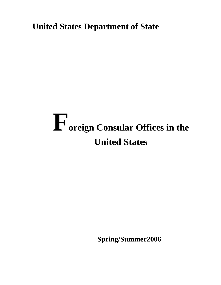**United States Department of State** 

# **Foreign Consular Offices in the United States**

 **Spring/Summer2006**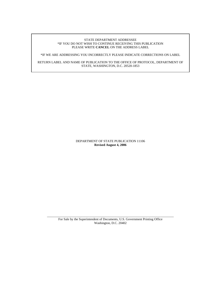#### STATE DEPARTMENT ADDRESSEE \*IF YOU DO NOT WISH TO CONTINUE RECEIVING THIS PUBLICATION PLEASE WRITE **CANCEL** ON THE ADDRESS LABEL

\*IF WE ARE ADDRESSING YOU INCORRECTLY PLEASE INDICATE CORRECTIONS ON LABEL

RETURN LABEL AND NAME OF PUBLICATION TO THE OFFICE OF PROTOCOL, DEPARTMENT OF STATE, WASHINGTON, D.C. 20520-1853

> DEPARTMENT OF STATE PUBLICATION 11106 **Revised August 4, 2006**

 $\overline{\phantom{a}}$  , and the contribution of the contribution of the contribution of the contribution of the contribution of the contribution of the contribution of the contribution of the contribution of the contribution of the For Sale by the Superintendent of Documents, U.S. Government Printing Office Washington, D.C. 20402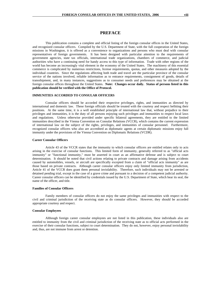# **PREFACE**

This publication contains a complete and official listing of the foreign consular offices in the United States, and recognized consular officers. Compiled by the U.S. Department of State, with the full cooperation of the foreign missions in Washington, it is offered as a convenience to organizations and persons who must deal with consular representatives of foreign governments. It has been designed with particular attention to the requirements of government agencies, state tax officials, international trade organizations, chambers of commerce, and judicial authorities who have a continuing need for handy access to this type of information. Trade with other regions of the world has become an increasingly vital element in the economy of the United States. The machinery of this essential commerce is complicated by numerous restrictions, license requirements, quotas, and other measures adopted by the individual countries. Since the regulations affecting both trade and travel are the particular province of the consular service of the nations involved, reliable information as to entrance requirements, consignment of goods, details of transshipment, and, in many instances, suggestions as to consumer needs and preferences may be obtained at the foreign consular offices throughout the United States. **Note: Changes occur daily. Status of persons listed in this publication should be verified with the Office of Protocol.** 

### **IMMUNITIES ACCORDED TO CONSULAR OFFICERS**

Consular officers should be accorded their respective privileges, rights, and immunities as directed by international and domestic law. These foreign officials should be treated with the courtesy and respect befitting their positions. At the same time, it is a well established principle of international law that, without prejudice to their privileges and immunities, it is the duty of all persons enjoying such privileges and immunities to respect local laws and regulations. Unless otherwise provided under specific bilateral agreements, they are entitled to the limited immunities described in the Vienna Convention on Consular Relations (VCCR), which contains the current expression of international law on the subject of the rights, privileges, and immunities of consular personnel. Furthermore, recognized consular officers who also are accredited as diplomatic agents at certain diplomatic missions enjoy full immunity under the provisions of the Vienna Convention on Diplomatic Relations (VCDR).

#### **Career Consular Officers**

Article 43 of the VCCR states that the immunity to which consular officers are entitled relates only to acts arising in the exercise of consular functions. This limited form of immunity, generally referred to as "official acts immunity" or "functional immunity," must be asserted in court as an affirmative defense and is subject to court determination. It should be noted that civil actions relating to private contracts and damage arising from accidents caused by automobiles, vessels, or aircraft are specifically excepted from a claim of "official acts immunity" as are those based on private contracts. Although career consular officers enjoy only limited immunity from jurisdiction, Article 41 of the VCCR does grant them personal inviolability. Therefore, such individuals may not be arrested or detained pending trial, except in the case of a grave crime and pursuant to a decision of a competent judicial authority. Career consular officers can be identified by credentials issued by the U.S. Department of State, which bear its seal, the name of the officer, and title.

#### **Families of Consular Officers**

Family members of consular officers do not enjoy the same privileges and immunities with respect to the civil and criminal jurisdiction of the receiving state as do consular officers. However, they should be accorded appropriate courtesy and respect.

#### **Consular Employees**

Although foreign career consular employees are not listed in this publication, these individuals also are entitled to immunity from the civil and criminal jurisdiction of the receiving state as to official acts performed in the exercise of their consular functions, subject to court determination. They do not, however, enjoy personal inviolability and, thus, are not immune from arrest or detention.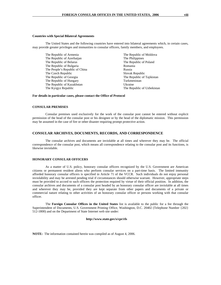#### **Countries with Special Bilateral Agreements**

The United States and the following countries have entered into bilateral agreements which, in certain cases, may provide greater privileges and immunities to consular officers, family members, and employees.

| The Republic of Armenia        | The Republic of Moldova    |
|--------------------------------|----------------------------|
| The Republic of Azerbaijan     | The Philippines            |
| The Republic of Belarus        | The Republic of Poland     |
| The Republic of Bulgaria       | Romania                    |
| The People's Republic of China | Russia                     |
| The Czech Republic             | Slovak Republic            |
| The Republic of Georgia        | The Republic of Tajikistan |
| The Republic of Hungary        | Turkmenistan               |
| The Republic of Kazakhstan     | Ukraine                    |
| The Kyrgyz Republic            | The Republic of Uzbekistan |
|                                |                            |

#### **For details in particular cases, please contact the Office of Protocol**

#### **CONSULAR PREMISES**

 Consular premises used exclusively for the work of the consular post cannot be entered without explicit permission of the head of the consular post or his designee or by the head of the diplomatic mission. This permission may be assumed in the case of fire or other disaster requiring prompt protective action.

#### **CONSULAR ARCHIVES, DOCUMENTS, RECORDS, AND CORRESPONDENCE**

 The consular archives and documents are inviolable at all times and wherever they may be. The official correspondence of the consular post, which means all correspondence relating to the consular post and its functions, is likewise inviolable.

#### **HONORARY CONSULAR OFFICERS**

As a matter of U.S. policy, honorary consular officers recognized by the U.S. Government are American citizens or permanent resident aliens who perform consular services on a part-time basis. The limited immunity afforded honorary consular officers is specified in Article 71 of the VCCR. Such individuals do not enjoy personal inviolability and may be arrested pending trial if circumstances should otherwise warrant. However, appropriate steps must be provided to accord to such officers the protection required by virtue of their official position. In addition, the consular archives and documents of a consular post headed by an honorary consular officer are inviolable at all times and wherever they may be, provided they are kept separate from other papers and documents of a private or commercial nature relating to other activities of an honorary consular officer or persons working with that consular officer.

The **Foreign Consular Offices in the United States** list is available to the public for a fee through the Superintendent of Documents, U.S. Government Printing Office, Washington, D.C. 20402 (Telephone Number {202} 512-1800) and on the Department of State Internet web site under:

#### **http://www.state.gov/s/cpr/rls**

**NOTE:** The information contained herein was compiled as of August 4, 2006.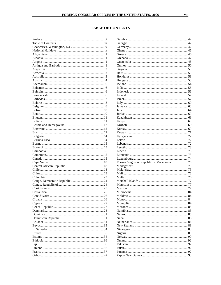# **TABLE OF CONTENTS**

| Former Yugoslav Republic of Macedonia 75 |  |
|------------------------------------------|--|
|                                          |  |
|                                          |  |
|                                          |  |
|                                          |  |
|                                          |  |
|                                          |  |
|                                          |  |
|                                          |  |
|                                          |  |
|                                          |  |
|                                          |  |
|                                          |  |
|                                          |  |
|                                          |  |
|                                          |  |
|                                          |  |
|                                          |  |
|                                          |  |
|                                          |  |
|                                          |  |
|                                          |  |
|                                          |  |
|                                          |  |
|                                          |  |
|                                          |  |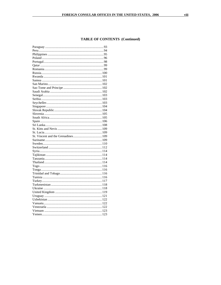# **TABLE OF CONTENTS (Continued)**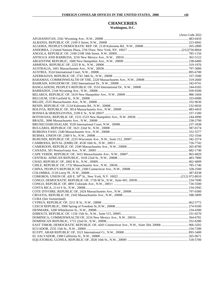## **CHANCERIES Washington, D.C.**

|                                                                                             | (Area Code 202) |
|---------------------------------------------------------------------------------------------|-----------------|
|                                                                                             |                 |
|                                                                                             |                 |
|                                                                                             |                 |
|                                                                                             |                 |
|                                                                                             |                 |
|                                                                                             |                 |
|                                                                                             |                 |
|                                                                                             |                 |
|                                                                                             |                 |
|                                                                                             |                 |
|                                                                                             |                 |
|                                                                                             |                 |
|                                                                                             |                 |
|                                                                                             |                 |
|                                                                                             |                 |
|                                                                                             |                 |
|                                                                                             |                 |
|                                                                                             |                 |
|                                                                                             |                 |
|                                                                                             |                 |
|                                                                                             |                 |
|                                                                                             |                 |
|                                                                                             |                 |
|                                                                                             |                 |
|                                                                                             |                 |
|                                                                                             |                 |
|                                                                                             |                 |
|                                                                                             |                 |
|                                                                                             |                 |
|                                                                                             |                 |
|                                                                                             |                 |
|                                                                                             |                 |
|                                                                                             |                 |
|                                                                                             |                 |
|                                                                                             |                 |
|                                                                                             |                 |
|                                                                                             |                 |
|                                                                                             |                 |
|                                                                                             |                 |
|                                                                                             |                 |
|                                                                                             |                 |
|                                                                                             |                 |
|                                                                                             |                 |
| CUBA (See Switzerland)                                                                      |                 |
|                                                                                             |                 |
|                                                                                             |                 |
|                                                                                             |                 |
|                                                                                             |                 |
|                                                                                             |                 |
|                                                                                             |                 |
| EAST TIMOR, DEMOCRATIC REPUBLIC OF, 4201 Connecticut Ave., N.W., Suite 504, 20008  966-3202 |                 |
|                                                                                             |                 |
|                                                                                             |                 |
|                                                                                             |                 |
|                                                                                             |                 |
|                                                                                             |                 |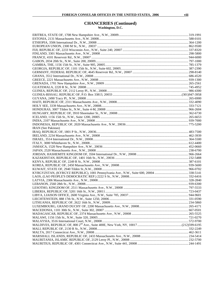## **CHANCERIES (Continued) Washington, D.C.**

| IRAN (See Pakistan) |  |
|---------------------|--|
|                     |  |
|                     |  |
|                     |  |
|                     |  |
|                     |  |
|                     |  |
|                     |  |
|                     |  |
|                     |  |
|                     |  |
|                     |  |
|                     |  |
|                     |  |
|                     |  |
|                     |  |
|                     |  |
|                     |  |
|                     |  |
|                     |  |
|                     |  |
|                     |  |
|                     |  |
|                     |  |
|                     |  |
|                     |  |
|                     |  |
|                     |  |
|                     |  |
|                     |  |
|                     |  |
|                     |  |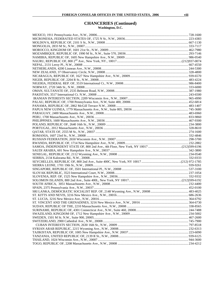## **CHANCERIES (Continued) Washington, D.C.**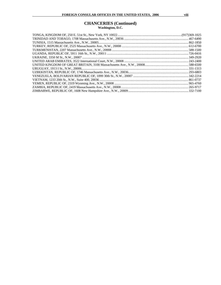## **CHANCERIES (Continued) Washington, D.C.**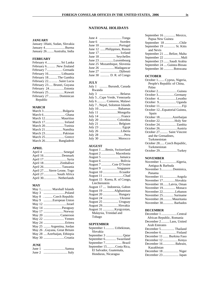# **NATIONAL HOLIDAYS**

## **JANUARY**

| January 1 Haiti, Sudan, Slovakia |
|----------------------------------|
| January 4Burma                   |
| January 26 Australia, India      |

# **FEBRUARY**

| February 4 Sri Lanka       |  |
|----------------------------|--|
| February 6 . New Zealand   |  |
| February 7 Grenada         |  |
| February 16 Lithuania      |  |
| February 18The Gambia      |  |
| February 22 Saint Lucia    |  |
| February 23 Brunei, Guyana |  |
| February 24Estonia         |  |
|                            |  |
| February 27 Dominican      |  |
| Republic                   |  |

#### **MARCH**

| March 3Bulgaria     |  |
|---------------------|--|
|                     |  |
| March 12 Mauritius  |  |
| March 17 Ireland    |  |
| March 20Tunisia     |  |
| March 21Namibia     |  |
|                     |  |
|                     |  |
| March 26 Bangladesh |  |

## **APRIL**

| April 4 Senegal             |
|-----------------------------|
| April 16Denmark             |
| April 17 Syria              |
| April 18Zimbabwe            |
| April 26Tanzania            |
| April 27 Sierre Leone, Togo |
| April 27 South Africa       |
| April 30Netherlands         |

## **MAY**

|       | May 1 Marshall Islands       |
|-------|------------------------------|
| May 3 | Poland                       |
| May 8 | .  Czech Republic            |
| May 9 | European Union               |
|       | May 12 Israel                |
|       |                              |
|       | May 17 Norway                |
|       | May 20 Cameroon              |
|       | May 22  Yemen                |
|       | May 24 Eritrea               |
|       | May 25  Argentina, Jordan    |
|       | May 26 Guyana, Great Britain |
|       | May 28  Azerbaijan, Ethiopia |
|       | May 30 Croatia               |

## **JUNE**

| June 1 | Samoa |
|--------|-------|
| June 2 |       |

| June 4                       | Tonga |
|------------------------------|-------|
| June 6                       |       |
|                              |       |
| June 12 Philippines, Russia  |       |
|                              |       |
| June 18  Seychelles          |       |
| June 23 Luxembourg           |       |
| June 25 Mozambique, Slovenia |       |
| June 26 Madagascar           |       |
| June 27 Djibouti             |       |
| June 30  D. R. of Congo      |       |

## **JULY**

| July 1  Burundi, Canada       |
|-------------------------------|
| Rwanda                        |
| July 3 Belarus                |
| July 5Cape Verde, Venezuela   |
| July 6  Comoros, Malawi       |
| July 7 Nepal, Solomon Islands |
| July 10  Bahamas              |
| July 11  Mongolia             |
| July 14  France               |
| July 20 Colombia              |
| July 21  Belgium              |
| July 23                       |
| Liberia<br>July 26            |
| July 28<br>Peru               |
| Morocco<br>July 30            |

#### **AUGUST**

| August 1  Benin, Switzerland  |
|-------------------------------|
| August 2  Macedonia           |
| August 5  Jamaica             |
| August 6  Bolivia             |
| August 7 Cote D'Ivoire        |
| August 9 Singapore            |
| August 10 Ecuador             |
| August 11 Chad                |
| August 15 Korea, R. of Congo, |
| Liechtenstein                 |
| August 17  Indonesia, Gabon   |
| August 19 Afghanistan         |
| August 20  Hungary            |
| August 24  Ukraine            |
| August 25  Uruguay            |
| August 29Slovakia             |
|                               |
| August 31 Kyrgyzstan,         |
| Malaysia, Trinidad and        |

#### **SEPTEMBER**

| September 1 Uzbekistan, |  |  |  |  |
|-------------------------|--|--|--|--|
| Slovakia                |  |  |  |  |
|                         |  |  |  |  |
| September 6 Swaziland   |  |  |  |  |
| September 7 Brazil      |  |  |  |  |
| September 15Costa Rica, |  |  |  |  |
| El Salvador, Guatemala, |  |  |  |  |
| Honduras, Nicaragua     |  |  |  |  |
|                         |  |  |  |  |

| September 16  Mexico,       |
|-----------------------------|
| Papua New Guinea            |
| September 18 Chile          |
| September 19  St. Kitts     |
| and Nevis                   |
| September 21  Belize, Malta |
|                             |
| September 23 Saudi Arabia   |
| September 24  Guinea-Bissau |
| September 30 Botswana       |

## **OCTOBER**

| October 1 Cyprus, Nigeria,   |
|------------------------------|
| People's Republic of China,  |
| Palau                        |
| October 2Guinea              |
| October 3Germany             |
| October 4Lesotho             |
| October 9 Uganda             |
|                              |
| October 12Equatorial Guinea, |
| Spain                        |
| October 18.  Azerbaijan      |
| October 22Holy See           |
|                              |
| October 26Austria            |
| October 27 Saint Vincent     |
|                              |
| and the Grenadines,          |
| Turkmenistan                 |
| October 28 Czech Republic,   |
| Turkmenistan                 |

#### **NOVEMBER**

| November 1Algeria,      |
|-------------------------|
| Antigua & Barbuda       |
| November 3Dominica,     |
| Panama                  |
| November 11Angola       |
| November 17Slovakia     |
| November 18Latvia, Oman |
| November 19 Monaco      |
| November 22Lebanon      |
| November 25 Suriname    |
| November 28 Mauritania  |
| November 30 Barbados    |

## **DECEMBER**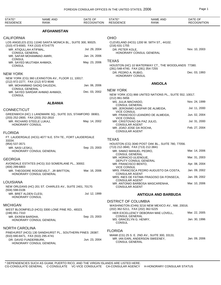| STATE*<br><b>RESIDENCE</b>                           | <b>NAME AND</b><br>RANK                                    | DATE OF<br><b>RECOGNITION</b> | STATE*<br><b>RESIDENCE</b>                                          | <b>NAME AND</b><br>RANK                                 | DATE OF<br><b>RECOGNITION</b> |
|------------------------------------------------------|------------------------------------------------------------|-------------------------------|---------------------------------------------------------------------|---------------------------------------------------------|-------------------------------|
|                                                      | <b>AFGHANISTAN</b>                                         |                               |                                                                     |                                                         |                               |
| <b>CALIFORNIA</b>                                    |                                                            |                               | <b>OHIO</b>                                                         |                                                         |                               |
| (310) 473-6583, FAX (310) 473-6775                   | LOS ANGELES (CG) 11040 SANTA MONICA BL., SUITE 300, 90025. |                               | (216) 631-1755                                                      | CLEVELAND (HCG) 1200 W. 58TH ST., 44102.                |                               |
| MR. ATIQULLAH ATIFMAL,<br><b>CONSUL GENERAL</b>      |                                                            | Jul. 29, 2004                 | DR. PETER KOLE,                                                     | HONORARY CONSUL GENERAL                                 | Nov. 10, 2003                 |
| MR. SAFAR MOHAMMAD AMIRI,<br><b>CONSUL</b>           |                                                            | Jan. 24, 2006                 |                                                                     |                                                         |                               |
| MR. SAYED MUJTABA AHMADI,<br><b>CONSUL</b>           |                                                            | May. 23, 2006                 | <b>TEXAS</b>                                                        | HOUSTON (HC) 10 WATERWAY CT., THE WOODLANDS 77380.      |                               |
|                                                      |                                                            |                               | (281) 548-4740, FAX (281) 354-7255<br>DR. PEDRO A. RUBIO,           |                                                         | Dec. 03, 1993                 |
| <b>NEW YORK</b>                                      |                                                            |                               | HONORARY CONSUL                                                     |                                                         |                               |
| (212) 972-2277, FAX (212) 972-9046                   | NEW YORK (CG) 360 LEXINGTON AV., FLOOR 11, 10017.          |                               |                                                                     | <b>ANGOLA</b>                                           |                               |
| MR. MOHAMMAD SADIQ DAUDZAI,<br><b>CONSUL GENERAL</b> |                                                            | Jan. 06, 2006                 | <b>NEW YORK</b>                                                     |                                                         |                               |
| MR. SAYED SARDAR AHMAD AHMADI,<br><b>CONSUL</b>      |                                                            | Dec. 03, 2002                 | (212) 861-5656                                                      | NEW YORK (CG) 866 UNITED NATIONS PL., SUITE 552, 10017. |                               |
|                                                      | <b>ALBANIA</b>                                             |                               | MS. JULIA MACHADO,                                                  |                                                         | Nov. 24, 1999                 |
| <b>CONNECTICUT</b>                                   |                                                            |                               | <b>CONSUL GENERAL</b>                                               | MR. JERONIMO GASPAR DE ALMEIDA,                         | Jul. 11, 2000                 |
| (203) 252-2800, FAX (203) 252-2810                   | GREENWICH (HC) 1 LANDMARK SQ., SUITE 315, STAMFORD 06901.  |                               | <b>VICE CONSUL</b><br><b>VICE CONSUL</b>                            | MR. FRANCISCO LEANDRO DE ALMEIDA,                       | Jun. 02, 2004                 |
| MR. RICHARD STEELE LUKAJ,<br>HONORARY CONSUL         |                                                            | May. 14, 2002                 | MR. CRISTOVAO DA PAZ JULIO,<br><b>CONSULAR AGENT</b>                |                                                         | Jul. 31, 2000                 |
|                                                      |                                                            |                               | MR. JOAO JOSE DA ROCHA,<br><b>CONSULAR AGENT</b>                    |                                                         | Feb. 27, 2004                 |
| <b>FLORIDA</b>                                       |                                                            |                               |                                                                     |                                                         |                               |
| 33334.                                               | FT. LAUDERDALE (HCG) 4077 N.E. 5TH TE., FORT LAUDERDALE    |                               | <b>TEXAS</b>                                                        |                                                         |                               |
| (954) 537-3571                                       |                                                            | Sep. 23, 2003                 | (713) 212-3840, FAX (713) 212-3841                                  | HOUSTON (CG) 3040 POST OAK BL., SUITE 780, 77056.       |                               |
| MR. NASI LESKU,<br>HONORARY CONSUL GENERAL           |                                                            |                               | MR. SIMAO MANUEL PEDRO,<br><b>CONSUL GENERAL</b>                    |                                                         | Mar. 14, 2006                 |
| <b>GEORGIA</b>                                       |                                                            |                               | MR. HORACIO ULIENGUE,                                               |                                                         | Mar. 31, 2003                 |
| (404) 299-6803                                       | AVONDALE ESTATES (HCG) 310 SOMERLANE PL., 30002.           |                               | DEPUTY CONSUL GENERAL<br>MR. FRANCISCO BENTO,<br><b>VICE CONSUL</b> |                                                         | Apr. 08, 2004                 |
| HONORARY CONSUL GENERAL                              | MR. THEODORE ROOSEVELT, JR BRITTON,                        | Mar. 16, 2006                 | <b>CONSULAR AGENT</b>                                               | MRS. FRANCISCA PEDRO AUGUSTO DA COSTA,                  | Jan. 09, 2002                 |
|                                                      |                                                            |                               |                                                                     | MRS. INES DE FATIMA FRAGOSO DA FONSECA,                 | Jan. 09, 2002                 |
| LOUISIANA                                            | NEW ORLEANS (HC) 201 ST. CHARLES AV., SUITE 2401, 70170.   |                               | <b>CONSULAR AGENT</b><br><b>CONSULAR AGENT</b>                      | MR. ANTONIO BARBOSA MASCARENHA,                         | Mar. 10, 2006                 |
| $(504) 598 - 0106$                                   |                                                            |                               |                                                                     |                                                         |                               |
| MR. BRET ALDEN CLESI,<br>HONORARY CONSUL             |                                                            | Jul. 12, 1999                 | ANTIGUA AND BARBUDA                                                 |                                                         |                               |
|                                                      |                                                            |                               | <b>DISTRICT OF COLUMBIA</b>                                         |                                                         |                               |
| <b>MICHIGAN</b>                                      |                                                            |                               | (202) 362-5211, FAX (202) 362-5225                                  | WASHINGTON (CHN) 3216 NEW MEXICO AV., NW, 20016.        |                               |
| (248) 851-7310                                       | WEST BLOOMFIELD (HCG) 3300 LONE PINE RD., 48323.           |                               |                                                                     | HER EXCELLENCY DEBORAH MAE LOVELL,                      | Mar. 22, 2005                 |
| MR. EKREM BARDHA,                                    | HONORARY CONSUL GENERAL                                    | Sep. 23, 2003                 | <b>CONSUL GENERAL</b><br>MS. GRACELYN G. HENRY,<br><b>CONSUL</b>    |                                                         | Jan. 30, 1996                 |
| <b>NORTH CAROLINA</b>                                |                                                            |                               | <b>FLORIDA</b>                                                      |                                                         |                               |
| (910) 690-8471, FAX (910) 295-4741                   | PINEHURST (HCG) 130 SANDHURST PL., SOUTHERN PINES 28387.   |                               |                                                                     | MIAMI (CG) 25 S. E. 2ND AV., SUITE 300, 33131.          |                               |
| DR. DAVID FUNDERBURK,<br>HONORARY CONSUL GENERAL     |                                                            | Jun. 23, 2004                 | <b>CONSUL GENERAL</b>                                               | MR. IAN EARL ANDERSON SWEENEY,                          | Jan. 09, 2006                 |
|                                                      |                                                            |                               |                                                                     |                                                         |                               |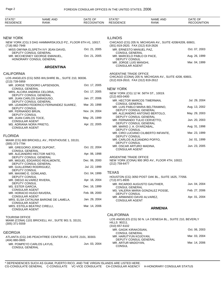| STATE*<br><b>RESIDENCE</b>                                             | NAME AND<br><b>RANK</b>                                   | DATE OF<br><b>RECOGNITION</b> | STATE*<br><b>RESIDENCE</b>                                                   | <b>NAME AND</b><br><b>RANK</b>                            | DATE OF<br><b>RECOGNITION</b> |  |
|------------------------------------------------------------------------|-----------------------------------------------------------|-------------------------------|------------------------------------------------------------------------------|-----------------------------------------------------------|-------------------------------|--|
|                                                                        |                                                           |                               |                                                                              |                                                           |                               |  |
| NEW YORK<br>NEW YORK (CG) 3 DAG HAMMARSKJOLD PZ., FLOOR 6TH #1, 10017. |                                                           |                               | <b>ILLINOIS</b><br>CHICAGO (CG) 205 N. MICHIGAN AV., SUITE 4208/4209, 60601. |                                                           |                               |  |
| (718) 882-7948                                                         | MISS OMYMA ELSPETH IVY JEAN DAVID,                        | Oct. 21, 2005                 | (301) 819-2620, FAX (312) 819-2626<br>MR. ERNESTO MANUEL PAZ,                |                                                           | Oct. 07, 2003                 |  |
| DEPUTY CONSUL GENERAL<br>MR. MCCHESNEY GEORGE EMANUEL,                 |                                                           | Oct. 21, 2005                 | <b>CONSUL GENERAL</b><br>MR. MARCELO PABLO DI PACE,                          |                                                           | Aug. 26, 1999                 |  |
|                                                                        | HONORARY CONSUL GENERAL                                   |                               | DEPUTY CONSUL<br>MR. JORGE LUIS MANGHI,<br><b>CONSULAR AGENT</b>             | Mar. 04, 1999                                             |                               |  |
|                                                                        | <b>ARGENTINA</b>                                          |                               |                                                                              |                                                           |                               |  |
| <b>CALIFORNIA</b>                                                      |                                                           |                               | ARGENTINE TRADE OFFICE                                                       | CHICAGO (CONA) 205 N. MICHIGAN AV., SUITE 4208, 60601.    |                               |  |
| (213) 739-5959                                                         | LOS ANGELES (CG) 5055 WILSHIRE BL., SUITE 210, 90036.     |                               | (312) 819-2610, FAX (312) 819-2612                                           |                                                           |                               |  |
| <b>CONSUL GENERAL</b>                                                  | MR. JORGE TEODORO LAPSENSON,                              | Oct. 17, 2005                 | <b>NEW YORK</b>                                                              |                                                           |                               |  |
|                                                                        | MRS. ALCIRA ANDREA CELORIA,                               | Oct. 17, 2005                 |                                                                              | NEW YORK (CG) 12 W. 56TH ST., 10019.                      |                               |  |
|                                                                        | DEPUTY CONSUL GENERAL<br>MR. JUAN CARLOS GARAGUSO,        | Jan. 27, 2006                 | (212) 603-0400                                                               |                                                           |                               |  |
|                                                                        | DEPUTY CONSUL GENERAL                                     |                               | <b>CONSUL GENERAL</b>                                                        | MR. HECTOR MARCOS TIMERMAN,                               | Jul. 29, 2004                 |  |
| <b>DEPUTY CONSUL</b>                                                   | MR. LEANDRO FEDERICO FERNANDEZ SUAREZ,                    | Mar. 20, 1998                 |                                                                              | MR. LUIS PABLO MARIA BELTRAMINO,                          | Aug. 13, 2002                 |  |
| MR. FERNANDO BRUN,<br>DEPUTY CONSUL                                    |                                                           | Nov. 24, 2004                 | DEPUTY CONSUL GENERAL                                                        | MR. ALEJANDRO ANTONIO BERTOLO,                            | May. 29, 2003                 |  |
| MR. JUAN CARLOS TOCE,<br><b>CONSULAR AGENT</b>                         |                                                           | May. 25, 1999                 | DEPUTY CONSUL GENERAL                                                        | MR. FERNANDO TULIO CERVETTO,                              | Jun. 20, 2003                 |  |
| MS. ADRIANA NORA PRIETO,                                               |                                                           | Apr. 22, 2005                 | DEPUTY CONSUL GENERAL<br>MR. MARIO J. A. OYARZABAL,                          |                                                           | Aug. 31, 1998                 |  |
| <b>CONSULAR AGENT</b>                                                  |                                                           |                               | DEPUTY CONSUL                                                                |                                                           |                               |  |
| FLORIDA                                                                |                                                           |                               | DEPUTY CONSUL                                                                | MR. CIRO LUCIANO CILIBERTO INFANTE,                       | Mar. 23, 1999                 |  |
| $(305)$ 373-7794                                                       | MIAMI (CG) 800 BRICKELL AV., PENTHOUSE 1, 33131.          |                               | MR. CARLOS ALEJANDRO POFFO,<br>DEPUTY CONSUL                                 |                                                           | Jul. 01, 1999                 |  |
| CONSUL GENERAL                                                         | MR. GREGORIO JORGE DUPONT,                                | Oct. 22, 2004                 | MR. OSCAR ARTURO MADINA,<br><b>CONSULAR AGENT</b>                            |                                                           | Jun. 23, 2005                 |  |
|                                                                        | MR. ALEJANDRO HECTOR NIETO,                               | Apr. 06, 1998                 |                                                                              |                                                           |                               |  |
|                                                                        | DEPUTY CONSUL GENERAL<br>MR. MIGUEL EDGARDO REALMONTE,    | Dec. 06, 2000                 | ARGENTINE TRADE OFFICE                                                       | NEW YORK (CONA) 900 3RD AV., FLOOR 4TH, 10022.            |                               |  |
| MR. GUILLERMO RODRIGUEZ,                                               | DEPUTY CONSUL GENERAL                                     | Jul. 22, 1999                 | (212) 759-6477                                                               |                                                           |                               |  |
| <b>DEPUTY CONSUL</b><br>MR. MAXIMO E. GOWLAND,                         |                                                           | Oct. 04, 1999                 | <b>TEXAS</b>                                                                 |                                                           |                               |  |
| DEPUTY CONSUL                                                          |                                                           |                               |                                                                              | HOUSTON (CG) 3050 POST OAK BL., SUITE 1625, 77056.        |                               |  |
| MR. DIEGO ALVAREZ RIVERA,<br>DEPUTY CONSUL                             |                                                           | Apr. 16, 2004                 | (713) 871-8935                                                               | MR. RICARDO AUGUSTO GAUTHIER,                             | Jun. 04, 2004                 |  |
| MS. ESTER GARCIA,<br><b>CONSULAR AGENT</b>                             |                                                           | Dec. 16, 1999                 | <b>CONSUL GENERAL</b>                                                        | MS. VALERIA MARIA GONZALEZ POSSE,                         | Feb. 27, 2006                 |  |
| MR. HORACIO HUGO RAVERA,<br>CONSULAR AGENT                             |                                                           | Feb. 08, 2000                 | DEPUTY CONSUL                                                                |                                                           |                               |  |
| CONSULAR AGENT                                                         | MRS. ELSA CATALINA BARONE DE LAMELA,                      | Jan. 29, 2004                 | MR. ARMANDO DAVID ALVAREZ,<br><b>CONSULAR AGENT</b>                          |                                                           | Apr. 01, 2004                 |  |
| <b>CONSULAR AGENT</b>                                                  | MRS. ESTELA BEATRIZ CIRELLI,                              | Mar. 14, 2006                 |                                                                              | <b>ARMENIA</b>                                            |                               |  |
|                                                                        |                                                           |                               | <b>CALIFORNIA</b>                                                            |                                                           |                               |  |
| <b>TOURISM OFFICE</b><br>$(305)$ 371-5559                              | MIAMI (CONA) 1101 BRICKELL AV., SUITE 901 S, 33131.       |                               | HILLS 90211.<br>$(310)$ 657-6102                                             | LOS ANGELES (CG) 50 N. LA CIENEGA BL., SUITE 210, BEVERLY |                               |  |
| GEORGIA                                                                |                                                           |                               | MR. GAGIK KIRAKOSIAN,                                                        |                                                           | Oct. 06, 2003                 |  |
|                                                                        | ATLANTA (CG) 245 PEACHTREE CENTER AV., SUITE 2101, 30303. |                               | <b>CONSUL GENERAL</b><br>MR. HARUTYUN KOJOYAN,                               |                                                           | Mar. 03, 2004                 |  |
| (404) 880-0805                                                         | MR. POMPEYO CARLOS LAYUS,                                 | Jun. 03, 2004                 | DEPUTY CONSUL GENERAL<br>MR. ARTUR MADOYAN,<br><b>CONSUL</b>                 |                                                           | Mar. 14, 2006                 |  |
| <b>CONSUL GENERAL</b>                                                  |                                                           |                               |                                                                              |                                                           |                               |  |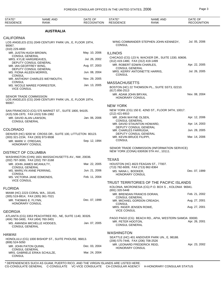| STATE*<br><b>RESIDENCE</b>  | <b>NAME AND</b><br><b>RANK</b>                                                                   | DATE OF<br><b>RECOGNITION</b> | STATE*<br><b>RESIDENCE</b>                         | <b>NAME AND</b><br>RANK                                                                  | DATE OF<br><b>RECOGNITION</b> |
|-----------------------------|--------------------------------------------------------------------------------------------------|-------------------------------|----------------------------------------------------|------------------------------------------------------------------------------------------|-------------------------------|
|                             | <b>AUSTRALIA</b>                                                                                 |                               |                                                    |                                                                                          |                               |
| <b>CALIFORNIA</b>           |                                                                                                  |                               |                                                    |                                                                                          |                               |
| 90067.                      | LOS ANGELES (CG) 2049 CENTURY PARK UN., E, FLOOR 19TH,                                           |                               | <b>CONSUL</b>                                      | WING COMMANDER STEPHEN JOHN KENNEDY,                                                     | Jul. 05, 2006                 |
| (310) 229-4800              | MR. JUSTIN HUGH BROWN,                                                                           | May. 10, 2006                 |                                                    |                                                                                          |                               |
|                             | <b>CONSUL GENERAL</b>                                                                            |                               | <b>ILLINOIS</b>                                    |                                                                                          |                               |
|                             | MRS. KYLIE HARGREAVES,                                                                           | Jul. 26, 2002                 | (312) 419-1480, FAX (312) 419-1499                 | CHICAGO (CG) 123 N. WACKER DR., SUITE 1330, 60606.                                       |                               |
|                             | DEPUTY CONSUL GENERAL<br>MR. IAN GEOFFREY WING.<br>DEPUTY CONSUL GENERAL                         | Aug. 07, 2003                 | MR. ROBERT EDWIN CHARLES,<br><b>CONSUL GENERAL</b> |                                                                                          | Apr. 22, 2005                 |
| <b>CONSUL</b>               | MS. FIONA AILEEN MORRIS,                                                                         | Jun. 08, 2004                 | CONSUL                                             | MRS. KERRY ANTOINETTE HARRIS,                                                            | Jul. 26, 2005                 |
|                             | MR. ANTHONY CHARLES WEYMOUTH,                                                                    | Nov. 29, 2005                 |                                                    |                                                                                          |                               |
| <b>CONSUL</b>               | MS. NICOLE MAREE FORRESTER,                                                                      | Jan. 13, 2005                 | <b>MASSACHUSETTS</b>                               |                                                                                          |                               |
| <b>VICE CONSUL</b>          |                                                                                                  |                               | (617) 856-2513                                     | BOSTON (HC) 22 THOMSON PL., SUITE SST3, 02210.                                           |                               |
|                             | SENIOR TRADE COMMISSION                                                                          |                               | MR. ADAM JOHN BRYAN,<br>HONORARY CONSUL            |                                                                                          | Nov. 08, 2004                 |
| 90067.                      | LOS ANGELES (CG) 2049 CENTURY PARK UN., E, FLOOR 19TH,                                           |                               |                                                    |                                                                                          |                               |
|                             |                                                                                                  |                               | <b>NEW YORK</b>                                    |                                                                                          |                               |
|                             | SAN FRANCISCO (CG) 575 MARKET ST., SUITE 1800, 94105.<br>(415) 536-1970, FAX (415) 536-1982      |                               | (212) 421-6910                                     | NEW YORK (CG) 150 E. 42ND ST., FLOOR 34TH, 10017.                                        |                               |
|                             | MR. DAVID ALAN LAWSON,                                                                           | Jan. 06, 2006                 | MR. JOHN WAYNE OLSEN,<br><b>CONSUL GENERAL</b>     |                                                                                          | Apr. 12, 2006                 |
| <b>CONSUL GENERAL</b>       |                                                                                                  |                               |                                                    | MR. DAVID STAUNTON HOWARD,<br>DEPUTY CONSUL GENERAL                                      | Apr. 14, 2003                 |
| <b>COLORADO</b>             |                                                                                                  |                               | MR. CHARLES FARRUGIA,                              |                                                                                          | Jun. 28, 2005                 |
|                             | DENVER (HC) 9200 W. CROSS DR., SUITE 100, LITTLETON 80123.<br>(303) 321-2234, FAX (303) 973-9938 |                               | MR. KEVIN BRUCE FILIPPI,                           | DEPUTY CONSUL GENERAL                                                                    | Mar. 14, 2006                 |
| MR. MARK V. O'REGAN,        | HONORARY CONSUL                                                                                  | Sep. 12, 1994                 | <b>CONSUL</b>                                      |                                                                                          |                               |
| <b>DISTRICT OF COLUMBIA</b> |                                                                                                  |                               |                                                    | SENIOR TRADE COMMISSION (INFORMATION SERVICE)<br>NEW YORK (CONA) 630/636 5TH AV., 10111. |                               |
|                             | WASHINGTON (CHN) 1601 MASSACHUSETTS AV., NW, 20036.                                              |                               |                                                    |                                                                                          |                               |
|                             | (202) 797-3000, FAX (202) 797-3168                                                               |                               | <b>TEXAS</b>                                       |                                                                                          |                               |
| <b>CONSUL GENERAL</b>       | MR. JOHN JAMES MCANULTY,                                                                         | Mar. 22, 2005                 | (713) 782-6009, FAX (713) 862-8364                 | HOUSTON (HC) 4623 FEAGAN ST., 77007.                                                     |                               |
| <b>CONSUL</b>               | MS. MARILYN ANNE PERRING,                                                                        | Jun. 21, 2006                 | MS. NANA L. BOOKER,<br>HONORARY CONSUL             |                                                                                          | Dec. 07, 1999                 |
| <b>VICE CONSUL</b>          | MS. VICTORIA JANE EDMONDS.                                                                       | Feb. 11, 2004                 |                                                    |                                                                                          |                               |
|                             |                                                                                                  |                               |                                                    | TRUST TERRITORIES OF THE PACIFIC ISLANDS                                                 |                               |
| <b>FLORIDA</b>              |                                                                                                  |                               | (691) 320-5448                                     | KOLONIA, MICRONESIA (CG) P.O. BOX S., KOLONIA 96941.                                     |                               |
|                             | MIAMI (HC) 2223 CORAL WA., 33145.<br>(305) 519-8814, FAX (305) 361-7021                          |                               | <b>CONSUL GENERAL</b>                              | MR. BRENDAN FRANCIS DORAN,                                                               | Feb. 21, 2002                 |
|                             | MR. THOMAS E. FLYNN,<br>HONORARY CONSUL                                                          | Dec. 07, 1999                 |                                                    | MR. MICHAEL GORDON CREAGH,                                                               | Aug. 27, 2001                 |
|                             |                                                                                                  |                               | <b>CONSUL</b><br>MRS. INGER JENSEN ROWE,           |                                                                                          | Aug. 27, 2001                 |
| <b>GEORGIA</b>              |                                                                                                  |                               | <b>VICE CONSUL</b>                                 |                                                                                          |                               |
|                             | ATLANTA (CG) 3353 PEACHTREE RD., NE, SUITE 1140, 30326.<br>(404) 760-3400, FAX (404) 760-3401    |                               |                                                    | PAGO PAGO (CG) BEACH RD., APIA, WESTERN SAMOA 00000.                                     |                               |
|                             | MS. AMANDA MICHELLE HODGES,<br><b>CONSUL GENERAL</b>                                             | Jan. 07, 2005                 | MR. PETER HOOTON,<br><b>CONSUL GENERAL</b>         |                                                                                          | Apr. 26, 2001                 |
| HAWAII                      |                                                                                                  |                               | <b>WASHINGTON</b>                                  |                                                                                          |                               |
|                             | HONOLULU (CG) 1000 BISHOP ST., SUITE PHOUSE, 96813.                                              |                               |                                                    | SEATTLE (HC) 401 ANDOVER PARK UN., E, 98188.                                             |                               |
| $(808)$ 524-5050            | MR. JOHN PATON QUINN,                                                                            | Dec. 03, 2004                 | (206) 575-7446, FAX (206) 708-2526                 | MR. LEONARD FREDERICK REID,                                                              | Apr. 23, 2002                 |
|                             | <b>CONSUL GENERAL</b><br>MRS. GABRIELE ERIKA SCHULZE,                                            | Mar. 24, 2004                 | <b>HONORARY CONSUL</b>                             |                                                                                          |                               |
| <b>CONSUL</b>               |                                                                                                  |                               |                                                    |                                                                                          |                               |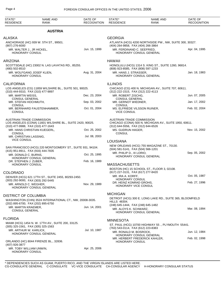| STATE*<br><b>RESIDENCE</b>                                          | NAME AND<br><b>RANK</b>                                   | DATE OF<br><b>RECOGNITION</b> | STATE*<br><b>RESIDENCE</b>                                             | <b>NAME AND</b><br><b>RANK</b>                            | DATE OF<br><b>RECOGNITION</b> |
|---------------------------------------------------------------------|-----------------------------------------------------------|-------------------------------|------------------------------------------------------------------------|-----------------------------------------------------------|-------------------------------|
|                                                                     | <b>AUSTRIA</b>                                            |                               |                                                                        |                                                           |                               |
| <b>ALASKA</b>                                                       |                                                           |                               | <b>GEORGIA</b>                                                         |                                                           |                               |
| $(907)$ 276-6000                                                    | ANCHORAGE (HC) 939 W. 5TH ST., 99501.                     |                               | (404) 264-9858, FAX (404) 266-3864                                     | ATLANTA (HCG) 4200 NORTHSIDE PW., NW, SUITE 300, 30327.   |                               |
| MR. WALTER J., JR HICKEL,<br><b>HONORARY CONSUL</b>                 |                                                           | Jun. 15, 1999                 | MR. FERDINAND C. SEEFRIED,                                             | HONORARY CONSUL GENERAL                                   | Apr. 04, 1995                 |
| <b>ARIZONA</b>                                                      |                                                           |                               | <b>HAWAII</b>                                                          |                                                           |                               |
| (480) 502-8510                                                      | SCOTTSDALE (HC) 23002 N. LAS LAVATAS RD., 85255.          |                               | (808) 923-8585, FAX (808) 597-1233                                     | HONOLULU (HCG) 1314 S. KING ST., SUITE 1260, 96814.       |                               |
| HONORARY CONSUL                                                     | MR. WOLFGANG JOSEF KLIEN,                                 | Aug. 31, 2004                 | MR. HANS J. STRASSER,                                                  | HONORARY CONSUL GENERAL                                   | Jan. 18, 1983                 |
| <b>CALIFORNIA</b>                                                   |                                                           |                               | <b>ILLINOIS</b>                                                        |                                                           |                               |
| (310) 444-9310, FAX (310) 477-9897                                  | LOS ANGELES (CG) 11859 WILSHIRE BL., SUITE 501, 90025.    |                               | (312) 222-1515, FAX (312) 222-4113                                     | CHICAGO (CG) 400 N. MICHIGAN AV., SUITE 707, 60611.       |                               |
| MR. MARTIN WEISS,<br><b>CONSUL GENERAL</b>                          |                                                           | Dec. 23, 2004                 | MR. ROBERT ZISCHG,<br><b>CONSUL GENERAL</b>                            |                                                           | Jun. 07, 2005                 |
| MR. STEFAN HOCHMUTH,<br><b>CONSUL</b>                               |                                                           | Sep. 03, 2002                 | MR. GERNOT WIEDNER,<br><b>CONSUL</b>                                   |                                                           | Jan. 17, 2002                 |
| <b>CONSUL</b>                                                       | MR. BERNHARD FAUSTENHAMMER,                               | Oct. 01, 2004                 | MS. ELFRIEDE VILSSON RUINER,<br><b>VICE CONSUL</b>                     |                                                           | Feb. 02, 2004                 |
| AUSTRIAN TRADE COMMISSION<br>(310) 477-9988, FAX (310) 477-1643     | LOS ANGELES (CONA) 11601 WILSHIRE BL., SUITE 2420, 90025. |                               | <b>AUSTRIAN TRADE COMMISSION</b><br>(312) 644-5556, FAX (312) 644-6526 | CHICAGO (CONA) 500 N. MICHIGAN AV., SUITE 1950, 60611.    |                               |
| <b>CONSUL</b>                                                       | MR. HANS CHRISTIAN KUEGERL,                               | Oct. 25, 2002                 | MS. GUDRUN HAGER,<br><b>CONSUL</b>                                     |                                                           | Nov. 15, 2002                 |
| MR. CHRISTIAN LASSNIG,<br><b>VICE CONSUL</b>                        |                                                           | Jul. 08, 2003                 |                                                                        |                                                           |                               |
|                                                                     |                                                           |                               | <b>LOUISIANA</b>                                                       | NEW ORLEANS (HCG) 755 MAGAZINE ST., 70130.                |                               |
| (415) 951-8911, FAX (916) 444-7835                                  | SAN FRANCISCO (HCG) 220 MONTGOMERY ST., SUITE 931, 94104. |                               | (504) 581-5141, FAX (504) 566-1201                                     |                                                           | Sep. 05, 2002                 |
| MR. DONALD C. BURNS,                                                | HONORARY CONSUL GENERAL                                   | Oct. 25, 1995                 | MR. PHILIP D., III LORIO,                                              | HONORARY CONSUL GENERAL                                   |                               |
| DR. STEPHEN J. ZUBER,<br>HONORARY CONSUL                            |                                                           | Feb. 16, 1989                 | <b>MASSACHUSETTS</b>                                                   |                                                           |                               |
| <b>COLORADO</b>                                                     |                                                           |                               | (617) 227-3131, FAX (617) 277-8420                                     | BOSTON (HC) 15 SCHOOL ST., FLOOR 3, 02108.                |                               |
|                                                                     | DENVER (HCG) 621 17TH ST., SUITE 2455, 80293-2450.        |                               | MR. IRA A. KORFF,                                                      |                                                           | Oct. 05, 1987                 |
| (303) 292-9000, FAX (303) 292-5445<br>MR. ARNOLD C. WEGHER,         |                                                           | Nov. 29, 1989                 | <b>HONORARY CONSUL</b><br>DR. HEINZ KONRAD GROHS,                      |                                                           | Feb. 27, 1996                 |
|                                                                     | HONORARY CONSUL GENERAL                                   |                               | <b>HONORARY VICE CONSUL</b>                                            |                                                           |                               |
| <b>DISTRICT OF COLUMBIA</b>                                         |                                                           |                               | <b>MICHIGAN</b>                                                        |                                                           |                               |
| (202) 895-6700, FAX (202) 895-6750                                  | WASHINGTON (CHN) 3524 INTERNATIONAL CT., NW, 20008-3035.  |                               | <b>HILLS 48304.</b>                                                    | DETROIT (HCG) 300 E. LONG LAKE RD., SUITE 365, BLOOMFIELD |                               |
| MR. MARTIN KRAEMER,<br><b>CONSUL GENERAL</b>                        |                                                           | Jun. 14, 2001                 | (248) 645-1444, FAX (248) 645-1482<br>MR. ALOYS K. SCHWARZ,            | HONORARY CONSUL GENERAL                                   | Mar. 08, 1994                 |
| <b>FLORIDA</b>                                                      |                                                           |                               | <b>MINNESOTA</b>                                                       |                                                           |                               |
| (305) 325-1561, FAX (305) 325-1563                                  | MIAMI (HCG) 1454 N. W. 17TH AV., SUITE 200, 33125.        |                               | (763) 543-0114, FAX (612) 223-8383                                     | ST. PAUL (HCG) 10700 HIGHWAY 55., PLYMOUTH 55441.         |                               |
| MR. ARTHUR W. KARLICK,                                              | HONORARY CONSUL GENERAL                                   | Jul. 10, 1987                 | MR. RONALD M. BOSROCK,                                                 |                                                           | Jun. 12, 1984                 |
|                                                                     | ORLANDO (HC) 8044 FIRENZE BL., 32836.                     |                               | HONORARY CONSUL                                                        | HONORARY CONSUL GENERAL<br>MR. HERBERT FREDERICK KAHLER,  | Feb. 02, 1998                 |
| (407) 926-3877<br>MR. TOBY WILLIAM UNWIN,<br><b>HONORARY CONSUL</b> |                                                           | Apr. 25, 2006                 |                                                                        |                                                           |                               |
|                                                                     |                                                           |                               |                                                                        |                                                           |                               |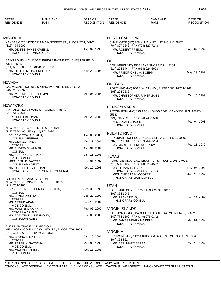| STATE*<br><b>RESIDENCE</b>                                                         | <b>NAME AND</b><br>RANK                                   | DATE OF<br><b>RECOGNITION</b> | STATE*<br><b>RESIDENCE</b>                                                          | <b>NAME AND</b><br><b>RANK</b>                          | DATE OF<br><b>RECOGNITION</b> |
|------------------------------------------------------------------------------------|-----------------------------------------------------------|-------------------------------|-------------------------------------------------------------------------------------|---------------------------------------------------------|-------------------------------|
|                                                                                    |                                                           |                               |                                                                                     |                                                         |                               |
| MISSOURI                                                                           | KANSAS CITY (HCG) 1111 MAIN STREET ST., FLOOR 7TH, 64105. |                               | <b>NORTH CAROLINA</b>                                                               | CHARLOTTE (HC) 250 N. MAIN ST., MT. HOLLY 28120.        |                               |
| $(816)$ 474-3000<br>MR. DENNIS JAMES OWENS,                                        | HONORARY CONSUL GENERAL                                   | Aug. 09, 1993                 | (704) 827-7246, FAX (704) 827-7248<br>MR. ROBERT FRIEDL,<br>HONORARY CONSUL         |                                                         | Apr. 09, 1999                 |
| 63017-8531.                                                                        | SAINT LOUIS (HC) 1350 ELBRIDGE PAYNE RD., CHESTERFIELD    |                               | <b>OHIO</b>                                                                         | COLUMBUS (HC) 1555 LAKE SHORE DR., 43204.               |                               |
| (314) 537-0305, FAX (314) 537-3720<br>MR. DIETER K. UNGERBOECK,<br>HONORARY CONSUL |                                                           | Nov. 29, 1995                 | (614) 224-5464, FAX (614) 224-6603<br>MR. FRIEDRICH K. M. BOEHM,<br>HONORARY CONSUL |                                                         | May. 29, 1992                 |
| NEVADA                                                                             |                                                           |                               | <b>OREGON</b>                                                                       |                                                         |                               |
| (702) 258-0032                                                                     | LAS VEGAS (HC) 3959 SPRING MOUNTAIN RD., 89102.           |                               | (503) 294-9236                                                                      | PORTLAND (HC) 900 S.W. 5TH AV., SUITE 2600, 97204-1268. |                               |
| MR. M. EDWIN PRUD'HOMME,<br>HONORARY CONSUL                                        |                                                           | Apr. 05, 2004                 | MR. CHRISTOPHER R. HERMANN,<br>HONORARY CONSUL                                      |                                                         | Oct. 15, 1999                 |
| NEW YORK                                                                           |                                                           |                               | PENNSYLVANIA                                                                        |                                                         |                               |
| (716) 542-5444                                                                     | BUFFALO (HC) 74 MAIN ST., AKRON 14001.                    |                               |                                                                                     | PITTSBURGH (HC) 125 TECHNOLOGY DR., CANONSBURG 15317-   |                               |
| DR. FRED FRIEDMAN,<br>HONORARY CONSUL                                              |                                                           | Apr. 23, 2002                 | 9566.<br>(724) 745-7599, FAX (724) 745-9570<br>MR. EDGAR BRAUN,<br>HONORARY CONSUL  |                                                         | Feb. 04, 1998                 |
|                                                                                    | NEW YORK (CG) 31 E. 69TH ST., 10021.                      |                               |                                                                                     |                                                         |                               |
| (212) 737-6400, FAX (212) 772-8926<br>DR. BRIGITTA M. BLAHA,                       |                                                           | Oct. 05, 2005                 | <b>PUERTO RICO</b>                                                                  |                                                         |                               |
| <b>CONSUL GENERAL</b><br>MR. GERALD FIALA,                                         |                                                           | Oct. 23, 2001                 | (787) 767-1381, FAX (787) 764-1224                                                  | SAN JUAN (HC) 1 RODRIGUEZ SERRA., APT 501, 00907.       |                               |
| <b>CONSUL</b><br>MR. ANDREAS LAUNER,                                               |                                                           | Oct. 01, 2004                 | MS. MARIE HELENE MORROW,<br>HONORARY CONSUL                                         |                                                         | Feb. 11, 1982                 |
| <b>CONSUL</b><br>MS. SUSANNE BARTON,                                               |                                                           | Jan. 13, 2005                 | <b>TEXAS</b>                                                                        |                                                         |                               |
| <b>VICE CONSUL</b><br>MRS. IRITH F. JAWETZ.                                        |                                                           | Dec. 31, 1997                 |                                                                                     | HOUSTON (HCG) 1717 BISONNET ST., SUITE 306, 77005.      |                               |
| <b>CONSULAR AGENT</b><br>MR. JOSEPH E. SHEEHAN.                                    |                                                           | Oct. 12, 1993                 | (713) 526-0127, FAX (713) 526-4592<br>MR. OTMAR KOLBER,                             |                                                         | Nov. 05, 1992                 |
|                                                                                    | HONORARY DEPUTY CONSUL GENERAL                            |                               | MRS. CHRISTA M. COOPER,                                                             | HONORARY CONSUL GENERAL                                 | Aug. 25, 1992                 |
| <b>CULTURAL AFFAIRS SECTION</b><br>(212) 759-5165                                  | NEW YORK (CONA) 11 E. 52ND ST., 10022.                    |                               | HONORARY VICE CONSUL<br><b>UTAH</b>                                                 |                                                         |                               |
| <b>CONSUL</b>                                                                      | DR. CHRISTOPH THUN HOHENSTEIN,                            | Sep. 30, 1999                 |                                                                                     | SALT LAKE CITY (HC) 240 EDISON ST., 84111.              |                               |
| MR. ERNST AICHINGER,<br><b>CONSUL</b>                                              |                                                           | Dec. 22, 1999                 | (801) 364-1045<br>MR. FRANZ KOLB,                                                   |                                                         | Jun. 14, 2002                 |
| MS. ASTRID ADAM,                                                                   |                                                           | Sep. 15, 2004                 | HONORARY CONSUL                                                                     |                                                         |                               |
| <b>VICE CONSUL</b><br>MR. MANFRED KAPPER,                                          |                                                           | Feb. 06, 2002                 | <b>VIRGIN ISLANDS</b>                                                               |                                                         |                               |
| <b>CONSULAR AGENT</b><br>MS. EDELTRUD J. DESMOND,<br><b>CONSULAR AGENT</b>         |                                                           | Nov. 03, 2005                 | (340) 774-1100, FAX (340) 776-0342<br>MR. JAMES HENRY HINDELS,<br>HONORARY CONSUL   | ST. THOMAS (HC) PARCEL 7 ESTATE TAARNEBJERG., 00802.    | Mar. 01, 1999                 |
| AUSTRIAN TRADE COMMISSION<br>(212) 421-5250, FAX (212) 751-4675                    | NEW YORK (CONA) 120 W. 45TH ST., FLOOR 9TH, 10021.        |                               | <b>VIRGINIA</b>                                                                     |                                                         |                               |
| MR. BRUNO FREYTAG,                                                                 |                                                           | Jan. 10, 2001                 | (804) 364-8614                                                                      | RICHMOND (HC) 11904 BROOKMEADE CT., GLEN ALLEN 23060.   |                               |
| <b>CONSUL</b><br>MR. PETER A. GATSCHA,                                             |                                                           | Mar. 08, 1993                 | MR. BERNHARD BARTA,                                                                 |                                                         | Oct. 28, 1999                 |
| <b>VICE CONSUL</b><br>MR. MICHAEL OTTER,<br><b>VICE CONSUL</b>                     |                                                           | Oct. 11, 2005                 | <b>HONORARY CONSUL</b>                                                              |                                                         |                               |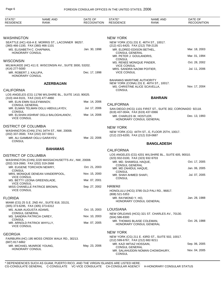| STATE*<br><b>RESIDENCE</b>                          | <b>NAME AND</b><br><b>RANK</b>                          | DATE OF<br><b>RECOGNITION</b> | STATE*<br><b>RESIDENCE</b>                                                          | NAME AND<br>RANK                                           | DATE OF<br><b>RECOGNITION</b> |
|-----------------------------------------------------|---------------------------------------------------------|-------------------------------|-------------------------------------------------------------------------------------|------------------------------------------------------------|-------------------------------|
|                                                     |                                                         |                               |                                                                                     |                                                            |                               |
| <b>WASHINGTON</b>                                   |                                                         |                               | <b>NEW YORK</b>                                                                     |                                                            |                               |
| (360) 466-1100, FAX (360) 466-1101                  | SEATTLE (HC) 416-A E. MORRIS ST., LACONNER 98257.       |                               | (212) 421-6420, FAX (212) 759-2135                                                  | NEW YORK (CG) 231 E. 46TH ST., 10017.                      |                               |
| MS. ELISABETH C. CHAPMAN,                           |                                                         | Jan. 30, 1998                 | MR. ELDRED EDISON BETHEL,                                                           |                                                            | Mar. 18, 2003                 |
| HONORARY CONSUL                                     |                                                         |                               | <b>CONSUL GENERAL</b><br>MR. PETER J. GOULANDRIS,                                   |                                                            | Mar. 01, 1994                 |
| <b>WISCONSIN</b>                                    |                                                         |                               | <b>CONSUL</b>                                                                       |                                                            |                               |
|                                                     | MILWAUKEE (HC) 411 E. WISCONSIN AV., SUITE 3000, 53202. |                               | MS. RENEE MONIQUE PINDER,<br><b>VICE CONSUL</b>                                     |                                                            | Oct. 28, 2002                 |
| (414) 277-5000                                      |                                                         | Dec. 17, 1998                 | MRS. SANDRA NAOMI POITIER,                                                          |                                                            | Jul. 11, 2006                 |
| MR. ROBERT J. KALUPA,<br>HONORARY CONSUL            |                                                         |                               | <b>VICE CONSUL</b>                                                                  |                                                            |                               |
| <b>CALIFORNIA</b>                                   | <b>AZERBAIJAN</b>                                       |                               | <b>BAHAMAS MARITIME AUTHORITY</b><br>MS. CHRISTINE ALICE SCAVELLA,<br><b>CONSUL</b> | NEW YORK (CONA) 231 E. 46TH ST., 10017.                    | Nov. 17, 2004                 |
|                                                     | LOS ANGELES (CG) 11766 WILSHIRE BL., SUITE 1410, 90025. |                               |                                                                                     |                                                            |                               |
| (310) 444-9101, FAX (310) 477-4860                  |                                                         | Mar. 14, 2006                 |                                                                                     | <b>BAHRAIN</b>                                             |                               |
| MR. ELIN EMIN SULEYMANOV,<br><b>CONSUL GENERAL</b>  |                                                         |                               | <b>CALIFORNIA</b>                                                                   |                                                            |                               |
| <b>CONSUL</b>                                       | MR. ELMAN TELMAN OGLU ABDULLAYEV,                       | Jul. 17, 2006                 | (619) 437-0044, FAX (619) 437-0066                                                  | SAN DIEGO (HCG) 1101 FIRST ST., SUITE 302, CORONADO 92118. |                               |
| <b>VICE CONSUL</b>                                  | MR. ELSHAN ASHRAF OGLU BALOGHLANOV,                     | Mar. 14, 2006                 | MR. CHARLES W. HOSTLER,                                                             | HONORARY CONSUL GENERAL                                    | Dec. 13, 1993                 |
| <b>DISTRICT OF COLUMBIA</b>                         |                                                         |                               | <b>NEW YORK</b>                                                                     |                                                            |                               |
| (202) 337-3500, FAX (202) 337-5911                  | WASHINGTON (CHN) 2741 34TH ST., NW, 20008.              |                               | (212) 223-6200, FAX (212) 319-0687                                                  | NEW YORK (CG) 44TH ST., E, FLOOR 25TH, 10017.              |                               |
| <b>CONSUL</b>                                       | MR. ALI GAMBAR OGLU GARAYEV,                            | Mar. 22, 2006                 |                                                                                     |                                                            |                               |
|                                                     |                                                         |                               |                                                                                     | <b>BANGLADESH</b>                                          |                               |
|                                                     | <b>BAHAMAS</b>                                          |                               | <b>CALIFORNIA</b>                                                                   |                                                            |                               |
| <b>DISTRICT OF COLUMBIA</b>                         |                                                         |                               |                                                                                     | LOS ANGELES (CG) 4201 WILSHIRE BL., SUITE 605, 90010.      |                               |
|                                                     | WASHINGTON (CHN) 2220 MASSACHUSETTS AV., NW, 20008.     |                               | (323) 932-0100, FAX (323) 932-9703<br>MR. MD. SHAMSUL HAQUE,                        |                                                            | Oct. 17, 2005                 |
| (202) 319-2660, FAX (202) 319-2668                  | MR. EUGENE TORCHON NEWRY,                               | Oct. 21, 2003                 | <b>CONSUL GENERAL</b>                                                               |                                                            |                               |
| <b>CONSUL</b>                                       |                                                         |                               | MR. MD ZAHIDUL HAQUE,<br><b>CONSUL</b>                                              |                                                            | Jan. 06, 2005                 |
| VICE CONSUL                                         | MRS. MONIQUE DENEAN VANDERPOOL,                         | Nov. 15, 2000                 | MR. SHAH AHMED SHAFI,                                                               |                                                            | Jul. 07, 2005                 |
|                                                     | MS. BETTY LEONA GREENSLADE,                             | Mar. 07, 2001                 | <b>CONSUL</b>                                                                       |                                                            |                               |
| <b>VICE CONSUL</b>                                  | MISS CHANELLE PATRICE BROWN,                            | Sep. 27, 2002                 | HAWAII                                                                              |                                                            |                               |
| <b>VICE CONSUL</b>                                  |                                                         |                               | (808) 521-5353                                                                      | HONOLULU (HCG) 3785 OLD PALI RD., 96817.                   |                               |
| <b>FLORIDA</b>                                      |                                                         |                               | MR. RAYMOND Y. HO,                                                                  | HONORARY CONSUL GENERAL                                    | Jan. 28, 1988                 |
| (305) 373-6295, FAX (305) 373-6312                  | MIAMI (CG) 25 S.E. 2ND AV., SUITE 818, 33131.           |                               |                                                                                     |                                                            |                               |
| MS. ALMA AUGUSTA ADAMS,                             |                                                         | Oct. 15, 2003                 | <b>LOUISIANA</b>                                                                    |                                                            |                               |
| <b>CONSUL GENERAL</b><br>MS. SANDRA PATRICIA CAREY, |                                                         | Nov. 10, 2003                 | (504) 586-8300                                                                      | NEW ORLEANS (HCG) 321 ST. CHARLES AV., 70130.              |                               |
| <b>CONSUL</b>                                       |                                                         |                               | MR. THOMAS BLAISE COLEMAN,                                                          |                                                            | Oct. 26, 1988                 |
| <b>VICE CONSUL</b>                                  | MR. ARNOLD PATRICK WHYLLY,                              | Mar. 07, 2005                 |                                                                                     | HONORARY CONSUL GENERAL                                    |                               |
| <b>GEORGIA</b>                                      |                                                         |                               | <b>NEW YORK</b>                                                                     |                                                            |                               |
|                                                     | FAIRBURN (HC) 195 MOSS CREEK WALK RD., 30213.           |                               |                                                                                     | NEW YORK (CG) 211 E. 43RD ST., SUITE 502, 10017.           |                               |
| (687) 817-6862                                      |                                                         |                               | (212) 599-6767, FAX (212) 682-9211<br>MR. KAZI IMTIAZ HOSSAIN,                      |                                                            | Sep. 06, 2005                 |
| MR. MICHAEL MUNROE YOUNG,<br>HONORARY CONSUL        |                                                         | May. 23, 2006                 | <b>CONSUL GENERAL</b><br><b>CONSUL</b>                                              | MR. SALAHUDDIN NOMAN CHOWDHURY,                            | Nov. 04, 2005                 |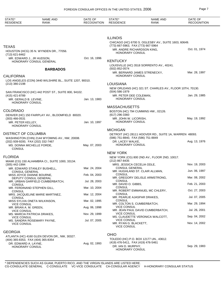| STATE*<br><b>RESIDENCE</b>                                        | <b>NAME AND</b><br>RANK                                 | DATE OF<br><b>RECOGNITION</b> | STATE*<br><b>RESIDENCE</b>                            | <b>NAME AND</b><br><b>RANK</b>                                            | DATE OF<br><b>RECOGNITION</b> |
|-------------------------------------------------------------------|---------------------------------------------------------|-------------------------------|-------------------------------------------------------|---------------------------------------------------------------------------|-------------------------------|
|                                                                   |                                                         |                               |                                                       |                                                                           |                               |
|                                                                   |                                                         |                               | <b>ILLINOIS</b><br>(773) 667-5963, FAX (773) 667-5964 | CHICAGO (HC) 6700 S. OGLESBY AV., SUITE 1603, 60649.                      |                               |
| <b>TEXAS</b><br>(713) 621-8462                                    | HOUSTON (HCG) 35 N. WYNDEN DR., 77056.                  |                               | MR. ANDRE RICHARDSON KING,<br>HONORARY CONSUL         |                                                                           | Oct. 01, 1974                 |
| MR. EDWARD J., JR HUDSON,                                         | HONORARY CONSUL GENERAL                                 | Oct. 16, 1996                 | <b>KENTUCKY</b>                                       |                                                                           |                               |
|                                                                   | <b>BARBADOS</b>                                         |                               | (502) 852-0574                                        | LOUISVILLE (HC) 3518 SORRENTO AV., 40241.<br>MR. BERNARD JAMES STRENECKY, | Mar. 28, 1997                 |
| <b>CALIFORNIA</b>                                                 |                                                         |                               | HONORARY CONSUL                                       |                                                                           |                               |
| $(213)$ 380-2198                                                  | LOS ANGELES (CON) 3440 WILSHIRE BL., SUITE 1207, 90010. |                               | LOUISIANA                                             |                                                                           |                               |
|                                                                   | SAN FRANCISCO (HC) 442 POST ST., SUITE 800, 94102.      |                               | $(504) 586 - 1979$                                    | NEW ORLEANS (HC) 321 ST. CHARLES AV., FLOOR 10TH, 70130.                  |                               |
| (415) 421-8789<br>MR. GERALD B. LEVINE,<br><b>HONORARY CONSUL</b> |                                                         | Jan. 13, 1983                 | MR. PETER DEE COLEMAN,<br>HONORARY CONSUL             |                                                                           | Jan. 29, 1985                 |
|                                                                   |                                                         |                               | <b>MASSACHUSETTS</b>                                  |                                                                           |                               |
| <b>COLORADO</b>                                                   | DENVER (HC) 150 FAIRPLAY AV., BLOOMFIELD 80020.         |                               | $(617)$ 296-3360                                      | BOSTON (HC) 794 CUMMINS HW., 02126.                                       |                               |
| $(303)$ 466-0531<br>MR. PETER KELLEY,                             |                                                         | Jan. 10, 1997                 | MR. JOHN W. LICORISH,<br>HONORARY CONSUL              |                                                                           | May. 19, 1992                 |
| HONORARY CONSUL                                                   |                                                         |                               | <b>MICHIGAN</b>                                       |                                                                           |                               |
| <b>DISTRICT OF COLUMBIA</b>                                       | WASHINGTON (CHN) 2144 WYOMING AV., NW, 20008.           |                               | (586) 751-8840, FAX (586) 751-8849                    | DETROIT (HC) 28111 HOOVER RD., SUITE 1A, WARREN 48093.                    |                               |
| (202) 939-9200, FAX (202) 332-7467<br>MS. DONNA MICHELLE FORDE,   |                                                         | May. 07, 2003                 | DR. LACEY WALKE,<br><b>HONORARY CONSUL</b>            |                                                                           | Aug. 13, 1976                 |
| <b>CONSUL</b>                                                     |                                                         |                               |                                                       |                                                                           |                               |
| <b>FLORIDA</b>                                                    |                                                         |                               | <b>NEW YORK</b>                                       |                                                                           |                               |
| (305) 442-1994                                                    | MIAMI (CG) 150 ALHAMBRA CI., SUITE 1000, 33134.         |                               | (212) 867-8435<br>MRS. JESSICA CECELIA ODLE,          | NEW YORK (CG) 800 2ND AV., FLOOR 2ND, 10017.                              | Nov. 19, 2003                 |
|                                                                   | MR. EDWARD STANLEY BUSHELL,                             | Mar. 24, 2004                 | <b>CONSUL GENERAL</b>                                 |                                                                           |                               |
| <b>CONSUL GENERAL</b><br>MISS JOYCE DIANNE BOURNE,                |                                                         | Feb. 04, 2003                 | <b>CONSUL</b>                                         | MR. HUGHLAND ST. CLAIR ALLMAN,                                            | Jun. 06, 1997                 |
| DEPUTY CONSUL GENERAL                                             | MR. URBAN GARFIELD CUMBERBATCH,                         | Jul. 28, 2003                 | <b>CONSUL</b>                                         | MR. GREGORY DELISLE ARMSTRONG,                                            | Mar. 08, 2002                 |
| <b>CONSUL</b><br>MR. FERDINAND STEPHEN GILL,                      |                                                         | Mar. 10, 2004                 | MR. DAVID O. GIBBS,<br>CONSUL                         |                                                                           | Feb. 21, 2003                 |
| <b>CONSUL</b>                                                     |                                                         |                               |                                                       | MR. ROBERT EMMANUEL MC CHLERY,                                            | Oct. 27, 2003                 |
| <b>CONSUL</b>                                                     | MRS. JACQUELINE MARIE MARTINEZ,                         | Mar. 12, 2004                 | CONSUL                                                | MR. PEARLIE AJASPAR DRAKES,                                               | Jul. 07, 2005                 |
| <b>VICE CONSUL</b>                                                | MISS SYLVIA ONETA WILKINSON,                            | Mar. 02, 1995                 | CONSUL                                                | MR. COLTON S. CUMBERBATCH,                                                | Mar. 29, 1994                 |
| MR. BRIAN A. M. GREEN,<br><b>VICE CONSUL</b>                      |                                                         | Aug. 06, 1998                 | <b>VICE CONSUL</b>                                    | MR. JEAN PAUL DAVID CUMBERBATCH,                                          | Jul. 26, 2001                 |
| MS. MARCIA PATRICIA DRAKES,<br><b>VICE CONSUL</b>                 |                                                         | Nov. 29, 1999                 | <b>VICE CONSUL</b>                                    | MS. CLAUDETTE VERONICA WALCOTT,                                           | Sep. 04, 2002                 |
| <b>VICE CONSUL</b>                                                | MS. SANDRA ROSEMARY PAYNE,                              | Jul. 07, 2005                 | <b>VICE CONSUL</b><br>MR. RYAN G. BLACKETT,           |                                                                           | Nov. 14, 2002                 |
| <b>GEORGIA</b>                                                    |                                                         |                               | <b>VICE CONSUL</b>                                    |                                                                           |                               |
|                                                                   | ATLANTA (HC) 4160 GLEN DEVON DR., NW, 30327.            |                               | <b>OHIO</b>                                           |                                                                           |                               |
| (404) 365-8353, FAX (404) 365-8354<br>DR. EDWARD A. LAYNE,        |                                                         | Aug. 02, 1993                 | (419) 476-5411, FAX (419) 476-5461                    | TOLEDO (HC) P.O. BOX 12177 UN., 43612.                                    |                               |
| HONORARY CONSUL                                                   |                                                         |                               | DR. IAN D. MURPHY,<br>HONORARY CONSUL                 |                                                                           | Sep. 29, 1983                 |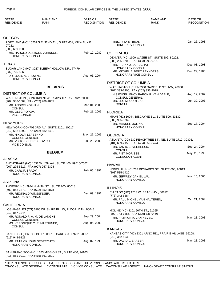| STATE*<br><b>RESIDENCE</b>                                | <b>NAME AND</b><br><b>RANK</b>                            | DATE OF<br><b>RECOGNITION</b> | STATE*<br><b>RESIDENCE</b>                                    | <b>NAME AND</b><br><b>RANK</b>                         | DATE OF<br><b>RECOGNITION</b> |
|-----------------------------------------------------------|-----------------------------------------------------------|-------------------------------|---------------------------------------------------------------|--------------------------------------------------------|-------------------------------|
|                                                           |                                                           |                               |                                                               |                                                        |                               |
| <b>OREGON</b>                                             |                                                           |                               |                                                               |                                                        |                               |
| 97222.<br>(503) 659-0283                                  | PORTLAND (HC) 10202 S.E. 32ND AV., SUITE 601, MILWAUKIE   |                               | MRS. RITA M. BRAL,<br>HONORARY CONSUL                         |                                                        | Jan. 26, 1993                 |
|                                                           | MR. HAROLD DESMOND JOHNSON,                               | Feb. 10, 1982                 | <b>COLORADO</b>                                               |                                                        |                               |
| <b>HONORARY CONSUL</b>                                    |                                                           |                               |                                                               | DENVER (HC) 1900 WAZEE ST., SUITE 202, 80202.          |                               |
|                                                           |                                                           |                               | (303) 295-9703, FAX (303) 295-9701                            |                                                        |                               |
| <b>TEXAS</b>                                              |                                                           |                               | MR. FRANK J. SCHUCHAT,                                        |                                                        | Dec. 03, 1998                 |
|                                                           | SUGAR LAND (HC) 3027 SLEEPY HOLLOW DR., 77479.            |                               | HONORARY CONSUL                                               | MR. MICHEL ALBERT REYNDERS,                            | Dec. 29, 1986                 |
| (832) 725-5566<br>DR. LOUIS A. BROWNE,<br>HONORARY CONSUL |                                                           | Aug. 05, 2004                 | HONORARY VICE CONSUL                                          |                                                        |                               |
|                                                           |                                                           |                               | <b>DISTRICT OF COLUMBIA</b>                                   |                                                        |                               |
|                                                           | <b>BELARUS</b>                                            |                               | (202) 333-6900, FAX (202) 333-3079                            | WASHINGTON (CHN) 3330 GARFIELD ST., NW, 20008.         |                               |
| <b>DISTRICT OF COLUMBIA</b>                               |                                                           |                               |                                                               | HIS EXCELLENCY BARON F. VAN DAELE,                     | Aug. 12, 2002                 |
|                                                           | WASHINGTON (CHN) 1619 NEW HAMPSHIRE AV., NW, 20009.       |                               | <b>CONSUL GENERAL</b>                                         |                                                        | Jun. 30, 2003                 |
| (202) 986-1604, FAX (202) 986-1805<br>MR. ANDREI KOZHAN.  |                                                           | Mar. 01, 2005                 | MR. LEO M. CORTENS,<br><b>CONSUL</b>                          |                                                        |                               |
| <b>CONSUL</b>                                             |                                                           |                               |                                                               |                                                        |                               |
| MR. OLEG POPOV,                                           |                                                           | Feb. 21, 2006                 | <b>FLORIDA</b>                                                |                                                        |                               |
| <b>VICE CONSUL</b>                                        |                                                           |                               |                                                               | MIAMI (HC) 100 N. BISCAYNE BL., SUITE 500, 33132.      |                               |
| <b>NEW YORK</b>                                           |                                                           |                               | $(305)$ 935-3762<br>MR. MANUEL MOLINA,                        |                                                        | Sep. 17, 2004                 |
|                                                           | NEW YORK (CG) 708 3RD AV., SUITE 2101, 10017.             |                               | HONORARY CONSUL                                               |                                                        |                               |
| (212) 682-5392, FAX (212) 682-5491                        |                                                           |                               |                                                               |                                                        |                               |
| MR. NIKOLAI LEPESHKO,                                     |                                                           | May. 27, 2005                 | <b>GEORGIA</b>                                                |                                                        |                               |
| <b>CONSUL GENERAL</b><br>MR. VIKTOR CHEREKHOVICH,         |                                                           | Jul. 28, 2005                 |                                                               | ATLANTA (CG) 230 PEACHTREE ST., NE, SUITE 2710, 30303. |                               |
| <b>VICE CONSUL</b>                                        |                                                           |                               | (404) 659-2150, FAX (404) 659-8474<br>MR. JAN R. E. VERBEECK, |                                                        | Sep. 24, 2004                 |
|                                                           |                                                           |                               | <b>CONSUL</b>                                                 |                                                        |                               |
|                                                           | <b>BELGIUM</b>                                            |                               | MR. PIET MORISSE,                                             |                                                        | May. 28, 1998                 |
| <b>ALASKA</b>                                             |                                                           |                               | <b>CONSULAR AGENT</b>                                         |                                                        |                               |
|                                                           | ANCHORAGE (HC) 1031 W. 4TH AV., SUITE 400, 99510-7502.    |                               | <b>HAWAII</b>                                                 |                                                        |                               |
| (907) 276-5617, FAX (907) 257-6394                        |                                                           |                               |                                                               | HONOLULU (HC) 707 RICHARDS ST., SUITE 600, 96813.      |                               |
| MR. CARL F. BRADY,<br><b>HONORARY CONSUL</b>              |                                                           | Feb. 05, 1991                 | (808) 535-1420                                                |                                                        |                               |
|                                                           |                                                           |                               | MR. JEFFREY DANIEL LAU,                                       |                                                        | Nov. 16, 2000                 |
| <b>ARIZONA</b>                                            |                                                           |                               | HONORARY CONSUL                                               |                                                        |                               |
|                                                           | PHOENIX (HC) 2944 N. 44TH ST., SUITE 200, 85018.          |                               | <b>ILLINOIS</b>                                               |                                                        |                               |
| (602) 852-3870, FAX (602) 852-3878                        |                                                           | Dec. 09, 1991                 |                                                               | CHICAGO (HC) 1713 W. BEACH AV., 60622.                 |                               |
| MR. REGINALD WINSSINGER,<br><b>HONORARY CONSUL</b>        |                                                           |                               | (773) 342-6884                                                |                                                        |                               |
|                                                           |                                                           |                               |                                                               | MR. PAUL MICHEL VAN HALTEREN,                          | Oct. 21, 2004                 |
| <b>CALIFORNIA</b>                                         |                                                           |                               | HONORARY CONSUL                                               |                                                        |                               |
|                                                           | LOS ANGELES (CG) 6100 WILSHIRE BL., W, FLOOR 12TH, 90048. |                               | MOLINE (HC) 4101 60TH ST., 61265.                             |                                                        |                               |
| (213) 857-1244                                            |                                                           |                               | (309) 743-1856, FAX (309) 736-9460                            |                                                        |                               |
| <b>CONSUL GENERAL</b>                                     | MR. RONALD F. A. M. DE LANGHE,                            | Sep. 29, 2004                 | MR. PATRICK A. VAN NEVEL,                                     |                                                        | May. 23, 2003                 |
|                                                           | MS. VERONIQUE C. R. MAROUNEK,                             | Aug. 05, 2003                 | HONORARY CONSUL                                               |                                                        |                               |
| <b>CONSUL</b>                                             |                                                           |                               | <b>KANSAS</b>                                                 |                                                        |                               |
|                                                           | SAN DIEGO (HC) P.O. BOX 130051 ., CARLSBAD 92013-0051.    |                               |                                                               | KANSAS CITY (HC) 2301 ARNO RD., PRAIRIE VILLAGE 66208. |                               |
| (619) 943-9121                                            |                                                           |                               | $(913)$ 362-5039                                              |                                                        |                               |
| HONORARY CONSUL                                           | MR. PATRICK JOHN SEBRECHTS,                               | Aug. 02, 1990                 | MR. DAVID L. BARBER,<br>HONORARY CONSUL                       |                                                        | May. 23, 2003                 |
| (415) 861-9910, FAX (415) 861-9801                        | SAN FRANCISCO (HC) 1663 MISSION ST., SUITE 400, 94103.    |                               |                                                               |                                                        |                               |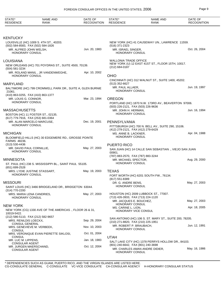| STATE*<br><b>RESIDENCE</b>                                              | <b>NAME AND</b><br>RANK                                    | DATE OF<br><b>RECOGNITION</b> | STATE*<br><b>RESIDENCE</b>                        | <b>NAME AND</b><br><b>RANK</b>                          | DATE OF<br><b>RECOGNITION</b> |
|-------------------------------------------------------------------------|------------------------------------------------------------|-------------------------------|---------------------------------------------------|---------------------------------------------------------|-------------------------------|
|                                                                         |                                                            |                               |                                                   |                                                         |                               |
| <b>KENTUCKY</b>                                                         |                                                            |                               |                                                   |                                                         |                               |
| (502) 584-8583, FAX (502) 584-1826                                      | LOUISVILLE (HC) 1009 S. 4TH ST., 40203.                    |                               | (516) 371-2323                                    | NEW YORK (HC) 41 CAUSEWAY UN., LAWRENCE 11559.          |                               |
| MR. ALFRED JOHN WELSH,<br><b>HONORARY CONSUL</b>                        |                                                            | Jun. 20, 1983                 | MR. ISRAEL SINGER,<br><b>HONORARY CONSUL</b>      |                                                         | Oct. 26, 2004                 |
| LOUISIANA                                                               |                                                            |                               | <b>WALLONIA TRADE OFFICE</b>                      |                                                         |                               |
| (504) 581-3234                                                          | NEW ORLEANS (HC) 701 POYDRAS ST., SUITE 4500, 70139.       |                               | (212) 684-0187                                    | NEW YORK (U) 12 EAST 41ST ST., FLOOR 15TH, 10017.       |                               |
| <b>HONORARY CONSUL</b>                                                  | MR. ROLAND MANIL, JR VANDENWEGHE,                          | Apr. 10, 2002                 | <b>OHIO</b>                                       |                                                         |                               |
| <b>MARYLAND</b>                                                         |                                                            |                               | (513) 352-6627                                    | CINCINNATI (HC) 312 WALNUT ST., SUITE 1400, 45202.      |                               |
|                                                                         | BALTIMORE (HC) 799 CROMWELL PARK DR., SUITE A, GLEN BURNIE |                               | MR. PAUL ALLAER,                                  |                                                         | Jun. 19, 1997                 |
| 21061.                                                                  |                                                            |                               | <b>HONORARY CONSUL</b>                            |                                                         |                               |
| (410) 863-0255, FAX (410) 863-1377<br>MR. LOUIS G. CONNOR,              |                                                            | Mar. 23, 1994                 | <b>OREGON</b>                                     |                                                         |                               |
| <b>HONORARY CONSUL</b>                                                  |                                                            |                               | (503) 226-2121, FAX (503) 226-9636                | PORTLAND (HC) 1870 N.W. 173RD AV., BEAVERTON 97006.     |                               |
| <b>MASSACHUSETTS</b>                                                    |                                                            |                               | MR. JOHN H. HERMAN,<br><b>HONORARY CONSUL</b>     |                                                         | Jun. 16, 1994                 |
| BOSTON (HC) 11 FOSTER ST., 02135.<br>(617) 779-7916, FAX (253) 681-0364 |                                                            |                               |                                                   |                                                         |                               |
| MR. ALAN MARCELO MARCUSE,                                               |                                                            | Dec. 19, 2001                 | PENNSYLVANIA                                      |                                                         |                               |
| <b>HONORARY CONSUL</b>                                                  |                                                            |                               | (412) 279-2121, FAX (412) 279-6429                | PITTSBURGH (HC) 700 N. BELL AV., SUITE 290, 15106.      |                               |
| <b>MICHIGAN</b>                                                         |                                                            |                               | MS. ANNE B. LACKNER,                              |                                                         | Apr. 04, 1988                 |
| FARMS 48236.<br>$(313) 530 - 4436$                                      | BLOOMFIELD HILLS (HC) 30 EDGEMERE RD., GROSSE POINTE       |                               | <b>HONORARY CONSUL</b>                            |                                                         |                               |
| MR. DAVID PAUL CORNILLIE,                                               |                                                            | May. 27, 2003                 | <b>PUERTO RICO</b>                                | SAN JUAN (HC) 14 CALLE SAN SEBASTIAN., VIEJO SAN JUAN   |                               |
| <b>HONORARY CONSUL</b>                                                  |                                                            |                               | 00901.<br>(787) 883-2570, FAX (787) 883-3244      |                                                         |                               |
| <b>MINNESOTA</b>                                                        |                                                            |                               | MR. MICHAEL SPECTOR,                              |                                                         | Aug. 29, 2000                 |
| (651) 699-2528                                                          | ST. PAUL (HC) 238 S. MISSISSIPPI BL., SAINT PAUL 55105.    |                               | <b>HONORARY CONSUL</b>                            |                                                         |                               |
| MRS. LYDIE JUSTINE STASSART,                                            |                                                            | May. 19, 2003                 | <b>TEXAS</b>                                      |                                                         |                               |
| <b>HONORARY CONSUL</b>                                                  |                                                            |                               | (817) 551-8389                                    | FORT WORTH (HC) 6201 SOUTH FW., 76134.                  |                               |
| <b>MISSOURI</b>                                                         |                                                            |                               | DR. G. ANDRE BENS,<br><b>HONORARY CONSUL</b>      |                                                         | May. 27, 2003                 |
| $(314)$ 770-2200                                                        | SAINT LOUIS (HC) 3466 BRIDGELAND DR., BRIDGETON 63044.     |                               |                                                   |                                                         |                               |
| MRS. MARIA LENA CANDRIES,<br>HONORARY CONSUL                            |                                                            | May. 27, 2003                 | (713) 426-3933, FAX (713) 224-1120                | HOUSTON (HC) 2009 LUBBOCK ST., 77007.                   |                               |
|                                                                         |                                                            |                               | MR. JACQUES E. BOUCHEZ,<br><b>HONORARY CONSUL</b> |                                                         | May. 27, 2003                 |
| <b>NEW YORK</b>                                                         | NEW YORK (CG) 1330 AVE OF THE AMERICAS., FLOOR 26 & 31,    |                               | MS. CARINE L. LION,                               |                                                         | Apr. 18, 2005                 |
| 10019-5422.                                                             |                                                            |                               | <b>HONORARY VICE CONSUL</b>                       |                                                         |                               |
| (212) 586-5110, FAX (212) 582-9657<br>MRS. RENILDIS LOECKX,             |                                                            | Sep. 29, 2004                 | (210) 271-8820, FAX (210) 225-1951                | SAN ANTONIO (HC) 106 S. ST. MARY ST., SUITE 200, 78205. |                               |
| <b>CONSUL GENERAL</b><br>MRS. GENEVIEVE M. VERBEEK,                     |                                                            | Nov. 10, 2003                 | MR. ROBERT P. BRAUBACH,<br><b>HONORARY CONSUL</b> |                                                         | Jun. 12, 1991                 |
| <b>CONSUL</b>                                                           | MRS. VERONIQUE EVAN PIERETTE SIKLOSI,                      | Oct. 01, 2004                 |                                                   |                                                         |                               |
| <b>CONSUL</b><br>MR. LUC M. LIPPENS,                                    |                                                            | Jan. 18, 1983                 | <b>UTAH</b>                                       | SALT LAKE CITY (HC) 1378 PERRYS HOLLOW DR., 84103.      |                               |
| <b>CONSULAR AGENT</b>                                                   |                                                            | Oct. 12, 2004                 | (801) 240-6642, FAX (801) 240-3698                |                                                         |                               |
| MR. JURGEN MAERSCHAND,<br><b>CONSULAR AGENT</b>                         |                                                            |                               | HONORARY CONSUL                                   | MR. CHARLES AMAN ANDRE DIDIER,                          | May. 16, 1986                 |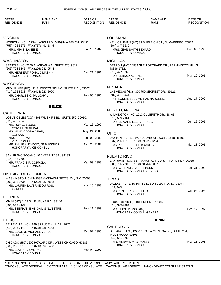| STATE*<br><b>RESIDENCE</b>                                  | <b>NAME AND</b><br><b>RANK</b>                          | DATE OF<br><b>RECOGNITION</b> | STATE*<br><b>RESIDENCE</b>                                      | <b>NAME AND</b><br>RANK                               | DATE OF<br><b>RECOGNITION</b> |
|-------------------------------------------------------------|---------------------------------------------------------|-------------------------------|-----------------------------------------------------------------|-------------------------------------------------------|-------------------------------|
|                                                             |                                                         |                               |                                                                 |                                                       |                               |
| <b>VIRGINIA</b>                                             | NORFOLK (HC) 1023-K LASKIN RD., VIRGINIA BEACH 23451.   |                               | <b>LOUISIANA</b>                                                | NEW ORLEANS (HC) 39 BURLEIGH CT., N, MARRERO 70072.   |                               |
| (757) 422-5571, FAX (757) 491-1845                          |                                                         |                               | $(504)$ 347-6230                                                |                                                       |                               |
| MRS. MIA S. LANESE,<br><b>HONORARY CONSUL</b>               |                                                         | Jul. 16, 1987                 | MRS. JEAN SMITH BENARD,<br>HONORARY CONSUL                      |                                                       | Dec. 08, 1998                 |
| <b>WASHINGTON</b>                                           |                                                         |                               | <b>MICHIGAN</b>                                                 |                                                       |                               |
| (206) 728-5145, FAX (206) 282-9544                          | SEATTLE (HC) 2200 ALASKAN WA., SUITE 470, 98121.        |                               | 48336-1732.                                                     | DETROIT (HC) 24984 GLEN ORCHARD DR., FARMINGTON HILLS |                               |
| MR. HERBERT RONALD MASNIK,<br>HONORARY CONSUL               |                                                         | Dec. 21, 1981                 | (810) 477-8768<br>DR. LENNOX A. PIKE,<br>HONORARY CONSUL        |                                                       | May. 10, 1991                 |
| <b>WISCONSIN</b>                                            |                                                         |                               |                                                                 |                                                       |                               |
| (414) 272-8633, FAX (414) 223-5000                          | MILWAUKEE (HC) 411 E. WISCONSIN AV., SUITE 1111, 53202. |                               | <b>NEVADA</b>                                                   | LAS VEGAS (HC) 4300 RIDGECREST DR., 89121.            |                               |
| MR. CHARLES C. MULCAHY,<br><b>HONORARY CONSUL</b>           |                                                         | Feb. 06, 1986                 | (702) 451-8444<br>HONORARY CONSUL                               | SIR LONNIE LEE, MD HAMMARGREN,                        | Aug. 27, 2002                 |
|                                                             | <b>BELIZE</b>                                           |                               |                                                                 |                                                       |                               |
| <b>CALIFORNIA</b>                                           |                                                         |                               | <b>NORTH CAROLINA</b>                                           |                                                       |                               |
|                                                             | LOS ANGELES (CG) 4801 WILSHIRE BL., SUITE 250, 90010.   |                               | (910) 509-7161                                                  | WILMINGTON (HC) 1213 CULBRETH DR., 28405.             |                               |
| (323) 469-7343<br>MR. ROY G. YOUNG.                         |                                                         | Mar. 16, 1999                 | DR. EDWARD LEE, JR PAUL,<br><b>HONORARY CONSUL</b>              |                                                       | Jun. 16, 2005                 |
| <b>CONSUL GENERAL</b><br>MS. NANCY DORA QUAN,               |                                                         | May. 24, 2006                 |                                                                 |                                                       |                               |
| <b>CONSUL</b><br>MRS. IRENE WU,                             |                                                         | Jul. 03, 2003                 | <b>OHIO</b>                                                     | DAYTON (HC) 130 W. SECOND ST., SUITE 1818, 45402.     |                               |
| <b>VICE CONSUL</b>                                          | MR. PHILIP ANTHONY, JR BUCKNOR,                         | Oct. 25, 2001                 | (937) 226-1212, FAX (937) 226-1224                              |                                                       |                               |
| HONORARY VICE CONSUL                                        |                                                         |                               | MS. KAREN DENISE BRADLEY,<br>HONORARY CONSUL                    |                                                       | Mar. 28, 2001                 |
|                                                             | SAN FRANCISCO (HC) 916 KEARNY ST., 94133.               |                               | <b>PUERTO RICO</b>                                              |                                                       |                               |
| (415) 788-7500<br>MR. FRANCIS F. COPPOLA,                   |                                                         | Mar. 09, 1993                 |                                                                 | SAN JUAN (HCG) 567 RAMON GANDIA ST., HATO REY 00918.  |                               |
| HONORARY CONSUL                                             |                                                         |                               | (809) 766-7709, FAX (809) 764-2087<br>MR. WILLIAM VINCENT BURN, | HONORARY CONSUL GENERAL                               | Jul. 31, 2000                 |
| <b>DISTRICT OF COLUMBIA</b>                                 |                                                         |                               |                                                                 |                                                       |                               |
| (202) 332-9636, FAX (202) 332-6888                          | WASHINGTON (CHN) 2535 MASSACHUSETTS AV., NW, 20008.     |                               | <b>TEXAS</b>                                                    |                                                       |                               |
| MS. LAUREN LAVERNE QUIROS,<br><b>CONSUL</b>                 |                                                         | Nov. 10, 1993                 | (214) 579-0070                                                  | DALLAS (HC) 1315 19TH ST., SUITE 2A, PLANO 75074.     |                               |
|                                                             |                                                         |                               | MR. ARTHUR C., JR. ELLIS,<br>HONORARY CONSUL                    |                                                       | Oct. 04, 1994                 |
| <b>FLORIDA</b>                                              | MIAMI (HC) 4173 S. LE JEUNE RD., 33146.                 |                               |                                                                 |                                                       |                               |
| $(305) 666 - 1121$                                          |                                                         |                               | (713) 999-4484                                                  | HOUSTON (HCG) 7101 BREEN., 77086.                     |                               |
| HONORARY CONSUL                                             | MS. STEPHANIE ABIGAIL SYLVESTRE,                        | Feb. 11, 1999                 | MR. HUGH D. MCCAIN,                                             | HONORARY CONSUL GENERAL                               | Sep. 17, 1997                 |
| <b>ILLINOIS</b>                                             |                                                         |                               |                                                                 | <b>BENIN</b>                                          |                               |
| (618) 235-7143, FAX (618) 235-7143                          | BELLEVILLE (HC) 1849 SPRUCE HILL DR., 62221.            |                               | <b>CALIFORNIA</b>                                               |                                                       |                               |
| MR. EUGENE MICHAEL VERDU,<br><b>HONORARY CONSUL</b>         |                                                         | Oct. 02, 1995                 | INGLEWOOD 90301.                                                | LOS ANGELES (HC) 9111 S. LA CIENEGA BL., SUITE 204,   |                               |
|                                                             | CHICAGO (HC) 1200 HOWARD DR., WEST CHICAGO 60185.       |                               | (310) 641-3688<br>MR. MERVYN M. DYMALLY,                        |                                                       | Nov. 23, 1993                 |
| (630) 293-0010, FAX (630) 293-0463<br>MR. EDWIN T. SMILING, |                                                         | Feb. 04, 1992                 | HONORARY CONSUL                                                 |                                                       |                               |
| HONORARY CONSUL                                             |                                                         |                               |                                                                 |                                                       |                               |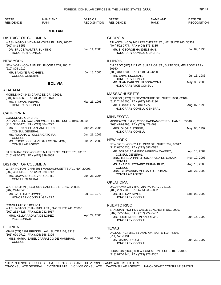| STATE*<br><b>RESIDENCE</b>                  | <b>NAME AND</b><br><b>RANK</b>                         | DATE OF<br><b>RECOGNITION</b> | STATE*<br><b>RESIDENCE</b>                                      | <b>NAME AND</b><br><b>RANK</b>                             | DATE OF<br><b>RECOGNITION</b> |
|---------------------------------------------|--------------------------------------------------------|-------------------------------|-----------------------------------------------------------------|------------------------------------------------------------|-------------------------------|
|                                             | <b>BHUTAN</b>                                          |                               |                                                                 |                                                            |                               |
| <b>DISTRICT OF COLUMBIA</b>                 |                                                        |                               | <b>GEORGIA</b>                                                  |                                                            |                               |
|                                             | WASHINGTON (HC) 4426 VOLTA PL., NW, 20007.             |                               |                                                                 | ATLANTA (HCG) 1401 PEACHTREE ST., NE, SUITE 240, 30309.    |                               |
| (202) 841-8656<br>DR. BRUCE WALTER BUNTING, |                                                        | Jan. 11, 2006                 | (404) 522-0777, FAX (404) 873-3335<br>MR. S. GEORGE HANDELSMAN, |                                                            | Jul. 09, 1996                 |
| HONORARY CONSUL                             |                                                        |                               |                                                                 | HONORARY CONSUL GENERAL                                    |                               |
| <b>NEW YORK</b>                             |                                                        |                               | <b>ILLINOIS</b>                                                 |                                                            |                               |
| (212) 826-1919                              | NEW YORK (CG) 2 UN PZ., FLOOR 27TH, 10017.             |                               | 60160.                                                          | CHICAGO (HC) 1111 W. SUPERIOR ST., SUITE 309, MELROSE PARK |                               |
| MR. SANGYE RINCHHEN,                        |                                                        | Jul. 18, 2006                 | (708) 343-1234, FAX (708) 343-4290                              |                                                            |                               |
| <b>CONSUL GENERAL</b>                       |                                                        |                               | MR. JAIME ESCOBAR,<br>HONORARY CONSUL                           |                                                            | Jul. 15, 1986                 |
|                                             | <b>BOLIVIA</b>                                         |                               | HONORARY VICE CONSUL                                            | MR. JUAN CARLOS, III BOSACOMA,                             | May. 30, 2006                 |
| <b>ALABAMA</b>                              |                                                        |                               |                                                                 |                                                            |                               |
| (334) 666-6969, FAX (334) 661-2873          | MOBILE (HC) 3413 CANACEE DR., 36693.                   |                               | <b>MASSACHUSETTS</b>                                            | BOSTON (HCG) 85 DEVONSHIRE ST., SUITE 1000, 02109.         |                               |
| MR. THOMAS PURVIS,                          |                                                        | Mar. 25, 1998                 | (617) 742-1500, FAX (617) 742-9130                              |                                                            |                               |
| HONORARY CONSUL                             |                                                        |                               | MR. RUSSELL D. LEBLANG,                                         | HONORARY CONSUL GENERAL                                    | Aug. 07, 1996                 |
| <b>CALIFORNIA</b>                           |                                                        |                               |                                                                 |                                                            |                               |
| <b>CONSULATE GENERAL</b>                    | LOS ANGELES (CG) 3701 WILSHIRE BL., SUITE 1065, 90010. |                               | <b>MINNESOTA</b>                                                |                                                            |                               |
| (213) 388-0475, FAX (213) 384-6272          |                                                        |                               | (763) 478-9495, FAX (763) 478-6631                              | MINNEAPOLIS (HC) 20550 HACKAMORE RD., HAMEL 55340.         |                               |
|                                             | MR. FERNANDO LAZCANO DUNN,                             | Apr. 25, 2005                 | MRS. GLORIA STEINE,                                             |                                                            | May. 06, 1997                 |
| <b>CONSUL GENERAL</b>                       | MS. ROXANA W. OLLER CATOIRA,                           | Jun. 21, 2005                 | HONORARY CONSUL                                                 |                                                            |                               |
| <b>CONSUL</b>                               | MS. ROCIO JOSEFA ZEBALLOS SALMON,                      | Jun. 20, 2006                 | <b>NEW YORK</b>                                                 |                                                            |                               |
| <b>CONSULAR AGENT</b>                       |                                                        |                               |                                                                 | NEW YORK (CG) 211 E. 43RD ST., SUITE 702, 10017.           |                               |
|                                             | SAN FRANCISCO (CG) 870 MARKET ST., SUITE 575, 94102.   |                               | (212) 687-0530, FAX (212) 687-0532                              | MR. JORGE EDMUNDO HEREDIA CAVERO,                          | Apr. 16, 2004                 |
| (415) 495-5173, FAX (415) 399-8958          |                                                        |                               | <b>CONSUL GENERAL</b>                                           |                                                            |                               |
|                                             |                                                        |                               | <b>CONSUL</b>                                                   | MRS. TERESA PINTO ROMAN VDA DE CASAP,                      | Nov. 19, 2003                 |
| <b>DISTRICT OF COLUMBIA</b>                 |                                                        |                               | <b>CONSUL</b>                                                   | MS. ANA DEL ROSARIO DURAN RUIZ,                            | Aug. 15, 2005                 |
| (202) 483-4410, FAX (202) 328-3712          | WASHINGTON (CHN) 3014 MASSACHUSETTS AV., NW, 20008.    |                               |                                                                 | MRS. GEOVANNIA MELGAR DE ROMAN,                            | Oct. 27, 2003                 |
| MR. OSWALDO CUEVAS GAETE,                   |                                                        | Jun. 28, 2004                 | <b>CONSULAR AGENT</b>                                           |                                                            |                               |
| <b>CONSUL GENERAL</b>                       |                                                        |                               | <b>OKLAHOMA</b>                                                 |                                                            |                               |
|                                             | WASHINGTON (HCG) 4339 GARFIELD ST., NW, 20008.         |                               |                                                                 | OKLAHOMA CITY (HC) 210 PARK AV., 73102.                    |                               |
| (202) 244-7648<br>MR. WILLIAM R. JOYCE,     |                                                        | Jul. 10, 1973                 | (405) 239-7900, FAX (405) 235-5852<br>MR. JOE RAY SIMON,        |                                                            | Sep. 08, 2000                 |
|                                             | HONORARY CONSUL GENERAL                                |                               | HONORARY CONSUL                                                 |                                                            |                               |
| CONSULATE OF BOLIVIA                        |                                                        |                               | <b>PUERTO RICO</b>                                              |                                                            |                               |
| (202) 232-4828, FAX (202) 232-8017          | WASHINGTON (CHA) 1819 H ST., NW, SUITE 240, 20006.     |                               |                                                                 | SAN JUAN (HC) 1409 CALLE LUNCHETTI UN., 00907.             |                               |
| MRS. KELLY ARDAYA DE LOPEZ,                 |                                                        | Apr. 29, 2005                 | (787) 722-5449, FAX (787) 722-8457                              |                                                            | Jun. 15, 1999                 |
| <b>VICE CONSUL</b>                          |                                                        |                               | MR. HUGH ALANSON ANDREWS,<br><b>HONORARY CONSUL</b>             |                                                            |                               |
| <b>FLORIDA</b>                              |                                                        |                               | <b>TEXAS</b>                                                    |                                                            |                               |
|                                             | MIAMI (CG) 1101 BRICKELL AV., SUITE 1103, 33131.       |                               |                                                                 | DALLAS (HC) 1881 SYLVAN AV., SUITE 110, 75208.             |                               |
| (305) 670-0710, FAX (305) 358-6305          | MISS MARIA ISABEL CARRASCO DE MAUBRAS,                 | Mar. 08, 2004                 | $(214)$ 571-6131                                                |                                                            |                               |
| CONSUL                                      |                                                        |                               | MS. MARIA URIOSTE,<br>HONORARY CONSUL                           |                                                            | Jun. 30, 1997                 |
|                                             |                                                        |                               |                                                                 | HOUSTON (HCG) 800 WILCREST UN., SUITE 100, 77042.          |                               |

(713) 977-2344 , FAX (713) 977-2362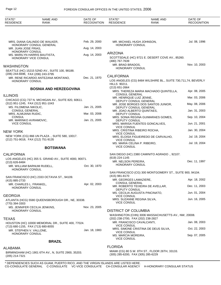| STATE*<br><b>RESIDENCE</b>                       | <b>NAME AND</b><br><b>RANK</b>                        | DATE OF<br><b>RECOGNITION</b> | STATE*<br><b>RESIDENCE</b>                                      | NAME AND<br>RANK                                              | DATE OF<br><b>RECOGNITION</b> |
|--------------------------------------------------|-------------------------------------------------------|-------------------------------|-----------------------------------------------------------------|---------------------------------------------------------------|-------------------------------|
|                                                  |                                                       |                               |                                                                 |                                                               |                               |
|                                                  | MRS. DIANA GALINDO DE WALKER,                         | Feb. 29, 2000                 | MR. MICHAEL HUGH JOHNSON,                                       |                                                               | Jul. 08, 1996                 |
| MR. JUAN JOSE FRIAS,                             | HONORARY CONSUL GENERAL                               | Aug. 14, 2003                 | HONORARY CONSUL                                                 |                                                               |                               |
| HONORARY CONSUL<br>MS. MARILYN HARRIS BAUTISTA,  |                                                       | Aug. 14, 2003                 | <b>ARIZONA</b>                                                  |                                                               |                               |
| HONORARY VICE CONSUL                             |                                                       |                               | (480) 767-7639                                                  | SCOTTSDALE (HC) 9721 E. DESERT COVE AV., 85260.               |                               |
| WASHINGTON                                       |                                                       |                               | MR. BRAD BRADOS,<br><b>HONORARY CONSUL</b>                      |                                                               | Nov. 10, 2003                 |
| (206) 244-6696, FAX (206) 243-3795               | SEATTLE (HC) 15215 52ND AV., SUITE 100, 98188.        |                               |                                                                 |                                                               |                               |
| HONORARY CONSUL                                  | MR. RENE RICARDO ANTEZANA MONTANO,                    | Dec. 21, 1970                 | <b>CALIFORNIA</b>                                               | LOS ANGELES (CG) 8484 WILSHIRE BL., SUITE 730,711,74, BEVERLY |                               |
|                                                  |                                                       |                               | <b>HILLS 90211.</b>                                             |                                                               |                               |
|                                                  | <b>BOSNIA AND HERZEGOVINA</b>                         |                               | (213) 651-2664                                                  | MRS. THEREZA MARIA MACHADO QUINTELLA,                         | Apr. 08, 2005                 |
| <b>ILLINOIS</b>                                  |                                                       |                               | <b>CONSUL GENERAL</b><br>MR. HENRIQUE LUIZ JENNE,               |                                                               | Mar. 03, 2006                 |
| (312) 951-1245, FAX (312) 951-1043               | CHICAGO (CG) 737 N. MICHIGAN AV., SUITE 820, 60611.   |                               | DEPUTY CONSUL GENERAL                                           | MR. JOSE BORGES DOS SANTOS JUNIOR,                            | May. 08, 2006                 |
| MS. FILOMENA NIKOLIC,<br><b>CONSUL GENERAL</b>   |                                                       | Jan. 21, 2005                 | DEPUTY CONSUL GENERAL<br>MR. JOAO ALBERTO QUINTAES,             |                                                               | Jan. 31, 2003                 |
| MRS. ALMIJANA RUDIC,<br><b>CONSUL</b>            |                                                       | Mar. 03, 2006                 | DEPUTY CONSUL                                                   | MRS. SONIA REGINA GUIMARAES GOMES,                            | Sep. 10, 2004                 |
| MR. MARINKO AVRAMOVIC,<br><b>VICE CONSUL</b>     |                                                       | Jan. 21, 2005                 | DEPUTY CONSUL                                                   | MRS. MARISA FUENTES GONCALVES,                                | Jun. 21, 2001                 |
|                                                  |                                                       |                               | <b>VICE CONSUL</b><br>MRS. CRISTINA RIBEIRO ROCHA,              |                                                               | Jan. 30, 2004                 |
| New York                                         | NEW YORK (CG) 866 UN PLAZA., SUITE 580, 10017.        |                               | <b>VICE CONSUL</b>                                              | MRS. ELOISA FIGUEIREDO DE CARVALHO,                           | Jul. 19, 2004                 |
| (212) 751-9018, FAX (212) 751-9135               |                                                       |                               | VICE CONSUL                                                     |                                                               | Jul. 19, 2004                 |
|                                                  | <b>BOTSWANA</b>                                       |                               | MS. MARIA CELINA P. RIBEIRO,<br><b>VICE CONSUL</b>              |                                                               |                               |
| CALIFORNIA                                       |                                                       |                               |                                                                 | SAN DIEGO (HC) 2380 CAMINITO AGRADO ., 92107.                 |                               |
|                                                  | LOS ANGELES (HC) 355 S. GRAND AV., SUITE 4000, 90071. |                               | (619) 224-1145<br>MR. NELSON PEREIRA,                           |                                                               | Dec. 11, 1997                 |
| (213) 626-8484<br>MR. WILLIAM BARNUM RUDELL.     |                                                       | Oct. 30, 1970                 | HONORARY CONSUL                                                 |                                                               |                               |
| <b>HONORARY CONSUL</b>                           |                                                       |                               |                                                                 | SAN FRANCISCO (CG) 300 MONTGOMERY ST., SUITE 900, 94104.      |                               |
| (415) 885-2733                                   | SAN FRANCISCO (HC) 2333 OCTAVIA ST., 94109.           |                               | (415) 981-8170<br>MR. GEORGES LAMAZIERE,                        |                                                               | Apr. 18, 2002                 |
| MR. CHARLES L. FRANKEL,                          |                                                       | Apr. 02, 2003                 | <b>CONSUL GENERAL</b>                                           | MR. ROBERTO TEIXEIRA DE AVELLAR,                              | Dec. 11, 2003                 |
| <b>HONORARY CONSUL</b>                           |                                                       |                               | DEPUTY CONSUL                                                   | MS. CECILIA AUGUSTA PINCINATO,                                | Jun. 01, 2004                 |
| GEORGIA                                          |                                                       |                               | <b>VICE CONSUL</b>                                              |                                                               | Jun. 16, 2005                 |
| (770) 394-3303                                   | ATLANTA (HCG) 5580 QUEENSBOROUGH DR., NE, 30338.      |                               | MRS. SUZANNE REGINA SILVA,<br><b>VICE CONSUL</b>                |                                                               |                               |
| MS. JENNIFER CECILIA JENKINS,<br>HONORARY CONSUL |                                                       | Nov. 23, 2005                 | <b>DISTRICT OF COLUMBIA</b>                                     |                                                               |                               |
|                                                  |                                                       |                               |                                                                 | WASHINGTON (CHN) 3006 MASSACHUSETTS AV., NW, 20008.           |                               |
| <b>TEXAS</b>                                     | HOUSTON (HC) 10000 MEMORIAL DR., SUITE 400, 77024.    |                               | (202) 238-2700, FAX (202) 238-2827<br>MR. FRANCISCO CAVALCANTI, |                                                               | Jan. 08, 2003                 |
| (713) 680-1155, FAX (713) 680-8055               |                                                       |                               | <b>VICE CONSUL</b>                                              | MRS. SIMONE CRISTINA DE DEUS SILVA,                           | Oct. 22, 2003                 |
| MR. STEPHEN V. VALLONE,<br>HONORARY CONSUL       |                                                       | Jan. 18, 1983                 | <b>VICE CONSUL</b><br>MS. MARCIA MOREIRA,                       |                                                               | Sep. 07, 2005                 |
|                                                  | <b>BRAZIL</b>                                         |                               | <b>VICE CONSUL</b>                                              |                                                               |                               |
| ALABAMA                                          |                                                       |                               | <b>FLORIDA</b>                                                  |                                                               |                               |
|                                                  | BIRMINGHAM (HC) 1901 6TH AV., N, SUITE 2900, 35203.   |                               | (305) 285-6200, FAX (305) 285-6229                              | MIAMI (CG) 80 S.W. 8TH ST., FLOOR 26TH, 33133.                |                               |
| (205) 214-7321                                   |                                                       |                               |                                                                 |                                                               |                               |

\* DEPENDENCIES SUCH AS GUAM, PUERTO RICO, AND THE VIRGIN ISLANDS ARE LISTED HERE. CG-CONSULATE GENERAL C-CONSULATE VC-VICE CONSULATE CA-CONSULAR AGENCY H-HONORARY CONSULAR STATUS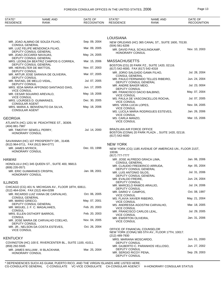| STATE*<br><b>RESIDENCE</b>                   | NAME AND<br>RANK                                                | DATE OF<br><b>RECOGNITION</b> | STATE*<br><b>RESIDENCE</b>                               | <b>NAME AND</b><br>RANK                                | DATE OF<br><b>RECOGNITION</b> |
|----------------------------------------------|-----------------------------------------------------------------|-------------------------------|----------------------------------------------------------|--------------------------------------------------------|-------------------------------|
|                                              |                                                                 |                               |                                                          |                                                        |                               |
|                                              |                                                                 |                               | <b>LOUISIANA</b>                                         |                                                        |                               |
| <b>CONSUL GENERAL</b>                        | MR. JOAO ALMINO DE SOUZA FILHO,                                 | Sep. 09, 2004                 | $(504)$ 561-6206                                         | NEW ORLEANS (HC) 365 CANAL ST., SUITE 1600, 70130.     |                               |
|                                              | MR. LUIZ FELIPE MENDONCA FILHO,<br>DEPUTY CONSUL GENERAL        | Mar. 09, 2005                 |                                                          | MR. DAVID PAUL SCHULINGKAMP,                           | Nov. 10, 2003                 |
| MR. JOAO ZICCARDI NAVAJAS,                   | DEPUTY CONSUL GENERAL                                           | May. 24, 2005                 | HONORARY CONSUL                                          |                                                        |                               |
|                                              | MRS. LEONILDA BEATRIZ CAMPOS G CORREA,<br>DEPUTY CONSUL GENERAL | Mar. 15, 2006                 | <b>MASSACHUSETTS</b>                                     |                                                        |                               |
| MR. HERVELTER DE MATTOS,                     |                                                                 | Nov. 07, 2003                 | (617) 542-4000, FAX (617) 542-4318                       | BOSTON (CG) 20 PARK PZ., SUITE 1420, 02116.            |                               |
| DEPUTY CONSUL                                | MR. ARTUR JOSE SARAIVA DE OLIVEIRA,                             | Mar. 07, 2005                 | <b>CONSUL GENERAL</b>                                    | MR. JORIO SALGADO GAMA FILHO,                          | Jul. 28, 2004                 |
| DEPUTY CONSUL<br>MR. RAFAEL DE MELLO VIDAL,  |                                                                 | Jul. 07, 2005                 |                                                          | MR. PAULO FERNANDO TELLES RIBEIRO,                     | Jun. 24, 2004                 |
| <b>DEPUTY CONSUL</b>                         | MRS. IEDA MARIA AFFONSO SANTIAGO DIAS,                          | Jun. 17, 2005                 | MR. ANDRE BAKER MEIO,                                    | DEPUTY CONSUL GENERAL                                  | Jul. 23, 0004                 |
| <b>VICE CONSUL</b>                           |                                                                 |                               | <b>DEPUTY CONSUL</b>                                     | MR. FRANCISCO DACIO BALBINO,                           | May. 07, 2004                 |
| <b>VICE CONSUL</b>                           | MR. CESAR SGUARIO AREVALO,                                      | May. 19, 2006                 | <b>VICE CONSUL</b>                                       | MS. PAULA DE VASCONCELLOS ROCHA,                       | Jul. 07, 2005                 |
| <b>CONSULAR AGENT</b>                        | MRS. LOURDES D. GUIMARAES,                                      | Dec. 30, 2005                 | <b>VICE CONSUL</b>                                       |                                                        |                               |
|                                              | MRS. MARIA A. BENVENUTO DA SILVA,                               | May. 18, 2006                 | MRS. VERA LUCIA LOPES,<br><b>VICE CONSUL</b>             |                                                        | Nov. 04, 2005                 |
| <b>CONSULAR AGENT</b>                        |                                                                 |                               | <b>VICE CONSUL</b>                                       | MS. LUCILA MARIA RODRIGUES ESTEVES,                    | Jan. 26, 2006                 |
| <b>GEORGIA</b>                               |                                                                 |                               | MS. CARLA MANZO,<br><b>VICE CONSUL</b>                   |                                                        | Mar. 15, 2006                 |
| (404) 881-7987                               | ATLANTA (HC) 1201 W. PEACHTREE ST., 30309.                      |                               |                                                          |                                                        |                               |
| MR. TIMOTHY SEWELL PERRY,<br>HONORARY CONSUL |                                                                 | Jul. 14, 2000                 | <b>BRAZILIAN AIR FORCE OFFICE</b><br>$(617) 542 - 4000$  | BOSTON (CONA) 20 PARK PLAZA ., SUITE 1420, 02116.      |                               |
| (912) 964-0711, FAX (912) 964-0771           | SAVANNAH (HC) 107 PROSPERITY DR., 31408.                        |                               | <b>NEW YORK</b>                                          |                                                        |                               |
| MR. JAMES MYRICK,                            |                                                                 | Dec. 03, 1998                 |                                                          | NEW YORK (CG) 1185 AVENUE OF AMERICAS UN., FLOOR 21ST, |                               |
| HONORARY CONSUL                              |                                                                 |                               | 10036.<br>(917) 777-7777                                 |                                                        |                               |
| <b>HAWAII</b>                                |                                                                 |                               |                                                          | MR. JOSE ALFREDO GRACA LIMA,                           | Jan. 06, 2006                 |
| (808) 235-0571                               | HONOLULU (HC) 345 QUEEN ST., SUITE 400, 96813.                  |                               | <b>CONSUL GENERAL</b>                                    | MR. CLAUDIO FREDERICO ARRUDA,                          | Apr. 05, 2004                 |
|                                              | MR. ERIC GUIMARAES CRISPIN,                                     | Jan. 08, 2001                 | MR. LUIS ANTONIO SILOS,                                  | DEPUTY CONSUL GENERAL                                  | Jul. 31, 2006                 |
| HONORARY CONSUL                              |                                                                 |                               | MR. EVALDO FREIRE,                                       | DEPUTY CONSUL GENERAL                                  | Jun. 24, 2004                 |
| <b>ILLINOIS</b>                              |                                                                 |                               | DEPUTY CONSUL                                            |                                                        |                               |
| (312) 464-0244, FAX (312) 464-0299           | CHICAGO (CG) 401 N. MICHIGAN AV., FLOOR 18TH, 60611.            |                               | MR. MARCELO RAMOS ARAUJO,<br>DEPUTY CONSUL               |                                                        | Jul. 24, 2006                 |
|                                              | MR. RICARDO LUIZ VIANA DE CARVALHO,                             | Oct. 06, 2005                 | MR. DARIO V. CAMPOS,<br><b>VICE CONSUL</b>               |                                                        | Oct. 08, 1997                 |
| <b>CONSUL GENERAL</b><br>MR. MARIO GRIECO,   |                                                                 | May. 07, 2001                 | MS. FLAVIA XAVIER RIBEIRO,<br><b>VICE CONSUL</b>         |                                                        | May. 21, 2004                 |
|                                              | DEPUTY CONSUL GENERAL<br>MR. MIGUEL J. F. C. MAGALHAES,         | Feb. 20, 2003                 |                                                          | MS. ANDRESSA AGOSTINI CARVALHO,                        | Mar. 18, 2005                 |
| <b>CONSUL</b>                                |                                                                 |                               | <b>VICE CONSUL</b><br>MR. FRANCISCO CARLOS LEAL,         |                                                        | Jul. 29, 2005                 |
| <b>CONSUL</b>                                | MRS. ELLEN OSTHOFF BARROS,                                      | Feb. 20, 2003                 | <b>VICE CONSUL</b><br>MR. EWERTON OLIVEIRA,              |                                                        | Jan. 31, 2006                 |
| DEPUTY CONSUL                                | MR. JOSE MARIA DE CARVALHO COELHO,                              | Nov. 04, 2005                 | <b>VICE CONSUL</b>                                       |                                                        |                               |
| <b>VICE CONSUL</b>                           | MR. JR., NELSON DA COSTA ESTEVES,                               | Oct. 26, 2004                 | OFFICE OF FINANCIAL COUNSELOR                            | NEW YORK (CONA) 565 5TH AV., FLOOR 17TH, 10017.        |                               |
| <b>KENTUCKY</b>                              |                                                                 |                               | (212) 489-7930<br>MRS. MARIANA MOSCARDO,                 |                                                        | Jun. 01, 2000                 |
| (859) 292-5505                               | COVINGTON (HC) 100 E. RIVERCENTER BL., SUITE 1100, 41011.       |                               | DEPUTY CONSUL                                            | MR. GILBERTO C. PARANHOS VELLOSO,                      | Jun. 27, 2002                 |
| HONORARY CONSUL                              | MR. JAMES WILLIAM, III BLACKHAM,                                | Mar. 25, 2004                 | DEPUTY CONSUL<br>MR. SERGIO RICOY PENA,<br>DEPUTY CONSUL |                                                        | Sep. 29, 2003                 |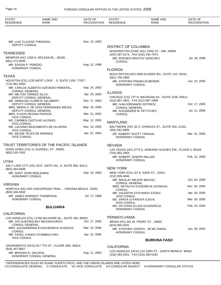| STATE*<br><b>RESIDENCE</b>                 | <b>NAME AND</b><br><b>RANK</b>                                         | DATE OF<br><b>RECOGNITION</b> | STATE*<br><b>RESIDENCE</b>                         | <b>NAME AND</b><br><b>RANK</b>                            | DATE OF<br><b>RECOGNITION</b> |
|--------------------------------------------|------------------------------------------------------------------------|-------------------------------|----------------------------------------------------|-----------------------------------------------------------|-------------------------------|
|                                            |                                                                        |                               |                                                    |                                                           |                               |
|                                            | MR. LUIZ CLAUDIO THEMUDO,                                              | Nov. 10, 2003                 |                                                    |                                                           |                               |
| DEPUTY CONSUL                              |                                                                        |                               | <b>DISTRICT OF COLUMBIA</b>                        |                                                           |                               |
| <b>TENNESSEE</b>                           |                                                                        |                               |                                                    | WASHINGTON (CHN) 1621 22ND ST., NW, 20008.                |                               |
|                                            | MEMPHIS (HC) 1256 N. MCLEAN BL., 38108.                                |                               | (202) 387-0174, FAX (202) 234-7973                 | MR. ROSSEN HRISTOV GENCHEV,                               | Jul. 18, 2006                 |
| $(901)$ 272-6505<br>MR. EDSON P. PEREDO,   |                                                                        | Aug. 12, 1998                 | <b>CONSUL</b>                                      |                                                           |                               |
| <b>HONORARY CONSUL</b>                     |                                                                        |                               | <b>FLORIDA</b>                                     |                                                           |                               |
|                                            |                                                                        |                               |                                                    | BOCA RATON (HC) 2000 GLADES RD., SUITE 110, 33431.        |                               |
| <b>TEXAS</b>                               |                                                                        |                               | (561) 750-1800                                     |                                                           |                               |
| $(713)$ 961-3063                           | HOUSTON (CG) 1233 WEST LOOP ., S, SUITE 1150, 77027.                   |                               | HONORARY CONSUL                                    | MR. STEPHEN FRANKLIN BEINER,                              | Jun. 23, 2005                 |
| <b>CONSUL GENERAL</b>                      | MR. CARLOS ALBERTO AZEVEDO PIMENTEL,                                   | Sep. 24, 2003                 |                                                    |                                                           |                               |
| MR. MILTON TORRES SILVA,                   |                                                                        | Apr. 25, 2003                 | <b>ILLINOIS</b>                                    |                                                           |                               |
|                                            | DEPUTY CONSUL GENERAL<br>MR. ARNALDO CLARETE SALABERT,                 | Nov. 17, 2004                 | (312) 867-1901, FAX (312) 867-1906                 | CHICAGO (CG) 737 N. MICHIGAN AV., SUITE 2105, 60611.      |                               |
|                                            | DEPUTY CONSUL GENERAL                                                  |                               | MR. IVAN IORDANOV SOTIROV.                         |                                                           | Oct. 17, 2005                 |
|                                            | MRS. MARIA A. DE GOIS FERNANDES WEISS.<br><b>DEPUTY CONSUL GENERAL</b> | May. 18, 2006                 | <b>CONSUL GENERAL</b>                              |                                                           | Jul. 11, 2006                 |
| <b>VICE CONSUL</b>                         | MRS. FLAVIA REGINA PASSOS,                                             | Mar. 21, 2002                 | MR. ALEXANDER M. PEYTCHEV,<br><b>CONSUL</b>        |                                                           |                               |
| <b>VICE CONSUL</b>                         | MS. CARMEN CASTILHO ALONSO,                                            | May. 12, 2003                 | <b>MARYLAND</b>                                    |                                                           |                               |
| <b>VICE CONSUL</b>                         | MR. LUCIANO NASCIMENTO DE OLIVEIRA,                                    | Nov. 10, 2003                 | $(301)$ 651-9605                                   | BALTIMORE (HC) 20 S. CHARLES ST., SUITE 304, 21201.       |                               |
| <b>VICE CONSUL</b>                         | MS. SELMA TELES DE MORAES,                                             | Apr. 07, 2004                 | DR. ROBERT SCOTT TARGAN.<br><b>HONORARY CONSUL</b> |                                                           | Mar. 31, 2005                 |
|                                            | TRUST TERRITORIES OF THE PACIFIC ISLANDS                               |                               | <b>NEVADA</b>                                      |                                                           |                               |
| (852) 525-7002                             | HONG KONG (CG) 11 DUDDELL ST., 00000.                                  |                               | (702) 862-2953                                     | LAS VEGAS (HC) 3773 S. HOWARD HUGHES PW., FLOOR 3, 89109. |                               |
|                                            |                                                                        |                               | MR. ROBERT JOSEPH MILLER.<br>HONORARY CONSUL       |                                                           | Feb. 22, 2005                 |
| <b>UTAH</b>                                |                                                                        |                               |                                                    |                                                           |                               |
| (801) 363-4936                             | SALT LAKE CITY (HC) 30 E. 100TH UN., S, SUITE 950, 84111.              |                               | <b>NEW YORK</b>                                    |                                                           |                               |
| MR. GARY JOHN NEELEMAN,<br>HONORARY CONSUL |                                                                        | Sep. 10, 2003                 | (212) 935-4646                                     | NEW YORK (CG) 121 E. 62ND ST., 10021.                     |                               |
|                                            |                                                                        |                               | MR. NIKOLAY MILKOV MILKOV,                         |                                                           | Oct. 04, 2005                 |
| <b>VIRGINIA</b>                            |                                                                        |                               | <b>CONSUL GENERAL</b>                              | MRS. NATALIYA EVGENIEVA UZUNOVA,                          | Nov. 04, 2005                 |
| (804) 340-5820                             | NORFOLK (HC) 625 CHESOPEIAN TRAIL., VIRGINIA BEACH 23452.              |                               | <b>CONSUL</b>                                      |                                                           |                               |
|                                            | MR. JAMES EARNEST THOMPSON,                                            | Jul. 17, 1968                 | <b>VICE CONSUL</b>                                 | MR. VALENTIN STOYANOV STOEV,                              | Apr. 20, 2005                 |
| <b>HONORARY CONSUL</b>                     |                                                                        |                               | MS. VANYA ILIYANOVA ILIEVA,<br><b>VICE CONSUL</b>  |                                                           | Mar. 03, 2006                 |
|                                            | <b>BULGARIA</b>                                                        |                               | <b>HONORARY CONSUL</b>                             | MS. VICTORIA ELLEN SCHONFELD,                             | Feb. 24, 2004                 |
| <b>CALIFORNIA</b>                          |                                                                        |                               |                                                    |                                                           |                               |
|                                            | LOS ANGELES (CG) 11766 WILSHIRE BL., SUITE 440, 90025.                 |                               | PENNSYLVANIA                                       |                                                           |                               |
| <b>CONSUL GENERAL</b>                      | MR. IVO GUEORGUIEV MOUSKOUROV,                                         | Oct. 17, 2005                 | $(610)$ 565-9191                                   | MEDIA (HC) 201 W. FRONT ST., 19063.                       |                               |
|                                            | MRS. ALEXANDRINA EVUGUENIEVA GUIGOVA,                                  | Mar. 15, 2006                 |                                                    | MR. STEPHEN JOSEPH, JR MC EWEN,                           | Jun. 29, 2004                 |
| <b>CONSUL</b><br><b>VICE CONSUL</b>        | MR. PAVEL IVANOV STAMBOLIYSKI,                                         | Apr. 22, 2005                 | HONORARY CONSUL                                    |                                                           |                               |
|                                            |                                                                        |                               |                                                    | <b>BURKINA FASO</b>                                       |                               |
|                                            | SACRAMENTO (HCG) 917 7TH ST., FLOOR 2ND, 95814.                        |                               | <b>CALIFORNIA</b>                                  |                                                           |                               |
| (916) 447-9827<br>MR. BROOKS D. OHLSON,    |                                                                        | Aug. 11, 2004                 |                                                    | LOS ANGELES (HCG) 214 23RD ST., SANTA MONICA 90402.       |                               |
|                                            | HONORARY CONSUL GENERAL                                                |                               | (310) 393-2531, FAX (310) 393-0181                 |                                                           |                               |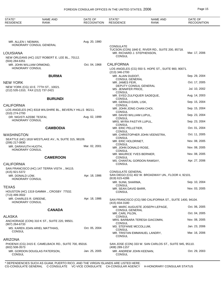| STATE*<br><b>RESIDENCE</b>                 | <b>NAME AND</b><br><b>RANK</b>                           | DATE OF<br><b>RECOGNITION</b> | STATE*<br><b>RESIDENCE</b>                   | <b>NAME AND</b><br><b>RANK</b>                            | DATE OF<br><b>RECOGNITION</b> |
|--------------------------------------------|----------------------------------------------------------|-------------------------------|----------------------------------------------|-----------------------------------------------------------|-------------------------------|
|                                            |                                                          |                               |                                              |                                                           |                               |
| MR. ALLEN I. NEIMAN,                       |                                                          | Aug. 20, 1980                 |                                              |                                                           |                               |
|                                            | HONORARY CONSUL GENERAL                                  |                               | <b>CONSULATE</b>                             | TUCSON (CON) 1840 E. RIVER RD., SUITE 200, 85718.         |                               |
| <b>LOUISIANA</b>                           |                                                          |                               | MR. RICHARD J. STEPHENSON,                   |                                                           | Mar. 17, 2006                 |
|                                            | NEW ORLEANS (HC) 1527 ROBERT E. LEE BL., 70112.          |                               | <b>CONSUL</b>                                |                                                           |                               |
| (504) 284-6351<br>MR. JOHN WILLIAM ORMOND, |                                                          | Oct. 04, 1968                 | <b>CALIFORNIA</b>                            |                                                           |                               |
| HONORARY CONSUL                            |                                                          |                               |                                              | LOS ANGELES (CG) 550 S. HOPE ST., SUITE 900, 90071.       |                               |
|                                            |                                                          |                               | (213) 346-2700                               |                                                           |                               |
|                                            | <b>BURMA</b>                                             |                               | MR. ALAIN DUDOIT,<br><b>CONSUL GENERAL</b>   |                                                           | Sep. 29, 2004                 |
| <b>NEW YORK</b>                            |                                                          |                               | MR. JAMES FEIR,                              |                                                           | Oct. 17, 2005                 |
|                                            | NEW YORK (CG) 10 E. 77TH ST., 10021.                     |                               | DEPUTY CONSUL GENERAL<br>MS. JENNIFER PRICE, |                                                           | Jul. 10, 2002                 |
| (212) 535-1310, FAX (212) 737-2421         |                                                          |                               | <b>CONSUL</b>                                |                                                           |                               |
|                                            | <b>BURUNDI</b>                                           |                               | MR. SYED ZULFIQUER SADEQUE,<br><b>CONSUL</b> |                                                           | Aug. 14, 2003                 |
|                                            |                                                          |                               | MR. GERALD EARL LISK,                        |                                                           | Sep. 15, 2004                 |
| <b>CALIFORNIA</b>                          |                                                          |                               | <b>CONSUL</b><br>MR. JOHN JONG CHAN CHOI,    |                                                           | Sep. 15, 2004                 |
| (310) 274-2793                             | LOS ANGELES (HC) 8318 WILSHIRE BL., BEVERLY HILLS 90211. |                               | <b>CONSUL</b>                                |                                                           |                               |
| DR. NIGISTI AZEBE TESFAI,                  |                                                          | Aug. 02, 1999                 | MR. DAVID WILLIAM LUPUL,<br><b>CONSUL</b>    |                                                           | Sep. 23, 2004                 |
| HONORARY CONSUL                            |                                                          |                               | MRS. MYRA PASTYR LUPUL,                      |                                                           | Sep. 23, 2004                 |
|                                            | <b>CAMBODIA</b>                                          |                               | <b>CONSUL</b><br>MR. ERIC PELLETIER,         |                                                           | Oct. 01, 2004                 |
| <b>WASHINGTON</b>                          |                                                          |                               | <b>CONSUL</b>                                | MR. CHRISTOPHER JOHN VEENSTRA,                            | Oct. 11, 2005                 |
|                                            | SEATTLE (HC) 1818 WESTLAKE AV., N, SUITE 315, 98109.     |                               | <b>CONSUL</b>                                |                                                           |                               |
| (206) 217-0830                             |                                                          |                               | MR. ERIC HOLDRINET,<br><b>CONSUL</b>         |                                                           | Nov. 08, 2005                 |
| MR. DARAVUTH HUOTH,<br>HONORARY CONSUL     |                                                          | Mar. 02, 2001                 | MR. JOHN DONALD ROSE,                        |                                                           | Nov. 08, 2005                 |
|                                            |                                                          |                               | <b>CONSUL</b><br>MR. MAURICE YVES BERNIER,   |                                                           | Nov. 08, 2005                 |
|                                            | <b>CAMEROON</b>                                          |                               | <b>CONSUL</b>                                |                                                           | Apr. 27, 2006                 |
| <b>CALIFORNIA</b>                          |                                                          |                               | MS. CHANTAL GORDON RAMSAY,<br><b>CONSUL</b>  |                                                           |                               |
|                                            | SAN FRANCISCO (HC) 147 TERRA VISTA., 94115.              |                               |                                              |                                                           |                               |
| (415) 921-5372                             |                                                          |                               | <b>CONSULATE GENERAL</b>                     | SAN DIEGO (CG) 402 W. BROADWAY UN., FLOOR 4, 92101.       |                               |
| MR. DONALD LOW,<br>HONORARY CONSUL         |                                                          | Apr. 18, 1986                 | (619) 615-4286                               |                                                           |                               |
|                                            |                                                          |                               | MR. SUNIL SHARMA,<br><b>CONSUL</b>           |                                                           | Sep. 10, 2004                 |
| <b>TEXAS</b>                               |                                                          |                               | MR. SEAN DAVID BARR,                         |                                                           | Nov. 03, 2005                 |
| (713) 499-3502                             | HOUSTON (HC) 1319 GAMMA., CROSBY 77532.                  |                               | <b>CONSUL</b>                                |                                                           |                               |
| MR. CHARLES R. GREENE,<br>HONORARY CONSUL  |                                                          | Apr. 18, 1986                 | (415) 834-3180                               | SAN FRANCISCO (CG) 580 CALIFORNIA ST., SUITE 1400, 94104. |                               |
|                                            |                                                          |                               |                                              | MR. MARC AUGUSTE JOSEPH LEPAGE,                           | Oct. 06, 2005                 |
|                                            | <b>CANADA</b>                                            |                               | <b>CONSUL GENERAL</b><br>MR. CARL PILON,     |                                                           | Oct. 04, 2005                 |
| ALASKA                                     |                                                          |                               | <b>CONSUL</b>                                |                                                           |                               |
|                                            | ANCHORAGE (CON) 310 K ST., SUITE 220, 99501.             |                               | <b>CONSUL</b>                                | MRS. BARBARA TERESA GIACOMIN,                             | Nov. 08, 2005                 |
| $(907)$ 264-6733                           | MS. KAREN JOAN ARIEL MATTHIAS,                           | Oct. 05, 2004                 | MS. STEFANIE MCCOLLUM,                       |                                                           | Jan. 23, 2006                 |
| <b>CONSUL</b>                              |                                                          |                               | <b>CONSUL</b><br><b>CONSUL</b>               | MR. TRISTAN EMMANUEL LANDRY,                              | Mar. 16, 2006                 |
| <b>ARIZONA</b>                             |                                                          |                               |                                              |                                                           |                               |
| $(602)$ 508-3573                           | PHOENIX (CG) 2415 E. CAMELBACK RD., SUITE 700, 85016.    |                               | (408) 289-1157                               | SAN JOSE (CON) 333 W. SAN CARLOS ST., SUITE 945, 95110.   |                               |
| <b>CONSUL</b>                              | MR. GORDON DOUGLAS PATERSON,                             | Jan. 25, 2005                 | MR. ANDREW JOHN KEENAN,<br><b>CONSUL</b>     |                                                           | Oct. 29, 2003                 |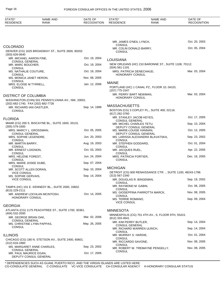| STATE*<br><b>RESIDENCE</b>                                     | <b>NAME AND</b><br>RANK                             | DATE OF<br><b>RECOGNITION</b> | STATE*<br><b>RESIDENCE</b>                          | <b>NAME AND</b><br><b>RANK</b>                               | DATE OF<br><b>RECOGNITION</b> |
|----------------------------------------------------------------|-----------------------------------------------------|-------------------------------|-----------------------------------------------------|--------------------------------------------------------------|-------------------------------|
|                                                                |                                                     |                               |                                                     |                                                              |                               |
|                                                                |                                                     |                               | MR. JAMES O'NEIL LYNCH,<br><b>CONSUL</b>            |                                                              | Oct. 20, 2003                 |
| <b>COLORADO</b>                                                | DENVER (CG) 1625 BROADWAY ST., SUITE 2600, 80202.   |                               | MR. COLIN DONALD BARRY,<br><b>CONSUL</b>            |                                                              | Oct. 05, 2004                 |
| $(303)$ 626-0640                                               |                                                     |                               |                                                     |                                                              |                               |
| MR. MICHAEL AARON FINE,<br><b>CONSUL GENERAL</b>               |                                                     | Oct. 19, 2004                 | LOUISIANA                                           |                                                              |                               |
| MR. MARC BOUCHER,                                              |                                                     | Oct. 19, 2004                 | $(504) 561 - 1191$                                  | NEW ORLEANS (HC) 210 BARONNE ST., SUITE 1108, 70112.         |                               |
| <b>CONSUL</b><br>MS. NATHALIE COUTURE,                         |                                                     | Oct. 19, 2004                 | MRS. PATRICIA DENECHAUD,                            |                                                              | Mar. 03, 2004                 |
| <b>CONSUL</b><br>MS. MONICA JANET HERON,                       |                                                     | Nov. 08, 2005                 | <b>HONORARY CONSUL</b>                              |                                                              |                               |
| <b>CONSUL</b><br>MRS. ELOISE M TYRRELL,                        |                                                     | Jan. 12, 2006                 | <b>MAINE</b>                                        |                                                              |                               |
| <b>CONSUL</b>                                                  |                                                     |                               | (207) 775-1547                                      | PORTLAND (HC) 1 CANAL PZ., FLOOR 10, 04101.                  |                               |
| <b>DISTRICT OF COLUMBIA</b>                                    |                                                     |                               | MR. PERRY BART NEWMAN,                              |                                                              | Mar. 03, 2004                 |
|                                                                | WASHINGTON (CHN) 501 PENNSYLVANIA AV., NW, 20001.   |                               | <b>HONORARY CONSUL</b>                              |                                                              |                               |
| (202) 682-1740, FAX (202) 682-7726<br>MR. RICHARD IAN OASTLER, |                                                     | Sep. 14, 1999                 | <b>MASSACHUSETTS</b>                                |                                                              |                               |
| <b>CONSUL</b>                                                  |                                                     |                               | (617) 262-3760                                      | BOSTON (CG) 3 COPLEY PL., SUITE 400, 02116.                  |                               |
| <b>FLORIDA</b>                                                 |                                                     |                               | MR. STANLEY JACOB KEYES,                            |                                                              | Oct. 17, 2005                 |
|                                                                | MIAMI (CG) 200 S. BISCAYNE BL., SUITE 1600, 33131.  |                               | <b>CONSUL GENERAL</b><br>MR. MICHEL CHARLES TETU,   |                                                              | Sep. 10, 2004                 |
| $(305) 579 - 1600$<br>MRS. MARCY L. GROSSMAN,                  |                                                     | Oct. 05, 2005                 | DEPUTY CONSUL GENERAL                               |                                                              | Oct. 12, 2005                 |
| <b>CONSUL GENERAL</b>                                          |                                                     |                               | MS. MARIE-LOUISE HANNAN,<br>DEPUTY CONSUL GENERAL   |                                                              |                               |
| MRS. SOPHIE LEGENDRE,<br><b>CONSUL</b>                         |                                                     | Jun. 20, 2003                 | <b>CONSUL</b>                                       | MS. LARISSA ALEXANDRA BLAVATSKA,                             | Sep. 23, 2002                 |
| MR. MARTIN BARRY,<br><b>CONSUL</b>                             |                                                     | Aug. 19, 2003                 | MR. STEPHEN GODDARD,<br><b>CONSUL</b>               |                                                              | Oct. 01, 2004                 |
| MR. ERNEST LOIGNON,                                            |                                                     | Oct. 03, 2003                 | MR. JACQUES RUEL,                                   |                                                              | Apr. 22, 2005                 |
| <b>CONSUL</b><br>MRS. HELENE FOREST,                           |                                                     | Jun. 24, 2004                 | <b>CONSUL</b><br>MRS. PATRICIA FORTIER,             |                                                              | Dec. 16, 2005                 |
| <b>CONSUL</b><br>MRS. MARIE JOSEE DUBE,                        |                                                     | Sep. 07, 2004                 | <b>CONSUL</b>                                       |                                                              |                               |
| <b>CONSUL</b>                                                  |                                                     |                               | <b>MICHIGAN</b>                                     |                                                              |                               |
| MR. SCOTT ALLEN DORAN,<br><b>VICE CONSUL</b>                   |                                                     | Sep. 10, 2004                 |                                                     | DETROIT (CG) 600 RENAISSANCE CTR. ., SUITE 1100, 48243-1798. |                               |
| MS. SOPHIE GERVAIS,<br><b>VICE CONSUL</b>                      |                                                     | Sep. 14, 2004                 | $(313) 567 - 2340$<br>MR. DOUGLAS R. BINGEMAN,      |                                                              | Sep. 19, 2002                 |
|                                                                |                                                     |                               | <b>CONSUL</b>                                       |                                                              |                               |
| (813) 229-2111                                                 | TAMPA (HC) 101 E. KENNEDY BL., SUITE 2000, 33602.   |                               | MR. RAYMOND M. GABIN,<br><b>CONSUL</b>              |                                                              | Oct. 06, 2005                 |
|                                                                | MR. ANDREW LOCHLAN MCINTOSH,                        | Oct. 14, 2005                 | <b>CONSUL</b>                                       | MS. GIOSEPPINA PARROTTA MARCK,                               | Nov. 08, 2005                 |
| HONORARY CONSUL                                                |                                                     |                               | MS. TERRIE ROMANO,                                  |                                                              | Sep. 09, 2004                 |
| <b>GEORGIA</b>                                                 |                                                     |                               | <b>VICE CONSUL</b>                                  |                                                              |                               |
|                                                                | ATLANTA (CG) 1175 PEACHTREE ST., SUITE 1700, 30361. |                               | <b>MINNESOTA</b>                                    |                                                              |                               |
| (404) 532-2000<br>MR. GEORGE BRIAN OAK,                        |                                                     | Mar. 02, 2006                 |                                                     | MINNEAPOLIS (CG) 701 4TH AV., S, FLOOR 9TH, 55415.           |                               |
| <b>CONSUL GENERAL</b>                                          |                                                     | May. 26, 2005                 | (612) 333-4641<br>MR. KIM PERRY BUTLER,             |                                                              | Sep. 14, 2004                 |
| MS. CHRISTINE LYNN PAPPAS,<br><b>CONSUL</b>                    |                                                     |                               | <b>CONSUL GENERAL</b><br>MR. RICHARD WARREN ULRICH, |                                                              | Sep. 14, 2004                 |
|                                                                |                                                     |                               | <b>CONSUL</b>                                       |                                                              |                               |
| <b>ILLINOIS</b>                                                | CHICAGO (CG) 180 N. STETSON AV., SUITE 2400, 60601. |                               | MR. MURRAY S. HARDIE,<br><b>CONSUL</b>              |                                                              | Oct. 01, 2004                 |
| $(312)$ 616-1860                                               |                                                     |                               | MR. RICCARDO SAVONE,<br><b>CONSUL</b>               |                                                              | Nov. 08, 2005                 |
| <b>CONSUL GENERAL</b>                                          | MS. MARGARET ANNE CHARLES,                          | Sep. 23, 2002                 |                                                     | MR. ROBERT W. TREMAYNE PENGELLY,                             | Nov. 08, 2005                 |
| MR. PAUL MAURICE EGAN,                                         | DEPUTY CONSUL GENERAL                               | Oct. 17, 2005                 | <b>CONSUL</b>                                       |                                                              |                               |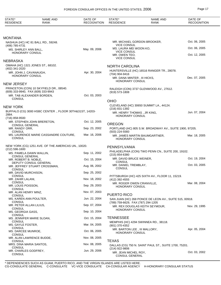| STATE*<br><b>RESIDENCE</b>                          | <b>NAME AND</b><br><b>RANK</b>                           | DATE OF<br><b>RECOGNITION</b> | STATE*<br><b>RESIDENCE</b>                          | <b>NAME AND</b><br><b>RANK</b>                          | DATE OF<br><b>RECOGNITION</b> |
|-----------------------------------------------------|----------------------------------------------------------|-------------------------------|-----------------------------------------------------|---------------------------------------------------------|-------------------------------|
|                                                     |                                                          |                               |                                                     |                                                         |                               |
| MONTANA                                             |                                                          |                               |                                                     |                                                         |                               |
| (406) 785-4731                                      | NASHUA (HC) HC 81 BALL RD., 59248.                       |                               | <b>VICE CONSUL</b>                                  | MR. MICHAEL GORDON BROOKER,                             | Oct. 06, 2005                 |
| MS. SHIRLEY ANN BALL,                               |                                                          | May. 09, 2006                 | MS. LAURA MEI WOON KO,<br><b>VICE CONSUL</b>        |                                                         | Oct. 06, 2005                 |
| <b>HONORARY CONSUL</b>                              |                                                          |                               | MR. OWEN TEO,<br><b>VICE CONSUL</b>                 |                                                         | Oct. 12, 2005                 |
| NEBRASKA                                            |                                                          |                               |                                                     |                                                         |                               |
| OMAHA (HC) 1321 JONES ST., 68102.<br>(402) 341-2020 |                                                          |                               | <b>NORTH CAROLINA</b>                               |                                                         |                               |
| MR. JOHN J. CAVANAUGH,<br>HONORARY CONSUL           |                                                          | Apr. 30, 2004                 | (704) 904-9416                                      | HUNTERSVILLE (HC) 16516 RANGER TR., 28078.              |                               |
|                                                     |                                                          |                               | MR. DANA MINTER, III HICKS,<br>HONORARY CONSUL      |                                                         | Dec. 07, 2005                 |
| NEW JERSEY                                          |                                                          |                               |                                                     |                                                         |                               |
| (609) 333-9940, FAX (609) 333-9943                  | PRINCETON (CON) 10 SKYFIELD DR., 08540.                  |                               | $(919) 573 - 1808$                                  | RALEIGH (CON) 3737 GLENWOOD AV., 27612.                 |                               |
| MR. TAB ALEXANDER BORDEN,                           |                                                          | Oct. 03, 2003                 |                                                     |                                                         |                               |
| <b>CONSUL</b>                                       |                                                          |                               | <b>OHIO</b>                                         |                                                         |                               |
| NEW YORK                                            |                                                          |                               | (216) 831-1392                                      | CLEVELAND (HC) 30650 SUMMIT LA., 44124.                 |                               |
| 2884.                                               | BUFFALO (CG) 3000 HSBC CENTER ., FLOOR 30TH&31ST, 14203- |                               | MR. HENRY THOMAS, JR KING,<br>HONORARY CONSUL       |                                                         | Jun. 07, 2004                 |
| (716) 858-9500                                      | MR. STEPHEN JOHN BRERETON,                               | Oct. 12, 2005                 | <b>OREGON</b>                                       |                                                         |                               |
| <b>CONSUL GENERAL</b><br>MR. RANDY ORR,             |                                                          | Sep. 23, 2002                 |                                                     | PORTLAND (HC) 805 S.W. BROADWAY AV., SUITE 1900, 97205. |                               |
| <b>CONSUL</b>                                       | MS. LAURENCE MARIE CASSANDRE COUTURE,                    | Mar. 16, 2006                 | $(503)$ 224-5560                                    | MR. JAMES MARTIN BAUMGARTNER,                           | Mar. 18, 2005                 |
| <b>CONSUL</b>                                       |                                                          |                               | HONORARY CONSUL                                     |                                                         |                               |
|                                                     | NEW YORK (CG) 1251 AVE. OF THE AMERICAS UN., 10020.      |                               | PENNSYLVANIA                                        |                                                         |                               |
| $(212)$ 596-1600<br>MS. PAMELA DAWN WALLIN,         |                                                          | Sep. 11, 2002                 |                                                     | PHILADELPHIA (CON) TWO PENN CN., SUITE 200, 19102.      |                               |
| <b>CONSUL GENERAL</b><br>MR. ROBERT B. NOBLE,       |                                                          | Oct. 15, 2004                 | $(215) 854 - 6380$<br>MR. DAVID BRUCE WEINER,       |                                                         | Oct. 19, 2004                 |
|                                                     | DEPUTY CONSUL GENERAL                                    |                               | CONSUL<br>MR. DANIEL TREMBLAY,                      |                                                         | Oct. 03, 2005                 |
| <b>CONSUL</b>                                       | MR. JEFFREY STUART CROSSMAN,                             | Aug. 06, 2002                 | <b>CONSUL</b>                                       |                                                         |                               |
| MR. DAVID MURCHISON,<br><b>CONSUL</b>               |                                                          | Sep. 25, 2002                 |                                                     | PITTSBURGH (HC) 425 SIXTH AV., FLOOR 11, 15219.         |                               |
| MR. ZAHIR LALANI,<br>CONSUL                         |                                                          | Nov. 18, 2002                 | (412) 392-4555                                      |                                                         |                               |
| MR. LOUIS POISSON,<br>CONSUL                        |                                                          | Sep. 29, 2003                 | MR. ROGER OWEN CRANVILLE,<br><b>HONORARY CONSUL</b> |                                                         | Mar. 08, 2004                 |
| MR. ALAN HENRY MINZ,                                |                                                          | Nov. 07, 2003                 | PUERTO RICO                                         |                                                         |                               |
| CONSUL<br>MS. KAREN ANN POULTER,                    |                                                          | Jun. 22, 2004                 |                                                     | SAN JUAN (HC) 268 PONCE DE LEON AV., SUITE 515, 00918.  |                               |
| <b>CONSUL</b><br>MR. PETER ALLAN LILIUS,            |                                                          | Sep. 07, 2004                 | (789) 759-6629, FAX (787) 294-1205                  | MR. REX DOUGLAS KEITH SEYMOUR,                          | Nov. 29, 1995                 |
| CONSUL<br>MS. GEORGIA GASS,                         |                                                          | Sep. 10, 2004                 | HONORARY CONSUL                                     |                                                         |                               |
| <b>CONSUL</b><br>MS. JENNIFER MARIE SLOAN,          |                                                          | Oct. 15, 2004                 | <b>TENNESSEE</b>                                    |                                                         |                               |
| <b>CONSUL</b><br>MS. GAYLE FOSTER,                  |                                                          | Mar. 04, 2005                 | (901) 370-4352                                      | MEMPHIS (HC) 4294 SWINNEA RD., 38118.                   |                               |
| <b>CONSUL</b><br>MS. DARCEE MUNROE,                 |                                                          | Oct. 06, 2005                 | MR. BARTON LEE, III MALLORY,                        |                                                         | Apr. 05, 2004                 |
| <b>CONSUL</b>                                       |                                                          |                               | HONORARY CONSUL                                     |                                                         |                               |
| MR. ALAN LAWRENCE BUDDE,<br><b>CONSUL</b>           |                                                          | Nov. 08, 2005                 | <b>TEXAS</b>                                        |                                                         |                               |
| MRS. DINA MARIA SANTOS,<br>CONSUL                   |                                                          | Nov. 08, 2005                 | (214) 922-9806                                      | DALLAS (CG) 750 N. SAINT PAUL ST., SUITE 1700, 75201.   |                               |
| MR. CHARLES GODFREY,<br><b>CONSUL</b>               |                                                          | Jun. 29, 2006                 | MR. JEAN MICHEL ROY,<br>CONSUL GENERAL              |                                                         | Oct. 03, 2002                 |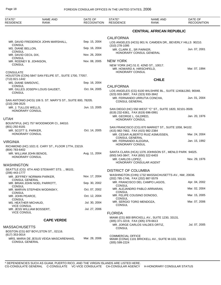| STATE*<br><b>RESIDENCE</b>                                  | <b>NAME AND</b><br>RANK                                    | DATE OF<br><b>RECOGNITION</b> | STATE*<br><b>RESIDENCE</b>                                             | <b>NAME AND</b><br>RANK                                     | DATE OF<br><b>RECOGNITION</b> |
|-------------------------------------------------------------|------------------------------------------------------------|-------------------------------|------------------------------------------------------------------------|-------------------------------------------------------------|-------------------------------|
|                                                             |                                                            |                               |                                                                        | <b>CENTRAL AFRICAN REPUBLIC</b>                             |                               |
|                                                             | MR. DAVID FREDERICK JOHN MARSHALL,                         | Sep. 15, 2004                 | <b>CALIFORNIA</b>                                                      | LOS ANGELES (HCG) 901 N. CAMDEN DR., BEVERLY HILLS 90210.   |                               |
| <b>CONSUL</b><br>MS. DIANE BELLON,                          |                                                            | Sep. 16, 2004                 | $(310)$ 278-1095<br>MR. CLARK E., SR PARKER,                           |                                                             | Jun. 07, 2001                 |
| <b>CONSUL</b><br>MR. DAVID CECIL DIX,<br><b>CONSUL</b>      |                                                            | Nov. 26, 2004                 |                                                                        | HONORARY CONSUL GENERAL                                     |                               |
| MR. RODNEY B. JOHNSON,<br><b>CONSUL</b><br><b>CONSULATE</b> |                                                            | Nov. 08, 2005                 | <b>NEW YORK</b><br>MR. HOWARD A. HIRSCHFELD,<br><b>HONORARY CONSUL</b> | NEW YORK (HC) 51 E. 42ND ST., 10017.                        | Mar. 07, 1994                 |
| (713) 821-1442                                              | HOUSTON (CON) 5847 SAN FELIPE ST., SUITE 1700, 77057.      |                               |                                                                        | <b>CHILE</b>                                                |                               |
| MS. DIANE SIMSOVIC,<br><b>CONSUL</b>                        |                                                            | Sep. 16, 2004                 |                                                                        |                                                             |                               |
| <b>CONSUL</b>                                               | MR. GILLES JOSEPH LOUIS GAUDET,                            | Oct. 04, 2005                 | <b>CALIFORNIA</b><br>(323) 933-3697, FAX (323) 933-3842                | LOS ANGELES (CG) 6100 WILSHIRE BL., SUITE 1240&1260, 90048. |                               |
| (210) 299-3525                                              | SAN ANTONIO (HCG) 106 S. ST. MARY'S ST., SUITE 800, 78205. |                               | <b>CONSUL GENERAL</b>                                                  | MR. FERNANDO URRUTIA CONCHA,                                | Jun. 01, 2004                 |
| MR. J. TULLOS WELLS,<br><b>HONORARY CONSUL</b>              |                                                            | Jun. 13, 2005                 | (619) 232-6361, FAX (619) 696-0991                                     | SAN DIEGO (HC) 550 WEST "C" ST., SUITE 1820, 92101-3509.    |                               |
| UTAH                                                        |                                                            |                               | MR. GEORGE L. GILDRED,<br><b>HONORARY CONSUL</b>                       |                                                             | Jan. 20, 1976                 |
| (801) 292-8181                                              | BOUNTIFUL (HC) 757 WOODMOOR CI., 84010.                    |                               |                                                                        | SAN FRANCISCO (CG) 870 MARKET ST., SUITE 1058, 94102.       |                               |
| MR. SCOTT S. PARKER,<br>HONORARY CONSUL                     |                                                            | Oct. 14, 2005                 | (415) 982-7662, FAX (415) 982-2384                                     | MR. CESAR ALBERTO RUIZ ASMUSSEN,                            | Mar. 24, 2004                 |
|                                                             |                                                            |                               | <b>CONSUL GENERAL</b><br>MR. FERNANDO ALEGRIA,                         |                                                             | Jan. 15, 1992                 |
| VIRGINIA<br>(804) 783-6402                                  | RICHMOND (HC) 1021 E. CARY ST., FLOOR 17TH, 23219.         |                               | HONORARY CONSUL                                                        |                                                             |                               |
| MR. WILLIAM JOHN BENOS,<br><b>HONORARY CONSUL</b>           |                                                            | Aug. 11, 2004                 | (650) 543-3847, FAX (650) 322-6403                                     | SANTA CLARA (HCA) 1376 JOHNSON ST., MENLO PARK 94025.       |                               |
| WASHINGTON                                                  |                                                            |                               | MR. CARLOS LOPEZ,                                                      | HONORARY CONSULAR AGENT                                     | Nov. 29, 1976                 |
|                                                             | SEATTLE (CG) 6TH AND STEWART STS. ., 98101.                |                               | <b>DISTRICT OF COLUMBIA</b>                                            |                                                             |                               |
| (206) 443-1777<br>MR. JEFFREY NORMAN PARKER                 |                                                            | Nov. 17, 2004                 | (202) 785-1746, FAX (202) 887-5579                                     | WASHINGTON (CHN) 1732 MASSACHUSETTS AV., NW, 20036.         |                               |
| <b>CONSUL GENERAL</b><br>CONSUL                             | MR. BRIAN JOHN NOEL PARROTT,                               | Sep. 30, 2002                 | CONSUL                                                                 | MR. FRANCISCO DEL CAMPO LAGOS,                              | Apr. 04, 2002                 |
| CONSUL                                                      | MR. MARVIN STEPHEN WODINSKY,                               | Oct. 07, 2002                 | CONSUL                                                                 | MR. ALEJANDRO PABLO ARRIARAN,                               | Mar. 02, 2004                 |
| MR. JOHN PEARCE,<br>CONSUL                                  |                                                            | Oct. 12, 2004                 | MR. FELIPE COUSINO DONOSO,<br>CONSUL                                   |                                                             | Mar. 15, 2005                 |
| MS. HEATHER MICHAUD,<br><b>VICE CONSUL</b>                  |                                                            | Jul. 30, 2004                 | MR. SERGIO TORO MENDOZA,<br>CONSUL                                     |                                                             | Mar. 07, 2006                 |
| MR. JESS WILLIAM BOSSERT,<br><b>VICE CONSUL</b>             |                                                            | Jul. 27, 2006                 | <b>FLORIDA</b>                                                         |                                                             |                               |
|                                                             | <b>CAPE VERDE</b>                                          |                               | (305) 371-3219, FAX (305) 379-6613                                     | MIAMI (CG) 800 BRICKELL AV., SUITE 1230, 33131.             |                               |
| MASSACHUSETTS                                               | BOSTON (CG) 607 BOYLSTON ST., 02116.                       |                               | <b>CONSUL</b>                                                          | MR. JORGE CARLOS VALDES ORTIZ,                              | Jul. 07, 2005                 |
| $(617)$ 353-0014<br><b>CONSUL GENERAL</b>                   | MRS. MARIA DE JESUS VEIGA MASCARENHAS,                     | Mar. 28, 2006                 | <b>COMMERCIAL OFFICE</b><br>$(305)$ 599-2224                           | MIAMI (CONA) 1101 BRICKELL AV., SUITE M-103, 33133.         |                               |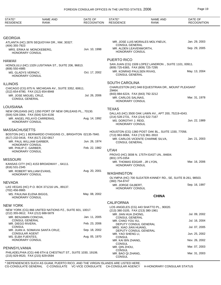| STATE*<br><b>RESIDENCE</b>                                     | <b>NAME AND</b><br><b>RANK</b>                               | DATE OF<br><b>RECOGNITION</b> | STATE*<br><b>RESIDENCE</b>                                      | <b>NAME AND</b><br><b>RANK</b>                               | DATE OF<br><b>RECOGNITION</b> |
|----------------------------------------------------------------|--------------------------------------------------------------|-------------------------------|-----------------------------------------------------------------|--------------------------------------------------------------|-------------------------------|
|                                                                |                                                              |                               |                                                                 |                                                              |                               |
| <b>GEORGIA</b>                                                 |                                                              |                               |                                                                 |                                                              |                               |
|                                                                | ATLANTA (HC) 2876 SEQUOYAH DR., NW, 30327.                   |                               |                                                                 | MR. JOSE LUIS MORALES MOLYNEUX,                              | Jan. 29, 2003                 |
| (404) 355-7923<br>MRS. ERIKA M. MONCKEBERG,                    |                                                              | Jun. 10, 1998                 | <b>CONSUL GENERAL</b><br>MR. ALDEN LEAVENWORTH,                 |                                                              | Sep. 29, 2005                 |
| <b>HONORARY CONSUL</b>                                         |                                                              |                               | <b>HONORARY CONSUL</b>                                          |                                                              |                               |
| <b>HAWAII</b>                                                  |                                                              |                               | PUERTO RICO                                                     |                                                              |                               |
|                                                                | HONOLULU (HC) 1329 LUSITANIA ST., SUITE 206, 96813.          |                               |                                                                 | SAN JUAN (CG) 1509 LOPEZ LANDRON., SUITE 1101, 00911.        |                               |
| $(808)$ 550-4985<br>MS. GLADYS VERNOY,                         |                                                              | Oct. 17, 2002                 | (809) 725-6365, FAX (809) 725-7295<br>MR. KONRAD PAULSEN RIVAS, |                                                              | May. 13, 2004                 |
| <b>HONORARY CONSUL</b>                                         |                                                              |                               | <b>CONSUL GENERAL</b>                                           |                                                              |                               |
| <b>ILLINOIS</b>                                                |                                                              |                               | <b>SOUTH CAROLINA</b>                                           |                                                              |                               |
|                                                                | CHICAGO (CG) 875 N. MICHIGAN AV., SUITE 3352, 60611.         |                               | 29464.                                                          | CHARLESTON (HC) 948 EQUESTRIAN DR., MOUNT PLEASANT           |                               |
| (312) 654-8780, FAX (312) 654-8948<br>MR. JOSE MIGUEL CRUZ,    |                                                              | Jul. 26, 2006                 | (843) 884-6224, FAX (843) 792-3212                              |                                                              |                               |
| <b>CONSUL GENERAL</b>                                          |                                                              |                               | MR. CARLOS SALINAS,<br><b>HONORARY CONSUL</b>                   |                                                              | Mar. 31, 1978                 |
| LOUISIANA                                                      |                                                              |                               | <b>TEXAS</b>                                                    |                                                              |                               |
|                                                                | NEW ORLEANS (HC) 1350 PORT OF NEW ORLEANS PL., 70130.        |                               |                                                                 | DALLAS (HC) 3500 OAK LAWN AV., APT 200, 75219-4343.          |                               |
| (504) 528-3364, FAX (504) 524-4156                             | MR. ANGEL PELAYO CARRERAS,                                   | Aug. 14, 1992                 | (214) 528-2731, FAX (214) 522-7167                              |                                                              |                               |
| HONORARY CONSUL                                                |                                                              |                               | MS. DOROTHY J. REID,<br><b>HONORARY CONSUL</b>                  |                                                              | Jun. 22, 1989                 |
| <b>MASSACHUSETTS</b>                                           |                                                              |                               |                                                                 | HOUSTON (CG) 1360 POST OAK BL., SUITE 1330, 77056.           |                               |
|                                                                | BOSTON (HC) 1 BERNARDO O'HIGGINS CI., BRIGHTON 02135-7840.   |                               | (713) 963-9066, FAX (713) 961-3910                              |                                                              |                               |
| (617) 232-0416, FAX (617) 232-0817<br>MR. PAUL WILLIAM GARBER, |                                                              | Jun. 26, 1974                 | <b>CONSUL GENERAL</b>                                           | MR. CARLOS VICENTE CHARME SILVA,                             | Jan. 21, 2003                 |
| HONORARY CONSUL                                                |                                                              | Feb. 22, 1982                 |                                                                 |                                                              |                               |
| MR. PHILIP C. GARBER,<br><b>HONORARY CONSUL</b>                |                                                              |                               | <b>UTAH</b>                                                     |                                                              |                               |
|                                                                |                                                              |                               | (801) 375-0354                                                  | PROVO (HC) 3008 N. 175TH EAST UN., 84604.                    |                               |
| <b>MISSOURI</b>                                                |                                                              |                               | MR. THOMAS EDGAR, JR LYON,                                      |                                                              | Mar. 16, 2006                 |
| (816) 531-2345                                                 | KANSAS CITY (HC) 4153 BROADWAY ., 64111.                     |                               | <b>HONORARY CONSUL</b>                                          |                                                              |                               |
| MR. ROBERT WILLIAM EVANS,<br><b>HONORARY CONSUL</b>            |                                                              | Aug. 20, 2001                 | <b>WASHINGTON</b>                                               |                                                              |                               |
|                                                                |                                                              |                               |                                                                 | OLYMPIA (HC) 700 SLEATER-KINNEY RD., SE, SUITE B-261, 98503. |                               |
| NEVADA                                                         |                                                              |                               | (360) 754-8747<br>MR. JORGE GILBERT,                            |                                                              | Sep. 16, 1997                 |
| (702) 456-9965                                                 | LAS VEGAS (HC) P.O. BOX 371216 UN., 89137.                   |                               | <b>HONORARY CONSUL</b>                                          |                                                              |                               |
| MS. PAULINA ELENA BIGGS,<br>HONORARY CONSUL                    |                                                              | May. 08, 2002                 |                                                                 | <b>CHINA</b>                                                 |                               |
|                                                                |                                                              |                               | <b>CALIFORNIA</b>                                               |                                                              |                               |
| <b>NEW YORK</b>                                                | NEW YORK (CG) 866 UNITED NATIONS PZ., SUITE 601, 10017.      |                               |                                                                 | LOS ANGELES (CG) 443 SHATTO PL., 90020.                      |                               |
| (212) 355-0612, FAX (212) 688-5879                             |                                                              |                               | (213) 380-3105, FAX (213) 380-1961<br>MR. JIAN HUA ZHONG,       |                                                              | Jul. 09, 2002                 |
| MR. BENJAMIN CONCHA,<br><b>CONSUL GENERAL</b>                  |                                                              | Jan. 11, 2005                 | CONSUL GENERAL<br>MR. CHAO YOU XU,                              |                                                              | Jul. 16, 2004                 |
| MR. DIEGO RIVERA,                                              |                                                              | Feb. 23, 2006                 | DEPUTY CONSUL GENERAL                                           |                                                              |                               |
| <b>CONSUL</b>                                                  | MR. JUAN A. SOMAVIA SANTA CRUZ,                              | Sep. 18, 2002                 | MRS. XIAO JIAN HUANG,<br>DEPUTY CONSUL GENERAL                  |                                                              | Jul. 07, 2005                 |
| <b>CONSULAR AGENT</b><br>MS. ELBA FUENTES,                     |                                                              | Aug. 05, 1970                 | MR. YAO SHENG LI,                                               |                                                              | Jun. 25, 2002                 |
| HONORARY CONSUL                                                |                                                              |                               | <b>CONSUL</b><br>MR. KAI BIN ZHANG,                             |                                                              | Nov. 26, 2002                 |
|                                                                |                                                              |                               | <b>CONSUL</b><br>MR. QIN ZHOU,                                  |                                                              | Mar. 07, 2003                 |
| PENNSYLVANIA                                                   | PHILADELPHIA (CG) 446 6TH & CHESTNUT ST., SUITE 1030, 19106. |                               | CONSUL                                                          |                                                              |                               |
| (215) 829-9520, FAX (215) 829-0594                             |                                                              |                               | MR. BAO QI ZHANG,<br><b>CONSUL</b>                              |                                                              | Mar. 31, 2003                 |

\* DEPENDENCIES SUCH AS GUAM, PUERTO RICO, AND THE VIRGIN ISLANDS ARE LISTED HERE. CG-CONSULATE GENERAL C-CONSULATE VC-VICE CONSULATE CA-CONSULAR AGENCY H-HONORARY CONSULAR STATUS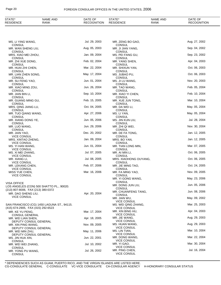| STATE*<br>RESIDENCE                                      | <b>NAME AND</b><br>RANK                    | DATE OF<br><b>RECOGNITION</b> | STATE*<br><b>RESIDENCE</b>                                 | <b>NAME AND</b><br><b>RANK</b> | DATE OF<br><b>RECOGNITION</b> |
|----------------------------------------------------------|--------------------------------------------|-------------------------------|------------------------------------------------------------|--------------------------------|-------------------------------|
|                                                          |                                            |                               |                                                            |                                |                               |
| MS. LI YING WANG,                                        |                                            | Jul. 29, 2003                 | MR. ZENG BO GAO,                                           |                                | Aug. 27, 2002                 |
| CONSUL<br>MR. WAN SHENG LIU,                             |                                            | Aug. 05, 2003                 | <b>CONSUL</b><br>MR. JI JIAN YANG,                         |                                | Sep. 04, 2002                 |
| CONSUL<br>MRS. XIAO MEI ZHOU,                            |                                            | Jan. 09, 2004                 | CONSUL<br>MS. PEI FANG GU,                                 |                                | Sep. 23, 2002                 |
| CONSUL<br>MR. ZHI XUE DONG,                              |                                            | Feb. 02, 2004                 | CONSUL<br>MR. YANG SHEN,                                   |                                | Apr. 04, 2003                 |
| CONSUL<br>MR. HUAI ZHI CHEN,                             |                                            | Mar. 22, 2004                 | <b>CONSUL</b><br>MR. SHIXUN YAN,                           |                                | Oct. 06, 2003                 |
| CONSUL<br>MR. LIAN ZHEN SONG,<br><b>CONSUL</b>           |                                            | May. 17, 2004                 | CONSUL<br>MS. JUBAO PU,<br><b>CONSUL</b>                   |                                | Oct. 06, 2003                 |
| MR. SU FENG YAO,                                         |                                            | Jun. 01, 2004                 | MS. JI LU WANG,                                            |                                | Nov. 20, 2003                 |
| CONSUL<br>MR. XIAO MING ZOU,<br><b>CONSUL</b>            |                                            | Jun. 26, 2004                 | CONSUL<br>MR. TAO WANG,                                    |                                | Feb. 05, 2004                 |
| MR. JIAN BIN LI,                                         |                                            | Sep. 10, 2004                 | CONSUL<br>MR. XIAO YI CHEN,                                |                                | Feb. 10, 2004                 |
| CONSUL<br>MR. GUANG MING GU,<br><b>CONSUL</b>            |                                            | Feb. 15, 2005                 | <b>CONSUL</b><br>MR. XUE JUN TONG,                         |                                | Mar. 10, 2004                 |
| MRS. QING JIANG LU,                                      |                                            | Oct. 04, 2005                 | <b>CONSUL</b><br>MR. DA WEI LI,<br><b>CONSUL</b>           |                                | May. 05, 2004                 |
| <b>CONSUL</b><br>MR. TUO QIANG WANG,<br><b>CONSUL</b>    |                                            | Apr. 27, 2006                 | MS. LI YAN,<br><b>CONSUL</b>                               |                                | May. 05, 2004                 |
| MR. XIANG DONG YE,                                       |                                            | Jun. 05, 2006                 | MS. JIN KUN LIU,                                           |                                | Jul. 28, 2004                 |
| <b>CONSUL</b><br>MR. LUO WANG,                           |                                            | Jun. 29, 2006                 | CONSUL<br>MR. ZHI QI WEI,                                  |                                | Nov. 30, 2004                 |
| <b>CONSUL</b><br>MR. JIAN YAO,                           |                                            | Dec. 20, 2002                 | <b>CONSUL</b><br>MR. DE FA TONG,                           |                                | Jan. 12, 2005                 |
| <b>VICE CONSUL</b><br>MRS. XINTAO ZHENG,                 |                                            | Jan. 09, 2004                 | CONSUL<br>MRS. BO YAN,                                     |                                | Jan. 12, 2005                 |
| <b>VICE CONSUL</b><br>MS. YI HAN WANG,                   |                                            | Jun. 01, 2004                 | CONSUL<br>MR. TIAN LONG MIN,                               |                                | Mar. 07, 2005                 |
| <b>VICE CONSUL</b><br>MS. XI MEI ZHANG,                  |                                            | Jul. 07, 2005                 | <b>CONSUL</b><br>MR. AI MIN LI,                            |                                | Oct. 06, 2005                 |
| <b>VICE CONSUL</b><br>MR. XIANG LI,                      |                                            | Jul. 08, 2005                 | <b>CONSUL</b><br>MRS. XIAOHONG OUYANG,                     |                                | Oct. 06, 2005                 |
| <b>VICE CONSUL</b><br>MR. LEKANG CHEN,                   |                                            | Feb. 07, 2006                 | CONSUL<br>MR. JIE MING TAO,                                |                                | Oct. 24, 2005                 |
| <b>VICE CONSUL</b><br>MISS YUE CHEN,                     |                                            | Mar. 16, 2006                 | CONSUL<br>MR. FA MING YAO,                                 |                                | Nov. 09, 2005                 |
| <b>VICE CONSUL</b>                                       |                                            |                               | <b>CONSUL</b><br>MR. YI GONG WANG,                         |                                | May. 23, 2006                 |
| <b>VISA OFFICE</b>                                       | LOS ANGELES (CON) 500 SHATTO PL., 90020.   |                               | <b>CONSUL</b><br>MR. DONG JUN LIU,                         |                                | Jun. 05, 2006                 |
| (213) 807-8006, FAX (213) 380-0372<br>MR. DAO SHENG LIU, |                                            | Apr. 20, 2004                 | CONSUL<br>MR. CHUANFENG TANG,                              |                                | Jun. 08, 2006                 |
| VICE CONSUL                                              |                                            |                               | CONSUL<br>MR. JIAN WU,                                     |                                | May. 09, 2002                 |
|                                                          | SAN FRANCISCO (CG) 1450 LAGUNA ST., 94115. |                               | <b>VICE CONSUL</b><br>MS. WEI QING ZHANG,                  |                                | Mar. 25, 2003                 |
| (415) 674-2905, FAX (415) 292-6523<br>MR. KE YU PENG,    |                                            | Mar. 17, 2004                 | <b>VICE CONSUL</b><br>MR. XIN BING HU,                     |                                | Apr. 04, 2003                 |
| <b>CONSUL GENERAL</b><br>MR. WEI LIAN SHEN,              |                                            | Apr. 18, 2005                 | <b>VICE CONSUL</b><br>MR. JIE WANG,                        |                                | Aug. 29, 2003                 |
| DEPUTY CONSUL GENERAL<br>MR. XIN PING WANG,              |                                            | Nov. 09, 2005                 | <b>VICE CONSUL</b><br>MS. HUAN WANG,                       |                                | Aug. 29, 2003                 |
| DEPUTY CONSUL GENERAL<br>MR. WEI MIN ZHU,                |                                            | May. 11, 2006                 | <b>VICE CONSUL</b><br>MS. LIN TIAN,                        |                                | Mar. 10, 2004                 |
| DEPUTY CONSUL GENERAL<br>MS. JIN HUA XIN,                |                                            | Jun. 22, 2001                 | <b>VICE CONSUL</b><br>MR. DONG WANG,                       |                                | Mar. 22, 2004                 |
| <b>CONSUL</b><br>MR. WEI WEI ZHANG,                      |                                            | Jul. 10, 2002                 | <b>VICE CONSUL</b><br>MR. YI GAO,                          |                                | Mar. 30, 2004                 |
| CONSUL<br>MR. YONG PU WANG,<br><b>CONSUL</b>             |                                            | Jul. 26, 2002                 | <b>VICE CONSUL</b><br>MR. PING CHEN,<br><b>VICE CONSUL</b> |                                | Jul. 16, 2004                 |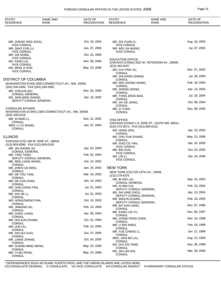| STATE*<br><b>RESIDENCE</b>                                | <b>NAME AND</b><br>RANK                            | DATE OF<br><b>RECOGNITION</b> | STATE*<br><b>RESIDENCE</b>                            | <b>NAME AND</b><br>RANK                         | DATE OF<br><b>RECOGNITION</b> |
|-----------------------------------------------------------|----------------------------------------------------|-------------------------------|-------------------------------------------------------|-------------------------------------------------|-------------------------------|
|                                                           |                                                    |                               |                                                       |                                                 |                               |
| MR. ZHENG XING ZHOU,<br><b>VICE CONSUL</b>                |                                                    | Oct. 19, 2004                 | MS. ZHI YUAN JI,<br><b>VICE CONSUL</b>                |                                                 | Aug. 19, 2003                 |
| MR. QIAO CUN LU,<br><b>VICE CONSUL</b>                    |                                                    | Jan. 07, 2005                 | MR. WEI JIA WANG,<br><b>VICE CONSUL</b>               |                                                 | Jul. 07, 2005                 |
| MR. XIA HONG,                                             |                                                    | Oct. 24, 2005                 |                                                       |                                                 |                               |
| <b>VICE CONSUL</b><br>MS. FANG LIU,<br><b>VICE CONSUL</b> |                                                    | Nov. 09, 2005                 | <b>EDUCATION OFFICE</b><br>(312) 463-9187             | CHICAGO (CONA) 3322 W. PETERSON AV., 60659.     |                               |
| MS. MING JI SUN,<br><b>VICE CONSUL</b>                    |                                                    | May. 23, 2006                 | MS. CUI YING XU,                                      |                                                 | Dec. 27, 2002                 |
|                                                           |                                                    |                               | <b>CONSUL</b><br>MR. ZHI GANG ZHANG,                  |                                                 | Jul. 29, 2003                 |
| DISTRICT OF COLUMBIA                                      |                                                    |                               | <b>CONSUL</b><br>MR. WEI ZHONG WANG,                  |                                                 | Feb. 18, 2004                 |
| (202) 328-2500, FAX (202) 328-2582                        | WASHINGTON (CHN) 2300 CONNECTICUT AV., NW, 20008.  |                               | <b>CONSUL</b>                                         |                                                 |                               |
| MR. XUEJUN QIU,                                           |                                                    | Nov. 03, 2005                 | MR. SHENG XIONG,<br><b>CONSUL</b>                     |                                                 | Apr. 13, 2004                 |
| <b>CONSUL GENERAL</b><br>MS. JIAN QING ZHANG,             |                                                    | Jan. 10, 2002                 | MR. TONG ZENG BAO,<br><b>CONSUL</b>                   |                                                 | Jul. 16, 2004                 |
| DEPUTY CONSUL GENERAL                                     |                                                    |                               | MR. JIA JIE JIANG,                                    |                                                 | Oct. 08, 2004                 |
| <b>CONSULAR AFFAIRS</b>                                   |                                                    |                               | <b>CONSUL</b><br>MR. JI YUAN,                         |                                                 | Nov. 09, 2005                 |
| (202) 328-2518                                            | WASHINGTON (CONA) 2300 CONNECTICUT AV., NW, 20008. |                               | <b>CONSUL</b>                                         |                                                 |                               |
| MR. SI NING LI,                                           |                                                    | Nov. 21, 2002                 | <b>VISA OFFICE</b>                                    |                                                 |                               |
| <b>CONSUL</b><br>MRS. LI YU WANG,                         |                                                    | Jan. 07, 2004                 | (312) 573-3072, FAX (312) 803-0121                    | CHICAGO (CONA) 1 E. ERIE ST., SUITE 500, 60611. |                               |
| <b>CONSUL</b>                                             |                                                    |                               | MS. HONG ZHU,                                         |                                                 | Apr. 10, 2003                 |
| <b>ILLINOIS</b>                                           |                                                    |                               | <b>CONSUL</b><br>MS. CHU YUN ZHANG,                   |                                                 | May. 23, 2006                 |
|                                                           | CHICAGO (CG) 100 W. ERIE ST., 60610.               |                               | <b>CONSUL</b><br>MR. XIAO CE YAN,                     |                                                 | Apr. 10, 2003                 |
| (312) 803-0095, FAX (312) 803-0105<br>MR. JIN ZHONG XU,   |                                                    | Jan. 03, 2003                 | <b>VICE CONSUL</b><br>MR. BIN XUN,                    |                                                 | Oct. 24, 2005                 |
| <b>CONSUL GENERAL</b><br>MR. YING TANG,                   |                                                    | Feb. 02, 2004                 | <b>VICE CONSUL</b>                                    |                                                 |                               |
| DEPUTY CONSUL GENERAL                                     |                                                    |                               | MS. LIN LI,<br><b>VICE CONSUL</b>                     |                                                 | Jan. 18, 2006                 |
| MR. REN LIANG WANG,<br><b>CONSUL</b>                      |                                                    | Jun. 14, 2001                 |                                                       |                                                 |                               |
| MR. ZHEN CAI WEN,<br><b>CONSUL</b>                        |                                                    | Jan. 24, 2002                 | <b>NEW YORK</b><br>NEW YORK (CG) 520 12TH AV., 10036. |                                                 |                               |
| MR. DE YOU TIAN,<br>CONSUL                                |                                                    | Mar. 18, 2002                 | (212) 279-4275                                        |                                                 |                               |
| MR. DE CUN ZHAN,                                          |                                                    | Jan. 14, 2003                 | MR. BI WEI LIU,<br><b>CONSUL GENERAL</b>              |                                                 | Sep. 15, 2003                 |
| <b>CONSUL</b><br>MR. XIAO DONG FAN,                       |                                                    | Jul. 01, 2003                 | MR. AI MIN CUI,                                       |                                                 | Feb. 10, 2004                 |
| <b>CONSUL</b><br>MR. XIN JIE LI,                          |                                                    | Jul. 31, 2003                 | DEPUTY CONSUL GENERAL<br>MS. SAI XING ZHOU,           |                                                 | Apr. 13, 2004                 |
| CONSUL<br>MR. HONGZHENG PAN,                              |                                                    | Oct. 10, 2003                 | DEPUTY CONSUL GENERAL<br>MR. WEILIN KUANG,            |                                                 | Feb. 15, 2005                 |
| <b>CONSUL</b>                                             |                                                    |                               | DEPUTY CONSUL GENERAL<br>MR. ER JUN LIANG,            |                                                 | Nov. 07, 1996                 |
| MR. JINKANG XU,<br><b>CONSUL</b>                          |                                                    | Feb. 13, 2004                 | CONSUL                                                |                                                 | Nov. 05, 1997                 |
| MR. GANG LIANG,<br><b>CONSUL</b>                          |                                                    | Apr. 06, 2004                 | MR. KANG LIN YU,<br>CONSUL                            |                                                 |                               |
| MR. HUI XUN ZHANG,                                        |                                                    | Oct. 01, 2004                 | MR. XIONG FENG CHEN,<br>CONSUL                        |                                                 | Nov. 16, 1998                 |
| <b>CONSUL</b><br>MR. JUN LIU,                             |                                                    | Feb. 15, 2005                 | MR. LI BIN SHEN,<br>CONSUL                            |                                                 | Feb. 19, 1999                 |
| <b>CONSUL</b><br>MR. XIN HUI GUO,                         |                                                    | Jun. 27, 2005                 | MR. YUE CHENG LI,                                     |                                                 | Jun. 11, 1999                 |
| <b>CONSUL</b><br>MR. LIANG ZHANG,                         |                                                    | Oct. 04, 2005                 | CONSUL<br>MRS. JING BO LIU,                           |                                                 | Aug. 12, 1999                 |
| <b>CONSUL</b>                                             |                                                    |                               | CONSUL<br>MS. GUI ZHI TANG,                           |                                                 | Nov. 26, 1999                 |
| MR. GUANG MING MENG,<br><b>CONSUL</b>                     |                                                    | May. 23, 2006                 | CONSUL<br>MS. JIN LAN SHI,                            |                                                 | Mar. 28, 2000                 |
| MR. YI MU PENG,<br><b>CONSUL</b>                          |                                                    | May. 23, 2006                 | CONSUL                                                |                                                 |                               |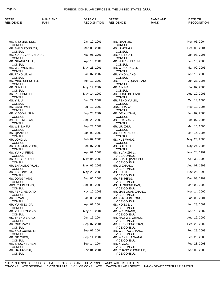| STATE*<br>RESIDENCE                        | <b>NAME AND</b><br>RANK | DATE OF<br><b>RECOGNITION</b> | STATE*<br><b>RESIDENCE</b>                               | <b>NAME AND</b><br><b>RANK</b> | DATE OF<br><b>RECOGNITION</b> |
|--------------------------------------------|-------------------------|-------------------------------|----------------------------------------------------------|--------------------------------|-------------------------------|
|                                            |                         |                               |                                                          |                                |                               |
| MR. SHU JING SUN,                          |                         | Jan. 10, 2001                 | MR. JIAN LIN,                                            |                                | Nov. 05, 2004                 |
| <b>CONSUL</b><br>MR. SHAO ZONG XU,         |                         | Mar. 05, 2001                 | <b>CONSUL</b><br>MS. LI HONG LI,                         |                                | Dec. 08, 2004                 |
| CONSUL<br>MR. XIANG YANG ZHANG,            |                         | Mar. 05, 2001                 | <b>CONSUL</b><br>MR. XIN HUA LI,                         |                                | Jan. 07, 2005                 |
| CONSUL<br>MR. GUANG YI LIU,<br>CONSUL      |                         | Apr. 16, 2001                 | <b>CONSUL</b><br>MR. HUI CHUN SUN,<br><b>CONSUL</b>      |                                | Feb. 15, 2005                 |
| MR. WEI WEN HE,<br><b>CONSUL</b>           |                         | May. 23, 2001                 | MR. WU QIANG LI,<br><b>CONSUL</b>                        |                                | Mar. 09, 2005                 |
| MR. FANG LIN AI,<br>CONSUL                 |                         | Jan. 07, 2002                 | MR. YING WANG,<br>CONSUL                                 |                                | Apr. 15, 2005                 |
| MR. MING SHENG LU,<br>CONSUL               |                         | Apr. 10, 2002                 | MR. ZHENG QUAN LIANG,<br><b>CONSUL</b>                   |                                | Jun. 27, 2005                 |
| MR. JUN LIU,<br><b>CONSUL</b>              |                         | May. 14, 2002                 | MR. BIN HE,<br><b>CONSUL</b>                             |                                | Jul. 07, 2005                 |
| MR. PEI LONG LI,<br><b>CONSUL</b>          |                         | May. 14, 2002                 | MR. DONG BO FANG,<br><b>CONSUL</b>                       |                                | Aug. 10, 2005                 |
| MS. YI LIU,<br><b>CONSUL</b>               |                         | Jun. 27, 2002                 | MR. PENG YU LIU,<br><b>CONSUL</b>                        |                                | Oct. 14, 2005                 |
| MR. GANG WEI,<br><b>CONSUL</b>             |                         | Jul. 12, 2002                 | MRS. HUA WU,                                             |                                | Nov. 10, 2005                 |
| MR. XIAO WU SUN,<br><b>CONSUL</b>          |                         | Sep. 23, 2002                 | <b>CONSUL</b><br>MR. DE YU ZHAI,<br><b>CONSUL</b>        |                                | Feb. 07, 2006                 |
| MS. HE PING LAN,<br><b>CONSUL</b>          |                         | Sep. 23, 2002                 | MS. HUA YANG,<br><b>CONSUL</b>                           |                                | Feb. 07, 2006                 |
| MS. WEI NA FU,                             |                         | Sep. 23, 2002                 | MR. LIU ZHU,                                             |                                | Mar. 16, 2006                 |
| <b>CONSUL</b><br>MR. QIANG LIU,            |                         | Jan. 03, 2003                 | <b>CONSUL</b><br>MR. XIUKUAN CUI,                        |                                | Mar. 16, 2006                 |
| CONSUL<br>MR. LONG LI,                     |                         | Feb. 07, 2003                 | CONSUL<br>MS. XUE WANG,                                  |                                | May. 23, 2006                 |
| <b>CONSUL</b><br>MR. XIAO JUN ZHOU,        |                         | Feb. 07, 2003                 | CONSUL<br>MS. GUI ZHI LI,                                |                                | May. 24, 2006                 |
| <b>CONSUL</b><br>MS. YU HUI FENG,          |                         | Apr. 09, 2003                 | CONSUL<br>MS. YUAN ZHI LI,                               |                                | Nov. 24, 1997                 |
| <b>CONSUL</b><br>MR. XING BAO ZHU,         |                         | May. 05, 2003                 | VICE CONSUL<br>MR. SHAO QIANG GUO.                       |                                | Apr. 30, 1998                 |
| CONSUL<br>MR. ZHANLING YUAN,               |                         | May. 05, 2003                 | VICE CONSUL<br>MR. LI ZHANG,                             |                                | Aug. 07, 1998                 |
| CONSUL<br>MR. YI GONG JIA,                 |                         | May. 20, 2003                 | <b>VICE CONSUL</b><br>MS. RUI YU,                        |                                | Nov. 26, 1999                 |
| <b>CONSUL</b><br>MS. DONG YANG,            |                         | Aug. 05, 2003                 | <b>VICE CONSUL</b><br>MR. FEI PENG,                      |                                | Dec. 03, 1999                 |
| <b>CONSUL</b><br>MRS. CHUN FANG,           |                         | Sep. 03, 2003                 | <b>VICE CONSUL</b><br>MS. LU SHENG FAN,                  |                                | Mar. 03, 2000                 |
| <b>CONSUL</b><br>MR. FENG HE QIAO,         |                         | Nov. 10, 2003                 | <b>VICE CONSUL</b><br>MR. JIAN QUAN ZHANG,               |                                | Nov. 14, 2000                 |
| <b>CONSUL</b><br>MR. LI YAN LI,            |                         | Jan. 08, 2004                 | <b>VICE CONSUL</b><br>MR. XIAO JUN KONG,                 |                                | Jan. 09, 2001                 |
| <b>CONSUL</b><br>MR. YU MING XIA,          |                         | Apr. 07, 2004                 | <b>VICE CONSUL</b><br>MS. HONG LIU,                      |                                | Aug. 28, 2001                 |
| CONSUL<br>MR. XU HUI ZHONG,                |                         | May. 16, 2004                 | <b>VICE CONSUL</b><br>MR. WEI ZHANG,                     |                                | Apr. 15, 2002                 |
| <b>CONSUL</b><br>MS. ZHEN JIE GAO,         |                         | Jun. 16, 2004                 | <b>VICE CONSUL</b><br>MR. HAO WEI ZHANG,                 |                                | Aug. 19, 2002                 |
| <b>CONSUL</b><br>MR. GUO ZAO LI,           |                         | Sep. 07, 2004                 | VICE CONSUL<br>MR. ZHEN FENG TIAN,                       |                                | Sep. 23, 2002                 |
| CONSUL<br>MR. YAO GUANG LI,                |                         | Sep. 07, 2004                 | VICE CONSUL<br>MR. WEI TAO ZHANG,                        |                                | Feb. 28, 2003                 |
| CONSUL<br>MR. JIE CHEN,                    |                         | Sep. 14, 2004                 | <b>VICE CONSUL</b><br>MR. WEN HUA WANG,                  |                                | Feb. 28, 2003                 |
| CONSUL<br>MR. SHUO YI CHEN,                |                         | Sep. 14, 2004                 | VICE CONSUL<br>MR. XI ZOU,                               |                                | Feb. 28, 2003                 |
| CONSUL<br>MR. HAITAO BAI,<br><b>CONSUL</b> |                         | Nov. 04, 2004                 | VICE CONSUL<br>MR. CHANG ZHONG HE,<br><b>VICE CONSUL</b> |                                | Apr. 09, 2003                 |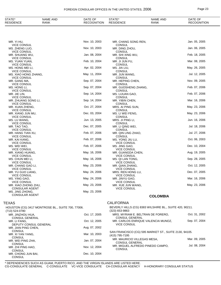# FOREIGN CONSULAR OFFICES IN THE UNITED STATES, 2006 Page 23

| STATE*<br><b>RESIDENCE</b>                                    | <b>NAME AND</b><br><b>RANK</b>                    | DATE OF<br><b>RECOGNITION</b> | STATE*<br><b>RESIDENCE</b>                                                  | <b>NAME AND</b><br><b>RANK</b> | DATE OF<br><b>RECOGNITION</b> |
|---------------------------------------------------------------|---------------------------------------------------|-------------------------------|-----------------------------------------------------------------------------|--------------------------------|-------------------------------|
|                                                               |                                                   |                               |                                                                             |                                |                               |
| MR. YI HU,                                                    |                                                   | Nov. 10, 2003                 | MR. CHANG SONG REN,                                                         |                                | Jan. 05, 2005                 |
| <b>VICE CONSUL</b><br>MS. ZHENG LUO,                          |                                                   | Nov. 10, 2003                 | <b>CONSUL</b><br>MR. DING ZHOU,                                             |                                | Jan. 06, 2005                 |
| <b>VICE CONSUL</b><br>MR. SHUANG WU,                          |                                                   | Jan. 08, 2004                 | <b>CONSUL</b><br>MR. SHI XING WU,                                           |                                | Feb. 18, 2005                 |
| <b>VICE CONSUL</b><br>MS. YUAN YUAN,                          |                                                   | Feb. 10, 2004                 | <b>CONSUL</b><br>MR. JI JUN FU,                                             |                                | Mar. 08, 2005                 |
| <b>VICE CONSUL</b><br>MS. HONG MEI LI,                        |                                                   | Apr. 02, 2004                 | <b>CONSUL</b><br>MS. JIA LIU,                                               |                                | May. 26, 2005                 |
| <b>VICE CONSUL</b><br>MS. XIAO HONG ZHANG,                    |                                                   | May. 11, 2004                 | <b>CONSUL</b><br>MR. JUN WANG,                                              |                                | Jul. 12, 2005                 |
| <b>VICE CONSUL</b><br>MR. GANG MA,<br><b>VICE CONSUL</b>      |                                                   | Sep. 07, 2004                 | <b>CONSUL</b><br>MR. HEPING CHEN,<br><b>CONSUL</b>                          |                                | Nov. 09, 2005                 |
| MS. HONG LI,<br><b>VICE CONSUL</b>                            |                                                   | Sep. 07, 2004                 | MR. GUOSHENG ZHANG,<br><b>CONSUL</b>                                        |                                | Feb. 07, 2006                 |
| MR. JIE LIN,<br>VICE CONSUL                                   |                                                   | Sep. 14, 2004                 | MS. LIJUAN GAO,<br><b>CONSUL</b>                                            |                                | Feb. 07, 2006                 |
| MR. ZHUANG SONG LI,<br><b>VICE CONSUL</b>                     |                                                   | Sep. 14, 2004                 | MR. YIBIN CHEN,                                                             |                                | Mar. 16, 2006                 |
| MR. XUAN ZHENG,                                               |                                                   | Oct. 27, 2004                 | <b>CONSUL</b><br>MRS. AI PING SUN,<br><b>CONSUL</b>                         |                                | May. 23, 2006                 |
| <b>VICE CONSUL</b><br>MR. XIANG JUN MU,<br><b>VICE CONSUL</b> |                                                   | Dec. 03, 2004                 | MS. LI WEI FENG,<br><b>CONSUL</b>                                           |                                | May. 23, 2006                 |
| MS. LU WANG,                                                  |                                                   | Jun. 13, 2005                 | MRS. JI PING LI,<br><b>CONSUL</b>                                           |                                | Jun. 16, 2006                 |
| <b>VICE CONSUL</b><br>MR. TAO TAO,                            |                                                   | Dec. 07, 2005                 | MR. LI QING WEI,                                                            |                                | Jul. 18, 2006                 |
| <b>VICE CONSUL</b><br>MR. HANG TIAN XU,                       |                                                   | Feb. 07, 2006                 | <b>CONSUL</b><br>MR. QIN LING ZHAO,                                         |                                | Jul. 27, 2006                 |
| <b>VICE CONSUL</b><br>MR. KAI KANG,                           |                                                   | Feb. 07, 2006                 | <b>CONSUL</b><br>MS. YONG JIU LU,                                           |                                | Oct. 06, 2003                 |
| <b>VICE CONSUL</b><br>MS. WEI WEI,                            |                                                   | Feb. 07, 2006                 | <b>VICE CONSUL</b><br>MS. JING GAO,                                         |                                | Dec. 10, 2004                 |
| <b>VICE CONSUL</b><br>MR. XIANG HUANG,                        |                                                   | May. 16, 2006                 | <b>VICE CONSUL</b><br>MR. GUANGDA CHEN,                                     |                                | Aug. 19, 2005                 |
| <b>VICE CONSUL</b><br>MS. CHUN MEI LI,                        |                                                   | May. 16, 2006                 | <b>VICE CONSUL</b><br>MS. QI LAN TONG,                                      |                                | Sep. 28, 2005                 |
| <b>VICE CONSUL</b><br>MR. CHANG GAO LI,                       |                                                   | May. 23, 2006                 | <b>VICE CONSUL</b><br>MR. QIAN ZHANG,                                       |                                | Oct. 12, 2005                 |
| <b>VICE CONSUL</b><br>MR. YU GUO LIANG,                       |                                                   | May. 24, 2006                 | <b>VICE CONSUL</b><br>MRS. REN HONG LU,                                     |                                | Dec. 07, 2005                 |
| <b>VICE CONSUL</b><br>MS. YING GAO,                           |                                                   | May. 24, 2006                 | <b>VICE CONSUL</b><br>MR. JINYU GAO,                                        |                                | Mar. 16, 2006                 |
| <b>VICE CONSUL</b><br>MR. XIAO ZHONG ZHU,                     |                                                   | May. 23, 2006                 | <b>VICE CONSUL</b><br>MR. XUE JUN WANG,                                     |                                | May. 23, 2006                 |
| <b>CONSULAR AGENT</b><br>MS. JING ZHONG,                      |                                                   | May. 23, 2006                 | <b>VICE CONSUL</b>                                                          |                                |                               |
| <b>CONSULAR AGENT</b>                                         |                                                   |                               |                                                                             | <b>COLOMBIA</b>                |                               |
| TEXAS                                                         |                                                   |                               | <b>CALIFORNIA</b>                                                           |                                |                               |
| (713) 524-0780                                                | HOUSTON (CG) 3417 MONTROSE BL., SUITE 700, 77006. |                               | BEVERLY HILLS (CG) 8383 WILSHIRE BL., SUITE 420, 90211.<br>$(323)$ 653-9863 |                                |                               |

| MR. JINZHOU HUA,<br><b>CONSUL GENERAL</b> | Oct. 17, 2005 | MRS. MYRIAM E. BELTRAN DE FORERO,<br><b>CONSUL GENERAL</b> | Oct. 31, 2002 |
|-------------------------------------------|---------------|------------------------------------------------------------|---------------|
|                                           |               |                                                            |               |
| MR. LI FANG.                              | Oct. 12, 2005 | MR. CARLOS ENRIQUE VALENCIA MUNOZ,                         | Sep. 07, 2004 |
| DEPUTY CONSUL GENERAL                     |               | <b>VICE CONSUL</b>                                         |               |
| MR. JIAN PING CHEN,                       | Aug. 07, 2002 |                                                            |               |
| <b>CONSUL</b>                             |               | SAN FRANCISCO (CG) 595 MARKET ST., SUITE 2130, 94105.      |               |
| MR. XI YAN YANG,                          | Mar. 10, 2003 | (415) 795-7195                                             |               |
| CONSUL                                    |               |                                                            |               |
| MR. WEI PING ZHA,                         | Jan. 07, 2004 | MR. MAURICIO VILLEGAS MESA,                                | Mar. 09, 2005 |
| CONSUL                                    |               | <b>CONSUL GENERAL</b>                                      |               |
| MR. ZHI PING HAO.                         | Nov. 12, 2004 | MR. MIGUEL ALFREDO PINEDO CAMPO,                           | Jul. 08, 2004 |
| CONSUL                                    |               | <b>CONSUL</b>                                              |               |
|                                           |               |                                                            |               |
| MR. CHONG JUN BAI.                        | Dec. 10, 2004 |                                                            |               |
| <b>CONSUL</b>                             |               |                                                            |               |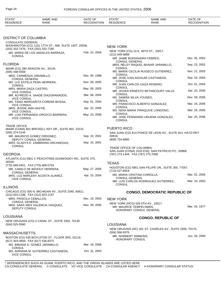| <b>STATE</b><br><b>RESIDENCE</b> | <b>AND</b><br>NAME<br>RANK | OF<br>DATE<br><b>OGNITION</b><br>OE1<br>FION | <b>CTATE</b><br>, , , , , <u>,</u><br><b>SIDENCE</b><br>RF: | AND<br>$\overline{1}$<br>NAME<br><b>RANK</b> | OF<br>DATE<br><b>OGNITION</b><br>ᆷᆮ |
|----------------------------------|----------------------------|----------------------------------------------|-------------------------------------------------------------|----------------------------------------------|-------------------------------------|
|                                  |                            |                                              |                                                             |                                              |                                     |

# DISTRICT OF COLUMBIA

| <b>CONSULATE GENERAL</b><br>WASHINGTON (CG) 1101 17TH ST., NW, SUITE 1007, 20036.          |               | NEW YORK                                                                                                             |               |
|--------------------------------------------------------------------------------------------|---------------|----------------------------------------------------------------------------------------------------------------------|---------------|
| (202) 332-7476, FAX (202) 332-7180<br>MS. MARIA DE LOS ANGELES BARRAZA,                    | Feb. 10, 2004 | NEW YORK (CG) 10 E. 46TH ST., 10017.<br>(212) 949-9898                                                               |               |
| <b>CONSUL</b>                                                                              |               | MR. JAIME BUENAHORA FEBRES,<br><b>CONSUL GENERAL</b>                                                                 | Dec. 05, 2002 |
| <b>FLORIDA</b>                                                                             |               | MRS. NELSY RAQUEL MUNAR JARAMILLO,                                                                                   | Sep. 23, 2002 |
| MIAMI (CG) 280 ARAGON AV., 33134.<br>$(305)$ 448-5558                                      |               | <b>CONSUL</b><br>MS. MARIA CECILIA RUISECO GUTIERREZ,                                                                | Nov. 21, 2003 |
| MRS. CARMENZA JARAMILLO,<br><b>CONSUL GENERAL</b>                                          | Dec. 04, 1998 | <b>CONSUL</b><br>MR. JOSE IVAN AGUILAR CASTANEDA,                                                                    | Sep. 16, 2004 |
| MS. LUZ ESTELA PENA HERRERA,<br><b>CONSUL</b>                                              | Nov. 09, 2005 | <b>CONSUL</b><br>MR. JUAN CARLOS CAIZA ROSERO,                                                                       | Oct. 01, 2004 |
| MRS. MARIA DAZA CASTRO,<br><b>VICE CONSUL</b>                                              | May. 09, 2003 | <b>CONSUL</b><br>MR. JAVIER ERNESTO BETANCOURT VALLE,                                                                | Apr. 22, 2005 |
| MR. ALFREDO A. SAADE DIAZGRANADOS,<br><b>VICE CONSUL</b>                                   | Mar. 08, 2004 | CONSUL<br>MS. SAMIRA SILVA YOUNES,                                                                                   | Nov. 09, 2005 |
| MS. TANIA MARGARITA CORENA BOSSA,<br><b>VICE CONSUL</b>                                    | Sep. 01, 2004 | <b>CONSUL</b><br>MR. FRANCISCO ALBERTO GONZALEZ,                                                                     | Mar. 16, 2006 |
| MRS. JESSIE ANN HASTIE,<br><b>VICE CONSUL</b>                                              | Apr. 22, 2005 | CONSUL<br>MS. NIDIA MARIA PIRAQUIVE LONDONO,                                                                         | Mar. 16, 2006 |
| MR. LUIS FERNANDO OROZCO BARRERA,<br><b>VICE CONSUL</b>                                    | May. 23, 2006 | <b>CONSUL</b><br>MR. JOSE FERNANDO URUENA GONZALEZ,<br><b>CONSUL</b>                                                 | Apr. 25, 2006 |
| <b>TRADE OFFICE</b>                                                                        |               | <b>PUERTO RICO</b>                                                                                                   |               |
| MIAMI (CONA) 601 BRICKELL KEY DR., SUITE 801, 33131.<br>(305) 374-3144                     |               | SAN JUAN (CG) 814 PONCE DE LEON AV., SUITE 814, HATO REY                                                             |               |
| MR. MAURICIO GOMEZ ORDONEZ,<br>DEPUTY CONSUL GENERAL                                       | Sep. 10, 2001 | 00918.<br>(809) 754-6885                                                                                             |               |
| MRS. GLADYS E. ZAMBRANO ARCINIEGAS,<br><b>CONSUL</b>                                       | Sep. 10, 2001 |                                                                                                                      |               |
| GEORGIA                                                                                    |               | TRADE OFFICE OF COLOMBIA<br>SAN JUAN (CONA) 1510 ESQ. SAN PATRICIO PZ., 00968.<br>(787) 273-1444, FAX (787) 273-7006 |               |
| ATLANTA (CG) 5901 C PEACHTREE-DUNWOODY RD., SUITE 375,                                     |               |                                                                                                                      |               |
| 30328.<br>(770) 668-0451, FAX (770) 668-0763                                               |               | <b>TEXAS</b>                                                                                                         |               |
| MR. CAMILO DE BEDOUT HERRERA,<br><b>CONSUL GENERAL</b>                                     | May. 27, 2005 | HOUSTON (CG) 5851 SAN FELIPE UN., SUITE 300, 77057.<br>(713) 527-8919                                                |               |
| MRS. LUZ MARLENY ACOSTA SUAREZ,<br><b>VICE CONSUL</b>                                      | Apr. 15, 2004 | MS. MARIA CRISTINA CHIROLLA,<br><b>CONSUL GENERAL</b>                                                                | Mar. 02, 2006 |
|                                                                                            |               | MR. LUIS CARLOS RODRIGUEZ GUTIERREZ,<br><b>CONSUL</b>                                                                | Mar. 10, 2003 |
| <b>ILLINOIS</b>                                                                            |               |                                                                                                                      |               |
| CHICAGO (CG) 500 N. MICHIGAN AV., SUITE 2040, 60611.<br>(312) 923-1196, FAX (312) 923-1197 |               | <b>CONGO, DEMOCRATIC REPUBLIC OF</b>                                                                                 |               |
| MRS. PRISCILA CEBALLOS,<br><b>CONSUL GENERAL</b>                                           | Dec. 19, 2003 | <b>NEW YORK</b>                                                                                                      |               |
| MRS. SARA INES VALENCIA VASQUEZ,<br>DEPUTY CONSUL                                          | Nov. 09, 2005 | NEW YORK (HCG) 529 5TH AV., 10017.<br>MR. MAURICE TEMPELSMAN,<br>HONORARY CONSUL GENERAL                             | Mar. 03, 1977 |
| LOUISIANA                                                                                  |               | <b>CONGO, REPUBLIC OF</b>                                                                                            |               |
| NEW ORLEANS (CG) 2 CANAL ST., SUITE 2302, 70130.<br>$(504)$ 525-5580                       |               | <b>LOUISIANA</b>                                                                                                     |               |
|                                                                                            |               | NEW ORLEANS (HC) 201 ST. CHARLES AV., SUITE 2500, 70170.<br>(504) 568-9376                                           |               |
| MASSACHUSETTS<br>BOSTON (CG) 535 BOYLSTON ST., FLOOR 3RD, 02116.                           |               | MR. NORBERT SIMMONS,                                                                                                 | Jun. 26, 2000 |
| (617) 303-4656, FAX (617) 536-9372                                                         |               | HONORARY CONSUL                                                                                                      |               |
| MS. BIBIANA D. GOMEZ JARAMILLO,<br><b>CONSUL</b>                                           | Mar. 16, 2006 |                                                                                                                      |               |
| MS. ADRIANA M. GUTIERREZ CASTANEDA,<br><b>VICE CONSUL</b>                                  | Oct. 31, 2003 |                                                                                                                      |               |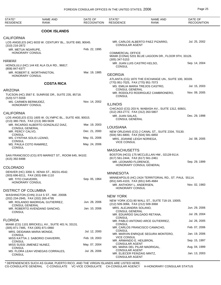| STATE*<br><b>RESIDENCE</b>                                                                    | <b>NAME AND</b><br><b>RANK</b>             | DATE OF<br><b>RECOGNITION</b> | STATE*<br><b>RESIDENCE</b>                                                                           | <b>NAME AND</b><br><b>RANK</b>                         | DATE OF<br><b>RECOGNITION</b> |
|-----------------------------------------------------------------------------------------------|--------------------------------------------|-------------------------------|------------------------------------------------------------------------------------------------------|--------------------------------------------------------|-------------------------------|
|                                                                                               | <b>COOK ISLANDS</b>                        |                               |                                                                                                      |                                                        |                               |
| <b>CALIFORNIA</b>                                                                             |                                            |                               |                                                                                                      |                                                        |                               |
| LOS ANGELES (HC) 6033 W. CENTURY BL., SUITE 690, 90045.<br>(310) 216-2872                     |                                            |                               | <b>CONSULAR AGENT</b>                                                                                | MR. CARLOS ALBERTO PAEZ PIZARRO,                       | Jul. 25, 2002                 |
| MR. METUA NGARUPE,                                                                            |                                            | Feb. 22, 1995                 |                                                                                                      |                                                        |                               |
| <b>HONORARY CONSUL</b>                                                                        |                                            |                               | <b>COMMERCIAL OFFICE</b><br>MIAMI (CONA) 5201 BLUE LAGOON DR., FLOOR 9TH, 33126.<br>$(305)$ 347-5153 |                                                        |                               |
| <b>HAWAII</b><br>HONOLULU (HC) 144 KE ALA OLA RD., 96817.<br>(808) 847-6377                   |                                            |                               | MR. JUAN LUIS CASTRO KELSO,<br><b>CONSUL</b>                                                         |                                                        | Sep. 14, 2004                 |
| MR. ROBERT E. WORTHINGTON,<br><b>HONORARY CONSUL</b>                                          |                                            | Mar. 19, 1985                 | <b>GEORGIA</b>                                                                                       |                                                        |                               |
|                                                                                               |                                            |                               | (770) 951-7025, FAX (770) 951-7073                                                                   | ATLANTA (CG) 1870 THE EXCHANGE UN., SUITE 100, 30339.  |                               |
|                                                                                               | <b>COSTA RICA</b>                          |                               |                                                                                                      | MS. EMILIA MARIA TREJOS CASTRO,                        | Jul. 15, 2003                 |
| <b>ARIZONA</b>                                                                                |                                            |                               | <b>CONSUL GENERAL</b>                                                                                | MR. RODOLFO RODRIGUEZ CAMBRONERO,                      | Nov. 09, 2005                 |
| TUCSON (HC) 3567 E. SUNRISE DR., SUITE 235, 85718.<br>(520) 577-5559                          |                                            |                               | <b>CONSUL</b>                                                                                        |                                                        |                               |
| MS. CARMEN BERMUDEZ,<br>HONORARY CONSUL                                                       |                                            | Nov. 14, 2002                 | <b>ILLINOIS</b>                                                                                      |                                                        |                               |
|                                                                                               |                                            |                               |                                                                                                      | CHICAGO (CG) 203 N. WABASH AV., SUITE 1312, 60601.     |                               |
| <b>CALIFORNIA</b>                                                                             |                                            |                               | (312) 263-2772, FAX (312) 263-5807<br>MR. JUAN SALAS.                                                |                                                        | Dec. 29, 1998                 |
| LOS ANGELES (CG) 1605 W. OLYMPIC BL., SUITE 400, 90015.<br>(213) 380-7915, FAX (213) 380-5639 |                                            |                               | <b>CONSUL GENERAL</b>                                                                                |                                                        |                               |
|                                                                                               | MR. RICARDO ALBERTO GONZALEZ DIAZ,         | Mar. 19, 2003                 | LOUISIANA                                                                                            |                                                        |                               |
| <b>CONSUL GENERAL</b><br>MR. PERCY CALVO,                                                     |                                            | Dec. 21, 2000                 |                                                                                                      | NEW ORLEANS (CG) 2 CANAL ST., SUITE 2334, 70130.       |                               |
| <b>CONSUL</b><br>MS. CYNTHIA SOLIS LIZANO,                                                    |                                            | May. 01, 2006                 | (504) 581-6800, FAX (504) 581-6850<br>MRS. JOANNE LEIGH NORIEGA,                                     |                                                        | Jul. 08, 2005                 |
| <b>CONSUL</b><br>MS. PAULA COTO RAMIREZ,                                                      |                                            | May. 24, 2006                 | <b>VICE CONSUL</b>                                                                                   |                                                        |                               |
| <b>CONSUL</b>                                                                                 |                                            |                               | <b>MASSACHUSETTS</b>                                                                                 |                                                        |                               |
| SAN FRANCISCO (CG) 870 MARKET ST., ROOM 645, 94102.                                           |                                            |                               |                                                                                                      | BOSTON (HCG) 175 MCCLELLAN HW., 02128-9114.            |                               |
| (415) 392-8488                                                                                |                                            |                               | (617) 561-2444, FAX (617) 561-2461                                                                   |                                                        |                               |
|                                                                                               |                                            |                               | MR. LEONARD FLORENCE,                                                                                | HONORARY CONSUL GENERAL                                | Sep. 29, 1999                 |
| <b>COLORADO</b>                                                                               | DENVER (HC) 3356 S. XENIA ST., 80231-4542. |                               |                                                                                                      |                                                        |                               |
| (303) 696-8211, FAX (303) 696-1110                                                            |                                            |                               | <b>MINNESOTA</b>                                                                                     | MINNEAPOLIS (HC) 2424 TERRITORIAL RD., ST. PAUL 55114. |                               |
| MR. TITO CHAVERRI,<br>HONORARY CONSUL                                                         |                                            | Sep. 05, 1964                 | (651) 645-4103, FAX (651) 645-4684                                                                   |                                                        |                               |
|                                                                                               |                                            |                               | MR. ANTHONY L. ANDERSEN,<br><b>HONORARY CONSUL</b>                                                   |                                                        | Nov. 02, 1983                 |
| <b>DISTRICT OF COLUMBIA</b>                                                                   |                                            |                               |                                                                                                      |                                                        |                               |
| (202) 234-2945, FAX (202) 265-4795                                                            | WASHINGTON (CHN) 2114 S ST., NW, 20008.    |                               | <b>NEW YORK</b>                                                                                      |                                                        |                               |
|                                                                                               | MR. ROLANDO MADRIGAL GUTIERREZ,            | Jun. 28, 2006                 | (212) 509-3066, FAX (212) 509-3068                                                                   | NEW YORK (CG) 80 WALL ST., SUITE 718-19, 10005.        |                               |
| <b>CONSUL GENERAL</b>                                                                         | MR. ROBERTO AVENDANO SANCHO,               | Jan. 10, 2006                 | MRS. ALEJANDRA SOLANO,                                                                               |                                                        | Jun. 29, 2006                 |
| <b>CONSUL</b>                                                                                 |                                            |                               | CONSUL GENERAL                                                                                       | MR. EDUARDO SALGADO RETANA,                            | Jul. 28, 2004                 |
| <b>FLORIDA</b>                                                                                |                                            |                               | CONSUL                                                                                               | MR. PABLO ANTONIO ARCE GUTIERREZ,                      | Jul. 26, 2005                 |
| MIAMI (CG) 1101 BRICKELL AV., SUITE 401 N, 33131.<br>(305) 871-7485, FAX (305) 871-0860       |                                            |                               | CONSUL                                                                                               | MR. CARLOS FRANCISCO CAMACHO,                          | Feb. 07, 2006                 |
| MRS. DEIDAMIA MARIA MONGE,<br><b>CONSUL</b>                                                   |                                            | Jul. 12, 2000                 | CONSUL                                                                                               | MR. MARVIN ENRIQUE SEGURA MONTERO,                     | Jan. 19, 2006                 |
|                                                                                               | MISS KATTIA J. SABORIO CHAVERRI,           | Feb. 19, 2003                 | <b>VICE CONSUL</b><br>MR. ARMANDO E. HEILBRON,                                                       |                                                        | Sep. 15, 1997                 |
| <b>CONSUL</b><br>MISS SUSSI JIMENEZ NUNEZ,                                                    |                                            | May. 07, 2004                 | <b>CONSULAR AGENT</b>                                                                                | MS. MARIA DEL PILAR MADRIGAL,                          | Aug. 04, 1999                 |
| CONSUL                                                                                        | MS. FLORA LEAH VENEGAS CORRALES,           | Jul. 26, 2006                 | <b>CONSULAR AGENT</b>                                                                                |                                                        |                               |
| <b>CONSUL</b>                                                                                 |                                            |                               | MR. ELIECER FEINZAIG MINTZ,<br><b>CONSULAR AGENT</b>                                                 |                                                        | Jan. 13, 2003                 |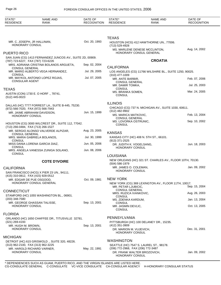| STATE*<br><b>RESIDENCE</b>                                     | <b>NAME AND</b><br><b>RANK</b>                            | DATE OF<br><b>RECOGNITION</b> | STATE*<br><b>RESIDENCE</b>                          | <b>NAME AND</b><br><b>RANK</b>                           | DATE OF<br><b>RECOGNITION</b> |
|----------------------------------------------------------------|-----------------------------------------------------------|-------------------------------|-----------------------------------------------------|----------------------------------------------------------|-------------------------------|
|                                                                |                                                           |                               |                                                     |                                                          |                               |
| MR. C. JOSEPH, JR HALLINAN,<br>HONORARY CONSUL                 |                                                           | Oct. 20, 1993                 | <b>TEXAS</b><br>(713) 529-4928                      | HOUSTON (HCG) 412 HAWTHORNE UN., 77006.                  |                               |
| PUERTO RICO                                                    |                                                           |                               |                                                     | MS. MARLENE DENESE MCCLINTON,<br>HONORARY CONSUL GENERAL | Aug. 14, 2002                 |
|                                                                | SAN JUAN (CG) 1413 FERNANDEZ JUNCOS AV., SUITE 2D, 00909. |                               |                                                     | <b>CROATIA</b>                                           |                               |
| (787) 723-6227, FAX (787) 723-6226                             | MRS. ADRIANA CRISTINA BOLANOS ARGUETA,                    | Sep. 02, 2004                 | <b>CALIFORNIA</b>                                   |                                                          |                               |
| <b>CONSUL GENERAL</b><br><b>CONSUL</b>                         | MR. MARIO ALBERTO VEGA HERNANDEZ,                         | Jul. 29, 2005                 |                                                     | LOS ANGELES (CG) 11766 WILSHIRE BL., SUITE 1250, 90025.  |                               |
| <b>CONSULAR AGENT</b>                                          | MR. MAYKOL ANTONIO LOPEZ ROJAS,                           | Jul. 07, 2005                 | $(310)$ 477-1009<br>MR. ANTE BARBIR,                |                                                          | Feb. 07, 2006                 |
|                                                                |                                                           |                               | <b>CONSUL GENERAL</b><br>MR. DAMIR TOMKA,           |                                                          | Jul. 25, 2003                 |
| <b>TEXAS</b><br>(512) 445-0023                                 | AUSTIN (CON) 1730 E. O HORF., 78741.                      |                               | <b>CONSUL</b><br>MS. BRANKA SOMEN,<br><b>CONSUL</b> |                                                          | Mar. 24, 2005                 |
|                                                                | DALLAS (HC) 7777 FORREST LA., SUITE B-445, 75230.         |                               | <b>ILLINOIS</b>                                     |                                                          |                               |
| (972) 566-7020, FAX (972) 566-7943                             |                                                           |                               | (312) 482-9902                                      | CHICAGO (CG) 737 N. MICHIGAN AV., SUITE 1030, 60611.     |                               |
| HONORARY CONSUL                                                | MR. JAIME ABRAHAM DAVIDSON.                               | Jun. 15, 1999                 | MS. MARICA MATKOVIC,<br><b>CONSUL GENERAL</b>       |                                                          | Feb. 13, 2004                 |
| (713) 266-0484, FAX (713) 266-1527                             | HOUSTON (CG) 3000 WILCREST DR., SUITE 112, 77042.         |                               | MS. LOVORKA OSTRUNIC,<br><b>CONSUL</b>              |                                                          | Sep. 10, 2002                 |
| <b>CONSUL GENERAL</b>                                          | MR. SERGIO ALONSO VALVERDE ALPIZAR,                       | Aug. 23, 2005                 | <b>KANSAS</b>                                       |                                                          |                               |
| <b>CONSUL</b>                                                  | MRS. MARIA GABRIELA BOLANOS,                              | Jul. 30, 1999                 | $(913)$ 371-2525                                    | KANSAS CITY (HC) 408 N. 5TH ST., 66101.                  |                               |
| CONSUL                                                         | MISS DANIA LORENA GARCIA DIAZ,                            | Jun. 05, 2006                 | DR. JUDITH K. VOGELSANG,<br>HONORARY CONSUL         |                                                          | Jun. 18, 2003                 |
| <b>CONSUL</b>                                                  | MRS. ANGELA VANESSA ZUNIGA SOLANO,                        | Jun. 08, 2006                 |                                                     |                                                          |                               |
|                                                                |                                                           |                               | <b>LOUISIANA</b>                                    | NEW ORLEANS (HC) 321 ST. CHARLES AV., FLOOR 10TH, 70130. |                               |
|                                                                | <b>COTE D'IVOIRE</b>                                      |                               | (504) 586-1979                                      |                                                          |                               |
| <b>CALIFORNIA</b>                                              | SAN FRANCISCO (HCG) X PIER 23 UN., 94111.                 |                               | MR. JAMES O. COLEMAN,<br>HONORARY CONSUL            |                                                          | Jan. 09, 2002                 |
| (415) 310-0812, FAX (415) 928-0512<br>MR. EDGAR DE PUE OSGOOD, |                                                           | Oct. 09, 1981                 | <b>NEW YORK</b>                                     |                                                          |                               |
|                                                                | HONORARY CONSUL GENERAL                                   |                               | MR. PETAR LJUBICIC,                                 | NEW YORK (CG) 369 LEXINGTON AV., FLOOR 11TH, 10017.      | Sep. 15, 2004                 |
| <b>CONNECTICUT</b>                                             | STAMFORD (HC) 1055 WASHINGTON BL., 06901.                 |                               | CONSUL GENERAL<br>MRS. RUZICA IVANKOVIC,            |                                                          | Aug. 26, 2003                 |
| (203) 348-7580                                                 |                                                           |                               | <b>CONSUL</b><br>MS. ZDENKA KARDUM,                 |                                                          | Jan. 13, 2004                 |
| <b>HONORARY CONSUL</b>                                         | MR. GEORGE GHASSAN TALISSE,                               | Sep. 13, 2001                 | CONSUL<br>MR. JASMIN DEVLIC,<br>CONSUL              |                                                          | Oct. 13, 2005                 |
| <b>FLORIDA</b>                                                 |                                                           |                               |                                                     |                                                          |                               |
| (321) 269-4193                                                 | ORLANDO (HC) 1650 CHAFFEE DR., TITUSVILLE 32781.          |                               | PENNSYLVANIA                                        | PITTSBURGH (HC) 100 DELANEY DR., 15235.                  |                               |
| MR. HUGH M. BROWN,<br><b>HONORARY CONSUL</b>                   |                                                           | Sep. 13, 2001                 | (412) 351-3909<br>DR. MARION M. VUJEVICH,           |                                                          | Dec. 31, 2001                 |
| <b>MICHIGAN</b>                                                |                                                           |                               | HONORARY CONSUL                                     |                                                          |                               |
|                                                                | DETROIT (HC) 615 GRISWOLD., SUITE 320, 48226.             |                               | <b>WASHINGTON</b>                                   |                                                          |                               |
| (313) 962-2100, FAX (313) 962-3225                             | MR. HAROLD RICHARD VARNER,                                | May. 22, 1991                 | (206) 772-2968, FAX (206) 772-3487                  | SEATTLE (HC) 7547 S. LAUREL ST., 98178.                  |                               |
| HONORARY CONSUL                                                |                                                           |                               | DR. FRANK WALTER BROZOVICH,<br>HONORARY CONSUL      |                                                          | Jan. 09, 2002                 |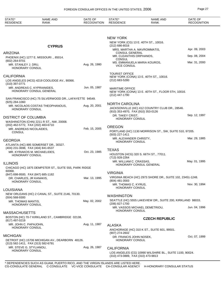| STATE*<br><b>RESIDENCE</b>                               | <b>NAME AND</b><br><b>RANK</b>                         | DATE OF<br><b>RECOGNITION</b> | STATE*<br><b>RESIDENCE</b>                           | <b>NAME AND</b><br><b>RANK</b>                                                              | DATE OF<br><b>RECOGNITION</b> |
|----------------------------------------------------------|--------------------------------------------------------|-------------------------------|------------------------------------------------------|---------------------------------------------------------------------------------------------|-------------------------------|
|                                                          |                                                        |                               |                                                      |                                                                                             |                               |
|                                                          |                                                        |                               | <b>NEW YORK</b>                                      | NEW YORK (CG) 13 E. 40TH ST., 10016.                                                        |                               |
|                                                          | <b>CYPRUS</b>                                          |                               | $(212)$ 686-6016                                     |                                                                                             | Apr. 09, 2003                 |
| <b>ARIZONA</b>                                           |                                                        |                               | MRS. MARTHA A. MAVROMMATIS,<br><b>CONSUL GENERAL</b> |                                                                                             |                               |
|                                                          | PHOENIX (HC) 1277 E. MISSOURI., 85014.                 |                               | MR. CLEANTHIS ORPHANOS,<br><b>CONSUL</b>             |                                                                                             | Sep. 08, 2004                 |
| (602) 264-9701<br>MR. STANLEY J. DRU,<br>HONORARY CONSUL |                                                        | Aug. 26, 1980                 | <b>VICE CONSUL</b>                                   | MS. EMMANUELA MARIA KOUROS,                                                                 | Mar. 31, 2000                 |
| <b>CALIFORNIA</b>                                        |                                                        |                               | <b>TOURIST OFFICE</b>                                |                                                                                             |                               |
| (310) 397-0771                                           | LOS ANGELES (HCG) 4219 COOLIDGE AV., 90066.            |                               | (212) 683-5280                                       | NEW YORK (CONA) 13 E. 40TH ST., 10016.                                                      |                               |
| MR. ANDREAS C. KYPRIANIDES,                              | HONORARY CONSUL GENERAL                                | Jun. 05, 1987                 | <b>MARITIME OFFICE</b><br>(212) 447-1790             | NEW YORK (CONA) 13 E. 40TH ST., FLOOR 5TH, 10016.                                           |                               |
|                                                          | SAN FRANCISCO (HC) 75 SILVERWOOD DR., LAFAYETTE 94549. |                               |                                                      |                                                                                             |                               |
| $(925)$ 284-1060                                         | MR. NICOLAOS COSTAS THEOPHANOUS,                       | Aug. 20, 2001                 | <b>NORTH CAROLINA</b>                                |                                                                                             |                               |
| <b>HONORARY CONSUL</b>                                   |                                                        |                               | (910) 353-4970, FAX (910) 353-0126                   | JACKSONVILLE (HC) 412 COUNTRY CLUB DR., 28546.                                              |                               |
| DISTRICT OF COLUMBIA                                     |                                                        |                               | DR. TAKEY CRIST,<br><b>HONORARY CONSUL</b>           |                                                                                             | Sep. 12, 1997                 |
| (202) 462-5772, FAX (202) 483-6710                       | WASHINGTON (CHN) 2211 R ST., NW, 20008.                |                               |                                                      |                                                                                             |                               |
| MR. ANDREAS NICOLAIDES,<br><b>CONSUL</b>                 |                                                        | Feb. 15, 2005                 | <b>OREGON</b><br>(503) 227-1411                      | PORTLAND (HC) 1130 MORRISON ST., SW, SUITE 510, 97205.                                      |                               |
| <b>GEORGIA</b>                                           |                                                        |                               | MR. ALEXANDER CHRISTY,                               |                                                                                             | Mar. 29, 1985                 |
|                                                          | ATLANTA (HC) 895 SOMERSET DR., 30327.                  |                               | <b>HONORARY CONSUL</b>                               |                                                                                             |                               |
| (404) 231-3698, FAX (404) 841-6537                       |                                                        |                               | <b>TEXAS</b>                                         |                                                                                             |                               |
| HONORARY CONSUL                                          | MR. KYRIAKOS M. MICHAELIDES,                           | Oct. 23, 1985                 | (713) 928-2264                                       | HOUSTON (HCG) 320 S. 66TH ST., 77011.                                                       |                               |
| <b>ILLINOIS</b>                                          |                                                        |                               | MR. WILLIAM C. CRASSAS,                              | HONORARY CONSUL GENERAL                                                                     | May. 01, 1995                 |
|                                                          | CHICAGO (HC) 1875 DEMPSTER ST., SUITE 555, PARK RIDGE  |                               |                                                      |                                                                                             |                               |
| 60068.<br>(847) 698-9500, FAX (847) 685-1182             |                                                        |                               | <b>VIRGINIA</b>                                      |                                                                                             |                               |
| DR. CHARLES, JR KANAKIS,<br><b>HONORARY CONSUL</b>       |                                                        | Mar. 13, 1995                 | (804) 481-3583                                       | VIRGINIA BEACH (HC) 2973 SHORE DR., SUITE 102, 23451-1248.                                  |                               |
| <b>LOUISIANA</b>                                         |                                                        |                               | MR. THOMAS C. KYRUS,<br><b>HONORARY CONSUL</b>       |                                                                                             | Nov. 30, 1994                 |
|                                                          | NEW ORLEANS (HC) 2 CANAL ST., SUITE 2146, 70130.       |                               |                                                      |                                                                                             |                               |
| $(504) 568 - 9300$                                       |                                                        |                               | <b>WASHINGTON</b>                                    |                                                                                             |                               |
| MR. THOMAS MANTIS,<br><b>HONORARY CONSUL</b>             |                                                        | May. 02, 2002                 | (206) 827-1700                                       | SEATTLE (HC) 5555 LAKEVIEW DR., SUITE 200, KIRKLAND 98033.<br>MR. VASSOS MICHAEL DEMETRIOU, | Jun. 04, 1996                 |
| <b>MASSACHUSETTS</b>                                     |                                                        |                               | <b>HONORARY CONSUL</b>                               |                                                                                             |                               |
| (617) 497-0219                                           | BOSTON (HC) 70-7 KIRKLAND ST., CAMBRIDGE 02138.        |                               |                                                      | <b>CZECH REPUBLIC</b>                                                                       |                               |
| MR. JOHN C. PAPAJOHN,<br>HONORARY CONSUL                 |                                                        | Aug. 11, 1987                 | <b>ALASKA</b>                                        | ANCHORAGE (HC) 310 K ST., SUITE 601, 99501.                                                 |                               |
| <b>MICHIGAN</b>                                          |                                                        |                               | (907) 274-2602                                       |                                                                                             | Oct. 07, 1999                 |
|                                                          | DETROIT (HC) 15706 MICHIGAN AV., DEARBORN 48126.       |                               | DR. FRANCIS JOHN NOSEK,<br><b>HONORARY CONSUL</b>    |                                                                                             |                               |
| (313) 582-1411, FAX (313) 582-6791                       |                                                        |                               |                                                      |                                                                                             |                               |
| MR. STEVE G. STYLIANOU,<br>HONORARY CONSUL               |                                                        | Aug. 26, 1987                 | <b>CALIFORNIA</b>                                    |                                                                                             |                               |
|                                                          |                                                        |                               | (310) 473-0889, FAX (310) 473-9813                   | LOS ANGELES (CG) 10990 WILSHIRE BL., SUITE 1100, 90024.                                     |                               |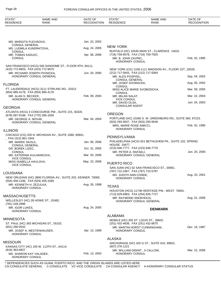| STATE*<br><b>RESIDENCE</b>                                 | <b>NAME AND</b><br><b>RANK</b>                              | DATE OF<br><b>RECOGNITION</b> | STATE*<br><b>RESIDENCE</b>                                    | NAME AND<br><b>RANK</b>                                    | DATE OF<br><b>RECOGNITION</b> |
|------------------------------------------------------------|-------------------------------------------------------------|-------------------------------|---------------------------------------------------------------|------------------------------------------------------------|-------------------------------|
|                                                            |                                                             |                               |                                                               |                                                            |                               |
| MS. MARGITA FUCHSOVA,                                      |                                                             | Jan. 22, 2002                 |                                                               |                                                            |                               |
| <b>CONSUL GENERAL</b><br>MS. LUDMILA KUNDRATOVA,           |                                                             | Aug. 24, 2005                 | <b>NEW YORK</b>                                               |                                                            |                               |
| <b>CONSUL</b><br>MR. TOMAS KADLEC,                         |                                                             | Apr. 06, 2006                 | (716) 759-6078, FAX (716) 759-7925                            | BUFFALO (HC) 10545 MAIN ST., CLARENCE 14031.               |                               |
| <b>CONSUL</b>                                              |                                                             |                               | MR. B. JOHN ZAVREL,<br><b>HONORARY CONSUL</b>                 |                                                            | Feb. 02, 1995                 |
| (415) 772-9603, FAX (415) 772-9670                         | SAN FRANCISCO (HCG) 500 SANSOME ST., FLOOR 8TH, 94111.      |                               |                                                               | NEW YORK (CG) 1109-1111 MADISON AV., FLOOR 1ST, 10028.     |                               |
| MR. RICHARD JOSEPH PIVNICKA,                               | HONORARY CONSUL GENERAL                                     | Jun. 20, 2000                 | (212) 717-5643, FAX (212) 717-5064<br>MR. ALES POSPISIL,      |                                                            | Sep. 04, 2002                 |
| <b>FLORIDA</b>                                             |                                                             |                               | <b>CONSUL GENERAL</b><br>MR. JOSEF DVORACEK,                  |                                                            | Aug. 05, 2002                 |
|                                                            | FT. LAUDERDALE (HCG) 3111 STIRLING RD., 33312.              |                               | <b>CONSUL</b>                                                 | MISS ALICE MARIE SVOBODOVA,                                | Mar. 09, 2005                 |
| (954) 985-4178, FAX (954) 985-4176<br>MR. ALAN S. BECKER,  |                                                             | Feb. 09, 2004                 | <b>CONSUL</b><br>MR. MILAN SALAT,                             |                                                            | Mar. 22, 2004                 |
|                                                            | HONORARY CONSUL GENERAL                                     |                               | <b>VICE CONSUL</b><br>MR. DAVID OLSA,                         |                                                            | Jun. 04, 2003                 |
| GEORGIA                                                    |                                                             |                               | <b>CONSULAR AGENT</b>                                         |                                                            |                               |
|                                                            | ATLANTA (HCG) 4 CONCOURSE PW., SUITE 215, 30328.            |                               | <b>OREGON</b>                                                 |                                                            |                               |
| (678) 587-9198, FAX (770) 395-1655<br>MR. GEORGE A. NOVAK, |                                                             | Mar. 04, 2004                 |                                                               | PORTLAND (HC) 10260 S. W. GREENBURG RD., SUITE 560, 97223. |                               |
|                                                            | HONORARY CONSUL GENERAL                                     |                               | (503) 293-9547, FAX (503) 293-9546<br>MRS. MARIE ROSE AMICCI, |                                                            | Feb. 02, 1995                 |
| ILLINOIS                                                   |                                                             |                               | <b>HONORARY CONSUL</b>                                        |                                                            |                               |
|                                                            | CHICAGO (CG) 205 N. MICHIGAN AV., SUITE 1680, 60601.        |                               | PENNSYLVANIA                                                  |                                                            |                               |
| , FAX (312) 861-1944<br>MR. MAREK SKOLIL,                  |                                                             | Jan. 06, 2006                 |                                                               | PHILADELPHIA (HCG) 921 BETHLEHEM PK., SUITE 102, SPRING    |                               |
| <b>CONSUL GENERAL</b><br>DR. BOREK LIZEC,                  |                                                             | Oct. 31, 2005                 | HOUSE 19477.<br>(215) 646-7777, FAX (215) 646-7770            |                                                            |                               |
| <b>CONSUL</b>                                              |                                                             |                               | MR. PETER A. RAFAELI,                                         |                                                            | Jun. 20, 2000                 |
| MS. KATERINA KULHANKOVA,<br><b>VICE CONSUL</b>             |                                                             | Mar. 03, 2006                 |                                                               | HONORARY CONSUL GENERAL                                    |                               |
| MISS ISABELLA HAVLOVA,<br><b>VICE CONSUL</b>               |                                                             | May. 23, 2006                 | PUERTO RICO                                                   |                                                            |                               |
|                                                            |                                                             |                               | (787) 722-2467, FAX (787) 723-5787                            | SAN JUAN (HC) 62 SAN FRANCISCO ST., 00901.                 |                               |
| LOUISIANA                                                  | NEW ORLEANS (HC) 3800 FLORIDA AV., SUITE 202, KENNER 70065. |                               | MS. JUDITH ANN CONDE,                                         |                                                            | Aug. 20, 2001                 |
| (504) 456-1336, FAX (504) 455-1565                         |                                                             |                               | HONORARY CONSUL                                               |                                                            |                               |
| MR. KENNETH H. ZEZULKA,<br>HONORARY CONSUL                 |                                                             | Aug. 26, 1998                 | <b>TEXAS</b>                                                  |                                                            |                               |
|                                                            |                                                             |                               | (713) 629-6963, FAX (254) 826-7727                            | HOUSTON (HCG) 11748 HERITAGE PW., WEST 76691.              |                               |
| MASSACHUSETTS                                              | WELLESLEY (HC) 28 HOWE ST., 02482.                          |                               | MR. RAYMOND SNOKHOUS,                                         |                                                            | Aug. 01, 2006                 |
| (781) 249-2896                                             |                                                             |                               |                                                               | HONORARY CONSUL GENERAL                                    |                               |
| MR. IGOR LUKES.<br><b>HONORARY CONSUL</b>                  |                                                             | Aug. 24, 2005                 |                                                               | <b>DENMARK</b>                                             |                               |
|                                                            |                                                             |                               | ALABAMA                                                       |                                                            |                               |
| <b>MINNESOTA</b>                                           | ST. PAUL (HC) 383 MICHIGAN ST., 55102.                      |                               | (251) 432-4636, FAX (251) 432-8675                            | MOBILE (HC) 205 ST. LOUIS ST., 36602.                      |                               |
| $(651)$ 290-0542                                           |                                                             |                               |                                                               | MR. MARTIN HORST CUNNINGHAM,                               | Dec. 16, 1987                 |
| MR. JOSEF A. MESTENHAUSER,<br>HONORARY CONSUL              |                                                             | Apr. 13, 1999                 | HONORARY CONSUL                                               |                                                            |                               |
|                                                            |                                                             |                               | <b>ALASKA</b>                                                 |                                                            |                               |
| MISSOURI                                                   | KANSAS CITY (HC) 105 W. 113TH ST., 64114.                   |                               | (907) 276-1221                                                | ANCHORAGE (HC) 425 G ST., SUITE 610, 99501.                |                               |
| $(816)$ 363-6827                                           |                                                             |                               |                                                               | MR. WILLIAM GRANT, II CALLOW,                              | Mar. 22, 2006                 |
| MS. SHARON KAY VALASEK,<br>HONORARY CONSUL                 |                                                             | Feb. 13, 2003                 | <b>HONORARY CONSUL</b>                                        |                                                            |                               |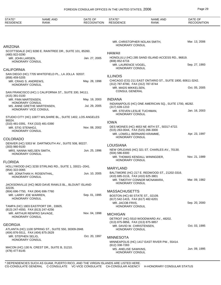| STATE*<br><b>RESIDENCE</b>                                                 | <b>NAME AND</b><br><b>RANK</b>                               | DATE OF<br><b>RECOGNITION</b> | STATE*<br><b>RESIDENCE</b>                                               | <b>NAME AND</b><br><b>RANK</b>                             | DATE OF<br><b>RECOGNITION</b> |
|----------------------------------------------------------------------------|--------------------------------------------------------------|-------------------------------|--------------------------------------------------------------------------|------------------------------------------------------------|-------------------------------|
|                                                                            |                                                              |                               |                                                                          |                                                            |                               |
|                                                                            |                                                              |                               | HONORARY CONSUL                                                          | MR. CHRISTOPHER NOLAN SMITH,                               | Mar. 13, 2006                 |
| ARIZONA                                                                    |                                                              |                               |                                                                          |                                                            |                               |
| (480) 922-0290                                                             | SCOTTSDALE (HC) 9280 E. RAINTREE DR., SUITE 101, 85260.      |                               | <b>HAWAII</b>                                                            |                                                            |                               |
| MR. JOHN LARSEN,                                                           |                                                              | Jan. 27, 2005                 |                                                                          | HONOLULU (HC) 285 SAND ISLAND ACCESS RD., 96819.           |                               |
| <b>HONORARY CONSUL</b>                                                     |                                                              |                               | (808) 852-6716<br>MR. LAURENCE VOGEL,<br>HONORARY CONSUL                 |                                                            | Sep. 27, 1993                 |
| CALIFORNIA                                                                 |                                                              |                               |                                                                          |                                                            |                               |
| (858) 459-5205                                                             | SAN DIEGO (HC) 7705 WHITEFIELD PL., LA JOLLA 92037.          |                               | <b>ILLINOIS</b>                                                          |                                                            |                               |
| MR. CRAIG S. ANDREWS,<br>HONORARY CONSUL                                   |                                                              | May. 28, 1998                 | (312) 787-8780, FAX (312) 787-8744                                       | CHICAGO (CG) 211 EAST ONTARIO ST., SUITE 1800, 60611-3242. |                               |
|                                                                            |                                                              |                               | MR. MADS MIKKELSEN,<br><b>CONSUL GENERAL</b>                             |                                                            | Oct. 05, 2005                 |
| (415) 391-0100                                                             | SAN FRANCISCO (HC) 1 CALIFORNIA ST., SUITE 330, 94111.       |                               |                                                                          |                                                            |                               |
| MR. FINN MARTENSEN,                                                        |                                                              | May. 19, 2003                 | <b>INDIANA</b>                                                           |                                                            |                               |
| HONORARY CONSUL<br>MS. ANNE GRETHE MARTENSEN,                              |                                                              | Jul. 29, 2005                 |                                                                          | INDIANAPOLIS (HC) ONE AMERICAN SQ., SUITE 1700, 46282.     |                               |
| HONORARY VICE CONSUL                                                       |                                                              |                               | $(317)$ 639-1210<br>MR. STEVEN LESLIE TUCHMAN,<br><b>HONORARY CONSUL</b> |                                                            | Jan. 16, 2003                 |
|                                                                            | STUDIO CITY (HC) 10877 WILSHIRE BL., SUITE 1402, LOS ANGELES |                               |                                                                          |                                                            |                               |
| 90024.<br>(310) 481-0391, FAX (310) 481-0390                               |                                                              |                               | <b>IOWA</b>                                                              |                                                            |                               |
| MR. STIG STENHOJ,<br>HONORARY CONSUL                                       |                                                              | Nov. 08, 2002                 | (515) 263-0044, FAX (515) 266-3000                                       | DES MOINES (HC) 4653 NE 46TH ST., 50317-4722.              |                               |
|                                                                            |                                                              |                               | <b>HONORARY CONSUL</b>                                                   | MR. LOWELL BERNARD KRAMME,                                 | Apr. 23, 1997                 |
| COLORADO                                                                   |                                                              |                               |                                                                          |                                                            |                               |
| (303) 980-9100                                                             | DENVER (HC) 5353 W. DARTMOUTH AV., SUITE 508, 80227.         |                               | LOUISIANA                                                                |                                                            |                               |
| MRS. NANNA NIELSEN SMITH,<br>HONORARY CONSUL                               |                                                              | Jun. 25, 1996                 | $(504) 586 - 8300$                                                       | NEW ORLEANS (HC) 321 ST. CHARLES AV., 70130.               |                               |
|                                                                            |                                                              |                               | <b>HONORARY CONSUL</b>                                                   | MR. THOMAS KENDALL WININGDER,                              | Nov. 21, 1989                 |
| <b>FLORIDA</b>                                                             |                                                              |                               |                                                                          |                                                            |                               |
| $(954)$ 322-0065                                                           | HOLLYWOOD (HC) 3230 STIRLING RD., SUITE 1, 33021--2041.      |                               | <b>MARYLAND</b>                                                          |                                                            |                               |
| MR. JONATHAN H. ROSENTHAL,                                                 |                                                              | Jun. 10, 2005                 |                                                                          | BALTIMORE (HC) 217 E. REDWOOD ST., 21202-3316.             |                               |
| <b>HONORARY CONSUL</b>                                                     |                                                              |                               | (410) 685-3116, FAX (410) 625-3801                                       | MR. TIMOTHY CONNOR MCNAMARA,                               | Mar. 09, 1982                 |
| 32226.                                                                     | JACKSONVILLE (HC) 9620 DAVE RAWLS BL., BLOUNT ISLAND         |                               | HONORARY CONSUL                                                          |                                                            |                               |
| (904) 696-7750, FAX (904) 696-7760                                         |                                                              |                               | <b>MASSACHUSETTS</b>                                                     |                                                            |                               |
| MR. LARRY JOE WARREN,<br>HONORARY CONSUL                                   |                                                              | Sep. 01, 1995                 | BOSTON (HC) 60 STATE ST., 02109.<br>(617) 542-1415, FAX (617) 482-6201   |                                                            |                               |
| TAMPA (HC) 1803 EASTPORT DR., 33605.<br>(813) 247-4550, FAX (813) 247-4256 |                                                              |                               | MR. JACOB FRIIS,<br><b>HONORARY CONSUL</b>                               |                                                            | Sep. 20, 2000                 |
| MR. ARTHUR RENFRO SAVAGE,                                                  |                                                              | Nov. 04, 1998                 | <b>MICHIGAN</b>                                                          |                                                            |                               |
| HONORARY CONSUL                                                            |                                                              |                               |                                                                          | DETROIT (HC) 5510 WOODWARD AV., 48202.                     |                               |
| GEORGIA                                                                    |                                                              |                               | (313) 875-9856, FAX (313) 875-9857                                       |                                                            |                               |
|                                                                            | ATLANTA (HC) 1100 SPRING ST., SUITE 550, 30309-2848.         |                               | MR. DAVID W. CHRISTENSEN,<br>HONORARY CONSUL                             |                                                            | Oct. 03, 1995                 |
| (404) 876-5511, FAX (404) 875-2629                                         |                                                              |                               |                                                                          |                                                            |                               |
| MR. STEPHEN SELIG.<br>HONORARY CONSUL                                      |                                                              | Oct. 20, 1997                 | <b>MINNESOTA</b>                                                         | MINNEAPOLIS (HC) 1417 EAST RIVER PW., 55414.               |                               |
| (478) 477-8145                                                             | MACON (HC) 130 N. CREST DR., SUITE B, 31210.                 |                               | (612) 338-7283<br>MS. ANELISE SAWKINS,<br>HONORARY CONSUL                |                                                            | Jun. 09, 1995                 |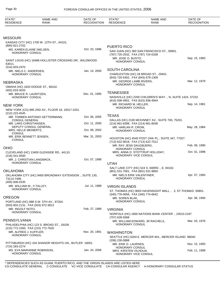| STATE*<br><b>RESIDENCE</b>                                   | <b>NAME AND</b><br>RANK                                                            | DATE OF<br><b>RECOGNITION</b> | STATE*<br><b>RESIDENCE</b>                                       | <b>NAME AND</b><br><b>RANK</b>                              | DATE OF<br><b>RECOGNITION</b> |
|--------------------------------------------------------------|------------------------------------------------------------------------------------|-------------------------------|------------------------------------------------------------------|-------------------------------------------------------------|-------------------------------|
|                                                              |                                                                                    |                               |                                                                  |                                                             |                               |
| <b>MISSOURI</b>                                              |                                                                                    |                               |                                                                  |                                                             |                               |
|                                                              | KANSAS CITY (HC) 1700 W. 12TH ST., 64101.                                          |                               |                                                                  |                                                             |                               |
| (800) 821-2702<br>MS. KAREN ELAINE NIELSEN,                  |                                                                                    | Oct. 23, 1996                 | <b>PUERTO RICO</b>                                               |                                                             |                               |
| HONORARY CONSUL                                              |                                                                                    |                               | (787) 725-2532, FAX (787) 724-0339                               | SAN JUAN (HC) 360 SAN FRANCISCO ST., 00901.                 |                               |
| 63011.                                                       | SAINT LOUIS (HC) 16486 HOLLISTER CROSSING DR., WILDWOOD                            |                               | MR. JOSE O. BUSTO.<br><b>HONORARY CONSUL</b>                     |                                                             | Sep. 15, 1983                 |
| $(314) 603 - 2470$                                           |                                                                                    | Jan. 14, 2000                 | <b>SOUTH CAROLINA</b>                                            |                                                             |                               |
| MR. NIELS C. ANDERSEN,<br>HONORARY CONSUL                    |                                                                                    |                               | (843) 720-5402, FAX (843) 679-1309                               | CHARLESTON (HC) 28 BROAD ST., 29401.                        |                               |
| NEBRASKA                                                     |                                                                                    |                               | MR. GEORGE LAMB RIVERS,                                          |                                                             | Mar. 12, 1979                 |
| (402) 633-3033                                               | OMAHA (HC) 1620 DODGE ST., 68102.                                                  |                               | <b>HONORARY CONSUL</b>                                           |                                                             |                               |
| MR. BRUCE R. LAURITZEN,                                      |                                                                                    | Dec. 01, 1995                 | <b>TENNESSEE</b>                                                 |                                                             |                               |
| <b>HONORARY CONSUL</b>                                       |                                                                                    |                               | (615) 936-4952, FAX (615) 936-4944<br>MR. RICHARD M. HELLER,     | NASHVILLE (HC) 2200 CHILDREN'S WAY ., N, SUITE 1424, 37232. | Sep. 14, 1981                 |
| <b>NEW YORK</b>                                              |                                                                                    |                               | <b>HONORARY CONSUL</b>                                           |                                                             |                               |
| (212) 223-4545                                               | NEW YORK (CG) 885 2ND AV., FLOOR 18, 10017-2201.<br>MR. TORBEN ANTONIO GETTERMANN, | Oct. 06, 2005                 | <b>TEXAS</b>                                                     |                                                             |                               |
| <b>CONSUL GENERAL</b>                                        |                                                                                    |                               |                                                                  | DALLAS (HC) 2100 MCKINNEY AV., SUITE 700, 75201.            |                               |
| MR. LARS CHRISTIANSEN,                                       |                                                                                    | Oct. 11, 2000                 | (214) 661-8399, FAX (214) 661-8036                               |                                                             |                               |
| MRS. HELLE MEINERTZ,<br><b>CONSUL</b>                        | DEPUTY CONSUL GENERAL                                                              | Oct. 09, 2002                 | MR. HARLAN R. CROW,<br><b>HONORARY CONSUL</b>                    |                                                             | May. 28, 1984                 |
| MR. ERIK BENNETT JENSEN,<br><b>CONSUL</b>                    |                                                                                    | Mar. 31, 2003                 | (713) 622-9018, FAX (713) 622-7512                               | HOUSTON (HC) 4545 POST OAK PL., SUITE 347, 77027.           |                               |
| <b>OHIO</b>                                                  |                                                                                    |                               | MR. RAY JENS DAUGBJERG,                                          |                                                             | Feb. 09, 1990                 |
| (216) 541-0500                                               | CLEVELAND (HC) 13400 GLENSIDE RD., 44110.                                          |                               | HONORARY CONSUL<br>HONORARY VICE CONSUL                          | MRS. ANNA D. STOTTRUP HOLLIDAY,                             | Oct. 01, 1998                 |
| MR. J. CHRISTIAN LANGMACK,                                   |                                                                                    | Oct. 07, 1998                 |                                                                  |                                                             |                               |
| <b>HONORARY CONSUL</b>                                       |                                                                                    |                               | <b>UTAH</b>                                                      |                                                             |                               |
| <b>OKLAHOMA</b>                                              |                                                                                    |                               | (801) 531-7061, FAX (801) 531-9850                               | SALT LAKE CITY (HC) 524 S. 600RD., E, 84102.                |                               |
| 73114-7499.<br>(405) 606-0335                                | OKLAHOMA CITY (HC) 9400 BROADWAY EXTENSION ., SUITE 130,                           |                               | MR. NIELS ERIK VALENTINER,<br><b>HONORARY CONSUL</b>             |                                                             | Apr. 07, 1993                 |
| MR. WILLIAM W., II TALLEY,                                   |                                                                                    | Jul. 11, 1988                 | <b>VIRGIN ISLANDS</b>                                            |                                                             |                               |
| <b>HONORARY CONSUL</b>                                       |                                                                                    |                               | (340) 776-0656, FAX (340) 774-6642                               | ST. THOMAS (HC) 9003 HAVENSIGHT MALL., 3, ST. THOMAS 00801. |                               |
| <b>OREGON</b>                                                |                                                                                    |                               | MR. SOREN BLAK,                                                  |                                                             | Apr. 06, 1994                 |
| (503) 802-2131, FAX (503) 972-3813                           | PORTLAND (HC) 888 S.W. 5TH AV., 97204.                                             |                               | HONORARY CONSUL                                                  |                                                             |                               |
| MR. INGOLF NOTO,<br><b>HONORARY CONSUL</b>                   |                                                                                    | Feb. 27, 1989                 | <b>VIRGINIA</b>                                                  |                                                             |                               |
|                                                              |                                                                                    |                               | $(757)$ 628-5568                                                 | NORFOLK (HC) 1800 NATIONS BANK CENTER., 23510-2197.         |                               |
| PENNSYLVANIA                                                 | PHILADELPHIA (HC) 123 S. BROAD ST., 19109.                                         |                               | <b>HONORARY CONSUL</b>                                           | MR. WILLIAM EDWARD, JR RACHELS,                             | Mar. 03, 1978                 |
| (215) 772-1500, FAX (215) 772-7620<br>MR. ALFRED J. KUFFLER, |                                                                                    | Nov. 20, 1991                 | <b>WASHINGTON</b>                                                |                                                             |                               |
| <b>HONORARY CONSUL</b>                                       |                                                                                    |                               | $(206)$ 230-0888                                                 | SEATTLE (HC) 6204 E. MERCER WA., MERCER ISLAND 98040.       |                               |
|                                                              | PITTSBURGH (HC) 104 SHANOR HEIGHTS UN., BUTLER 16001.                              |                               | MR. ERIK D. LAURSEN,                                             |                                                             | Nov. 15, 1993                 |
| (724) 283-2274<br>HONORARY CONSUL                            | MS. EVA MARIANNE ROBINSON,                                                         | Jan. 24, 2006                 | HONORARY CONSUL<br>MRS. KIRSTEN VILHOLM,<br>HONORARY VICE CONSUL |                                                             | Feb. 11, 1999                 |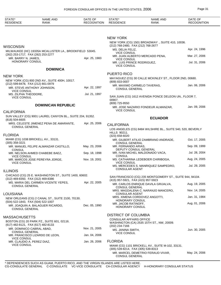| STATE*<br><b>RESIDENCE</b>                               | <b>NAME AND</b><br>RANK                                   | DATE OF<br><b>RECOGNITION</b> | STATE*<br><b>RESIDENCE</b>                                             | <b>NAME AND</b><br><b>RANK</b>                              | DATE OF<br><b>RECOGNITION</b> |
|----------------------------------------------------------|-----------------------------------------------------------|-------------------------------|------------------------------------------------------------------------|-------------------------------------------------------------|-------------------------------|
|                                                          |                                                           |                               |                                                                        |                                                             |                               |
|                                                          |                                                           |                               | <b>NEW YORK</b>                                                        |                                                             |                               |
| <b>WISCONSIN</b>                                         |                                                           |                               | (212) 768-2480, FAX (212) 768-2677                                     | NEW YORK (CG) 1501 BROADWAY ., SUITE 410, 10036.            |                               |
|                                                          | MILWAUKEE (HC) 19335A MCALLISTER LA., BROOKFIELD 53045.   |                               | MS. DELIA FELIZ,<br><b>VICE CONSUL</b>                                 |                                                             | Apr. 24, 1996                 |
| (262) 253-1717, FAX (262) 253-2277                       |                                                           | Apr. 25, 1983                 |                                                                        | MR. JUAN ALBERTO MERCADO PENA,                              | Mar. 27, 2006                 |
| MR. BARRY N. JAMES,<br><b>HONORARY CONSUL</b>            |                                                           |                               | <b>VICE CONSUL</b><br>MR. LUIS PRINCE RODRIGUEZ,<br><b>VICE CONSUL</b> |                                                             | Jul. 31, 2006                 |
|                                                          | <b>DOMINICA</b>                                           |                               |                                                                        |                                                             |                               |
| <b>NEW YORK</b>                                          |                                                           |                               | <b>PUERTO RICO</b>                                                     |                                                             |                               |
|                                                          | NEW YORK (CG) 800 2ND AV., SUITE 400H, 10017.             |                               | (809) 833-0007                                                         | MAYAGUEZ (CG) 30 CALLE MCKINLEY ST., FLOOR 2ND, 00680.      |                               |
| (212) 599-8478, FAX (212) 661-0979<br><b>VICE CONSUL</b> | MR. STEVE ANTHONY JOHNSON,                                | Apr. 22, 1997                 | <b>CONSUL GENERAL</b>                                                  | MR. MAXIMO CARMELO TAVERAS,                                 | Jan. 06, 2006                 |
| MS. ZILPHA THEODORE.<br><b>VICE CONSUL</b>               |                                                           | Jul. 21, 1997                 |                                                                        | SAN JUAN (CG) 1612 AVENIDA PONCE DELEON UN., FLOOR 7,       |                               |
|                                                          |                                                           |                               | 00907.<br>(809) 725-9550                                               |                                                             |                               |
|                                                          | <b>DOMINICAN REPUBLIC</b>                                 |                               | <b>VICE CONSUL</b>                                                     | MR. JOSE NAZARIO FONDEUR ALMANZAR,                          | Jan. 09, 2006                 |
| <b>CALIFORNIA</b>                                        | SUN VALLEY (CG) 9001 LAUREL CANYON BL., SUITE 204, 91352. |                               |                                                                        |                                                             |                               |
| $(818) 504 - 6605$                                       |                                                           |                               |                                                                        | <b>ECUADOR</b>                                              |                               |
| <b>CONSUL GENERAL</b>                                    | MRS. CELESTE JIMENEZ PENA DE AMARANTE,                    | Apr. 25, 2006                 | <b>CALIFORNIA</b>                                                      |                                                             |                               |
|                                                          |                                                           |                               |                                                                        | LOS ANGELES (CG) 8484 WILSHIRE BL., SUITE 540, 520, BEVERLY |                               |
| <b>FLORIDA</b>                                           |                                                           |                               | <b>HILLS 90211.</b><br>$(323)$ 658-6020                                |                                                             |                               |
|                                                          | MIAMI (CG) 1038 BRICKELL AV., 33131.                      |                               |                                                                        | MR. GILBERT ATILIO ZAMBRANO ANDRADE,                        | Oct. 17, 2005                 |
| $(305)$ 358-3221                                         | MR. MANUEL FELIPE ALMANZAR CASTILLO,                      | May. 23, 2006                 | <b>CONSUL GENERAL</b><br>MR. FERNANDO ARIAS,                           |                                                             | Sep. 09, 1999                 |
| <b>CONSUL</b>                                            |                                                           |                               |                                                                        | DEPUTY CONSUL GENERAL                                       |                               |
| <b>VICE CONSUL</b>                                       | MR. NELSON AHMED CHABEBE BAEZ,                            | Sep. 18, 1998                 | <b>CONSUL</b>                                                          | MR. IVAN MICHEL MALDONADO VACA,                             | Jul. 28, 2004                 |
|                                                          | MR. MARCOS JOSE PEREYRA JORGE,                            | Nov. 19, 2001                 |                                                                        | MS. CATHARINA LEDEBOER CHIRIBOGA,                           | Aug. 24, 2005                 |
| <b>VICE CONSUL</b>                                       |                                                           |                               | <b>VICE CONSUL</b>                                                     | MS. MERCEDES S. MANRIQUEZ SAMPEDRO,                         | Jul. 29, 2005                 |
| <b>ILLINOIS</b>                                          |                                                           |                               | <b>CONSULAR AGENT</b>                                                  |                                                             |                               |
|                                                          | CHICAGO (CG) 25 E. WASHINGTON ST., SUITE 1400, 60602.     |                               |                                                                        | SAN FRANCISCO (CG) 235 MONTGOMERY ST., SUITE 944, 94104.    |                               |
| (312) 469-8350, FAX (312) 469-8386                       |                                                           |                               | (415) 957-5921, FAX (415) 957-5923                                     |                                                             |                               |
| <b>CONSUL GENERAL</b>                                    | MS. MARIA DEL CARMEN VICENTE YEPES,                       | Apr. 22, 2005                 |                                                                        | MR. CARLOS ENRIQUE DAVILA GRIJALVA,                         | Aug. 19, 2005                 |
| LOUISIANA                                                |                                                           |                               | CONSUL GENERAL<br>CONSULAR AGENT                                       | MRS. MAGDALENA C. NARANJO MANCERO,                          | Nov. 14, 2005                 |
|                                                          | NEW ORLEANS (CG) 2 CANAL ST., SUITE 2100, 70130.          |                               |                                                                        | MRS. XIMENA CORDOVEZ ANGOTTI,                               | Jan. 31, 1984                 |
| (504) 522-1843, FAX (504) 522-1007                       |                                                           |                               | HONORARY CONSUL<br>MR. JACOB RATINOFF,                                 |                                                             | Aug. 01, 2006                 |
| <b>CONSUL GENERAL</b>                                    | MR. JOAQUIN A. BALAGUER RICARDO,                          | Dec. 05, 1990                 | <b>HONORARY CONSUL</b>                                                 |                                                             |                               |
| <b>MASSACHUSETTS</b>                                     |                                                           |                               | <b>DISTRICT OF COLUMBIA</b>                                            |                                                             |                               |
|                                                          | BOSTON (CG) 20 PARK PZ., SUITE 601, 02116.                |                               | <b>CONSULAR AFFAIRS OFFICE</b>                                         |                                                             |                               |
| (617) 482-8121, FAX (617) 482-8133                       |                                                           |                               | (202) 234-7166                                                         | WASHINGTON (CA) 2535 15TH ST., NW, 20009.                   |                               |
| MR. DOMINICO CABRAL ABAD,<br><b>CONSUL GENERAL</b>       |                                                           | Nov. 21, 2005                 | MS. JANINA SMITH,                                                      |                                                             | Jun. 30, 2005                 |
|                                                          | MR. FRANCISCO LIZARDO DE LEON,                            | Jan. 04, 2006                 | <b>VICE CONSUL</b>                                                     |                                                             |                               |
| <b>VICE CONSUL</b><br>MR. CLAUDIO A. PEREZ DIAZ,         |                                                           | Jan. 26, 2006                 | <b>FLORIDA</b>                                                         |                                                             |                               |
| <b>VICE CONSUL</b>                                       |                                                           |                               |                                                                        | MIAMI (CG) 1101 BRICKELL AV., SUITE M-102, 33131.           |                               |
|                                                          |                                                           |                               | (305) 539-8214, FAX (305) 539-8313                                     |                                                             |                               |
|                                                          |                                                           |                               | <b>CONSUL GENERAL</b>                                                  | MR. MARCEL DEMETRIO FERAUD VIVAR,                           | May. 24, 2006                 |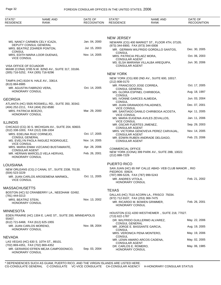| STATE*<br><b>RESIDENCE</b>                          | <b>NAME AND</b><br>RANK                                    | DATE OF<br><b>RECOGNITION</b> | STATE*<br><b>RESIDENCE</b>                               | <b>NAME AND</b><br><b>RANK</b>                        | DATE OF<br><b>RECOGNITION</b> |
|-----------------------------------------------------|------------------------------------------------------------|-------------------------------|----------------------------------------------------------|-------------------------------------------------------|-------------------------------|
|                                                     |                                                            |                               |                                                          |                                                       |                               |
|                                                     |                                                            |                               | <b>NEW JERSEY</b>                                        |                                                       |                               |
|                                                     | MS. NANCY CARMEN CELY ICAZA,<br>DEPUTY CONSUL GENERAL      | Jan. 04, 2000                 | (973) 344-6900, FAX (973) 344-0008                       | NEWARK (CG) 400 MARKET ST., FLOOR 4TH, 07105.         |                               |
|                                                     | MRS. BEATRIZ ZOHRER PONTON,                                | Jul. 15, 2003                 |                                                          | MR. GERMAN WILFRIDO GORDILLO SANTOS,                  | Dec. 30, 2005                 |
| <b>CONSUL</b>                                       | MRS. EDITH MARIA LOOR DUENAS,                              | Nov. 14, 2005                 | <b>CONSUL</b>                                            | MRS. PATRICIA PELAEZ MORA,                            | Oct. 06, 2003                 |
| <b>VICE CONSUL</b>                                  |                                                            |                               | <b>CONSULAR AGENT</b>                                    |                                                       |                               |
| VISA OFFICE OF ECUADOR                              | MIAMI (CONA) 3785 N.W. 82ND AV., SUITE 317, 33166.         |                               | <b>CONSULAR AGENT</b>                                    | MS. ELSA MARIANA VILLALBA AREQUIPA,                   | Jun. 30, 2006                 |
| (305) 716-5252, FAX (305) 716-9296                  |                                                            |                               | <b>NEW YORK</b>                                          |                                                       |                               |
|                                                     | TAMPA (HC) 8104 N. HALE AV., 33614.                        |                               | (212) 808-0170                                           | NEW YORK (CG) 800 2ND AV., SUITE 600, 10017.          |                               |
| (813) 884-8985<br>MR. AGUSTIN FABRIZIO VERA,        |                                                            | Oct. 14, 2005                 |                                                          | MR. FRANCISCO JOSE CORREA,                            | Oct. 17, 2005                 |
| HONORARY CONSUL                                     |                                                            |                               | <b>CONSUL GENERAL</b><br><b>CONSUL</b>                   | MS. GLORIA ESPINEL CHIRIBOGA,                         | Aug. 18, 1997                 |
| GEORGIA                                             |                                                            |                               |                                                          | MS. IVONNE GARCES ALMEIDA,                            | Jun. 03, 2004                 |
| (404) 252-2211, FAX (404) 252-8580                  | ATLANTA (HC) 5505 ROSWELL RD., SUITE 350, 30342.           |                               | <b>CONSUL</b>                                            | MR. JUAN GRANADOS PALADINES,                          | Dec. 07, 2001                 |
| MRS. PATRICIA BOEZIO,<br><b>HONORARY CONSUL</b>     |                                                            | Mar. 29, 2000                 | <b>VICE CONSUL</b>                                       | MR. SANTIAGO DANILO CHIRIBOGA ACOSTA,                 | Apr. 11, 2005                 |
|                                                     |                                                            |                               | <b>VICE CONSUL</b>                                       | MS. MARIA EUGENIA AVILES ZEVALLOS,                    | Jan. 11, 2006                 |
| ILLINOIS                                            | CHICAGO (CG) 30 S. MICHIGAN AV., SUITE 204, 60603.         |                               | <b>VICE CONSUL</b>                                       | MR. OSCAR FUERTES JIMENEZ,                            | Sep. 29, 2003                 |
| (312) 338-1003, FAX (312) 338-1004                  |                                                            |                               | <b>CONSULAR AGENT</b>                                    | MRS. VICTORIA GENOVEVA PEREZ CARVAJAL,                | Nov. 14, 2005                 |
| MRS. EDELINA RUIZ CORNEJO,<br><b>CONSUL GENERAL</b> |                                                            | Oct. 17, 2005                 | <b>CONSULAR AGENT</b>                                    | MR. EDWIN RUBEN ANDRADE DELGAGO,                      | Feb. 23, 2006                 |
| <b>VICE CONSUL</b>                                  | MS. EVELYN PAOLA INIGUEZ RODRIGUEZ,                        | Nov. 14, 2005                 | <b>CONSULAR AGENT</b>                                    |                                                       |                               |
| <b>CONSULAR AGENT</b>                               | MRS. MARIA ENMA VIZCAINO BUSTAMANTE,                       | Apr. 28, 2006                 | <b>COMMERCIAL OFFICE</b>                                 | NEW YORK (CONA) 399 PARK AV., SUITE 28B, 10022.       |                               |
| HONORARY CONSUL                                     | MR. HERNAN MARCELO VELA HERVAS,                            | Feb. 26, 2001                 | (212) 888-7229                                           |                                                       |                               |
| LOUISIANA                                           |                                                            |                               | <b>PUERTO RICO</b>                                       |                                                       |                               |
| $(504)$ 523-3229                                    | NEW ORLEANS (CG) 2 CANAL ST., SUITE 2338, 70130.           |                               | PIEDROS 00924.                                           | SAN JUAN (HC) 65 INF CALLE ABAD-VEB CLUB MANOR ., RIO |                               |
|                                                     | MR. JUAN CARLOS AROSEMENA MARMOL,                          | Oct. 11, 2005                 | (787) 999-5226, FAX (787) 999-5243<br>MR. ANDRES VITOLA, |                                                       | Feb. 21, 2002                 |
| <b>VICE CONSUL</b>                                  |                                                            |                               | <b>HONORARY CONSUL</b>                                   |                                                       |                               |
| MASSACHUSETTS                                       |                                                            |                               | <b>TEXAS</b>                                             |                                                       |                               |
| (781) 444-0213                                      | BOSTON (HC) 52 CRANBERRY LA., NEEDHAM 02492.               |                               |                                                          | DALLAS (HC) 7510 ACORN LA., FRISCO 75034.             |                               |
| MRS. BEATRIZ STEIN,                                 |                                                            | Nov. 13, 2002                 | (972) 712-9107, FAX (253) 369-7475                       | MR. RICARDO M. BOWEN GRIMMER,                         | Feb. 26, 2001                 |
| HONORARY CONSUL                                     |                                                            |                               | <b>HONORARY CONSUL</b>                                   |                                                       |                               |
| MINNESOTA                                           |                                                            |                               |                                                          | HOUSTON (CG) 4200 WESTHEIMER., SUITE 218, 77027.      |                               |
| 55407.                                              | EDEN PRAIRIE (HC) 1304 E. LAKE ST., SUITE 200, MINNEAPOLIS |                               | (713) 622-1787                                           |                                                       |                               |
| (612) 721-6468, FAX (612) 625-1955                  |                                                            |                               | <b>CONSUL GENERAL</b>                                    | DR. WILFRIDO GUILLERMO ALVAREZ,                       | May. 22, 2006                 |
| MR. JUAN CARLOS MORENO,<br>HONORARY CONSUL          |                                                            | Nov. 08, 2004                 | CONSUL                                                   | MR. JORGE E. BASSANTE GARCIA,                         | Aug. 19, 2005                 |
|                                                     |                                                            |                               | CONSUL                                                   | MRS. VERONICA PENA MONTERO,                           | May. 19, 2006                 |
| NEVADA                                              | LAS VEGAS (HC) 630 S. 10TH ST., 89101.                     |                               |                                                          | MR. LENIN AMARO ARCOS CADENA,                         | May. 02, 2005                 |
| (702) 869-4351, FAX (702) 869-4352                  |                                                            |                               | <b>CONSULAR AGENT</b><br>DR. CARLOS E. ROMERO,           |                                                       | May. 06, 1985                 |
| HONORARY CONSUL                                     | MR. GERARDO EFREN MEJIA CAMPODONICO,                       | Sep. 03, 2004                 | <b>HONORARY CONSUL</b>                                   |                                                       |                               |
|                                                     |                                                            |                               |                                                          |                                                       |                               |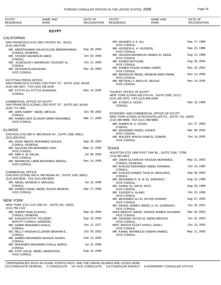| STATE*<br><b>RESIDENCE</b>                                         | NAME AND<br>RANK                                       | DATE OF<br><b>RECOGNITION</b> | STATE*<br><b>RESIDENCE</b>                                      | NAME AND<br><b>RANK</b>                               | DATE OF<br><b>RECOGNITION</b> |
|--------------------------------------------------------------------|--------------------------------------------------------|-------------------------------|-----------------------------------------------------------------|-------------------------------------------------------|-------------------------------|
|                                                                    | <b>EGYPT</b>                                           |                               |                                                                 |                                                       |                               |
| <b>CALIFORNIA</b>                                                  |                                                        |                               |                                                                 |                                                       |                               |
|                                                                    | SAN FRANCISCO (CG) 3001 PACIFIC AV., 94115.            |                               | MR. MOANES A. K. ALI,                                           |                                                       | Sep. 17, 1996                 |
| (415) 346-9700                                                     | MR. ABDERAHMAN SALAH ELDIN ABDERAHMAN,                 | Sep. 29, 2004                 | <b>VICE CONSUL</b><br>MR. HUSSEIN A. H. HUSSEIN,                |                                                       | Sep. 23, 1996                 |
| <b>CONSUL GENERAL</b>                                              |                                                        |                               | <b>VICE CONSUL</b>                                              |                                                       |                               |
| MR. YASSER MAHMOUD ABED,<br><b>CONSUL</b>                          |                                                        | Oct. 04, 2005                 | <b>VICE CONSUL</b>                                              | MR. HASSAN MAHMOUD HAMED EL DEEB,                     | Aug. 12, 1999                 |
|                                                                    | MR. ALDESOUKY MAHMOUD YOUSSEF M.,                      | Oct. 11, 2005                 | MR. AHMED BAYOUMI,<br><b>VICE CONSUL</b>                        |                                                       | Aug. 30, 2004                 |
| <b>CONSUL</b><br>MR. HESHAM ELDAHSHAN,                             |                                                        | Dec. 29, 2004                 |                                                                 | MR. AHMED FOUAD AHMED AMER,                           | Dec. 16, 2004                 |
| <b>VICE CONSUL</b>                                                 |                                                        |                               | <b>VICE CONSUL</b><br><b>VICE CONSUL</b>                        | MR. MANSOUR ABDEL MONEIM AMIN EMAM,                   | Nov. 14, 2005                 |
| <b>EGYPTIAN PRESS OFFICE</b><br>(415) 346-3427, FAX (415) 346-3430 | SAN FRANCISCO (CONA) 1255 POST ST., SUITE 1034, 94109. |                               | <b>VICE CONSUL</b>                                              | MR. METWALLY ABOU EL SEOUD,                           | Nov. 14, 2005                 |
| <b>CONSUL</b>                                                      | MR. ATTIYA ALI ATTIYA SHAKRAN,                         | Nov. 14, 2005                 | TOURIST OFFICE OF EGYPT<br>(212) 332-2570, FAX (212) 956-6439   | NEW YORK (CONA) 630 5TH AV., SUITE 2305, 10111.       |                               |
| <b>COMMERCIAL OFFICE OF EGYPT</b><br>(415) 771-1995                | SAN FRANCISCO (CONA) 1255 POST ST., SUITE 910, 94109.  |                               | MR. AYDEN S. NOUR.<br><b>CONSUL</b>                             |                                                       | Nov. 13, 1998                 |
|                                                                    | MR. AMIN SABRY ABDEL MEGUD,                            | Oct. 09, 2002                 |                                                                 | ECONOMIC AND COMMERCIAL OFFICE OF EGYPT               |                               |
| <b>CONSUL</b>                                                      | MR. AHMED SEIF ELNASR OMAR MOHAMED,                    | Mar. 17, 2006                 | (212) 399-9898, FAX (212) 399-9899                              | NEW YORK (CONA) 10 ROCKEFELLER PZ., SUITE 715, 10020. |                               |
| <b>VICE CONSUL</b>                                                 |                                                        |                               | MR. AHMED M. A. HOSNI,                                          |                                                       | Jun. 27, 2005                 |
| <b>ILLINOIS</b>                                                    |                                                        |                               | <b>CONSUL</b><br>MR. MOHAMED ABDEL KADER,<br><b>VICE CONSUL</b> |                                                       | Mar. 08, 2004                 |
| (312) 828-9162                                                     | CHICAGO (CG) 500 N. MICHIGAN AV., SUITE 1900, 60611.   |                               |                                                                 | MR. WALEED WAGIH SAMI EL ZOMOR,                       | Oct. 14, 2005                 |
| <b>CONSUL GENERAL</b>                                              | MS. HODA ABDOU MOHAMED GOUDA,                          | Sep. 29, 2004                 | <b>VICE CONSUL</b>                                              |                                                       |                               |
|                                                                    | MR. SALAHELDIN MOHAMED ZAKI,                           | May. 11, 2005                 | <b>TEXAS</b>                                                    |                                                       |                               |
| <b>VICE CONSUL</b><br>MR. AMR A. M. HALIM,                         |                                                        | Jul. 08, 2005                 |                                                                 | HOUSTON (CG) 1990 POST OAK BL., SUITE 2180, 77056.    |                               |
| <b>VICE CONSUL</b>                                                 | MR. MAHMOUD LABIB MOHAMED ABDOU,                       | Nov. 14, 2005                 | (713) 961-4915                                                  | MR. OMAR ELFAROUK HASSAN MOHAMED,                     | May. 21, 2003                 |
| <b>VICE CONSUL</b>                                                 |                                                        |                               | <b>CONSUL GENERAL</b>                                           | MR. KHALED MOHAMED ABDEL RAHMAN,                      | Oct. 24, 1995                 |
| <b>COMMERCIAL OFFICE</b>                                           |                                                        |                               | <b>CONSUL</b>                                                   | MR. KHALED AHMED TAHA M. ABOUZEID,                    | Sep. 30, 2003                 |
| (312) 840-9033, FAX (312) 840-9035                                 | CHICAGO (CONA) 500 N. MICHIGAN AV., SUITE 1030, 60611. |                               | <b>CONSUL</b>                                                   | MR. MOHAMED A. N. M. EL SHOHADY,                      | Aug. 12, 1998                 |
|                                                                    | MR. ABDEL MONEIM A. MOUSSA,                            | Jul. 10, 2006                 | <b>VICE CONSUL</b>                                              |                                                       |                               |
| CONSUL                                                             | MR. AHMED FADEL ABDEL RAZEK BEDEWI,                    | Mar. 17, 2006                 | MR. GAMAL EL DIN M. AFIFI,<br><b>VICE CONSUL</b>                |                                                       | Aug. 20, 1998                 |
| <b>VICE CONSUL</b>                                                 |                                                        |                               | MR. YASSER A. ALAMY,<br><b>VICE CONSUL</b>                      |                                                       | Oct. 15, 1999                 |
| <b>NEW YORK</b>                                                    |                                                        |                               | <b>VICE CONSUL</b>                                              | MR. MOHAMED ALI EL SAYED SHARAF,                      | Aug. 07, 2000                 |
| (212) 759-7120                                                     | NEW YORK (CG) 1110 2ND AV., SUITE 201, 10022.          |                               |                                                                 | MS. NAWAL HAMDY ABDEL G. EL GHERIANY,                 | Oct. 05, 2001                 |
| MR. SHERIF RIAD ELKHOLI,                                           |                                                        | Sep. 23, 2004                 | <b>VICE CONSUL</b>                                              | MISS MERVAT ABDEL GAWAD AHMED SOLIMAN,                | Mar. 04, 2003                 |
| <b>CONSUL GENERAL</b><br>MR. KHALED FATHY YOUSSEF,                 |                                                        | Sep. 10, 2004                 | <b>VICE CONSUL</b>                                              | MR. OSSAMA SAYED M. ABDELMEGUID,                      | Oct. 01, 2003                 |
| MR. SAMIR MOHAMED KHALIL,                                          | DEPUTY CONSUL GENERAL                                  | Oct. 11, 1977                 | <b>VICE CONSUL</b>                                              | MRS. MAGDA EZZAT KHALIL GHALI,                        | Oct. 15, 2004                 |
| <b>CONSUL</b>                                                      | MS. NELLY HASSAN ELORABI IBRAHIM E.,                   | Oct. 03, 2002                 | <b>VICE CONSUL</b>                                              | MR. KAMAL MAHMOUD OSMAN HAMED,                        | May. 11, 2005                 |
| <b>CONSUL</b>                                                      | MR. AHMED MOHAMED HASSAN SHASH,                        | Feb. 14, 2005                 | <b>VICE CONSUL</b>                                              |                                                       |                               |
| <b>CONSUL</b><br><b>CONSUL</b>                                     | MR. MOHAMED MOHAMED KHALIL MORSI,                      | Jul. 31, 2006                 |                                                                 |                                                       |                               |
| <b>VICE CONSUL</b>                                                 | MR. ATEF GALAL ABDEL MAWGOOD,                          | Aug. 14, 1996                 |                                                                 |                                                       |                               |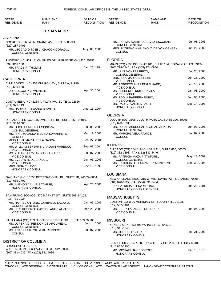| STATE*<br><b>RESIDENCE</b>                | <b>NAME AND</b><br><b>RANK</b>                               | DATE OF<br><b>RECOGNITION</b> | STATE*<br><b>RESIDENCE</b>                                       | <b>NAME AND</b><br><b>RANK</b>                               | DATE OF<br><b>RECOGNITION</b> |
|-------------------------------------------|--------------------------------------------------------------|-------------------------------|------------------------------------------------------------------|--------------------------------------------------------------|-------------------------------|
|                                           | <b>EL SALVADOR</b>                                           |                               |                                                                  |                                                              |                               |
| <b>ARIZONA</b>                            |                                                              |                               |                                                                  |                                                              |                               |
| (520) 287-9405                            | NOGALES (CG) 840 N. GRAND AV., SUITE 3, 85621.               |                               | <b>CONSUL GENERAL</b>                                            | MS. ANA MARGARITA CHAVEZ ESCOBAR,                            | Jul. 01, 2005                 |
| <b>CONSUL GENERAL</b>                     | MR. LEOCADIO JOSE J. CHACON CORADO,                          | May. 03, 2005                 | <b>CONSUL</b>                                                    | MRS. FLORENCIA VILANOVA DE VON OEHSEN,                       | Jun. 22, 2005                 |
|                                           | PHOENIX (HC) 4521 E. CHARLES DR., PARADISE VALLEY 85253.     |                               | <b>FLORIDA</b>                                                   |                                                              |                               |
| $(602)$ 948-4899<br>MR. TRACY R. THOMAS,  |                                                              | Jan. 25, 1984                 | (305) 774-0840, FAX (305) 774-0850                               | MIAMI (CG) 2600 DOUGLAS RD., SUITE 104, CORAL GABLES 33134.  |                               |
| HONORARY CONSUL                           |                                                              |                               | MR. LUIS MONTES BRITO.<br><b>CONSUL GENERAL</b>                  |                                                              | Jul. 26, 2006                 |
| <b>CALIFORNIA</b>                         |                                                              |                               | MRS. ANA MARIA ESERSKI,                                          |                                                              | Jun. 15, 1999                 |
| $(619)$ 585-8883                          | CHULA VISTA (HC) 353 CHURCH AV., SUITE A, 91910.             |                               | <b>VICE CONSUL</b>                                               | MR. ROBERTO ALAS ENGELHARD,                                  | Feb. 16, 2000                 |
| DR. GREGORY J. WIENER,<br>HONORARY CONSUL |                                                              | Apr. 30, 2004                 | <b>VICE CONSUL</b><br>MS. FLORENCE KRIETE AVILA,                 |                                                              | Jan. 08, 2002                 |
|                                           |                                                              |                               | <b>VICE CONSUL</b><br>MS. PAOLA BARRERA RUBIO,                   |                                                              | Jun. 05, 2006                 |
| (714) 979-1190                            | COSTA MESA (HC) 3184 AIRWAY AV., SUITE G, 92626.             |                               | <b>VICE CONSUL</b><br>MR. RAUL J. VALDES FAULI,                  |                                                              | Dec. 14, 1998                 |
| HONORARY CONSUL                           | MR. HARVEY ALEXANDER SMITH,                                  | Aug. 11, 2004                 | HONORARY CONSUL                                                  |                                                              |                               |
|                                           |                                                              |                               | <b>GEORGIA</b>                                                   |                                                              |                               |
| $(213)$ 383-8580                          | LOS ANGELES (CG) 3450 WILSHIRE BL., SUITE 250, 90010.        |                               | (770) 623-8891                                                   | DULUTH (CG) 3505 DULUTH PARK LA., SUITE 320, 30096.          |                               |
| <b>CONSUL GENERAL</b>                     | MR. HUGO HERRERA ESPINOZA,                                   | Jul. 08, 2005                 | <b>CONSUL GENERAL</b>                                            | MR. LUCAS ASDRUBAL AGUILAR ZEPEDA,                           | Jun. 07, 2005                 |
| <b>CONSUL</b>                             | MS. RINA YOLANDA MEDINA NAVARRETE,                           | Mar. 17, 2006                 | MR. MARCIAL VELA RAMOS,<br><b>CONSUL</b>                         |                                                              | Jul. 07, 2005                 |
| <b>VICE CONSUL</b>                        | MISS ANNA MARIA DE LA GASCA,                                 | Feb. 27, 2004                 |                                                                  |                                                              |                               |
| <b>VICE CONSUL</b>                        | MR. WILLIAM BENJAMIN JARQUIN MARENCO,                        | Sep. 07, 2004                 | <b>ILLINOIS</b>                                                  | CHICAGO (CG) 104 S. MICHIGAN AV., SUITE 816, 60603.          |                               |
| <b>VICE CONSUL</b>                        | MS. YOLANDA LYZ ANGULO AGUIRRE,                              | Jul. 07, 2005                 | (312) 332-1393, FAX (312) 332-4446                               | MS. PATRICIA MAZA PITTSFORD.                                 | May. 13, 2002                 |
| MS. EVELYN R. DE CANDEL,<br>VICE CONSUL   |                                                              | Jun. 05, 2006                 | <b>CONSUL GENERAL</b>                                            | MS. PATRICIA H. FERNANDEZ MONTALVO,                          | Dec. 30, 2005                 |
| MRS. GINA C. LEVY,<br>HONORARY CONSUL     |                                                              | Nov. 10, 1999                 | <b>VICE CONSUL</b>                                               |                                                              |                               |
|                                           |                                                              |                               | <b>LOUISIANA</b>                                                 |                                                              |                               |
| (510) 635-1700                            | OAKLAND (HC) 10550 INTERNATIONAL BL., SUITE 2B, 94603--3804. |                               |                                                                  | NEW ORLEANS (HCG) 315 W. WM. DAVID PW., METAIRIE 70005.      |                               |
| HONORARY CONSUL                           | MR. ANTHONY A., JR BATARSE,                                  | Apr. 25, 2006                 | (504) 828-1727, FAX (504) 831-7404<br>DR. PATRICIA ELENA MOLINA, | HONORARY CONSUL GENERAL                                      | Jun. 28, 2001                 |
|                                           | SAN FRANCISCO (CG) 870 MARKET ST., SUITE 508, 94102.         |                               | <b>MASSACHUSETTS</b>                                             |                                                              |                               |
| (415) 781-7924                            | MR. RAFAEL ANTONIO CARBALLO LACAYO,                          | Jan. 06, 2006                 |                                                                  | BOSTON (CON) 20 MERIDIAN ST., FLOOR 4TH, 02128.              |                               |
| <b>CONSUL GENERAL</b>                     | MR. LUIS ROBERTO CASTELLANOS ALVAREZ,                        | Mar. 26, 2003                 | (617) 567-8484                                                   | MR. PEDRO A. ANGEL ORELLANA,                                 | Jun. 05, 2003                 |
| <b>VICE CONSUL</b>                        |                                                              |                               | <b>VICE CONSUL</b>                                               |                                                              |                               |
|                                           | SANTA ANA (CG) 203 N. GOLDEN CIRCLE DR., SUITE 103, 92705.   | Jul. 14, 2005                 | <b>MISSOURI</b>                                                  |                                                              |                               |
| <b>CONSUL GENERAL</b>                     | MS. LORENA D. RENDON DE ARGUMEDO,                            |                               | (816) 941-6648                                                   | KANSAS CITY (HC) 608 W. 101ST TE., 64114.                    |                               |
| <b>CONSUL</b>                             | MS. ANA BESSIE MILLA DE RECINOS,                             | Jul. 07, 2005                 | MR. JOHN H. FISHER,<br>HONORARY CONSUL                           |                                                              | Feb. 21, 2002                 |
| <b>DISTRICT OF COLUMBIA</b>               |                                                              |                               |                                                                  | SAINT LOUIS (HC) 7730 FORSYTH ., SUITE 200, ST. LOUIS 63105. |                               |
| <b>CONSULATE GENERAL</b>                  |                                                              |                               | $(314) 862 - 0300$                                               |                                                              |                               |
| (202) 331-4032, FAX (202) 331-4036        | WASHINGTON (CG) 1724 20TH ST., NW, 20009.                    |                               | MR. MICHAEL JAY BOBROFF,<br><b>HONORARY CONSUL</b>               |                                                              | Oct. 13, 1976                 |
|                                           |                                                              |                               |                                                                  |                                                              |                               |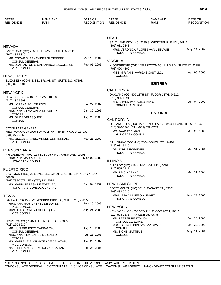| STATE*<br><b>RESIDENCE</b>                       | <b>NAME AND</b><br><b>RANK</b>                                                           | DATE OF<br><b>RECOGNITION</b> | STATE*<br><b>RESIDENCE</b>                                                 | <b>NAME AND</b><br><b>RANK</b>                            | DATE OF<br><b>RECOGNITION</b> |
|--------------------------------------------------|------------------------------------------------------------------------------------------|-------------------------------|----------------------------------------------------------------------------|-----------------------------------------------------------|-------------------------------|
|                                                  |                                                                                          |                               |                                                                            |                                                           |                               |
|                                                  |                                                                                          |                               | <b>UTAH</b>                                                                | SALT LAKE CITY (HC) 2530 S. WEST TEMPLE UN., 84115.       |                               |
| NEVADA                                           |                                                                                          |                               | $(801)$ 631-0843                                                           |                                                           |                               |
| (702) 437-5339                                   | LAS VEGAS (CG) 765 NELLIS AV., SUITE C-5, 89110.                                         |                               | <b>HONORARY CONSUL</b>                                                     | MRS. VERONICA FLORES VAN LEEUWEN,                         | May. 14, 2002                 |
| <b>CONSUL GENERAL</b>                            | MR. OSCAR S. BENAVIDES GUTIERREZ,                                                        | Mar. 10, 2004                 | <b>VIRGINIA</b>                                                            |                                                           |                               |
| <b>VICE CONSUL</b>                               | MR. JUAN ANTONIO SALAMANCA ESCOLERO,                                                     | Feb. 01, 2006                 | (703) 490-4300                                                             | WOODBRIDGE (CG) 14572 POTOMAC MILLS RD., SUITE 12, 22192. |                               |
| NEW JERSEY                                       |                                                                                          |                               | CONSUL                                                                     | MISS MIRIAN E. VARGAS CASTILLO,                           | Apr. 05, 2006                 |
|                                                  | ELIZABETH (CON) 333 N. BROAD ST., SUITE 2&3, 07208.                                      |                               |                                                                            |                                                           |                               |
| $(908)$ 820-0881                                 |                                                                                          |                               |                                                                            | <b>ERITREA</b>                                            |                               |
|                                                  |                                                                                          |                               | <b>CALIFORNIA</b>                                                          |                                                           |                               |
| NEW YORK<br>$(212) 889 - 3608$                   | NEW YORK (CG) 46 PARK AV., 10016.                                                        |                               | $(510)$ 986-1991                                                           | OAKLAND (CG) 409 13TH ST., FLOOR 14TH, 94612.             |                               |
| MS. LORENA SOL DE POOL,<br><b>CONSUL GENERAL</b> |                                                                                          | Jul. 22, 2002                 | MR. AHMED MOHAMED IMAN,<br><b>CONSUL GENERAL</b>                           |                                                           | Jun. 04, 2002                 |
| <b>CONSUL</b>                                    | MRS. ANA VILMA AVILA DE SOLER,                                                           | Jan. 30, 1996                 |                                                                            | <b>ESTONIA</b>                                            |                               |
| MS. GILDA VELASQUEZ,<br><b>CONSUL</b>            |                                                                                          | Aug. 25, 2003                 | <b>CALIFORNIA</b>                                                          |                                                           |                               |
|                                                  |                                                                                          |                               |                                                                            | LOS ANGELES (HC) 5273 TENDILLA AV., WOODLAND HILLS 91364. |                               |
| <b>CONSULATE GENERAL</b><br>$(631)$ 273-1355     | NEW YORK (CG) 1090 SUFFOLK AV., BRENTWOOD 11717.                                         |                               | (818) 340-5766, FAX (805) 552-8733<br>MR. JAAK TREIMAN,<br>HONORARY CONSUL |                                                           | Mar. 26, 1986                 |
| <b>VICE CONSUL</b>                               | MR. OSCAR E. LANDAVERDE CONTRERAS,                                                       | Mar. 21, 2003                 | (415) 931-5420                                                             | SAN FRANCISCO (HC) 2004 GOUGH ST., 94109.                 |                               |
| PENNSYLVANIA                                     |                                                                                          |                               | DR. JOHN NEWMEYER,                                                         |                                                           | Mar. 31, 2004                 |
|                                                  | PHILADELPHIA (HC) 119 BLEDDYN RD., ARDMORE 19003.                                        |                               | HONORARY CONSUL                                                            |                                                           |                               |
| MRS. ANA MARIA KEENE,<br><b>HONORARY CONSUL</b>  |                                                                                          | May. 02, 1983                 | <b>ILLINOIS</b>                                                            |                                                           |                               |
| PUERTO RICO                                      |                                                                                          |                               | (312) 595-2527                                                             | CHICAGO (HC) 410 N. MICHIGAN AV., 60611.                  |                               |
| 00968.                                           | BAYAMON (HCG) 22 GONZALEZ GISUTI ., SUITE 224, GUAYNABO                                  |                               | MR. ERIC HARKNA,<br>HONORARY CONSUL                                        |                                                           | Mar. 31, 2004                 |
| (787) 793-7577, FAX (787) 793-7578               |                                                                                          |                               | <b>NEW HAMPSHIRE</b>                                                       |                                                           |                               |
|                                                  | MS. MARIA TERESA DE ESTEVEZ,<br>HONORARY CONSUL GENERAL                                  | Jun. 04, 1992                 | (603) 433-0929                                                             | PORTSMOUTH (HC) 181 PLEASANT ST., 03801.                  |                               |
| TEXAS                                            |                                                                                          |                               | MRS. IRJA CILLUFFO NURMET,                                                 |                                                           | Nov. 23, 2005                 |
|                                                  | DALLAS (CG) 1555 W. MOCKINGBIRD LA., SUITE 216, 75235.<br>MRS. ANA MARIA PEREZ DE LOPEZ, | Feb. 20, 2003                 | HONORARY CONSUL                                                            |                                                           |                               |
| <b>VICE CONSUL</b>                               | MRS. ALMA LORENA VELASQUEZ,                                                              | Aug. 24, 2005                 | <b>NEW YORK</b>                                                            |                                                           |                               |
| <b>VICE CONSUL</b>                               |                                                                                          |                               | (212) 883-0636, FAX (212) 883-0648<br>MR. PEETER RESTSINSKI,               | NEW YORK (CG) 600 3RD AV., FLOOR 26TH, 10016.             | Jun. 20, 2003                 |
| (713) 270-6239                                   | HOUSTON (CG) 1702 HILLENDAHL BL., 77055.                                                 |                               | CONSUL GENERAL                                                             |                                                           |                               |
| MR. LUIS ERNESTO CARRANZA,                       |                                                                                          | Aug. 15, 2000                 | <b>CONSUL</b>                                                              | MRS. CELIA KUNINGAS SAAGPAKK,                             | Mar. 22, 2002                 |
| <b>CONSUL GENERAL</b>                            | MRS. ANA SILVIA ARCE DE GALLO,                                                           | Jul. 21, 2006                 | MS. SIGNE MATTEUS,<br><b>CONSUL</b>                                        |                                                           | May. 11, 2004                 |
| <b>CONSUL</b>                                    | MS. MARLENE E. ORANTES DE SALAZAR,                                                       | Oct. 26, 1987                 |                                                                            |                                                           |                               |
| <b>VICE CONSUL</b><br><b>VICE CONSUL</b>         | MS. FIDELIA XOCHIL MENJIVAR GAITAN,                                                      | Feb. 28, 2006                 |                                                                            |                                                           |                               |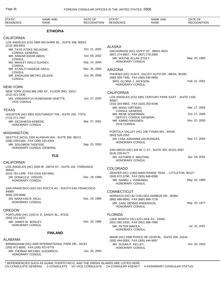| STATE*<br><b>RESIDENCE</b>                                 | <b>NAME AND</b><br><b>RANK</b>                          | DATE OF<br><b>RECOGNITION</b> | STATE*<br><b>RESIDENCE</b>                                                      | <b>NAME AND</b><br><b>RANK</b>                        | DATE OF<br><b>RECOGNITION</b> |
|------------------------------------------------------------|---------------------------------------------------------|-------------------------------|---------------------------------------------------------------------------------|-------------------------------------------------------|-------------------------------|
|                                                            | <b>ETHIOPIA</b>                                         |                               |                                                                                 |                                                       |                               |
| <b>CALIFORNIA</b>                                          |                                                         |                               |                                                                                 |                                                       |                               |
|                                                            | LOS ANGELES (CG) 3460 WILSHIRE BL., SUITE 308, 90010.   |                               |                                                                                 |                                                       |                               |
| $(213)$ 365-6651                                           |                                                         |                               | <b>ALASKA</b>                                                                   |                                                       |                               |
| MR. TAYE ATSKE SELASSIE,<br><b>CONSUL GENERAL</b>          |                                                         | Oct. 21, 2002                 |                                                                                 | ANCHORAGE (HC) 1529 P ST., 99501-4923.                |                               |
| MR. ANWAR KEDIR ABDO,                                      |                                                         | Oct. 09, 2002                 | (907) 274-6607, FAX (907) 279-2060<br>MR. WAYNE ALLAN STOLT,                    |                                                       | May. 25, 1983                 |
| <b>CONSUL</b><br>MS. MAHLET HAILU GUADEY,<br><b>CONSUL</b> |                                                         | Sep. 14, 2004                 | HONORARY CONSUL                                                                 |                                                       |                               |
| MR. ATAKLTI HAGEGE HAILU,                                  |                                                         | Nov. 26, 2004                 | ARIZONA                                                                         |                                                       |                               |
| CONSUL<br><b>CONSUL</b>                                    | MR. ENDALEW METIKU ZELEKE,                              | Jun. 05, 2006                 | (480) 558-7300, FAX (480) 545-0656<br>MRS. GLORIA J. JACKSON,                   | PHOENIX (HC) 4120 E. VALLEY AUTO DR., MESA 85206.     | Feb. 21, 2001                 |
| <b>NEW YORK</b>                                            |                                                         |                               | HONORARY CONSUL                                                                 |                                                       |                               |
|                                                            | NEW YORK (CON) 866 2ND AV., FLOOR 3RD, 10017.           |                               | <b>CALIFORNIA</b>                                                               |                                                       |                               |
| (212) 421-1830                                             | MS. YEMISRATCH HUNEGNAW ISHETTE,                        | Jun. 27, 2002                 |                                                                                 | LOS ANGELES (CG) 1801 CENTURY PARK EAST., SUITE 2100, |                               |
| <b>VICE CONSUL</b>                                         |                                                         |                               | 90067.                                                                          |                                                       |                               |
|                                                            |                                                         |                               | (310) 203-9903, FAX (310) 203-9186<br>MR. MANU VIRTAMO,                         |                                                       | Mar. 17, 2004                 |
| <b>TEXAS</b>                                               |                                                         |                               | <b>CONSUL GENERAL</b>                                                           |                                                       |                               |
| (713) 271-7567                                             | HOUSTON (HC) 9301 SOUTHWEST FW., SUITE 250, 77074.      |                               | MR. RENE SODERMAN,<br>DEPUTY CONSUL GENERAL                                     |                                                       | Oct. 17, 2005                 |
| MR. GEZAHEGN KEBEDE,<br>HONORARY CONSUL                    |                                                         | Mar. 27, 2001                 | MR. KIMMO NIKKINEN,<br><b>VICE CONSUL</b>                                       |                                                       | Nov. 07, 2003                 |
| <b>WASHINGTON</b>                                          |                                                         |                               |                                                                                 | PORTOLA VALLEY (HC) 108 TYNAN WA., 94028.             |                               |
|                                                            | SEATTLE (HCG) 2200 ALASKAN WA., SUITE 300, 98121.       |                               | (650) 529-1052                                                                  | DR. LIISA JOHANNA VALIKANGAS,                         | Sep. 17, 2004                 |
| (206) 239-0184, FAX (206) 224-4344<br>MR. SOLOMON TADESSE, |                                                         | Sep. 23, 2003                 | HONORARY CONSUL                                                                 |                                                       |                               |
|                                                            | HONORARY CONSUL GENERAL                                 |                               |                                                                                 | SAN DIEGO (HC) 444 W. C ST., SUITE 320, 92101-3597.   |                               |
|                                                            |                                                         |                               | (619) 235-9177                                                                  |                                                       |                               |
|                                                            | <b>FIJI</b>                                             |                               | MS. KATHRIN S. MAUTINO,                                                         |                                                       | Apr. 19, 2001                 |
| <b>CALIFORNIA</b>                                          |                                                         |                               | <b>HONORARY CONSUL</b>                                                          |                                                       |                               |
|                                                            | LOS ANGELES (HC) 2050 W. 190TH ST., SUITE 102, TORRANCE |                               | <b>COLORADO</b>                                                                 |                                                       |                               |
| 90504.<br>(310) 781-1299, FAX (310) 544-5801               |                                                         |                               |                                                                                 | DENVER (HC) 11002 MAIN RANGE TRAIL., LITTLETON 80127. |                               |
| DR. DONALD E. VINSON.<br>HONORARY CONSUL                   |                                                         | Dec. 18, 1996                 | (303) 972-3790, FAX (303) 948-8390<br>MR. DANIEL L. KAMUNEN,<br>HONORARY CONSUL |                                                       | May. 03, 1989                 |
|                                                            | SAN FRANCISCO (HC) 521 ROCCA AV., SOUTH SAN FRANCISCO   |                               |                                                                                 |                                                       |                               |
| 94080.<br>$(650)$ 225-0666                                 |                                                         |                               | <b>CONNECTICUT</b>                                                              |                                                       |                               |
| DR. NARAYAN R. RAJU,                                       |                                                         | Dec. 18, 1996                 | (860) 886-8845, FAX (860) 886-7276                                              | NORWICH (HC) 82 CHELSEA HARBOR DR., 06360.            |                               |
| HONORARY CONSUL                                            |                                                         |                               | MR. CARL DENNIS ANDERSON,                                                       |                                                       | May. 25, 1977                 |
| <b>OREGON</b>                                              |                                                         |                               | HONORARY CONSUL                                                                 |                                                       |                               |
|                                                            | PORTLAND (HC) 2153 N. E. SANDY BL., 97232.              |                               | <b>FLORIDA</b>                                                                  |                                                       |                               |
| (503) 231-4222                                             |                                                         |                               |                                                                                 | LAKE WORTH (HC) 523 LAKE AV., 33460.                  |                               |
| MR. JAMES W. BOSLEY,<br>HONORARY CONSUL                    |                                                         | Dec. 18, 1996                 | (561) 582-2335, FAX (561) 586-7996                                              |                                                       |                               |
|                                                            |                                                         |                               | MR. PETER MAKILA,<br><b>HONORARY CONSUL</b>                                     |                                                       | Jul. 31, 2001                 |
|                                                            | <b>FINLAND</b>                                          |                               |                                                                                 |                                                       |                               |
| ALABAMA                                                    |                                                         |                               |                                                                                 | MIAMI (HC) 3399 PONCE DE LEON BL., SUITE 200, 33134.  |                               |
|                                                            | BIRMINGHAM (HC) 2000 INTERNATIONAL PARK DR., 35243.     |                               | (305) 444-0004, FAX (305) 444-9057<br>MS. SUSAN P. KELLEY,                      |                                                       | Oct. 30, 2002                 |
| (205) 972-6655, FAX (205) 972-6779                         |                                                         |                               | HONORARY CONSUL                                                                 |                                                       |                               |
| HONORARY CONSUL                                            | MR. THOMAS MICHAEL GOODRICH,                            | Jun. 26, 2003                 |                                                                                 |                                                       |                               |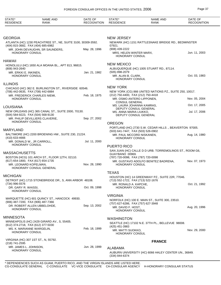| STATE*                                                                | <b>NAME AND</b>                                              | DATE OF            | STATE*                                                | NAME AND                                                | DATE OF            |
|-----------------------------------------------------------------------|--------------------------------------------------------------|--------------------|-------------------------------------------------------|---------------------------------------------------------|--------------------|
| <b>RESIDENCE</b>                                                      | RANK                                                         | <b>RECOGNITION</b> | <b>RESIDENCE</b>                                      | RANK                                                    | <b>RECOGNITION</b> |
|                                                                       |                                                              |                    |                                                       |                                                         |                    |
| <b>GEORGIA</b>                                                        |                                                              |                    | <b>NEW JERSEY</b>                                     |                                                         |                    |
| (404) 815-3682, FAX (404) 685-6982                                    | ATLANTA (HC) 1230 PEACHTREE ST., NE, SUITE 3100, 30309-3592. |                    | 07921.                                                | NEWARK (HC) 1151 RATTLESNAKE BRIDGE RD., BEDMINSTER     |                    |
| MR. JOHN DEVAUGHN, SR SAUNDERS,                                       |                                                              | May. 28, 1996      | (908) 439-2222                                        |                                                         |                    |
| HONORARY CONSUL                                                       |                                                              |                    | MRS. HELEN WINTER MARX,<br><b>HONORARY CONSUL</b>     |                                                         | Jun. 11, 2003      |
| <b>HAWAII</b>                                                         |                                                              |                    |                                                       |                                                         |                    |
| (808) 943-2640                                                        | HONOLULU (HC) 1650 ALA MOANA BL., APT 813, 96815.            |                    | <b>NEW MEXICO</b>                                     | ALBUQUERQUE (HC) 1005 STUART RD., 87114.                |                    |
| MR. ERKKI E. INKINEN,                                                 |                                                              | Jan. 21, 1982      | (505) 898-2079                                        |                                                         |                    |
| HONORARY CONSUL                                                       |                                                              |                    | MR. ALAN B. CLARK,<br><b>HONORARY CONSUL</b>          |                                                         | Oct. 03, 1983      |
| <b>ILLINOIS</b>                                                       |                                                              |                    |                                                       |                                                         |                    |
|                                                                       | CHICAGO (HC) 362 E. BURLINGTON ST., RIVERSIDE 60546.         |                    | <b>NEW YORK</b>                                       |                                                         |                    |
| (708) 442-0635, FAX (708) 442-6884<br>MR. FREDERICK CHARLES NIEMI,    |                                                              | Feb. 18, 1975      | (212) 750-4400, FAX (212) 750-4418                    | NEW YORK (CG) 866 UNITED NATIONS PZ., SUITE 250, 10017. |                    |
| HONORARY CONSUL                                                       |                                                              |                    | MR. OSMO ANTERO LIPPONEN,<br><b>CONSUL GENERAL</b>    |                                                         | Nov. 05, 2004      |
| LOUISIANA                                                             |                                                              |                    | MS. LAURA JOHANNA KAMRAS,                             |                                                         | Oct. 17, 2005      |
|                                                                       | NEW ORLEANS (HC) 365 CANAL ST., SUITE 2000, 70130.           |                    | DEPUTY CONSUL GENERAL<br>MS. ANNA MARIA LIUKKO,       |                                                         | Jul. 17, 2006      |
| (504) 584-9223, FAX (504) 568-9130<br>MR. PHILIP DEVILLIERS CLAVERIE, |                                                              | Sep. 27, 2002      | DEPUTY CONSUL GENERAL                                 |                                                         |                    |
| HONORARY CONSUL                                                       |                                                              |                    | <b>OREGON</b>                                         |                                                         |                    |
| MARYLAND                                                              |                                                              |                    | (503) 641-7447, FAX (503) 526-0902                    | PORTLAND (HC) 2730 S.W. CEDAR HILLS., BEAVERTON 97005.  |                    |
|                                                                       | BALTIMORE (HC) 2200 BROENING HW., SUITE 230, 21224.          |                    | MR. PAUL MCCORD NISKANEN,                             |                                                         | Aug. 14, 1980      |
| (410) 633-4666<br>MR. DONALD W., JR CARROLL,                          |                                                              | Jul. 11, 2000      | HONORARY CONSUL                                       |                                                         |                    |
| <b>HONORARY CONSUL</b>                                                |                                                              |                    | PUERTO RICO                                           |                                                         |                    |
| MASSACHUSETTS                                                         |                                                              |                    |                                                       | SAN JUAN (HC) CALLE D D URB. TORREMOLINOS ST., ROOM G6, |                    |
|                                                                       | BOSTON (HCG) 101 ARCH ST., FLOOR 12TH, 02110.                |                    | GUAYBANO 00969.<br>(787) 720-0098, FAX (787) 720-0098 |                                                         |                    |
| (617) 654-1800, FAX (617) 654-1735<br>MR. LEONARD KOPELMAN,           |                                                              | Nov. 28, 1990      | HONORARY CONSUL                                       | MR. GUSTAVO ADOLFO BENITEZ BADRENA,                     | Nov. 07, 1973      |
| HONORARY CONSUL GENERAL                                               |                                                              |                    |                                                       |                                                         |                    |
| <b>MICHIGAN</b>                                                       |                                                              |                    | <b>TEXAS</b>                                          |                                                         |                    |
|                                                                       | DETROIT (HC) 1715 STONEBRIDGE DR., S, ANN ARBOR 48108.       |                    | (713) 552-1722, FAX (713) 522-1676                    | HOUSTON (HC) 14 GREENWAY PZ., SUITE 22R, 77046.         |                    |
| (734) 996-5576<br>DR. GARY R. WAISSI,                                 |                                                              | Oct. 09, 1998      | MR. RONALD A. KAPCHE,<br>HONORARY CONSUL              |                                                         | Oct. 21, 1992      |
| HONORARY CONSUL                                                       |                                                              |                    |                                                       |                                                         |                    |
|                                                                       | MARQUETTE (HC) 601 QUINCY ST., HANCOCK 49930.                |                    | <b>VIRGINIA</b>                                       |                                                         |                    |
| (906) 487-7200, FAX (906) 487-7366                                    |                                                              |                    | (757) 627-6286, FAX (757) 627-3948                    | NORFOLK (HC) 100 E. MAIN ST., SUITE 300, 23510.         |                    |
| DR. ROBERT ALLEN UBBELOHDE,<br>HONORARY CONSUL                        |                                                              | Sep. 13, 2002      | MR. DAVID F. HOST,<br><b>HONORARY CONSUL</b>          |                                                         | Aug. 20, 1996      |
|                                                                       |                                                              |                    |                                                       |                                                         |                    |
| MINNESOTA<br>MINNEAPOLIS (HC) 2429 GIRARD AV., S, 55405.              |                                                              |                    | <b>WASHINGTON</b>                                     |                                                         |                    |
| (612) 374-2718, FAX (612) 377-5030                                    |                                                              |                    | (425) 451-3983                                        | SEATTLE (HC) 17102 N.E. 37TH PL., BELLEVUE 98008.       |                    |
| MS. K. MARIANNE WARGELIN,<br>HONORARY CONSUL                          |                                                              | Feb. 18, 1999      | MR. MATTI SUOKKO,<br>HONORARY CONSUL                  |                                                         | Nov. 29, 2000      |
|                                                                       |                                                              |                    |                                                       |                                                         |                    |
| VIRGINIA (HC) 307 1ST ST., N, 55792.<br>(218) 741-2595                |                                                              |                    |                                                       | <b>FRANCE</b>                                           |                    |
| MR. JAMES L. JOHNSON,<br>HONORARY CONSUL                              |                                                              | Jun. 28, 1999      | ALABAMA                                               |                                                         |                    |
|                                                                       |                                                              |                    | (334) 844-6374                                        | AUBURN UNIVERSITY (HC) 6066 HALEY CENTER UN., 36849.    |                    |
|                                                                       |                                                              |                    |                                                       |                                                         |                    |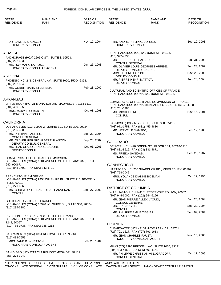| STATE*<br><b>RESIDENCE</b>                                       | <b>NAME AND</b><br><b>RANK</b>                                                                            | DATE OF<br><b>RECOGNITION</b> | STATE*<br><b>RESIDENCE</b>                                                | <b>NAME AND</b><br><b>RANK</b>                                                         | DATE OF<br><b>RECOGNITION</b>  |
|------------------------------------------------------------------|-----------------------------------------------------------------------------------------------------------|-------------------------------|---------------------------------------------------------------------------|----------------------------------------------------------------------------------------|--------------------------------|
|                                                                  |                                                                                                           |                               |                                                                           |                                                                                        |                                |
| DR. SAMIA I. SPENCER,<br>HONORARY CONSUL                         |                                                                                                           | Nov. 19, 2004                 | MR. ANDRE PHILIPPE BORDES.<br>HONORARY CONSUL                             |                                                                                        | Sep. 10, 2003                  |
| <b>ALASKA</b>                                                    | ANCHORAGE (HCA) 2606 C ST., SUITE 3, 99503.                                                               |                               | (415) 397-4330                                                            | SAN FRANCISCO (CG) 540 BUSH ST., 94108.                                                |                                |
| (907) 222-6232                                                   |                                                                                                           |                               | MR. FREDERIC DESAGNEAUX,<br><b>CONSUL GENERAL</b>                         |                                                                                        | Jul. 31, 2003                  |
| MR. ROY MARC LA ROSE,                                            | HONORARY CONSULAR AGENT                                                                                   | Jun. 26, 2003                 | DEPUTY CONSUL GENERAL                                                     | MR. OLIVIER LOUIS GEORGES ARRIBE,                                                      | Sep. 23, 2002                  |
| ARIZONA                                                          |                                                                                                           |                               | MRS. HELENE LAROSE,<br>DEPUTY CONSUL                                      |                                                                                        | Nov. 20, 2003                  |
| (602) 262-5846                                                   | PHOENIX (HC) 2 N. CENTRAL AV., SUITE 1600, 85004-2393.                                                    |                               | MR. PIERRE HENRI MATTOT,<br>DEPUTY CONSUL                                 |                                                                                        | Sep. 24, 2004                  |
| MR. GERRIT MARK STEENBLIK,<br><b>HONORARY CONSUL</b>             |                                                                                                           | Feb. 23, 2000                 |                                                                           | CULTURAL AND SCIENTIFIC OFFICES OF FRANCE<br>SAN FRANCISCO (CONA) 540 BUSH ST., 94108. |                                |
| <b>ARKANSAS</b>                                                  |                                                                                                           |                               |                                                                           | COMMERCIAL OFFICE TRADE COMMISSION OF FRANCE                                           |                                |
| $(501)$ 450-1350                                                 | LITTLE ROCK (HC) 21 MONARCH DR., MAUMELLE 72113-6112.                                                     |                               | (415) 781-0986                                                            | SAN FRANCISCO (CONA) 88 KEARNY ST., SUITE 1510, 94108.                                 |                                |
| MRS. MARY LOU MARTIN,<br>HONORARY CONSUL                         |                                                                                                           | Oct. 08, 1998                 | MR. MICHEL PINET,<br><b>CONSUL</b>                                        |                                                                                        | Nov. 16, 2001                  |
| <b>CALIFORNIA</b>                                                |                                                                                                           |                               |                                                                           | SAN JOSE (HC) 2 N. 2ND ST., SUITE 300, 95113.                                          |                                |
|                                                                  | LOS ANGELES (CG) 10990 WILSHIRE BL., SUITE 300, 90024.                                                    |                               | (408) 971-1751, FAX (831) 459-4880                                        |                                                                                        |                                |
| (310) 235-3200<br>MR. PHILIPPE LARRIEU,<br><b>CONSUL GENERAL</b> |                                                                                                           | Sep. 29, 2004                 | MR. HERVE LE MANSEC,<br>HONORARY CONSUL                                   |                                                                                        | Feb. 12, 1985                  |
|                                                                  | MR. OLIVIER GERARD ALBERT PLANCON,                                                                        | Sep. 23, 2002                 | <b>COLORADO</b>                                                           |                                                                                        |                                |
| DEPUTY CONSUL                                                    | DEPUTY CONSUL GENERAL<br>MR. JEAN CLAUDE ANDRE CADORET,                                                   | Oct. 06, 2003                 | (303) 831-8616, FAX (303) 831-4871                                        | DENVER (HC) 1420 OGDEN ST., FLOOR 1ST, 80218-1910.                                     |                                |
|                                                                  | COMMERCIAL OFFICE TRADE COMMISSION                                                                        |                               | MS. FRIEDA SANIDAS,<br>HONORARY CONSUL                                    |                                                                                        | Sep. 25, 1987                  |
| 940, 90067.                                                      | LOS ANGELES (CONA) 1801 AVENUE OF THE STARS UN., SUITE                                                    |                               | <b>CONNECTICUT</b>                                                        |                                                                                        |                                |
| (310) 843-1700, FAX (310) 843-1701                               |                                                                                                           |                               | (203) 758-2042                                                            | HARTFORD (HC) 250 SHADDUCK RD., MIDDLEBURY 06762.                                      |                                |
| <b>FRENCH TOURISM OFFICE</b><br><b>HILLS 90212.</b>              | LOS ANGELES (CONA) 9454 WILSHIRE BL., SUITE 210, BEVERLY                                                  |                               | MRS. YOLANDE DIANNE BOSMAN,<br><b>HONORARY CONSUL</b>                     |                                                                                        | Oct. 12, 1995                  |
| (310) 271-6665                                                   | MR. CHRISTOPHE FRANCOIS C. CARVENANT,                                                                     | Sep. 27, 2002                 | <b>DISTRICT OF COLUMBIA</b>                                               |                                                                                        |                                |
| <b>CONSUL</b>                                                    |                                                                                                           |                               | (202) 944-6000, FAX (202) 944-6166                                        | WASHINGTON (CHN) 4101 RESERVOIR RD., NW, 20007.                                        |                                |
| <b>CULTURAL DIVISION OF FRANCE</b>                               | LOS ANGELES (CONA) 10990 WILSHIRE BL., SUITE 300, 90024.                                                  |                               | MR. JEAN PIERRE ALLEX LYOUDI,<br><b>CONSUL GENERAL</b><br>MR. ERIC NAVEL, |                                                                                        | Jan. 28, 2004<br>Sep. 30, 2004 |
| (310) 235-3280                                                   |                                                                                                           |                               | <b>CONSUL</b><br>MR. PHILIPPE EMILE TISSIER,                              |                                                                                        | Sep. 09, 2004                  |
| 1248, 90067.                                                     | <b>INVEST IN FRANCE AGENCY OFFICE OF FRANCE</b><br>LOS ANGELES (CONA) 1801 AVENUE OF THE STARS UN., SUITE |                               | DEPUTY CONSUL                                                             |                                                                                        |                                |
| (310) 785-9735, FAX (310) 785-9213                               |                                                                                                           |                               | <b>FLORIDA</b>                                                            | CLEARWATER (HCA) 3158 HYDE PARK DR., 33761.                                            |                                |
| $(916)$ 488-7659                                                 | SACRAMENTO (HCA) 1831 ROCKWOOD DR., 95864.                                                                |                               | (727) 791-1617, FAX (727) 791-1613<br>MR. JEAN CHARLES FAUST,             |                                                                                        | Nov. 10, 2003                  |
| MRS. JANE R. WHEATON,                                            | HONORARY CONSULAR AGENT                                                                                   | Feb. 28, 1984                 |                                                                           | HONORARY CONSULAR AGENT                                                                |                                |
|                                                                  |                                                                                                           |                               | (305) 403-4150, FAX (305) 403-4151                                        | MIAMI (CG) 1395 BRICKELL AV., SUITE 1050, 33131.                                       |                                |
| (858) 273-3940                                                   | SAN DIEGO (HC) 3219 CLAIREMONT MESA DR., 92117.                                                           |                               | <b>CONSUL GENERAL</b>                                                     | MR. PHILIPPE CHRISTIAN VINOGRADOFF,                                                    | Oct. 17, 2005                  |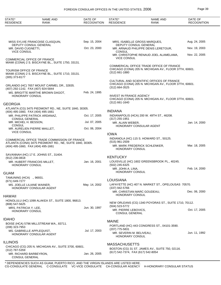## FOREIGN CONSULAR OFFICES IN THE UNITED STATES, 2006 **Page 39** Page 39

| STATE*<br><b>RESIDENCE</b>                          | NAME AND<br>RANK                                                          | DATE OF<br><b>RECOGNITION</b> | STATE*<br><b>RESIDENCE</b>                                      | NAME AND<br><b>RANK</b>                                                                             | DATE OF<br><b>RECOGNITION</b> |
|-----------------------------------------------------|---------------------------------------------------------------------------|-------------------------------|-----------------------------------------------------------------|-----------------------------------------------------------------------------------------------------|-------------------------------|
|                                                     |                                                                           |                               |                                                                 |                                                                                                     |                               |
|                                                     | MISS SYLVIE FRANCOISE CLASQUIN,                                           | Sep. 15, 2004                 |                                                                 | MRS. ISABELLE GROSS MARQUES,                                                                        | Aug. 24, 2005                 |
| MR. DAVID CUGNETTI,<br><b>VICE CONSUL</b>           | DEPUTY CONSUL GENERAL                                                     | Oct. 23, 2000                 | DEPUTY CONSUL GENERAL<br><b>CONSUL</b>                          | MR. ARNAUD PHILIPPE DENIS LERETOUR,                                                                 | Nov. 19, 2003                 |
|                                                     |                                                                           |                               | <b>VICE CONSUL</b>                                              | MR. CHRISTOPHE RENAUD JOEL ALAMELAMA,                                                               | Nov. 22, 2005                 |
| <b>COMMERCIAL OFFICE OF FRANCE</b>                  | MIAMI (CONA) 2 S. BISCAYNE BL., SUITE 1750, 33131.                        |                               |                                                                 |                                                                                                     |                               |
| <b>TOURISM OFFICE OF FRANCE</b><br>$(305)$ 373-8177 | MIAMI (CONA) 2 S. BISCAYNE BL., SUITE 1710, 33131.                        |                               | $(312)$ 661-1880                                                | COMMERICAL OFFICE TRADE OFFICE OF FRANCE<br>CHICAGO (CONA) 205 N. MICHIGAN AV., FLOOR 37TH, 60601.  |                               |
|                                                     | ORLANDO (HC) 7657 MOUNT CARMEL DR., 32835.                                |                               | (312) 664-3525                                                  | CULTURAL AND SCIENTIFIC OFFICES OF FRANCE<br>CHICAGO (CONA) 205 N. MICHIGAN AV., FLOOR 37TH, 60601. |                               |
| (407) 292-1142, FAX (407) 924-5844                  | MS. BRIGITTE MARTHE BROWN DAGOT.                                          | Feb. 24, 1995                 |                                                                 |                                                                                                     |                               |
| HONORARY CONSUL                                     |                                                                           |                               | <b>INVEST IN FRANCE AGENCY</b><br>$(312)$ 661-1640              | CHICAGO (CONA) 205 N. MICHIGAN AV., FLOOR 37TH, 60601.                                              |                               |
| <b>GEORGIA</b>                                      | ATLANTA (CG) 3475 PIEDMONT RD., NE, SUITE 1840, 30305.                    |                               |                                                                 |                                                                                                     |                               |
| (404) 495-1660, FAX (404) 495-1661                  | MR. PHILIPPE PATRICK ARDANAZ,                                             | Oct. 17, 2005                 | <b>INDIANA</b>                                                  | INDIANAPOLIS (HCA) 200 W. 49TH ST., 46208.                                                          |                               |
| <b>CONSUL GENERAL</b>                               |                                                                           |                               | $(317)$ 255-1951                                                |                                                                                                     |                               |
| MR. MICHEL H. BESSON,<br><b>CONSUL</b>              |                                                                           | Jul. 07, 2005                 | MR. ALAIN WEBER,                                                | HONORARY CONSULAR AGENT                                                                             | Jan. 14, 2000                 |
| <b>VICE CONSUL</b>                                  | MR. AURELIEN PIERRE MAILLET,                                              | Oct. 06, 2004                 | <b>IOWA</b>                                                     |                                                                                                     |                               |
|                                                     | COMMERCIAL OFFICE TRADE COMMISSION OF FRANCE                              |                               |                                                                 | INDIANOLA (HC) 115 S. HOWARD ST., 50125.                                                            |                               |
| (404) 495-1660, FAX (404) 495-1661                  | ATLANTA (CONA) 3475 PIEDMONT RD., NE, SUITE 1840, 30305.                  |                               | (515) 961-2509<br>HONORARY CONSUL                               | MR. MARK FREDERICK SCHLENKER,                                                                       | Mar. 18, 2005                 |
| (912) 236-0818                                      | SAVANNAH (HC) 17 E. JOHNS ST., 31404.                                     |                               | <b>KENTUCKY</b>                                                 |                                                                                                     |                               |
| HONORARY CONSUL                                     | MR. HUBERT FRANCOIS MILLET,                                               | Jan. 16, 2001                 | (502) 245-6325                                                  | LOUISVILLE (HC) 1602 GREENSBROOK PL., 40245.                                                        |                               |
| <b>GUAM</b>                                         |                                                                           |                               | MR. JOHN A. LINA,<br><b>HONORARY CONSUL</b>                     |                                                                                                     | Feb. 14, 2000                 |
| TAMUNING (HCA) ., 96931.                            |                                                                           |                               |                                                                 |                                                                                                     |                               |
| (671) 649-7277<br>MS. JOELLE LILIANE WAINER,        |                                                                           | May. 14, 2002                 | LOUISIANA                                                       | LAFAYETTE (HC) 407 N. MARKET ST., OPELOUSAS 70570.                                                  |                               |
|                                                     | <b>HONORARY CONSULAR AGENT</b>                                            |                               | $(337)$ 942-5766<br>MR. CHRISTIAN MARC GOUDEAU,                 |                                                                                                     | Dec. 06, 2000                 |
| <b>HAWAII</b>                                       |                                                                           |                               | <b>HONORARY CONSUL</b>                                          |                                                                                                     |                               |
| (808) 547-5625                                      | HONOLULU (HC) 1099 ALAKEA ST., SUITE 1800, 96813.                         |                               |                                                                 | NEW ORLEANS (CG) 1340 POYDRAS ST., SUITE 1710, 70112.                                               |                               |
| MRS. PATRICIA Y. LEE,<br><b>HONORARY CONSUL</b>     |                                                                           | Jun. 30, 1997                 | (504) 523-5772<br>MR. PIERRE LEBOVICS,<br><b>CONSUL GENERAL</b> |                                                                                                     | Oct. 17, 2005                 |
| <b>IDAHO</b>                                        |                                                                           |                               |                                                                 |                                                                                                     |                               |
|                                                     | BOISE (HCA) 5796 MILLSTREAM WA., 83711.                                   |                               | <b>MAINE</b>                                                    |                                                                                                     |                               |
| (208) 323-7953<br>MS. GABRIELLE APPLEQUIST,         |                                                                           | Jul. 17, 2003                 | $(207)$ 775-5831                                                | PORTLAND (HC) 443 CONGRESS ST., 04101-3590.                                                         |                               |
|                                                     | HONORARY CONSULAR AGENT                                                   |                               | MR. SEVERIN M. BELIVEAU,<br><b>HONORARY CONSUL</b>              |                                                                                                     | Jun. 11, 1992                 |
| <b>ILLINOIS</b>                                     |                                                                           |                               | <b>MASSACHUSETTS</b>                                            |                                                                                                     |                               |
| (312) 787-5359                                      | CHICAGO (CG) 205 N. MICHIGAN AV., SUITE 3700, 60601.                      |                               |                                                                 | BOSTON (CG) 31 ST. JAMES AV., SUITE 750, 02116.                                                     |                               |
| MR. RICHARD BARBEYRON,<br><b>CONSUL GENERAL</b>     |                                                                           | Jan. 26, 2005                 | (617) 542-7374, FAX (617) 542-8054                              |                                                                                                     |                               |
|                                                     | BERENDENOIEO QUOU AO QUAM BUERTO RIOO, AND TUE VIRONUOLANDO ARE UOTER UER |                               |                                                                 |                                                                                                     |                               |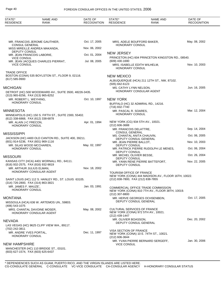| STATE*<br><b>RESIDENCE</b>                                     | <b>NAME AND</b><br><b>RANK</b>                         | DATE OF<br>RECOGNITION | STATE*<br><b>RESIDENCE</b>                           | NAME AND<br>RANK                                                                      | DATE OF<br><b>RECOGNITION</b> |
|----------------------------------------------------------------|--------------------------------------------------------|------------------------|------------------------------------------------------|---------------------------------------------------------------------------------------|-------------------------------|
|                                                                |                                                        |                        |                                                      |                                                                                       |                               |
| <b>CONSUL GENERAL</b>                                          | MR. FRANCOIS JEROME GAUTHIER,                          | Oct. 17, 2005          | HONORARY CONSUL                                      | MRS. ADELE BOUFFORD BAKER,                                                            | May. 08, 2002                 |
|                                                                | MISS MIREILLE ANDREA MAKANDA,                          | Nov. 06, 2002          |                                                      |                                                                                       |                               |
| DEPUTY CONSUL<br>MR. JEAN FRANCOIS LABORIE,                    |                                                        | Oct. 01, 2004          | <b>NEW JERSEY</b>                                    |                                                                                       |                               |
| <b>VICE CONSUL</b>                                             |                                                        |                        |                                                      | PRINCETON (HC) 604 PRINCETON KINGSTON RD., 08540.                                     |                               |
| <b>VICE CONSUL</b>                                             | MR. JEAN JACQUES CHARLES PIERRAT,                      | Jul. 08, 2005          | (609) 430-1690<br>HONORARY CONSUL                    | MRS. ISABELLE EDITH WILHELM,                                                          | Nov. 10, 2003                 |
| <b>TRADE OFFICE</b><br>$(617)$ 585-9900                        | BOSTON (CONA) 535 BOYLSTON ST., FLOOR 9, 02116.        |                        | <b>NEW MEXICO</b><br>(505) 842-6123                  | ALBUQUERQUE (HCA) 211 12TH ST., NW, 87102.                                            |                               |
| <b>MICHIGAN</b>                                                |                                                        |                        | MS. CATHY LYNN NELSON,                               |                                                                                       | Jun. 16, 2005                 |
| (313) 965-8256, FAX (313) 965-8252                             | DETROIT (HC) 500 WOODWARD AV., SUITE 3500, 48226-3435. |                        |                                                      | HONORARY CONSULAR AGENT                                                               |                               |
| MR. ROBERT L. WEYHING,<br><b>HONORARY CONSUL</b>               |                                                        | Oct. 10, 1997          | <b>NEW YORK</b><br>(716) 832-7740                    | BUFFALO (HC) 32 ADMIRAL RD., 14216.                                                   |                               |
| <b>MINNESOTA</b>                                               |                                                        |                        | MR. PASCAL R. SOARES,                                |                                                                                       | Mar. 12, 2004                 |
| (612) 338-6868, FAX (612) 338-6878                             | MINNEAPOLIS (HC) 150 S. FIFTH ST., SUITE 2300, 55402.  |                        | HONORARY CONSUL                                      |                                                                                       |                               |
| MR. ALAIN J-C FRECON,                                          |                                                        | Apr. 01, 1994          |                                                      | NEW YORK (CG) 934 5TH AV., 10021.                                                     |                               |
| HONORARY CONSUL                                                |                                                        |                        | $(212)$ 606-3688<br>MR. FRANCOIS DELATTRE,           |                                                                                       | Sep. 14, 2004                 |
| <b>MISSISSIPPI</b>                                             |                                                        |                        | <b>CONSUL GENERAL</b><br>MS. CHANTAL ANITA CHAUVIN,  |                                                                                       | Oct. 06, 2005                 |
|                                                                | JACKSON (HC) 4400 OLD CANTON RD., SUITE 400, 39211.    |                        |                                                      | DEPUTY CONSUL GENERAL                                                                 |                               |
| (601) 914-5236, FAX (601) 969-1116<br>MR. SILAS WOOD MCCHAREN, |                                                        | May. 02, 1997          | MR. JEAN PIERRE BALLOT,<br>DEPUTY CONSUL             |                                                                                       | Nov. 10, 2003                 |
| HONORARY CONSUL                                                |                                                        |                        | DEPUTY CONSUL                                        | MR. PATRICK PIERRE RUDOLPH LE MENES,                                                  | Oct. 06, 2004                 |
| <b>MISSOURI</b>                                                |                                                        |                        | MR. MICHEL OLIVIER BESSE,                            |                                                                                       | Oct. 26, 2004                 |
|                                                                | KANSAS CITY (HCA) 4401 WORNALL RD., 64111.             |                        | DEPUTY CONSUL                                        | MR. YANN RENE PIERRE BATTEFORT,                                                       | Nov. 22, 2005                 |
| (816) 932-2575, FAX (816) 932-9819                             |                                                        |                        | DEPUTY CONSUL                                        |                                                                                       |                               |
| MR. ARTHUR JULIUS ELMAN,                                       | HONORARY CONSULAR AGENT                                | Nov. 18, 2002          |                                                      |                                                                                       |                               |
|                                                                |                                                        |                        | TOURISM OFFICE OF FRANCE                             | NEW YORK (CONA) 444 MADISON AV., FLOOR 16TH, 10022.                                   |                               |
| (314) 726-2800, FAX (314) 863-3821                             | SAINT LOUIS (HC) 112 S. HANLEY RD., ST. LOUIS 63105.   |                        | (212) 838-7800, FAX (212) 838-7855                   |                                                                                       |                               |
| MR. JAMES F. MAUZE',<br><b>HONORARY CONSUL</b>                 |                                                        | Jan. 03, 1991          | (212) 307-8800                                       | COMMERCIAL OFFICE TRADE COMMISSION<br>NEW YORK (CONA) 810 7TH AV., FLOOR 38TH, 10019. |                               |
| <b>MONTANA</b>                                                 |                                                        |                        |                                                      | MR. HERVE GEORGES OCHSENBEIN,                                                         | Oct. 17, 2005                 |
| (406) 543-1075                                                 | MISSOULA (HCA) 636 W. ARTEMOS UN., 59803.              |                        |                                                      | DEPUTY CONSUL GENERAL                                                                 |                               |
|                                                                | MRS. CHANTAL DAVOINE MOSER,<br>HONORARY CONSULAR AGENT | May. 08, 2002          | <b>CULTURAL SERVICES OF FRANCE</b><br>(212) 439-1447 | NEW YORK (CONA) 972 5TH AV., 10021.                                                   |                               |
| <b>NEVADA</b>                                                  |                                                        |                        | MR. OLIVIER BOASSON,                                 | DEPUTY CONSUL GENERAL                                                                 | Dec. 20, 2002                 |
| (702) 242-3811                                                 | LAS VEGAS (HC) 9625 CLIFF VIEW WA., 89117.             |                        |                                                      |                                                                                       |                               |
| MR. ANDRE YVES PORTAL,<br><b>HONORARY CONSUL</b>               |                                                        | Dec. 11, 1997          | VISA SECTION OF FRANCE<br>(212) 606-3644             | NEW YORK (CONA) 10 E. 74TH ST., 10021.                                                |                               |
| <b>NEW HAMPSHIRE</b>                                           |                                                        |                        | <b>VICE CONSUL</b>                                   | MR. YVAN PIERRE BERNARD SERGEFF,                                                      | Jan. 30, 2006                 |
| (603) 627-1574, FAX (603) 625-6437                             | MANCHESTER (HC) 110 BRIDGE ST., 03101.                 |                        |                                                      |                                                                                       |                               |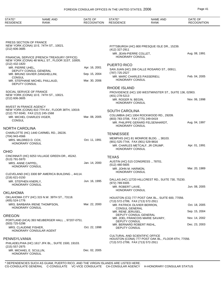| <b>NAME AND</b><br>STATE*<br><b>RESIDENCE</b><br>RANK                                         | DATE OF<br><b>RECOGNITION</b> | STATE*<br><b>RESIDENCE</b>                            | NAME AND<br>RANK                                                                            | DATE OF<br><b>RECOGNITION</b> |
|-----------------------------------------------------------------------------------------------|-------------------------------|-------------------------------------------------------|---------------------------------------------------------------------------------------------|-------------------------------|
|                                                                                               |                               |                                                       |                                                                                             |                               |
| PRESS SECTION OF FRANCE                                                                       |                               |                                                       |                                                                                             |                               |
| NEW YORK (CONA) 10 E. 74TH ST., 10021.<br>(212) 606-3685                                      |                               | (412) 327-2911                                        | PITTSBURGH (HC) 800 PRESQUE ISLE DR., 15239.                                                |                               |
| FINANCIAL SERVICE (FRENCH TREASURY OFFICE)<br>NEW YORK (CONA) 48 WALL ST., FLOOR 31ST, 10005. |                               | MR. JEAN-PIERRE COLLET,<br>HONORARY CONSUL            |                                                                                             | Aug. 08, 1991                 |
| (212) 432-1820<br>MR. PIERRE UHEL.                                                            | Apr. 16, 2001                 | <b>PUERTO RICO</b>                                    |                                                                                             |                               |
| DEPUTY CONSUL GENERAL                                                                         |                               | (787) 725-2527                                        | SAN JUAN (HC) 206 CALLE ROSARIO ST., 00911.                                                 |                               |
| MR. BRUNO XAVIER ZANGHELLINI,<br><b>CONSUL</b>                                                | Sep. 15, 2004                 |                                                       | MR. MARC CHARLES PASSERIEU,                                                                 | Feb. 04, 2005                 |
| MR. STEPHANE MICHEL PAILLAUD,<br>DEPUTY CONSUL                                                | Mar. 30, 2006                 | HONORARY CONSUL                                       |                                                                                             |                               |
| SOCIAL SERVICE OF FRANCE                                                                      |                               | <b>RHODE ISLAND</b>                                   | PROVIDENCE (HC) 100 WESTMINSTER ST., SUITE 136, 02903.                                      |                               |
| NEW YORK (CONA) 10 E. 74TH ST., 10021.<br>$(212)$ 606-3605                                    |                               | (401) 278-5213                                        |                                                                                             |                               |
| <b>INVEST IN FRANCE AGENCY</b>                                                                |                               | MR. ROGER N. BEGIN,<br>HONORARY CONSUL                |                                                                                             | Nov. 06, 1998                 |
| NEW YORK (CONA) 810 7TH AV., FLOOR 38TH, 10019.                                               |                               | <b>SOUTH CAROLINA</b>                                 |                                                                                             |                               |
| (212) 757-9340, FAX (212) 245-1568<br>MR. MICHEL CHARLES VIGER,                               | Mar. 08, 2005                 |                                                       | COLUMBIA (HC) 1004 ROCKWOOD RD., 29209.                                                     |                               |
| <b>CONSUL</b>                                                                                 |                               | (803) 783-3708, FAX (775) 249-0419<br>HONORARY CONSUL | MR. PHILIPPE GERARD FELSENHARDT,                                                            | Aug. 04, 1997                 |
| <b>NORTH CAROLINA</b>                                                                         |                               |                                                       |                                                                                             |                               |
| CHARLOTTE (HC) 1440 CARMEL RD., 28226.<br>(704) 943-4566                                      |                               | <b>TENNESSEE</b>                                      | MEMPHIS (HC) 81 MONROE BLDG. ., 38103.                                                      |                               |
| MRS. MILDRED D. COX.<br>HONORARY CONSUL                                                       | Oct. 11, 1991                 | (901) 525-7744, FAX (901) 529-9816                    | MR. CHARLES METCALF, JR CRUMP,                                                              | Apr. 01, 1991                 |
| <b>OHIO</b>                                                                                   |                               | HONORARY CONSUL                                       |                                                                                             |                               |
| CINCINNATI (HC) 9253 VILLAGE GREEN DR., 45242.<br>(513) 791-5970                              |                               | <b>TEXAS</b>                                          |                                                                                             |                               |
| MRS. ANNE CAPPEL.<br>HONORARY CONSUL                                                          | Jan. 14, 2000                 | (512) 480-5605<br>MR. JOHN M. HARMON,                 | AUSTIN (HC) 515 CONGRESS., 78701.                                                           | Mar. 20, 1989                 |
| CLEVELAND (HC) 3300 BP AMERICA BUILDING., 44114.<br>$(216)$ 621-0150                          |                               | HONORARY CONSUL                                       |                                                                                             |                               |
| MR. STEPHEN KNERLY,                                                                           | Jun. 16, 1995                 | (972) 789-9305                                        | DALLAS (HC) 12720 HILLCREST RD., SUITE 730, 75230.                                          |                               |
| HONORARY CONSUL                                                                               |                               | MR. ROBERT LAVIE,<br>HONORARY CONSUL                  |                                                                                             | Jun. 08, 2005                 |
| OKLAHOMA<br>OKLAHOMA CITY (HC) 315 N.W. 39TH ST., 73118.                                      |                               |                                                       |                                                                                             |                               |
| (405) 524-1776                                                                                |                               | (713) 572-2799, FAX (713) 572-2911                    | HOUSTON (CG) 777 POST OAK BL., SUITE 600, 77056.                                            |                               |
| MRS. BARBARA IRENE THOMPSON,<br>HONORARY CONSUL                                               | Mar. 22, 2000                 |                                                       | MR. PATRICK OLIVIER BERRON,                                                                 | Oct. 18, 2005                 |
|                                                                                               |                               | <b>CONSUL GENERAL</b><br>MR. RENE JERUSEL,            |                                                                                             | Sep. 15, 2004                 |
| <b>OREGON</b>                                                                                 |                               |                                                       | DEPUTY CONSUL GENERAL<br>MR. JOEL FRANCOIS MARIE SAVARY,                                    | Nov. 14, 2002                 |
| PORTLAND (HCA) 393 NEUBERGER HALL ., 97207-0751.<br>(503) 725-5298                            |                               | DEPUTY CONSUL<br>MR. BERNARD ROBERT RIEHL,            |                                                                                             | Dec. 23, 2003                 |
| MRS. CLAUDINE FISHER,<br>HONORARY CONSULAR AGENT                                              | Oct. 22, 1998                 | DEPUTY CONSUL                                         |                                                                                             |                               |
| PENNSYLVANIA                                                                                  |                               |                                                       | <b>CULTURAL AND SCIENTIFIC OFFICE</b><br>HOUSTON (CONA) 777 POST OAK BL., FLOOR 6TH, 77056. |                               |
| PHILADELPHIA (HC) 1617 JFK BL., SUITE 1500, 19103.<br>(215) 557-2975                          |                               | (713) 572-2799, FAX (713) 572-2911                    |                                                                                             |                               |
| MR. MICHAEL E. SCULLIN,<br>HONORARY CONSUL                                                    | Dec. 02, 2005                 |                                                       |                                                                                             |                               |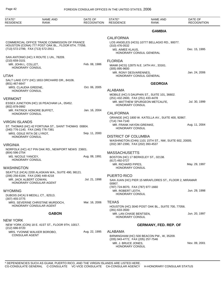| STATE*<br><b>RESIDENCE</b>                                                                                                               | <b>NAME AND</b><br><b>RANK</b>                              | DATE OF<br><b>RECOGNITION</b> | STATE*<br><b>RESIDENCE</b>                                                              | <b>NAME AND</b><br>RANK                                                        | DATE OF<br><b>RECOGNITION</b> |
|------------------------------------------------------------------------------------------------------------------------------------------|-------------------------------------------------------------|-------------------------------|-----------------------------------------------------------------------------------------|--------------------------------------------------------------------------------|-------------------------------|
|                                                                                                                                          |                                                             |                               |                                                                                         | <b>GAMBIA</b>                                                                  |                               |
| COMMERCIAL OFFICE TRADE COMMISSION OF FRANCE<br>HOUSTON (CONA) 777 POST OAK BL., FLOOR 6TH, 77056.<br>(713) 572-2799, FAX (713) 572-2911 |                                                             |                               | <b>CALIFORNIA</b><br>$(310)$ 476-0532<br>MS. AIMEE KLAUS,                               | LOS ANGELES (HCG) 10777 BELLAGIO RD., 90077.<br>HONORARY CONSUL GENERAL        | Dec. 15, 1995                 |
| (210) 659-3101<br>MR. JOHN L. COLLET,<br><b>HONORARY CONSUL</b>                                                                          | SAN ANTONIO (HC) X ROUTE 1 UN., 78209.                      | Feb. 08, 1986                 | <b>FLORIDA</b><br>$(305)$ 895-9600                                                      | MIAMI (HCG) 12875 N.E. 14TH AV., 33161.                                        |                               |
|                                                                                                                                          |                                                             |                               | MR. RONY DESVARENNES,                                                                   |                                                                                | Jan. 24, 2006                 |
| <b>UTAH</b><br>(801) 467-6647                                                                                                            | SALT LAKE CITY (HC) 1653 ORCHARD DR., 84106.                |                               |                                                                                         | HONORARY CONSUL GENERAL<br><b>GEORGIA</b>                                      |                               |
| MRS. CLAUDIA GREENE,                                                                                                                     |                                                             | Oct. 06, 2005                 | ALABAMA                                                                                 |                                                                                |                               |
| HONORARY CONSUL<br><b>VERMONT</b><br>(802) 878-0992                                                                                      | ESSEX JUNCTION (HC) 16 PEACHAM LA., 05452.                  |                               | (251) 432-2600, FAX (251) 433-4478<br><b>HONORARY CONSUL</b>                            | MOBILE (HC) 5 DAUPHIN ST., SUITE 101, 36602.<br>MR. MATTHEW SPURGEON METCALFE. | Jul. 30, 1999                 |
| MR. PATRICK HONORE BUFFET,<br>HONORARY CONSUL                                                                                            |                                                             | Jan. 16, 2004                 | <b>CALIFORNIA</b>                                                                       | ORANGE (HC) 1800 W. KATELLA AV., SUITE 400, 92867.                             |                               |
| <b>VIRGIN ISLANDS</b><br>(340) 776-1140, FAX (340) 776-7381                                                                              | ST. THOMAS (HC) 42 FORTUNA ST., SAINT THOMAS 00804.         |                               | (714) 744-7140<br>MR. FRANK HAYDN GREINKE,<br>HONORARY CONSUL                           |                                                                                | Aug. 11, 2004                 |
| MRS. ODILE RITA DE LYROT,<br><b>HONORARY CONSUL</b>                                                                                      |                                                             | Sep. 11, 2000                 | <b>DISTRICT OF COLUMBIA</b>                                                             | WASHINGTON (CHN) 1101 15TH ST., NW, SUITE 602, 20005.                          |                               |
| <b>VIRGINIA</b>                                                                                                                          |                                                             |                               | (202) 387-2390, FAX (202) 393-4537                                                      |                                                                                |                               |
| (804) 596-2754                                                                                                                           | NORFOLK (HC) 417 PIN OAK RD., NEWPORT NEWS 23601.           |                               | <b>MASSACHUSETTS</b>                                                                    |                                                                                |                               |
| MS. NICOLE YANCEY,<br><b>HONORARY CONSUL</b>                                                                                             |                                                             | Aug. 08, 1991                 | BOSTON (HC) 17 BERKELEY ST., 02138.<br>(617) 492-0727                                   |                                                                                |                               |
| <b>WASHINGTON</b>                                                                                                                        |                                                             |                               | MR. RICHARD PIPES.<br>HONORARY CONSUL                                                   |                                                                                | May. 29, 1997                 |
| (206) 256-6184, FAX (206) 448-4218                                                                                                       | SEATTLE (HCA) 2200 ALASKAN WA., SUITE 490, 98121.           |                               | PUERTO RICO                                                                             |                                                                                |                               |
| MR. JACK ALBERT COWAN,                                                                                                                   | HONORARY CONSULAR AGENT                                     | Jul. 21, 1998                 | 00907.                                                                                  | SAN JUAN (HC) PIER 15 MIRAFLORES ST., FLOOR 2, MIRAMAR                         |                               |
| <b>WYOMING</b><br>DUBOIS (HCA) 9 MEDILL CT., 82513.<br>$(307)$ 455-3775                                                                  |                                                             |                               | (787) 724-8070, FAX (787) 977-1660<br>MR. ROBERT LEITH,<br>HONORARY CONSUL              |                                                                                | Jun. 29, 1998                 |
|                                                                                                                                          | MRS. SEVERINE CHRISTINE MURDOCH,<br>HONORARY CONSULAR AGENT | Mar. 16, 2006                 | <b>TEXAS</b><br>$(281)$ 633-3500                                                        | HOUSTON (HC) 3040 POST OAK BL., SUITE 700, 77056.                              |                               |
|                                                                                                                                          | <b>GABON</b>                                                |                               | MR. LAN CHASE BENTSEN,<br><b>HONORARY CONSUL</b>                                        |                                                                                | Jun. 20, 1997                 |
| <b>NEW YORK</b>                                                                                                                          |                                                             |                               |                                                                                         |                                                                                |                               |
| (212) 686-9720                                                                                                                           | NEW YORK (CON) 18 E. 41ST ST., FLOOR 9TH, 10017.            |                               |                                                                                         | <b>GERMANY, FED. REP. OF</b>                                                   |                               |
| <b>CONSULAR AGENT</b>                                                                                                                    | MRS. YVONNE WALKER BOROBO,                                  | Aug. 22, 1995                 | ALABAMA<br>(205) 943-4772, FAX (205) 257-7546<br>MR. J. BRUCE JONES,<br>HONORARY CONSUL | BIRMINGHAM (HC) 500 BEACON PW., W, 35209.                                      | Nov. 09, 2001                 |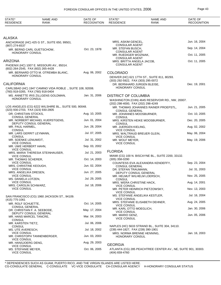| STATE*<br><b>RESIDENCE</b>                                      | <b>NAME AND</b><br><b>RANK</b>                           | DATE OF<br><b>RECOGNITION</b> | STATE*<br><b>RESIDENCE</b>                                  | NAME AND<br><b>RANK</b>                                      | DATE OF<br><b>RECOGNITION</b> |
|-----------------------------------------------------------------|----------------------------------------------------------|-------------------------------|-------------------------------------------------------------|--------------------------------------------------------------|-------------------------------|
|                                                                 |                                                          |                               |                                                             |                                                              |                               |
| ALASKA                                                          |                                                          |                               |                                                             |                                                              |                               |
|                                                                 | ANCHORAGE (HC) 425 G ST., SUITE 650, 99501.              |                               | MRS. ASKIM GENCEL,<br><b>CONSULAR AGENT</b>                 |                                                              | Jun. 16, 2004                 |
| (907) 274-6537<br>MR. BERND CARL GUETSCHOW,                     |                                                          | Oct. 23, 1978                 | MR. STEFAN BUSCH,                                           |                                                              | Sep. 14, 2004                 |
| HONORARY CONSUL                                                 |                                                          |                               | <b>CONSULAR AGENT</b><br>MR. RUEDIGER WOZNIAK,              |                                                              | Oct. 11, 2005                 |
| ARIZONA                                                         |                                                          |                               | <b>CONSULAR AGENT</b><br>MRS. BRITTA ANGELA JACOB,          |                                                              | Oct. 11, 2005                 |
| (602) 264-2545, FAX (602) 265-4428                              | PHOENIX (HC) 1007 E. MISSOURI AV., 85014.                |                               | <b>CONSULAR AGENT</b>                                       |                                                              |                               |
|                                                                 | MR. BERNARD OTTO M. OTREMBA BLANC,                       | Aug. 06, 2002                 | <b>COLORADO</b>                                             |                                                              |                               |
| HONORARY CONSUL                                                 |                                                          |                               | (303) 292-5922, FAX (303) 295-0072                          | DENVER (HC) 621 17TH ST., SUITE 811, 80293.                  |                               |
| CALIFORNIA                                                      |                                                          |                               |                                                             | DR. BERNHARD JURGEN BLEISE,                                  | Dec. 19, 2001                 |
|                                                                 | CARLSBAD (HC) 1947 CAMINO VIDA ROBLE., SUITE 108, 92008. |                               | HONORARY CONSUL                                             |                                                              |                               |
| (760) 918-0265, FAX (760) 918-0404                              | MS. ANNETTE IRIS ZILLGENS GOLDMAN,                       | Jan. 31, 2006                 | <b>DISTRICT OF COLUMBIA</b>                                 |                                                              |                               |
| <b>HONORARY CONSUL</b>                                          |                                                          |                               | (202) 298-4000, FAX (202) 298-4249                          | WASHINGTON (CHN) 4645 RESERVOIR RD., NW, 20007.              |                               |
| (323) 930-2703, FAX (323) 930-2805                              | LOS ANGELES (CG) 6222 WILSHIRE BL., SUITE 500, 90048.    |                               |                                                             | MR. THOMAS JOHANNES RAINER PROEPSTL,                         | Jun. 21, 2005                 |
| DR. CHRISTIAN STOCKS,                                           |                                                          | Aug. 10, 2005                 | <b>CONSUL GENERAL</b><br>MR. JOHANNES MOOSBURNER,           |                                                              | Oct. 10, 2005                 |
| <b>CONSUL GENERAL</b><br>DEPUTY CONSUL GENERAL                  | MR. NORBERT MICHAEL KUERSTGENS,                          | Jun. 01, 2004                 | <b>CONSUL</b><br><b>CONSUL</b>                              | MRS. KIRSTEN HEIKE MOOSBURNER,                               | Dec. 20, 2005                 |
| MR. PAUL HARMEL,                                                |                                                          | Jun. 28, 2004                 | MR. JUERGEN KIELING,                                        |                                                              | Aug. 02, 2002                 |
| <b>CONSUL</b><br>MR. LARS GERRIT LEYMANN,                       |                                                          | Jul. 07, 2005                 | <b>VICE CONSUL</b>                                          | MRS. WALTRAUD BREUER GLEIN,                                  | May. 06, 2004                 |
| <b>CONSUL</b><br>MR. SOENKE LENUWEIT,<br><b>VICE CONSUL</b>     |                                                          | Jul. 31, 2002                 | <b>VICE CONSUL</b><br>MR. WOLF MEYER,<br><b>VICE CONSUL</b> |                                                              | May. 19, 2006                 |
| MR. UWE HERBERT HAHN,                                           |                                                          | Sep. 03, 2002                 |                                                             |                                                              |                               |
| <b>VICE CONSUL</b>                                              | MRS. MARIA THERESIA STEINHAUSER,                         | Jul. 21, 2003                 | <b>FLORIDA</b>                                              |                                                              |                               |
| <b>VICE CONSUL</b><br>MR. THOMAS SCHERER,                       |                                                          | Oct. 14, 2003                 | (305) 358-0290                                              | MIAMI (CG) 100 N. BISCAYNE BL., SUITE 2200, 33132.           |                               |
| <b>VICE CONSUL</b><br>MRS. CHRISTINE KEOUGH,                    |                                                          | Jun. 02, 2004                 | <b>CONSUL GENERAL</b>                                       | COUNTESS EVA ALEXANDRA KENDEFFY,                             | Sep. 23, 2004                 |
| <b>VICE CONSUL</b>                                              |                                                          |                               | DR. STEFAN TRAUMANN,                                        |                                                              | Jul. 31, 2003                 |
| MRS. ANGELIKA DRESEN,<br><b>VICE CONSUL</b>                     |                                                          | Jun. 27, 2005                 |                                                             | DEPUTY CONSUL GENERAL<br>MR. HELMUT WILHELM LOERSCH,         | Nov. 25, 2005                 |
| MS. DANIELA LOTZEN,<br><b>VICE CONSUL</b>                       |                                                          | Jul. 29, 2005                 | <b>CONSUL</b><br>MRS. WERA CHRISTINE HACK,                  |                                                              | Aug. 14, 2001                 |
| MRS. CAROLIN SCHWARZ,<br><b>VICE CONSUL</b>                     |                                                          | Jul. 18, 2006                 | <b>VICE CONSUL</b>                                          | MR. PETER HEINRICH PIETZOWSKY,                               | Nov. 13, 2003                 |
|                                                                 | SAN FRANCISCO (CG) 1960 JACKSON ST., 94109.              |                               | <b>VICE CONSUL</b>                                          | MS. STEFANIE ANGELIKA KESTLER,                               | Jul. 16, 2004                 |
| (415) 775-1061                                                  |                                                          |                               | <b>VICE CONSUL</b>                                          | MRS. STEFANIE ELISABETH DEHNER,                              | Aug. 24, 2005                 |
| MR. ROLF SCHUETTE,<br><b>CONSUL GENERAL</b>                     |                                                          | Oct. 14, 2005                 | <b>VICE CONSUL</b>                                          |                                                              | Jan. 30, 2006                 |
| DR. CHRISTIAN F. A. SEEBODE,<br>DEPUTY CONSUL GENERAL           |                                                          | May. 17, 2004                 | MR. KARL OTTO MOEGLICH,<br><b>VICE CONSUL</b>               |                                                              |                               |
| MR. HANS MARCEL TANCRE,<br>CONSUL                               |                                                          | Mar. 04, 2003                 | MR. MARIO GENZ,<br><b>VICE CONSUL</b>                       |                                                              | Jun. 05, 2006                 |
| MR. KARSTEN TIETZ,<br><b>CONSUL</b>                             |                                                          | Jul. 06, 2006                 |                                                             | NAPLES (HC) 5633 STRAND BL., SUITE 304, 34110.               |                               |
| MS. UTE AVERESCH,<br><b>VICE CONSUL</b>                         |                                                          | Jul. 18, 2002                 | (239) 444-1827, FAX (239) 390-1901                          | MRS. NORMA BRENNE HENNING,                                   | Jan. 16, 2003                 |
| <b>VICE CONSUL</b>                                              | MR. CHRISTOPH TANNENBERGER,                              | Jun. 03, 2003                 | HONORARY CONSUL                                             |                                                              |                               |
| MR. HANSJOERG DENG,                                             |                                                          | Aug. 29, 2003                 | <b>GEORGIA</b>                                              |                                                              |                               |
| <b>VICE CONSUL</b><br>MS. STEFANIE MEYER,<br><b>VICE CONSUL</b> |                                                          | Oct. 06, 2005                 | (404) 659-4760                                              | ATLANTA (CG) 285 PEACHTREE CENTER AV., NE, SUITE 901, 30303. |                               |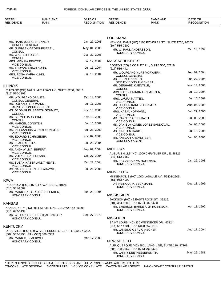| STATE*<br><b>RESIDENCE</b>                       | <b>NAME AND</b><br><b>RANK</b>                           | DATE OF<br><b>RECOGNITION</b> | STATE*<br><b>RESIDENCE</b>                                       | <b>NAME AND</b><br><b>RANK</b>                        | DATE OF<br><b>RECOGNITION</b> |
|--------------------------------------------------|----------------------------------------------------------|-------------------------------|------------------------------------------------------------------|-------------------------------------------------------|-------------------------------|
|                                                  |                                                          |                               |                                                                  |                                                       |                               |
|                                                  |                                                          |                               | <b>LOUISIANA</b>                                                 |                                                       |                               |
| MR. HANS JOERG BRUNNER,<br><b>CONSUL GENERAL</b> |                                                          | Jan. 27, 2003                 | $(504)$ 585-7500                                                 | NEW ORLEANS (HC) 1100 POYDRAS ST., SUITE 1700, 70163. |                               |
| MR. JUERGEN GEORG FRIESEL,<br><b>CONSUL</b>      |                                                          | May. 01, 2003                 | MR. W. PAUL ANDERSSON,                                           |                                                       | Oct. 18, 1999                 |
| MR. WALTER TOBIES,                               |                                                          | Dec. 30, 2005                 | HONORARY CONSUL                                                  |                                                       |                               |
| <b>CONSUL</b><br>MRS. MONIKA REUTER,             |                                                          | Jul. 12, 2004                 | <b>MASSACHUSETTS</b>                                             |                                                       |                               |
| <b>VICE CONSUL</b><br>MR. THOMAS ERICH KUHN,     |                                                          | Jul. 16, 2004                 | (617) 536-4414                                                   | BOSTON (CG) 3 COPLEY PL., SUITE 500, 02116.           |                               |
| <b>VICE CONSUL</b><br>MRS. ROSA MARIA KUHN,      |                                                          | Jul. 16, 2004                 | <b>CONSUL GENERAL</b>                                            | MR. WOLFGANG KURT VORWERK,                            | Sep. 09, 2004                 |
| <b>VICE CONSUL</b>                               |                                                          |                               | MR. BERND RINNERT,                                               | DEPUTY CONSUL GENERAL                                 | Jun. 27, 2005                 |
| <b>ILLINOIS</b>                                  |                                                          |                               | MR. GERHARD KUENTZLE,                                            |                                                       | Nov. 14, 2003                 |
| $(312)$ 580-1199                                 | CHICAGO (CG) 676 N. MICHIGAN AV., SUITE 3200, 60611.     |                               | <b>CONSUL</b>                                                    | MRS. KARIN BRINKMANN MELZER,                          | Jul. 12, 2004                 |
| MR. WOLFGANG DRAUTZ,                             |                                                          | Oct. 14, 2005                 | <b>CONSUL</b><br>MRS. LAURA MATTEN,                              |                                                       | Jul. 15, 2002                 |
| <b>CONSUL GENERAL</b><br>MR. ROLAND HERRMANN,    |                                                          | Jul. 11, 2006                 | <b>VICE CONSUL</b><br>MR. LUEDER KARL VOLCKMER,                  |                                                       | Aug. 05, 2003                 |
|                                                  | DEPUTY CONSUL GENERAL<br>MS. DAGMAR ELISABETH SCHMIDT,   | Nov. 10, 2003                 | <b>VICE CONSUL</b><br>MRS. KATJA HOFMANN,                        |                                                       | Jun. 27, 2005                 |
| <b>CONSUL</b><br>MR. BERND HAUSDORF,             |                                                          | Nov. 19, 2003                 | <b>VICE CONSUL</b>                                               |                                                       | Jul. 06, 2006                 |
| <b>CONSUL</b><br>MR. MARCEL CONSTEN,             |                                                          | Jul. 10, 2002                 | MR. RAYNER APPELRATH,<br><b>VICE CONSUL</b>                      |                                                       |                               |
| <b>VICE CONSUL</b>                               | MS. ALEXANDRA WENDT CONSTEN,                             | Jul. 22, 2002                 | <b>VICE CONSUL</b>                                               | MS. DANIELA AGNES LOPEZ SANDOVAL,                     | Jul. 06, 2006                 |
| <b>VICE CONSUL</b>                               |                                                          |                               | MS. KIRSTEN HARDT,<br><b>VICE CONSUL</b>                         |                                                       | Jul. 18, 2006                 |
| MR. EDUARD SCHROEDER,<br><b>VICE CONSUL</b>      |                                                          | Nov. 07, 2003                 | MR. ANSGAR KREMNITZER,<br><b>CONSULAR AGENT</b>                  |                                                       | Jun. 05, 2006                 |
| MR. KLAUS STEITZ,<br><b>VICE CONSUL</b>          |                                                          | Jul. 28, 2004                 |                                                                  |                                                       |                               |
| MS. ANJA WILMA SEIFERT,<br><b>VICE CONSUL</b>    |                                                          | Sep. 02, 2004                 | <b>MICHIGAN</b>                                                  |                                                       |                               |
| MR. VOLKER HABERLANDT,<br><b>VICE CONSUL</b>     |                                                          | Oct. 27, 2004                 | (248) 512-3352                                                   | AUBURN HILLS (HC) 1000 CHRYSLER DR., E, 48326.        |                               |
| <b>VICE CONSUL</b>                               | MS. SUSAN HABERLANDT NEVISI,                             | Oct. 27, 2004                 | MR. FREDERICK W. HOFFMAN,<br>HONORARY CONSUL                     |                                                       | Jan. 22, 2003                 |
|                                                  | MS. NADINE DOERTHE LAHAYNE,                              | Jul. 26, 2006                 |                                                                  |                                                       |                               |
| <b>VICE CONSUL</b>                               |                                                          |                               | <b>MINNESOTA</b>                                                 | MINNEAPOLIS (HC) 1000 LASALLE AV., 55403-2205.        |                               |
| IOWA                                             |                                                          |                               | (651) 962-4000                                                   |                                                       |                               |
| $(515)$ 961-2509                                 | INDIANOLA (HC) 115 S. HOWARD ST., 50125.                 |                               | DR. HEINO A. P. BECKMANN,<br><b>HONORARY CONSUL</b>              |                                                       | Dec. 18, 1996                 |
| HONORARY CONSUL                                  | MR. MARK FREDERICK SCHLENKER,                            | Jun. 29, 1994                 | <b>MISSISSIPPI</b>                                               |                                                       |                               |
|                                                  |                                                          |                               |                                                                  | JACKSON (HC) 49 EASTBROOK ST., 39216.                 |                               |
| KANSAS                                           |                                                          |                               | (601) 354-8283, FAX (601) 982-0608                               | MR. EMERSON BARNEY, JR ROBINSON,                      | Apr. 18, 1990                 |
| (913) 642-5134                                   | KANSAS CITY (HC) 8014 STATE LINE., LEAWOOD 66208.        |                               | <b>HONORARY CONSUL</b>                                           |                                                       |                               |
| <b>HONORARY CONSUL</b>                           | MR. WILLARD BREIDENTHAL SNYDER,                          | Sep. 27, 1972                 | <b>MISSOURI</b>                                                  |                                                       |                               |
|                                                  |                                                          |                               |                                                                  | SAINT LOUIS (HC) 330 WENNEKER DR., 63124.             |                               |
| KENTUCKY                                         | LOUISVILLE (HC) 500 W. JEFFERSON ST., SUITE 2500, 40202. |                               | (314) 567-4601, FAX (314) 567-1101<br>MR. LANSING GERVIG HECKER, |                                                       | Aug. 17, 2004                 |
| (502) 562-7296, FAX (502) 589-0309               |                                                          |                               | <b>HONORARY CONSUL</b>                                           |                                                       |                               |
| MR. MARK C. BLACKWELL,<br>HONORARY CONSUL        |                                                          | Mar. 17, 2003                 | <b>NEW MEXICO</b>                                                |                                                       |                               |
|                                                  |                                                          |                               | (505) 798-2567, FAX (505) 796-9601                               | ALBUQUERQUE (HC) 4801 LANG., NE, SUITE 110, 87109.    |                               |
|                                                  |                                                          |                               | MR. LANNY DEE MESSERSMITH,<br>HONORARY CONSUL                    |                                                       | May. 29, 1981                 |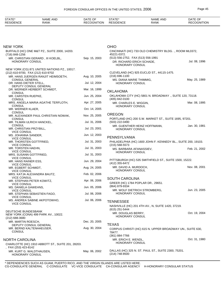| <b>STATE</b><br>0 T A T L<br>OF<br>AND<br>AND<br>NAME<br>DAIE<br><b>NAML</b><br>,,,,,<br>SIDENCE<br>RANK<br>MCT<br>RANK<br><b>RESID</b><br>RF<br>חכ<br>HON<br>∹N⊭ | $\sim$ $\sim$<br>DATE<br>HON<br>۰NH |
|-------------------------------------------------------------------------------------------------------------------------------------------------------------------|-------------------------------------|
|-------------------------------------------------------------------------------------------------------------------------------------------------------------------|-------------------------------------|

| NEW YORK                                                                  |               | <b>OHIO</b>                                                                               |               |
|---------------------------------------------------------------------------|---------------|-------------------------------------------------------------------------------------------|---------------|
| BUFFALO (HC) ONE M&T PZ., SUITE 2000, 14203.<br>(716) 848-1256            |               | CINCINNATI (HC) 733 OLD CHEMISTRY BLDG. ., ROOM ML0372,<br>45221-0372.                    |               |
| MR. CHRISTIAN GERARD, III KOELBL,<br>HONORARY CONSUL                      | Sep. 15, 2003 | (513) 556-2752, FAX (513) 556-1991<br>DR. RICHARD ERICH SCHADE,<br><b>HONORARY CONSUL</b> | Jul. 08, 1996 |
| NEW YORK (CG) 871 UNITED NATIONS PZ., 10017.                              |               |                                                                                           |               |
| (212) 610-9700, FAX (212) 610-9702                                        | Aug. 10, 2005 | CLEVELAND (HC) 925 EUCLID ST., 44115-1475.<br>(216) 696-1100                              |               |
| MR. HANS JUERGEN RANJIT HEIMSOETH,<br><b>CONSUL GENERAL</b>               |               | MS. DIANA MARIE THIMMIG,                                                                  | May. 25, 1989 |
| DR. HANS DIETER STELL,<br>DEPUTY CONSUL GENERAL                           | Jul. 12, 2004 | <b>HONORARY CONSUL</b>                                                                    |               |
| DR. WERNER HERBERT SCHMIDT,                                               | Mar. 16, 1999 | <b>OKLAHOMA</b>                                                                           |               |
| <b>CONSUL</b><br>MR. CARSTEN RUEPKE,<br><b>CONSUL</b>                     | Jun. 25, 2004 | OKLAHOMA CITY (HC) 5801 N. BROADWAY., SUITE 120, 73118.<br>(405) 842-0100                 |               |
| MRS. ANGELA MARIA AGATHE TERFLOTH,<br><b>CONSUL</b>                       | Apr. 27, 2005 | MR. CHARLES E. WIGGIN,<br><b>HONORARY CONSUL</b>                                          | Mar. 08, 1995 |
| MR. WERNER KLAER,                                                         | Oct. 14, 2005 |                                                                                           |               |
| <b>CONSUL</b><br>MR. ALEXANDER PAUL CHRISTIAN NOWAK,                      | Nov. 25, 2005 | <b>OREGON</b>                                                                             |               |
| <b>CONSUL</b>                                                             |               | PORTLAND (HC) 200 S.W. MARKET ST., SUITE 1695, 97201.                                     |               |
| MR. TILMAN ULRICH HANCKEL,                                                | Jul. 31, 2006 | (503) 222-0490                                                                            |               |
| <b>CONSUL</b><br>MR. CHRISTIAN PRZYBILL,<br><b>VICE CONSUL</b>            | Jul. 23, 2001 | MR. GUENTHER HEINZ HOFFMANN,<br><b>HONORARY CONSUL</b>                                    | Jan. 30, 1981 |
| MS. JOHANNA SANDER,                                                       | Jun. 12, 2003 |                                                                                           |               |
| <b>VICE CONSUL</b><br>MR. THORSTEN GOTTFRIED,                             | Jul. 31, 2003 | PENNSYLVANIA<br>PHILADELPHIA (HC) 1600 JOHN F. KENNEDY BL., SUITE 200, 19103.             |               |
| <b>VICE CONSUL</b><br>MR. TORSTEN HAEHN,                                  | Jul. 31, 2003 | $(215) 568 - 5573$<br>MS. BARBARA AFANASSIEV,                                             | Feb. 21, 2002 |
| <b>VICE CONSUL</b><br>MRS. SUSANN GOTTFRIED,                              | Jul. 31, 2003 | <b>HONORARY CONSUL</b>                                                                    |               |
| <b>VICE CONSUL</b><br>MR. HANS RAINER ESS,                                | Jun. 29, 2004 | PITTSBURGH (HC) 535 SMITHFIELD ST., SUITE 1500, 15222.<br>(412) 355-6472                  |               |
| <b>VICE CONSUL</b><br>MR. EGBERT SCHMIDT,                                 | Aug. 24, 2005 | MR. DAVID A. MURDOCH,<br>HONORARY CONSUL                                                  | Nov. 08, 2001 |
| <b>VICE CONSUL</b><br>MRS. KATJA ALEXANDRA BAUTZ,                         | Feb. 02, 2006 |                                                                                           |               |
| <b>VICE CONSUL</b><br>MR. STEPHAN PETER KOWITZ,                           | Apr. 06, 2006 | <b>SOUTH CAROLINA</b>                                                                     |               |
| <b>VICE CONSUL</b>                                                        |               | GREER (HC) 1784 POPLAR DR., 29651.                                                        |               |
| MS. DANIELA GAWEHNS,                                                      | Jun. 05, 2006 | (864) 879-9334<br>MR. WOLF DIETRICH STROMBERG,                                            | Jun. 23, 2005 |
| <b>VICE CONSUL</b><br>MR. STEPHAN SEBASTIEN FAGO,                         | Jul. 06, 2006 | HONORARY CONSUL                                                                           |               |
| <b>VICE CONSUL</b>                                                        |               |                                                                                           |               |
| MS. ANDREA SABINE AKPOTOWHO,<br><b>VICE CONSUL</b>                        | Jul. 06, 2006 | <b>TENNESSEE</b>                                                                          |               |
|                                                                           |               | NASHVILLE (HC) 201 4TH AV., N, SUITE 1420, 37219.                                         |               |
| DEUTSCHE BUNDESBANK                                                       |               | (615) 251-5444                                                                            |               |
| NEW YORK (CONA) 499 PARK AV., 10022.                                      |               | MR. DOUGLAS BERRY,<br><b>HONORARY CONSUL</b>                                              | Oct. 19, 2004 |
| $(212)$ 688-3680                                                          | Dec. 20, 2005 |                                                                                           |               |
| MR. MARTIN ROESCH,<br>DEPUTY CONSUL GENERAL                               |               | <b>TEXAS</b>                                                                              |               |
| MR. BERND KALTENHAEUSER,<br><b>CONSUL</b>                                 | Aug. 30, 2004 | CORPUS CHRISTI (HC) 615 N. UPPER BROADWAY UN., SUITE 630,<br>78477.                       |               |
|                                                                           |               | (361) 884-7766                                                                            |               |
| NORTH CAROLINA                                                            |               | MR. ERICH E. WENDL,<br><b>HONORARY CONSUL</b>                                             | Oct. 31, 1980 |
| CHARLOTTE (HC) 1910 ABBOTT ST., SUITE 201, 28203.<br>, FAX (253) 423-8142 |               | DALLAS (HC) 325 N. ST. PAUL ST., SUITE 2300, 75201.                                       |               |
| MR. KURT G. WALDTHAUSEN,<br>HONORARY CONSUL                               | May. 06, 2002 | $(214) 748 - 8500$                                                                        |               |
|                                                                           |               |                                                                                           |               |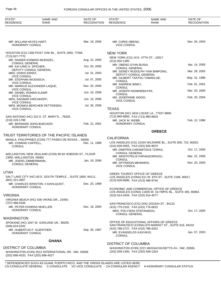## Page 46 FOREIGN CONSULAR OFFICES IN THE UNITED STATES, 2006

| STATE*<br><b>RESIDENCE</b>                          | <b>NAME AND</b><br>RANK                                                                           | DATE OF<br><b>RECOGNITION</b> | STATE*<br><b>RESIDENCE</b>                                      | NAME AND<br><b>RANK</b>                                                                                | DATE OF<br><b>RECOGNITION</b> |
|-----------------------------------------------------|---------------------------------------------------------------------------------------------------|-------------------------------|-----------------------------------------------------------------|--------------------------------------------------------------------------------------------------------|-------------------------------|
|                                                     |                                                                                                   |                               |                                                                 |                                                                                                        |                               |
| MR. WILLIAM HAYES HART,<br>HONORARY CONSUL          |                                                                                                   | Mar. 16, 2006                 | MR. CHRIS OBENG,<br><b>VICE CONSUL</b>                          |                                                                                                        | Nov. 04, 2004                 |
| (713) 627-7770                                      | HOUSTON (CG) 1300 POST OAK BL., SUITE 1850, 77056.                                                |                               | <b>NEW YORK</b>                                                 |                                                                                                        |                               |
| MR. RAINER KONRAD MUENZEL,                          |                                                                                                   | Aug. 22, 2005                 | (212) 832-1300                                                  | NEW YORK (CG) 19 E. 47TH ST., 10017.                                                                   |                               |
| <b>CONSUL GENERAL</b><br>MR. KAI UWE H. SPICHER,    |                                                                                                   | Oct. 03, 2005                 | MR. OBENG GYAN BUSIA,<br><b>CONSUL GENERAL</b>                  |                                                                                                        | Apr. 14, 2005                 |
| MRS. DORIS ERNST,                                   | DEPUTY CONSUL GENERAL                                                                             | Jul. 31, 2003                 | DEPUTY CONSUL GENERAL                                           | MR. SIDNEY RUDOLPH YAW BIMPONG,                                                                        | Mar. 28, 2005                 |
| <b>VICE CONSUL</b><br>MR. STEPHAN WUENSCH,          |                                                                                                   | Jul. 07, 2005                 | <b>CONSUL</b>                                                   | MR. GILBERT TSATSU TAMAKLOE,                                                                           | May. 31, 1996                 |
| <b>VICE CONSUL</b>                                  | MR. MARKUS ALEXANDER LAQUE,                                                                       | Nov. 25, 2005                 | MR. ANDREW BINEY,<br><b>CONSUL</b>                              |                                                                                                        | Feb. 01, 2001                 |
| <b>VICE CONSUL</b><br>MR. DANIEL ROMAN KLEMP,       |                                                                                                   | Jun. 16, 2006                 | MR. JOSEPH NGMINEBAYIHI,<br><b>CONSUL</b>                       |                                                                                                        | Mar. 03, 2006                 |
| <b>VICE CONSUL</b><br>MRS. DAGMAR KIRCHHOFF,        |                                                                                                   | Jun. 16, 2006                 | MS. JOSEPHINE AIDOO,<br><b>VICE CONSUL</b>                      |                                                                                                        | Feb. 20, 2004                 |
| <b>VICE CONSUL</b>                                  | MRS. MONIKA BERCHER PETTERSEN,                                                                    | Jul. 26, 2006                 |                                                                 |                                                                                                        |                               |
| <b>VICE CONSUL</b>                                  |                                                                                                   |                               | <b>TEXAS</b>                                                    | HOUSTON (HC) 3434 LOCKE LA., 77027-8806.                                                               |                               |
| (210) 226-1788                                      | SAN ANTONIO (HC) 310 S. ST. MARY'S ., 78205.                                                      |                               | (713) 960-8806, FAX (713) 960-8833<br>MR. JACK M. WEBB,         |                                                                                                        | Feb. 12, 1996                 |
| MR. BERNARD JOHN BUECKER,<br>HONORARY CONSUL        |                                                                                                   | Feb. 22, 2001                 | HONORARY CONSUL                                                 |                                                                                                        |                               |
|                                                     |                                                                                                   |                               |                                                                 | <b>GREECE</b>                                                                                          |                               |
|                                                     | TRUST TERRITORIES OF THE PACIFIC ISLANDS<br>MANILA, PHILIPPINES (CON) 777 PASEO DE ROXAS., 00000. |                               | <b>CALIFORNIA</b>                                               |                                                                                                        |                               |
| MR. CONRAD CAPPELL,<br><b>CONSUL</b>                |                                                                                                   | Dec. 11, 1989                 | (310) 826-5555, FAX (310) 826-8670                              | LOS ANGELES (CG) 12424 WILSHIRE BL., SUITE 800, 710, 90025.                                            |                               |
|                                                     |                                                                                                   |                               | <b>CONSUL GENERAL</b>                                           | MR. DIMITRIS CARAMITSOS TZIRAS,                                                                        | Oct. 17, 2005                 |
| 23RD, WELLINGTON 00000.                             | WELLINGTON, NEW ZEALAND (CON) 90-92 HOBSON ST., FLOOR                                             |                               | <b>CONSUL</b>                                                   | MR. ARISTOTELIS PAPAGEORGIOU,                                                                          | Mar. 22, 2006                 |
| MR. JOERG ZIMMERMANN,<br><b>CONSUL GENERAL</b>      |                                                                                                   | Jan. 19, 2006                 | MR. SPYRIDON MEIMARIS,<br><b>VICE CONSUL</b>                    |                                                                                                        | Nov. 20, 2003                 |
| UTAH                                                |                                                                                                   |                               |                                                                 |                                                                                                        |                               |
| (801) 321-4807                                      | SALT LAKE CITY (HC) 60 E. SOUTH TEMPLE., SUITE 1800, 84111.                                       |                               | <b>GREEK TOURIST OFFICE OF GREECE</b>                           | LOS ANGELES (CONA) 611 W. 6TH ST., SUITE 2198, 90017.                                                  |                               |
|                                                     | MR. CHARLES WINSTON, II DAHLQUIST,                                                                | Dec. 20, 1999                 | (213) 626-6696, FAX (213) 489-9744                              |                                                                                                        |                               |
| <b>HONORARY CONSUL</b>                              |                                                                                                   |                               |                                                                 | ECONOMIC AND COMMERCIAL OFFICE OF GREECE<br>LOS ANGELES (CONA) 11835 W. OLYMPIC BL., SUITE 405, 90064. |                               |
| VIRGINIA                                            |                                                                                                   |                               | (310) 914-3434, FAX (310) 914-4577                              |                                                                                                        |                               |
| (757) 486-9166                                      | VIRGINIA BEACH (HC) 536 VIKING DR., 23450.                                                        |                               |                                                                 | SAN FRANCISCO (CG) 2441 GOUGH ST., 94123.                                                              |                               |
| MR. PETER KONRAD MUELLER,<br><b>HONORARY CONSUL</b> |                                                                                                   | Dec. 16, 2005                 | (415) 775-2102, FAX (415) 776-6815<br>MRS. POLYXENI STEFANIDOU, |                                                                                                        | Oct. 17, 2005                 |
| WASHINGTON                                          |                                                                                                   |                               | <b>CONSUL GENERAL</b>                                           |                                                                                                        |                               |
|                                                     | SPOKANE (HC) 1047 W. GARLAND UN., 99205.                                                          |                               |                                                                 | OFFICE OF EDUCATIONAL AFFAIRS OF GREECE<br>SAN FRANCISCO (CONA) 870 MARKET ST., SUITE 616, 94102.      |                               |
| (509) 624-5242<br>MR. HUBERTUS P. GUENTHER,         |                                                                                                   | Sep. 30, 1987                 | (415) 788-2727, FAX (415) 788-4252                              |                                                                                                        |                               |
| HONORARY CONSUL                                     |                                                                                                   |                               | MR. EVANGELOS KASVIKIS,<br><b>CONSUL</b>                        |                                                                                                        | Jan. 07, 2003                 |
|                                                     | <b>GHANA</b>                                                                                      |                               | <b>DISTRICT OF COLUMBIA</b>                                     |                                                                                                        |                               |
| DISTRICT OF COLUMBIA                                |                                                                                                   |                               |                                                                 | WASHINGTON (CHN) 2221 MASSACHUSETTS AV., NW, 20008.                                                    |                               |
| (202) 686-4520, FAX (202) 686-4527                  | WASHINGTON (CHN) 3512 INTERNATIONAL DR., NW, 20008.                                               |                               | (202) 939-1300, FAX (202) 939-1324                              |                                                                                                        |                               |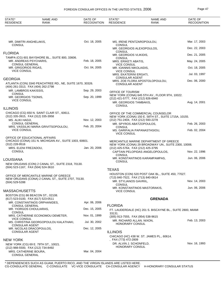| STATE*<br><b>RESIDENCE</b>                                | NAME AND<br>RANK                                         | DATE OF<br><b>RECOGNITION</b> | STATE*<br><b>RESIDENCE</b>                                     | <b>NAME AND</b><br><b>RANK</b>                                                             | DATE OF<br><b>RECOGNITION</b> |
|-----------------------------------------------------------|----------------------------------------------------------|-------------------------------|----------------------------------------------------------------|--------------------------------------------------------------------------------------------|-------------------------------|
|                                                           |                                                          |                               |                                                                |                                                                                            |                               |
| MR. DIMITRI ANGHELAKIS,                                   |                                                          | Oct. 18, 2005                 | MS. IRENE PENTZAROPOULOU,                                      |                                                                                            | Mar. 17, 2003                 |
| <b>CONSUL</b>                                             |                                                          |                               | <b>CONSUL</b><br>MR. GEORGIOS ALEXOPOULOS,                     |                                                                                            | Dec. 22, 2003                 |
| <b>FLORIDA</b>                                            |                                                          |                               | <b>CONSUL</b><br>MR. GEORGIOS VLIKIDIS,                        |                                                                                            | Dec. 21, 2005                 |
| MR. ANDREAS PSYCHARIS,                                    | TAMPA (CG) 601 BAYSHORE BL., SUITE 800, 33606.           | Feb. 18, 2005                 | <b>CONSUL</b><br>MRS. ERIKETI ABATIS,                          |                                                                                            | May. 24, 2005                 |
| <b>CONSUL GENERAL</b><br>MR. GRIGORIOS RIGAS,             |                                                          | Oct. 04, 2005                 | <b>VICE CONSUL</b><br>MR. IOANNIS NIKOLAIDIS,                  |                                                                                            | Oct. 18, 2005                 |
| <b>VICE CONSUL</b>                                        |                                                          |                               | <b>VICE CONSUL</b><br>MRS. EKATERINI ERGATI,                   |                                                                                            | Jul. 03, 1997                 |
| <b>GEORGIA</b>                                            |                                                          |                               | <b>CONSULAR AGENT</b>                                          | MRS. ZOE FLORA APOSTOLOPOULOU,                                                             | Dec. 06, 2000                 |
| (404) 261-3313, FAX (404) 262-2798                        | ATLANTA (CON) 3340 PEACHTREE RD., NE, SUITE 1670, 30326. |                               | CONSULAR AGENT                                                 |                                                                                            |                               |
| MR. LAMBROS KAKISSIS,<br><b>CONSUL</b>                    |                                                          | Sep. 29, 2003                 | OFFICE OF TOURISM                                              |                                                                                            |                               |
| MR. GEORGIOS TSONIS,                                      |                                                          | Sep. 20, 1999                 | (212) 421-5777, FAX (212) 826-6940                             | NEW YORK (CONA) 645 5TH AV., FLOOR 9TH, 10022.                                             |                               |
| <b>VICE CONSUL</b>                                        |                                                          |                               | MR. GEORGIOS TAMBAKIS,<br><b>CONSUL</b>                        |                                                                                            | Aug. 14, 2001                 |
| <b>ILLINOIS</b>                                           |                                                          |                               |                                                                |                                                                                            |                               |
| (312) 335-3915, FAX (312) 335-3958                        | CHICAGO (CG) 650 N. SAINT CLAIR ST., 60611.              |                               |                                                                | OFFICE OF THE COMMERCIAL COUNSELOR<br>NEW YORK (CONA) 150 E. 58TH ST., SUITE 1715A, 10155. |                               |
| MS. ALIKI HADJI,<br><b>CONSUL GENERAL</b>                 |                                                          | Nov. 12, 2003                 | (212) 751-2404, FAX (212) 593-2278<br>MR. SPYROS ABATZOPOULOS, |                                                                                            | Feb. 26, 2003                 |
| <b>VICE CONSUL</b>                                        | MRS. VASSILIKI MARIA GRIVITSOPOULOU,                     | Feb. 20, 2004                 | <b>CONSUL</b>                                                  | MS. GARIFALIA PAPANASTASIOU,                                                               | Feb. 02, 2004                 |
|                                                           |                                                          |                               | <b>VICE CONSUL</b>                                             |                                                                                            |                               |
| OFFICE OF EDUCATIONAL AFFAIRS                             | CHICAGO (CONA) 151 N. MICHIGAN AV., SUITE 1003, 60601.   |                               |                                                                | MERCANTILE MARINE DEPARTMENT OF GREECE                                                     |                               |
| (312) 228-9516<br>MRS. ELENI FREZADOU,                    |                                                          | Jan. 20, 2006                 | (212) 425-5764, FAX (212) 425-3795                             | NEW YORK (CONA) 29 BROADWAY UN., SUITE 2300, 10006.                                        |                               |
| <b>CONSUL</b>                                             |                                                          |                               |                                                                | CAPTAIN PELOPIDAS ANGELOPOULOS.                                                            | Nov. 22, 1996                 |
| <b>LOUISIANA</b>                                          |                                                          |                               | <b>CONSUL</b>                                                  | MR. KONSTANTINOS KARAMPAMPAS,                                                              | Jun. 06, 2006                 |
|                                                           | NEW ORLEANS (CON) 2 CANAL ST., SUITE 2318, 70130.        |                               | <b>CONSUL</b>                                                  |                                                                                            |                               |
| (504) 523-1167, FAX (504) 524-3610                        |                                                          |                               | <b>TEXAS</b>                                                   |                                                                                            |                               |
|                                                           | OFFICE OF MERCANTILE MARINE OF GREECE                    |                               | (713) 840-7522, FAX (713) 840-0614                             | HOUSTON (CON) 520 POST OAK BL., SUITE 450, 77027.                                          |                               |
| (504) 529-5288                                            | NEW ORLEANS (CONA) 2 CANAL ST., SUITE 2707, 70130.       |                               | MR. STYLIANOS GAVRIIL,                                         |                                                                                            | Nov. 14, 2003                 |
|                                                           |                                                          |                               | <b>CONSUL</b>                                                  | MR. KONSTANTINOS MASTORAKIS,                                                               | Jun. 06, 2006                 |
| <b>MASSACHUSETTS</b><br>BOSTON (CG) 86 BEACON ST., 02108. |                                                          |                               | <b>VICE CONSUL</b>                                             |                                                                                            |                               |
| (617) 523-0100, FAX (617) 523-0511                        | MR. CONSTANTINOS ORPHANIDES,                             | Apr. 06, 2006                 |                                                                | <b>GRENADA</b>                                                                             |                               |
| <b>CONSUL GENERAL</b>                                     |                                                          |                               | <b>FLORIDA</b>                                                 |                                                                                            |                               |
| MR. YIORGOS CHOULIARAS,<br><b>CONSUL</b>                  |                                                          | Dec. 15, 2005                 | 33131.                                                         | FT. LAUDERDALE (HC) 201 S. BISCAYNE BL., SUITE 2800, MIAMI                                 |                               |
| <b>VICE CONSUL</b>                                        | MRS. CATHERINE ECONOMOU DEMETER,                         | Nov. 01, 1999                 | (305) 913-7555, FAX (954) 538-9615                             |                                                                                            | Feb. 13, 2003                 |
| <b>CONSULAR AGENT</b>                                     | MS. CHRISTINA GEORGOPOULOU KALATHAKI,                    | Jul. 30, 2002                 | MR. RICHARD ALLAN. NIXON,<br><b>HONORARY CONSUL</b>            |                                                                                            |                               |
| MR. NICOLAS DRACOPOULOS,<br><b>CONSULAR AGENT</b>         |                                                          | Dec. 12, 2005                 | <b>ILLINOIS</b>                                                |                                                                                            |                               |
|                                                           |                                                          |                               |                                                                | CHICAGO (HC) 438 W. ST. JAMES PL., 60614.                                                  |                               |
| <b>NEW YORK</b>                                           |                                                          |                               | , FAX (773) 472-2809<br>DR. ALVIN J. SCHONFELD,                |                                                                                            | Nov. 16, 1993                 |
| (212) 988-5500, FAX (212) 734-8492                        | NEW YORK (CG) 69 E. 79TH ST., 10021.                     |                               | <b>HONORARY CONSUL</b>                                         |                                                                                            |                               |
| MRS. CATHERINE BOURA,<br><b>CONSUL GENERAL</b>            |                                                          | Mar. 04, 2004                 |                                                                |                                                                                            |                               |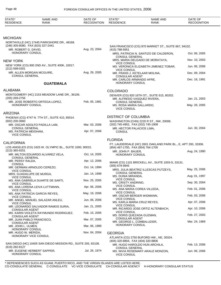| STATE*<br><b>RESIDENCE</b>                         | <b>NAME AND</b><br>RANK                                               | DATE OF<br><b>RECOGNITION</b>  | STATE*<br><b>RESIDENCE</b>                                              | <b>NAME AND</b><br>RANK                                       | DATE OF<br><b>RECOGNITION</b> |
|----------------------------------------------------|-----------------------------------------------------------------------|--------------------------------|-------------------------------------------------------------------------|---------------------------------------------------------------|-------------------------------|
|                                                    |                                                                       |                                |                                                                         |                                                               |                               |
| <b>MICHIGAN</b>                                    |                                                                       |                                |                                                                         |                                                               |                               |
| (248) 305-8080, FAX (815) 327-2441                 | NORTHVILLE (HC) 17445 PARKSHORE DR., 48168.                           |                                |                                                                         | SAN FRANCISCO (CG) 870 MARKET ST., SUITE 667, 94102.          |                               |
| MR. ROBERT G. DAVID,<br><b>HONORARY CONSUL</b>     |                                                                       | Aug. 23, 2004                  | (415) 788-5651                                                          | MRS. PATRICIA N. SANTIZO DE CALDERON,                         | Oct. 06, 2005                 |
| NEW YORK                                           |                                                                       |                                | <b>CONSUL GENERAL</b>                                                   | MRS. MARIA DELGADO DE MORATAYA,                               | Nov. 10, 2003                 |
| $(212)$ 599-0301                                   | NEW YORK (CG) 800 2ND AV., SUITE 400K, 10017.                         |                                | <b>VICE CONSUL</b><br><b>VICE CONSUL</b>                                | MS. VERONICA ELIZABETH JIMENEZ TOBAR,                         | Jun. 06, 2006                 |
| MR. ALLEN MORGAN MCGUIRE,<br><b>CONSUL GENERAL</b> |                                                                       | Aug. 29, 2005                  | MR. FRANS J. KETELAAR MOLINA,<br><b>CONSULAR AGENT</b>                  |                                                               | Dec. 09, 2004                 |
|                                                    | <b>GUATEMALA</b>                                                      |                                | MR. CARLOS ARMANDO AFRE,<br>HONORARY CONSUL                             |                                                               | Dec. 16, 1991                 |
| ALABAMA                                            |                                                                       |                                | <b>COLORADO</b>                                                         |                                                               |                               |
| (205) 269-2756                                     | MONTGOMERY (HC) 2153 MEADOW LANE DR., 36106.                          |                                | MR. ALFREDO VASQUEZ RIVERA.                                             | DENVER (CG) 820 16TH ST., SUITE 615, 80202.                   | Jan. 21, 2003                 |
| <b>HONORARY CONSUL</b>                             | MR. JOSE ROBERTO ORTEGA-LOPEZ,                                        | Feb. 05, 1981                  | <b>CONSUL GENERAL</b><br>MS. ROSA MARIA GALLARDO,<br><b>VICE CONSUL</b> |                                                               | May. 26, 2005                 |
| ARIZONA                                            |                                                                       |                                |                                                                         |                                                               |                               |
| $(602)$ 200-3660                                   | PHOENIX (CG) 4747 N. 7TH ST., SUITE 410, 85014.                       |                                | <b>DISTRICT OF COLUMBIA</b>                                             | WASHINGTON (CHN) 2220 R ST., NW, 20008.                       |                               |
| <b>CONSUL GENERAL</b>                              | MR. OSCAR ADOLFO PADILLA LAM,                                         | Mar. 03, 2006                  | (202) 745-4952, FAX (202) 745-1908<br>MR. HECTOR PALACIOS LIMA,         |                                                               | Jun. 30, 2004                 |
| MS. PATRICIA MEIGHAM,<br><b>VICE CONSUL</b>        |                                                                       | Apr. 07, 2006                  | <b>CONSUL</b>                                                           |                                                               |                               |
| CALIFORNIA                                         |                                                                       |                                | <b>FLORIDA</b>                                                          | FT. LAUDERDALE (HC) 2601 OAKLAND PARK BL., E, APT 200, 33306. |                               |
| (213) 365-9251                                     | LOS ANGELES (CG) 1625 W. OLYMPIC BL., SUITE 1000, 90015.              |                                | (954) 467-1700, FAX (954) 764-1700                                      |                                                               |                               |
| <b>CONSUL GENERAL</b>                              | MR. MILTON EDUARDO ALVAREZ VELA,                                      | Oct. 14, 2005                  | MR. JOHN P. BAUER,<br><b>HONORARY CONSUL</b>                            |                                                               | Aug. 24, 1990                 |
| MR. PERSY RALDA,<br><b>CONSUL</b>                  |                                                                       | Apr. 12, 2006                  |                                                                         | MIAMI (CG) 1101 BRICKELL AV., SUITE 1003-S, 33131.            |                               |
| <b>VICE CONSUL</b>                                 | MR. GERMAN ARNOLDO CEREZO,                                            | Oct. 14, 1994                  | $(305)$ 679-9945                                                        | MRS. JULIA BEATRIZ ILLESCAS PUTZEYS,                          | May. 25, 2006                 |
| MRS. GUADALUPE DE MURGA,<br><b>VICE CONSUL</b>     |                                                                       | Jan. 14, 1999                  | <b>CONSUL GENERAL</b><br>MS. DUNIA MIRANDA,                             |                                                               | Aug. 01, 1997                 |
| <b>VICE CONSUL</b>                                 | MS. ANA GABRIELA DUARTE DE SARTI,                                     | Nov. 25, 2005                  | <b>VICE CONSUL</b><br>MS. CRISTY ANDRINO,<br><b>VICE CONSUL</b>         |                                                               | Sep. 30, 2004                 |
| <b>VICE CONSUL</b>                                 | MS. ANA LORENA LEIVA LUTTMANN,                                        | Apr. 06, 2006                  | MS. ANA MARIA COREA VILLEDA,<br><b>VICE CONSUL</b>                      |                                                               | Feb. 01, 2006                 |
| <b>VICE CONSUL</b>                                 | MS. ANA PATRICIA GARCIA REYES,                                        | May. 19, 2006                  | MR. OSCAR BERGER WIDMANN,<br><b>VICE CONSUL</b>                         |                                                               | Feb. 03, 2006                 |
| <b>VICE CONSUL</b>                                 | MR. ANGEL MANUEL SALAZAR ANLEU,<br>MR. LEONARDO SALVADOR RAMOS SURIA, | Jun. 06, 2006<br>Jan. 21, 2005 | MS. KARLA MARIA CRUZ REYES,<br><b>VICE CONSUL</b>                       |                                                               | Apr. 07, 2006                 |
| <b>CONSULAR AGENT</b>                              | MS. KARIN VIOLETA RAYMUNDO RODRIGUEZ,                                 | Feb. 15, 2005                  | <b>VICE CONSUL</b>                                                      | MR. RICARDO JOSE ORTIZ ALTENBACH,                             | Apr. 10, 2006                 |
| <b>CONSULAR AGENT</b><br>MR. JUAN PABLO FRANCISCO, |                                                                       | Mar. 07, 2005                  | MS. DORIS QUEZADA GUZMAN,<br><b>CONSULAR AGENT</b>                      |                                                               | Feb. 27, 2003                 |
| <b>CONSULAR AGENT</b><br>MR. JOHN L. ULMEN,        |                                                                       | Mar. 06, 1989                  | MR. GEORGE L. COMBALUZIER,<br><b>HONORARY CONSUL</b>                    |                                                               | Mar. 24, 1969                 |
| HONORARY CONSUL<br>MR. HUGO W. MERIDA,             |                                                                       | Nov. 04, 2004                  | <b>GEORGIA</b>                                                          |                                                               |                               |
| HONORARY VICE CONSUL                               |                                                                       |                                | (404) 320-8804, FAX (404) 320-8806                                      | ATLANTA (CG) 2750 BUFORD HW., NE, 30324.                      |                               |
| (619) 282-8127                                     | SAN DIEGO (HC) 10405 SAN DIEGO MISSION RD., SUITE 205, 92108.         |                                | <b>CONSUL GENERAL</b>                                                   | MR. HUGO HAROLDO HUN ARCHILA,                                 | Feb. 13, 2006                 |
| HONORARY CONSUL                                    | MR. EUGENE HERBERT SAPPER,                                            | Jul. 26, 1974                  | VICE CONSUL                                                             | MS. NIVIA ROSEMARY ARAUZ MONZON,                              | Jun. 06, 2006                 |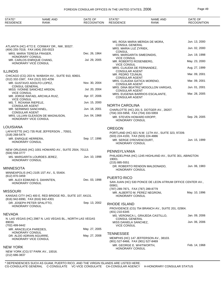| STATE*<br><b>RESIDENCE</b>                                      | <b>NAME AND</b><br>RANK                                   | DATE OF<br><b>RECOGNITION</b> | STATE*<br><b>RESIDENCE</b>                                     | <b>NAME AND</b><br>RANK                                   | DATE OF<br><b>RECOGNITION</b> |
|-----------------------------------------------------------------|-----------------------------------------------------------|-------------------------------|----------------------------------------------------------------|-----------------------------------------------------------|-------------------------------|
|                                                                 |                                                           |                               |                                                                |                                                           |                               |
|                                                                 |                                                           |                               |                                                                | MS. ROSA MARIA MERIDA DE MORA,                            | Jun. 13, 2000                 |
| (404) 255-7019, FAX (404) 255-0023                              | ATLANTA (HC) 4772 E. CONWAY DR., NW, 30327.               |                               | <b>CONSUL GENERAL</b><br>MRS. MARIA LUZ ZYRIEK,                |                                                           | Jun. 02, 2000                 |
| MRS. MARIA TERESA FRASER.                                       |                                                           | Dec. 26, 1964                 | <b>CONSUL</b><br>MRS. MARGARITA SIMEONIDIS,                    |                                                           | Jun. 19, 1998                 |
| HONORARY CONSUL<br>MR. CARLOS ENRIQUE CHANG.                    |                                                           | Jul. 29, 2005                 | <b>VICE CONSUL</b><br>MR. ROBERTO ROSENBERG,                   |                                                           | May. 23, 2000                 |
| HONORARY VICE CONSUL                                            |                                                           |                               | <b>VICE CONSUL</b>                                             |                                                           |                               |
| <b>ILLINOIS</b>                                                 |                                                           |                               | <b>CONSULAR AGENT</b>                                          | MRS. CLAUDIA DE FERNANDEZ,                                | Aug. 27, 1999                 |
|                                                                 | CHICAGO (CG) 203 N. WABASH AV., SUITE 910, 60601.         |                               | MR. PEDRO TZUNUN,<br><b>CONSULAR AGENT</b>                     |                                                           | Mar. 09, 2001                 |
| (312) 332-1587, FAX (312) 322-4256<br>MR. GUSTAVO ADOLFO LOPEZ, |                                                           | Nov. 30, 2004                 |                                                                | MRS. CLAUDIA GATICA MORENO,                               | Mar. 09, 2001                 |
| <b>CONSUL GENERAL</b>                                           | MISS IVONNE SANCHEZ ARDON,                                | Jul. 20, 2004                 | <b>CONSULAR AGENT</b>                                          | MRS. DINA BEATRIZ MOGOLLON VARGAS,                        | Jun. 01, 2001                 |
| <b>VICE CONSUL</b>                                              |                                                           |                               | <b>CONSULAR AGENT</b>                                          | MRS. EUGENIA BARRIOS ESCALANTE,                           | Mar. 28, 2005                 |
| <b>VICE CONSUL</b>                                              | MR. JORGE RAFAEL ARCHILA RUIZ,                            | Apr. 07, 2006                 | <b>CONSULAR AGENT</b>                                          |                                                           |                               |
| MS. T. ROXANA RIEPELE,<br><b>CONSULAR AGENT</b>                 |                                                           | Jun. 15, 2000                 | <b>NORTH CAROLINA</b>                                          |                                                           |                               |
| MR. SERMINIO SANCHINEL,                                         |                                                           | Jun. 18, 2001                 |                                                                | CHARLOTTE (HC) 201 S. DOTGER AV., 28207.                  |                               |
| <b>CONSULAR AGENT</b>                                           | MRS. LILLIAN GLEASON DE MAGNUSON,                         | Jun. 04, 1968                 | (704) 333-5958, FAX (704) 333-5959<br>MR. STEVEN HOWARD KROPP. |                                                           | Sep. 29, 2005                 |
| HONORARY VICE CONSUL                                            |                                                           |                               | <b>HONORARY CONSUL</b>                                         |                                                           |                               |
| <b>LOUISIANA</b>                                                |                                                           |                               | <b>OREGON</b>                                                  |                                                           |                               |
|                                                                 | LAFAYETTE (HC) 735 RUE JEFFERSON ., 70501.                |                               |                                                                | PORTLAND (HC) 821 N.W. 11TH AV., SUITE 323, 97209.        |                               |
| (318) 268-5474<br>MR. ENRIQUE HERRERA,                          |                                                           | Sep. 17, 1996                 | (503) 224-4193, FAX (503) 224-4886                             |                                                           |                               |
| HONORARY CONSUL                                                 |                                                           |                               | MR. SERGE D'ROVENCOURT,<br>HONORARY CONSUL                     |                                                           | Jun. 15, 1999                 |
|                                                                 | NEW ORLEANS (HC) 1001 HOWARD AV., SUITE 2504, 70113.      |                               | PENNSYLVANIA                                                   |                                                           |                               |
| (504) 558-3777                                                  | MS. MARGARITA LOURDES JEREZ,                              | Jun. 10, 1998                 |                                                                | PHILADELPHIA (HC) 1245 HIGHLAND AV., SUITE 301, ABINGTON  |                               |
| HONORARY CONSUL                                                 |                                                           |                               | 19001.                                                         |                                                           |                               |
|                                                                 |                                                           |                               | $(215)$ 885-5551                                               | DR. ROBERTO RENDON MALDONADO,                             | Jun. 06, 1983                 |
| <b>MINNESOTA</b>                                                | MINNEAPOLIS (HC) 2105 1ST AV., S, 55404.                  |                               | <b>HONORARY CONSUL</b>                                         |                                                           |                               |
| (612) 870-3459                                                  |                                                           |                               | PUERTO RICO                                                    |                                                           |                               |
| HONORARY CONSUL                                                 | MR. ALEX EDMUND S. DAHINTEN,                              | Dec. 03, 1998                 |                                                                | SAN JUAN (HC) 530 PONCE DE LEON ATRIUM OFFICE CENTER AV., |                               |
|                                                                 |                                                           |                               | 00901.<br>(787) 289-7871, FAX (787) 289-8779                   |                                                           |                               |
| <b>MISSOURI</b>                                                 |                                                           |                               |                                                                | MR. ALBERTO M. PEREZ NEGRONI,                             | May. 10, 1996                 |
| (816) 942-6990, FAX (816) 942-4301                              | KANSAS CITY (HC) 400 E. RED BRIDGE RD., SUITE 107, 64131. |                               | <b>HONORARY CONSUL</b>                                         |                                                           |                               |
| DR. JOSEPH PETER SPALITTO.<br>HONORARY CONSUL                   |                                                           | Sep. 13, 2002                 | <b>RHODE ISLAND</b>                                            |                                                           |                               |
|                                                                 |                                                           |                               |                                                                | PROVIDENCE (CG) 754 BRANCH AV., SUITE 201, 02904.         |                               |
| <b>NEVADA</b>                                                   |                                                           |                               | (401) 210-6345                                                 | MS. VERONICA L. GRAJEDA CASTILLO,                         | Jan. 09, 2006                 |
| 89030.                                                          | N. LAS VEGAS (HC) 2987 N. LAS VEGAS BL., NORTH LAS VEGAS  |                               | <b>CONSUL GENERAL</b><br>MISS DANIELA SANCHEZ,                 |                                                           | Jun. 06, 2006                 |
| (702) 499-9442                                                  |                                                           |                               | <b>VICE CONSUL</b>                                             |                                                           |                               |
| MR. ARACELICA PAREDES,<br><b>HONORARY CONSUL</b>                |                                                           | May. 27, 2005                 | <b>TENNESSEE</b>                                               |                                                           |                               |
| DR. ALDO ADRIAN AGUIRRE,                                        |                                                           | May. 27, 2008                 |                                                                | MEMPHIS (HC) 147 JEFFERSON AV., 38103.                    |                               |
| HONORARY VICE CONSUL                                            |                                                           |                               | (901) 527-8466, FAX (901) 527-8469                             |                                                           |                               |
| <b>NEW YORK</b>                                                 |                                                           |                               | MR. GEORGE E. WHITWORTH,<br><b>HONORARY CONSUL</b>             |                                                           | Feb. 14, 1968                 |
| (212) 686-3837                                                  | NEW YORK (CG) 57 PARK AV., 10016.                         |                               |                                                                |                                                           |                               |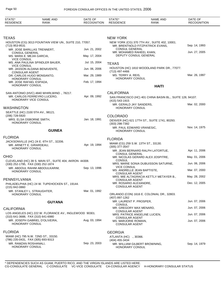| STATE*<br><b>RESIDENCE</b>                                                     | <b>NAME AND</b><br><b>RANK</b>                         | DATE OF<br><b>RECOGNITION</b> | STATE*<br><b>RESIDENCE</b>                                                 | <b>NAME AND</b><br><b>RANK</b>                                                   | DATE OF<br><b>RECOGNITION</b> |
|--------------------------------------------------------------------------------|--------------------------------------------------------|-------------------------------|----------------------------------------------------------------------------|----------------------------------------------------------------------------------|-------------------------------|
|                                                                                |                                                        |                               |                                                                            |                                                                                  |                               |
| <b>TEXAS</b>                                                                   |                                                        |                               | <b>NEW YORK</b>                                                            |                                                                                  |                               |
| (713) 953-9531                                                                 | HOUSTON (CG) 3013 FOUNTAIN VIEW UN., SUITE 210, 77057. |                               |                                                                            | NEW YORK (CG) 370 7TH AV., SUITE 402, 10001.<br>MR. BRENTNOLD FITZPATRICK EVANS, | Sep. 14, 1993                 |
| <b>CONSUL GENERAL</b>                                                          | MR. JOSE BARILLAS TRENNERT,                            | Jun. 21, 2002                 | <b>CONSUL GENERAL</b><br>MR. MOHAMED RAHEEL KHAN,                          |                                                                                  | Jun. 27, 2005                 |
| MS. MARA E. MEJIA GARCIA,<br><b>VICE CONSUL</b>                                |                                                        | May. 17, 2004                 | DEPUTY CONSUL GENERAL                                                      |                                                                                  |                               |
|                                                                                | MS. ANA PAULINA SPINDLER BAUER,                        | Jul. 15, 2004                 | <b>TEXAS</b>                                                               |                                                                                  |                               |
| <b>VICE CONSUL</b><br><b>CONSULAR AGENT</b>                                    | MR. JASSON ALDANA BENAVENTE,                           | Jun. 06, 2006                 | (713) 497-4466                                                             | HOUSTON (HC) 1810 WOODLAND PARK DR., 77077.                                      |                               |
| DR. CARLOS HUGO MONSANTO,                                                      |                                                        | Mar. 29, 1989                 | MS. TERRY A. REIS,                                                         |                                                                                  | Mar. 26, 1997                 |
| <b>HONORARY CONSUL</b><br>MR. JOSE RAFAEL ESPADA,                              |                                                        | Feb. 17, 1994                 | HONORARY CONSUL                                                            |                                                                                  |                               |
| <b>HONORARY CONSUL</b>                                                         |                                                        |                               |                                                                            | <b>HAITI</b>                                                                     |                               |
|                                                                                | SAN ANTONIO (HVC) 4840 WHIRLWIND., 78217.              |                               | <b>CALIFORNIA</b>                                                          |                                                                                  |                               |
| HONORARY VICE CONSUL                                                           | MR. CARLOS FERREYRO LUCERO,                            | Apr. 09, 1992                 | (415) 543-1915                                                             | SAN FRANCISCO (HC) 401 CHINA BASIN BL., SUITE 128, 94107.                        |                               |
| <b>WASHINGTON</b>                                                              |                                                        |                               | MR. GERALD JAY SANDERS,<br><b>HONORARY CONSUL</b>                          |                                                                                  | Mar. 02, 2000                 |
| SEATTLE (HC) 2100 5TH AV., 98121.                                              |                                                        |                               |                                                                            |                                                                                  |                               |
| (206) 728-5920<br>MRS. ELSA OSBORNE SMITH,<br>HONORARY CONSUL                  |                                                        | Jan. 18, 1991                 | <b>COLORADO</b><br>$(303)$ 298-7392                                        | DENVER (HC) 621 17TH ST., SUITE 1741, 80293.                                     |                               |
|                                                                                | <b>GUINEA</b>                                          |                               | MR. PAUL EDWARD VRANESIC,<br><b>HONORARY CONSUL</b>                        |                                                                                  | Nov. 14, 1975                 |
| <b>FLORIDA</b>                                                                 |                                                        |                               |                                                                            |                                                                                  |                               |
|                                                                                | JACKSONVILLE (HC) 24 E. 6TH ST., 32206.                |                               | <b>FLORIDA</b>                                                             |                                                                                  |                               |
| MR. ARNETT E. GIRARDEAU,<br>HONORARY CONSUL                                    |                                                        | Apr. 19, 1994                 | MIAMI (CG) 259 S.W. 13TH ST., 33130.<br>(305) 377-3547                     |                                                                                  |                               |
|                                                                                |                                                        |                               | <b>CONSUL GENERAL</b>                                                      | MR. JEAN BERNARD RALPH LATORTUE,                                                 | Apr. 11, 2006                 |
| <b>OHIO</b>                                                                    |                                                        |                               |                                                                            | MR. NICOLAS GERARD ALEX JOSPITRE,                                                | May. 01, 2006                 |
| (330) 252-1795, FAX (330) 252-1874                                             | CLEVELAND (HC) 39 S. MAIN ST., SUITE 404, AKRON 44308. |                               | CONSUL                                                                     | MRS. MARIE SONIA DUBUISSON SATURNE,                                              | Jun. 06, 2006                 |
| <b>HONORARY CONSUL</b>                                                         | MR. ABDOUL RAHIM ABDOULKARIM,                          | Sep. 13, 1996                 | <b>VICE CONSUL</b><br>MS. ANDRELLE JEAN BAPTISTE,<br><b>CONSULAR AGENT</b> |                                                                                  | Mar. 07, 2000                 |
| PENNSYLVANIA                                                                   |                                                        |                               | <b>CONSULAR AGENT</b>                                                      | MRS. MIE ALTAGRACIA KETTLY METAYER B.,                                           | May. 28, 2002                 |
| (215) 842-0860                                                                 | PHILADELPHIA (HC) 24 W. TUPEHOCKEN ST., 19144.         |                               | MR. ROSARIO ALEXANDRE,<br><b>CONSULAR AGENT</b>                            |                                                                                  | Dec. 12, 2005                 |
| MR. STANLEY L. STRAUGHTER,<br>HONORARY CONSUL                                  |                                                        | Mar. 01, 1992                 |                                                                            | ORLANDO (CON) 1616 E. COLONIAL DR., 32803.                                       |                               |
|                                                                                |                                                        |                               | (407) 897-1262                                                             |                                                                                  |                               |
|                                                                                | <b>GUYANA</b>                                          |                               | MR. LAURENT P. PROSPER,<br><b>CONSUL</b>                                   |                                                                                  | Jun. 07, 2006                 |
| <b>CALIFORNIA</b>                                                              |                                                        |                               | MR. GREGORY MAX MENARD,                                                    |                                                                                  | Jun. 07, 2006                 |
| (310) 641-3688, FAX (310) 641-6980                                             | LOS ANGELES (HC) 222 W. FLORANCE AV., INGLEWOOD 90301. |                               | <b>CONSULAR AGENT</b><br>MRS. PATRICE ANGELINE LUCIEN,                     |                                                                                  | Jun. 07, 2006                 |
| <b>HONORARY CONSUL</b>                                                         | MR. JOSEPH GABRIEL D'OLIVEIRA,                         | Aug. 03, 1994                 | <b>CONSULAR AGENT</b><br>MS. MARJORIE ROMAIN,<br><b>CONSULAR AGENT</b>     |                                                                                  | Jun. 07, 2006                 |
| <b>FLORIDA</b>                                                                 |                                                        |                               | <b>GEORGIA</b>                                                             |                                                                                  |                               |
|                                                                                | MIAMI (HC) 795 N.W. 72ND ST., 33150.                   |                               | ATLANTA (HC) ., 30366.                                                     |                                                                                  |                               |
| (786) 235-0431, FAX (305) 693-9313<br>MR. RAMZAN ROSHANALI,<br>HONORARY CONSUL |                                                        | Sep. 23, 2003                 | (404) 455-3434<br>MR. WILLIAM GILBERT BROWNING,<br>HONORARY CONSUL         |                                                                                  | Sep. 14, 1979                 |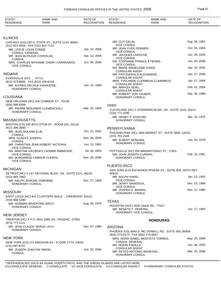| STATE*<br><b>RESIDENCE</b>                                      | <b>NAME AND</b><br>RANK                                   | DATE OF<br><b>RECOGNITION</b> | STATE*<br><b>RESIDENCE</b>                                                    | <b>NAME AND</b><br>RANK                                 | DATE OF<br><b>RECOGNITION</b> |
|-----------------------------------------------------------------|-----------------------------------------------------------|-------------------------------|-------------------------------------------------------------------------------|---------------------------------------------------------|-------------------------------|
| <b>ILLINOIS</b>                                                 |                                                           |                               |                                                                               |                                                         |                               |
|                                                                 | CHICAGO (CG) 220 S. STATE ST., SUITE 2110, 60601.         |                               | MR. GUY GELIN,                                                                |                                                         | Aug. 05, 1991                 |
| (312) 922-4004, FAX (312) 922-7122<br>MR. LESLIE LOUIS CONDE,   |                                                           | Jan. 24, 2006                 | <b>VICE CONSUL</b><br>MR. JEAN YVES PERNIER,<br><b>VICE CONSUL</b>            |                                                         | Oct. 15, 2004                 |
| <b>CONSUL GENERAL</b><br>MR. JEAN BUTEAUX CORIOLAN,             |                                                           | Apr. 10, 2006                 | MR. JACQUES LAROCHE,<br><b>VICE CONSUL</b>                                    |                                                         | Jun. 28, 2005                 |
| <b>CONSUL</b>                                                   | MRS. CHARLES MYRIAME CHERY CARRENARD,                     | Jun. 06, 2006                 | <b>VICE CONSUL</b>                                                            | MS. STEPHANE FRANCK ETIENNE,                            | Jun. 20, 2006                 |
| <b>VICE CONSUL</b>                                              |                                                           |                               | MS. MARIE MADELEINE PIARD,<br><b>CONSULAR AGENT</b>                           |                                                         | Apr. 10, 2002                 |
| INDIANA                                                         |                                                           |                               | MR. FRITZGERALD ALEXANDRE,                                                    |                                                         | Jan. 27, 2006                 |
| EVANSVILLE (HC) ., 47711.<br>(812) 423-8000, FAX (812) 426-6118 |                                                           |                               | <b>CONSULAR AGENT</b>                                                         | MRS. YVELANDE CLERMEUS CLAIRMEUS,                       | Jan. 27, 2006                 |
| HONORARY CONSUL                                                 | MR. ALFRED DECALB VANHOOSE,                               | Jun. 16, 1969                 | <b>CONSULAR AGENT</b><br>MR. MARCEL NOEL,                                     |                                                         | Feb. 02, 2006                 |
| LOUISIANA                                                       |                                                           |                               | <b>CONSULAR AGENT</b><br>MR. ROBERT VON TAUBER,<br>HONORARY CONSUL            |                                                         | Sep. 26, 1989                 |
|                                                                 | NEW ORLEANS (HC) 416 COMMON ST., 70130.                   |                               |                                                                               |                                                         |                               |
| (504) 586-8309                                                  |                                                           |                               | <b>OHIO</b>                                                                   |                                                         |                               |
| <b>HONORARY CONSUL</b>                                          | MR. PIERRE BENJAMIN CLEMENCEAU,                           | Mar. 25, 1949                 | (216) 771-0280                                                                | CLEVELAND (HC) X STANDARD BLDG. UN., SUITE 1016, 44113. |                               |
|                                                                 |                                                           |                               | MR. HENRY P. KOSLING,                                                         |                                                         | Apr. 15, 1975                 |
| MASSACHUSETTS                                                   | BOSTON (CG) 545 BOYLSTON ST., ROOM 201, 02116.            |                               | <b>HONORARY CONSUL</b>                                                        |                                                         |                               |
| $(617)$ 266-3660<br>MR. JEAN ROLAND ELIE,                       |                                                           | Oct. 31, 2002                 | PENNSYLVANIA                                                                  |                                                         |                               |
| <b>CONSUL</b><br>MRS. GLADYS JOSEPH,                            |                                                           | Nov. 29, 2005                 | $(215)$ 751-2516                                                              | PHILADELPHIA (HC) 1600 MARKET ST., SUITE 3600, 19103.   |                               |
| <b>CONSUL</b>                                                   | MR. CHRISTIAN JEAN ROBERT VICTORIA,                       | Jun. 13, 1991                 | MR. ALBERT MOMJIAN,<br><b>HONORARY CONSUL</b>                                 |                                                         | Jun. 20, 1978                 |
| <b>VICE CONSUL</b>                                              | MS. MARTINE GEORGES CASIMIR AMBROISE,                     | Jul. 30, 2003                 |                                                                               | POTTSVILLE (HC) 200 MAHANTONGO ST., 17901.              |                               |
| <b>VICE CONSUL</b>                                              | MS. NORDAMISE LAMOUR CLERVIL,                             | Nov. 29, 2005                 | MR. JOHN JOSEPH CURRAN,<br><b>HONORARY CONSUL</b>                             |                                                         | Feb. 18, 1981                 |
| <b>VICE CONSUL</b>                                              |                                                           |                               |                                                                               |                                                         |                               |
| MICHIGAN                                                        |                                                           |                               | PUERTO RICO                                                                   |                                                         |                               |
|                                                                 | DETROIT (HC) X 1ST NATIONAL BLDG. UN., SUITE 2121, 48226. |                               | 00918.                                                                        | SAN JUAN (CG) 654 NUNOS RIVERA AV., SUITE 909, HATO REY |                               |
| $(313)$ 965-7962                                                |                                                           | Dec. 27, 1956                 | MR. RALPH VIARD,<br><b>VICE CONSUL</b>                                        |                                                         | Jan. 22, 1991                 |
| MR. RALPH JENKINS OSBORNE,<br><b>HONORARY CONSUL</b>            |                                                           |                               | MR. JERRY SAINDOUX,<br><b>VICE CONSUL</b>                                     |                                                         | Dec. 02, 1996                 |
| MISSOURI                                                        |                                                           |                               | MR. JOSPEH E. BINARD,                                                         |                                                         | Nov. 12, 1980                 |
|                                                                 | SAINT LOUIS (HC) 441 CLOISTERS WALK., KIRKWOOD 63122.     |                               | <b>HONORARY CONSUL</b>                                                        |                                                         |                               |
| $(314)$ 966-5280                                                |                                                           | Aug. 30, 1979                 | <b>TEXAS</b>                                                                  |                                                         |                               |
| MR. NORMAN BRADFORD WEST,<br>HONORARY CONSUL                    |                                                           |                               | MR. RENATO F. PEREIRA,                                                        | HOUSTON (HVC) 3535 SAGE RD., 77027.                     | Jun. 17, 1983                 |
| NEW JERSEY                                                      |                                                           |                               | HONORARY VICE CONSUL                                                          |                                                         |                               |
| (973) 777-2121                                                  | TRENTON (HC) X P.O. BOX 1960 UN., PASSAIC 07055.          |                               |                                                                               | <b>HONDURAS</b>                                         |                               |
| MS. JEAN CLAUDE SERGE LEVY,                                     |                                                           | Nov. 07, 1980                 | <b>ARIZONA</b>                                                                |                                                         |                               |
| HONORARY CONSUL                                                 |                                                           |                               | (602) 273-0173, FAX (602) 273-0547                                            | PHOENIX (CG) 4040 E. MC DOWELL RD., SUITE 305, 85008.   |                               |
| NEW YORK                                                        |                                                           |                               |                                                                               | MRS. NORA ISABEL MONTOYA TORRES,                        | May. 25, 2006                 |
| (212) 697-9767                                                  | NEW YORK (CG) 271 MADISON AV., FLOOR 17TH, 10016.         |                               | <b>CONSUL GENERAL</b><br>MS. NOEMI PADILLA,                                   |                                                         | Oct. 06, 2005                 |
| MR. JOSEPH JOACHIM SIMON,<br><b>CONSUL</b>                      |                                                           | Jun. 02, 2006                 | <b>CONSULAR AGENT</b><br>MR. REYES ANTONIO BANEGAS,<br><b>HONORARY CONSUL</b> |                                                         | Mar. 24, 2006                 |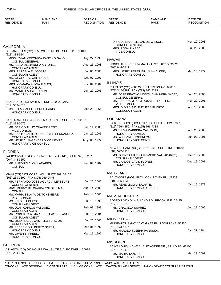| STATE*<br><b>RESIDENCE</b>                          | <b>NAME AND</b><br>RANK                                 | DATE OF<br><b>RECOGNITION</b> | STATE*<br><b>RESIDENCE</b>                                       | <b>NAME AND</b><br><b>RANK</b>                        | DATE OF<br><b>RECOGNITION</b> |
|-----------------------------------------------------|---------------------------------------------------------|-------------------------------|------------------------------------------------------------------|-------------------------------------------------------|-------------------------------|
|                                                     |                                                         |                               |                                                                  |                                                       |                               |
|                                                     |                                                         |                               |                                                                  | DR. CECILIA CALLEJAS DE WILSON,                       | Nov. 12, 2003                 |
| <b>CALIFORNIA</b><br>(213) 383-9244                 | LOS ANGELES (CG) 3550 WILSHIRE BL., SUITE 410, 90010.   |                               | <b>CONSUL GENERAL</b><br>MRS. ROSA PINEDA,<br><b>VICE CONSUL</b> |                                                       | Jul. 20, 2006                 |
|                                                     | MISS VIVIAN VERONICA PANTING GALO,                      | Aug. 27, 1998                 | <b>HAWAII</b>                                                    |                                                       |                               |
| <b>CONSUL GENERAL</b>                               | MS. AISSA ALEJANDRA ANTUNEZ,                            | Aug. 21, 1998                 |                                                                  | HONOLULU (HC) 1734 MALANAI ST., APT B, 96826.         |                               |
| <b>CONSULAR AGENT</b><br>MRS. RAFAELA E. ACOSTA,    |                                                         | Jul. 06, 2000                 | (808) 944-2811                                                   | MRS. LESBY PEREZ BILLAM-WALKER,                       | Mar. 10, 1972                 |
| <b>CONSULAR AGENT</b><br>MR. GEORGE V. CHILINGAR,   |                                                         | Oct. 07, 1991                 | HONORARY CONSUL                                                  |                                                       |                               |
| HONORARY CONSUL<br>MRS. XIOMARA ALICIA FIELDS,      |                                                         | Nov. 04, 2004                 | <b>ILLINOIS</b>                                                  |                                                       |                               |
| <b>HONORARY CONSUL</b><br>MR. MARIO FAUSTINO NUNEZ, |                                                         | Jun. 27, 2006                 | (773) 342-8281, FAX (773) 342-8293                               | CHICAGO (CG) 4506 W. FULLERTON AV., 60639.            |                               |
| HONORARY CONSUL                                     |                                                         |                               | <b>CONSUL GENERAL</b>                                            | MR. JOSE ERAZMO MONTALVAN HERNANDEZ,                  | Jun. 20, 2006                 |
| (619) 533-4515                                      | SAN DIEGO (HC) 525 B ST., SUITE 2002, 92101.            |                               | <b>VICE CONSUL</b>                                               | MS. SANDRA MIRIAM ROSALES ROBLES,                     | Nov. 29, 2005                 |
| HONORARY CONSUL                                     | MS. ELLA ISABEL FLORES-PARIS,                           | Apr. 29, 1966                 | <b>CONSULAR AGENT</b>                                            | MRS. DIONISIA D. FUENTES PUERTO,                      | Apr. 18, 2006                 |
|                                                     | SAN FRANCISCO (CG) 870 MARKET ST., SUITE 875, 94102.    |                               | <b>LOUISIANA</b>                                                 |                                                       |                               |
| (415) 392-0076                                      | MR. SERVIO TULIO CHAVEZ PETIT,                          | Jun. 11, 2003                 | (225) 766-4350, FAX (225) 766-7334                               | BATON ROUGE (HC) 11017 N. OAK HILLS PW., 70810.       |                               |
| <b>VICE CONSUL</b>                                  | MS. SANTOS ALBERTINA REYES HERNANDEZ,                   | Jan. 27, 2006                 | MS. VILMA CABRERA CALHOUN,<br>HONORARY CONSUL                    |                                                       | Apr. 23, 2003                 |
| <b>CONSULAR AGENT</b><br>HONORARY VICE CONSUL       | MR. HENRY LANGENBERG MC INTYRE,                         | May. 03, 1972                 | MR. WILLIAM HUMPHREYS,<br>HONORARY VICE CONSUL                   |                                                       | Jun. 07, 2001                 |
|                                                     |                                                         |                               | (504) 522-3118                                                   | NEW ORLEANS (CG) 2 CANAL ST., SUITE 1641, 70130.      |                               |
| <b>FLORIDA</b>                                      | JACKSONVILLE (CON) 1914 BEACHWAY RD., SUITE 3-0, 33207. |                               |                                                                  | MS. GLENDA MARINA ROMERO VALLADARES,                  | Oct. 13, 2000                 |
| $(904)$ 348-3550<br>MR. ANTONIO J. VALLADARES,      |                                                         | Jun. 04, 1982                 | <b>CONSULAR AGENT</b><br>MR. CARLOS DAVID FLORES,                |                                                       | Dec. 19, 2001                 |
| <b>CONSUL</b>                                       |                                                         |                               | HONORARY CONSUL                                                  |                                                       |                               |
|                                                     | MIAMI (CG) 7171 CORAL WA., SUITE 309, 33155.            |                               | <b>MARYLAND</b>                                                  |                                                       |                               |
| (305) 269-9399, FAX (305) 269-9445                  | MR. FERNANDO JOSE AGURCIA LEFEBVRE,                     | Jul. 26, 2006                 | $(301)$ 435-6233                                                 | BALTIMORE (HCG) 5803 LOCH RAVEN BL., 21239.           |                               |
| CONSUL GENERAL                                      | MRS. MIRIAM BERNARDA YNESTROZA,                         | Aug. 14, 2002                 | MR. RENE LICONA DUARTE,                                          | HONORARY CONSUL GENERAL                               | Oct. 16, 1978                 |
| <b>CONSUL</b>                                       | MS. MARIA ZELAYA DE TONSMEIRE,                          | Feb. 14, 2005                 | <b>MASSACHUSETTS</b>                                             |                                                       |                               |
| <b>VICE CONSUL</b><br>MS. VIRGINIA BUESO,           |                                                         | Jul. 13, 1990                 |                                                                  | BOSTON (HC) 64 WELLAND RD., BROOKLINE 02445.          |                               |
| <b>CONSULAR AGENT</b><br>MR. JUAN CARLOS VASQUEZ,   |                                                         | Feb. 09, 1999                 | (617) 731-3249<br>MS. GRACIELA SUAREZ,                           |                                                       | Aug. 22, 2005                 |
| <b>CONSULAR AGENT</b>                               | MR. ROBERTO A. MARTINEZ CASTELLANOS,                    | Jul. 15, 2004                 | <b>HONORARY CONSUL</b>                                           |                                                       |                               |
| <b>CONSULAR AGENT</b>                               | MS. LIGIA ISABEL CASTILLO TURCIOS,                      | Jul. 26, 2006                 | <b>MINNESOTA</b>                                                 |                                                       |                               |
| <b>CONSULAR AGENT</b>                               | MR. FEDERICO ALBERTO SMITH,                             | Mar. 31, 1992                 | (612) 473-5376                                                   | MINNEAPOLIS (HC) 20 CYGNET PL., LONG LAKE 55356.      |                               |
| HONORARY CONSUL<br>MR. OWEN S. FREED,               |                                                         | Mar. 17, 1997                 | MR. HAROLD JOSEPH PANUSKA,<br>HONORARY CONSUL                    |                                                       | Jan. 31, 1984                 |
| HONORARY CONSUL                                     |                                                         |                               |                                                                  |                                                       |                               |
| <b>GEORGIA</b>                                      |                                                         |                               | <b>MISSOURI</b>                                                  | SAINT LOUIS (HC) 6241 ALEXANDER DR., ST. LOUIS 63105. |                               |
| (770) 234-9560                                      | ATLANTA (CG) 600 HOUZE WA., SUITE 3-A, ROSWELL 30076.   |                               | (314) 727-9179<br>MS. MARIA TAXMAN,                              |                                                       | Mar. 29, 2001                 |

MS. MARIA TAXMAN, HONORARY CONSUL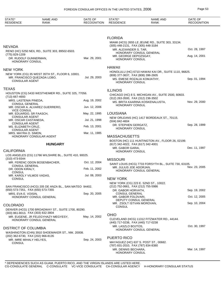| STATE*<br><b>RESIDENCE</b>                                | <b>NAME AND</b><br><b>RANK</b>                         | DATE OF<br><b>RECOGNITION</b> | STATE*<br><b>RESIDENCE</b>                                                          | <b>NAME AND</b><br><b>RANK</b>                        | DATE OF<br><b>RECOGNITION</b> |
|-----------------------------------------------------------|--------------------------------------------------------|-------------------------------|-------------------------------------------------------------------------------------|-------------------------------------------------------|-------------------------------|
|                                                           |                                                        |                               |                                                                                     |                                                       |                               |
|                                                           |                                                        |                               | <b>FLORIDA</b>                                                                      | MIAMI (HCG) 2655 LE JEUNE RD., SUITE 303, 33134.      |                               |
| NEVADA                                                    | RENO (HC) 5250 NEIL RD., SUITE 303, 89502-6503.        |                               | (305) 448-2131, FAX (305) 448-3184<br>MR. ALEXANDER S. TAR,                         |                                                       | Oct. 28, 1997                 |
| (775) 829-1209                                            |                                                        |                               | MR. GEORGE DEPOZSGAY,                                                               | HONORARY CONSUL GENERAL                               | Aug. 14, 2001                 |
| DR. RUDOLF GUNNERMAN,<br><b>HONORARY CONSUL</b>           |                                                        | Mar. 29, 2001                 | <b>HONORARY CONSUL</b>                                                              |                                                       |                               |
| <b>NEW YORK</b>                                           |                                                        |                               | <b>HAWAII</b>                                                                       | HONOLULU (HC) 6710 HAWAII KAI DR., SUITE 1110, 96825. |                               |
| MR. FRANCISCO QUEZADA LOBO,<br><b>CONSULAR AGENT</b>      | NEW YORK (CG) 35 WEST 35TH ST., FLOOR 6, 10001.        | Jul. 29, 2003                 | (808) 377-3637, FAX (808) 396-2605<br><b>HONORARY CONSUL</b>                        | MS. EMESE ROZALIA KOMJATHY,                           | Sep. 01, 1994                 |
| <b>TEXAS</b>                                              |                                                        |                               | <b>ILLINOIS</b>                                                                     |                                                       |                               |
| (713) 667-4693                                            | HOUSTON (CG) 5433 WESTHEIMER RD., SUITE 325, 77056.    |                               |                                                                                     | CHICAGO (HC) 8 S. MICHIGAN AV., SUITE 2500, 60603.    |                               |
| MRS. LASTENIA PINEDA,<br><b>CONSUL GENERAL</b>            |                                                        | Aug. 19, 2002                 | (312) 263-3500, FAX (312) 236-3502                                                  | MS. BRITA KAARINA KOSKENALUSTA,                       | Nov. 29, 2000                 |
| <b>VICE CONSUL</b>                                        | MR. OSCAR A. ALVAREZ GUERRERO,                         | Jun. 12, 2006                 | <b>HONORARY CONSUL</b>                                                              |                                                       |                               |
| MR. EDUARDO, SR FAASCH,<br><b>CONSULAR AGENT</b>          |                                                        | May. 22, 1995                 | <b>LOUISIANA</b>                                                                    |                                                       |                               |
| MR. OSCAR CASTANEDA,<br><b>CONSULAR AGENT</b>             |                                                        | Jul. 21, 1998                 | (504) 842-4604                                                                      | NEW ORLEANS (HC) 1417 BORDEAUX ST., 70115.            |                               |
| MS. ELIZABETH CRUZ,<br><b>CONSULAR AGENT</b>              |                                                        | Feb. 13, 2001                 | DR. STEPHEN GERGATZ,<br>HONORARY CONSUL                                             |                                                       | Sep. 28, 1999                 |
| MRS. MAYRA O. SIMON,                                      | HONORARY CONSULAR AGENT                                | Mar. 11, 1985                 | <b>MASSACHUSETTS</b>                                                                |                                                       |                               |
|                                                           |                                                        |                               |                                                                                     | BOSTON (HC) 111 HUNTINGTON AV., FLOOR 26, 02199.      |                               |
|                                                           | <b>HUNGARY</b>                                         |                               | (617) 342-4022, FAX (617) 342-4001<br>MR. GABOR GARAI,                              |                                                       | Dec. 11, 1997                 |
| <b>CALIFORNIA</b>                                         | LOS ANGELES (CG) 11766 WILSHIRE BL., SUITE 410, 90025. |                               | <b>HONORARY CONSUL</b>                                                              |                                                       |                               |
| (310) 473-9344                                            |                                                        | Oct. 12, 2004                 | <b>MISSOURI</b>                                                                     |                                                       |                               |
| <b>CONSUL GENERAL</b>                                     | MR. FERENC ODON BOSENBACHER,                           |                               | MR. JULIUS JOE ADORJAN,                                                             | SAINT LOUIS (HCG) 7733 FORSYTH BL., SUITE 730, 63105. | Nov. 23, 2005                 |
| DR. ODON KIRALY,<br><b>CONSUL</b>                         |                                                        | Feb. 11, 2002                 |                                                                                     | HONORARY CONSUL GENERAL                               |                               |
| MR. KAROLY VILMOS VADAS,<br><b>CONSUL</b>                 |                                                        | Jul. 08, 2003                 | <b>NEW YORK</b>                                                                     |                                                       |                               |
|                                                           | SAN FRANCISCO (HCG) 205 DE ANZA BL., SAN MATEO 94402.  |                               | (212) 752-0661, FAX (212) 755-5986                                                  | NEW YORK (CG) 223 E. 52ND ST., 10022.                 |                               |
| (650) 573-7351, FAX (650) 573-7355<br>MRS. EVA E. VOISIN, |                                                        | Sep. 20, 2005                 | DR. GABOR HORVATH,<br>CONSUL GENERAL                                                |                                                       | Sep. 19, 2002                 |
|                                                           | HONORARY CONSUL GENERAL                                |                               | MR. GABOR FOLDVARI,                                                                 | DEPUTY CONSUL GENERAL                                 | Oct. 12, 2005                 |
| <b>COLORADO</b>                                           |                                                        |                               | MR. ZSOLT ISTVAN MOROVAN,                                                           |                                                       | Sep. 10, 2004                 |
|                                                           | DENVER (HCG) 1700 BROADWAY ST., SUITE 1700, 80290.     |                               | CONSUL                                                                              |                                                       |                               |
| (303) 861-8013, FAX (303) 832-3804                        | MR. EUGENE, JR FELEGYHAZY-MEGYESY,                     | May. 14, 2002                 | <b>OHIO</b>                                                                         |                                                       |                               |
|                                                           | HONORARY CONSUL GENERAL                                |                               | (440) 717-0238, FAX (440) 717-0238                                                  | CLEVELAND (HCG) 11312 FITZWATER RD., 44144.           |                               |
| <b>DISTRICT OF COLUMBIA</b>                               |                                                        |                               | MR. LASZLO BOJTOS,                                                                  | HONORARY CONSUL GENERAL                               | Oct. 30, 1997                 |
| (202) 362-6730, FAX (202) 966-8135                        | WASHINGTON (CHN) 3910 SHOEMAKER ST., NW, 20008.        |                               | PUERTO RICO                                                                         |                                                       |                               |
| MR. IMRE MIHALY HELYES,<br><b>CONSUL</b>                  |                                                        | Sep. 24, 2003                 |                                                                                     | MAYAGUEZ (HC) 637 S. POST ST., 00682.                 |                               |
|                                                           |                                                        |                               | (787) 831-2010, FAX (787) 834-8380<br>MR. DENNIS BECHARA,<br><b>HONORARY CONSUL</b> |                                                       | Mar. 14, 1997                 |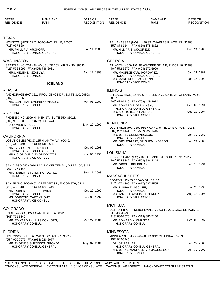| STATE*<br>RESIDENCE                        | <b>NAME AND</b><br><b>RANK</b>                            | DATE OF<br><b>RECOGNITION</b> | STATE*<br><b>RESIDENCE</b>                                             | <b>NAME AND</b><br>RANK                                  | DATE OF<br><b>RECOGNITION</b> |
|--------------------------------------------|-----------------------------------------------------------|-------------------------------|------------------------------------------------------------------------|----------------------------------------------------------|-------------------------------|
|                                            |                                                           |                               |                                                                        |                                                          |                               |
| <b>TEXAS</b>                               |                                                           |                               |                                                                        |                                                          |                               |
| (713) 977-8604                             | HOUSTON (HCG) 2221 POTOMAC UN., B, 77057.                 |                               | (850) 878-1144, FAX (850) 878-3862                                     | TALLAHASSEE (HCG) 1486 ST. CHARLES PLACE UN., 32308.     |                               |
| MR. PHILLIP A. ARONOFF,                    | HONORARY CONSUL GENERAL                                   | Jul. 11, 2005                 | MR. HILMAR S. SKAGFIELD,                                               | HONORARY CONSUL GENERAL                                  | Dec. 24, 1985                 |
| <b>WASHINGTON</b>                          |                                                           |                               | <b>GEORGIA</b>                                                         |                                                          |                               |
| (425) 576-8997, FAX (425) 739-6931         | SEATTLE (HC) 703 4TH AV., SUITE 103, KIRKLAND 98033.      |                               | (404) 572-6670, FAX (404) 572-6999                                     | ATLANTA (HCG) 191 PEACHTREE ST., NE, FLOOR 16, 30303.    |                               |
| MRS. HELEN M. SZABLYA,<br>HONORARY CONSUL  |                                                           | Aug. 12, 1993                 | MR. MAURICE KARL HOROWITZ,                                             | HONORARY CONSUL GENERAL                                  | Jan. 21, 1987                 |
|                                            | <b>ICELAND</b>                                            |                               | MR. MARC DOUGLAS GLENN,<br>HONORARY VICE CONSUL                        |                                                          | Jan. 16, 2003                 |
| <b>ALASKA</b>                              |                                                           |                               | <b>ILLINOIS</b>                                                        |                                                          |                               |
| $(907) 786 - 1366$                         | ANCHORAGE (HC) 3211 PROVIDENCE DR., SUITE 310, 99508.     |                               | 60611.                                                                 | CHICAGO (HCG) 15750 S. HARLEM AV., SUITE 28, ORLAND PARK |                               |
| HONORARY CONSUL                            | MR. BJARTMAR SVEINBJORNSSON,                              | Apr. 05, 2000                 | (708) 429-1126, FAX (708) 429-9972<br>MR. EDWARD J. DERWINSKI.         |                                                          | Sep. 06, 1994                 |
| <b>ARIZONA</b>                             |                                                           |                               | MR. ARISTOTLE P. HALIKIAS,<br>HONORARY VICE CONSUL                     | HONORARY CONSUL GENERAL                                  | Sep. 28, 1994                 |
| (602) 952-1200, FAX (602) 956-8474         | PHOENIX (HC) 2999 N. 44TH ST., SUITE 650, 85018.          |                               |                                                                        |                                                          |                               |
| DR. OMER K. REED.                          |                                                           | May. 29, 1997                 | <b>KENTUCKY</b>                                                        |                                                          |                               |
| <b>HONORARY CONSUL</b>                     |                                                           |                               | (502) 222-1441, FAX (502) 222-1445                                     | LOUISVILLE (HC) 2600 HIGHWAY 146 ., E, LA GRANGE 40031.  |                               |
| <b>CALIFORNIA</b>                          |                                                           |                               | MR. JON S. GUDMUNDSSON,<br>HONORARY CONSUL                             |                                                          | Jan. 30, 1989                 |
| (310) 440-3494, FAX (310) 440-9565         | LOS ANGELES (HCG) 155 N. ANITA AV., 90049.                |                               | HONORARY CONSUL                                                        | MR. ORN EGGERT, SR GUDMUNDSSON,                          | Jun. 24, 2005                 |
|                                            | MR. SIGURJON SIGHVATSSON,<br>HONORARY CONSUL GENERAL      | Oct. 07, 1998                 |                                                                        |                                                          |                               |
|                                            | MRS. SIGRIDUR J. THORISDOTTIR,<br>HONORARY VICE CONSUL    | Nov. 06, 1998                 | <b>LOUISIANA</b><br>(504) 524-3342, FAX (504) 524-3344                 | NEW ORLEANS (HC) 210 BARONNE ST., SUITE 1022, 70112.     |                               |
| (858) 777-5164                             | SAN DIEGO (HC) 5910 PACIFIC CENTER BL., SUITE 100, 92121. |                               | MR. GREG J. BEUERMAN,<br><b>HONORARY CONSUL</b>                        |                                                          | Feb. 16, 1994                 |
| HONORARY CONSUL                            | MR. ROBERT STEVEN HOROWITZ,                               | Sep. 11, 2003                 | <b>MASSACHUSETTS</b>                                                   |                                                          |                               |
|                                            | SAN FRANCISCO (HC) 222 FRONT ST., FLOOR 5TH, 94111.       |                               | BOSTON (HC) 33 BROAD ST., 02109.<br>(617) 227-4300, FAX (617) 227-5505 |                                                          |                               |
| (415) 433-3103, FAX (415) 433-0449         | MR. ROBERT E., JR CARTWRIGHT,                             | Oct. 20, 1997                 | MR. ELISHA FLAGG LEE,<br>HONORARY CONSUL                               |                                                          | Jul. 26, 1996                 |
| HONORARY CONSUL<br>MS. DOROTHY CARTWRIGHT, |                                                           | Sep. 05, 1997                 | MR. JAMES FRANCIS, III GERRITY,<br>HONORARY VICE CONSUL                |                                                          | Aug. 14, 1996                 |
|                                            | HONORARY VICE CONSUL                                      |                               | <b>MICHIGAN</b>                                                        |                                                          |                               |
| <b>COLORADO</b>                            |                                                           |                               | FARMS 48236.                                                           | DETROIT (HC) 73 KERCHEVAL AV., SUITE 201, GROSSE POINTE  |                               |
| (303) 771-5842                             | ENGLEWOOD (HC) 4 CANTITOTE LA., 80110.                    |                               | (313) 886-7070, FAX (313) 886-7150                                     |                                                          |                               |
| HONORARY CONSUL                            | MR. EDWARD PHILLIPS CONNORS,                              | Mar. 22, 2001                 | MR. EDWARD K. CHRISTIAN,<br><b>HONORARY CONSUL</b>                     |                                                          | Sep. 03, 1997                 |
| <b>FLORIDA</b>                             |                                                           |                               | <b>MINNESOTA</b>                                                       |                                                          |                               |
| (954) 920-7977, FAX (954) 920-6977         | HOLLYWOOD (HCG) 5220 N. OCEAN DR., 33019.                 |                               | (952) 942-5745                                                         | MINNEAPOLIS (HCG) 6428 NORDIC CI., EDINA 55439.          |                               |
|                                            | MR. THORIR SIGURDSSON GRONDAL,                            | May. 02, 2001                 | DR. ORN ARNAR,                                                         | HONORARY CONSUL GENERAL                                  | Feb. 29, 2000                 |
|                                            | HONORARY CONSUL GENERAL                                   |                               | HONORARY CONSUL                                                        | MR. JOHN SWANHOLM, JR MAGNUSSON,                         | Jun. 30, 2000                 |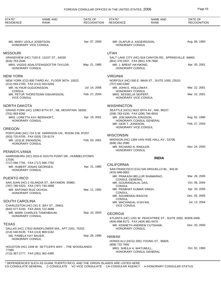| STATE*<br><b>RESIDENCE</b>                                    | <b>NAME AND</b><br><b>RANK</b>                        | DATE OF<br><b>RECOGNITION</b> | STATE*<br><b>RESIDENCE</b>                        | <b>NAME AND</b><br><b>RANK</b>                              | DATE OF<br><b>RECOGNITION</b> |
|---------------------------------------------------------------|-------------------------------------------------------|-------------------------------|---------------------------------------------------|-------------------------------------------------------------|-------------------------------|
|                                                               |                                                       |                               |                                                   |                                                             |                               |
| MS. MARY LEOLA JOSEFSON,<br>HONORARY VICE CONSUL              |                                                       | Apr. 07, 2000                 | MR. OLAFUR A. ASGEIRSSON,<br>HONORARY CONSUL      |                                                             | Aug. 06, 1993                 |
| <b>MISSOURI</b>                                               |                                                       |                               | <b>UTAH</b>                                       |                                                             |                               |
| (816) 763-2046                                                | GRANDVIEW (HC) 7100 E. 131ST ST., 64030.              |                               | (801) 378-3337, FAX (801) 378-7860                | SALT LAKE CITY (HC) 818 CANYON RD., SPRINGVILLE 84663.      |                               |
| <b>HONORARY CONSUL</b>                                        | MRS. VIGDIS ADALSTEINSDOTTIR TAYLOR,                  | May. 21, 1985                 | MR. J. BRENT HAYMOND.<br><b>HONORARY CONSUL</b>   |                                                             | Apr. 05, 2001                 |
| <b>NEW YORK</b>                                               |                                                       |                               | <b>VIRGINIA</b>                                   |                                                             |                               |
| (212) 593-2700, FAX (212) 593-6269                            | NEW YORK (CG) 800 THIRD AV., FLOOR 36TH, 10022.       |                               | (757) 640-5360                                    | NORFOLK (HC) 500 E. MAIN ST., SUITE 1000, 23510.            |                               |
| MR. HLYNUR GUDJONSSON,<br><b>CONSUL</b>                       |                                                       | Jul. 14, 2006                 | MR. JOHN E. HOLLOWAY,<br><b>HONORARY CONSUL</b>   |                                                             | Mar. 22, 2001                 |
| <b>VICE CONSUL</b>                                            | MR. PETUR THORSTEINN OSKARSSON,                       | Feb. 27, 2004                 | MRS. SESSELJA SEIFERT,                            | HONORARY VICE CONSUL                                        | Mar. 22, 2001                 |
| NORTH DAKOTA                                                  |                                                       |                               | <b>WASHINGTON</b>                                 |                                                             |                               |
| (701) 993-8282                                                | GRAND FORK (HC) 12963 87TH ST., NE, MOUNTAIN 58262.   |                               | (206) 783-4100, FAX (206) 784-8916                | SEATTLE (HCG) 5610 20TH AV., NW, 98107.                     |                               |
| HONORARY CONSUL                                               | MRS. LORETTA KAY BERNHOFT,                            | Apr. 19, 2001                 | MR. JON MARVIN JONSSON,                           | HONORARY CONSUL GENERAL                                     | Aug. 02, 1990                 |
|                                                               |                                                       |                               | MR. GEIR T. JONSSON,                              |                                                             | Feb. 27, 2003                 |
| <b>OREGON</b>                                                 |                                                       |                               |                                                   | HONORARY VICE CONSUL                                        |                               |
| (503) 725-9705, FAX (503) 725-9174                            | PORTLAND (HC) 724 S.W. HARRISON UN., ROOM 239, 97207. |                               | <b>WISCONSIN</b>                                  |                                                             |                               |
| MR. LESLIE SWANSON,<br>HONORARY CONSUL                        |                                                       | Feb. 03, 2001                 | (608) 262-2090                                    | MADISON (HC) 1364 VAN HISE HALL AV., 53706.                 |                               |
| PENNSYLVANIA                                                  |                                                       |                               | MR. RICHARD N. RINGLER,<br><b>HONORARY CONSUL</b> |                                                             | Nov. 24, 2003                 |
| 17036.                                                        | HARRISBURG (HC) 2015-D SOUTH POINT DR., HUMMELSTOWN   |                               |                                                   | <b>INDIA</b>                                                |                               |
| (717) 566-7791, FAX (717) 566-7792                            |                                                       |                               | <b>CALIFORNIA</b>                                 |                                                             |                               |
| HONORARY CONSUL                                               | MR. HUBERT JONAS GEORGES,                             | Apr. 21, 1980                 | $(415) 668 - 0662$                                | SAN FRANCISCO (CG) 540 ARGUELLO BL., 94118.                 |                               |
| PUERTO RICO                                                   |                                                       |                               |                                                   | MR. PRAKASH BELLUR SHAMARAO,                                | Mar. 28, 2005                 |
|                                                               | SAN JUAN (HC) 2 ISLANDIA ST., BAYAMON 00960.          |                               | <b>CONSUL GENERAL</b><br>MR. GOURANGALAL DAS,     |                                                             | Oct. 06, 2004                 |
| (787) 780-4323, FAX (787) 740-2888<br>MR. ANTONIO RUIZ OCHOA, |                                                       | Mar. 11, 1992                 | <b>CONSUL</b><br>MR. PRABHAT KUMAR SINGH,         |                                                             | Apr. 20, 2005                 |
| HONORARY CONSUL                                               |                                                       |                               | <b>CONSUL</b><br>MR. SOUMENDU BAGCHI,             |                                                             | Dec. 05, 2005                 |
| <b>SOUTH CAROLINA</b>                                         |                                                       |                               | <b>CONSUL</b><br>MR. MACHINGAL VIJAYAN,           |                                                             | Jul. 13, 2004                 |
| (843) 577-5100, FAX (843) 722-4688                            | CHARLESTON (HC) 241 E. BAY ST., 29401.                |                               | <b>VICE CONSUL</b>                                |                                                             |                               |
| HONORARY CONSUL                                               | MR. MARK CHARLES TANENBAUM,                           | Sep. 10, 2003                 | <b>GEORGIA</b>                                    |                                                             |                               |
|                                                               |                                                       |                               | (404) 898-8172, FAX (404) 881-0470                | ATLANTA (HC) 1201 W. PEACHTREE ST., SUITE 2000, 30309-3400. |                               |
| TEXAS                                                         |                                                       |                               |                                                   | MR. KENNETH ANDREW CUTSHAW,                                 | Dec. 20, 2000                 |
| (214) 540-9135, FAX (214) 969-5162                            | DALLAS (HC) 17910 WINDFLOWER WA., APT 2201, 75252.    |                               | <b>HONORARY CONSUL</b>                            |                                                             |                               |
| MS. PAMELA KAY BAUER,<br>HONORARY CONSUL                      |                                                       | Sep. 28, 1990                 | <b>HAWAII</b>                                     | HONOLULU (HCG) 2051 YOUNG ST., 96826.                       |                               |
| 77380.                                                        | HOUSTON (HC) 2348 W. SETTLER'S WAY., THE WOODLANDS    |                               | (808) 732-7692<br>MRS. SHEILA H. WATUMULL,        |                                                             | Oct. 02, 1990                 |
| (713) 367-2777, FAX (281) 362-4385                            |                                                       |                               |                                                   | HONORARY CONSUL GENERAL                                     |                               |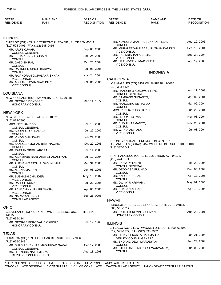MR. JITENDRA NATH MISRA,

DEPUTY CONSUL GENERAL

CONSUL GENERAL

| STATE*<br><b>RESIDENCE</b>                                           | <b>NAME AND</b><br><b>RANK</b>                             | DATE OF<br><b>RECOGNITION</b> | STATE*<br><b>RESIDENCE</b>                            | <b>NAME AND</b><br><b>RANK</b>                                                               | DATE OF<br><b>RECOGNITION</b> |
|----------------------------------------------------------------------|------------------------------------------------------------|-------------------------------|-------------------------------------------------------|----------------------------------------------------------------------------------------------|-------------------------------|
|                                                                      |                                                            |                               |                                                       |                                                                                              |                               |
| <b>ILLINOIS</b>                                                      |                                                            |                               |                                                       |                                                                                              |                               |
| (312) 595-0405, FAX (312) 595-0416                                   | CHICAGO (CG) 455 N. CITYFRONT PLAZA DR., SUITE 850, 60611. |                               | <b>CONSUL</b>                                         | MR. KUNJURAMAN PRESENNAN PILLAI,                                                             | Aug. 19, 2005                 |
| MR. ARUN KUMAR,<br><b>CONSUL GENERAL</b>                             |                                                            | Sep. 03, 2003                 | <b>VICE CONSUL</b>                                    | MR. MURALEEDHAR BABU PUTHAN KANDIYIL,                                                        | Sep. 15, 2004                 |
| MR. KEDAR SINGH GUSAIN,<br><b>CONSUL</b>                             |                                                            | Sep. 24, 2003                 | MR. BAL KRISHAN ASEEJA,<br><b>VICE CONSUL</b>         |                                                                                              | Sep. 24, 2004                 |
| MR. JAGDISH RAI,<br><b>CONSUL</b>                                    |                                                            | Oct. 26, 2004                 | MR. NARINDER KUMAR KARIR,<br><b>VICE CONSUL</b>       |                                                                                              | Apr. 12, 2005                 |
| MR. RAJINDER SINGH BADWAL,<br><b>CONSUL</b>                          |                                                            | Jul. 08, 2005                 |                                                       | <b>INDONESIA</b>                                                                             |                               |
|                                                                      | MR. RAVINDRAN GOPALAKRISHNAN,                              | Nov. 24, 2004                 |                                                       |                                                                                              |                               |
| <b>VICE CONSUL</b><br>MR. ASHOK KUMAR SAWHNEY,<br><b>VICE CONSUL</b> |                                                            | Dec. 05, 2005                 | <b>CALIFORNIA</b><br>$(213)$ 383-5126                 | LOS ANGELES (CG) 3457 WILSHIRE BL., 90010.                                                   |                               |
| LOUISIANA                                                            |                                                            |                               | MR. HANDRIYO KUSUMO PRIYO,<br><b>CONSUL GENERAL</b>   |                                                                                              | Apr. 11, 2003                 |
| MR. GEORGE DENEGRE,                                                  | NEW ORLEANS (HC) 1525 WEBSTER ST., 70118.                  | Mar. 14, 1977                 | MR. BAMBANG SUSANTO,<br><b>CONSUL</b>                 |                                                                                              | Mar. 09, 2004                 |
| <b>HONORARY CONSUL</b>                                               |                                                            |                               | MR. HANGGIRO SETIABUDI,<br><b>CONSUL</b>              |                                                                                              | Mar. 09, 2004                 |
| NEW YORK                                                             |                                                            |                               | MRS. CICILIA RUSDIHARINI,<br><b>CONSUL</b>            |                                                                                              | Jun. 25, 2004                 |
| (212) 879-7800                                                       | NEW YORK (CG) 3 E. 64TH ST., 10021.                        |                               | MR. HERRY HOTMA,<br><b>CONSUL</b>                     |                                                                                              | Nov. 08, 2004                 |
| MRS. NEELAM DEO,<br><b>CONSUL GENERAL</b>                            |                                                            | Dec. 16, 2005                 | MR. BUDHI HARMANTO,<br><b>CONSUL</b>                  |                                                                                              | Nov. 26, 2004                 |
| MR. SURINDER K. NANGIA,<br><b>CONSUL</b>                             |                                                            | Jul. 22, 2002                 | MR. WANDI ADRIANO,<br><b>VICE CONSUL</b>              |                                                                                              | Jul. 08, 2004                 |
| MR. VINOD BHANDARI,<br><b>CONSUL</b>                                 |                                                            | Feb. 21, 2003                 |                                                       |                                                                                              |                               |
| <b>CONSUL</b>                                                        | MR. SANDEEP MOHAN BHATNAGAR,                               | Oct. 22, 2003                 | (213) 387-7041                                        | INDONESIAN TRADE PROMOTION CENTER<br>LOS ANGELES (CONA) 3457 WILSHIRE BL., SUITE 101, 90010. |                               |
| MR. RATTAN SINGH ARORA,<br><b>CONSUL</b>                             |                                                            | Dec. 11, 2003                 |                                                       |                                                                                              |                               |
| <b>CONSUL</b>                                                        | MR. AJJAMPUR RANGAIAH GHANASHYAM,                          | Jul. 12, 2004                 | (415) 474-9571                                        | SAN FRANCISCO (CG) 1111 COLUMBUS AV., 94133.                                                 |                               |
| <b>CONSUL</b>                                                        | MR. PUTHENVEETTIL S. SASI KUMAR,                           | Mar. 31, 2006                 | MS. RAZIATY TANZIL,<br><b>CONSUL GENERAL</b>          |                                                                                              | Feb. 20, 2004                 |
| MS. NEENA MALHOTRA,<br><b>CONSUL</b>                                 |                                                            | Jun. 08, 2006                 | MR. DEDDY SAIFUL HADI,<br><b>CONSUL</b>               |                                                                                              | Dec. 08, 2004                 |
| MR. SUBHASH CHANDER,<br><b>VICE CONSUL</b>                           |                                                            | May. 15, 2002                 | MR. ANDI RAHADIAN,<br><b>CONSUL</b>                   |                                                                                              | Apr. 13, 2006                 |
| MR. RAJESH KUMAR,<br><b>VICE CONSUL</b>                              |                                                            | Jul. 22, 2005                 | MS. DWI AYU ARIMAMI,<br><b>CONSUL</b>                 |                                                                                              | May. 01, 2006                 |
| MR. PANACHIKKUTH PRAKASH,<br><b>VICE CONSUL</b>                      |                                                            | Apr. 05, 2006                 | MR. KHASAN ASHARI,<br><b>VICE CONSUL</b>              |                                                                                              | Apr. 13, 2006                 |
| MR. NARAYAN SINGH,<br><b>CONSULAR AGENT</b>                          |                                                            | Sep. 26, 0005                 |                                                       |                                                                                              |                               |
|                                                                      |                                                            |                               | HAWAII                                                | HONOLULU (HC) 1001 BISHOP ST., SUITE 2970, 96813.                                            |                               |
| OHIO                                                                 |                                                            |                               | (808) 531-3017                                        |                                                                                              |                               |
| 44115.<br>(216) 696-1144                                             | CLEVELAND (HC) X UNION COMMERCE BLDG. UN., SUITE 1444,     |                               | MR. PATRICK KEVIN SULLIVAN,<br><b>HONORARY CONSUL</b> |                                                                                              | Aug. 20, 2001                 |
|                                                                      | MR. GEORGE PERCIVAL BICKFORD,                              | Dec. 12, 1963                 | <b>ILLINOIS</b>                                       |                                                                                              |                               |
| HONORARY CONSUL                                                      |                                                            |                               | (312) 595-1777, FAX (312) 595-9952                    | CHICAGO (CG) 211 W. WACKER DR., SUITE 800, 60606.                                            |                               |
| TEXAS                                                                |                                                            |                               | MR. HIDAYAT KARTA HADIMADJA,                          |                                                                                              | Jan. 21, 2005                 |
| (713) 626-2148                                                       | HOUSTON (CG) 1990 POST OAK BL., SUITE 600, 77056.          |                               | DEPUTY CONSUL GENERAL<br>MS. ENDANG DEWI MARDEYANI,   |                                                                                              | Feb. 24, 2004                 |
| CONSUL GENERAL                                                       | MR. SHASHISHEKHAR MADHUKAR GAVAI,                          | Oct. 17, 2005                 | CONSUL                                                | MR. STEPHANUS MARIA SUWARYANTO.                                                              | Jun. 08, 2006                 |

\* DEPENDENCIES SUCH AS GUAM, PUERTO RICO, AND THE VIRGIN ISLANDS ARE LISTED HERE. CG-CONSULATE GENERAL C-CONSULATE VC-VICE CONSULATE CA-CONSULAR AGENCY H-HONORARY CONSULAR STATUS

Aug. 18, 1998

MR. STEPHANUS MARIA SUWARYANTO,

CONSUL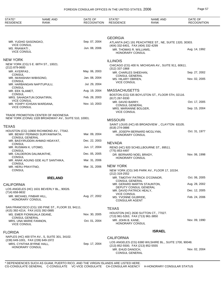| STATE*<br><b>RESIDENCE</b>                                      | <b>NAME AND</b><br><b>RANK</b>                                            | DATE OF<br><b>RECOGNITION</b> | STATE*<br><b>RESIDENCE</b>                                                 | <b>NAME AND</b><br><b>RANK</b>                         | DATE OF<br><b>RECOGNITION</b> |
|-----------------------------------------------------------------|---------------------------------------------------------------------------|-------------------------------|----------------------------------------------------------------------------|--------------------------------------------------------|-------------------------------|
|                                                                 |                                                                           |                               |                                                                            |                                                        |                               |
|                                                                 |                                                                           |                               | <b>GEORGIA</b>                                                             |                                                        |                               |
| MR. YUDHO SASONGKO,<br><b>VICE CONSUL</b>                       |                                                                           | Sep. 07, 2004                 | (404) 332-6401, FAX (404) 332-4299                                         | ATLANTA (HC) 191 PEACHTREE ST., NE, SUITE 1320, 30303. |                               |
| MS. RNAWATI,<br><b>VICE CONSUL</b>                              |                                                                           | Jun. 08, 2006                 | MR. THOMAS R. WILLIAMS,<br>HONORARY CONSUL                                 |                                                        | Aug. 14, 1992                 |
| <b>NEW YORK</b>                                                 |                                                                           |                               | <b>ILLINOIS</b>                                                            |                                                        |                               |
| $(212)$ 879-0600                                                | NEW YORK (CG) 5 E. 68TH ST., 10021.                                       |                               | $(312)$ 337-1868                                                           | CHICAGO (CG) 400 N. MICHIGAN AV., SUITE 911, 60611.    |                               |
| MR. AYERFAS,                                                    |                                                                           | May. 06, 2003                 | MR. CHARLES SHEEHAN,                                                       |                                                        | Sep. 27, 2002                 |
| <b>CONSUL</b><br>MR. IWANSHAH WIBISONO,                         |                                                                           | Jan. 08, 2004                 | <b>CONSUL GENERAL</b><br>MS. HILARY OBRIEN,                                |                                                        | Nov. 02, 2005                 |
| <b>CONSUL</b><br>MR. HARBANGAN NAPITUPULU,                      |                                                                           | Jul. 29, 2004                 | <b>VICE CONSUL</b>                                                         |                                                        |                               |
| <b>CONSUL</b><br>MR. EEK SLAMET,                                |                                                                           | Aug. 19, 2004                 | <b>MASSACHUSETTS</b>                                                       |                                                        |                               |
| <b>CONSUL</b><br>MRS. SAHADATUN DONATIRIN,                      |                                                                           | Feb. 28, 2003                 | (617) 267-9330                                                             | BOSTON (CG) 535 BOYLSTON ST., FLOOR 5TH, 02116.        |                               |
| <b>VICE CONSUL</b><br>MR. YOHPY ICHSAN WARDANA,                 |                                                                           | Nov. 10, 2003                 | MR. DAVID BARRY,                                                           |                                                        | Oct. 17, 2005                 |
| <b>VICE CONSUL</b>                                              |                                                                           |                               | <b>CONSUL GENERAL</b><br>MRS. MARIANNE BOLGER,                             |                                                        | Sep. 15, 2004                 |
|                                                                 | TRADE PROMOTION CENTER OF INDONESIA                                       |                               | <b>VICE CONSUL</b>                                                         |                                                        |                               |
|                                                                 | NEW YORK (CONA) 1328 BROADWAY AV., SUITE 510, 10001.                      |                               | <b>MISSOURI</b>                                                            |                                                        |                               |
| <b>TEXAS</b>                                                    |                                                                           |                               | (618) 274-0886                                                             | SAINT LOUIS (HC) 65 BROADVIEW., CLAYTON 63105.         |                               |
| <b>CONSUL GENERAL</b>                                           | HOUSTON (CG) 10900 RICHMOND AV., 77042.<br>MR. BENNY PERMADI SURYAWINATA, | Mar. 09, 2004                 | MR. JOSEPH BERNARD MCGLYNN,<br>HONORARY CONSUL                             |                                                        | Oct. 31, 1977                 |
| <b>CONSUL</b>                                                   | MR. BASYIRUDDIN AHMAD HIDAYAT,                                            | Dec. 22, 2003                 | <b>NEVADA</b>                                                              |                                                        |                               |
| MR. RUSMAN K. UTOMO,                                            |                                                                           | Jun. 17, 2004                 |                                                                            | RENO (HC) 920 SCHELLBOURNE ST., 89511.                 |                               |
| <b>CONSUL</b><br>MR. CALDERON DALIMUNTHE,                       |                                                                           | Dec. 05, 2005                 | (775) 853-4497<br>DR. BERNARD NOEL BRADY,                                  |                                                        | Nov. 06, 1998                 |
| <b>CONSUL</b>                                                   | MR. ANAK AGUNG GDE ALIT SANTHIKA,                                         | Mar. 31, 2006                 | <b>HONORARY CONSUL</b>                                                     |                                                        |                               |
| <b>CONSUL</b><br>MR. HERU PRAYITNO,                             |                                                                           | Mar. 31, 2006                 | <b>NEW YORK</b>                                                            |                                                        |                               |
| <b>CONSUL</b>                                                   |                                                                           |                               | (212) 319-2552                                                             | NEW YORK (CG) 345 PARK AV., FLOOR 17, 10154.           |                               |
|                                                                 | <b>IRELAND</b>                                                            |                               | MR. TIMOTHY PATRICK O'CONNOR,<br><b>CONSUL GENERAL</b>                     |                                                        | Oct. 06, 2005                 |
| <b>CALIFORNIA</b>                                               |                                                                           |                               | MR. GERARD MARTIN STAUNTON,                                                |                                                        | Aug. 28, 2002                 |
| (714) 658-9832                                                  | LOS ANGELES (HC) 1631 BEVERLY BL., 90026.                                 |                               | DEPUTY CONSUL GENERAL<br>MR. DAVID PATRICK HEALY,                          |                                                        | Dec. 12, 2005                 |
| MR. MICHAEL FINBAR HILL,<br><b>HONORARY CONSUL</b>              |                                                                           | Aug. 27, 2002                 | <b>VICE CONSUL</b><br>MS. YVONNE GILBRIDE,<br><b>CONSULAR AGENT</b>        |                                                        | Feb. 24, 2006                 |
|                                                                 | SAN FRANCISCO (CG) 100 PINE ST., FLOOR 33, 94111.                         |                               | <b>TEXAS</b>                                                               |                                                        |                               |
| (415) 392-4214, FAX (415) 392-0885<br>MS. EMER FIONNUALA DEANE, |                                                                           | Nov. 30, 2005                 |                                                                            | HOUSTON (HC) 2630 SUTTON CT., 77027.                   |                               |
| <b>CONSUL GENERAL</b><br>MRS. UNA MARIE FANNON,                 |                                                                           | Oct. 01, 2004                 | (713) 961-5263, FAX (713) 961-3850<br>MR. JOHN B. KANE.<br>HONORARY CONSUL |                                                        | Nov. 09, 1990                 |
| <b>VICE CONSUL</b><br><b>FLORIDA</b>                            |                                                                           |                               |                                                                            | <b>ISRAEL</b>                                          |                               |
|                                                                 | NAPLES (HC) 400 5TH AV., S, SUITE 301, 34102.                             |                               | <b>CALIFORNIA</b>                                                          |                                                        |                               |
| (239) 649-1001, FAX (239) 649-1972<br>MRS. CYNTHIA BYRNE HALL,  |                                                                           | Sep. 17, 2004                 |                                                                            | LOS ANGELES (CG) 6380 WILSHIRE BL., SUITE 1700, 90048. |                               |
| <b>HONORARY CONSUL</b>                                          |                                                                           |                               | (213) 852-5500, FAX (213) 852-5555<br>MR. EHUD DANOCH,                     |                                                        | Nov. 02, 2004                 |
|                                                                 |                                                                           |                               | <b>CONSUL GENERAL</b>                                                      |                                                        |                               |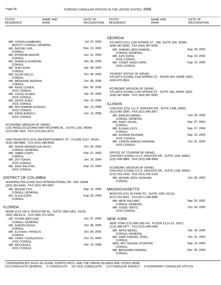| STATE*<br><b>RESIDENCE</b>                                      | <b>NAME AND</b><br>RANK                                   | DATE OF<br><b>RECOGNITION</b> | STATE*<br><b>RESIDENCE</b>                                       | <b>NAME AND</b><br>RANK                                 | DATE OF<br><b>RECOGNITION</b> |
|-----------------------------------------------------------------|-----------------------------------------------------------|-------------------------------|------------------------------------------------------------------|---------------------------------------------------------|-------------------------------|
|                                                                 |                                                           |                               |                                                                  |                                                         |                               |
|                                                                 |                                                           |                               | <b>GEORGIA</b>                                                   |                                                         |                               |
| MR. YARON GAMBURG,                                              | DEPUTY CONSUL GENERAL                                     | Jul. 07, 2005                 | (404) 487-6500, FAX (404) 487-6555                               | ATLANTA (CG) 1100 SPRING ST., NW, SUITE 440, 30309.     |                               |
| MS. RACHEL NIR,<br><b>CONSUL</b>                                |                                                           | Nov. 22, 2002                 | MR. SHMUEL BEN SHMUEL,                                           |                                                         | Aug. 30, 2002                 |
| MR. EPHRAIM MAZOR,                                              |                                                           | Jun. 01, 2004                 | <b>CONSUL GENERAL</b><br>MR. AVIV EZRA,                          |                                                         | Aug. 19, 2002                 |
| <b>CONSUL</b><br>MS. DANIELA AHARONI,                           |                                                           | Jan. 06, 2005                 | <b>VICE CONSUL</b><br>MR. YOSEF SAGIV OFRI,                      |                                                         | Aug. 24, 2005                 |
| <b>CONSUL</b><br>MR. SHAI AIZIN,                                |                                                           | Apr. 08, 2005                 | <b>VICE CONSUL</b>                                               |                                                         |                               |
| <b>CONSUL</b><br>MR. GILAD MILLO,                               |                                                           | Oct. 06, 2005                 | TOURIST OFFICE OF ISRAEL                                         |                                                         |                               |
| <b>CONSUL</b><br>MR. MENASHE MIZRAHI,                           |                                                           | Jun. 08, 2006                 | (404) 875-9924                                                   | ATLANTA (CONA) 1100 SPRING ST., ROOM 440, 30309--2823.  |                               |
| <b>CONSUL</b><br>MR. RAVE COHEN,                                |                                                           | Dec. 05, 2005                 |                                                                  |                                                         |                               |
| <b>VICE CONSUL</b>                                              |                                                           |                               | ECONOMIC MISSION OF ISRAEL                                       | ATLANTA (CONA) 1100 SPRING ST., SUITE 440, 30309--2823. |                               |
| MR. YUVAL ELNER,<br><b>VICE CONSUL</b>                          |                                                           | Apr. 05, 2006                 | (404) 487-6500, FAX (404) 487-6555                               |                                                         |                               |
| MR. DAVID GUEZ,<br><b>VICE CONSUL</b>                           |                                                           | Apr. 13, 2006                 | <b>ILLINOIS</b>                                                  |                                                         |                               |
| MR. ROI SHIMON AVISHAY,<br><b>VICE CONSUL</b>                   |                                                           | Apr. 13, 2006                 |                                                                  | CHICAGO (CG) 111 E. WACKER DR., SUITE 1308, 60601.      |                               |
| MR. ERAN BARZILY,<br><b>VICE CONSUL</b>                         |                                                           | Jun. 14, 2006                 | (312) 565-3300, FAX (312) 565-3871<br>MR. BARUKH BINAH,          |                                                         | Oct. 04, 2005                 |
|                                                                 |                                                           |                               | <b>CONSUL GENERAL</b><br>MR. ANDY DAVID,                         |                                                         | Sep. 07, 2004                 |
| ECONOMIC MISSION OF ISRAEL                                      | LOS ANGELES (CONA) 6404 WILSHIRE BL., SUITE 1150, 90048.  |                               | <b>CONSUL</b><br>MR. ELIAHU LEVY,                                |                                                         | Sep. 07, 2004                 |
| (213) 658-7924, FAX (213) 651-0572                              |                                                           |                               | <b>CONSUL</b><br>MR. AVISHAI ROZNER,                             |                                                         | Sep. 10, 2004                 |
|                                                                 | SAN FRANCISCO (CG) 456 MONTGOMERY ST., FLOOR 21ST, 94104. |                               | <b>VICE CONSUL</b><br>MR. YARON HAMISH AVRHAM,                   |                                                         | Oct. 01, 2004                 |
| (415) 398-8885, FAX (415) 398-8589<br>MR. DAVID MORDECHAI AKOV, |                                                           | Oct. 26, 2004                 | <b>VICE CONSUL</b>                                               |                                                         |                               |
| <b>CONSUL GENERAL</b><br>MR. OMER CASPI,                        |                                                           | Feb. 07, 2003                 | OFFICE OF TOURISM OF ISRAEL                                      |                                                         |                               |
| <b>CONSUL</b>                                                   |                                                           |                               | (312) 938-3885, FAX (312) 938-3668                               | CHICAGO (CONA) 111 E. WACKER DR., SUITE 1230, 60601.    |                               |
| MR. ZIV YOASH,<br><b>VICE CONSUL</b>                            |                                                           | Jun. 16, 2004                 |                                                                  |                                                         |                               |
| MR. SHAI SALITAN,<br><b>VICE CONSUL</b>                         |                                                           | Sep. 24, 2004                 | ECONOMIC MISSION OF ISRAEL<br>(312) 332-2160, FAX (312) 332-2163 | CHICAGO (CONA) 111 E. WACKER DR., SUITE 1230, 60601.    |                               |
| DISTRICT OF COLUMBIA                                            |                                                           |                               | MR. MOSHE ZEEV SHOHAM,                                           |                                                         | Oct. 08, 2002                 |
| (202) 364-5500, FAX (202) 364-5607                              | WASHINGTON (CHN) 3514 INTERNATIONAL DR., NW, 20008.       |                               | <b>CONSUL</b>                                                    |                                                         |                               |
| MR. MOSHE FOX,<br><b>CONSUL GENERAL</b>                         |                                                           | Sep. 14, 2000                 | <b>MASSACHUSETTS</b>                                             |                                                         |                               |
| MS. ALIZA EZRA,                                                 |                                                           | Aug. 28, 2003                 | (617) 542-0041, FAX (617) 338-4995                               | BOSTON (CG) 20 PARK PZ., SUITE 1020, 02116.             |                               |
| <b>CONSUL</b>                                                   |                                                           |                               | MR. MEIR SHLOMO,<br><b>CONSUL GENERAL</b>                        |                                                         | Sep. 26, 2002                 |
| <b>FLORIDA</b>                                                  |                                                           |                               | MR. YOSSI TWITO,<br><b>VICE CONSUL</b>                           |                                                         | Oct. 04, 2005                 |
| (305) 358-8111, FAX (305) 371-5034                              | MIAMI (CG) 100 N. BISCAYNE BL., SUITE 1800-1801, 33132.   |                               |                                                                  |                                                         |                               |
| DR. ITZHAK BEN GAD,<br><b>CONSUL GENERAL</b>                    |                                                           | Jun. 07, 2005                 | <b>NEW YORK</b>                                                  |                                                         |                               |
| MR. AARON SAGUI,                                                |                                                           | Oct. 06, 2005                 | (212) 499-5477, FAX (212) 499-5465                               | NEW YORK (CG) 800 2ND AV., FLOOR 13,14,15, 10017.       |                               |
| CONSUL<br>MR. ELIYAHU YIFRACH,                                  |                                                           | Oct. 06, 2005                 | MR. ARYE MEKEL,<br><b>CONSUL GENERAL</b>                         |                                                         | Apr. 26, 2005                 |
| <b>CONSUL</b><br>MR. YANIV YUDALEVICH,                          |                                                           | Oct. 01, 2004                 | MR. AMIR SHMUEL OFEK,<br>CONSUL                                  |                                                         | Oct. 01, 2003                 |
| <b>VICE CONSUL</b><br>MR. IDO KAZAZ,                            |                                                           | Apr. 10, 2006                 | MRS. IRIT DEGANI STOPPER,                                        |                                                         | Sep. 10, 2004                 |
| <b>VICE CONSUL</b>                                              |                                                           |                               | <b>CONSUL</b><br>MR. BENJAMIN KRASNA,<br><b>CONSUL</b>           |                                                         | Dec. 05, 2005                 |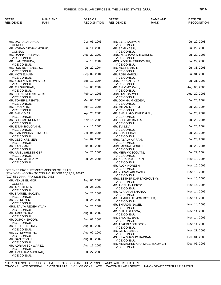## FOREIGN CONSULAR OFFICES IN THE UNITED STATES, 2006 Page 59

| STATE*<br><b>RESIDENCE</b>                                       | <b>NAME AND</b><br>RANK                             | DATE OF<br><b>RECOGNITION</b> | STATE*<br><b>RESIDENCE</b>                     | <b>NAME AND</b><br><b>RANK</b> | DATE OF<br><b>RECOGNITION</b> |
|------------------------------------------------------------------|-----------------------------------------------------|-------------------------------|------------------------------------------------|--------------------------------|-------------------------------|
|                                                                  |                                                     |                               |                                                |                                |                               |
| MR. DAVID SARANGA,                                               |                                                     | Dec. 05, 2005                 | MR. EYAL KADMON,                               |                                | Jul. 29, 2003                 |
| <b>CONSUL</b><br>MR. YORAM YIZHAK MORAD,                         |                                                     | Jul. 11, 2006                 | <b>VICE CONSUL</b><br>MR. SAMI KASPI,          |                                | Jul. 29, 2003                 |
| <b>CONSUL</b><br>MR. DANNY ZALEWSKI,                             |                                                     | Aug. 22, 2002                 | <b>VICE CONSUL</b><br>MRS. NECHAMA SHECHNER,   |                                | Jul. 29, 2003                 |
| <b>VICE CONSUL</b>                                               |                                                     | Jul. 15, 2004                 | <b>VICE CONSUL</b><br>MRS. YONINA STRIKOVSKI,  |                                | Jul. 29, 2003                 |
| MR. ILAN YEHUDA,<br><b>VICE CONSUL</b>                           |                                                     |                               | <b>VICE CONSUL</b>                             |                                |                               |
| MR. RON ROTTENBERG,<br><b>VICE CONSUL</b>                        |                                                     | Jul. 20, 2004                 | MR. MOSHE AISH,<br><b>VICE CONSUL</b>          |                                | Jul. 31, 2003                 |
| MR. MOTI ELKAIM,<br><b>VICE CONSUL</b>                           |                                                     | Sep. 09, 2004                 | MR. ROBI MAROM,<br><b>VICE CONSUL</b>          |                                | Jul. 31, 2003                 |
| MR. YOGEV SHLOMI SISO,                                           |                                                     | Sep. 10, 2004                 | MRS. RINA ZITSER,                              |                                | Jul. 31, 2003                 |
| <b>VICE CONSUL</b><br>MR. ELI SHUSHAN,                           |                                                     | Dec. 03, 2004                 | <b>VICE CONSUL</b><br>MR. SHLOMO KALL,         |                                | Aug. 05, 2003                 |
| <b>VICE CONSUL</b><br>MR. LEON SMULAKOWSKI,                      |                                                     | Feb. 14, 2005                 | <b>VICE CONSUL</b><br>MRS. TAL CARMEL,         |                                | Aug. 29, 2003                 |
| <b>VICE CONSUL</b>                                               |                                                     |                               | <b>VICE CONSUL</b>                             |                                |                               |
| MR. TOMER LIFSHITS,<br><b>VICE CONSUL</b>                        |                                                     | Mar. 08, 2005                 | MR. DOV HAIM KEDEM,<br><b>VICE CONSUL</b>      |                                | Jul. 20, 2004                 |
| MR. IDAN KFIR,                                                   |                                                     | Apr. 12, 2005                 | MR. MILIAN MARAM,<br><b>VICE CONSUL</b>        |                                | Jul. 20, 2004                 |
| <b>VICE CONSUL</b><br>MR. SHAY GIAT,                             |                                                     | Apr. 28, 2005                 | MR. SHAUL GOLDKIND GAL,                        |                                | Jul. 20, 2004                 |
| <b>VICE CONSUL</b><br>MR. SHLOMO NEUMAN,                         |                                                     | Nov. 15, 2005                 | <b>VICE CONSUL</b><br>MR. SHLOMO BARTAL,       |                                | Jul. 20, 2004                 |
| VICE CONSUL<br>MR. EITAN BOUGANIM,                               |                                                     | Nov. 16, 2005                 | <b>VICE CONSUL</b><br>MR. ZVI LEV,             |                                | Jul. 20, 2004                 |
| <b>VICE CONSUL</b>                                               |                                                     |                               | <b>VICE CONSUL</b>                             |                                |                               |
| MR. ILAN PINHAS FEINGOLD,<br><b>VICE CONSUL</b>                  |                                                     | Dec. 05, 2005                 | MR. SHAI SPINZI,<br><b>VICE CONSUL</b>         |                                | Jul. 28, 2004                 |
| MR. OLEG KREIMER,<br><b>VICE CONSUL</b>                          |                                                     | Jun. 02, 2006                 | MRS. AYALA AVIRAM,<br><b>VICE CONSUL</b>       |                                | Jul. 28, 2004                 |
| MR. YANIV AMIR,                                                  |                                                     | Jun. 02, 2006                 | MRS. MICHAL MORIEL,                            |                                | Jul. 28, 2004                 |
| <b>VICE CONSUL</b><br>MR. ARIEL SHLEZINGER,                      |                                                     | Jul. 26, 2006                 | <b>VICE CONSUL</b><br>MR. MEIR MOSCOVITS,      |                                | Jul. 29, 2004                 |
| <b>VICE CONSUL</b><br>MR. BOAZ MECILATY,                         |                                                     | Jul. 26, 2006                 | <b>VICE CONSUL</b><br>MR. ABRAHAM KEREN,       |                                | Nov. 10, 2005                 |
| <b>VICE CONSUL</b>                                               |                                                     |                               | <b>VICE CONSUL</b>                             |                                |                               |
|                                                                  | DEFENSE PROCUREMENT MISSION OF ISRAEL               |                               | MR. ALON HORESH,<br><b>VICE CONSUL</b>         |                                | Nov. 10, 2005                 |
|                                                                  | NEW YORK (CONA) 800 2ND AV., FLOOR 10,11,12, 10017. |                               | MR. YORAM ABECASIS,<br><b>VICE CONSUL</b>      |                                | Nov. 10, 2005                 |
| (212) 551-0444, FAX (212) 551-0482<br>MR. YEKUTIEL MOR,          |                                                     | Aug. 05, 2003                 | MRS. ESTHER DAR DYCHOVSKY,                     |                                | Nov. 10, 2005                 |
| <b>CONSUL</b>                                                    |                                                     |                               | <b>VICE CONSUL</b><br>MR. AVISHAY HERTZ,       |                                | Nov. 14, 2005                 |
| MR. ARIE KEREN,<br>VICE CONSUL                                   |                                                     | Jul. 26, 2002                 | <b>VICE CONSUL</b><br>MR. AVRAHAM SHARKA,      |                                | Nov. 14, 2005                 |
| MR. SAMUEL MAKLEV,<br><b>VICE CONSUL</b>                         |                                                     | Jul. 26, 2002                 | <b>VICE CONSUL</b>                             |                                |                               |
| MR. ZVI ROZEN,                                                   |                                                     | Jul. 26, 2002                 | MR. SAMUEL ADMON ROYTER,<br><b>VICE CONSUL</b> |                                | Nov. 14, 2005                 |
| VICE CONSUL<br>MRS. TALYA REGEV YAVIN,                           |                                                     | Jul. 26, 2002                 | MR. SHARON NAGEL,<br><b>VICE CONSUL</b>        |                                | Nov. 14, 2005                 |
| VICE CONSUL<br>MR. AMIR YAHAV,                                   |                                                     | Aug. 02, 2002                 | MR. SHAUL GILBOA,                              |                                | Nov. 14, 2005                 |
| <b>VICE CONSUL</b>                                               |                                                     | Aug. 02, 2002                 | <b>VICE CONSUL</b><br>MR. SHLOMO BAR,          |                                | Nov. 14, 2005                 |
| MR. DORON SHOOR,<br>VICE CONSUL                                  |                                                     |                               | <b>VICE CONSUL</b><br>MR. TZAFRIR SOLOMON,     |                                | Nov. 14, 2005                 |
| MR. YEHIEL KEHATY,<br>VICE CONSUL                                |                                                     | Aug. 02, 2002                 | <b>VICE CONSUL</b>                             |                                |                               |
| MR. ZVI SHWARTHZ,                                                |                                                     | Aug. 02, 2002                 | MR. GIL MELAMED,<br><b>VICE CONSUL</b>         |                                | Nov. 21, 2005                 |
| VICE CONSUL<br>MR. DAN REVAH,                                    |                                                     | Aug. 08, 2002                 | MS. HILA SHASHO HARRAM,<br><b>VICE CONSUL</b>  |                                | Dec. 01, 2005                 |
| VICE CONSUL<br>MR. ADRIAN SCHWARTZ,                              |                                                     | Aug. 12, 2002                 |                                                | MR. MENACHEM CHAIM GERSKOVICH, | Dec. 05, 2005                 |
| <b>VICE CONSUL</b><br>MR. AVRAHAM MASHIAH,<br><b>VICE CONSUL</b> |                                                     | Jul. 27, 2003                 | <b>VICE CONSUL</b>                             |                                |                               |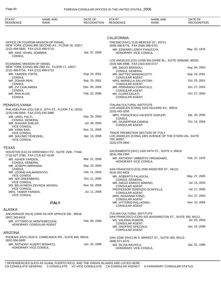| STATE*                                                                         | <b>NAME AND</b>                                                                         | DATE OF            | STATE*                                            | <b>NAME AND</b>                                            | DATE OF                        |
|--------------------------------------------------------------------------------|-----------------------------------------------------------------------------------------|--------------------|---------------------------------------------------|------------------------------------------------------------|--------------------------------|
| <b>RESIDENCE</b>                                                               | <b>RANK</b>                                                                             | <b>RECOGNITION</b> | <b>RESIDENCE</b>                                  | <b>RANK</b>                                                | <b>RECOGNITION</b>             |
|                                                                                |                                                                                         |                    |                                                   |                                                            |                                |
|                                                                                |                                                                                         |                    | <b>CALIFORNIA</b>                                 |                                                            |                                |
|                                                                                | OFFICE OF TOURISM MISSION OF ISRAEL<br>NEW YORK (CONA) 800 SECOND AV., FLOOR 16, 10017. |                    | (559) 268-8776, FAX (559) 268-5701                | FRESNO (HVC) 2125 MERCED ST., 93721.                       |                                |
| (212) 499-5600, FAX (212) 499-5715<br>MR. ARIE YEHIEL SOMMER,<br><b>CONSUL</b> |                                                                                         | Apr. 07, 2006      | HONORARY VICE CONSUL                              | MR. EDWARD LEROY FANUCCHI,                                 | May. 20, 1976                  |
| ECONOMIC MISSION OF ISRAEL                                                     |                                                                                         |                    | (310) 826-5998, FAX (310) 820-0727                | LOS ANGELES (CG) 12400 WILSHIRE BL., SUITE 300&360, 90025. |                                |
| (212) 499-5716, FAX (212) 499-5715                                             | NEW YORK (CONA) 800 2ND AV., FLOOR 17, 10017.                                           |                    | MR. DIEGO BRASIOLI,<br><b>CONSUL GENERAL</b>      |                                                            | Aug. 04, 2003                  |
| MR. YARDEN YOFFE,<br><b>CONSUL</b>                                             |                                                                                         | Aug. 14, 2001      | MR. MATTEO MANGIACOTTI,<br><b>CONSULAR AGENT</b>  |                                                            | Sep. 19, 2001                  |
| MR. ZOHAR PERI,<br><b>CONSUL</b>                                               |                                                                                         | Sep. 20, 2001      | MRS. MARIELLA SALVATORI,<br><b>CONSULAR AGENT</b> |                                                            | Oct. 25, 2001                  |
| MR. ZVI CHALAMISH,<br><b>CONSUL</b>                                            |                                                                                         | Dec. 05, 2005      | MR. FERNANDO CURATOLO,<br><b>CONSULAR AGENT</b>   |                                                            | Oct. 27, 2003                  |
| MR. RAN ALON,<br><b>CONSUL</b>                                                 |                                                                                         | Feb. 22, 2006      | MS. CLARA CELATI,<br><b>CONSULAR AGENT</b>        |                                                            | Oct. 27, 2003                  |
| PENNSYLVANIA                                                                   |                                                                                         |                    | <b>ITALIAN CULTURAL INSTITUTE</b>                 | LOS ANGELES (CONA) 1023 HILGARD AV., 90024.                |                                |
| (215) 546-5556, FAX (215) 545-3986                                             | PHILADELPHIA (CG) 230 S. 15TH ST., FLOOR 7-8, 19102.                                    |                    | (310) 443-3250                                    |                                                            |                                |
| MR. URIEL PALTI,<br><b>CONSUL GENERAL</b>                                      |                                                                                         | Sep. 29, 2004      | <b>CONSUL</b>                                     | MRS. FRANCESCA VALENTE GORJUP,                             | Apr. 29, 2005<br>Oct. 14, 2004 |
| MR. SHAHAR SHELEF,<br><b>VICE CONSUL</b>                                       |                                                                                         | Jul. 28, 2004      | MS. GIUSEPPINA CANDIA,<br><b>CONSULAR AGENT</b>   |                                                            |                                |
| MR. YIRMI BAR,<br><b>VICE CONSUL</b>                                           |                                                                                         | Nov. 21, 2005      |                                                   | TRADE PROMOTION SECTION OF ITALY                           |                                |
| MR. SHLOMO YEHEZKEL,<br><b>VICE CONSUL</b>                                     |                                                                                         | Apr. 13, 2006      | 700, 90067.<br>(323) 879-0950                     | LOS ANGELES (CONA) 1801 AVENUE OF THE STARS UN., SUITE     |                                |
| TEXAS                                                                          |                                                                                         |                    |                                                   |                                                            |                                |
| (713) 627-3780, FAX (713) 627-0149                                             | HOUSTON (CG) 24 GREENWAY PZ., SUITE 1500, 77046.                                        |                    | (916) 456-1950                                    | SACRAMENTO (HVC) 1420 54TH ST., SUITE 4, 95819.            |                                |
| MR. ASHER YARDEN,<br><b>CONSUL GENERAL</b>                                     |                                                                                         | Mar. 21, 2006      | <b>HONORARY VICE CONSUL</b>                       | MR. ANTHONY UMBERTO VIRGADAMO,                             | Feb. 27, 1976                  |
| MR. JOSEPH ABRAHAM,<br><b>CONSUL</b>                                           |                                                                                         | Sep. 23, 2004      |                                                   | SAN FRANCISCO (CG) 2590 WEBSTER ST., 94115.                |                                |
| MR. LEONID KALMANOVICH,<br><b>VICE CONSUL</b>                                  |                                                                                         | Feb. 11, 2004      | (415) 931-4924<br>MR. ROBERTO FALASCHI,           |                                                            | May. 27, 2005                  |
| MR. NIR GREENBERG,<br><b>VICE CONSUL</b>                                       |                                                                                         | Oct. 11, 2005      | <b>CONSUL GENERAL</b><br>MR. DIEGO ENRICO MARINO, |                                                            | Jul. 15, 2003                  |
| <b>VICE CONSUL</b>                                                             | MS. BELAYNESH ZEVADIA ADIGEH,                                                           | Nov. 02, 2005      | <b>CONSULAR AGENT</b>                             | PROFESSOR TERENZIO SCAPOLLA,                               | Jul. 17, 2003                  |
| MRS. TAMAR YARDEN,<br><b>VICE CONSUL</b>                                       |                                                                                         | Jul. 11, 2006      | <b>CONSULAR AGENT</b><br>MRS. ROSANNA FONZI,      |                                                            | Oct. 27, 2003                  |
|                                                                                | <b>ITALY</b>                                                                            |                    | <b>CONSULAR AGENT</b><br>MR. VITTORIO PALLADINO,  |                                                            | Nov. 22, 2004                  |
| ALASKA                                                                         |                                                                                         |                    | <b>CONSULAR AGENT</b>                             |                                                            |                                |
|                                                                                | ANCHORAGE (HCA) 12840 SILVER SPRUCE DR., 99516.                                         |                    | <b>ITALIAN CULTURAL INSTITUTE</b>                 | SAN FRANCISCO (CON) 425 WASHINGTON ST., SUITE 200, 94111.  |                                |
| $(907)$ 345-6419                                                               | MR. VITTORIO M. MONTEMEZZANI,                                                           | Feb. 09, 1990      | MS. VALERIA RUMORI,<br><b>CONSULAR AGENT</b>      |                                                            | Jul. 25, 2003                  |
|                                                                                | HONORARY CONSULAR AGENT                                                                 |                    | MR. ONOFRIO SPECIALE,<br><b>CONSULAR AGENT</b>    |                                                            | Jan. 24, 2006                  |
| ARIZONA                                                                        |                                                                                         |                    |                                                   |                                                            |                                |
| $(602)$ 956-5800                                                               | PHOENIX (HVC) 2525 E. CAMELBACK RD., SUITE 840, 85016.                                  |                    | (408) 971-9170                                    | SAN JOSE (HVC) 95 S. MARKET ST., SUITE 300, 95113.         |                                |
| HONORARY VICE CONSUL                                                           | MR. ANTHONY ALBERT BONACCI,                                                             | Jun. 10, 1998      | MS. SILVIA RAVIOLA,<br>HONORARY VICE CONSUL       |                                                            | Apr. 01, 1995                  |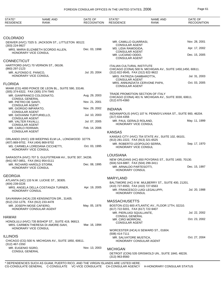| STATE*<br><b>RESIDENCE</b>                                                                                                                                           | <b>NAME AND</b><br><b>RANK</b>                          | DATE OF<br><b>RECOGNITION</b>                                                              | STATE*<br><b>RESIDENCE</b>                                                                        | <b>NAME AND</b><br><b>RANK</b>                                | DATE OF<br><b>RECOGNITION</b> |
|----------------------------------------------------------------------------------------------------------------------------------------------------------------------|---------------------------------------------------------|--------------------------------------------------------------------------------------------|---------------------------------------------------------------------------------------------------|---------------------------------------------------------------|-------------------------------|
|                                                                                                                                                                      |                                                         |                                                                                            |                                                                                                   |                                                               |                               |
| <b>COLORADO</b>                                                                                                                                                      |                                                         |                                                                                            |                                                                                                   |                                                               |                               |
| DENVER (HVC) 7325 S. JACKSON ST., LITTLETON 80122.<br>(303) 224-9927                                                                                                 |                                                         |                                                                                            | MR. CAMILLO GUARRASI.<br><b>CONSULAR AGENT</b>                                                    |                                                               | Nov. 28, 2001                 |
| MRS. MARIA ELIZABETH SCORDO ALLEN,<br>HONORARY VICE CONSUL                                                                                                           |                                                         | Dec. 03, 1998                                                                              | MS. LIDIA RAMOGIDA,<br><b>CONSULAR AGENT</b>                                                      |                                                               | Apr. 17, 2002                 |
|                                                                                                                                                                      |                                                         |                                                                                            | MR. LUCIANO ODDO,<br><b>CONSULAR AGENT</b>                                                        |                                                               | Dec. 15, 2005                 |
| <b>CONNECTICUT</b>                                                                                                                                                   |                                                         |                                                                                            |                                                                                                   |                                                               |                               |
| HARTFORD (HVC) 70 VERNON ST., 06106.<br>(860) 297-2123                                                                                                               |                                                         |                                                                                            | <b>ITALIAN CULTURAL INSTITUTE</b><br>CHICAGO (CONA) 500 N. MICHIGAN AV., SUITE 1450, 1450, 60611. |                                                               |                               |
| MR. ALFONSO E. PANICO,<br>HONORARY VICE CONSUL                                                                                                                       |                                                         | Jul. 20, 2004                                                                              | (312) 822-9545, FAX (312) 822-9622<br>MRS. PATRIZIA GAMBAROTTA,<br><b>CONSULAR AGENT</b>          |                                                               | Jul. 31, 2003                 |
| <b>FLORIDA</b>                                                                                                                                                       |                                                         |                                                                                            | <b>CONSULAR AGENT</b>                                                                             | MRS. ANNUNZIATA CERVONE PAPA,                                 | Oct. 03, 2005                 |
| (305) 374-6322, FAX (305) 374-7945                                                                                                                                   | MIAMI (CG) 4000 PONCE DE LEON BL., SUITE 590, 33146.    |                                                                                            |                                                                                                   |                                                               |                               |
|                                                                                                                                                                      | MR. GIANFRANCO COLOGNATO,                               |                                                                                            | TRADE PROMOTION SECTION OF ITALY<br>CHICAGO (CONA) 401 N. MICHIGAN AV., SUITE 3030, 60611.        |                                                               |                               |
| <b>CONSUL GENERAL</b><br>MR. PIETRO DE SANTI,<br><b>CONSULAR AGENT</b>                                                                                               |                                                         | Nov. 21, 2001                                                                              | $(312)$ 670-4360                                                                                  |                                                               |                               |
| MR. GIORGIO IMPARATO,                                                                                                                                                |                                                         | Nov. 29, 2002                                                                              | <b>INDIANA</b>                                                                                    |                                                               |                               |
| <b>CONSULAR AGENT</b><br>MR. GIOVANNI TURTURIELLO,<br><b>CONSULAR AGENT</b>                                                                                          |                                                         | Jul. 10, 2003                                                                              | (317) 634-4356                                                                                    | INDIANAPOLIS (HVC) 107 N. PENNSYLVANIA ST., SUITE 900, 46204. |                               |
| MR. VALTER FAVALLI,<br><b>CONSULAR AGENT</b>                                                                                                                         |                                                         | Jul. 07, 2005                                                                              | MR. PAUL GERALD ROLAND,<br>HONORARY VICE CONSUL                                                   |                                                               | May. 11, 1999                 |
| MR. CARLO FERRARI,<br><b>CONSULAR AGENT</b>                                                                                                                          |                                                         | Feb. 14, 2006                                                                              | <b>KANSAS</b>                                                                                     |                                                               |                               |
|                                                                                                                                                                      |                                                         |                                                                                            |                                                                                                   | KANSAS CITY (HVC) 754 STATE AV., SUITE 102, 66101.            |                               |
| ORLANDO (HVC) 109 WEEPING ELM LA., LONGWOOD 32779.<br>(407) 869-9702, FAX (404) 869-9702<br>Oct. 03, 1995<br>MS. CARMELA LOREDANA CICCHETTI,<br>HONORARY VICE CONSUL |                                                         | (913) 281-2222, FAX (913) 321-6525                                                         | MR. ROBERTO LEOPOLDO SERRA,                                                                       | Sep. 17, 1970                                                 |                               |
|                                                                                                                                                                      |                                                         |                                                                                            | HONORARY VICE CONSUL                                                                              |                                                               |                               |
|                                                                                                                                                                      | SARASOTA (HVC) 707 S. GULFSTREAM AV., SUITE 307, 34236. |                                                                                            | <b>LOUISIANA</b>                                                                                  |                                                               |                               |
| (941) 957-0851, FAX (941) 954-0111                                                                                                                                   |                                                         | NEW ORLEANS (HC) 650 POYDRAS ST., SUITE 1400, 70130.<br>(504) 524-6887, FAX (504) 299-3411 |                                                                                                   |                                                               |                               |
|                                                                                                                                                                      | MR. RICHARD HAROLD STORM,<br>HONORARY VICE CONSUL       | Dec. 08, 1995                                                                              | MR. ARNALDO PARTESOTTI,<br>HONORARY CONSUL                                                        |                                                               | Dec. 15, 1997                 |
| <b>GEORGIA</b>                                                                                                                                                       |                                                         |                                                                                            |                                                                                                   |                                                               |                               |
|                                                                                                                                                                      | ATLANTA (HC) 133 N.W. LUCKIE ST., 30305.                |                                                                                            | MARYLAND                                                                                          |                                                               |                               |
| (404) 239-0226                                                                                                                                                       |                                                         | Apr. 19, 2005                                                                              | (410) 727-6550, FAX (410) 727-6563                                                                | BALTIMORE (HC) 9 W. MULBERRY ST., SUITE 400, 21201.           |                               |
| HONORARY CONSUL                                                                                                                                                      | MRS. ANGELA DELLA COSTANZA TURNER,                      |                                                                                            | HONORARY CONSUL                                                                                   | MR. FRANCESCO LUIGI LEGALUPPI,                                | Jul. 20, 1988                 |
| (912) 232-1276, FAX (912) 233-4478                                                                                                                                   | SAVANNAH (HCA) 235 KENSINGTON DR., 31405.               |                                                                                            | <b>MASSACHUSETTS</b>                                                                              |                                                               |                               |
| MR. JOSEPH MOSE CAFIERO.<br>HONORARY CONSULAR AGENT                                                                                                                  |                                                         | May. 05, 1976                                                                              | (617) 722-9201, FAX (617) 722-9407                                                                | BOSTON (CG) 600 ATLANTIC AV., FLOOR 17TH, 02210.              |                               |
|                                                                                                                                                                      |                                                         |                                                                                            | MR. PIERLUIGI SQUILLANTE,                                                                         |                                                               | Jul. 22, 2002                 |
| HAWAII                                                                                                                                                               |                                                         |                                                                                            | <b>CONSUL GENERAL</b><br>MR. CIRO MORRONI,                                                        |                                                               | Oct. 23, 2002                 |
| HONOLULU (HVC) 735 BISHOP ST., SUITE 419, 96813.<br>MRS. CARMEN THERESA DI AMORE-SIAH,                                                                               |                                                         | Mar. 16, 1994                                                                              | <b>CONSULAR AGENT</b>                                                                             |                                                               |                               |
|                                                                                                                                                                      | HONORARY VICE CONSUL                                    |                                                                                            |                                                                                                   | WORCESTER (HCA) 6 SEWARD ST., 01604.                          |                               |
| <b>ILLINOIS</b>                                                                                                                                                      |                                                         |                                                                                            | $(508)$ 414-7111                                                                                  |                                                               | Oct. 27, 2004                 |
| $(312)$ 467-1550                                                                                                                                                     | CHICAGO (CG) 500 N. MICHIGAN AV., SUITE 1850, 60611.    |                                                                                            | MR. SALVATORE MUSTICA,                                                                            | HONORARY CONSULAR AGENT                                       |                               |
| MR. EUGENIO SGRO,                                                                                                                                                    |                                                         | Nov. 13, 2003                                                                              | <b>MICHIGAN</b>                                                                                   |                                                               |                               |
| <b>CONSUL GENERAL</b>                                                                                                                                                |                                                         |                                                                                            | $(313)$ 963-8560                                                                                  | DETROIT (CON) 535 GRISWOLD UN., SUITE 1840, 48226.            |                               |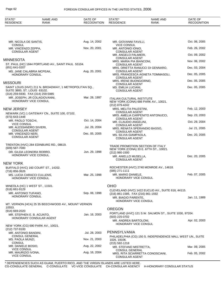| STATE*<br><b>RESIDENCE</b>                                         | <b>NAME AND</b><br><b>RANK</b>                         | DATE OF<br><b>RECOGNITION</b> | STATE*<br><b>RESIDENCE</b>                                              | <b>NAME AND</b><br><b>RANK</b>                                             | DATE OF<br><b>RECOGNITION</b> |
|--------------------------------------------------------------------|--------------------------------------------------------|-------------------------------|-------------------------------------------------------------------------|----------------------------------------------------------------------------|-------------------------------|
|                                                                    |                                                        |                               |                                                                         |                                                                            |                               |
| MR. NICOLA DE SANTIS,                                              |                                                        | Aug. 14, 2002                 | MR. GIOVANNI FAVILLI,<br><b>VICE CONSUL</b>                             |                                                                            | Oct. 06, 2005                 |
| <b>CONSUL</b><br>MR. VINCENZO ZEPPA,                               |                                                        | Nov. 20, 2001                 | MR. ANTONIO IONIO,                                                      |                                                                            | Feb. 26, 2002                 |
| <b>CONSULAR AGENT</b>                                              |                                                        |                               | <b>CONSULAR AGENT</b><br>MR. ANGELO PALMIERI,                           |                                                                            | Oct. 09, 2002                 |
| MINNESOTA                                                          |                                                        |                               | <b>CONSULAR AGENT</b><br>MRS. MARIA PIA BIANCONI,                       |                                                                            | Nov. 06, 2002                 |
| $(651) 641 - 0207$                                                 | ST. PAUL (HC) 1844 PORTLAND AV., SAINT PAUL 55104.     |                               | <b>CONSULAR AGENT</b>                                                   | MRS. ORIETTA RANUCCI DI GENNARO,                                           | Dec. 03, 2004                 |
| MS. JANE CALABRIA MCPEAK,<br>HONORARY CONSUL                       |                                                        | Aug. 20, 2001                 | <b>CONSULAR AGENT</b>                                                   | MRS. FRANCESCA AGNETA TOMMASOLI,                                           | Dec. 05, 2005                 |
| MISSOURI                                                           |                                                        |                               | <b>CONSULAR AGENT</b><br>MRS. IRENE BUONGIORNO,                         |                                                                            | Dec. 05, 2005                 |
| SUITE 3800, ST. LOUIS 63102.<br>(314) 259-5930, FAX (314) 259-5985 | SAINT LOUIS (HVC) 211 N. BROADWAY, 1 METROPOLITAN SQ., |                               | <b>CONSULAR AGENT</b><br>MS. EMILIA LUCIANI,<br><b>CONSULAR AGENT</b>   |                                                                            | Dec. 05, 2005                 |
| HONORARY VICE CONSUL                                               | MR. JOSEPH, JR COLAGIOVANNI,                           | Mar. 28, 1997                 | <b>ITALIAN CULTURAL INSTITUTE</b><br>(212) 879-4242                     | NEW YORK (CONA) 686 PARK AV., 10021.                                       |                               |
| NEW JERSEY                                                         |                                                        |                               | MRS. MELITA PALESTINI,<br><b>CONSULAR AGENT</b>                         |                                                                            | Feb. 12, 2003                 |
| (973) 643-1448                                                     | NEWARK (VC) 1 GATEWAY CN., SUITE 100, 07102.           |                               |                                                                         | MRS. AMELIA CARPENITO ANTONUCCI,                                           | Sep. 23, 2003                 |
| MR. PAOLO TOSCHI,<br><b>VICE CONSUL</b>                            |                                                        | Oct. 14, 2004                 | <b>CONSULAR AGENT</b><br>MR. CLAUDIO ANGELINI,                          |                                                                            | Oct. 29, 2004                 |
| MR. ALESSANDRO SIVIERI,<br><b>CONSULAR AGENT</b>                   |                                                        | Jul. 28, 2004                 | <b>CONSULAR AGENT</b>                                                   | MRS. RENATA SPERANDIO BASSO,                                               | Jul. 21, 2005                 |
| MR. VINCENZO NERI,<br><b>CONSULAR AGENT</b>                        |                                                        | Dec. 05, 2005                 | <b>CONSULAR AGENT</b><br>MS. SILVIA GIAMPAOLA,<br><b>CONSULAR AGENT</b> |                                                                            | Dec. 20, 2005                 |
| $(609)$ 587-7000                                                   | TRENTON (HVC) 284 EDINBURG RD., 08619.                 | Jun. 29, 1998                 |                                                                         | TRADE PROMOTION SECTION OF ITALY<br>NEW YORK (CONA) 33 E. 67TH ST., 10021. |                               |
| DR. GILDA LEONORA RORRO,<br>HONORARY VICE CONSUL                   |                                                        |                               | $(212)$ 980-1500<br>MR. ANIELLO MUSELLA,<br><b>CONSULAR AGENT</b>       |                                                                            | Dec. 20, 2005                 |
| NEW YORK                                                           |                                                        |                               |                                                                         |                                                                            |                               |
| (716) 856-3626                                                     | BUFFALO (HVC) 160 COURT ST., 14202.                    |                               | (585) 271-1111                                                          | ROCHESTER (HVC) 2740 MONROE AV., 14618.                                    |                               |
| MS. LUCIA CARACCI CULLENS,<br>HONORARY VICE CONSUL                 |                                                        | Mar. 25, 1998                 | MR. MARIO DANIELE,<br>HONORARY VICE CONSUL                              |                                                                            | Feb. 07, 2005                 |
| MINEOLA (HC) 1 WEST ST., 11501.                                    |                                                        |                               | <b>OHIO</b>                                                             |                                                                            |                               |
| (516) 661-9129<br>MR. ANTONIO TUFANO,<br>HONORARY CONSUL           |                                                        | Sep. 08, 1998                 | (216) 861-1585, FAX (216) 861-1592                                      | CLEVELAND (HVC) 1422 EUCLID AV., SUITE 618, 44115.                         |                               |
|                                                                    |                                                        |                               | MR. BIAGIO PARENTE,<br>HONORARY VICE CONSUL                             |                                                                            | Jan. 11, 1989                 |
| 10553.                                                             | MT. VERNON (HCA) 25 35 BEECHWOOD AV., MOUNT VERNON     |                               | <b>OREGON</b>                                                           |                                                                            |                               |
| $(914) 669 - 2020$<br>MR. STEPHEN E. B. ACUNTO,                    |                                                        | Jan. 16, 2003                 |                                                                         | PORTLAND (HVC) 121 S.W. SALMON ST., SUITE 1030, 97204.                     |                               |
|                                                                    | HONORARY CONSULAR AGENT                                |                               | (503) 225-0702<br>MR. ANDREA BARTOLONI,                                 |                                                                            | Apr. 02, 2003                 |
| (212) 737-9100                                                     | NEW YORK (CG) 690 PARK AV., 10021.                     |                               | HONORARY VICE CONSUL                                                    |                                                                            |                               |
| MR. ANTONIO BANDINI,                                               |                                                        | Jul. 28, 2003                 | PENNSYLVANIA                                                            |                                                                            |                               |
| <b>CONSUL GENERAL</b><br>MS. PAOLA MUNZI,                          |                                                        | Nov. 21, 2003                 | 1026, 19106.                                                            | PHILADELPHIA (CG) 150 S. INDEPENDENCE MALL WEST UN., SUITE                 |                               |
| <b>CONSUL</b><br>MR. DANIELE BOSIO,                                |                                                        | Aug. 22, 2002                 | $(215) 592 - 1218$<br>MR. STEFANO MISTRETTA,                            |                                                                            | Mar. 09, 2005                 |
| <b>VICE CONSUL</b><br>MR. MAURIZIO IVONA,<br><b>VICE CONSUL</b>    |                                                        | Aug. 16, 2004                 | <b>CONSUL GENERAL</b><br><b>CONSULAR AGENT</b>                          | MRS. RITA SCIARRETTA CONOSCIANI,                                           | Feb. 05, 2002                 |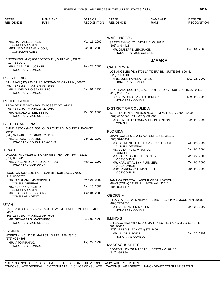| STATE*<br><b>RESIDENCE</b>                         | <b>NAME AND</b><br><b>RANK</b>                             | DATE OF<br><b>RECOGNITION</b> | STATE*<br><b>RESIDENCE</b>                               | <b>NAME AND</b><br><b>RANK</b>                                                  | DATE OF<br><b>RECOGNITION</b> |
|----------------------------------------------------|------------------------------------------------------------|-------------------------------|----------------------------------------------------------|---------------------------------------------------------------------------------|-------------------------------|
|                                                    |                                                            |                               |                                                          |                                                                                 |                               |
|                                                    |                                                            |                               | <b>WASHINGTON</b>                                        |                                                                                 |                               |
| MR. RAFFAELE BRIGLI,<br><b>CONSULAR AGENT</b>      |                                                            | Mar. 11, 2002                 | (206) 349-4411                                           | SEATTLE (HVC) 211 14TH AV., W, 98112.                                           |                               |
| MRS. NADIA BRAMA NICOLI,<br><b>CONSULAR AGENT</b>  |                                                            | Jan. 06, 2006                 | MR. GIUSEPPE LEPORACE,<br>HONORARY VICE CONSUL           |                                                                                 | Dec. 04, 2003                 |
| (412) 765-0273                                     | PITTSBURGH (HC) 600 FORBES AV., SUITE 401, 15282.          |                               |                                                          | <b>JAMAICA</b>                                                                  |                               |
| MRS. CARLA E. LUCENTE,                             |                                                            | Feb. 28, 2000                 | <b>CALIFORNIA</b>                                        |                                                                                 |                               |
| <b>HONORARY CONSUL</b>                             |                                                            |                               | $(323)$ 756-4601                                         | LOS ANGELES (HC) 8703 LA TIJERA BL., SUITE 208, 90045.                          |                               |
| PUERTO RICO                                        |                                                            |                               | MRS. JUNE PAMELA ROYES,                                  |                                                                                 | Dec. 18, 2002                 |
| (787) 767-5855, FAX (787) 767-5855                 | SAN JUAN (HC) 266 CALLE INTERAMERICANA UN., 00927.         |                               | HONORARY CONSUL                                          |                                                                                 |                               |
| MR. ANGELO PIO SANFILIPPO.<br>HONORARY CONSUL      |                                                            | Jun. 01, 1993                 | (415) 206-5717                                           | SAN FRANCISCO (HC) 1001 PORTRERO AV., SUITE NH1N1S, 94110.                      |                               |
| <b>RHODE ISLAND</b>                                |                                                            |                               | <b>HONORARY CONSUL</b>                                   | DR. NEWTON CHARLES GORDON,                                                      | Dec. 08, 1999                 |
| (401) 454-1492, FAX (401) 421-9080                 | PROVIDENCE (HVC) 49 WEYBOSSET ST., 02903.                  |                               | <b>DISTRICT OF COLUMBIA</b>                              |                                                                                 |                               |
| MR. RONALD W. DEL SESTO,                           |                                                            | Oct. 30, 2000                 |                                                          | WASHINGTON (CHN) 1520 NEW HAMPSHIRE AV., NW, 20036.                             |                               |
| HONORARY VICE CONSUL                               |                                                            |                               | (202) 452-0660, FAX (202) 452-0081                       |                                                                                 |                               |
| <b>SOUTH CAROLINA</b>                              |                                                            |                               | <b>CONSUL</b>                                            | MISS CYETH CYLONIA ALLISON DENTON,                                              | Feb. 03, 2006                 |
| 29464.                                             | CHARLESTON (HCA) 550 LONG POINT RD., MOUNT PLEASANT        |                               | <b>FLORIDA</b>                                           |                                                                                 |                               |
| (843) 971-4100, FAX (843) 971-1155                 |                                                            |                               |                                                          | MIAMI (CG) 25 S.E. 2ND AV., SUITE 842, 33131.                                   |                               |
| MR. SERGIO FEDELINI,                               | HONORARY CONSULAR AGENT                                    | Jun. 20, 2000                 | $(305)$ 374-8431                                         | MR. CLEMENT PHILIP RICARDO ALLICOCK,                                            | Oct. 04, 2002                 |
| <b>TEXAS</b>                                       |                                                            |                               | <b>CONSUL GENERAL</b><br>MS. SUZANNE D. V. JONES,        |                                                                                 | Jan. 06, 2004                 |
|                                                    | DALLAS (HVC) 6255 W. NORTHWEST HW., APT 304, 75225.        |                               | <b>CONSUL</b><br>MR. VANCE ANTHONY CARTER,               |                                                                                 | Mar. 27, 2000                 |
| $(214)$ 368-4113                                   | MR. VINCENZO ENRICO DE NARDO,                              | Feb. 12, 1992                 | <b>VICE CONSUL</b>                                       |                                                                                 |                               |
| <b>HONORARY VICE CONSUL</b>                        |                                                            |                               | MR. KARL ST AUBYN PLUMMER,<br><b>VICE CONSUL</b>         |                                                                                 | Oct. 06, 2005                 |
|                                                    | HOUSTON (CG) 1300 POST OAK BL., SUITE 660, 77056.          |                               | MRS. MARCIA YATEMAN BENT,<br><b>VICE CONSUL</b>          |                                                                                 | Jun. 08, 2006                 |
| (713) 850-7520                                     |                                                            |                               |                                                          |                                                                                 |                               |
| MR. CRISTIANO MAGGIPINTO,<br><b>CONSUL GENERAL</b> |                                                            | Mar. 21, 2006                 |                                                          | JAMAICA CENTRAL LABOUR ORGANIZATION<br>MIAMI (CONA) 12175 N.W. 98TH AV., 33016. |                               |
| MS. SUSANNA SGOIFO,                                |                                                            | Aug. 16, 2002                 | $(305)$ 823-1146                                         |                                                                                 |                               |
| <b>CONSULAR AGENT</b><br>MR. LEOPOLDO SPOSATO,     |                                                            | Oct. 04, 2005                 | <b>GEORGIA</b>                                           |                                                                                 |                               |
| <b>CONSULAR AGENT</b>                              |                                                            |                               | (404) 297-7696                                           | ATLANTA (HC) 5405 MEMORIAL DR., H-1, STONE MOUNTAIN 30083.                      |                               |
| <b>UTAH</b>                                        |                                                            |                               | MR. VIN NEWTON MARTIN,                                   |                                                                                 | Mar. 28, 1997                 |
| 84101.<br>(801) 254-7500, FAX (801) 254-7505       | SALT LAKE CITY (HVC) 175 SOUTH WEST TEMPLE UN., SUITE 700, |                               | <b>HONORARY CONSUL</b>                                   |                                                                                 |                               |
| MR. GIOVANNI G. MASCHERO,                          |                                                            | Feb. 09, 1990                 | <b>ILLINOIS</b>                                          |                                                                                 |                               |
| HONORARY VICE CONSUL                               |                                                            |                               | 201, 60653.                                              | CHICAGO (HC) 4655 S. DR. MARTIN LUTHER KING JR. DR., SUITE                      |                               |
| <b>VIRGINIA</b>                                    |                                                            |                               | (773) 373-8988, FAX (773) 373-2496<br>MR. LLOYD L. HYDE, |                                                                                 | Jan. 25, 1991                 |
| (575) 622-4898                                     | NORFOLK (HC) 300 E. MAIN ST., SUITE 1180, 23510.           |                               | <b>HONORARY CONSUL</b>                                   |                                                                                 |                               |
| MR. VITO PIRAINO,<br><b>HONORARY CONSUL</b>        |                                                            | Aug. 29, 1994                 | <b>MASSACHUSETTS</b>                                     |                                                                                 |                               |
|                                                    |                                                            |                               | $(617)$ 266-8604                                         | BOSTON (HC) 351 MASSACHUSETTS AV., 02115.                                       |                               |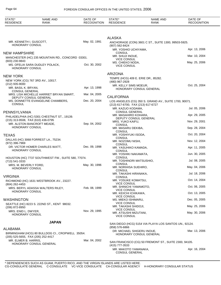| STATE*<br><b>RESIDENCE</b>                        | <b>NAME AND</b><br>RANK                                           | DATE OF<br><b>RECOGNITION</b> | STATE*<br><b>RESIDENCE</b>                                   | <b>NAME AND</b><br>RANK                               | DATE OF<br><b>RECOGNITION</b> |
|---------------------------------------------------|-------------------------------------------------------------------|-------------------------------|--------------------------------------------------------------|-------------------------------------------------------|-------------------------------|
|                                                   |                                                                   |                               |                                                              |                                                       |                               |
| MR. KENNETH I. GUSCOTT,<br><b>HONORARY CONSUL</b> |                                                                   | May. 02, 1991                 | <b>ALASKA</b><br>(907) 562-8424                              | ANCHORAGE (CON) 3601 C ST., SUITE 1300, 99503-5925.   |                               |
|                                                   |                                                                   |                               | MR. YOSHIO UCHIYAMA,                                         |                                                       | Apr. 13, 2006                 |
| <b>NEW HAMPSHIRE</b>                              | MANCHESTER (HC) 235 MOUNTAIN RD., CONCORD 03301.                  |                               | CONSUL<br>MR. SHUJI INOUE,                                   |                                                       | Mar. 10, 2004                 |
| (603) 230-9843<br><b>HONORARY CONSUL</b>          | MS. OFELIA SARA DUDLEY POLACK,                                    | Oct. 30, 2002                 | <b>VICE CONSUL</b><br>MS. CHIEKO NODA,<br><b>VICE CONSUL</b> |                                                       | May. 25, 2006                 |
|                                                   |                                                                   |                               | <b>ARIZONA</b>                                               |                                                       |                               |
| <b>NEW YORK</b><br>(212) 935-9000                 | NEW YORK (CG) 767 3RD AV., 10017.                                 |                               | TEMPE (HCG) 409 E. ERIE DR., 85282.<br>(480) 967-2928        |                                                       |                               |
| MR. BASIL K. BRYAN,                               |                                                                   | Apr. 13, 1998                 | MR. KELLY SIMS MOEUR,                                        | HONORARY CONSUL GENERAL                               | Oct. 25, 2004                 |
| <b>CONSUL GENERAL</b>                             | MRS. LISA MICHELLE HARRIET BRYAN SMART,                           | Mar. 04, 2005                 |                                                              |                                                       |                               |
| <b>CONSUL</b>                                     | <b>DEPUTY CONSUL GENERAL</b><br>MS. DONNETTE EVANGELINE CHAMBERS, | Dec. 20, 2004                 | <b>CALIFORNIA</b>                                            | LOS ANGELES (CG) 350 S. GRAND AV., SUITE 1700, 90071. |                               |
|                                                   |                                                                   |                               | (213) 617-6700, FAX (213) 617-6727<br>MR. KAZUO KODAMA,      |                                                       | Jul. 05, 2006                 |
| PENNSYLVANIA                                      | PHILADELPHIA (HC) 5301 CHESTNUT ST., 19139.                       |                               | <b>CONSUL GENERAL</b><br>MR. MASAHIRO KOHARA,                |                                                       | Apr. 29, 2005                 |
| (215) 313-9508, FAX (610) 436-0795                |                                                                   |                               | DEPUTY CONSUL GENERAL<br>MRS. YUKO KAIFU,                    |                                                       | Nov. 29, 2001                 |
| HONORARY CONSUL                                   | MR. ALSTON BANCROFT MEADE,                                        | Sep. 04, 2002                 | <b>CONSUL</b><br>MR. MASARU DEKIBA,                          |                                                       | Sep. 28, 2004                 |
| <b>TEXAS</b>                                      |                                                                   |                               | <b>CONSUL</b><br>MR. YOSHIYUKI ISODA,                        |                                                       | Oct. 20, 2004                 |
|                                                   | DALLAS (HC) 3068 FORREST LA., 75234.                              |                               | <b>CONSUL</b><br>MR. NOZOMU NISHI,                           |                                                       | Nov. 12, 2004                 |
| (972) 396-7969                                    | DR. VICTOR HOMER CHARLES WATT,                                    | Dec. 09, 1998                 | <b>CONSUL</b><br>MR. YASUHIKO KAMADA,                        |                                                       | Apr. 11, 2005                 |
| <b>HONORARY CONSUL</b>                            |                                                                   |                               | <b>CONSUL</b><br>MR. YOSHIKI NAKAMATA,                       |                                                       | Jun. 30, 2005                 |
|                                                   | HOUSTON (HC) 7737 SOUTHWEST FW., SUITE 580, 77074.                |                               | <b>CONSUL</b>                                                |                                                       |                               |
| $(713) 541 - 3333$<br>MRS. M. BEVERLY FORD,       |                                                                   | May. 30, 1996                 | MR. TOSHINORI MATSUSHIO,<br><b>CONSUL</b>                    |                                                       | Jul. 08, 2005                 |
| <b>HONORARY CONSUL</b>                            |                                                                   |                               | MR. NORIHISA SUEHIRO,<br><b>CONSUL</b>                       |                                                       | May. 04, 2006                 |
| <b>VIRGINIA</b>                                   |                                                                   |                               | MR. TAKASHI HIRANAKA,<br><b>CONSUL</b>                       |                                                       | Jul. 18, 2006                 |
|                                                   | RICHMOND (HC) 1631 WESTBROOK AV., 23227.                          |                               | MR. YOSUKE KOMATSU,                                          |                                                       | Oct. 14, 2004                 |
| (804) 262-4453                                    | MRS. BERYL ADASSA WALTERS RILEY,                                  | Feb. 08, 1999                 | <b>VICE CONSUL</b><br>MR. SHINICHI YAMAMOTO,                 |                                                       | Oct. 06, 2005                 |
| <b>HONORARY CONSUL</b>                            |                                                                   |                               | <b>VICE CONSUL</b><br>MR. KEIICHI ICHIKAWA,                  |                                                       | Oct. 13, 2005                 |
| <b>WASHINGTON</b>                                 |                                                                   |                               | <b>VICE CONSUL</b><br>MS. MIEKO ISHIMARU,                    |                                                       | Dec. 05, 2005                 |
| (206) 872-8950                                    | SEATTLE (HC) 8223 S. 222ND ST., KENT 98032.                       |                               | <b>VICE CONSUL</b><br>MR. TAKASHI SHIDOJI,                   |                                                       | May. 25, 2006                 |
| MRS. ENID L. DWYER,                               |                                                                   | Nov. 29, 1995                 | VICE CONSUL<br>MR. ATSUSHI MIZUTANI,                         |                                                       | May. 30, 2006                 |
| HONORARY CONSUL                                   |                                                                   |                               | <b>VICE CONSUL</b>                                           |                                                       |                               |
|                                                   | <b>JAPAN</b>                                                      |                               | (858) 576-6866                                               | SAN DIEGO (HCG) 5154 VIA PLAYA LOS SANTOS UN., 92124. |                               |
| ALABAMA<br>(205) 525-5655, FAX (205) 252-4417     | BIRMINGHAM (HCG) 80 BULLDOG CI., CROPWELL 35054.                  |                               | DR. MICHAEL SHIGERU INOUE,                                   | HONORARY CONSUL GENERAL                               | Mar. 13, 2006                 |
| MR. ELMER B. HARRIS,                              | HONORARY CONSUL GENERAL                                           | Mar. 04, 2002                 |                                                              | SAN FRANCISCO (CG) 50 FREMONT ST., SUITE 2300, 94105. |                               |
|                                                   |                                                                   |                               | (415) 777-3533<br>MR. MAKOTO YAMANAKA,<br>CONSUL GENERAL     |                                                       | Apr. 16, 2004                 |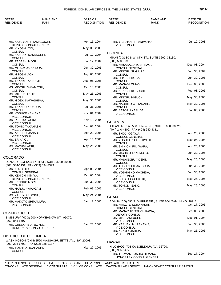## FOREIGN CONSULAR OFFICES IN THE UNITED STATES, 2006 **Page 65**

| STATE*<br><b>RESIDENCE</b>                                        | <b>NAME AND</b><br>RANK                             | DATE OF<br><b>RECOGNITION</b> | STATE*<br><b>RESIDENCE</b>                                     | <b>NAME AND</b><br><b>RANK</b>                           | DATE OF<br><b>RECOGNITION</b> |
|-------------------------------------------------------------------|-----------------------------------------------------|-------------------------------|----------------------------------------------------------------|----------------------------------------------------------|-------------------------------|
|                                                                   |                                                     |                               |                                                                |                                                          |                               |
| MR. KAZUYOSHI YAMAGUCHI,                                          | DEPUTY CONSUL GENERAL                               | Apr. 16, 2004                 | MR. YASUTOSHI TANIMOTO,<br><b>VICE CONSUL</b>                  |                                                          | Jul. 10, 2003                 |
| MR. KIYOSHI ITOI,                                                 |                                                     | May. 30, 2003                 |                                                                |                                                          |                               |
| <b>CONSUL</b><br>MR. KAZUAKI NAKAKOSHI,                           |                                                     | Jul. 12, 2004                 | <b>FLORIDA</b>                                                 |                                                          |                               |
| <b>CONSUL</b><br>MR. TADASHI MOGI,                                |                                                     | Jul. 12, 2004                 | $(305) 530 - 9090$                                             | MIAMI (CG) 80 S.W. 8TH ST., SUITE 3200, 33130.           |                               |
| <b>CONSUL</b><br>MR. MITSUYUKI OHURA,                             |                                                     | Jun. 30, 2005                 | MR. MASAKAZU TOSHIKAGE,<br><b>CONSUL GENERAL</b>               |                                                          | Dec. 08, 2004                 |
| <b>CONSUL</b><br>MR. HITOSHI AOKI,                                |                                                     | Aug. 05, 2005                 | MR. MINORU SUGIURA,<br><b>CONSUL</b>                           |                                                          | Jun. 30, 2004                 |
| <b>CONSUL</b>                                                     |                                                     |                               | MR. HITOSHI KOGA,                                              |                                                          | Jun. 30, 2005                 |
| MR. TAKAKI TAKINAMI,<br><b>CONSUL</b>                             |                                                     | Aug. 05, 2005                 | <b>CONSUL</b><br>MR. MASAMI OHNO,                              |                                                          | Dec. 05, 2005                 |
| MS. MIDORI YAMAMITSU,<br><b>CONSUL</b>                            |                                                     | Oct. 13, 2005                 | <b>CONSUL</b><br>MR. KENICHI KOGUCHI,                          |                                                          | Feb. 08, 2006                 |
| MS. MITSUKO KOIKE,<br><b>CONSUL</b>                               |                                                     | May. 25, 2006                 | <b>CONSUL</b><br>MR. MINORU HIGUCHI,                           |                                                          | May. 30, 2006                 |
| MR. HIDEKI KAWASHIMA,<br><b>CONSUL</b>                            |                                                     | May. 30, 2006                 | <b>CONSUL</b><br>MR. NAOHITO WATANABE,                         |                                                          | May. 30, 2006                 |
| MR. TAKANORI OKUDA,                                               |                                                     | Jul. 31, 2006                 | <b>CONSUL</b>                                                  |                                                          |                               |
| <b>CONSUL</b><br>MR. YOSUKE KAWANA,                               |                                                     | Nov. 01, 2004                 | MR. SATORU YASUDA,<br><b>VICE CONSUL</b>                       |                                                          | Jul. 05, 2005                 |
| <b>VICE CONSUL</b><br>MR. REKI KATAOKA,                           |                                                     | Nov. 10, 2004                 |                                                                |                                                          |                               |
| <b>VICE CONSUL</b><br>MR. TOMIO TAKAHASHI,                        |                                                     | Dec. 03, 2004                 | <b>GEORGIA</b>                                                 | ATLANTA (CG) 3500 LENOX RD., SUITE 1600, 30326.          |                               |
| <b>VICE CONSUL</b><br>MR. AKIHIRO MANABE,                         |                                                     | Apr. 28, 2005                 | (404) 240-4300, FAX (404) 240-4311<br>MR. SHOJI OGAWA,         |                                                          | Apr. 28, 2005                 |
| <b>VICE CONSUL</b>                                                |                                                     |                               | <b>CONSUL GENERAL</b>                                          |                                                          |                               |
| MS. ERIKA OI,<br><b>VICE CONSUL</b>                               |                                                     | Apr. 13, 2006                 | MR. YOSHIHIRO TSUJIMOTO,<br><b>CONSUL</b>                      |                                                          | May. 06, 2004                 |
| MS. MAYUMI AOKI,<br><b>VICE CONSUL</b>                            |                                                     | May. 25, 2006                 | MR. SHINICHI FUJIWARA,<br><b>CONSUL</b>                        |                                                          | Apr. 26, 2005                 |
|                                                                   |                                                     |                               | MS. MICHIYO TAKEMOTO,<br>CONSUL                                |                                                          | Jun. 30, 2005                 |
| <b>COLORADO</b>                                                   | DENVER (CG) 1225 17TH ST., SUITE 3000, 80202.       |                               | MR. MASANOBU YOSHII,<br><b>CONSUL</b>                          |                                                          | May. 25, 2006                 |
| (303) 534-1151, FAX (303) 534-3393                                |                                                     |                               | MR. TOSHINORI MATSUDA,                                         |                                                          | Jun. 30, 2005                 |
| MR. YUZO OTA,<br><b>CONSUL GENERAL</b>                            |                                                     | Apr. 09, 2004                 | <b>VICE CONSUL</b><br>MR. YOSHIHIKO MACHIDA,                   |                                                          | Jun. 30, 2005                 |
| MR. KENICHI KIMIYA,                                               | DEPUTY CONSUL GENERAL                               | Oct. 05, 2004                 | <b>VICE CONSUL</b><br>MR. SHIGETAKA FUJIKI,                    |                                                          | May. 25, 2006                 |
| MR. KENJIRO MORI,<br><b>CONSUL</b>                                |                                                     | Jun. 30, 2005                 | <b>VICE CONSUL</b><br>MS. TOMOMI SAKO,                         |                                                          | May. 25, 2006                 |
| MR. HARUO YAMAGAMI,<br><b>CONSUL</b>                              |                                                     | Feb. 09, 2006                 | <b>VICE CONSUL</b>                                             |                                                          |                               |
| MS. YASUYO KOMINE,                                                |                                                     | May. 24, 2004                 | <b>GUAM</b>                                                    |                                                          |                               |
| <b>VICE CONSUL</b><br>MR. MAKOTO SHIMAMURA,<br><b>VICE CONSUL</b> |                                                     | Jan. 12, 2006                 | MR. MAKOTO KOBAYASHI.                                          | AGANA (CG) 590 S. MARINE DR., SUITE 604, TAMUNING 96911. | Oct. 17, 2005                 |
| <b>CONNECTICUT</b>                                                |                                                     |                               | <b>CONSUL GENERAL</b><br>MR. MASAYUKI TSUCHIKAWA,              |                                                          | Feb. 08, 2006                 |
|                                                                   | SIMSBURY (HCG) 200 HOPMEADOW ST., 06070.            |                               | DEPUTY CONSUL<br><b>MS. MIKI TAKEUCHI,</b>                     |                                                          | Dec. 01, 2004                 |
| (860) 843-5597<br>MR. GREGORY A. BOYKO,                           |                                                     | Jan. 28, 2005                 | <b>VICE CONSUL</b><br>MR. YASUAKI MURAKAWA,                    |                                                          | Jun. 30, 2005                 |
|                                                                   | HONORARY CONSUL GENERAL                             |                               | <b>VICE CONSUL</b><br>MR. KENJI YOSHIDA,<br><b>VICE CONSUL</b> |                                                          | May. 25, 2006                 |
| <b>DISTRICT OF COLUMBIA</b>                                       |                                                     |                               |                                                                |                                                          |                               |
| (202) 238-6700, FAX (202) 328-2187                                | WASHINGTON (CHN) 2520 MASSACHUSETTS AV., NW, 20008. |                               | <b>HAWAII</b>                                                  |                                                          |                               |
| MR. TOSHIAKI IGARASHI,<br><b>CONSUL</b>                           |                                                     | Mar. 22, 2005                 | (808) 935-5477                                                 | HILO (HCG) 708 KANOELEHUA AV., 96720.                    |                               |
|                                                                   |                                                     |                               | MR. THOMAS TOSHIO HIRANO,                                      | HONORARY CONSUL GENERAL                                  | Sep. 17, 2004                 |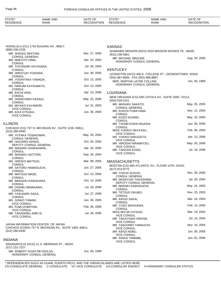| <b>RESIDENCE</b><br><b>RESIDENCE</b><br><b>CONITION</b><br><b>RECOGNITION</b><br>RANK<br><b>RANK</b><br>0⊏′ | <b>STATE</b> | <b>NAME AND</b> | OF<br>DATE | <b>CTATE</b><br>15 اص | AND<br>$\sim$ $\sim$<br>NAME | DATE OF |
|-------------------------------------------------------------------------------------------------------------|--------------|-----------------|------------|-----------------------|------------------------------|---------|
|-------------------------------------------------------------------------------------------------------------|--------------|-----------------|------------|-----------------------|------------------------------|---------|

| HONOLULU (CG) 1742 NUUANU AV., 96817.                           |               | <b>KANSAS</b>                                                    |               |
|-----------------------------------------------------------------|---------------|------------------------------------------------------------------|---------------|
| (808) 536-2226                                                  |               | SHAWNEE MISSION (HCG) 5319 MISSION WOODS TE., 66205.             |               |
| MR. SHIGEO IWATANI,<br><b>CONSUL GENERAL</b>                    | Dec. 27, 2005 | $(913)$ 236-5961                                                 |               |
| MR. MAKOTO HINEI,                                               | Apr. 22, 2003 | MR. MICHAEL BRAUDE,                                              | Aug. 29, 2005 |
| <b>CONSUL</b>                                                   |               | HONORARY CONSUL GENERAL                                          |               |
| MR. TOYONORI HAYASAKA,                                          | Jul. 30, 2004 |                                                                  |               |
| <b>CONSUL</b><br>MR. HIROYUKI YOSHIDA,                          | Jun. 30, 2005 | <b>KENTUCKY</b>                                                  |               |
| <b>CONSUL</b>                                                   |               | LEXINGTON (HCG) 400 E. COLLEGE ST., GEORGETOWN 40324.            |               |
| MR. YOSHITAKA YAMADA,                                           | Oct. 13, 2005 | (502) 867-6600, FAX (502) 868-8887<br>MRS. MARTHA LAYNE COLLINS, | Jun. 30, 1999 |
| <b>CONSUL</b>                                                   |               | HONORARY CONSUL GENERAL                                          |               |
| MS. HARUMI KATSUMATA,<br><b>CONSUL</b>                          | Oct. 13, 2005 |                                                                  |               |
| MR. EIICHI ARAI,                                                | Apr. 13, 2006 | <b>LOUISIANA</b>                                                 |               |
| <b>CONSUL</b>                                                   |               | NEW ORLEANS (CG) 639 LOYOLA AV., SUITE 2050, 70113.              |               |
| MR. SHINICHIRO KASAGI,                                          | May. 25, 2006 | $(504)$ 529-2101                                                 |               |
| <b>CONSUL</b><br>MS. MIYAKO KAYAMORI,                           | Jul. 31, 2003 | MR. MASARU SAKATO,                                               | May. 25, 2005 |
| <b>VICE CONSUL</b>                                              |               | <b>CONSUL GENERAL</b>                                            |               |
| MR. KOJI OTSUKA,                                                | Jun. 30, 2005 | MR. KOICHI FUNAYAMA,<br><b>CONSUL</b>                            | Nov. 12, 2004 |
| <b>VICE CONSUL</b>                                              |               | MR. KOZO KOJIMA,                                                 | May. 16, 2005 |
|                                                                 |               | <b>CONSUL</b>                                                    |               |
| <b>ILLINOIS</b>                                                 |               | MR. TSUNEYOSHI HIGASHI,                                          | Jun. 30, 2005 |
| CHICAGO (CG) 737 N. MICHIGAN AV., SUITE 1100, 60611.            |               | <b>CONSUL</b><br>MISS YUKIKO OKAYASU,                            | Feb. 06, 2004 |
| (312) 280-0400                                                  |               | <b>VICE CONSUL</b>                                               |               |
| MR. YUTAKA YOSHIZAWA,<br><b>CONSUL GENERAL</b>                  | May. 28, 2004 | MS. YUKIKO NAKAZATO,                                             | Apr. 13, 2006 |
| MR. HACHIRO ISHIDA,                                             | Oct. 04, 2005 | <b>VICE CONSUL</b>                                               |               |
| DEPUTY CONSUL GENERAL                                           |               | MR. HIROSHI HIRAMATSU,<br><b>VICE CONSUL</b>                     | May. 30, 2006 |
| MR. MASARU IGAWAHARA,                                           | Apr. 16, 2004 | MR. TAKESHI KODO,                                                | Jul. 18, 2006 |
| <b>CONSUL</b><br>MR. MASARU HATTORI,                            | Sep. 20, 2004 | <b>VICE CONSUL</b>                                               |               |
| <b>CONSUL</b>                                                   |               |                                                                  |               |
| MS. HIROKO MATSUO,                                              | Mar. 08, 2005 | <b>MASSACHUSETTS</b>                                             |               |
| <b>CONSUL</b><br>MR. SATORU HAMAGUCHI,                          | Jun. 27, 2005 | BOSTON (CG) 600 ATLANTIC AV., FLOOR 14TH, 02210.                 |               |
| <b>CONSUL</b>                                                   |               | (617) 973-9772                                                   |               |
| MR. MATSUO NAOE,                                                | Oct. 13, 2005 | MR. YOICHI SUZUKI,                                               | Nov. 30, 2005 |
| <b>CONSUL</b>                                                   |               | <b>CONSUL GENERAL</b><br>MR. MASAYUKI TAKASHIMA,                 | Jul. 28, 2004 |
| MR. MASAAKI KAWAHARA,<br><b>CONSUL</b>                          | Oct. 14, 2005 | DEPUTY CONSUL GENERAL                                            |               |
| MR. OSAMU MINAKAWA,                                             | Jul. 18, 2006 | MR. MASAKI KAWAGUCHI,                                            | May. 16, 2003 |
| <b>CONSUL</b>                                                   |               | <b>CONSUL</b><br>MR. TETSUO OKUBO,                               | Nov. 10, 2003 |
| MR. YASUNARI SAGA,                                              | Jul. 27, 2006 | <b>CONSUL</b>                                                    |               |
| <b>CONSUL</b><br>MS. JUNKO TAMAKI,                              | Jun. 30, 2005 | MR. KIKUO SAKAI,                                                 | Mar. 19, 2004 |
| <b>VICE CONSUL</b>                                              |               | <b>CONSUL</b>                                                    |               |
| MS. FUMI IZUMITANI,                                             | Feb. 08, 2006 | MR. YUZO SEKIGAWA,<br><b>CONSUL</b>                              | Feb. 14, 2005 |
| <b>VICE CONSUL</b><br>MR. TAKANOBU AMEYA,                       | Jul. 26, 2006 | MISS MIYUKI KITAGO,                                              | Mar. 19, 2004 |
| <b>VICE CONSUL</b>                                              |               | <b>VICE CONSUL</b>                                               |               |
|                                                                 |               | MR. TAKAYOSHI HIROSE,                                            | Jul. 14, 2004 |
| JAPAN INFORMATION CENTER OF JAPAN                               |               | <b>VICE CONSUL</b><br>MR. YASUHIRO YAMAUCHI,                     | Nov. 10, 2004 |
| CHICAGO (CONA) 737 N. MICHIGAN AV., SUITE 1000, 60611.          |               | <b>VICE CONSUL</b>                                               |               |
| (312) 280-0430                                                  |               | MR. KENJI NOBU,                                                  | Jun. 30, 2005 |
|                                                                 |               | <b>VICE CONSUL</b>                                               | Jun. 01, 2006 |
| <b>INDIANA</b>                                                  |               | MR. SHINJI YAMABE,<br><b>VICE CONSUL</b>                         |               |
| INDIANAPOLIS (HCG) 11 S. MERIDIAN ST., 46204.<br>(317) 231-7227 |               |                                                                  |               |
| MR. ROBERT HUGH REYNOLDS,<br>HONORARY CONSUL GENERAL            | Jun. 09, 1999 |                                                                  |               |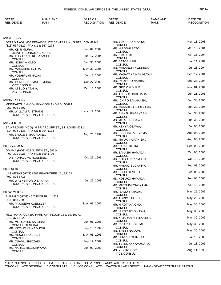| STATE*<br><b>RESIDENCE</b> | NAME AND<br>RANK | : OF<br>DATE<br><b>GNITION</b><br>ᆷᆮ | <b>CTATE*</b><br><b>RESIDENCE</b> | <b>NAME</b><br>. AND<br><b>RANK</b> | <b>DATE</b><br>$\sim$<br>)GNITION |
|----------------------------|------------------|--------------------------------------|-----------------------------------|-------------------------------------|-----------------------------------|
|                            |                  |                                      |                                   |                                     |                                   |

## **MICHIGAN**

| אואטחטוועו                                                                                        |               |                                          |               |
|---------------------------------------------------------------------------------------------------|---------------|------------------------------------------|---------------|
| DETROIT (CG) 400 RENAISSANCE CENTER UN., SUITE 1600, 48243.<br>(313) 567-0120, FAX (313) 567-0274 |               | MR. YUKIHIRO NIKAIDO,<br><b>CONSUL</b>   | Nov. 13, 2003 |
| MR. KEIJI MIURA,                                                                                  | Jun. 04, 2004 | MR. HIROSHI SATO,<br><b>CONSUL</b>       | Mar. 19, 2004 |
| DEPUTY CONSUL GENERAL<br>MR. TOSHIKAZU KOBAYASHI,                                                 | Jun. 17, 2004 | MS. AIKO OMI,                            | Apr. 16, 2004 |
| <b>CONSUL</b><br>MR. NOBUYA KATO,                                                                 | Jun. 30, 2005 | <b>CONSUL</b><br>MR. SATOSHI KII,        | Jul. 14, 2004 |
| <b>CONSUL</b>                                                                                     |               | <b>CONSUL</b><br>MR. MASANORI YOSHIDA,   | Jul. 28, 2004 |
| MR. MASAHIRO ISHIDA,<br><b>CONSUL</b>                                                             | May. 30, 2006 | <b>CONSUL</b>                            |               |
| MR. YOSHIFUMI NAGAI,<br><b>CONSUL</b>                                                             | Jul. 18, 2006 | MR. MASATAKA NAKAGAWA,<br><b>CONSUL</b>  | Sep. 17, 2004 |
| MR. TAINOSUKE MATSUMURA,                                                                          | Oct. 27, 2003 | MR. RYUTARO NAMBA,<br><b>CONSUL</b>      | Sep. 28, 2004 |
| <b>VICE CONSUL</b><br>MR. ATSUO YATAKA,                                                           | Oct. 13, 2005 | MR. JIRO OKUYAMA,                        | Nov. 01, 2004 |
| <b>VICE CONSUL</b>                                                                                |               | <b>CONSUL</b><br>MR. TSUGUYOSHI HADA,    | Jun. 21, 2005 |
| <b>MINNESOTA</b>                                                                                  |               | <b>CONSUL</b><br>MR. ICHIRO TAKAHASHI,   | Jun. 30, 2005 |
| MINNEAPOLIS (HCG) 16 WOODLAND RD., 55424.                                                         |               | <b>CONSUL</b>                            |               |
| (952) 925-3807<br>MR. WILLIAM R. STRANG,                                                          | Nov. 19, 2004 | MR. MASAHIKO KURISHIMA,<br><b>CONSUL</b> | Jun. 30, 2005 |
| HONORARY CONSUL GENERAL                                                                           |               | MR. SHINJI URABAYASHI,<br><b>CONSUL</b>  | Jun. 30, 2005 |
|                                                                                                   |               | MS. MIKA HIROSAWA,                       | Jun. 30, 2005 |
| <b>MISSOURI</b><br>SAINT LOUIS (HCG) 46 BRIARCLIFF ST., ST. LOUIS 63124.                          |               | <b>CONSUL</b><br>MR. KENYA OZAWA,        | Jul. 08, 2005 |
| (314) 994-1133, FAX (314) 994-1133                                                                |               | <b>CONSUL</b><br>MR. ISSEI HATAKEYAMA,   | Aug. 04, 2005 |
| MR. BRUCE S. BUCKLAND.<br>HONORARY CONSUL GENERAL                                                 | Aug. 26, 1992 | <b>CONSUL</b>                            |               |
|                                                                                                   |               | MS. MIYUKI KURANISHI,<br><b>CONSUL</b>   | Aug. 05, 2005 |
| NEBRASKA                                                                                          |               | MR. KAZUHIKO INOUE,<br><b>CONSUL</b>     | Sep. 08, 2005 |
| OMAHA (HCG) 412 N. 85TH ST., 68114.<br>(402) 399-0928, FAX (402) 399-1796                         |               | MR. TAKASHI HAMADA,                      | Oct. 06, 2005 |
| DR. RONALD W. ROSKENS,                                                                            | Oct. 29, 1999 | <b>CONSUL</b><br>MR. KOICHI NAKAMOTO,    | Oct. 13, 2005 |
| HONORARY CONSUL GENERAL                                                                           |               | <b>CONSUL</b><br>MR. MASAKI SUGAMIYA,    | Feb. 08, 2006 |
| <b>NEVADA</b>                                                                                     |               | <b>CONSUL</b>                            |               |
| LAS VEGAS (HCG) 6583 PEACHTREE LA., 89103.<br>(702) 876-6716                                      |               | MR. SHUJI UEMURA,<br><b>CONSUL</b>       | Feb. 08, 2006 |
| MR. WAYNE NORIO TANAKA,                                                                           | Jul. 22, 2003 | MS. NOBUKO HAMADA,<br><b>CONSUL</b>      | Feb. 08, 2006 |
| HONORARY CONSUL GENERAL                                                                           |               | MR. MUTSUMI ONOYAMA,                     | Apr. 13, 2006 |
| <b>NEW YORK</b>                                                                                   |               | <b>CONSUL</b><br>MR. ISAMU YAMADA,       | May. 25, 2006 |
| BUFFALO (HCG) 45 TUDOR PL., 14222.                                                                |               | <b>CONSUL</b><br>MR. TOMIO TATSUKI,      | May. 25, 2006 |
| (716) 868-7899<br>MR. P. JOSEPH KOESSLER,                                                         | May. 01, 2002 | <b>CONSUL</b>                            |               |
| HONORARY CONSUL GENERAL                                                                           |               | MR. HIROTAKA ONO,<br><b>CONSUL</b>       | May. 30, 2006 |
| NEW YORK (CG) 299 PARK AV., FLOOR 18 & 19, 10171.                                                 |               | MR. HIROYUKI OIKAWA,<br><b>CONSUL</b>    | May. 30, 2006 |
| (212) 371-8222                                                                                    |               | MR. KAZUYOSHI NINOMIYA,                  | May. 30, 2006 |
| MR. MOTOATSU SAKURAI,<br><b>CONSUL GENERAL</b>                                                    | Jun. 01, 2006 | <b>CONSUL</b><br>MR. RYUICHI HOZUMI,     | May. 30, 2006 |
| MR. MITSUO KAWAGUCHI,                                                                             | Sep. 16, 1994 | <b>CONSUL</b><br>MR. TAISHI NAKAMI,      | May. 30, 2006 |
| <b>CONSUL</b><br>MS. MIDORI TAKEUCHI,                                                             | May. 03, 1995 | <b>CONSUL</b>                            |               |
| <b>CONSUL</b><br>MR. OSAMU SHIOZAKI,                                                              | Sep. 17, 2002 | MR. HITOSHI SHIMURA,<br><b>CONSUL</b>    | Jul. 18, 2006 |
| <b>CONSUL</b>                                                                                     |               | MR. TETSUYA YAMAGATA,<br><b>CONSUL</b>   | Jul. 18, 2006 |
| MS. NAOKO HIGASHIYAMA,<br><b>CONSUL</b>                                                           | Jun. 09, 2003 | MS. YUKIKO HORI,<br>VICE CONSUL          | Aug. 11, 1993 |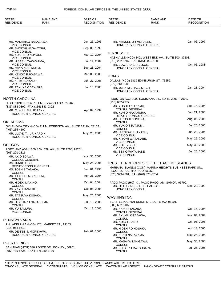| STATE*<br><b>RESIDENCE</b>                                     | <b>NAME AND</b><br><b>RANK</b>                               | DATE OF<br><b>RECOGNITION</b> | STATE*<br><b>RESIDENCE</b>                   | <b>NAME AND</b><br>RANK                                 | DATE OF<br><b>RECOGNITION</b> |
|----------------------------------------------------------------|--------------------------------------------------------------|-------------------------------|----------------------------------------------|---------------------------------------------------------|-------------------------------|
|                                                                |                                                              |                               |                                              |                                                         |                               |
| MR. MASAHIKO NAKAZAWA,                                         |                                                              | Jun. 25, 1996                 | MR. MANUEL, JR MORALES,                      |                                                         | Jan. 06, 1997                 |
| <b>VICE CONSUL</b><br>MR. SHOICHI NAGAYOSHI,                   |                                                              | Sep. 03, 1999                 |                                              | HONORARY CONSUL GENERAL                                 |                               |
| <b>VICE CONSUL</b><br>MR. YUKIHIRO NOYORI,                     |                                                              | Mar. 19, 2004                 | <b>TENNESSEE</b>                             |                                                         |                               |
| <b>VICE CONSUL</b>                                             |                                                              | Jul. 14, 2004                 | (615) 292-8787, FAX (615) 385-3150           | NASHVILLE (HCG) 3401 WEST END AV., SUITE 300, 37203.    |                               |
| MR. HISASHI TAKASHIMA,<br>VICE CONSUL                          |                                                              |                               | MR. EDWARD G. NELSON,                        |                                                         | Oct. 05, 1988                 |
| MS. MAYA KISHIMOTO,<br><b>VICE CONSUL</b>                      |                                                              | Sep. 28, 2004                 |                                              | HONORARY CONSUL GENERAL                                 |                               |
| MR. KENGO FUKASAWA,                                            |                                                              | Mar. 08, 2005                 | <b>TEXAS</b>                                 |                                                         |                               |
| <b>VICE CONSUL</b><br>MS. KEIKO NAKANO,                        |                                                              | Jun. 27, 2005                 |                                              | DALLAS (HCG) 5819 EDINBURGH ST., 75252.                 |                               |
| <b>VICE CONSUL</b><br>MR. TAKUYA ODAWARA,                      |                                                              | Jul. 18, 2006                 | (972) 713-8683<br>MR. JOHN MICHAEL STICH,    |                                                         | Jan. 21, 2004                 |
| <b>VICE CONSUL</b>                                             |                                                              |                               |                                              | <b>HONORARY CONSUL GENERAL</b>                          |                               |
| <b>NORTH CAROLINA</b>                                          |                                                              |                               |                                              | HOUSTON (CG) 1000 LOUISIANA ST., SUITE 2300, 77002.     |                               |
|                                                                | HIGH POINT (HCG) 510 EMERYWOOD DR., 27262.                   |                               | (713) 652-2977<br>MR. YOSHIHIKO KAMO,        |                                                         | Sep. 14, 2004                 |
| (336) 883-0392, FAX (336) 883-0392<br>MR. O. WILLIAM, JR FENN, |                                                              | Apr. 09, 1999                 | <b>CONSUL GENERAL</b>                        |                                                         |                               |
|                                                                | HONORARY CONSUL GENERAL                                      |                               | MR. KUNIO NAKAMURA,<br>DEPUTY CONSUL GENERAL |                                                         | Jan. 21, 2005                 |
| <b>OKLAHOMA</b>                                                |                                                              |                               | MR. HIROSHI NOMURA,<br><b>CONSUL</b>         |                                                         | Aug. 05, 2005                 |
|                                                                | OKLAHOMA CITY (HCG) 211 N. ROBINSON AV., SUITE 1212N, 73102. |                               | MR. YUKIO TSUTSUMI,                          |                                                         | Jul. 26, 2006                 |
| (405) 235-4100<br>MR. LLOYD T., JR HARDIN,                     |                                                              | May. 23, 2006                 | CONSUL<br>MR. HIROKAZU HAYASHI,              |                                                         | Jun. 29, 2004                 |
|                                                                | HONORARY CONSUL GENERAL                                      |                               | <b>VICE CONSUL</b><br>MR. KIYOMI WATANABE,   |                                                         | May. 25, 2006                 |
|                                                                |                                                              |                               | <b>VICE CONSUL</b>                           |                                                         |                               |
| <b>OREGON</b>                                                  | PORTLAND (CG) 1300 S.W. 5TH AV., SUITE 2700, 97201.          |                               | MR. KOKI YOSHII,<br><b>VICE CONSUL</b>       |                                                         | May. 30, 2006                 |
| (503) 221-1811                                                 |                                                              |                               | MS. SEIKO WATANABE,<br><b>VICE CONSUL</b>    |                                                         | Jul. 26, 2006                 |
| MR. AKIO EGAWA,<br><b>CONSUL GENERAL</b>                       |                                                              | Nov. 30, 2005                 |                                              |                                                         |                               |
| MS. JUNKO OCHI,                                                |                                                              | May. 25, 2006                 |                                              | TRUST TERRITORIES OF THE PACIFIC ISLANDS                |                               |
| MS. TOSHIE TANAKA,                                             | DEPUTY CONSUL GENERAL                                        | Jun. 01, 1998                 | FLOOR 2, PUERTO RICO 96950.                  | MARIANA ISLANDS (CON) MARINA HEIGHTS BUSINESS PARK UN., |                               |
| <b>CONSUL</b><br>MR. TAKESHI MORISHITA,                        |                                                              | Apr. 21, 2004                 | (670) 323-7201, FAX (670) 323-8764           |                                                         |                               |
| <b>CONSUL</b>                                                  |                                                              |                               |                                              |                                                         |                               |
| MR. HIDEKI MAKINO,<br><b>CONSUL</b>                            |                                                              | Oct. 04, 2004                 | MR. OTTO VINCENT, JR. HALECK,                | PAGO PAGO (HC) X., PAGO PAGO, AM. SAMOA 96799.          | Dec. 23, 1993                 |
| MS. YAYOI KANEKO,<br><b>CONSUL</b>                             |                                                              | Oct. 06, 2005                 | <b>HONORARY CONSUL</b>                       |                                                         |                               |
| MR. TATSUYA KUSAKA,                                            |                                                              | May. 25, 2006                 | <b>WASHINGTON</b>                            |                                                         |                               |
| <b>CONSUL</b><br>MR. HIDEHARU NAKASHIMA,                       |                                                              | Jul. 18, 2006                 |                                              | SEATTLE (CG) 601 UNION ST., SUITE 500, 98101.           |                               |
| <b>CONSUL</b><br>MR. YU TAMURA,                                |                                                              | Oct. 13, 2005                 | (206) 682-9107<br>MR. KAZUO TANAKA,          |                                                         | Oct. 15, 2004                 |
| <b>VICE CONSUL</b>                                             |                                                              |                               | <b>CONSUL GENERAL</b>                        |                                                         |                               |
| PENNSYLVANIA                                                   |                                                              |                               | MR. AYUMU KITAZAWA,<br>CONSUL                |                                                         | Nov. 04, 2004                 |
|                                                                | PHILADELPHIA (HCG) 1701 MARKET ST., 19103.                   |                               | MR. KOICHI SANO,<br>CONSUL                   |                                                         | Oct. 06, 2005                 |
| $(215)$ 963-5513                                               |                                                              |                               | MR. HIDEHIRO HOSAKA,                         |                                                         | Apr. 13, 2006                 |
| MR. DENNIS J. MORIKAWA,                                        | HONORARY CONSUL GENERAL                                      | Feb. 01, 2000                 | CONSUL<br>MR. KENJI NAKAYAMA,                |                                                         | May. 25, 2006                 |
|                                                                |                                                              |                               | CONSUL                                       |                                                         | May. 30, 2006                 |
| <b>PUERTO RICO</b>                                             |                                                              |                               | MR. MASAYA TANIGAWA,<br>CONSUL               |                                                         |                               |
| (787) 789-8725, FAX (787) 289-8726                             | SAN JUAN (HCG) 530 PONCE DE LEON AV., 00901.                 |                               | MR. SHIGERU MATSUBARA,<br>CONSUL             |                                                         | Jul. 26, 2006                 |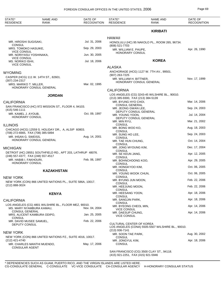| STATE*<br><b>RESIDENCE</b>                                    | <b>NAME AND</b><br><b>RANK</b>                             | DATE OF<br><b>RECOGNITION</b> | STATE*<br><b>RESIDENCE</b>                                   | NAME AND<br><b>RANK</b>                           | DATE OF<br><b>RECOGNITION</b> |
|---------------------------------------------------------------|------------------------------------------------------------|-------------------------------|--------------------------------------------------------------|---------------------------------------------------|-------------------------------|
|                                                               |                                                            |                               |                                                              | <b>KIRIBATI</b>                                   |                               |
|                                                               |                                                            |                               | <b>HAWAII</b>                                                |                                                   |                               |
| MR. HIROSHI SUGISAKI,<br><b>CONSUL</b>                        |                                                            | Jul. 31, 2006                 | (808) 521-7703                                               | HONOLULU (HC) 95 NAKOLO PL., ROOM 265, 96734.     |                               |
| MRS. TOMOKO HASUIKE,                                          |                                                            | Sep. 29, 2003                 | MR. WILLIAM E. PAUPE,                                        |                                                   | Apr. 26, 1990                 |
| <b>VICE CONSUL</b><br>MR. NORIYASU YOSHINAKA,                 |                                                            | Jun. 30, 2005                 | HONORARY CONSUL                                              |                                                   |                               |
| <b>VICE CONSUL</b><br>MS. NORIKO ISHII,<br><b>VICE CONSUL</b> |                                                            | Jul. 18, 2006                 |                                                              | <b>KOREA</b>                                      |                               |
|                                                               |                                                            |                               | <b>ALASKA</b>                                                |                                                   |                               |
| WYOMING                                                       |                                                            |                               |                                                              | ANCHORAGE (HCG) 1127 W. 7TH AV., 99501.           |                               |
| (307) 234-2317                                                | CASPER (HCG) 111 W. 14TH ST., 82601.                       |                               | (907) 263-7225<br>MR. WILLIAM H. BITTNER,                    |                                                   | Nov. 17, 1999                 |
| MRS. MARIKO T. MILLER,                                        | HONORARY CONSUL GENERAL                                    | Mar. 02, 1995                 |                                                              | HONORARY CONSUL GENERAL                           |                               |
|                                                               |                                                            |                               | <b>CALIFORNIA</b>                                            |                                                   |                               |
|                                                               | <b>JORDAN</b>                                              |                               | (213) 385-9300, FAX (213) 384-5139                           | LOS ANGELES (CG) 3243-45 WILSHIRE BL., 90010.     |                               |
| <b>CALIFORNIA</b>                                             |                                                            |                               | MR. BYUNG HYO CHOI,                                          |                                                   | Mar. 14, 2006                 |
| (415) 546-1111                                                | SAN FRANCISCO (HC) 972 MISSION ST., FLOOR 4, 94103.        |                               | <b>CONSUL GENERAL</b><br>MR. JEONG GWAN LEE,                 |                                                   | Sep. 24, 2003                 |
| MR. KAMEL J. AYOUB,<br>HONORARY CONSUL                        |                                                            | Oct. 09, 1997                 | DEPUTY CONSUL GENERAL<br>MR. YOUNG YOON,                     |                                                   | Jul. 14, 2004                 |
|                                                               |                                                            |                               | DEPUTY CONSUL GENERAL<br>MR. MIN RYU,                        |                                                   | Mar. 21, 2002                 |
| <b>ILLINOIS</b>                                               | CHICAGO (HCG) 12559 S. HOLIDAY DR., A, ALSIP 60803.        |                               | <b>CONSUL</b><br>MR. BONG WOO KO,                            |                                                   | Aug. 18, 2003                 |
| (708) 272-6665, FAX (708) 385-5894<br>MR. IHSAN G. SWEISS,    |                                                            | Aug. 14, 2001                 | <b>CONSUL</b><br>MR. SUNG HO LEE,                            |                                                   | Sep. 24, 2003                 |
|                                                               | HONORARY CONSUL GENERAL                                    |                               | <b>CONSUL</b><br>MR. TAE HUN CHUNG,                          |                                                   | Oct. 14, 2004                 |
| MICHIGAN                                                      |                                                            |                               | <b>CONSUL</b><br>MR. JONG MYOUNG KIM,                        |                                                   | Dec. 17, 2004                 |
| (248) 557-4377, FAX (248) 557-4517                            | DETROIT (HC) 28551 SOUTHFIELD RD., APT 203, LATHRUP 48076. |                               | <b>CONSUL</b><br>MR. SE KEUN JANG,                           |                                                   | Apr. 12, 2005                 |
| MR. HABIB I. FAKHOURI,<br>HONORARY CONSUL                     |                                                            | Feb. 06, 1997                 | <b>CONSUL</b><br>MR. BOHNCHOONG KOO,<br><b>CONSUL</b>        |                                                   | Apr. 29, 2005                 |
|                                                               |                                                            |                               | MR. HONGKYOO KIM,<br><b>CONSUL</b>                           |                                                   | Oct. 06, 2005                 |
|                                                               | <b>KAZAKHSTAN</b>                                          |                               | MR. YOUNG WOOK CHUN,<br><b>CONSUL</b>                        |                                                   | Oct. 06, 2005                 |
| NEW YORK                                                      | NEW YORK (CON) 866 UNITED NATIONS PL., SUITE 586A, 10017.  |                               | MR. BYUNG JUN MOON,<br><b>CONSUL</b>                         |                                                   | Feb. 22, 2006                 |
| (212) 888-3024                                                |                                                            |                               | MR. HEEJUNG MOON,<br><b>CONSUL</b>                           |                                                   | Feb. 22, 2006                 |
|                                                               | <b>KENYA</b>                                               |                               | MR. HEESANG YOON,<br><b>CONSUL</b>                           |                                                   | Apr. 18, 2006                 |
| CALIFORNIA                                                    |                                                            |                               | MR. SANGJIN PARK,                                            |                                                   | Apr. 18, 2006                 |
| MS. MARY NYAMBURA KAMAU,                                      | LOS ANGELES (CG) 4801 WILSHIRE BL., FLOOR MEZ, 90010.      | Nov. 04, 2004                 | <b>CONSUL</b><br>MR. BYEONG CHEOL MIN,<br><b>VICE CONSUL</b> |                                                   | Apr. 14, 2006                 |
| <b>CONSUL GENERAL</b>                                         | MRS. ALICENT KAMBURA ODIPO,                                | Jan. 25, 2005                 | MR. DAESUP CHUNG,<br><b>VICE CONSUL</b>                      |                                                   | Apr. 14, 2006                 |
| <b>CONSUL</b><br>MR. DAVID MUSEE SAMUEL,                      |                                                            | Feb. 22, 2006                 |                                                              |                                                   |                               |
| DEPUTY CONSUL                                                 |                                                            |                               | CULTURAL CENTER OF KOREA                                     | LOS ANGELES (CONA) 5505-5507 WILSHIRE BL., 90010. |                               |
| NEW YORK                                                      |                                                            |                               | $(213)$ 936-7141<br>MR. SOON TAE PARK,                       |                                                   | Aug. 30, 2002                 |
| (212) 421-4740                                                | NEW YORK (CON) 866 UNITED NATIONS PZ., SUITE 4016, 10017.  |                               | <b>CONSUL</b><br>MR. JONGYUL KIM,                            |                                                   | Apr. 18, 2006                 |
| MR. CHARLES MANTHI MUENDO,<br><b>CONSULAR AGENT</b>           |                                                            | May. 17, 2006                 | <b>CONSUL</b>                                                |                                                   |                               |

SAN FRANCISCO (CG) 3500 CLAY ST., 94118. (415) 921-2251 , FAX (415) 921-5946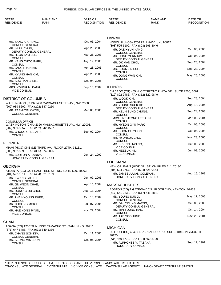| STATE*<br><b>RESIDENCE</b>                               | <b>NAME AND</b><br><b>RANK</b>                        | DATE OF<br><b>RECOGNITION</b> | STATE*<br><b>RESIDENCE</b>                                    | <b>NAME AND</b><br><b>RANK</b>                              | DATE OF<br><b>RECOGNITION</b> |
|----------------------------------------------------------|-------------------------------------------------------|-------------------------------|---------------------------------------------------------------|-------------------------------------------------------------|-------------------------------|
|                                                          |                                                       |                               |                                                               |                                                             |                               |
|                                                          |                                                       |                               | <b>HAWAII</b>                                                 |                                                             |                               |
| MR. SANG KI CHUNG,                                       |                                                       | Oct. 05, 2004                 |                                                               | HONOLULU (CG) 2756 PALI HWY. UN., 96817.                    |                               |
| <b>CONSUL GENERAL</b><br>MR. IN PIL CHUN,                |                                                       | Apr. 28, 2005                 | (808) 595-6109, FAX (808) 595-3046<br>MR. DAE HYUN KANG,      |                                                             | Oct. 05, 2005                 |
| DEPUTY CONSUL GENERAL                                    |                                                       | Mar. 26, 2003                 | <b>CONSUL GENERAL</b>                                         |                                                             |                               |
| MR. HEON KYU LEE,<br><b>CONSUL</b>                       |                                                       |                               | MR. DONG YERN KIM,                                            | DEPUTY CONSUL GENERAL                                       | Oct. 05, 2004                 |
| MR. KANG CHOO PARK,<br><b>CONSUL</b>                     |                                                       | Aug. 19, 2003                 | MR. OK MAN CHOI,                                              |                                                             | Sep. 28, 2004                 |
| MR. JANG HYUN KIM,                                       |                                                       | Apr. 28, 2005                 | <b>CONSUL</b><br>MR. SOON JIN SUH,                            |                                                             | Sep. 28, 2004                 |
| <b>CONSUL</b><br>MR. KYUNG HAN KIM,                      |                                                       | Apr. 28, 2005                 | <b>CONSUL</b><br>MR. DONG WAN KIM,                            |                                                             | May. 26, 2005                 |
| <b>CONSUL</b><br>MR. SUWHAN CHOE,                        |                                                       | Oct. 04, 2005                 | <b>CONSUL</b>                                                 |                                                             |                               |
| <b>CONSUL</b>                                            |                                                       | Sep. 15, 2004                 | <b>ILLINOIS</b>                                               |                                                             |                               |
| MRS. YOUNG MI KANG,<br><b>VICE CONSUL</b>                |                                                       |                               |                                                               | CHICAGO (CG) 455 N. CITYFRONT PLAZA DR., SUITE 2700, 60611. |                               |
|                                                          |                                                       |                               | (312) 822-9485, FAX (312) 822-9849                            |                                                             |                               |
| DISTRICT OF COLUMBIA                                     |                                                       |                               | MR. WOOK KIM,<br><b>CONSUL GENERAL</b>                        |                                                             | Sep. 28, 2004                 |
| (202) 939-5600, FAX (202) 387-0250                       | WASHINGTON (CHN) 2450 MASSACHUSETTS AV., NW, 20008.   |                               | MR. YOUNG SUCK DO,                                            | DEPUTY CONSUL GENERAL                                       | Aug. 18, 2004                 |
| MR. TAEMYON KWON,<br><b>CONSUL GENERAL</b>               |                                                       | Mar. 08, 2006                 | MR. KEUN SUNG CHUNG,                                          |                                                             | Sep. 24, 2003                 |
|                                                          |                                                       |                               | <b>CONSUL</b><br>MRS. HYE JEONG LEE AHN,                      |                                                             | Mar. 09, 2004                 |
| <b>CONSULAR OFFICE</b>                                   | WASHINGTON (CHA) 2320 MASSACHUSETTS AV., NW, 20008.   |                               | <b>CONSUL</b><br>MR. HYEON GYU PARK,                          |                                                             | Oct. 06, 2005                 |
| (202) 939-5657, FAX (202) 342-1597                       |                                                       |                               | <b>CONSUL</b>                                                 |                                                             |                               |
| MR. CHONG GHEE AHN,<br><b>CONSUL</b>                     |                                                       | Sep. 02, 2004                 | MR. SOON GU YOON,<br><b>CONSUL</b>                            |                                                             | Oct. 06, 2005                 |
|                                                          |                                                       |                               | MR. HYUNSUK CHO,                                              |                                                             | Nov. 23, 2005                 |
| FLORIDA                                                  |                                                       |                               | <b>CONSUL</b><br>MR. INSUNG HWANG,                            |                                                             | Oct. 06, 2005                 |
| (305) 982-5690, FAX (305) 374-5095                       | MIAMI (HCG) ONE S.E. THIRD AV., FLOOR 27TH, 33131.    |                               | <b>VICE CONSUL</b><br>MR. HEESUK KIM,                         |                                                             | Jun. 08, 2006                 |
| MR. BURTON A. LANDY,                                     |                                                       | Jun. 24, 1999                 | <b>VICE CONSUL</b>                                            |                                                             |                               |
| HONORARY CONSUL GENERAL                                  |                                                       |                               | LOUISIANA                                                     |                                                             |                               |
| GEORGIA                                                  |                                                       |                               |                                                               | NEW ORLEANS (HCG) 321 ST. CHARLES AV., 70130.               |                               |
|                                                          | ATLANTA (CG) 229 PEACHTREE ST., NE, SUITE 500, 30303. |                               | (504) 524-0757, FAX (504) 525-9464                            |                                                             |                               |
| (404) 522-1611, FAX (404) 521-3169<br>MR. KWANG JAE LEE, |                                                       | Jun. 07, 2005                 | MR. JAMES JULIAN COLEMAN,                                     | HONORARY CONSUL GENERAL                                     | Aug. 16, 1968                 |
| <b>CONSUL GENERAL</b>                                    |                                                       |                               |                                                               |                                                             |                               |
| MR. JIN WEON CHAE,<br><b>CONSUL</b>                      |                                                       | Apr. 16, 2004                 | <b>MASSACHUSETTS</b>                                          |                                                             |                               |
| MR. DONGGYOU CHOI,<br><b>CONSUL</b>                      |                                                       | Aug. 18, 2004                 | (617) 641-2830, FAX (617) 641-2831                            | BOSTON (CG) 1 GATEWAY CN., FLOOR 2ND, NEWTON 02458.         |                               |
| MR. ZHA HYOUNG RHEE,                                     |                                                       | Oct. 18, 2004                 | MS. YOUNG SUN JI,<br><b>CONSUL GENERAL</b>                    |                                                             | May. 17, 2006                 |
| <b>CONSUL</b><br>MR. CHOONG MOK LEE,                     |                                                       | Jul. 07, 2005                 | MR. DAL YOUNG MAENG,                                          |                                                             | Oct. 06, 2005                 |
| <b>CONSUL</b><br>MR. HAE HONG PYUN,                      |                                                       | Nov. 22, 2004                 | MS. MIN YOUNG HAN,                                            | DEPUTY CONSUL GENERAL                                       | Oct. 14, 2004                 |
| <b>VICE CONSUL</b>                                       |                                                       |                               | <b>CONSUL</b>                                                 |                                                             |                               |
|                                                          |                                                       |                               | MR. TAE SOO JUNG,<br><b>CONSUL</b>                            |                                                             | Nov. 26, 2004                 |
| GUAM                                                     | AGANA (CG) 125C TUN JOSE CAMACHO ST., TAMUNING 96911. |                               |                                                               |                                                             |                               |
| (671) 647-6488, FAX (671) 649-1336                       |                                                       |                               | <b>MICHIGAN</b>                                               |                                                             |                               |
| MR. CHANG SON KIM,<br><b>CONSUL GENERAL</b>              |                                                       | Oct. 11, 2005                 | 48170.                                                        | DETROIT (HC) 40400 E. ANN ARBOR RD., SUITE 104B, PLYMOUTH   |                               |
| MR. SEUNG MIN JEON,                                      |                                                       | Oct. 05, 2004                 | (734) 459-8770, FAX (734) 459-8799<br>MR. ALPHONSE V. TABAKA, |                                                             | Sep. 12, 1991                 |
| <b>CONSUL</b>                                            |                                                       |                               | <b>HONORARY CONSUL</b>                                        |                                                             |                               |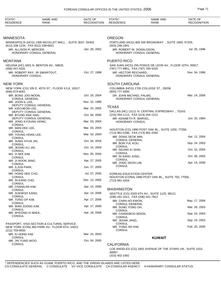| STATE*<br><b>RESIDENCE</b>                      | <b>NAME AND</b><br><b>RANK</b>                                                              | DATE OF<br><b>RECOGNITION</b> | STATE*<br><b>RESIDENCE</b>                                            | <b>NAME AND</b><br><b>RANK</b>                             | DATE OF<br><b>RECOGNITION</b>  |
|-------------------------------------------------|---------------------------------------------------------------------------------------------|-------------------------------|-----------------------------------------------------------------------|------------------------------------------------------------|--------------------------------|
|                                                 |                                                                                             |                               |                                                                       |                                                            |                                |
| MINNESOTA<br>(612) 338-1234, FAX (612) 338-6821 | MINNEAPOLIS (HCG) 1300 NICOLLET MALL., SUITE 3047, 55403.                                   |                               | <b>OREGON</b><br>(503) 248-1941                                       | PORTLAND (HCG) 805 SW BROADWAY., SUITE 1900, 97205.        |                                |
| MR. ALLISON R. MERCER,                          | HONORARY CONSUL GENERAL                                                                     | Jan. 28, 2002                 | MR. ROBERT W. DONALDSON,                                              | HONORARY CONSUL GENERAL                                    | Jul. 05, 1996                  |
| MONTANA                                         |                                                                                             |                               | PUERTO RICO                                                           |                                                            |                                |
| (406) 447-4331                                  | HELENA (HC) 1601 N. BENTON AV., 59625.                                                      |                               | (787) 777-8801, FAX (787) 765-4225                                    | SAN JUAN (HCG) 255 PONCE DE LEON AV., FLOOR 10TH, 00917.   |                                |
| MR. ROBERT RAY, JR SWARTOUT,<br>HONORARY CONSUL |                                                                                             | Oct. 27, 1998                 | MR. HECTOR REICHARD,                                                  | HONORARY CONSUL GENERAL                                    | Nov. 04, 1996                  |
| NEW YORK                                        |                                                                                             |                               | <b>SOUTH CAROLINA</b>                                                 |                                                            |                                |
| $(646)$ 674-6001                                | NEW YORK (CG) 335 E. 45TH ST., FLOOR 4,5,6, 10017.                                          |                               | (803) 777-9300                                                        | COLUMBIA (HCG) 1705 COLLEGE ST., 29208.                    |                                |
| MR. BONG JOO MOON,<br><b>CONSUL GENERAL</b>     |                                                                                             | Oct. 18, 2004                 | DR. JOHN MICHAEL PALMS,                                               | HONORARY CONSUL GENERAL                                    | Mar. 14, 2006                  |
| MR. JOON IL LEE,<br>DEPUTY CONSUL GENERAL       |                                                                                             | Nov. 15, 1996                 |                                                                       |                                                            |                                |
| MR. KIECHEON LEE,                               |                                                                                             | Mar. 24, 2005                 | <b>TEXAS</b>                                                          | DALLAS (HC) 13111 N. CENTRAL EXPRESWAY ., 75243.           |                                |
| DEPUTY CONSUL GENERAL<br>MR. BYUNG RAK HAN,     |                                                                                             | Oct. 04, 2005                 | (214) 454-1112, FAX (214) 454-1212                                    |                                                            |                                |
| DEPUTY CONSUL GENERAL<br>MR. JONG KYOUNG HONG,  |                                                                                             | Mar. 03, 2004                 | MR. KENNETH R. MARVEL,<br><b>HONORARY CONSUL</b>                      |                                                            | Jun. 20, 1994                  |
| <b>CONSUL</b><br>MR. MAN HEE LEE,               |                                                                                             | Mar. 03, 2004                 |                                                                       | HOUSTON (CG) 1990 POST OAK BL., SUITE 1250, 77056.         |                                |
| <b>CONSUL</b><br>MR. YOUNG HOAN LEE,            |                                                                                             | Mar. 03, 2004                 | (713) 961-0186, FAX (713) 961-3340<br>MR. DONG SEOK MIN,              |                                                            | Apr. 12, 2004                  |
| <b>CONSUL</b><br>MR. SUNG HYUN JIN,             |                                                                                             | Oct. 04, 2004                 | <b>CONSUL GENERAL</b><br>MR. BON YUL KOU,                             |                                                            | Sep. 24, 2003                  |
| <b>CONSUL</b><br>MR. JEONG KU JIN,              |                                                                                             | Oct. 14, 2004                 | <b>CONSUL</b>                                                         |                                                            | Oct. 15, 2004                  |
| <b>CONSUL</b><br>MS. JI HEE KIM,                |                                                                                             | Nov. 05, 2004                 | MR. SEUNG KI SHIN,<br><b>CONSUL</b>                                   |                                                            |                                |
| <b>CONSUL</b><br>MR. JI HOON JANG,              |                                                                                             | Apr. 27, 2005                 | MR. IN SANG JUNG,<br><b>CONSUL</b>                                    |                                                            | Oct. 06, 2005                  |
| <b>CONSUL</b><br>MR. ILJUN PARK,                |                                                                                             | Jun. 27, 2005                 | MR. JONG SEON LIM,<br><b>CONSUL</b>                                   |                                                            | Apr. 14, 2006                  |
| <b>CONSUL</b><br>MR. HONG HEE CHO,              |                                                                                             | Jul. 07, 2005                 | KOREAN EDUCATION CENTER                                               |                                                            |                                |
| <b>CONSUL</b><br>MR. IN KANG CHO.               |                                                                                             | Dec. 13, 2005                 | (713) 961-4104                                                        | HOUSTON (CONA) 1990 POST OAK BL., SUITE 750, 77056.        |                                |
| <b>CONSUL</b><br>MR. CHANGJIN KIM,              |                                                                                             | Apr. 14, 2006                 |                                                                       |                                                            |                                |
| <b>CONSUL</b><br>MR. SUKWOO KANG,               |                                                                                             | Apr. 14, 2006                 | <b>WASHINGTON</b>                                                     | SEATTLE (CG) 2033 6TH AV., SUITE 1125, 98121.              |                                |
| <b>CONSUL</b><br>MR. TONG OP KIM,               |                                                                                             | Apr. 17, 2006                 | (206) 441-1011, FAX (206) 441-7912                                    |                                                            |                                |
| <b>CONSUL</b><br>MR. WAN JOONG KIM,             |                                                                                             | Apr. 17, 2006                 | MR. CHAN HO KWON,<br><b>CONSUL GENERAL</b>                            |                                                            | May. 17, 2006                  |
| <b>CONSUL</b><br>MR. MYEONG KI BAEK,            |                                                                                             | Apr. 18, 2006                 | MR. SUNG YONG OH,<br><b>CONSUL</b>                                    |                                                            | Mar. 26, 2003                  |
| <b>CONSUL</b>                                   |                                                                                             |                               | MR. CHANGBOO MOON,<br><b>CONSUL</b>                                   |                                                            | Sep. 24, 2003                  |
|                                                 | PASSPORT, VISA SECTION & CULTURAL SERVICE<br>NEW YORK (CON) 460 PARK AV., FLOOR 6TH, 10022. |                               | MR. JEHAK JANG,<br><b>CONSUL</b><br>MR. YONG HO KIM,<br><b>CONSUL</b> |                                                            | Sep. 24, 2003<br>Feb. 25, 2005 |
| (212) 759-9550<br>MR. KI HONG KIM,              |                                                                                             | Mar. 24, 2003                 |                                                                       |                                                            |                                |
| <b>CONSUL</b><br>MR. JIN YUNG WOO,              |                                                                                             | Oct. 04, 2005                 |                                                                       | <b>KUWAIT</b>                                              |                                |
| <b>CONSUL</b>                                   |                                                                                             |                               | <b>CALIFORNIA</b>                                                     |                                                            |                                |
|                                                 |                                                                                             |                               | 90067.<br>(310) 402-1692                                              | LOS ANGELES (CG) 1801 AVENUE OF THE STARS UN., SUITE 1010, |                                |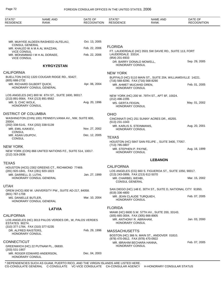| STATE*<br><b>RESIDENCE</b>                                                    | <b>NAME AND</b><br><b>RANK</b>                           | DATE OF<br><b>RECOGNITION</b> | STATE*<br><b>RESIDENCE</b>                                        | <b>NAME AND</b><br><b>RANK</b>                                | DATE OF<br><b>RECOGNITION</b> |
|-------------------------------------------------------------------------------|----------------------------------------------------------|-------------------------------|-------------------------------------------------------------------|---------------------------------------------------------------|-------------------------------|
|                                                                               |                                                          |                               |                                                                   |                                                               |                               |
|                                                                               | MR. MUHYEE ALDEEN RASHEED ALFELAIJ,                      | Oct. 13, 2005                 |                                                                   |                                                               |                               |
| <b>CONSUL GENERAL</b><br>MR. KHALED W A M A AL WAZZAN,                        |                                                          | Feb. 22, 2006                 | <b>FLORIDA</b>                                                    |                                                               |                               |
| <b>VICE CONSUL</b><br><b>VICE CONSUL</b>                                      | MR. MOHAMMAD I M H AL DORAEE,                            | Feb. 22, 2006                 | LAUDERDALE 33314.<br>(954) 201-6933                               | FT. LAUDERDALE (HC) 3501 SW DAVIE RD., SUITE 113, FORT        |                               |
|                                                                               | <b>KYRGYZSTAN</b>                                        |                               | DR. BARRY DONALD MOWELL,<br><b>HONORARY CONSUL</b>                |                                                               | Sep. 29, 2005                 |
| <b>CALIFORNIA</b>                                                             |                                                          |                               | <b>NEW YORK</b>                                                   |                                                               |                               |
| (805) 688-2732                                                                | BUELLTON (HCG) 1320 COUGAR RIDGE RD., 93427.             |                               | (716) 568-8290, FAX (716) 568-8290                                | BUFFALO (HC) 5110 MAIN ST., SUITE 204, WILLIAMSVILLE 14221.   |                               |
| MR. RICHARD GILBERT QUICK,                                                    | HONORARY CONSUL GENERAL                                  | Apr. 06, 2004                 | MR. AHMET MUCAHID OREN,<br><b>HONORARY CONSUL</b>                 |                                                               | Feb. 01, 2005                 |
| (213) 891-9564, FAX (213) 891-9562                                            | LOS ANGELES (HC) 800 W. 6TH ST., SUITE 1600, 90017.      |                               | (212) 496-2295                                                    | NEW YORK (HC) 200 W. 79TH ST., APT 6F, 10024.                 |                               |
| MR. S. CHIC WOLK.<br><b>HONORARY CONSUL</b>                                   |                                                          | Aug. 20, 1996                 | MS. GERTA FEIGIN,<br>HONORARY CONSUL                              |                                                               | May. 01, 2002                 |
| DISTRICT OF COLUMBIA                                                          |                                                          |                               | <b>OHIO</b>                                                       |                                                               |                               |
| 20004.                                                                        | WASHINGTON (CHN) 1001 PENNSYLVANIA AV., NW, SUITE 600,   |                               | (513) 231-1043                                                    | CINCINNATI (HC) 251 SUNNY ACRES DR., 45255.                   |                               |
| (202) 338-5141, FAX (202) 338-5139<br>MR. EMIL KAIKIEV,<br><b>CONSUL</b>      |                                                          | Nov. 27, 2002                 | MR. KARLIS S. STEINMANIS,<br><b>HONORARY CONSUL</b>               |                                                               | Aug. 20, 2001                 |
| MR. ASAN USUPOV,<br><b>CONSUL</b>                                             |                                                          | Dec. 12, 2005                 | <b>TEXAS</b>                                                      |                                                               |                               |
|                                                                               |                                                          |                               |                                                                   | HOUSTON (HC) 5847 SAN FELIPE., SUITE 3400, 77057.             |                               |
| <b>NEW YORK</b><br>(212) 319-2836                                             | NEW YORK (CON) 866 UNITED NATIONS PZ., SUITE 514, 10017. |                               | (713) 785-0807<br>MR. STEPHEN P. PAYNE,<br><b>HONORARY CONSUL</b> |                                                               | Aug. 16, 1999                 |
|                                                                               |                                                          |                               |                                                                   | <b>LEBANON</b>                                                |                               |
| <b>TEXAS</b>                                                                  | HOUSTON (HCG) 2302 GREENS CT., RICHMOND 77469.           |                               | <b>CALIFORNIA</b>                                                 |                                                               |                               |
| (281) 920-1841, FAX (281) 920-1823<br>MR. DARRELL D. LUTHI,                   |                                                          | Jan. 27, 1999                 | (213) 243-0999, FAX (213) 612-5070                                | LOS ANGELES (CG) 660 S. FIGUEROA ST., SUITE 1050, 90017.      |                               |
|                                                                               | HONORARY CONSUL GENERAL                                  |                               | MR. CHARBEL WEHBI,<br><b>CONSUL GENERAL</b>                       |                                                               | Mar. 15, 2002                 |
| <b>UTAH</b>                                                                   | OREM (HCG) 800 W. UNIVERSITY PW., SUITE AD-217, 84058.   |                               |                                                                   | SAN DIEGO (HC) 148 E. 30TH ST., SUITE D, NATIONAL CITY 91950. |                               |
| (801) 787-1708                                                                |                                                          |                               | $(619)$ 336-4800<br>MR. JEAN CLAUDE TURQUIEH,                     |                                                               | Feb. 07, 2005                 |
| MS. DANIELLE BUTLER,                                                          | HONORARY CONSUL GENERAL                                  | Mar. 10, 2004                 | <b>HONORARY CONSUL</b>                                            |                                                               |                               |
|                                                                               | <b>LATVIA</b>                                            |                               | <b>FLORIDA</b>                                                    |                                                               |                               |
| <b>CALIFORNIA</b>                                                             |                                                          |                               | (305) 665-3004, FAX (305) 666-8905                                | MIAMI (HC) 6600 S.W. 57TH AV., SUITE 200, 33143.              |                               |
| ESTATES 90274.                                                                | LOS ANGELES (HC) 3013 PALOS VERDES DR., W, PALOS VERDES  |                               | MR. ANTHONY R. ABRAHAM,<br><b>HONORARY CONSUL</b>                 |                                                               | Jan. 03, 2000                 |
| (310) 377-1784, FAX (310) 377-5235<br>DR. ALFRED RAISTERS,<br>HONORARY CONSUL |                                                          | Feb. 29, 1996                 | <b>MASSACHUSETTS</b><br>(978) 470-0912, FAX (978) 470-0922        | BOSTON (HC) 366 N. MAIN ST., ANDOVER 01810.                   |                               |
| <b>CONNECTICUT</b>                                                            | GREENWICH (HC) 22 PUTNAM PL., 06830.                     |                               | MR. IBRAHIM BECHARA HANNA,<br><b>HONORARY CONSUL</b>              |                                                               | Feb. 07, 2005                 |
| (203) 531-1907<br>MR. ROGER EDWARD ANDERSON,<br><b>HONORARY CONSUL</b>        |                                                          | Dec. 04, 2003                 |                                                                   |                                                               |                               |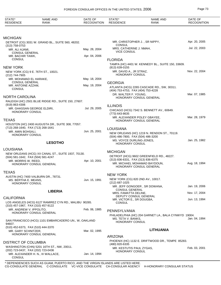| STATE*<br><b>RESIDENCE</b>                                                        | <b>NAME AND</b><br><b>RANK</b>                                                  | DATE OF<br><b>RECOGNITION</b> | STATE*<br><b>RESIDENCE</b>                           | NAME AND<br><b>RANK</b>                                              | DATE OF<br><b>RECOGNITION</b> |
|-----------------------------------------------------------------------------------|---------------------------------------------------------------------------------|-------------------------------|------------------------------------------------------|----------------------------------------------------------------------|-------------------------------|
|                                                                                   |                                                                                 |                               |                                                      |                                                                      |                               |
| <b>MICHIGAN</b>                                                                   | DETROIT (CG) 3031 W. GRAND BL., SUITE 560, 48202.                               |                               |                                                      | MR. CHRISTOPHER J., SR NIPPY,                                        | Apr. 20, 2005                 |
| $(313)$ 758-0753                                                                  |                                                                                 |                               | <b>CONSUL</b><br>MRS. CATHERINE J. NMAH,             |                                                                      | Jul. 22, 2003                 |
| MR. ALI AJAMI,<br><b>CONSUL GENERAL</b>                                           |                                                                                 | May. 28, 2004                 | <b>VICE CONSUL</b>                                   |                                                                      |                               |
| MR. BACHIR TAWK,<br><b>CONSUL</b>                                                 |                                                                                 | Apr. 04, 2006                 |                                                      |                                                                      |                               |
|                                                                                   |                                                                                 |                               | <b>FLORIDA</b>                                       | TAMPA (HC) 4401 W. KENNEDY BL., SUITE 150, 33609.                    |                               |
| <b>NEW YORK</b>                                                                   |                                                                                 |                               | $(813)$ 639-0155                                     |                                                                      |                               |
|                                                                                   | NEW YORK (CG) 9 E. 76TH ST., 10021.                                             |                               | MR. DAVID A., JR STRAZ,<br><b>HONORARY CONSUL</b>    |                                                                      | Nov. 22, 2004                 |
| (212) 744-7905<br>MR. MOHAMAD EL HARAKE,                                          |                                                                                 | May. 18, 2004                 |                                                      |                                                                      |                               |
| <b>CONSUL GENERAL</b>                                                             |                                                                                 | May. 19, 2004                 | <b>GEORGIA</b>                                       |                                                                      |                               |
| MR. ANTOINE AZZAM,<br><b>CONSUL</b>                                               |                                                                                 |                               | (404) 753-4753, FAX (404) 753-4228                   | ATLANTA (HCG) 2265 CASCADE RD., SW, 30311.                           |                               |
| NORTH CAROLINA                                                                    |                                                                                 |                               | DR. WALTER F. YOUNG,                                 | HONORARY CONSUL GENERAL                                              | Mar. 07, 1985                 |
| (919) 863-4306                                                                    | RALEIGH (HC) 2501 BLUE RIDGE RD., SUITE 150, 27607.                             |                               | <b>ILLINOIS</b>                                      |                                                                      |                               |
| MR. GHASSAN GEORGE ELDIRI,<br><b>HONORARY CONSUL</b>                              |                                                                                 | Jul. 29, 2005                 | (773) 643-8635                                       | CHICAGO (HCG) 7342 S. BENNETT AV., 60649.                            |                               |
| <b>TEXAS</b>                                                                      |                                                                                 |                               |                                                      | MR. ALEXANDER POLEY GBAYEE,                                          | Mar. 28, 1979                 |
|                                                                                   | HOUSTON (HC) 2400 AUGUSTA DR., SUITE 308, 77057.                                |                               |                                                      | HONORARY CONSUL GENERAL                                              |                               |
| (713) 268-1640, FAX (713) 268-1641                                                |                                                                                 |                               | <b>LOUISIANA</b>                                     |                                                                      |                               |
| MR. AMIN BOHSALI,<br>HONORARY CONSUL                                              |                                                                                 | Jun. 25, 2001                 | (504) 486-7800, FAX (504) 486-3200                   | NEW ORLEANS (HC) 1219 N. RENDON ST., 70119.                          |                               |
|                                                                                   | <b>LESOTHO</b>                                                                  |                               | MS. VOYCE DURLING-JONES,<br><b>HONORARY CONSUL</b>   |                                                                      | Jan. 25, 1982                 |
| LOUISIANA                                                                         |                                                                                 |                               |                                                      |                                                                      |                               |
|                                                                                   | NEW ORLEANS (HCG) XX CANAL ST., SUITE 1937, 70130.                              |                               | <b>MICHIGAN</b>                                      |                                                                      |                               |
| (504) 581-1642, FAX (504) 581-4247                                                |                                                                                 |                               | (313) 836-6331, FAX (313) 836-6375                   | DETROIT (HCG) 9602 GREENFIELD RD., 48227.                            |                               |
| MR. MORRIS W. REED.                                                               | HONORARY CONSUL GENERAL                                                         | Apr. 10, 2001                 |                                                      | MR. MICHAEL MOHAMAD BAYDOUN,<br>HONORARY CONSUL GENERAL              | Aug. 18, 1994                 |
| TEXAS                                                                             |                                                                                 |                               |                                                      |                                                                      |                               |
|                                                                                   | AUSTIN (HC) 7400 VALBURN DR., 78731.                                            |                               | <b>NEW YORK</b><br>NEW YORK (CG) 820 2ND AV., 10017. |                                                                      |                               |
| MS. BERTHA E. MEANS,<br>HONORARY CONSUL                                           |                                                                                 | Jun. 15, 1991                 | (212) 687-1025                                       |                                                                      |                               |
|                                                                                   |                                                                                 |                               | <b>CONSUL GENERAL</b>                                | MR. JEFF GONGOER, SR DOWANA,                                         | Jan. 19, 2006                 |
|                                                                                   | <b>LIBERIA</b>                                                                  |                               | MRS. FAMATTA DELINE,                                 |                                                                      | Nov. 17, 2004                 |
| CALIFORNIA                                                                        |                                                                                 |                               | MR. VICTOR E., SR DOUGBA,                            | DEPUTY CONSUL GENERAL                                                | Jun. 13, 1994                 |
| (310) 457-1967, FAX (310) 457-9122                                                | LOS ANGELES (HCG) 6127 RAMIREZ CYN RD., MALIBU 90265.                           |                               | <b>CONSUL</b>                                        |                                                                      |                               |
| MR. ANDREW V. IPPOLITO,                                                           |                                                                                 | Feb. 06, 1985                 | PENNSYLVANIA                                         |                                                                      |                               |
|                                                                                   | HONORARY CONSUL GENERAL                                                         |                               |                                                      | PHILADELPHIA (HC) 204 GARNET LA., BALA CYNWYD 19004.                 |                               |
| 94607.                                                                            | SAN FRANCISCO (HCG) 1101 EMBARCADERO UN., W, OAKLAND                            |                               | MS. TETA V. BANKS.<br><b>HONORARY CONSUL</b>         |                                                                      | Jan. 04, 1994                 |
| (510) 452-6373, FAX (510) 444-3370                                                |                                                                                 |                               |                                                      |                                                                      |                               |
|                                                                                   | HONORARY CONSUL GENERAL                                                         |                               |                                                      |                                                                      |                               |
|                                                                                   |                                                                                 |                               |                                                      |                                                                      |                               |
|                                                                                   |                                                                                 |                               | (480) 820-6335                                       |                                                                      |                               |
|                                                                                   | WASHINGTON (CHN) 5201 16TH ST., NW, 20011.                                      |                               | MR. KESTUTIS PAUL ZYGAS,                             |                                                                      | Feb. 03, 2001                 |
| <b>CONSUL</b>                                                                     | MR. ALEXANDER H. N., III WALLACE,                                               | Jan. 14, 1994                 |                                                      |                                                                      |                               |
| MR. GARY SCHNITZER,<br>DISTRICT OF COLUMBIA<br>(202) 723-0437, FAX (202) 723-0436 | * DEDENDENCIES SUCH AS CHAM DUEDTO DICO. AND THE VIDOIN ISLANDS ADE LISTED HEDE | Mar. 02, 1995                 | <b>ARIZONA</b><br><b>HONORARY CONSUL</b>             | <b>LITHUANIA</b><br>PHOENIX (HC) 1132 E. DRIFTWOOD DR., TEMPE 85283. |                               |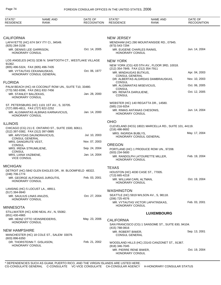| STATE*<br><b>RESIDENCE</b>                            | <b>NAME AND</b><br><b>RANK</b>                           | DATE OF<br><b>RECOGNITION</b> | STATE*<br><b>RESIDENCE</b>                         | <b>NAME AND</b><br><b>RANK</b>                        | DATE OF<br><b>RECOGNITION</b> |
|-------------------------------------------------------|----------------------------------------------------------|-------------------------------|----------------------------------------------------|-------------------------------------------------------|-------------------------------|
|                                                       |                                                          |                               |                                                    |                                                       |                               |
| <b>CALIFORNIA</b>                                     |                                                          |                               | <b>NEW JERSEY</b>                                  |                                                       |                               |
| (925) 284-3156                                        | LAFAYETTE (HC) 674 SKY ITY CI., 94549.                   |                               | (973) 543-7294                                     | MENDHAM (HC) 290 MOUNTAINSIDE RD., 07945.             |                               |
| MR. DENNIS LEE GARRISON,<br>HONORARY CONSUL           |                                                          | Oct. 14, 2005                 | MR. EUGENE CHARLES RAINIS,<br>HONORARY CONSUL      |                                                       | Jun. 14, 2004                 |
| 91362.                                                | LOS ANGELES (HCG) 3236 N. SAWTOOTH CT., WESTLAKE VILLAGE |                               | <b>NEW YORK</b>                                    |                                                       |                               |
| (805) 496-5324, FAX (805) 496-7435                    |                                                          |                               | (212) 354-7849, FAX (212) 354-7911                 | NEW YORK (CG) 420 5TH AV., FLOOR 3RD, 10018.          |                               |
|                                                       | MR. VYTAUTAS CEKANAUSKAS,<br>HONORARY CONSUL GENERAL     | Oct. 06, 1977                 | MR. MINDAUGAS BUTKUS,                              |                                                       | Apr. 04, 2003                 |
| <b>FLORIDA</b>                                        |                                                          |                               | <b>CONSUL GENERAL</b><br><b>CONSUL</b>             | DR. ALBERTAS ALGIRDAS DAMBRAUSKAS,                    | Nov. 10, 2003                 |
|                                                       | PALM BEACH (HC) 44 COCONUT ROW UN., SUITE T10, 33480.    |                               | MR. ALGIMANTAS MISEVICIUS,                         |                                                       | Oct. 06, 2005                 |
| (773) 582-8396, FAX (561) 832-7456                    |                                                          |                               | <b>CONSUL</b><br>MS. RENATA DARULIENE,             |                                                       | Oct. 12, 2005                 |
| MR. STANLEY BALZEKAS,<br><b>HONORARY CONSUL</b>       |                                                          | Jan. 28, 2000                 | <b>CONSUL</b>                                      |                                                       |                               |
|                                                       | ST. PETERSBURG (HC) 1101 1ST AV., S, 33705.              |                               | (585) 216-9254                                     | WEBSTER (HC) 140 REGATTA DR., 14580.                  |                               |
| (727) 895-4811, FAX (727) 822-2252<br>HONORARY CONSUL | MR. ALGIMANTAS ALBINAS KARNAVICIUS,                      | Jan. 14, 2000                 | MR. RIMAS ANTANAS CHESONIS,<br>HONORARY CONSUL     |                                                       | Jun. 14, 2004                 |
|                                                       |                                                          |                               | <b>OHIO</b>                                        |                                                       |                               |
| <b>ILLINOIS</b>                                       | CHICAGO (CG) 211 E. ONTARIO ST., SUITE 1500, 60611.      |                               |                                                    | CLEVELAND (HCG) 18021 MARCELLA RD., SUITE 101, 44119. |                               |
| (312) 397-0382, FAX (312) 397-0885                    | MR. ARVYDAS DAUNORAVICIUS,                               | Jul. 10, 2003                 | $(216)$ 486-8692<br>MRS. INGRIDA BUBLYS,           | HONORARY CONSUL GENERAL                               | May. 17, 2004                 |
| <b>CONSUL GENERAL</b>                                 |                                                          |                               |                                                    |                                                       |                               |
| MRS. DANGIRUTE VEST,<br><b>CONSUL</b>                 |                                                          | Nov. 07, 2003                 | <b>OREGON</b>                                      |                                                       |                               |
| MRS. IRENA STRUMILIENE,<br><b>CONSUL</b>              |                                                          | Sep. 24, 2004                 | $(503)$ 234-5600                                   | PORTLAND (HC) 1 PRODUCE ROW UN., 97208.               |                               |
| MRS. LIANA VAZBIENE,<br><b>VICE CONSUL</b>            |                                                          | Jan. 14, 2004                 | HONORARY CONSUL                                    | MR. RANDOLPH LATOURETTE MILLER,                       | Feb. 19, 2004                 |
| <b>MICHIGAN</b>                                       |                                                          |                               |                                                    |                                                       |                               |
|                                                       | DETROIT (HC) 5842 GLEN EAGLES DR., W. BLOOMFIELD 48322.  |                               | <b>TEXAS</b><br>HOUSTON (HC) 4030 CASE ST., 77005. |                                                       |                               |
| (248) 706-1774                                        |                                                          |                               | (713) 665-4218                                     |                                                       |                               |
| <b>HONORARY CONSUL</b>                                | MR. GEORGE ALFONSAS JURGUTIS,                            | Feb. 03, 2001                 | MR. WILLIAM CARL ALTMAN,<br><b>HONORARY CONSUL</b> |                                                       | Oct. 19, 2004                 |
| (517) 394-9940                                        | LANSING (HC) 5 LOCUST LA., 48911.                        |                               | <b>WASHINGTON</b>                                  |                                                       |                               |
| MR. SAULIUS LINAS ANUZIS,<br><b>HONORARY CONSUL</b>   |                                                          | Oct. 27, 2004                 | (206) 725-4576                                     | SEATTLE (HC) 5919 WILSON AV., S, 98118.               |                               |
|                                                       |                                                          |                               |                                                    | MR. VYTAUTAS VICTOR LAPATINSKAS,                      | Feb. 03, 2001                 |
| <b>MINNESOTA</b>                                      |                                                          |                               | <b>HONORARY CONSUL</b>                             |                                                       |                               |
| (651) 430-4965                                        | STILLWATER (HC) 4290 NEAL AV., N, 55082.                 |                               |                                                    | <b>LUXEMBOURG</b>                                     |                               |
| HONORARY CONSUL                                       | MR. HEINZ OTTO VEINSREIDERIS,                            | May. 23, 2006                 | <b>CALIFORNIA</b>                                  |                                                       |                               |
|                                                       |                                                          |                               | (415) 788-0816                                     | SAN FRANCISCO (CG) 1 SANSOME ST., SUITE 830, 94104.   |                               |
| <b>NEW HAMPSHIRE</b>                                  | MANCHESTER (HC) 18 COLE ST., SALEM 03079.                |                               | MR. ROBERT BIWER,<br><b>CONSUL GENERAL</b>         |                                                       | Sep. 13, 2001                 |
| $(603)$ 896-6350<br><b>HONORARY CONSUL</b>            | DR. THORSTEINN T. GISLASON,                              | Feb. 21, 2002                 | (818) 346-7045                                     | WOODLAND HILLS (HC) 23143 CANZONET ST., 91367.        |                               |
|                                                       |                                                          |                               | MR. PIERRE RENE BIWER,<br>HONORARY CONSUL          |                                                       | Oct. 19, 2004                 |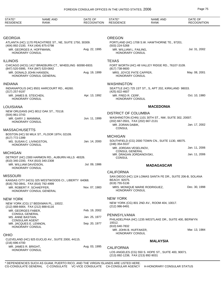| STATE*<br><b>RESIDENCE</b>                         | <b>NAME AND</b><br><b>RANK</b>                          | DATE OF<br><b>RECOGNITION</b> | STATE*<br><b>RESIDENCE</b>                        | <b>NAME AND</b><br><b>RANK</b>                             | DATE OF<br><b>RECOGNITION</b> |
|----------------------------------------------------|---------------------------------------------------------|-------------------------------|---------------------------------------------------|------------------------------------------------------------|-------------------------------|
|                                                    |                                                         |                               |                                                   |                                                            |                               |
| GEORGIA                                            |                                                         |                               | <b>OREGON</b>                                     |                                                            |                               |
| (404) 892-2100, FAX (404) 875-0798                 | ATLANTA (HC) 1170 PEACHTREE ST., NE, SUITE 1750, 30309. |                               | (503) 224-5268                                    | PORTLAND (HC) 1708 S.W. HAWTHORNE TE., 97201.              |                               |
| MR. GEORGES A. HOFFMANN,<br><b>HONORARY CONSUL</b> |                                                         | Aug. 22, 1995                 | MR. WILLIAM L. FAILING,<br><b>HONORARY CONSUL</b> |                                                            | Jul. 31, 2002                 |
| <b>ILLINOIS</b>                                    |                                                         |                               | <b>TEXAS</b>                                      |                                                            |                               |
| (847) 520-5995, FAX (847) 520-0842                 | CHICAGO (HCG) 1417 BRAEBURN CT., WHEELING 60090-6933.   |                               | $(817)$ 738-8600                                  | FORT WORTH (HC) 48 VALLEY RIDGE RD., 76107-3109.           |                               |
| MR. DONALD JOHN HANSEN,                            | HONORARY CONSUL GENERAL                                 | Aug. 19, 1999                 | MRS. JOYCE PATE CAPPER,<br><b>HONORARY CONSUL</b> |                                                            | May. 08, 2001                 |
| INDIANA                                            |                                                         |                               | <b>WASHINGTON</b>                                 |                                                            |                               |
| $(317)$ 257-9197                                   | INDIANAPOLIS (HC) 8501 HARCOURT RD., 46260.             |                               | (425) 822-4607                                    | SEATTLE (HC) 725 1ST ST., S, APT 202, KIRKLAND 98033.      |                               |
| MR. JAMES B. STEICHEN,<br><b>HONORARY CONSUL</b>   |                                                         | Apr. 13, 1992                 | MR. FRED R. CERF,<br><b>HONORARY CONSUL</b>       |                                                            | Oct. 10, 1980                 |
| LOUISIANA                                          |                                                         |                               |                                                   | <b>MACEDONIA</b>                                           |                               |
| (504) 861-3743                                     | NEW ORLEANS (HC) 8012 OAK ST., 70118.                   |                               | <b>DISTRICT OF COLUMBIA</b>                       |                                                            |                               |
| MR. GARY J. MANNINA,<br><b>HONORARY CONSUL</b>     |                                                         | Jun. 11, 1999                 | (202) 667-0501, FAX (202) 667-2131                | WASHINGTON (CHN) 1101 30TH ST., NW, SUITE 302, 20007.      |                               |
|                                                    |                                                         |                               | MR. ZORAN DABIK,<br><b>CONSUL</b>                 |                                                            | Jan. 17, 2002                 |
| MASSACHUSETTS                                      |                                                         |                               |                                                   |                                                            |                               |
| (617) 772-1399                                     | BOSTON (HC) 50 MILK ST., FLOOR 19TH, 02109.             |                               | <b>MICHIGAN</b>                                   |                                                            |                               |
| MS. SUSAN C. LIVINGSTON,<br>HONORARY CONSUL        |                                                         | Jan. 14, 2000                 | (248) 354-5537                                    | SOUTHFIELD (CG) 2000 TOWN CN., SUITE 1130, 48075.          |                               |
| MICHIGAN                                           |                                                         |                               | MR. JORDAN VESELINOV.<br><b>CONSUL GENERAL</b>    |                                                            | Jan. 11, 2006                 |
|                                                    | DETROIT (HC) 2300 HARMON RD., AUBURN HILLS 48326.       |                               | MR. DRAGAN JORDANOVSKI,<br><b>CONSUL</b>          |                                                            | Jan. 11, 2006                 |
| (810) 340-2200, FAX (810) 340-2308                 |                                                         | Jul. 09, 1986                 |                                                   |                                                            |                               |
| MR. WILLIAM DAVIDSON.<br>HONORARY CONSUL           |                                                         |                               |                                                   | <b>MADAGASCAR</b>                                          |                               |
|                                                    |                                                         |                               | <b>CALIFORNIA</b>                                 |                                                            |                               |
| MISSOURI<br>(816) 792-0841, FAX (816) 792-4999     | KANSAS CITY (HCG) 325 WESTWOODS CI., LIBERTY 64068.     |                               | BEACH 92075.<br>(619) 755-5136                    | SAN DIEGO (HC) 124 LOMAS SANTA FE DR., SUITE 206-B, SOLANA |                               |
| MR. ROBERT F. SCHAEFFER,                           | HONORARY CONSUL GENERAL                                 | Nov. 07, 1983                 | <b>HONORARY CONSUL</b>                            | MRS. MONIQUE MARIE RODRIGUEZ,                              | Dec. 30, 1998                 |
| New York                                           |                                                         |                               | <b>NEW YORK</b>                                   |                                                            |                               |
| (212) 888-6664, FAX (212) 888-6116                 | NEW YORK (CG) 17 BEEKMAN PL., 10022.                    |                               | (212) 986-9491                                    | NEW YORK (CG) 801 2ND AV., ROOM 404, 10017.                |                               |
| MR. GEORGES FABER,<br><b>CONSUL GENERAL</b>        |                                                         | Feb. 19, 2002                 |                                                   |                                                            |                               |
| MS. ANNE BASTIAN,<br><b>CONSULAR AGENT</b>         |                                                         | Jan. 25, 1977                 | PENNSYLVANIA                                      | PHILADELPHIA (HC) 1235 WESTLAKE DR., SUITE 400, BERWYN     |                               |
| MR. JACQUES E. LENNON,<br><b>HONORARY CONSUL</b>   |                                                         | Sep. 20, 1977                 | 19312.<br>(610) 640-7832                          |                                                            |                               |
|                                                    |                                                         |                               | MR. JOHN B. HUFFAKER,<br><b>HONORARY CONSUL</b>   |                                                            | Mar. 13, 1984                 |
| OHIO                                               |                                                         |                               |                                                   |                                                            |                               |
| $(216)$ 696-4700                                   | CLEVELAND (HC) 925 EUCLID AV., SUITE 2000, 44115.       |                               |                                                   | <b>MALAYSIA</b>                                            |                               |
| MR. JAMES R. BRIGHT,<br><b>HONORARY CONSUL</b>     |                                                         | Aug. 03, 1995                 | <b>CALIFORNIA</b>                                 |                                                            |                               |
|                                                    |                                                         |                               | (213) 892-1238, FAX (213) 892-9031                | LOS ANGELES (CG) 550 S. HOPE ST., SUITE 400, 90071.        |                               |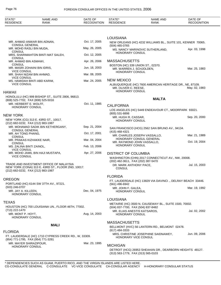| STATE*<br><b>RESIDENCE</b>                                   | <b>NAME AND</b><br><b>RANK</b>                        | DATE OF<br><b>RECOGNITION</b> | STATE*<br><b>RESIDENCE</b>                   | <b>NAME AND</b><br>RANK                                      | DATE OF<br><b>RECOGNITION</b> |
|--------------------------------------------------------------|-------------------------------------------------------|-------------------------------|----------------------------------------------|--------------------------------------------------------------|-------------------------------|
|                                                              |                                                       |                               |                                              |                                                              |                               |
|                                                              |                                                       |                               | <b>LOUISIANA</b>                             |                                                              |                               |
| <b>CONSUL GENERAL</b>                                        | MR. AHMAD ANWAR BIN ADNAN,                            | Oct. 17, 2005                 | (504) 465-0765                               | NEW ORLEANS (HC) 4232 WILLIAMS BL., SUITE 101, KENNER 70065. |                               |
| MR. MOHD RASLI BIN MUDA,<br><b>CONSUL</b>                    |                                                       | May. 26, 2005                 |                                              | MS. NANCY MARINOVIC SUTHERLAND,                              | Apr. 03, 1998                 |
| <b>CONSUL</b>                                                | MRS. SHARIMAHTON BINTI MAT SALEH,                     | Oct. 12, 2005                 | <b>HONORARY CONSUL</b>                       |                                                              |                               |
| MR. AHMAD BIN ASMAWI,<br><b>CONSUL</b>                       |                                                       | Apr. 26, 2006                 | <b>MASSACHUSETTS</b>                         |                                                              |                               |
| <b>VICE CONSUL</b>                                           | MR. MASRI ZOHAINI BIN IDRIS,                          | Jun. 18, 2003                 | MR. WARREN J. SCHJOLDEN,                     | BOSTON (HC) 339 UNION ST., 02370.                            | Mar. 25, 1983                 |
| MR. SHAH NIZAM BIN AHMAD,<br><b>VICE CONSUL</b>              |                                                       | Mar. 08, 2005                 | HONORARY CONSUL                              |                                                              |                               |
|                                                              | MS. HAMIDAH BINTI ABD KARIM,                          | Mar. 24, 2005                 | <b>NEW MEXICO</b>                            |                                                              |                               |
| <b>VICE CONSUL</b>                                           |                                                       |                               | MR. OLIVER C. REESE,<br>HONORARY CONSUL      | ALBUQUERQUE (HC) 7600 AMERICAN HERITAGE DR., NE, 87109.      | May. 02, 1983                 |
| <b>HAWAII</b>                                                | HONOLULU (HC) 999 BISHOP ST., SUITE 2806, 96813.      |                               |                                              |                                                              |                               |
| (808) 525-7702, FAX (808) 525-5016                           |                                                       |                               |                                              | <b>MALTA</b>                                                 |                               |
| MR. HERBERT E. WOLFF,<br>HONORARY CONSUL                     |                                                       | Oct. 11, 1985                 | <b>CALIFORNIA</b>                            |                                                              |                               |
| <b>NEW YORK</b>                                              |                                                       |                               | (805) 531-8898                               | LOS ANGELES (HC) 5449 ENDEAVOUR CT., MOORPARK 93021.         |                               |
|                                                              | NEW YORK (CG) 313 E. 43RD ST., 10017.                 |                               | MR. HUGH R. CASSAR,<br>HONORARY CONSUL       |                                                              | Sep. 20, 2000                 |
| (212) 682-0232, FAX (212) 983-1987                           | MR. MOHAMAD SADIK BIN KETHERGANY,                     | Sep. 21, 2004                 |                                              | SAN FRANCISCO (HCG) 2562 SAN BRUNO AV., 94134.               |                               |
| <b>CONSUL GENERAL</b><br>MR. AH TONG PHANG,                  |                                                       | Oct. 17, 2001                 | (415) 468-4321                               |                                                              |                               |
| <b>CONSUL</b><br>MR. PRAKAS KIZHAKKE NAIR,                   |                                                       | Mar. 04, 2004                 |                                              | MR. CHARLES JOSEPH VASSALLO,<br>HONORARY CONSUL GENERAL      | Mar. 21, 1989                 |
| <b>CONSUL</b><br>MS. ZALINA BINTI ZAINOL,                    |                                                       | Feb. 13, 2006                 | HONORARY CONSUL                              | MR. RAYMOND JOHN VASSALLO,                                   | Oct. 19, 2004                 |
| <b>VICE CONSUL</b>                                           | MR. MOHD JAMIL BIN HAJI MUSTAPA,                      | Apr. 27, 2006                 | <b>DISTRICT OF COLUMBIA</b>                  |                                                              |                               |
| <b>VICE CONSUL</b>                                           |                                                       |                               |                                              | WASHINGTON (CHN) 2017 CONNECTICUT AV., NW, 20008.            |                               |
|                                                              | TRADE AND INVESTMENT OFFICE OF MALAYSIA               |                               | (202) 462-3611, FAX (202) 387-5470           |                                                              |                               |
| (212) 682-0232, FAX (212) 983-1987                           | NEW YORK (CONA) 313 E. 43RD ST., FLOOR 2ND, 10017.    |                               | DR. MARK ANTHONY PACE,<br><b>CONSUL</b>      |                                                              | Jul. 15, 2003                 |
|                                                              |                                                       |                               | <b>FLORIDA</b>                               |                                                              |                               |
| <b>OREGON</b>                                                | PORTLAND (HC) 6144 SW 37TH AV., 97221.                |                               | (561) 496-6942                               | FT. LAUDERDALE (HC) 13829 VIA DAVINCI., DELRAY BEACH 33446.  |                               |
| (503) 246-0707<br>MR. JAY A. KILLEEN,                        |                                                       | Dec. 04, 1975                 | MR. JOHN F. GALEA,<br><b>HONORARY CONSUL</b> |                                                              | Mar. 19, 1992                 |
| HONORARY CONSUL                                              |                                                       |                               |                                              |                                                              |                               |
| <b>TEXAS</b>                                                 |                                                       |                               | <b>LOUISIANA</b>                             |                                                              |                               |
| (713) 222-1470                                               | HOUSTON (HC) 700 LOUISIANA UN., FLOOR 46TH, 77002.    |                               | (504) 837-7700, FAX (504) 837-8482           | METAIRIE (HC) 3500 N. CAUSEWAY BL., SUITE 1500, 70002.       |                               |
| MR. MONT P. HOYT,<br><b>HONORARY CONSUL</b>                  |                                                       | Aug. 14, 2003                 | <b>HONORARY CONSUL</b>                       | MR. ELIAS ANESTIS KATSAROS,                                  | Jul. 02, 2002                 |
|                                                              | <b>MALI</b>                                           |                               | <b>MASSACHUSETTS</b>                         |                                                              |                               |
|                                                              |                                                       |                               | (617) 484-3333                               | BELLMONT (HVC) 56 LANTERN RD., BELMONT 02478.                |                               |
| <b>FLORIDA</b>                                               | FT. LAUDERDALE (HC) 1710 CYPRESS CREEK RD., W, 33309. |                               | HONORARY VICE CONSUL                         | MRS. CHRISTINE JOSEPHINE SAIDNAWEY,                          | Jun. 09, 2006                 |
| (954) 771-1795, FAX (954) 771-3281<br>MR. MAYER SHIRAZIPOUR, |                                                       | Mar. 23, 1995                 |                                              |                                                              |                               |
| <b>HONORARY CONSUL</b>                                       |                                                       |                               | <b>MICHIGAN</b>                              | DETROIT (HCG) 26953 SHEAHAN DR., DEARBORN HEIGHTS 48127.     |                               |
|                                                              |                                                       |                               | (313) 563-1779, FAX (313) 565-0103           |                                                              |                               |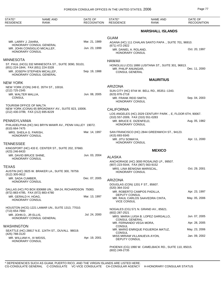| STATE*                                       | <b>NAME AND</b>                                         | DATE OF            | STATE*                                         | <b>NAME AND</b>                                           | DATE OF            |
|----------------------------------------------|---------------------------------------------------------|--------------------|------------------------------------------------|-----------------------------------------------------------|--------------------|
| <b>RESIDENCE</b>                             | RANK                                                    | <b>RECOGNITION</b> | <b>RESIDENCE</b>                               | <b>RANK</b>                                               | <b>RECOGNITION</b> |
|                                              |                                                         |                    |                                                | <b>MARSHALL ISLANDS</b>                                   |                    |
|                                              |                                                         |                    | <b>GUAM</b>                                    |                                                           |                    |
| MR. LARRY J. ZAHRA,                          | HONORARY CONSUL GENERAL                                 | Mar. 21, 1989      | (671) 472-2922                                 | AGANA (HC) 111 CHALAN SANTO PAPA., SUITE 701, 96910.      |                    |
| <b>HONORARY CONSUL</b>                       | MR. JOHN CONSIGLIO MICALLEF,                            | Jun. 23, 1999      | MR. DANIEL A. ROLAND,<br>HONORARY CONSUL       |                                                           | Oct. 20, 1997      |
| <b>MINNESOTA</b>                             |                                                         |                    | <b>HAWAII</b>                                  |                                                           |                    |
| (651) 224-1844, FAX (651) 224-3328           | ST. PAUL (HCG) 332 MINNESOTA ST., SUITE 3090, 55101.    |                    |                                                | HONOLULU (CG) 1888 LUSITANA ST., SUITE 301, 96813.        |                    |
|                                              | MR. JOSEPH STEPHEN MICALLEF,<br>HONORARY CONSUL GENERAL | Sep. 19, 1988      | MR. PHILIP ANUNGAR,<br><b>CONSUL GENERAL</b>   |                                                           | Dec. 11, 2000      |
| NEW YORK                                     |                                                         |                    |                                                | <b>MAURITIUS</b>                                          |                    |
|                                              | NEW YORK (CON) 249 E. 35TH ST., 10016.                  |                    | <b>ARIZONA</b>                                 |                                                           |                    |
| (212) 725-2345<br>MR. WALTER MALLIA,         |                                                         | Jun. 08, 2005      | (623) 876-2718                                 | SUN CITY (HC) 9744 W. BELL RD., 85351--1343.              |                    |
| <b>CONSUL</b>                                |                                                         |                    | MR. FRANK REID SMITH,                          |                                                           | Sep. 04, 2003      |
|                                              |                                                         |                    | HONORARY CONSUL                                |                                                           |                    |
| TOURISM OFFICE OF MALTA                      | NEW YORK (CONA) 65 BROADWAY AV., SUITE 823, 10006.      |                    |                                                |                                                           |                    |
| (212) 430-3799, FAX (212) 695-8229           |                                                         |                    | <b>CALIFORNIA</b>                              | LOS ANGELES (HC) 2029 CENTURY PARK., E, FLOOR 6TH, 90067. |                    |
|                                              |                                                         |                    | (310) 557-2009, FAX (310) 551-0283             |                                                           |                    |
| PENNSYLVANIA                                 |                                                         |                    | MR. BRUCE E. DIZENFELD,<br>HONORARY CONSUL     |                                                           | Aug. 05, 1982      |
| (610) 664-7475                               | PHILADELPHIA (HC) 941 BRYN MAWR AV., PENN VALLEY 19072. |                    |                                                |                                                           |                    |
| MRS. SHEILA G. PARISH,<br>HONORARY CONSUL    |                                                         | Mar. 14, 1997      | (415) 693-9345                                 | SAN FRANCISCO (HC) 2844 GREENWICH ST., 94123.             |                    |
|                                              |                                                         |                    | MR. JITU SOMAYA,<br>HONORARY CONSUL            |                                                           | Apr. 11, 2000      |
| <b>TENNESSEE</b>                             | KINGSPORT (HC) 433 E. CENTER ST., SUITE 202, 37660.     |                    |                                                |                                                           |                    |
| (423) 246-8433                               |                                                         |                    |                                                | <b>MEXICO</b>                                             |                    |
| MR. DAVID BRUCE SHINE.                       |                                                         | Jun. 03, 2004      | <b>ALASKA</b>                                  |                                                           |                    |
| <b>HONORARY CONSUL</b>                       |                                                         |                    |                                                | ANCHORAGE (HC) 3000 ROSALIND LP., 99507.                  |                    |
| TEXAS                                        |                                                         |                    | (907) 223-5544, FAX (907) 563-9152             |                                                           |                    |
| (512) 305-0612                               | AUSTIN (HC) 3925 W. BRAKER LA., SUITE 300, 78759.       |                    | MRS. LINA BENIGNA MARISCAL,<br>HONORARY CONSUL |                                                           | Oct. 29, 2001      |
| MR. SADA CUMBER,                             |                                                         | Dec. 07, 2005      | <b>ARIZONA</b>                                 |                                                           |                    |
| <b>HONORARY CONSUL</b>                       |                                                         |                    | DOUGLAS (CON) 1201 F ST., 85607.               |                                                           |                    |
|                                              | DALLAS (HC) PO BOX 830688 UN., SM-24, RICHARDSON 75083. |                    | (520) 364-3142                                 |                                                           |                    |
| (972) 883-4785, FAX (972) 883-4780           |                                                         |                    | <b>DEPUTY CONSUL</b>                           | MR. ROBERTO CAMPOS PADILLA,                               | Apr. 23, 1997      |
| MR. GERALD H. HOAG,<br>HONORARY CONSUL       |                                                         | Mar. 13, 1997      | <b>VICE CONSUL</b>                             | MR. RAUL CARLOS SAAVEDRA CINTA,                           | May. 05, 2006      |
|                                              |                                                         |                    |                                                |                                                           |                    |
| (713) 654-7900                               | HOUSTON (HCG) 1221 LAMAR UN., SUITE 1313, 77010.        |                    | (602) 287-2521                                 | NOGALES (CG) 571 N. GRAND AV., 85621.                     |                    |
| MR. JOHN D., JR ELLIS,                       | HONORARY CONSUL GENERAL                                 | Jul. 24, 2000      | <b>CONSUL GENERAL</b>                          | MRS. MARIA LUISA B. LOPEZ GARGALLO,                       | Jun. 07, 2005      |
| <b>WASHINGTON</b>                            |                                                         |                    | MR. FERNANDO VEGA MORA,<br>CONSUL              |                                                           | Apr. 28, 2005      |
|                                              | SEATTLE (HC) 28817 N.E. 124TH ST., DUVALL 98019.        |                    | CONSUL                                         | MR. MARIO ENRIQUE FIGUEROA MATUZ,                         | May. 23, 2006      |
| (425) 788-3120<br>MR. WILLIAM H., III WEISS, |                                                         | Apr. 19, 2001      | DEPUTY CONSUL                                  | MISS MIRIAM VILLANUEVA AYON,                              | Jan. 09, 2002      |
| <b>HONORARY CONSUL</b>                       |                                                         |                    |                                                | PHOENIX (CG) 1990 W. CAMELBACK RD., SUITE 110, 85015.     |                    |

(602) 249-2735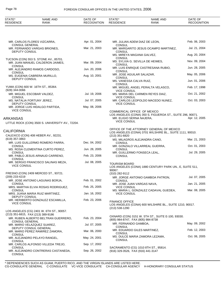| STATE*<br><b>RESIDENCE</b>                     | <b>NAME AND</b><br><b>RANK</b>                                            | DATE OF<br>RECOGNITION | STATE*<br><b>RESIDENCE</b>               | NAME AND<br><b>RANK</b>                                                                 | DATE OF<br><b>RECOGNITION</b> |
|------------------------------------------------|---------------------------------------------------------------------------|------------------------|------------------------------------------|-----------------------------------------------------------------------------------------|-------------------------------|
|                                                |                                                                           |                        |                                          |                                                                                         |                               |
| <b>CONSUL GENERAL</b>                          | MR. CARLOS FLORES VIZCARRA,                                               | Apr. 01, 2004          | <b>CONSUL</b>                            | MR. JULIAN ADEM DIAZ DE LEON,                                                           | Feb. 06, 2003                 |
|                                                | MR. FERNANDO VARGAS BRIONES,                                              | Mar. 21, 2003          |                                          | MR. MARGARITO JESUS OCAMPO MARTINEZ,                                                    | Jul. 21, 2004                 |
| <b>DEPUTY CONSUL</b>                           |                                                                           |                        | <b>CONSUL</b>                            | MS. MIREYA MAGANA GALVEZ,                                                               | Aug. 20, 2004                 |
|                                                | TUCSON (CON) 553 S. STONE AV., 85701.<br>MR. JUAN MANUEL CALDERON JAIMES, | Mar. 09, 2004          | <b>CONSUL</b>                            | MS. SYLVIA G. SEVILLA DE HEIMES,                                                        | Nov. 09, 2004                 |
| <b>CONSUL</b>                                  | MR. ALEJANDRO RAMOS CARDOSO,                                              | Jun. 20, 2006          | <b>CONSUL</b>                            | MR. LUIS ENRIQUE CASTRESANA RUBIO,                                                      | Jun. 28, 2005                 |
| <b>CONSUL</b>                                  | MS. EUGENIA CABRERA MURILLO,                                              | Aug. 10, 2001          | <b>CONSUL</b>                            | MR. JOSE AGUILAR SALAZAR,                                                               | May. 05, 2006                 |
| <b>DEPUTY CONSUL</b>                           |                                                                           |                        | <b>CONSUL</b><br>MS. VANESSA CALVA RUIZ, |                                                                                         | Jun. 01, 2006                 |
|                                                | YUMA (CON) 600 W. 16TH ST., 85364.                                        |                        | <b>CONSUL</b>                            | MR. MIGUEL ANGEL PERALTA VELASCO.                                                       | Feb. 17, 1998                 |
| $(928)$ 344-0066<br>MR. MIGUEL ESCOBAR VALDEZ, |                                                                           | Jul. 19, 2006          | <b>VICE CONSUL</b>                       | MS. MARIA DEL CARMEN REYES DIAZ,                                                        | Oct. 21, 2002                 |
| <b>CONSUL</b><br>MS. NATALIA FORTUNY JEREZ,    |                                                                           | Jul. 07, 2005          | <b>VICE CONSUL</b>                       | MR. CARLOS LEOPOLDO MACEDO NUNEZ,                                                       | Oct. 03, 2003                 |
| <b>DEPUTY CONSUL</b>                           | MR. JORGE LUIS HIDALGO PARTIDA,                                           | May. 08, 2006          | <b>VICE CONSUL</b>                       |                                                                                         |                               |
| <b>VICE CONSUL</b>                             |                                                                           |                        |                                          | COMMERICAL OFFICE OF MEXICO                                                             |                               |
| ARKANSAS                                       |                                                                           |                        | MR. ELIGIO SERNA NAJERA,                 | LOS ANGELES (CONA) 350 S. FIGUEROA ST., SUITE 296, 90071.                               | Apr. 12, 2005                 |
|                                                | LITTLE ROCK (CON) 3500 S. UNIVERSITY AV., 72204.                          |                        | <b>VICE CONSUL</b>                       |                                                                                         |                               |
| CALIFORNIA                                     |                                                                           |                        |                                          | OFFICE OF THE ATTORNEY GENERAL OF MEXICO                                                |                               |
|                                                | CALEXICO (CON) 408 HEBER AV., 92231.                                      |                        | $(213)$ 351-6820                         | LOS ANGELES (CONA) 3701 WILSHIRE BL., SUITE 1111, 90010.                                |                               |
| (619) 357-3863                                 | MR. LUIS GUILLERMO ROMERO PARRA,                                          | Dec. 04, 2002          | <b>CONSUL</b>                            | MS. MILAGROS ALEJANDRA CANO,                                                            | Mar. 21, 2003                 |
| <b>CONSUL</b>                                  | MS. ROSA CLEMENTINA CURTO PEREZ,                                          | Jun. 28, 2005          | <b>CONSUL</b>                            | MR. GONZALO VILLARREAL GUERRA,                                                          | Oct. 01, 2003                 |
| <b>CONSUL</b>                                  | MR. PABLO JESUS ARNAUD CARRENO,                                           | Feb. 23, 2006          | <b>CONSUL</b>                            | MR. GUILLERMO FONSECA LEAL,                                                             | Jul. 29, 2005                 |
| <b>CONSUL</b>                                  | MR. SERGIO FRANCISCO SALINAS MEZA,                                        | Jul. 08, 2005          |                                          |                                                                                         |                               |
| <b>VICE CONSUL</b>                             |                                                                           |                        | <b>TOURISM BOARD</b><br>90067.           | LOS ANGELES (CONA) 1880 CENTURY PARK UN., E, SUITE 511,                                 |                               |
| (209) 233-4219                                 | FRESNO (CON) 2409 MERCED ST., 93721.                                      |                        | (310) 282-9112                           | MR. JORGE ANTONIO GAMBOA PATRON,                                                        | Jul. 07, 2005                 |
|                                                | MR. JOSE ANTONIO LAGUNAS BORJA,                                           | Feb. 01, 2002          | <b>CONSUL</b>                            |                                                                                         |                               |
| <b>CONSUL</b>                                  | MRS. MARTHA ELVIA ROSAS RODRIGUEZ,                                        | Feb. 25, 2005          | <b>VICE CONSUL</b>                       | MR. JOSE JUAN VARGAS NAVA,                                                              | Jan. 21, 2005                 |
| <b>CONSUL</b>                                  | MRS. JUANA MARIA RUIZ MARTINEZ,                                           | Jan. 16, 2002          | <b>VICE CONSUL</b>                       | MS. MARIA L. GONZALEZ CADAVAL GUEDEA,                                                   | Mar. 08, 2005                 |
| <b>DEPUTY CONSUL</b>                           | MR. HERIBERTO GONZALEZ ESCAMILLA,                                         | Feb. 23, 2006          | <b>FINANCE OFFICE</b>                    |                                                                                         |                               |
| <b>VICE CONSUL</b>                             |                                                                           |                        | (213) 538-1290                           | LOS ANGELES (CONA) 600 WILSHIRE BL., SUITE 1210, 90017.                                 |                               |
| (213) 351-6815, FAX (213) 389-9186             | LOS ANGELES (CG) 2401 W. 6TH ST., 90057.                                  |                        |                                          |                                                                                         |                               |
|                                                | MR. RUBEN ALBERTO BELTRAN GUERRERO,                                       | Feb. 23, 2004          |                                          | OXNARD (CON) 3151 W. 5TH ST., SUITE E-100, 93030.<br>(805) 984-8747, FAX (805) 984-8738 |                               |
| <b>CONSUL GENERAL</b>                          | MR. MARIO VELAZQUEZ SUAREZ,                                               | Jul. 07, 2005          | MR. FERNANDO GAMBOA,<br><b>CONSUL</b>    |                                                                                         | May. 09, 2002                 |
|                                                | DEPUTY CONSUL GENERAL<br>MR. MARIO PEREZ RAMIREZ ZAMORA,                  | Mar. 06, 2000          | CONSUL                                   | MR. EDUARDO GILES MARTINEZ,                                                             | Feb. 12, 2003                 |
| <b>CONSUL</b>                                  | MR. ALEJANDRO PELAYO RANGEL,                                              | May. 24, 2001          | <b>CONSUL</b>                            | MS. DULCE MARIA ZAMORA LEZAMA,                                                          | Oct. 06, 2005                 |
| <b>CONSUL</b>                                  | MR. CARLOS ALFONSO VILLEDA TREJO,                                         | Sep. 17, 2002          |                                          |                                                                                         |                               |
| <b>CONSUL</b><br><b>CONSUL</b>                 | MR. ALEJANDRO CONTRERAS CASTANEDA,                                        | Sep. 26, 2002          |                                          | SACRAMENTO (CG) 1010 8TH ST., 95814.<br>(916) 329-3526, FAX (916) 441-3147              |                               |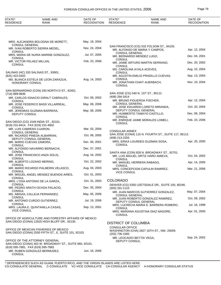| May. 18, 2004<br>MRS. ALEJANDRA BOLOGNA DE MORETT,<br><b>CONSUL GENERAL</b><br>SAN FRANCISCO (CG) 532 FOLSOM ST., 94105.<br>MR. IVAN ROBERTO SIERRA MEDEL,<br>Nov. 24, 2004<br>MR. ALFONSO DE MARIA Y CAMPOS,<br>Apr. 12, 2004<br><b>CONSUL</b><br><b>CONSUL GENERAL</b><br>Jul. 07, 2005<br>MRS. MARIA DE NURIA MARINE GONZALEZ,<br>Dec. 04, 2001<br>MR. BERNARDO MENDEZ LUGO,<br><b>CONSUL</b><br><b>CONSUL</b><br>Feb. 23, 2006<br>MR. VICTOR PELAEZ MILLAN,<br>Dec. 20, 2002<br>MR. JAIME ARTURO MARTIN SERRANO,<br><b>CONSUL</b><br><b>CONSUL</b><br>MS. CAROLINA AYALA ACEVES,<br>Aug. 10, 2004<br>SALINAS (HC) 333 SALINAS ST., 93901.<br><b>CONSUL</b><br>MR. AGUSTIN EMILIO PRADILLO CUEVAS,<br>Sep. 13, 2004<br>(831) 422-0302<br><b>CONSUL</b><br>Aug. 14, 2003<br>MS. BLANCA ESTELA DE LEON ZARAZUA,<br>MR. JONATHAN CHAIT AUERBACH,<br>Nov. 10, 2004<br><b>HONORARY CONSUL</b><br><b>CONSUL</b><br>SAN BERNARDINO (CON) 293 NORTH D ST., 92401.<br>SAN JOSE (CG) 540 N. 1ST ST., 95112.<br>(714) 889-9836<br>(408) 294-3414<br>Oct. 09, 2002<br>MR. CARLOS IGNACIO GIRALT CABRALES,<br>Apr. 12, 2004<br>MR. BRUNO FIGUEROA FISCHER,<br><b>CONSUL</b><br><b>CONSUL GENERAL</b><br>MR. JOSE FEDERICO BASS VILLARREAL,<br>May. 08, 2006<br>Oct. 20, 2004<br>MR. JOSE EDUARDO LORETO MIRANDA,<br><b>CONSUL</b><br><b>DEPUTY CONSUL GENERAL</b><br>May. 08, 2006<br>MR. JEREMIAS GUZMAN BARRERA,<br>Dec. 08, 2004<br>MR. HUMBERTO TAMAYO CASTILLO,<br>DEPUTY CONSUL<br><b>CONSUL</b><br>Feb. 23, 2006<br>MR. ENRIQUE JAIME MORALES LOMELI,<br>SAN DIEGO (CG) 1549 INDIA ST., 92101.<br><b>CONSUL</b><br>(619) 231-8414, FAX (619) 231-4802<br>Mar. 03, 2004<br>MR. LUIS CABRERA CUARON,<br><b>CONSULAR ANNEX</b><br><b>CONSUL GENERAL</b><br>SAN JOSE (CONA) 115 N. FOURTH ST., SUITE 117, 95112.<br>Oct. 06, 2005<br>MR. RICARDO PINEDA ALBARRAN,<br>(408) 213-2255<br>DEPUTY CONSUL GENERAL<br>Apr. 25, 2005<br>MRS. ERIKA LOURDES GUZMAN SOSA,<br>Dec. 06, 2001<br>MR. MARIO CUEVAS ZAMORA,<br><b>CONSUL</b><br><b>CONSUL</b><br>Dec. 07, 2001<br>MR. ALFONSO NAVARRO BERNACHI,<br><b>CONSUL</b><br>SANTA ANA (CON) 828 N. BROADWAY ST., 92701.<br>MR. JOSE FRANCISCO ANZA SOLIS,<br>Aug. 16, 2002<br>Oct. 04, 2002<br>MR. LUIS MIGUEL ORTIZ HARO AMIEVA,<br><b>CONSUL</b><br><b>CONSUL</b><br>Oct. 22, 2002<br>MR. ALBERTO LOZANO MERINO,<br>MR. MANUEL HERRERA RABAGO,<br>Apr. 14, 2005<br><b>CONSUL</b><br>CONSUL<br>MR. MARIO RICARDO PALMERIN VELASCO,<br>Aug. 04, 2003<br>Mar. 21, 2006<br>MRS. CONCEPCION CAPULIN RAMIREZ,<br><b>CONSUL</b><br><b>VICE CONSUL</b><br>Oct. 01, 2003<br>MR. MIGUEL ANGEL MENDEZ BUENOS AIRES,<br>CONSUL<br><b>COLORADO</b><br>Oct. 31, 2003<br>MRS. LYDIA ANTONIO DE LA GARZA,<br><b>CONSUL</b><br>DENVER (CG) 5350 LEETSDALE DR., SUITE 100, 80246.<br>Dec. 05, 2004<br>MR. PEDRO ARATH OCHOA PALACIO,<br>$(303)$ 331-1110<br><b>CONSUL</b><br>May. 07, 2004<br>MR. JUAN MARCOS GUTIERREZ GONZALEZ,<br>May. 05, 2006<br>MS. ABIGAIL CALLEJA FERNANDEZ,<br><b>CONSUL GENERAL</b><br><b>CONSUL</b><br>Oct. 09, 2002<br>MR. JUAN ROBERTO GONZALEZ RAMIREZ,<br>MR. ANTONIO CURZIO GUTIERREZ,<br>Jul. 19, 2006<br>DEPUTY CONSUL GENERAL<br><b>CONSUL</b><br>Jul. 16, 1999<br>MRS. LUCRECIA MARIA E. BARRERA ROMERO,<br>Sep. 13, 2001<br>MRS. LAURA E. QUINTANILLA CASAS,<br>CONSUL<br><b>VICE CONSUL</b><br>Apr. 01, 2003<br>MRS. MARIANA AGUSTINA DIAZ NAGORE,<br>CONSUL<br>OFFICE OF AGRICULTURE AND FORESTRY AFFAIRS OF MEXICO<br>SAN DIEGO (CONA) 12625 HIGH BLUFF DR., 92130.<br><b>DISTRICT OF COLUMBIA</b><br><b>CONSULAR OFFICE</b><br>OFFICE OF MEXICAN FISHERIES OF MEXICO<br>WASHINGTON (CHA) 2827 16TH ST., NW, 20009.<br>SAN DIEGO (CONA) 2550 FIFTH ST., E, SUITE 101, 92103.<br>(202) 736-1000<br>Sep. 24, 2002<br>MR. LEOCADIO BEYTIA VEGA,<br>OFFICE OF THE ATTORNEY GENERAL<br>DEPUTY CONSUL<br>SAN DIEGO (CONA) 402 W. BROADWAY ST., SUITE 660, 92101.<br>(619) 595-7881, FAX (619) 595-7883<br>Jun. 16, 2006<br>MR. RUBEN GONZALEZ-BERMUDEZ,<br><b>CONSUL</b> | STATE*<br><b>RESIDENCE</b> | <b>NAME AND</b><br>RANK | DATE OF<br><b>RECOGNITION</b> | STATE*<br><b>RESIDENCE</b> | NAME AND<br>RANK | DATE OF<br><b>RECOGNITION</b> |
|-------------------------------------------------------------------------------------------------------------------------------------------------------------------------------------------------------------------------------------------------------------------------------------------------------------------------------------------------------------------------------------------------------------------------------------------------------------------------------------------------------------------------------------------------------------------------------------------------------------------------------------------------------------------------------------------------------------------------------------------------------------------------------------------------------------------------------------------------------------------------------------------------------------------------------------------------------------------------------------------------------------------------------------------------------------------------------------------------------------------------------------------------------------------------------------------------------------------------------------------------------------------------------------------------------------------------------------------------------------------------------------------------------------------------------------------------------------------------------------------------------------------------------------------------------------------------------------------------------------------------------------------------------------------------------------------------------------------------------------------------------------------------------------------------------------------------------------------------------------------------------------------------------------------------------------------------------------------------------------------------------------------------------------------------------------------------------------------------------------------------------------------------------------------------------------------------------------------------------------------------------------------------------------------------------------------------------------------------------------------------------------------------------------------------------------------------------------------------------------------------------------------------------------------------------------------------------------------------------------------------------------------------------------------------------------------------------------------------------------------------------------------------------------------------------------------------------------------------------------------------------------------------------------------------------------------------------------------------------------------------------------------------------------------------------------------------------------------------------------------------------------------------------------------------------------------------------------------------------------------------------------------------------------------------------------------------------------------------------------------------------------------------------------------------------------------------------------------------------------------------------------------------------------------------------------------------------------------------------------------------------------------------------------------------------------------------------------------------------------------------------------------------------------------------------------------------------------------------------------------------------------------------------------------------------------------------------------------------------------------------------------------------------|----------------------------|-------------------------|-------------------------------|----------------------------|------------------|-------------------------------|
|                                                                                                                                                                                                                                                                                                                                                                                                                                                                                                                                                                                                                                                                                                                                                                                                                                                                                                                                                                                                                                                                                                                                                                                                                                                                                                                                                                                                                                                                                                                                                                                                                                                                                                                                                                                                                                                                                                                                                                                                                                                                                                                                                                                                                                                                                                                                                                                                                                                                                                                                                                                                                                                                                                                                                                                                                                                                                                                                                                                                                                                                                                                                                                                                                                                                                                                                                                                                                                                                                                                                                                                                                                                                                                                                                                                                                                                                                                                                                                                                                               |                            |                         |                               |                            |                  |                               |
|                                                                                                                                                                                                                                                                                                                                                                                                                                                                                                                                                                                                                                                                                                                                                                                                                                                                                                                                                                                                                                                                                                                                                                                                                                                                                                                                                                                                                                                                                                                                                                                                                                                                                                                                                                                                                                                                                                                                                                                                                                                                                                                                                                                                                                                                                                                                                                                                                                                                                                                                                                                                                                                                                                                                                                                                                                                                                                                                                                                                                                                                                                                                                                                                                                                                                                                                                                                                                                                                                                                                                                                                                                                                                                                                                                                                                                                                                                                                                                                                                               |                            |                         |                               |                            |                  |                               |
|                                                                                                                                                                                                                                                                                                                                                                                                                                                                                                                                                                                                                                                                                                                                                                                                                                                                                                                                                                                                                                                                                                                                                                                                                                                                                                                                                                                                                                                                                                                                                                                                                                                                                                                                                                                                                                                                                                                                                                                                                                                                                                                                                                                                                                                                                                                                                                                                                                                                                                                                                                                                                                                                                                                                                                                                                                                                                                                                                                                                                                                                                                                                                                                                                                                                                                                                                                                                                                                                                                                                                                                                                                                                                                                                                                                                                                                                                                                                                                                                                               |                            |                         |                               |                            |                  |                               |
|                                                                                                                                                                                                                                                                                                                                                                                                                                                                                                                                                                                                                                                                                                                                                                                                                                                                                                                                                                                                                                                                                                                                                                                                                                                                                                                                                                                                                                                                                                                                                                                                                                                                                                                                                                                                                                                                                                                                                                                                                                                                                                                                                                                                                                                                                                                                                                                                                                                                                                                                                                                                                                                                                                                                                                                                                                                                                                                                                                                                                                                                                                                                                                                                                                                                                                                                                                                                                                                                                                                                                                                                                                                                                                                                                                                                                                                                                                                                                                                                                               |                            |                         |                               |                            |                  |                               |
|                                                                                                                                                                                                                                                                                                                                                                                                                                                                                                                                                                                                                                                                                                                                                                                                                                                                                                                                                                                                                                                                                                                                                                                                                                                                                                                                                                                                                                                                                                                                                                                                                                                                                                                                                                                                                                                                                                                                                                                                                                                                                                                                                                                                                                                                                                                                                                                                                                                                                                                                                                                                                                                                                                                                                                                                                                                                                                                                                                                                                                                                                                                                                                                                                                                                                                                                                                                                                                                                                                                                                                                                                                                                                                                                                                                                                                                                                                                                                                                                                               |                            |                         |                               |                            |                  |                               |
|                                                                                                                                                                                                                                                                                                                                                                                                                                                                                                                                                                                                                                                                                                                                                                                                                                                                                                                                                                                                                                                                                                                                                                                                                                                                                                                                                                                                                                                                                                                                                                                                                                                                                                                                                                                                                                                                                                                                                                                                                                                                                                                                                                                                                                                                                                                                                                                                                                                                                                                                                                                                                                                                                                                                                                                                                                                                                                                                                                                                                                                                                                                                                                                                                                                                                                                                                                                                                                                                                                                                                                                                                                                                                                                                                                                                                                                                                                                                                                                                                               |                            |                         |                               |                            |                  |                               |
|                                                                                                                                                                                                                                                                                                                                                                                                                                                                                                                                                                                                                                                                                                                                                                                                                                                                                                                                                                                                                                                                                                                                                                                                                                                                                                                                                                                                                                                                                                                                                                                                                                                                                                                                                                                                                                                                                                                                                                                                                                                                                                                                                                                                                                                                                                                                                                                                                                                                                                                                                                                                                                                                                                                                                                                                                                                                                                                                                                                                                                                                                                                                                                                                                                                                                                                                                                                                                                                                                                                                                                                                                                                                                                                                                                                                                                                                                                                                                                                                                               |                            |                         |                               |                            |                  |                               |
|                                                                                                                                                                                                                                                                                                                                                                                                                                                                                                                                                                                                                                                                                                                                                                                                                                                                                                                                                                                                                                                                                                                                                                                                                                                                                                                                                                                                                                                                                                                                                                                                                                                                                                                                                                                                                                                                                                                                                                                                                                                                                                                                                                                                                                                                                                                                                                                                                                                                                                                                                                                                                                                                                                                                                                                                                                                                                                                                                                                                                                                                                                                                                                                                                                                                                                                                                                                                                                                                                                                                                                                                                                                                                                                                                                                                                                                                                                                                                                                                                               |                            |                         |                               |                            |                  |                               |
|                                                                                                                                                                                                                                                                                                                                                                                                                                                                                                                                                                                                                                                                                                                                                                                                                                                                                                                                                                                                                                                                                                                                                                                                                                                                                                                                                                                                                                                                                                                                                                                                                                                                                                                                                                                                                                                                                                                                                                                                                                                                                                                                                                                                                                                                                                                                                                                                                                                                                                                                                                                                                                                                                                                                                                                                                                                                                                                                                                                                                                                                                                                                                                                                                                                                                                                                                                                                                                                                                                                                                                                                                                                                                                                                                                                                                                                                                                                                                                                                                               |                            |                         |                               |                            |                  |                               |
|                                                                                                                                                                                                                                                                                                                                                                                                                                                                                                                                                                                                                                                                                                                                                                                                                                                                                                                                                                                                                                                                                                                                                                                                                                                                                                                                                                                                                                                                                                                                                                                                                                                                                                                                                                                                                                                                                                                                                                                                                                                                                                                                                                                                                                                                                                                                                                                                                                                                                                                                                                                                                                                                                                                                                                                                                                                                                                                                                                                                                                                                                                                                                                                                                                                                                                                                                                                                                                                                                                                                                                                                                                                                                                                                                                                                                                                                                                                                                                                                                               |                            |                         |                               |                            |                  |                               |
|                                                                                                                                                                                                                                                                                                                                                                                                                                                                                                                                                                                                                                                                                                                                                                                                                                                                                                                                                                                                                                                                                                                                                                                                                                                                                                                                                                                                                                                                                                                                                                                                                                                                                                                                                                                                                                                                                                                                                                                                                                                                                                                                                                                                                                                                                                                                                                                                                                                                                                                                                                                                                                                                                                                                                                                                                                                                                                                                                                                                                                                                                                                                                                                                                                                                                                                                                                                                                                                                                                                                                                                                                                                                                                                                                                                                                                                                                                                                                                                                                               |                            |                         |                               |                            |                  |                               |
|                                                                                                                                                                                                                                                                                                                                                                                                                                                                                                                                                                                                                                                                                                                                                                                                                                                                                                                                                                                                                                                                                                                                                                                                                                                                                                                                                                                                                                                                                                                                                                                                                                                                                                                                                                                                                                                                                                                                                                                                                                                                                                                                                                                                                                                                                                                                                                                                                                                                                                                                                                                                                                                                                                                                                                                                                                                                                                                                                                                                                                                                                                                                                                                                                                                                                                                                                                                                                                                                                                                                                                                                                                                                                                                                                                                                                                                                                                                                                                                                                               |                            |                         |                               |                            |                  |                               |
|                                                                                                                                                                                                                                                                                                                                                                                                                                                                                                                                                                                                                                                                                                                                                                                                                                                                                                                                                                                                                                                                                                                                                                                                                                                                                                                                                                                                                                                                                                                                                                                                                                                                                                                                                                                                                                                                                                                                                                                                                                                                                                                                                                                                                                                                                                                                                                                                                                                                                                                                                                                                                                                                                                                                                                                                                                                                                                                                                                                                                                                                                                                                                                                                                                                                                                                                                                                                                                                                                                                                                                                                                                                                                                                                                                                                                                                                                                                                                                                                                               |                            |                         |                               |                            |                  |                               |
|                                                                                                                                                                                                                                                                                                                                                                                                                                                                                                                                                                                                                                                                                                                                                                                                                                                                                                                                                                                                                                                                                                                                                                                                                                                                                                                                                                                                                                                                                                                                                                                                                                                                                                                                                                                                                                                                                                                                                                                                                                                                                                                                                                                                                                                                                                                                                                                                                                                                                                                                                                                                                                                                                                                                                                                                                                                                                                                                                                                                                                                                                                                                                                                                                                                                                                                                                                                                                                                                                                                                                                                                                                                                                                                                                                                                                                                                                                                                                                                                                               |                            |                         |                               |                            |                  |                               |
|                                                                                                                                                                                                                                                                                                                                                                                                                                                                                                                                                                                                                                                                                                                                                                                                                                                                                                                                                                                                                                                                                                                                                                                                                                                                                                                                                                                                                                                                                                                                                                                                                                                                                                                                                                                                                                                                                                                                                                                                                                                                                                                                                                                                                                                                                                                                                                                                                                                                                                                                                                                                                                                                                                                                                                                                                                                                                                                                                                                                                                                                                                                                                                                                                                                                                                                                                                                                                                                                                                                                                                                                                                                                                                                                                                                                                                                                                                                                                                                                                               |                            |                         |                               |                            |                  |                               |
|                                                                                                                                                                                                                                                                                                                                                                                                                                                                                                                                                                                                                                                                                                                                                                                                                                                                                                                                                                                                                                                                                                                                                                                                                                                                                                                                                                                                                                                                                                                                                                                                                                                                                                                                                                                                                                                                                                                                                                                                                                                                                                                                                                                                                                                                                                                                                                                                                                                                                                                                                                                                                                                                                                                                                                                                                                                                                                                                                                                                                                                                                                                                                                                                                                                                                                                                                                                                                                                                                                                                                                                                                                                                                                                                                                                                                                                                                                                                                                                                                               |                            |                         |                               |                            |                  |                               |
|                                                                                                                                                                                                                                                                                                                                                                                                                                                                                                                                                                                                                                                                                                                                                                                                                                                                                                                                                                                                                                                                                                                                                                                                                                                                                                                                                                                                                                                                                                                                                                                                                                                                                                                                                                                                                                                                                                                                                                                                                                                                                                                                                                                                                                                                                                                                                                                                                                                                                                                                                                                                                                                                                                                                                                                                                                                                                                                                                                                                                                                                                                                                                                                                                                                                                                                                                                                                                                                                                                                                                                                                                                                                                                                                                                                                                                                                                                                                                                                                                               |                            |                         |                               |                            |                  |                               |
|                                                                                                                                                                                                                                                                                                                                                                                                                                                                                                                                                                                                                                                                                                                                                                                                                                                                                                                                                                                                                                                                                                                                                                                                                                                                                                                                                                                                                                                                                                                                                                                                                                                                                                                                                                                                                                                                                                                                                                                                                                                                                                                                                                                                                                                                                                                                                                                                                                                                                                                                                                                                                                                                                                                                                                                                                                                                                                                                                                                                                                                                                                                                                                                                                                                                                                                                                                                                                                                                                                                                                                                                                                                                                                                                                                                                                                                                                                                                                                                                                               |                            |                         |                               |                            |                  |                               |
|                                                                                                                                                                                                                                                                                                                                                                                                                                                                                                                                                                                                                                                                                                                                                                                                                                                                                                                                                                                                                                                                                                                                                                                                                                                                                                                                                                                                                                                                                                                                                                                                                                                                                                                                                                                                                                                                                                                                                                                                                                                                                                                                                                                                                                                                                                                                                                                                                                                                                                                                                                                                                                                                                                                                                                                                                                                                                                                                                                                                                                                                                                                                                                                                                                                                                                                                                                                                                                                                                                                                                                                                                                                                                                                                                                                                                                                                                                                                                                                                                               |                            |                         |                               |                            |                  |                               |
|                                                                                                                                                                                                                                                                                                                                                                                                                                                                                                                                                                                                                                                                                                                                                                                                                                                                                                                                                                                                                                                                                                                                                                                                                                                                                                                                                                                                                                                                                                                                                                                                                                                                                                                                                                                                                                                                                                                                                                                                                                                                                                                                                                                                                                                                                                                                                                                                                                                                                                                                                                                                                                                                                                                                                                                                                                                                                                                                                                                                                                                                                                                                                                                                                                                                                                                                                                                                                                                                                                                                                                                                                                                                                                                                                                                                                                                                                                                                                                                                                               |                            |                         |                               |                            |                  |                               |
|                                                                                                                                                                                                                                                                                                                                                                                                                                                                                                                                                                                                                                                                                                                                                                                                                                                                                                                                                                                                                                                                                                                                                                                                                                                                                                                                                                                                                                                                                                                                                                                                                                                                                                                                                                                                                                                                                                                                                                                                                                                                                                                                                                                                                                                                                                                                                                                                                                                                                                                                                                                                                                                                                                                                                                                                                                                                                                                                                                                                                                                                                                                                                                                                                                                                                                                                                                                                                                                                                                                                                                                                                                                                                                                                                                                                                                                                                                                                                                                                                               |                            |                         |                               |                            |                  |                               |
|                                                                                                                                                                                                                                                                                                                                                                                                                                                                                                                                                                                                                                                                                                                                                                                                                                                                                                                                                                                                                                                                                                                                                                                                                                                                                                                                                                                                                                                                                                                                                                                                                                                                                                                                                                                                                                                                                                                                                                                                                                                                                                                                                                                                                                                                                                                                                                                                                                                                                                                                                                                                                                                                                                                                                                                                                                                                                                                                                                                                                                                                                                                                                                                                                                                                                                                                                                                                                                                                                                                                                                                                                                                                                                                                                                                                                                                                                                                                                                                                                               |                            |                         |                               |                            |                  |                               |
|                                                                                                                                                                                                                                                                                                                                                                                                                                                                                                                                                                                                                                                                                                                                                                                                                                                                                                                                                                                                                                                                                                                                                                                                                                                                                                                                                                                                                                                                                                                                                                                                                                                                                                                                                                                                                                                                                                                                                                                                                                                                                                                                                                                                                                                                                                                                                                                                                                                                                                                                                                                                                                                                                                                                                                                                                                                                                                                                                                                                                                                                                                                                                                                                                                                                                                                                                                                                                                                                                                                                                                                                                                                                                                                                                                                                                                                                                                                                                                                                                               |                            |                         |                               |                            |                  |                               |
|                                                                                                                                                                                                                                                                                                                                                                                                                                                                                                                                                                                                                                                                                                                                                                                                                                                                                                                                                                                                                                                                                                                                                                                                                                                                                                                                                                                                                                                                                                                                                                                                                                                                                                                                                                                                                                                                                                                                                                                                                                                                                                                                                                                                                                                                                                                                                                                                                                                                                                                                                                                                                                                                                                                                                                                                                                                                                                                                                                                                                                                                                                                                                                                                                                                                                                                                                                                                                                                                                                                                                                                                                                                                                                                                                                                                                                                                                                                                                                                                                               |                            |                         |                               |                            |                  |                               |
|                                                                                                                                                                                                                                                                                                                                                                                                                                                                                                                                                                                                                                                                                                                                                                                                                                                                                                                                                                                                                                                                                                                                                                                                                                                                                                                                                                                                                                                                                                                                                                                                                                                                                                                                                                                                                                                                                                                                                                                                                                                                                                                                                                                                                                                                                                                                                                                                                                                                                                                                                                                                                                                                                                                                                                                                                                                                                                                                                                                                                                                                                                                                                                                                                                                                                                                                                                                                                                                                                                                                                                                                                                                                                                                                                                                                                                                                                                                                                                                                                               |                            |                         |                               |                            |                  |                               |
|                                                                                                                                                                                                                                                                                                                                                                                                                                                                                                                                                                                                                                                                                                                                                                                                                                                                                                                                                                                                                                                                                                                                                                                                                                                                                                                                                                                                                                                                                                                                                                                                                                                                                                                                                                                                                                                                                                                                                                                                                                                                                                                                                                                                                                                                                                                                                                                                                                                                                                                                                                                                                                                                                                                                                                                                                                                                                                                                                                                                                                                                                                                                                                                                                                                                                                                                                                                                                                                                                                                                                                                                                                                                                                                                                                                                                                                                                                                                                                                                                               |                            |                         |                               |                            |                  |                               |
|                                                                                                                                                                                                                                                                                                                                                                                                                                                                                                                                                                                                                                                                                                                                                                                                                                                                                                                                                                                                                                                                                                                                                                                                                                                                                                                                                                                                                                                                                                                                                                                                                                                                                                                                                                                                                                                                                                                                                                                                                                                                                                                                                                                                                                                                                                                                                                                                                                                                                                                                                                                                                                                                                                                                                                                                                                                                                                                                                                                                                                                                                                                                                                                                                                                                                                                                                                                                                                                                                                                                                                                                                                                                                                                                                                                                                                                                                                                                                                                                                               |                            |                         |                               |                            |                  |                               |
|                                                                                                                                                                                                                                                                                                                                                                                                                                                                                                                                                                                                                                                                                                                                                                                                                                                                                                                                                                                                                                                                                                                                                                                                                                                                                                                                                                                                                                                                                                                                                                                                                                                                                                                                                                                                                                                                                                                                                                                                                                                                                                                                                                                                                                                                                                                                                                                                                                                                                                                                                                                                                                                                                                                                                                                                                                                                                                                                                                                                                                                                                                                                                                                                                                                                                                                                                                                                                                                                                                                                                                                                                                                                                                                                                                                                                                                                                                                                                                                                                               |                            |                         |                               |                            |                  |                               |
|                                                                                                                                                                                                                                                                                                                                                                                                                                                                                                                                                                                                                                                                                                                                                                                                                                                                                                                                                                                                                                                                                                                                                                                                                                                                                                                                                                                                                                                                                                                                                                                                                                                                                                                                                                                                                                                                                                                                                                                                                                                                                                                                                                                                                                                                                                                                                                                                                                                                                                                                                                                                                                                                                                                                                                                                                                                                                                                                                                                                                                                                                                                                                                                                                                                                                                                                                                                                                                                                                                                                                                                                                                                                                                                                                                                                                                                                                                                                                                                                                               |                            |                         |                               |                            |                  |                               |
|                                                                                                                                                                                                                                                                                                                                                                                                                                                                                                                                                                                                                                                                                                                                                                                                                                                                                                                                                                                                                                                                                                                                                                                                                                                                                                                                                                                                                                                                                                                                                                                                                                                                                                                                                                                                                                                                                                                                                                                                                                                                                                                                                                                                                                                                                                                                                                                                                                                                                                                                                                                                                                                                                                                                                                                                                                                                                                                                                                                                                                                                                                                                                                                                                                                                                                                                                                                                                                                                                                                                                                                                                                                                                                                                                                                                                                                                                                                                                                                                                               |                            |                         |                               |                            |                  |                               |
|                                                                                                                                                                                                                                                                                                                                                                                                                                                                                                                                                                                                                                                                                                                                                                                                                                                                                                                                                                                                                                                                                                                                                                                                                                                                                                                                                                                                                                                                                                                                                                                                                                                                                                                                                                                                                                                                                                                                                                                                                                                                                                                                                                                                                                                                                                                                                                                                                                                                                                                                                                                                                                                                                                                                                                                                                                                                                                                                                                                                                                                                                                                                                                                                                                                                                                                                                                                                                                                                                                                                                                                                                                                                                                                                                                                                                                                                                                                                                                                                                               |                            |                         |                               |                            |                  |                               |
|                                                                                                                                                                                                                                                                                                                                                                                                                                                                                                                                                                                                                                                                                                                                                                                                                                                                                                                                                                                                                                                                                                                                                                                                                                                                                                                                                                                                                                                                                                                                                                                                                                                                                                                                                                                                                                                                                                                                                                                                                                                                                                                                                                                                                                                                                                                                                                                                                                                                                                                                                                                                                                                                                                                                                                                                                                                                                                                                                                                                                                                                                                                                                                                                                                                                                                                                                                                                                                                                                                                                                                                                                                                                                                                                                                                                                                                                                                                                                                                                                               |                            |                         |                               |                            |                  |                               |
|                                                                                                                                                                                                                                                                                                                                                                                                                                                                                                                                                                                                                                                                                                                                                                                                                                                                                                                                                                                                                                                                                                                                                                                                                                                                                                                                                                                                                                                                                                                                                                                                                                                                                                                                                                                                                                                                                                                                                                                                                                                                                                                                                                                                                                                                                                                                                                                                                                                                                                                                                                                                                                                                                                                                                                                                                                                                                                                                                                                                                                                                                                                                                                                                                                                                                                                                                                                                                                                                                                                                                                                                                                                                                                                                                                                                                                                                                                                                                                                                                               |                            |                         |                               |                            |                  |                               |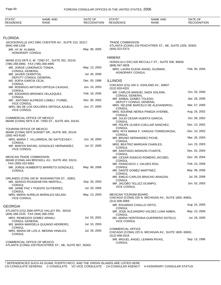| STATE*<br><b>RESIDENCE</b>                    | <b>NAME AND</b><br><b>RANK</b>                                                 | DATE OF<br><b>RECOGNITION</b> | STATE*<br><b>RESIDENCE</b>                         | NAME AND<br>RANK                                         | DATE OF<br><b>RECOGNITION</b> |
|-----------------------------------------------|--------------------------------------------------------------------------------|-------------------------------|----------------------------------------------------|----------------------------------------------------------|-------------------------------|
|                                               |                                                                                |                               |                                                    |                                                          |                               |
| FLORIDA                                       |                                                                                |                               |                                                    |                                                          |                               |
| $(904)$ 448-1256                              | JACKSONVILLE (HC) 5991 CHESTER AV., SUITE 210, 32217.                          |                               | <b>TRADE COMMISSION</b>                            | ATLANTA (CONA) 233 PEACHTREE ST., NE, SUITE 2205, 30303. |                               |
| MR. HY W. KLIMAN,<br><b>HONORARY CONSUL</b>   |                                                                                | May. 06, 2005                 | (404) 522-5373                                     |                                                          |                               |
|                                               |                                                                                |                               | <b>HAWAII</b>                                      |                                                          |                               |
| (786) 268-4900, FAX (786) 268-4895            | MIAMI (CG) 5975 S. W. 72ND ST., SUITE 301, 33143.                              |                               | (808) 947-0828                                     | HONOLULU (HC) 620 MCCULLY ST., SUITE 506, 96826.         |                               |
| MR. JORGE LOMONACO TONDA,                     |                                                                                | May. 13, 2003                 |                                                    | MRS. LAURA ELENA ANGEL GUZMAN,                           | Feb. 05, 2004                 |
| <b>CONSUL GENERAL</b><br>MR. JAVIER CERRITOS, |                                                                                | Jul. 26, 2006                 | HONORARY CONSUL                                    |                                                          |                               |
| MS. SOFIA GARCIA CEJA,                        | DEPUTY CONSUL GENERAL                                                          | Dec. 05, 1996                 | <b>ILLINOIS</b>                                    |                                                          |                               |
| <b>CONSUL</b>                                 | MR. RODRIGO ARTURO ORTEGA CAJIGAS,                                             | Jun. 24, 2003                 |                                                    | CHICAGO (CG) 204 S. ASHLAND AV., 60607.                  |                               |
| <b>CONSUL</b>                                 |                                                                                |                               | $(312)$ 833-6331                                   | MR. CARLOS MANUEL SADA SOLANA,                           | Oct. 03, 2000                 |
| <b>CONSUL</b>                                 | MR. EDGARDO BRIONES VELAZQUEZ,                                                 | Feb. 18, 2005                 | <b>CONSUL GENERAL</b>                              |                                                          |                               |
| <b>VICE CONSUL</b>                            | MR. ANTONIO ALFREDO LOMELI ITURBE,                                             | Nov. 06, 2002                 | MR. ANIBAL GOMEZ TOLEDO,<br>DEPUTY CONSUL GENERAL  |                                                          | Apr. 28, 2005                 |
|                                               | MRS. MA DE LOS DOLORES ORTEGA AZUELA,                                          | Jun. 27, 2005                 | <b>CONSUL</b>                                      | MRS. SELENE BARCELO DE ALEXANDROU,                       | Mar. 07, 2000                 |
| <b>VICE CONSUL</b>                            |                                                                                |                               | <b>CONSUL</b>                                      | MRS. EDURNE NEREA PINEDA AYERBE,                         | Aug. 16, 2002                 |
| COMMERCIAL OFFICE OF MEXICO                   | MIAMI (CONA) 5975 S.W. 72ND ST., SUITE 404, 33143.                             |                               |                                                    | MR. JULIO CESAR HUERTA GARCIA,                           | Oct. 09, 2002                 |
|                                               |                                                                                |                               | <b>CONSUL</b>                                      | MR. FELIPE ULISES CUELLAR SANCHEZ,                       | Dec. 10, 2002                 |
| TOURISM OFFICE OF MEXICO<br>$(305)$ 443-9160  | MIAMI (CONA) 5975 SUNSET DR., SUITE 305, 33143.                                |                               | <b>CONSUL</b><br><b>CONSUL</b>                     | MRS. RITA MARIA F. VARGAS TORREGROSA,                    | Dec. 10, 2002                 |
|                                               | MRS. MARIA T. VILLARREAL DE SAITCEVSKY,                                        | Jun. 18, 2004                 | MR. BRUNO HERNANDEZ PICHE,<br><b>CONSUL</b>        |                                                          | Mar. 26, 2003                 |
| <b>CONSUL</b>                                 | MR. MARTIN RAFAEL GONZALEZ HERNANDEZ,                                          | Jul. 07, 2005                 | <b>CONSUL</b>                                      | MRS. BEATRIZ MARGAIN CHARLES,                            | Jun. 23, 2003                 |
| <b>VICE CONSUL</b>                            |                                                                                |                               |                                                    | MR. SANTIAGO ARDAVIN ITUARTE,                            | Dec. 02, 2004                 |
| <b>MEXICAN TRADE COMMISSION</b>               |                                                                                |                               | <b>CONSUL</b>                                      | MR. CESAR IGNACIO ROMERO JACOBO,                         | Dec. 29, 2004                 |
| , FAX (305) 415-9361                          | MIAMI (CONA) 444 BRICKELL AV., SUITE 450, 33131.                               |                               | <b>CONSUL</b><br>MR. FRANCISCO J. VALDES ROA,      |                                                          | Feb. 23, 2006                 |
| <b>CONSUL</b>                                 | MR. JORGE HUMBERTO BARRETO GONZALEZ,                                           | May. 08, 2006                 | <b>CONSUL</b><br>MR. DANTE GOMEZ MARTINEZ,         |                                                          | May. 08, 2006                 |
|                                               |                                                                                |                               | <b>CONSUL</b>                                      | MR. EMILIO CARLOS BRACHO ARAGON,                         | Jul. 26, 2006                 |
|                                               | ORLANDO (CON) 100 W. WASHINGTON ST., 32801.<br>MR. SERGIO RIVADENEYRA MARTELL. | Sep. 29, 2003                 | <b>CONSUL</b><br>MR. JACOBO TELLEZ OCAMPO,         |                                                          | Jun. 03, 2003                 |
| <b>CONSUL</b>                                 | MR. JAIME PAZ Y PUENTE GUTIERREZ,                                              | Jul. 29, 2005                 | <b>VICE CONSUL</b>                                 |                                                          |                               |
| <b>CONSUL</b><br><b>VICE CONSUL</b>           | MRS. MARIA AURELIA MORALES GELAIN,                                             | May. 13, 2003                 | <b>MEXICAN TOURISM BOARD</b><br>$(312) 606 - 0069$ | CHICAGO (CONA) 225 N. MICHIGAN AV., SUITE 1850, 60601.   |                               |
| GEORGIA                                       |                                                                                |                               | MR. EDUARDO CHAILLO ORTIZ,                         |                                                          | Aug. 24, 2005                 |
|                                               | ATLANTA (CG) 2600 APPLE VALLEY RD., 30319.                                     |                               | <b>CONSUL</b>                                      | MR. JOSE ALEJANDRO VALDEZ LUNA AMBIA,                    | May. 23, 2006                 |
| (404) 266-2233, FAX (404) 266-2302            | MRS. REMEDIOS GOMEZ ARNAU,                                                     | Jul. 03, 2001                 | <b>CONSUL</b>                                      | MS. MARIA HORTENSIA GUERRERO SOTELO,                     | Jul. 29, 2005                 |
| <b>CONSUL GENERAL</b>                         | MS. MARIA MARISELA QUIJANO HERRERO,                                            | Jul. 10, 2003                 | <b>VICE CONSUL</b>                                 |                                                          |                               |
| <b>CONSUL</b>                                 | MRS. MARIA DE LOS A. MEDINA VINALES,                                           | Jul. 29, 2005                 | <b>COMMERCIAL OFFICE</b>                           |                                                          |                               |
| <b>CONSUL</b>                                 |                                                                                |                               | $(312) 856 - 0316$                                 | CHICAGO (CONA) 225 N. MICHIGAN AV., SUITE 1800, 60601.   |                               |
| COMMERCIAL OFFICE OF MEXICO                   | ATLANTA (CONA) 229 PEACHTREE ST., NE, SUITE 907, 30303.                        |                               | <b>CONSUL</b>                                      | MR. MIGUEL ANGEL LEAMAN RIVAS,                           | Sep. 13, 1996                 |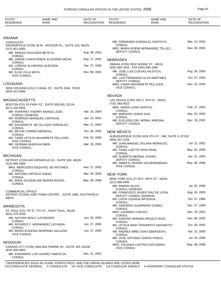| STATE*<br><b>RESIDENCE</b>                     | NAME AND<br><b>RANK</b>                                  | DATE OF<br><b>RECOGNITION</b> | STATE*<br><b>RESIDENCE</b>                | <b>NAME AND</b><br><b>RANK</b>                      | DATE OF<br><b>RECOGNITION</b> |
|------------------------------------------------|----------------------------------------------------------|-------------------------------|-------------------------------------------|-----------------------------------------------------|-------------------------------|
|                                                |                                                          |                               |                                           |                                                     |                               |
| INDIANA<br>CONSULATE                           |                                                          |                               |                                           | MR. FERNANDO GONZALEZ SANTOYO,                      | Mar. 13, 2003                 |
|                                                | INDIANAPOLIS (CON) 39 W. JACKSON PL., SUITE 103, 46225.  |                               | CONSUL                                    |                                                     | Nov. 29, 2002                 |
| $(317)$ 951-0005                               | MR. SERGIO AGUILERA BETETA,                              | Aug. 06, 2002                 | <b>DEPUTY CONSUL</b>                      | MRS. MARIA NOEMI HERNANDEZ TELLEZ,                  |                               |
| <b>CONSUL</b>                                  |                                                          |                               |                                           |                                                     |                               |
| CONSUL                                         | MR. JORGE CUAUHTEMOC ELIZONDO MEJIA,                     | Sep. 17, 2002                 | <b>NEBRASKA</b>                           |                                                     |                               |
| <b>CONSUL</b>                                  | MS. LORENA ALVARADO QUEZADA,                             | Apr. 27, 2006                 | (402) 595-1841, FAX (402) 595-1845        | OMAHA (CON) 3552 DODGE ST., 68131.                  |                               |
| MS. ELSA VILLA MATA,                           |                                                          | Nov. 08, 2002                 |                                           | MR. JOSE LUIS CUEVAS HILDITCH,                      | Aug. 29, 2000                 |
| <b>VICE CONSUL</b>                             |                                                          |                               | <b>CONSUL</b>                             | MR. LUIS FERNANDO ALVA MARTINEZ,                    | Oct. 27, 2000                 |
| LOUISIANA                                      |                                                          |                               | DEPUTY CONSUL                             | MRS. IOANA NAVARRETE PELLICER,                      | Nov. 10, 2004                 |
|                                                | NEW ORLEANS (CG) 2 CANAL ST., SUITE 2240, 70130.         |                               | <b>VICE CONSUL</b>                        |                                                     |                               |
| (504) 522-3596                                 |                                                          |                               |                                           |                                                     |                               |
| MASSACHUSETTS                                  |                                                          |                               | <b>NEVADA</b>                             | LAS VEGAS (CON) 330 S. 4TH ST., 89101.              |                               |
|                                                | BOSTON (CG) 20 PARK PZ., SUITE 506,500, 02116.           |                               | (702) 383-0623                            |                                                     |                               |
| (617) 426-4942                                 |                                                          |                               | MRS. MARIA LUISA SANTOS,<br><b>CONSUL</b> |                                                     | Feb. 27, 2002                 |
| <b>CONSUL GENERAL</b>                          | MR. PORFIRIO THIERRY MUNOZ LEDO,                         | Apr. 16, 2004                 | MR. MARIANO LEMUS GAS,                    |                                                     | Mar. 03, 2005                 |
| <b>CONSUL</b>                                  | MR. RODRIGO MARQUEZ LARTIGUE,                            | Jan. 23, 2002                 | <b>CONSUL</b>                             | MR. EUCLIDES DEL MORAL ARBONA,                      | Dec. 19, 2002                 |
|                                                | MR. EDUARDO R. DE OLLOQUI GONZALEZ,                      | Mar. 27, 2003                 | <b>DEPUTY CONSUL</b>                      |                                                     |                               |
| <b>CONSUL</b>                                  | MS. REYNA TORRES MENDIVIL,                               | Oct. 04, 2005                 | <b>NEW MEXICO</b>                         |                                                     |                               |
| <b>CONSUL</b>                                  | MS. TAIDE LETICIA NAVARRETE PELLICER,                    | Feb. 02, 2000                 |                                           | ALBUQUERQUE (CON) 1610 4TH ST., NW, SUITE 0, 87102. |                               |
| <b>VICE CONSUL</b>                             |                                                          |                               | (505) 247-2139                            |                                                     | Jul. 11, 2001                 |
| MR. GERMAN MURGUIA MIER,<br><b>VICE CONSUL</b> |                                                          | Mar. 29, 2000                 | <b>CONSUL</b>                             | MR. JUAN MANUEL SOLANA MORALES,                     |                               |
|                                                |                                                          |                               | MS. TANIA LIZETTE RION PENA,<br>CONSUL    |                                                     | May. 02, 2006                 |
| MICHIGAN                                       |                                                          |                               | MR. ALBERTO BERNAL ACERO,                 |                                                     | Jan. 21, 2005                 |
| $(313)$ 965-1868                               | DETROIT (CON) 645 GRISWOLD AV., SUITE 830, 48226.        |                               | DEPUTY CONSUL                             | MR. OMAR A. RIVERA VALDERRABANO,                    | May. 08, 2006                 |
|                                                | MRS. MERCEDES ESQUIVEL DE ANTUNES,                       | Nov. 27, 2002                 | <b>VICE CONSUL</b>                        |                                                     |                               |
| <b>CONSUL</b><br>MR. ANTONIO ORTEGA SAENZ,     |                                                          | Mar. 18, 2004                 | <b>NEW YORK</b>                           |                                                     |                               |
| CONSUL                                         |                                                          | May. 08, 2006                 |                                           | NEW YORK (CG) 27-29 E. 39TH ST., 10016.             |                               |
| <b>CONSUL</b>                                  | MS. ADDA JACQUELINE MORAN ROSAS,                         |                               | (212) 689-0456                            |                                                     |                               |
|                                                |                                                          |                               | MR. RAMON XILOTL,<br>CONSUL GENERAL       |                                                     | Jul. 05, 2006                 |
| <b>COMMERCIAL OFFICE</b>                       | DETROIT (CONA) 2000 TOWN CENTER., SUITE 1900, SOUTHFIELD |                               | DEPUTY CONSUL GENERAL                     | MR. FRANCISCO JAVIER DIAZ DE LEON,                  | Aug. 24, 2005                 |
| 48075.                                         |                                                          |                               | MS. LUCIA LICEAGA ARTEAGA,                |                                                     | Oct. 07, 1996                 |
| MINNESOTA                                      |                                                          |                               | CONSUL                                    | MR. GERARDO GUERRERO GOMEZ,                         | Dec. 27, 1999                 |
|                                                | ST. PAUL (CG) 797 E. 7TH ST., SAINT PAUL 55106.          |                               | CONSUL<br>MRS. LOURDES CHAVEZ,            |                                                     | Dec. 19, 2001                 |
| (651) 379-4209                                 |                                                          |                               | CONSUL                                    |                                                     |                               |
| <b>CONSUL</b>                                  | MR. NATHAN WOLF LUSTBADER,                               | Jun. 02, 2005                 | CONSUL                                    | MR. GASPAR HERNAN OROZCO RIOS,                      | Nov. 06, 2002                 |
| <b>CONSUL</b>                                  | MR. RICARDO F. HERNANDEZ LECANDA,                        | Jun. 27, 2005                 |                                           | MS. LETICIA MAKI TERAMOTO SAKAMOTO,                 | Oct. 06, 2003                 |
|                                                | MS. MARIA EUGENIA SERRANO SALAZAR,                       | Jun. 27, 2005                 | CONSUL                                    | MR. ANDRES IMRE CHAO EBERGENYI,                     | Apr. 15, 2005                 |
| <b>VICE CONSUL</b>                             |                                                          |                               | CONSUL                                    | MR. JOSE ANTONIO LARIOS PONCE,                      | Jul. 26, 2006                 |
| MISSOURI                                       |                                                          |                               | CONSUL                                    |                                                     |                               |
| $(816)$ 556-0800                               | KANSAS CITY (CON) 1600 BALTIMORE AV., SUITE 100, 64108.  |                               | <b>VICE CONSUL</b>                        | MRS. YOLANDA CASTRO ESCUDERO,                       | May. 08, 2006                 |
| <b>CONSUL</b>                                  | MR. EVERARDO LUIS SUAREZ AMEZCUA,                        | Dec. 31, 2002                 |                                           |                                                     |                               |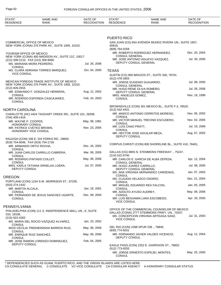| STATE*<br><b>RESIDENCE</b>                                     | NAME AND<br><b>RANK</b>                                                                       | DATE OF<br>RECOGNITION | STATE*<br><b>RESIDENCE</b>                           | NAME AND<br><b>RANK</b>                                                                | DATE OF<br><b>RECOGNITION</b> |
|----------------------------------------------------------------|-----------------------------------------------------------------------------------------------|------------------------|------------------------------------------------------|----------------------------------------------------------------------------------------|-------------------------------|
|                                                                |                                                                                               |                        |                                                      |                                                                                        |                               |
|                                                                |                                                                                               |                        | <b>PUERTO RICO</b>                                   |                                                                                        |                               |
| COMMERCIAL OFFICE OF MEXICO                                    | NEW YORK (CONA) 375 PARK AV., SUITE 1905, 10152.                                              |                        | 00918.<br>(809) 764-0258                             | SAN JUAN (CG) 654 AVENIDA MUNOZ RIVERA UN., SUITE 1837,                                |                               |
| <b>TOURISM OFFICE OF MEXICO</b>                                |                                                                                               |                        |                                                      | MR. ROBERTO RODRIGUEZ HERNANDEZ,                                                       | Dec. 20, 2004                 |
| (212) 308-2110, FAX (212) 308-9060                             | NEW YORK (CONA) 400 MADISON AV., SUITE 11C, 10017.                                            |                        | <b>CONSUL GENERAL</b>                                | MR. JOSE ANTONIO AGUAYO VAZQUEZ,                                                       | Jul. 29, 2005                 |
| MS. MARIANA MORA PEDRERO,                                      |                                                                                               | Jul. 26, 2006          | DEPUTY CONSUL GENERAL                                |                                                                                        |                               |
| <b>CONSUL</b>                                                  | MS. CLARA ADRIANA TORRES MARQUEZ,                                                             | Oct. 04, 2005          | <b>TEXAS</b>                                         |                                                                                        |                               |
| <b>VICE CONSUL</b>                                             |                                                                                               |                        | (512) 478-2803                                       | AUSTIN (CG) 800 BRAZOS ST., SUITE 330, 78701.                                          |                               |
|                                                                | MEXICAN FOREIGN TRADE INSTITUTE OF MEXICO<br>NEW YORK (CONA) 375 PARK AV., SUITE 1905, 10152. |                        | MR. JORGE EUGENIO GUAJARDO,<br><b>CONSUL GENERAL</b> |                                                                                        | Jul. 08, 2005                 |
| (212) 826-2916                                                 | MR. EDMUNDO F. GONZALEZ HERRERA,                                                              | Aug. 12, 2002          | MR. HUGO RENE OLIVA ROMERO,                          |                                                                                        | Jul. 26, 2006                 |
| <b>CONSUL</b>                                                  |                                                                                               |                        | DEPUTY CONSUL GENERAL<br>MRS. ANGELES GOMEZ,         |                                                                                        | Nov. 19, 1999                 |
| <b>CONSUL</b>                                                  | MR. RODRIGO ESPONDA CASCAJARES,                                                               | Feb. 24, 2003          | <b>CONSUL</b>                                        |                                                                                        |                               |
| NORTH CAROLINA                                                 |                                                                                               |                        | (512) 542-4431                                       | BROWNSVILLE (CON) 301 MEXICO BL., SUITE F-3, 78520.                                    |                               |
|                                                                | CHARLOTTE (HC) 4424 TAGGART CREEK RD., SUITE 101, 28208.                                      |                        |                                                      | MR. MARCO ANTONIO CERRITOS MORENO.                                                     | Nov. 06, 2002                 |
| (704) 409-1416<br>MR. WAYNE P. COOPER,                         |                                                                                               | May. 08, 1981          | <b>CONSUL</b>                                        | MR. VICTOR MANUEL TREVINO ESCUDERO,                                                    | Nov. 02, 2005                 |
| HONORARY CONSUL<br>MR. PATRICK CVETKO BROWN,                   |                                                                                               | Nov. 23, 2005          | <b>CONSUL</b><br>MR. LUIS CHAO PRATT,                |                                                                                        | Jul. 19, 2006                 |
| HONORARY VICE CONSUL                                           |                                                                                               |                        | <b>CONSUL</b>                                        | MR. HECTOR JOSE AGUILAR MEZA,                                                          | Aug. 07, 2002                 |
|                                                                | RALEIGH (CON) 336 E. SIX FORKS RD., 29609.                                                    |                        | DEPUTY CONSUL                                        |                                                                                        |                               |
| (919) 754-0046, FAX (919) 754-1726<br>MR. ARMANDO ORTIZ ROCHA, |                                                                                               | Dec. 16, 2002          |                                                      | CORPUS CHRISTI (CON) 800 SHORELINE BL., SUITE 410, 78401.                              |                               |
| CONSUL                                                         | MR. JUAN CARLOS CARRILLO CABRERA,                                                             | Mar. 08, 2005          |                                                      | DALLAS (CG) 8855 N. STEMMONS FREEWAY ., 75247.                                         |                               |
| CONSUL                                                         |                                                                                               |                        | (214) 522-9740                                       |                                                                                        |                               |
| MR. RODRIGO PINTADO COLLET.<br><b>CONSUL</b>                   |                                                                                               | May. 08, 2006          | CONSUL GENERAL                                       | MR. CARLOS E. GARCIA DE ALBA ZEPEDA,                                                   | Apr. 12, 2004                 |
| DEPUTY CONSUL                                                  | MRS. KARLA TATIANA ORNELAS LOERA,                                                             | Jul. 07, 2005          | MR. HUGO JUAREZ CARRILLO,<br>DEPUTY CONSUL GENERAL   |                                                                                        | Jul. 08, 2005                 |
|                                                                |                                                                                               |                        | <b>CONSUL</b>                                        | MS. ANA VIRGINIA HERNANDEZ CARDENAS,                                                   | Jan. 07, 2003                 |
| OREGON                                                         | PORTLAND (CON) 1234 S.W. MORRISON ST., 97205.                                                 |                        | MS. CLAUDIA VELASCO OSORIO,<br>CONSUL                |                                                                                        | Dec. 21, 2004                 |
| (503) 274-1442                                                 |                                                                                               |                        |                                                      | MR. MIGUEL EDUARDO REA FALCON,                                                         | Jan. 05, 2005                 |
| MR. MARTIN ALCALA,<br><b>CONSUL</b>                            |                                                                                               | Jan. 18, 2001          | CONSUL<br>MR. ADOLFO AYUSO AUDREY,                   |                                                                                        | May. 08, 2006                 |
| <b>CONSUL</b>                                                  | MR. FERNANDO DE JESUS SANCHEZ UGARTE,                                                         | Dec. 09, 2004          | CONSUL                                               | MR. LUIS BENJAMIN LARA ESCOBEDO,                                                       | Apr. 29, 2003                 |
|                                                                |                                                                                               |                        | <b>VICE CONSUL</b>                                   |                                                                                        |                               |
| PENNSYLVANIA                                                   |                                                                                               |                        |                                                      | OFFICE OF THE COMMERCIAL COUNSELOR OF MEXICO                                           |                               |
| 310, 19106.                                                    | PHILADELPHIA (CON) 111 S. INDEPENDENCE MALL UN., E, SUITE                                     |                        |                                                      | DALLAS (CONA) 2777 STEMMONS FRWY. UN., 75207.<br>MS. CONCEPCION VIRGINIA ARTEAGA SANZ, | Jul. 31, 2003                 |
| (215) 922-4262                                                 | MS. MARIA DEL ROCIO VAZQUEZ ALVAREZ,                                                          | Jan. 23, 2002          | <b>VICE CONSUL</b>                                   |                                                                                        |                               |
| CONSUL                                                         | MISS CECILIA TREEMONISHA BARROS RUIZ,                                                         | May. 08, 2006          | DEL RIO (CON) 2398 SPUR 239., 78840.                 |                                                                                        |                               |
| CONSUL                                                         |                                                                                               | May. 08, 2006          | (830) 774-5031                                       |                                                                                        | Aug. 12, 2004                 |
| MR. ENRIQUE RUIZ SANCHEZ,<br>CONSUL                            |                                                                                               |                        | DEPUTY CONSUL                                        | MR. FERNANDO JAVIER VALDES VICENCIO,                                                   |                               |
| DEPUTY CONSUL                                                  | MR. JOSE RAMON LORENZO DOMINGUEZ,                                                             | Feb. 04, 2005          |                                                      | EAGLE PASS (CON) 2252 E. GARRISON ST., 78852.                                          |                               |
|                                                                |                                                                                               |                        | (512) 773-9255<br><b>CONSUL</b>                      | MR. JORGE ERNESTO ESPEJEL MONTES,                                                      | May. 25, 2000                 |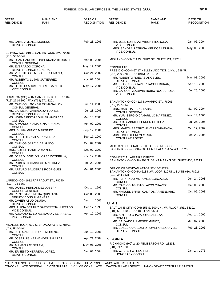| STATE*<br><b>RESIDENCE</b>                    | <b>NAME AND</b><br>RANK                                 | DATE OF<br><b>RECOGNITION</b> | STATE*<br><b>RESIDENCE</b>                         | <b>NAME AND</b><br><b>RANK</b>                                                                    | DATE OF<br><b>RECOGNITION</b> |
|-----------------------------------------------|---------------------------------------------------------|-------------------------------|----------------------------------------------------|---------------------------------------------------------------------------------------------------|-------------------------------|
|                                               |                                                         |                               |                                                    |                                                                                                   |                               |
| MR. JAIME JIMENEZ MORENO,<br>DEPUTY CONSUL    |                                                         | Feb. 23, 2006                 | <b>VICE CONSUL</b>                                 | MR. JOSE LUIS DIAZ MIRON HINOJOSA,                                                                | Jan. 06, 2004                 |
|                                               | EL PASO (CG) 910 E. SAN ANTONIO AV., 79901.             |                               | <b>VICE CONSUL</b>                                 | MRS. SANDRA PATRICIA MENDOZA DURAN,                                                               | May. 08, 2006                 |
| $(915) 533 - 3644$                            | MR. JUAN CARLOS FONCERRADA BERUMER,                     | Mar. 03, 2006                 |                                                    | MIDLAND (CON) 511 W. OHIO ST., SUITE 121, 79701.                                                  |                               |
| <b>CONSUL GENERAL</b><br>MR. EVERARDO CORONA, |                                                         | May. 17, 2006                 | <b>CONSULATE</b>                                   |                                                                                                   |                               |
| <b>CONSUL</b>                                 | DEPUTY CONSUL GENERAL<br>MR. VICENTE COLMENARES SUMANO, | Oct. 21, 2002                 | (915) 229-2788, FAX (915) 229-2792                 | PRESIDIO (CON) 67 17 KELLEY ADDITION 1 HW., 79845.                                                |                               |
|                                               | MR. ROBERTO LUJAN GUTIERREZ,                            | Nov. 02, 2004                 | <b>DEPUTY CONSUL</b>                               | MR. ROBERTO RUELAS ANGELES,                                                                       | May. 08, 2006                 |
| <b>CONSUL</b><br><b>VICE CONSUL</b>           | MR. HECTOR AGUSTIN ORTEGA NIETO,                        | May. 17, 2006                 | <b>VICE CONSUL</b>                                 | MR. FRANCISCO JAVIER JACOBI DURAN,                                                                | Apr. 16, 2003                 |
|                                               | HOUSTON (CG) 4507 SAN JACINTO ST., 77004.               |                               | <b>VICE CONSUL</b>                                 | MR. CARLOS VLADIMIR RUBIO NOGUEROLA,                                                              | Jul. 26, 2006                 |
| (713) 271-6800, FAX (713) 271-3201            |                                                         |                               |                                                    | SAN ANTONIO (CG) 127 NAVARRO ST., 78205.                                                          |                               |
| <b>CONSUL GENERAL</b>                         | MR. CARLOS I. GONZALEZ MAGALLON,                        | Jun. 14, 2005                 | (512) 227-9145                                     |                                                                                                   |                               |
|                                               | MS. CAROLINA ZARAGOZA FLORES,<br>DEPUTY CONSUL GENERAL  | Jul. 28, 2005                 | MRS. MARTHA IRENE LARA,<br><b>CONSUL GENERAL</b>   |                                                                                                   | Mar. 09, 2004                 |
| <b>CONSUL</b>                                 | MS. NORMA EDITH AGUILAR ANDRADE,                        | Mar. 16, 2000                 | <b>CONSUL</b>                                      | MR. YURI SERGIO CAMARILLO MARTINEZ,                                                               | Nov. 14, 2000                 |
| <b>CONSUL</b>                                 | MR. ARMANDO CAMARENA ARANDA,                            | Apr. 09, 2001                 | <b>CONSUL</b>                                      | MR. LUIS GABRIEL FERRER ORTEGA,                                                                   | Jul. 26, 2006                 |
| CONSUL                                        | MRS. SILVIA MUNOZ MARTINEZ,                             | Sep. 12, 2001                 | DEPUTY CONSUL                                      | MRS. MARTA BEATRIZ NAVARRO-PARADA,                                                                | Oct. 17, 2002                 |
| CONSUL                                        | MR. JOSE LUIS AVILA SAAVEDRA,                           | Sep. 17, 2002                 | MRS. LISELOTT REYES RUIZ,<br><b>CONSULAR AGENT</b> |                                                                                                   | Feb. 23, 2006                 |
| CONSUL                                        | MR. CARLOS GARCIA DELGADO,                              | Oct. 09, 2002                 |                                                    | MEXICAN CULTURAL INSTITUTE OF MEXICO                                                              |                               |
| MRS. SOILEH PADILLA MAYER,<br>CONSUL          |                                                         | Oct. 09, 2002                 |                                                    | SAN ANTONIO (CONA) 600 HEMISFAIR PLAZA WA., 78205.                                                |                               |
| CONSUL                                        | MR. JOSE V. BORJON LOPEZ COTERILLA,                     | Nov. 12, 2004                 | <b>COMMERCIAL AFFAIRS OFFICE</b>                   | SAN ANTONIO (CONA) 203 S. SAINT MARY'S ST., SUITE 450, 78213.                                     |                               |
| <b>CONSUL</b>                                 | MR. ROBERTO CANSECO MARTINEZ,                           | Feb. 23, 2006                 |                                                    |                                                                                                   |                               |
| <b>CONSUL</b>                                 | MR. ARTURO BALDERAS RODRIGUEZ,                          | Mar. 01, 2006                 | (210) 344-1131                                     | OFFICE OF MEXICAN ATTORNEY GENERAL<br>SAN ANTONIO (CONA) 613 N.W. LOOP 410 UN., SUITE 610, 78216. |                               |
|                                               | LAREDO (CG) 1612 FARRAGUT ST., 78040.                   |                               | <b>CONSUL</b>                                      | MR. FERNANDO MORONES GONZALEZ,                                                                    | Jun. 24, 2003                 |
| (512) 723-6369                                | MR. DANIEL HERNANDEZ JOSEPH,                            | Oct. 14, 1999                 | CONSUL                                             | MR. CARLOS AGUSTO LAZOS CHAVEZ,                                                                   | Oct. 06, 2003                 |
| <b>CONSUL GENERAL</b>                         | MR. RENE DAVID MEJIA QUINTANA,                          | Oct. 03, 2000                 | <b>CONSUL</b>                                      | MR. MANUEL EFREN CAMPOS ARMENDARIZ,                                                               | Oct. 06, 2003                 |
| MR. JAVIER ABUD OSUNA,                        | DEPUTY CONSUL GENERAL                                   | Dec. 14, 2005                 | <b>UTAH</b>                                        |                                                                                                   |                               |
| DEPUTY CONSUL                                 | MRS. ALICIA BEATRIZ BARBERENA HURTADO,                  | Oct. 17, 1996                 |                                                    | SALT LAKE CITY (CON) 155 S. 300 UN., W, FLOOR 3RD, 84101.                                         |                               |
| <b>VICE CONSUL</b><br><b>VICE CONSUL</b>      | MR. ALEJANDRO LOPEZ BAGO VILLARREAL,                    | Apr. 10, 2006                 | (801) 521-8502, FAX (801) 521-0534                 | MR. ARTURO CHAVARRIA BALLEZA,                                                                     | Aug. 14, 2000                 |
|                                               |                                                         |                               | CONSUL                                             | MR. SALVADOR JIMENEZ MUNOZ,                                                                       | Mar. 07, 2005                 |
| $(512)$ 686-0243                              | MCALLEN (CON) 600 S. BROADWAY ST., 78501.               |                               | <b>CONSUL</b>                                      | MR. EUSEBIO AUGUSTO ROMERO ESQUIVEL,                                                              | Feb. 23, 2006                 |
| CONSUL                                        | MR. LUIS MANUEL LOPEZ MORENO,                           | Jun. 13, 2001                 | DEPUTY CONSUL                                      |                                                                                                   |                               |
| <b>CONSUL</b>                                 | MR. JOSE LUIS HERNANDEZ SALAZAR,                        | Apr. 21, 2004                 | <b>VIRGINIA</b>                                    |                                                                                                   |                               |
| MR. ALEJANDRO SOUSA,<br>CONSUL                |                                                         | May. 08, 2006                 | (804) 747-9200                                     | RICHMOND (HC) 2420 PEMBERTON RD., 23233.                                                          |                               |
| DEPUTY CONSUL                                 | MR. ERNESTO HERRERA LOPEZ,                              | Dec. 03, 2004                 | MR. WALTER W. REGIRER,<br><b>HONORARY CONSUL</b>   |                                                                                                   | Jan. 14, 1975                 |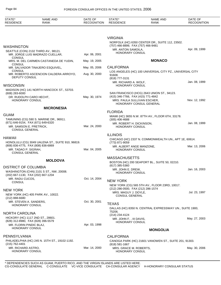| STATE*<br><b>NAME AND</b><br><b>RESIDENCE</b><br><b>RANK</b>                                                                                     | DATE OF<br><b>RECOGNITION</b> | STATE*<br><b>RESIDENCE</b>                                                                     | <b>NAME AND</b><br><b>RANK</b>                                        | DATE OF<br><b>RECOGNITION</b> |
|--------------------------------------------------------------------------------------------------------------------------------------------------|-------------------------------|------------------------------------------------------------------------------------------------|-----------------------------------------------------------------------|-------------------------------|
|                                                                                                                                                  |                               |                                                                                                |                                                                       |                               |
| <b>WASHINGTON</b><br>SEATTLE (CON) 2132 THIRD AV., 98121.<br>MR. JORGE LUIS MADRAZO CUELLAR,                                                     | Apr. 06, 2001                 | <b>VIRGINIA</b><br>(757) 466-8899, FAX (757) 466-9481<br>MR. ANTON SAMOILA,<br>HONORARY CONSUL | NORFOLK (HC) 6350 CENTER DR., SUITE 112, 23502.                       | Apr. 09, 1999                 |
| <b>CONSUL</b><br>MRS. M. DEL CARMEN CASTANEDA DE YUDIN,                                                                                          | May. 19, 2005                 |                                                                                                | <b>MONACO</b>                                                         |                               |
| <b>CONSUL</b><br>MR. SALVADOR TINAJERO ESQUIVEL,                                                                                                 | May. 05, 2006                 | <b>CALIFORNIA</b>                                                                              |                                                                       |                               |
| <b>CONSUL</b><br>MR. ROBERTO ASCENCION CALDERA ARROYO,<br>DEPUTY CONSUL                                                                          | Aug. 30, 2000                 | 91608.<br>(818) 777-3131<br>MR. RICHARD A. WOLF,                                               | LOS ANGELES (HC) 100 UNIVERSAL CITY PZ., UNIVERSAL CITY               | Jan. 08, 1999                 |
| <b>WISCONSIN</b><br>MADISON (HC) 141 NORTH HANCOCK ST., 53703.                                                                                   |                               | HONORARY CONSUL                                                                                |                                                                       |                               |
| $(608)$ 283-6000<br>DR. RUDOLPH CARO HECHT,<br><b>HONORARY CONSUL</b>                                                                            | May. 30, 1974                 | (415) 346-7766, FAX (415) 771-4842<br>MRS. PAULA SULLIVAN ESCHER,                              | SAN FRANCISCO (HCG) 2643 UNION ST., 94123.<br>HONORARY CONSUL GENERAL | Nov. 12, 1992                 |
| <b>MICRONESIA</b>                                                                                                                                |                               |                                                                                                |                                                                       |                               |
| <b>GUAM</b><br>TAMUNING (CG) 590 S. MARINE DR., 96911.<br>(671) 646-9154, FAX (671) 649-6320<br>MR. SAMSON E. PRETRICK,<br><b>CONSUL GENERAL</b> | Mar. 24, 2000                 | <b>FLORIDA</b><br>$(305)$ 406-4688<br>MR. ROBERT H. DICKINSON,<br><b>HONORARY CONSUL</b>       | MIAMI (HC) 3655 N.W. 87TH AV., FLOOR 6TH, 33178.                      | Jan. 08, 1999                 |
| <b>HAWAII</b>                                                                                                                                    |                               | <b>ILLINOIS</b>                                                                                |                                                                       |                               |
| HONOLULU (CG) 3049 UALENA ST., SUITE 910, 96819.<br>(808) 836-4775, FAX (808) 836-6869<br>MR. TADAO P. SIGRAH,<br><b>CONSUL GENERAL</b>          | Mar. 04, 2005                 | (773) 871-9059<br>MR. ALBERT ANGE MANZONE,<br>HONORARY CONSUL                                  | CHICAGO (HC) 2337 N. COMMONWEALTH UN., APT 1E, 60614.                 | Mar. 13, 2006                 |
| <b>MOLDOVA</b>                                                                                                                                   |                               | <b>MASSACHUSETTS</b>                                                                           | BOSTON (HC) 200 SEAPORT BL., SUITE 50, 02210.                         |                               |
| <b>DISTRICT OF COLUMBIA</b><br>WASHINGTON (CHN) 2101 S ST., NW, 20008.<br>(202) 667-1130, FAX (202) 667-1204                                     |                               | $(617)$ 385-5360<br>MR. JOHN E. DREW,<br>HONORARY CONSUL                                       |                                                                       | Jan. 16, 2003                 |
| MR. RADU CUCOS,<br><b>CONSUL</b>                                                                                                                 | Oct. 14, 2004                 | <b>NEW YORK</b>                                                                                | NEW YORK (CG) 565 5TH AV., FLOOR 23RD, 10017.                         |                               |
| <b>NEW YORK</b><br>NEW YORK (HC) 405 PARK AV., 10022.<br>$(212) 888 - 6680$                                                                      |                               | (212) 286-0500, FAX (212) 286-1574<br>MRS. MAGUY J. DOYLE,<br><b>CONSUL GENERAL</b>            |                                                                       | Jul. 23, 1997                 |
| MR. STEVEN A. SANDERS,<br><b>HONORARY CONSUL</b>                                                                                                 | Oct. 30, 2001                 | <b>TEXAS</b>                                                                                   |                                                                       |                               |
| <b>NORTH CAROLINA</b>                                                                                                                            |                               | 75206.                                                                                         | DALLAS (HC) 8350 N. CENTRAL EXPRESSWAY UN., SUITE 1900,               |                               |
| HICKORY (HC) 1117 2ND ST., 28601.<br>(828) 312-8980, FAX (828) 396-5579                                                                          |                               | (214) 234-4124<br>MR. JOHN F., III DAVIS,<br><b>HONORARY CONSUL</b>                            |                                                                       | May. 27, 2003                 |
| MR. FLORIN PINDIC BLAJ,<br>HONORARY CONSUL                                                                                                       | Apr. 03, 1998                 |                                                                                                | <b>MONGOLIA</b>                                                       |                               |
| PENNSYLVANIA<br>PHILADELPHIA (HC) 245 N. 15TH ST., 19102-1192.                                                                                   |                               | <b>CALIFORNIA</b>                                                                              | CANOGA PARK (HC) 21601 VANOWEN ST., SUITE 201, 91303.                 |                               |
| (215) 762-4401<br>MR. RICHARD ASTRO,<br>HONORARY CONSUL                                                                                          | Mar. 14, 2000                 | (818) 581-1667<br>MRS. GRACE M. ROBERTS,<br><b>HONORARY CONSUL</b>                             |                                                                       | May. 30, 2006                 |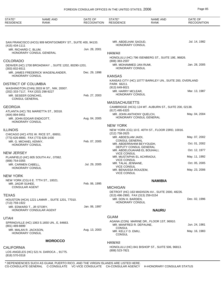| STATE*<br><b>RESIDENCE</b>                      | <b>NAME AND</b><br><b>RANK</b>                            | DATE OF<br><b>RECOGNITION</b> | STATE*<br><b>RESIDENCE</b>                                        | <b>NAME AND</b><br><b>RANK</b>                          | DATE OF<br><b>RECOGNITION</b> |
|-------------------------------------------------|-----------------------------------------------------------|-------------------------------|-------------------------------------------------------------------|---------------------------------------------------------|-------------------------------|
|                                                 |                                                           |                               |                                                                   |                                                         |                               |
| $(415)$ 434-1111                                | SAN FRANCISCO (HCG) 909 MONTGOMERY ST., SUITE 400, 94133. |                               | MR. ABDELHAK SAOUD,<br><b>HONORARY CONSUL</b>                     |                                                         | Jul. 14, 1982                 |
| MR. RICHARD C. BLUM,                            | HONORARY CONSUL GENERAL                                   | Jun. 28, 2001                 |                                                                   |                                                         |                               |
|                                                 |                                                           |                               | <b>HAWAII</b>                                                     | HONOLULU (HC) 796 ISENBERG ST., SUITE 19E, 96826.       |                               |
| COLORADO                                        |                                                           |                               | (808) 383-2597                                                    |                                                         |                               |
| $(303)$ 832-6511                                | DENVER (HC) 1700 BROADWAY ., SUITE 1202, 80290-1201.      |                               | MR. MOHAMMED JAN RUMI,<br><b>HONORARY CONSUL</b>                  |                                                         | Jan. 28, 2005                 |
| HONORARY CONSUL                                 | MR. JAMES FREDERICK WAGENLANDER,                          | Dec. 29, 1998                 | <b>KANSAS</b>                                                     |                                                         |                               |
| DISTRICT OF COLUMBIA                            |                                                           |                               | PARK 66211.                                                       | KANSAS CITY (HC) 10777 BARKLEY UN., SUITE 200, OVERLAND |                               |
|                                                 | WASHINGTON (CHN) 2833 M ST., NW, 20007.                   |                               | (913) 649-8021                                                    |                                                         |                               |
| (202) 333-7117, FAX (202) 298-9227              |                                                           |                               | MR. HARRY MCLEAR,                                                 |                                                         | Mar. 13, 1987                 |
| MR. SESEER GONCHIG,<br><b>CONSUL GENERAL</b>    |                                                           | Feb. 27, 2003                 | HONORARY CONSUL                                                   |                                                         |                               |
|                                                 |                                                           |                               | <b>MASSACHUSETTS</b>                                              |                                                         |                               |
| GEORGIA                                         |                                                           |                               |                                                                   | CAMBRIDGE (HCG) 124 MT. AUBURN ST., SUITE 200, 02138.   |                               |
| (404) 894-9451                                  | ATLANTA (HC) 781 MARIETTA ST., 30318.                     |                               | (617) 495-6325<br>MR. JOHN ANTHONY QUELCH,                        |                                                         | May. 04, 2004                 |
| MR. JOHN EDGAR ENDICOTT,<br>HONORARY CONSUL     |                                                           | Aug. 04, 2005                 |                                                                   | HONORARY CONSUL GENERAL                                 |                               |
|                                                 |                                                           |                               | <b>NEW YORK</b>                                                   |                                                         |                               |
| <b>ILLINOIS</b>                                 |                                                           |                               | $(212)$ 758-2625                                                  | NEW YORK (CG) 10 E. 40TH ST., FLOOR 23RD, 10016.        |                               |
| (773) 626-8800, FAX (773) 626-1430              | CHICAGO (HC) 4701 W. RICE ST., 60651.                     |                               | MR. ABDESLAM JAIDI,                                               |                                                         | May. 07, 2002                 |
| MR. G. MICHAEL KENNY,                           |                                                           | Feb. 07, 2005                 | <b>CONSUL GENERAL</b><br>MR. ABDERRAHIM BEYYOUDH,                 |                                                         | Oct. 01, 2002                 |
| HONORARY CONSUL                                 |                                                           |                               | DEPUTY CONSUL GENERAL                                             |                                                         |                               |
| NEW JERSEY                                      |                                                           |                               | MR. ABDELOUAHAB EL BOUHALI,<br><b>VICE CONSUL</b>                 |                                                         | Oct. 12, 1977                 |
|                                                 | PLAINFIELD (HC) 805 SOUTH AV., 07062.                     |                               | MR. MUSTAPHA EL ACHRAOUI,<br><b>VICE CONSUL</b>                   |                                                         | May. 11, 1992                 |
| (908) 754-0355<br>MR. CARMEN CABELL,            |                                                           | Jul. 29, 2005                 | MR. TALAL JENNANE,                                                |                                                         | Oct. 05, 2005                 |
| <b>HONORARY CONSUL</b>                          |                                                           |                               | <b>VICE CONSUL</b><br>MR. BENAISSA ROUIZEM,<br><b>VICE CONSUL</b> |                                                         | May. 23, 2006                 |
| New York                                        |                                                           |                               |                                                                   |                                                         |                               |
| MR. JAGIR SUHEE,                                | NEW YORK (CG) 6 E. 77TH ST., 10021.                       | Feb. 06, 1995                 |                                                                   | <b>NAMIBIA</b>                                          |                               |
| <b>CONSULAR AGENT</b>                           |                                                           |                               | <b>MICHIGAN</b>                                                   |                                                         |                               |
| TEXAS                                           |                                                           |                               | (313) 496-2900, FAX (313) 259-0154                                | DETROIT (HC) 163 MADISON AV., SUITE 2000, 48226.        |                               |
|                                                 | HOUSTON (HCA) 1221 LAMAR., SUITE 1201, 77010.             |                               | MR. DON H. BARDEN,                                                |                                                         | Dec. 02, 1996                 |
| (713) 759-1922                                  |                                                           |                               | <b>HONORARY CONSUL</b>                                            |                                                         |                               |
| MR. EDWARD T., JR STORY,                        | HONORARY CONSULAR AGENT                                   | Jan. 06, 1997                 |                                                                   | <b>NAURU</b>                                            |                               |
| UTAH                                            |                                                           |                               | <b>GUAM</b>                                                       |                                                         |                               |
|                                                 | SPRINGVILLE (HC) 1063 S.1650 UN., E, 84663.               |                               |                                                                   | AGANA (CON) MARINE DR., FLOOR 1ST, 96910.               |                               |
| (801) 489-8899                                  |                                                           |                               | MR. MANFRED R. DEPAUNE,<br><b>CONSUL</b>                          |                                                         | Jun. 24, 1981                 |
| MR. MALAN R. JACKSON,<br><b>HONORARY CONSUL</b> |                                                           | Aug. 13, 2003                 | MR. KELLY D. EMIU,<br><b>CONSUL</b>                               |                                                         | May. 16, 1983                 |
|                                                 | <b>MOROCCO</b>                                            |                               | <b>HAWAII</b>                                                     |                                                         |                               |
| CALIFORNIA                                      |                                                           |                               |                                                                   | HONOLULU (HC) 841 BISHOP ST., SUITE 506, 96813.         |                               |
| (818) 570-0318                                  | LOS ANGELES (HC) 521 N. DAROCA., 91775.                   |                               | (808) 523-7821                                                    |                                                         |                               |
|                                                 |                                                           |                               |                                                                   |                                                         |                               |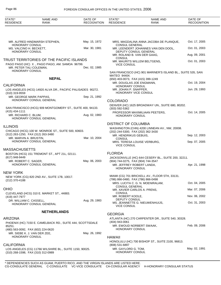| STATE*<br><b>RESIDENCE</b>                                   | NAME AND<br><b>RANK</b>                                    | DATE OF<br><b>RECOGNITION</b> | STATE*<br><b>RESIDENCE</b>                                         | <b>NAME AND</b><br><b>RANK</b>                              | DATE OF<br><b>RECOGNITION</b> |
|--------------------------------------------------------------|------------------------------------------------------------|-------------------------------|--------------------------------------------------------------------|-------------------------------------------------------------|-------------------------------|
|                                                              |                                                            |                               |                                                                    |                                                             |                               |
| HONORARY CONSUL                                              | MR. ALFRED HINDMARSH STEPHEN.                              | May. 15, 1972                 | <b>CONSUL GENERAL</b>                                              | MRS. MAGDALINA ANNA JACOBA DE PLANQUE,                      | Oct. 17, 2005                 |
| MS. VALCINO H. BECKETT,                                      |                                                            | Mar. 30, 1981                 |                                                                    | MR. LEENDERT JOHANNES VAN DEN DOOL,                         | Oct. 01, 2003                 |
| <b>HONORARY CONSUL</b>                                       |                                                            |                               | DEPUTY CONSUL GENERAL<br>MR. ROLAND B. VAN DER GAAG,               |                                                             | Aug. 09, 2001                 |
|                                                              | TRUST TERRITORIES OF THE PACIFIC ISLANDS                   |                               | <b>CONSUL</b>                                                      | MR. MAURITS WILLEM BELTGENS,                                | Oct. 01, 2003                 |
| MR. PETER TALI COLEMAN.                                      | PAGO PAGO (HC) X., PAGO PAGO, AM. SAMOA 96799.             | Dec. 02, 1985                 | <b>VICE CONSUL</b>                                                 |                                                             |                               |
| <b>HONORARY CONSUL</b>                                       |                                                            |                               |                                                                    | SAN FRANCISCO (HC) 901 MARINER'S ISLAND BL., SUITE 535, SAN |                               |
|                                                              | <b>NEPAL</b>                                               |                               | MATEO 94404.<br>(650) 403-0073, FAX (415) 399-1249                 |                                                             |                               |
| <b>CALIFORNIA</b>                                            |                                                            |                               | MR. DOUGLAS JOE ENGMANN,<br><b>HONORARY CONSUL</b>                 |                                                             | Oct. 19, 2004                 |
| (310) 319-9559                                               | LOS ANGELES (HCG) 14920 ALVA DR., PACIFIC PALISADES 90272. |                               | MR. JOHAN P. SNAPPER,<br>HONORARY VICE CONSUL                      |                                                             | Jun. 29, 1993                 |
| MR. GEORGE MARK PAPPAS.                                      | HONORARY CONSUL GENERAL                                    | Sep. 21, 1992                 |                                                                    |                                                             |                               |
|                                                              |                                                            |                               | <b>COLORADO</b>                                                    | DENVER (HC) 1625 BROADWAY UN., SUITE 680, 80202.            |                               |
| $(415)$ 434-1111                                             | SAN FRANCISCO (HCG) 909 MONTGOMERY ST., SUITE 400, 94133.  |                               | (303) 592-5362                                                     |                                                             | Oct. 14, 2005                 |
| MR. RICHARD C. BLUM,                                         | HONORARY CONSUL GENERAL                                    | Aug. 02, 1983                 | HONORARY CONSUL                                                    | PROFESSOR MAXIMILIAAN PEETERS,                              |                               |
| <b>ILLINOIS</b>                                              |                                                            |                               | <b>DISTRICT OF COLUMBIA</b>                                        |                                                             |                               |
|                                                              | CHICAGO (HCG) 100 W. MONROE ST., SUITE 500, 60603.         |                               | (202) 244-5300, FAX (202) 362-3430                                 | WASHINGTON (CHN) 4200 LINNEAN AV., NW, 20008.               |                               |
| (312) 263-1250, FAX (312) 263-3480<br>MR. MARVIN A. BRUSTIN, |                                                            | Mar. 10, 2004                 | MR. HENDRIKUS GEBUIS,                                              |                                                             | Sep. 12, 2003                 |
|                                                              | HONORARY CONSUL GENERAL                                    |                               | <b>CONSUL</b><br>MRS. TERESA LOUISE VERBURG,<br><b>VICE CONSUL</b> |                                                             | Sep. 07, 2005                 |
| <b>MASSACHUSETTS</b>                                         |                                                            |                               |                                                                    |                                                             |                               |
| (617) 948-9449                                               | BOSTON (HCG) 151 TREMONT ST., APT 21L, 02111.              |                               | <b>FLORIDA</b>                                                     | JACKSONVILLE (HC) 644 CESERY BL., SUITE 200, 32211.         |                               |
| MR. ROBERT C. SAGER,                                         | HONORARY CONSUL GENERAL                                    | May. 06, 2003                 | (904) 744-0275, FAX (904) 744-3547                                 |                                                             |                               |
|                                                              |                                                            |                               | MR. JEFFREY ROBERT LANDA,<br>HONORARY CONSUL                       |                                                             | Apr. 21, 1998                 |
| <b>NEW YORK</b>                                              |                                                            |                               |                                                                    | MIAMI (CG) 701 BRICKELL AV., FLOOR 5TH, 33131.              |                               |
| (212) 370-4188                                               | NEW YORK (CG) 820 2ND AV., SUITE 17B, 10017.               |                               | (786) 866-0480, FAX (786) 866-0498                                 |                                                             |                               |
|                                                              |                                                            |                               | <b>CONSUL GENERAL</b>                                              | MRS. LUCITA C. G. N. MOENIRALAM,                            | Oct. 04, 2005                 |
| <b>OHIO</b>                                                  | CLEVELAND (HCG) 310 E. MARKET ST., 44883.                  |                               | MR. XAVIER CARLOS A. PRENS,<br><b>CONSUL</b>                       |                                                             | Mar. 07, 2006                 |
| (419) 447-7977                                               |                                                            |                               | MR. ROBERT KOOLE,                                                  |                                                             | Nov. 06, 2002                 |
| DR. WILLIAM C. CASSELL,                                      | HONORARY CONSUL GENERAL                                    | Aug. 29, 1983                 | DEPUTY CONSUL<br><b>VICE CONSUL</b>                                | MS. JEANNETTE G. NIEUWENHUIJS,                              | Oct. 31, 2003                 |
|                                                              | <b>NETHERLANDS</b>                                         |                               | <b>GEORGIA</b>                                                     |                                                             |                               |
| <b>ARIZONA</b>                                               |                                                            |                               |                                                                    | ATLANTA (HC) 270 CARPENTER DR., SUITE 540, 30328.           |                               |
|                                                              | PHOENIX (HC) 7150 E. CAMELBACK RD., SUITE 444, SCOTTSDALE  |                               | (404) 943-0061                                                     |                                                             | Feb. 09, 2006                 |
| 85251.<br>(480) 563-0092, FAX (602) 224-0620                 |                                                            |                               | MR. EWOUD NORBERT SWAAK,<br>HONORARY CONSUL                        |                                                             |                               |
| MR. SIEBE K. J. VAN DER ZEE,<br>HONORARY CONSUL              |                                                            | May. 26, 1992                 | <b>HAWAII</b>                                                      |                                                             |                               |
|                                                              |                                                            |                               |                                                                    | HONOLULU (HC) 700 BISHOP ST., SUITE 2100, 96813.            |                               |
| <b>CALIFORNIA</b>                                            |                                                            |                               | (808) 531-6897                                                     |                                                             |                               |
| (310) 268-1598, FAX (310) 312-0989                           | LOS ANGELES (CG) 11766 WILSHIRE BL., SUITE 1150, 90025.    |                               | MR. GAYLORD G. TOM,<br><b>HONORARY CONSUL</b>                      |                                                             | May. 02, 1991                 |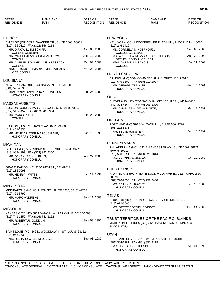| STATE*<br><b>RESIDENCE</b>                                  | NAME AND<br><b>RANK</b>                                  | DATE OF<br><b>RECOGNITION</b> | STATE*<br><b>RESIDENCE</b>                                                       | NAME AND<br><b>RANK</b>                                    | DATE OF<br><b>RECOGNITION</b> |
|-------------------------------------------------------------|----------------------------------------------------------|-------------------------------|----------------------------------------------------------------------------------|------------------------------------------------------------|-------------------------------|
|                                                             |                                                          |                               |                                                                                  |                                                            |                               |
| <b>ILLINOIS</b>                                             |                                                          |                               | <b>NEW YORK</b>                                                                  |                                                            |                               |
| (312) 856-0110, FAX (312) 856-9218                          | CHICAGO (CG) 303 E. WACKER DR., SUITE 2600, 60601.       |                               | (212) 246-1429                                                                   | NEW YORK (CG) 1 ROCKEFELLER PLAZA UN., FLOOR 11TH, 10020.  |                               |
| MR. DIRK WILLEM SCHIFF,<br><b>CONSUL GENERAL</b>            |                                                          | Oct. 05, 2005                 | MS. CORNELIA MINDERHOUD,<br><b>CONSUL GENERAL</b>                                |                                                            | Sep. 03, 2003                 |
| <b>CONSUL</b>                                               | MR. MICHEL JEAN CHRISTIAN OOMS,                          | Aug. 12, 2002                 |                                                                                  | MR. WALTER WIM GABRIEL OOSTELBOS,<br>DEPUTY CONSUL GENERAL | Aug. 29, 2003                 |
| <b>CONSUL</b>                                               | MR. CORNELIS WILHELMUS HERSBACH,                         | Oct. 03, 2003                 | MRS. GABRIELLA SANCISI,<br><b>CONSUL</b>                                         |                                                            | Jul. 31, 2003                 |
| <b>VICE CONSUL</b>                                          | MRS. ELISABETH MARIA SMITS-WILMER,                       | Mar. 28, 2006                 | <b>NORTH CAROLINA</b>                                                            |                                                            |                               |
|                                                             |                                                          |                               |                                                                                  | RALEIGH (HC) 5504 COMMERCIAL AV., SUITE 110, 27612.        |                               |
| LOUISIANA                                                   | NEW ORLEANS (HC) 643 MAGAZINE ST., 70130.                |                               | (919) 645-1100, FAX (919) 719-2087<br>MR. GERARD TER WEE,                        |                                                            | Aug. 14, 2001                 |
| $(504)$ 596-2838                                            | MRS. CONSTANCE CHARLES WILLEMS,                          | Jul. 25, 1989                 | HONORARY CONSUL                                                                  |                                                            |                               |
| <b>HONORARY CONSUL</b>                                      |                                                          |                               | <b>OHIO</b>                                                                      |                                                            |                               |
| <b>MASSACHUSETTS</b>                                        |                                                          |                               | (440) 324-4164, FAX (440) 365-8326                                               | CLEVELAND (HC) 3200 NATIONAL CITY CENTER ., 44114-3485.    |                               |
| (617) 542-8452, FAX (617) 542-3304                          | BOSTON (CON) 20 PARK PZ., SUITE 524, 02116-4399.         |                               | MR. CHARLES A. DE LA PORTE,<br>HONORARY CONSUL                                   |                                                            | Mar. 19, 1997                 |
| MR. MARCO SMIT,<br><b>CONSUL</b>                            |                                                          | Jun. 28, 2005                 |                                                                                  |                                                            |                               |
|                                                             |                                                          |                               | <b>OREGON</b>                                                                    | PORTLAND (HC) 520 S.W. YAMHILL., SUITE 600, 97204.         |                               |
| (617) 451-2330                                              | BOSTON (HC) 6 ST. JAMES AV., 02116-3800.                 |                               | $(503)$ 222-3531                                                                 |                                                            |                               |
| HONORARY CONSUL                                             | MR. HENRY PIETER MARCUS PAAP,                            | Jan. 16, 1998                 | MR. TED E. RUNSTEIN,<br>HONORARY CONSUL                                          |                                                            | Feb. 10, 1997                 |
| <b>MICHIGAN</b>                                             |                                                          |                               | PENNSYLVANIA                                                                     |                                                            |                               |
| (313) 983-4999, FAX (313) 983-4350                          | DETROIT (HC) 535 GRISWOLD UN., SUITE 2400, 48226.        |                               | MAWR 19010.                                                                      | PHILADELPHIA (HC) 1030 E. LANCASTER AV., SUITE 1007, BRYN  |                               |
| MR. JOHANNES H. J. PIJLS.<br>HONORARY CONSUL                |                                                          | Apr. 27, 2000                 | (610) 520-9591, FAX (610) 520-1614<br>MS. YVONNE J. OROVA,<br>HONORARY CONSUL    |                                                            | Oct. 12, 1988                 |
|                                                             | GRAND RAPIDS (HC) 3250 28TH ST., SE, 49512.              |                               | <b>PUERTO RICO</b>                                                               |                                                            |                               |
| $(616)$ 285-9998<br>MR. HENRY I. WITTE,                     |                                                          | Jan. 11, 1991                 | 00979.                                                                           | RIO PIEDRAS (HC) 4 EXTENCION VILLA MAR EO 122., CAROLINA   |                               |
| HONORARY CONSUL                                             |                                                          |                               | (787) 726-7356, FAX (787) 759-9400<br>MR. FRANK F. HAACKE,                       |                                                            | Feb. 16, 1989                 |
| <b>MINNESOTA</b>                                            |                                                          |                               | <b>HONORARY CONSUL</b>                                                           |                                                            |                               |
| (612) 371-5790                                              | MINNEAPOLIS (HC) 80 S. 8TH ST., SUITE 4200, 55402--2205. |                               |                                                                                  |                                                            |                               |
| MR. MARC ANDRE AL,<br>HONORARY CONSUL                       |                                                          | Sep. 11, 2003                 | <b>TEXAS</b><br>(713) 622-8000                                                   | HOUSTON (HC) 2200 POST OAK BL., SUITE 610, 77056.          |                               |
| <b>MISSOURI</b>                                             |                                                          |                               | MR. GEERT CORNELIS VISSER,                                                       |                                                            | Dec. 24, 2003                 |
|                                                             | KANSAS CITY (HC) 5818 MANOR LA., PARKVILLE 64152-6063.   |                               | <b>HONORARY CONSUL</b>                                                           |                                                            |                               |
| (816) 741-1152, FAX (816) 741-1152<br>MR. ROBERTUS GODDIJN, |                                                          | Sep. 03, 1996                 |                                                                                  | TRUST TERRITORIES OF THE PACIFIC ISLANDS                   |                               |
| HONORARY CONSUL                                             |                                                          |                               | FLOOR 9TH, -.                                                                    | MANILA, PHILIPPINES (CG) 2129 PASONG TAMO, , KINGS CT.,    |                               |
|                                                             | SAINT LOUIS (HC) 562 N. WOODLAWN., ST. LOUIS 63122.      |                               | <b>UTAH</b>                                                                      |                                                            |                               |
| $(314)$ 965-3533                                            | MR. RICHARD WILLIAM LODGE,                               | Sep. 03, 1987                 |                                                                                  | SALT LAKE CITY (HC) 230 WEST 700 SOUTH ., 84101.           |                               |
| HONORARY CONSUL                                             |                                                          |                               | (801) 364-1981, FAX (801) 355-2119<br>MR. LEGRANDE STEENBLIK,<br>HONORARY CONSUL |                                                            | Apr. 24, 1992                 |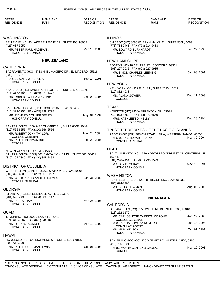| STATE*<br><b>RESIDENCE</b>                                        | NAME AND<br><b>RANK</b>                                    | DATE OF<br><b>RECOGNITION</b> | STATE*<br><b>RESIDENCE</b>                                                              | <b>NAME AND</b><br>RANK                                                                             | DATE OF<br><b>RECOGNITION</b> |
|-------------------------------------------------------------------|------------------------------------------------------------|-------------------------------|-----------------------------------------------------------------------------------------|-----------------------------------------------------------------------------------------------------|-------------------------------|
|                                                                   |                                                            |                               |                                                                                         |                                                                                                     |                               |
| <b>WASHINGTON</b><br>(425) 637-3050                               | BELLEVUE (HC) 40 LAKE BELLEVUE DR., SUITE 100, 98005.      |                               | <b>ILLINOIS</b><br>(773) 714-9461, FAX (773) 714-9483                                   | CHICAGO (HC) 8600 W. BRYN MAWR AV., SUITE 500N, 60631.                                              |                               |
| MR. PETER PAUL HAGEMAN,<br><b>HONORARY CONSUL</b>                 |                                                            | Mar. 13, 2006                 | MR. EDWARD BURKHARDT,<br><b>HONORARY CONSUL</b>                                         |                                                                                                     | Feb. 22, 1995                 |
|                                                                   | <b>NEW ZEALAND</b>                                         |                               | <b>NEW HAMPSHIRE</b>                                                                    |                                                                                                     |                               |
| <b>CALIFORNIA</b>                                                 |                                                            |                               |                                                                                         | BOSTON (HC) 16 CENTRE ST., CONCORD 03301.                                                           |                               |
| (530) 756-7016                                                    | SACRAMENTO (HC) 44733 N. EL MACERO DR., EL MACERO 95618.   |                               | (603) 227-9935, FAX (603) 227-9935<br>MR. SIMON CHARLES LEEMING,<br>HONORARY CONSUL     |                                                                                                     | Jan. 08, 2001                 |
| DR. EDWARD J. HURLEY,                                             |                                                            | Sep. 14, 1998                 |                                                                                         |                                                                                                     |                               |
| HONORARY CONSUL                                                   |                                                            |                               | <b>NEW YORK</b>                                                                         |                                                                                                     |                               |
| (619) 677-1485, FAX (619) 677-1477                                | SAN DIEGO (HC) 12555 HIGH BLUFF DR., SUITE 175, 92130.     |                               | (212) 832-4038                                                                          | NEW YORK (CG) 222 E. 41 ST., SUITE 2510, 10017.                                                     |                               |
| MR. ROBERT WILLIAM AYLING.<br><b>HONORARY CONSUL</b>              |                                                            | Dec. 28, 1994                 | MS. ALANA GOWER,<br><b>CONSUL</b>                                                       |                                                                                                     | Dec. 11, 2003                 |
|                                                                   |                                                            |                               | <b>TEXAS</b>                                                                            |                                                                                                     |                               |
| (415) 399-1255, FAX (415) 399-9775                                | SAN FRANCISCO (HC) P.O. BOX 330455., 94133-0455.           |                               |                                                                                         | HOUSTON (HC) 246 WARRENTON DR., 77024.                                                              |                               |
| MR. RICHARD COLLIER SEARS,<br><b>HONORARY CONSUL</b>              |                                                            | May. 04, 1994                 | (713) 973-8680, FAX (713) 973-6679<br>MRS. KATHLEEN D. KELLY.<br><b>HONORARY CONSUL</b> |                                                                                                     | Dec. 28, 1994                 |
|                                                                   | SANTA MONICA (CG) 2425 OLYMPIC BL., SUITE 600E, 90404.     |                               |                                                                                         |                                                                                                     |                               |
| (310) 566-6555, FAX (310) 566-6556<br>MR. ROBERT JOHN TAYLOR,     |                                                            | May. 24, 2004                 |                                                                                         | TRUST TERRITORIES OF THE PACIFIC ISLANDS<br>PAGO PAGO (CG) BEACH ROAD ., APIA, WESTERN SAMOA 00000. |                               |
| <b>CONSUL GENERAL</b><br>MR. PETER BLINMAN BULL,<br><b>CONSUL</b> |                                                            | Feb. 23, 2006                 | MR. JOHN STEWART ADANK,<br><b>CONSUL GENERAL</b>                                        |                                                                                                     | Nov. 30, 2004                 |
| NEW ZEALAND TOURISM BOARD                                         |                                                            |                               | <b>UTAH</b>                                                                             |                                                                                                     |                               |
| (310) 395-7840, FAX (310) 395-5453                                | SANTA MONICA (CON) 501 SANTA MONICA BL., SUITE 300, 90401. |                               | 84014.                                                                                  | SALT LAKE CITY (HC) 1379 NORTH BROOKHURST CI., CENTERVILLE                                          |                               |
|                                                                   |                                                            |                               | (801) 296-2494, FAX (801) 296-1523<br>MR. IAIN B. MCKAY,                                |                                                                                                     | May. 12, 1994                 |
| <b>DISTRICT OF COLUMBIA</b>                                       |                                                            |                               | HONORARY CONSUL                                                                         |                                                                                                     |                               |
| (202) 328-4800, FAX (202) 667-5227                                | WASHINGTON (CHN) 37 OBSERVATORY CI., NW, 20008.            |                               | <b>WASHINGTON</b>                                                                       |                                                                                                     |                               |
| <b>CONSUL GENERAL</b>                                             | MR. WINTON ALEXANDER HOLMES,                               | Jan. 31, 2003                 | $(206)$ 624-8300                                                                        | SEATTLE (HC) 10649 NORTH BEACH RD., BOW 98232.                                                      |                               |
| <b>GEORGIA</b>                                                    |                                                            |                               | MS. DELLA NEWMAN,                                                                       |                                                                                                     | Aug. 08, 2000                 |
| (404) 525-2495, FAX (404) 888-5147                                | ATLANTA (HC) 513 SEMINOLE AV., NE, 30307.                  |                               | <b>HONORARY CONSUL</b>                                                                  | <b>NICARAGUA</b>                                                                                    |                               |
| MR. IAN LATHAM,<br><b>HONORARY CONSUL</b>                         |                                                            | Mar. 26, 1996                 | <b>CALIFORNIA</b>                                                                       |                                                                                                     |                               |
| <b>GUAM</b>                                                       |                                                            |                               | (213) 252-1170                                                                          | LOS ANGELES (CG) 3550 WILSHIRE BL., SUITE 200, 90010.                                               |                               |
|                                                                   | TAMUNING (HC) 290 SALAS ST., 96931.                        |                               |                                                                                         | MR. CARLOS JOSE CARRION CORONEL,                                                                    | Aug. 29, 2003                 |
| (671) 646-7662, FAX (671) 646-1061<br>MR. JOHN W. SCRAGG.         |                                                            | Apr. 13, 1992                 | <b>CONSUL GENERAL</b><br>MRS. ADILIA SOMOZA ROMERO,<br><b>CONSULAR AGENT</b>            |                                                                                                     | Jun. 14, 2004                 |
| <b>HONORARY CONSUL</b>                                            |                                                            |                               | MS. MINA NELSON,<br><b>HONORARY CONSUL</b>                                              |                                                                                                     | Oct. 01, 1991                 |
| HAWAII                                                            |                                                            |                               |                                                                                         |                                                                                                     |                               |
| (808) 543-7900<br>MR. PETER CUSHMAN LEWIS,                        | HONOLULU (HC) 900 RICHARDS ST., SUITE 414, 96813.          | Oct. 01, 1998                 | (415) 765-6821                                                                          | SAN FRANCISCO (CG) 870 MARKET ST., SUITE 514-520, 94102.                                            |                               |
| HONORARY CONSUL                                                   |                                                            |                               | MRS. MAYRA CENTENO GADEA,<br><b>CONSUL</b>                                              |                                                                                                     | Nov. 19, 2003                 |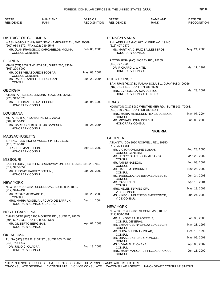| STATE*<br><b>RESIDENCE</b>                             | <b>NAME AND</b><br><b>RANK</b>                                 | DATE OF<br><b>RECOGNITION</b> | STATE*<br><b>RESIDENCE</b>                                 | <b>NAME AND</b><br><b>RANK</b>                      | DATE OF<br><b>RECOGNITION</b> |
|--------------------------------------------------------|----------------------------------------------------------------|-------------------------------|------------------------------------------------------------|-----------------------------------------------------|-------------------------------|
| <b>DISTRICT OF COLUMBIA</b>                            |                                                                |                               | PENNSYLVANIA                                               |                                                     |                               |
| (202) 939-6570, FAX (202) 939-6545                     | WASHINGTON (CHN) 1627 NEW HAMPSHIRE AV., NW, 20009.            |                               | (215) 427-2570                                             | PHILADELPHIA (HC) 627 W. ERIE AV., 19140.           |                               |
| <b>CONSUL GENERAL</b>                                  | MR. JUAN FRANCISCO CARCABELOS MOLINA,                          | Feb. 03, 2006                 | HONORARY CONSUL                                            | MS. MARTINA D. RUIZ BALLESTEROS,                    | May. 24, 2006                 |
| <b>FLORIDA</b>                                         |                                                                |                               | PITTSBURGH (HC) MOBAY RD., 15205.                          |                                                     |                               |
| (305) 220-6900                                         | MIAMI (CG) 8532 S.W. 8TH ST., SUITE 270, 33144.                |                               | (412) 777-2000<br>DR. RICHARD L. WHITE,<br>HONORARY CONSUL |                                                     | Mar. 11, 1992                 |
| <b>CONSUL GENERAL</b>                                  | MR. JOSE VELASQUEZ ESCOBAR,                                    | May. 03, 2002                 |                                                            |                                                     |                               |
| <b>CONSUL</b>                                          | MR. RAFAEL ANGEL UBILLA SUAZO,                                 | Jun. 29, 2004                 | <b>PUERTO RICO</b>                                         | SAN JUAN (HCG) B1 PALMA SOLA BL., GUAYNABO 00966.   |                               |
|                                                        |                                                                |                               | (787) 781-6513, FAX (787) 781-6530                         |                                                     |                               |
| <b>GEORGIA</b>                                         |                                                                |                               | MRS. EVA LUZ GARCIA DE PICO,<br>HONORARY CONSUL GENERAL    |                                                     | Mar. 23, 2001                 |
| (770) 319-1673                                         | ATLANTA (HC) 3161 LEMONS RIDGE DR., 30339.                     |                               |                                                            |                                                     |                               |
| MR. J. THOMAS, JR RATCHFORD,<br><b>HONORARY CONSUL</b> |                                                                | Jan. 05, 1999                 | <b>TEXAS</b><br>(713) 789-2762, FAX (713) 789-3164         | HOUSTON (CG) 8989 WESTHEIMER RD., SUITE 103, 77063. |                               |
| <b>LOUISIANA</b>                                       |                                                                |                               |                                                            | MRS. MARIA MERCEDES REYES DE BECK,                  | May. 07, 2004                 |
| (504) 887-6498                                         | METAIRIE (HC) 4820 BURKE DR., 70003.                           |                               | CONSUL<br>MR. MICHAEL JOHN CORDUA,                         |                                                     | Jun. 08, 2005                 |
| HONORARY CONSUL                                        | MR. CARLOS ALBERTO, JR SAMPSON,                                | Feb. 26, 2004                 | <b>HONORARY CONSUL</b>                                     |                                                     |                               |
|                                                        |                                                                |                               |                                                            | <b>NIGERIA</b>                                      |                               |
| <b>MASSACHUSETTS</b>                                   |                                                                |                               | <b>GEORGIA</b>                                             |                                                     |                               |
| (413) 781-5400                                         | SPRINGFIELD (HC) 52 MULBERRY ST., 01105.                       |                               | (770) 394-6261                                             | ATLANTA (CG) 8060 ROSWELL RD., 30350.               |                               |
| DR. SHERMAN E. FEIN,<br>HONORARY CONSUL                |                                                                | Apr. 18, 2000                 | MR. VICTOR ONOCHIE BOSAH,<br><b>CONSUL GENERAL</b>         |                                                     | Aug. 23, 2005                 |
| <b>MISSOURI</b>                                        |                                                                |                               | MR. HENRY OLASUNKANMI SANDA,<br><b>CONSUL</b>              |                                                     | Mar. 29, 2002                 |
|                                                        | SAINT LOUIS (HC) 211 N. BROADWAY UN., SUITE 2600, 63102--2740. |                               | MR. AMINU NABEGU,                                          |                                                     | Aug. 08, 2002                 |
| $(314)$ 342-8054                                       |                                                                | Jan. 21, 2003                 | <b>CONSUL</b><br>MR. HAKEEM DOSUNMU,                       |                                                     | Nov. 26, 2002                 |
| MR. THOMAS HARVEY BOTTINI,<br><b>HONORARY CONSUL</b>   |                                                                |                               | CONSUL                                                     | MS. JADESOLA ADEJUMOKE ADESUYI,                     | Jun. 24, 2003                 |
| <b>NEW YORK</b>                                        |                                                                |                               | <b>CONSUL</b><br>MR. RABIU SHEHU,                          |                                                     | Apr. 16, 2004                 |
| (212) 344-4491                                         | NEW YORK (CG) 820 SECOND AV., SUITE 802, 10017.                |                               | <b>CONSUL</b><br>MRS. HELEN INYANG ORU,                    |                                                     | May. 13, 2002                 |
| MR. CESAR MERCADO P.,                                  |                                                                | Jun. 20, 2003                 | <b>VICE CONSUL</b>                                         | MS. NIKECHI HELENESS EMEREONYE,                     | Jun. 24, 2003                 |
| <b>CONSUL</b>                                          | MRS. MARIA ROGELIA URCUYO DE ZARRUK,                           | Dec. 14, 2004                 | <b>VICE CONSUL</b>                                         |                                                     |                               |
|                                                        | HONORARY CONSUL GENERAL                                        |                               | <b>NEW YORK</b>                                            |                                                     |                               |
| <b>NORTH CAROLINA</b>                                  |                                                                |                               | $(212) 808 - 0301$                                         | NEW YORK (CG) 828 SECOND AV., 10017.                |                               |
| (704) 537-1230, FAX (704) 537-1326                     | CHARLOTTE (HC) 5205 MONROE RD., SUITE C, 28205.                |                               | MR. FUNGBE RALF ADERELE,                                   |                                                     | Jan. 30, 2006                 |
| MR. GILBERTO BERGMAN,<br>HONORARY CONSUL               |                                                                | Apr. 02, 2003                 | CONSUL GENERAL                                             | MR. EMMANUEL NYEVSUWE AGBEGIR,                      | May. 28, 1997                 |
|                                                        |                                                                |                               | CONSUL<br>MR. NURA SULEIMAN ISHAK,                         |                                                     | Dec. 10, 1999                 |
| <b>OKLAHOMA</b>                                        | TULSA (HC) 3233 E. 31ST ST., SUITE 103, 74105.                 |                               | CONSUL<br>MR. OBASE BICHENE OKONGOR,                       |                                                     | May. 09, 2001                 |
| (918) 742-5617<br>DR. JULIO C. CUADRA,                 |                                                                | Aug. 13, 2003                 | CONSUL<br>MS. VIVIAN N. R. OKEKE,                          |                                                     | Apr. 08, 2002                 |
| <b>HONORARY CONSUL</b>                                 |                                                                |                               | CONSUL<br>CONSUL                                           | MRS. MARY MARGARET HEZEKIAH OKAA,                   | Jun. 11, 2002                 |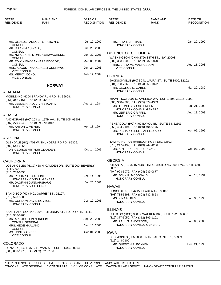| STATE*<br><b>RESIDENCE</b>                                                          | <b>NAME AND</b><br><b>RANK</b>                          | DATE OF<br><b>RECOGNITION</b> | STATE*<br><b>RESIDENCE</b>                                  | <b>NAME AND</b><br><b>RANK</b>                                                   | DATE OF<br><b>RECOGNITION</b> |
|-------------------------------------------------------------------------------------|---------------------------------------------------------|-------------------------------|-------------------------------------------------------------|----------------------------------------------------------------------------------|-------------------------------|
|                                                                                     |                                                         |                               |                                                             |                                                                                  |                               |
| CONSUL                                                                              | MR. OLUSOLA ADEGBITE FAMOYIN,                           | Jul. 12, 2002                 | MS. RITA I. EHRMAN,<br>HONORARY CONSUL                      |                                                                                  | Jan. 22, 1990                 |
| MR. IBRAHIM AUWALU,                                                                 |                                                         | Jun. 23, 2003                 |                                                             |                                                                                  |                               |
| <b>CONSUL</b><br>CONSUL                                                             | MR. NWABUEZE MONK AJANWACHUKU,                          | Jun. 30, 2003                 | <b>DISTRICT OF COLUMBIA</b>                                 | WASHINGTON (CHN) 2720 34TH ST., NW, 20008.                                       |                               |
|                                                                                     | MR. EDWIN ENOSAKHARE EDOBOR,                            | Mar. 03, 2004                 | (202) 333-6000, FAX (202) 337-0870                          |                                                                                  |                               |
| <b>CONSUL</b>                                                                       | MRS. AUGUSTINA OBIAGELI OKONKWO,                        | Jun. 24, 2003                 | MRS. BRITA VE MAGNUSSON,<br><b>VICE CONSUL</b>              |                                                                                  | Aug. 11, 2003                 |
| <b>VICE CONSUL</b><br>MS. MERCY IJOHO,<br><b>VICE CONSUL</b>                        |                                                         | Feb. 12, 2004                 | <b>FLORIDA</b>                                              |                                                                                  |                               |
|                                                                                     | <b>NORWAY</b>                                           |                               | (904) 798-7360, FAX (904) 358-1872<br>MR. GEORGE D. GABEL.  | JACKSONVILLE (HC) 50 N. LAURA ST., SUITE 3900, 32202.                            | Mar. 29, 1989                 |
| <b>ALABAMA</b>                                                                      |                                                         |                               | HONORARY CONSUL                                             |                                                                                  |                               |
| (251) 342-2151, FAX (251) 342-2151                                                  | MOBILE (HC) 6204 BRANDY RUN RD., N, 36608.              |                               | (305) 358-4386, FAX (305) 374-4359                          | MIAMI (HCG) 1007 N. AMERICA WA., SUITE 305, 33132--2092.                         |                               |
| <b>HONORARY CONSUL</b>                                                              | MR. LESLIE HAROLD, JR STUART,                           | Aug. 24, 1984                 | MR. TROND SIGURD JENSEN.                                    | HONORARY CONSUL GENERAL                                                          | Jul. 21, 2003                 |
| <b>ALASKA</b>                                                                       |                                                         |                               | MR. LEIF ERIC GRIFFIN,<br>HONORARY CONSUL                   |                                                                                  | Aug. 13, 2003                 |
| (907) 279-6942, FAX (907) 279-4912<br>MR. ANTON J. MEYER,<br><b>HONORARY CONSUL</b> | ANCHORAGE (HC) 203 W. 15TH AV., SUITE 105, 99501.       | Apr. 18, 1994                 | (850) 494-2194, FAX (850) 494-9175                          | PENSACOLA (HC) 4400 BAYOU BL., SUITE 34, 32503.<br>MR. RICHARD LESLIE APPLEYARD, | Apr. 09, 1999                 |
|                                                                                     |                                                         |                               | HONORARY CONSUL                                             |                                                                                  |                               |
| <b>ARIZONA</b>                                                                      |                                                         |                               |                                                             | TAMPA (HC) 701 HARBOUR POST DR., 33602.                                          |                               |
| $(602)$ 543-6256                                                                    | GLENDALE (HC) 4701 W. THUNDERBIRD RD., 85306.           |                               | (813) 247-4432, FAX (813) 247-4256                          |                                                                                  |                               |
| <b>HONORARY CONSUL</b>                                                              | DR. GEORGE ARTHUR OLANDER,                              | Oct. 14, 2005                 | MR. ARTHUR RENFRO SAVAGE,<br>HONORARY CONSUL                |                                                                                  | Oct. 07, 1998                 |
| <b>CALIFORNIA</b>                                                                   |                                                         |                               | <b>GEORGIA</b>                                              |                                                                                  |                               |
| <b>HILLS 90210.</b>                                                                 | LOS ANGELES (HCG) 468 N. CAMDEN DR., SUITE 200, BEVERLY |                               | 30327.                                                      | ATLANTA (HC) 3715 NORTHSIDE (BUILDING 300) PW., SUITE 650,                       |                               |
| $(310)$ 788-0858                                                                    |                                                         |                               | (404) 923-5079, FAX (404) 239-0877<br>MR. JOHN R. MCDONALD. |                                                                                  | Jan. 15, 1991                 |
| MR. RICHARD ISAAC FINE,                                                             | HONORARY CONSUL GENERAL                                 | Dec. 14, 1995                 | HONORARY CONSUL                                             |                                                                                  |                               |
|                                                                                     | MR. DAGFINN GUNNARSHAUG,<br>HONORARY VICE CONSUL        | Jul. 25, 2001                 |                                                             |                                                                                  |                               |
|                                                                                     | SAN DIEGO (HC) 4491 OSPREY ST., 92107.                  |                               | <b>HAWAII</b><br>(808) 734-5298, FAX (808) 732-5853         | HONOLULU (HC) 4215 KILAUEA AV., 96816.                                           |                               |
| (619) 523-5300                                                                      |                                                         |                               | MS. NINA H. FASI,                                           |                                                                                  | Jan. 30, 1998                 |
| MR. GORDON DAVID KOVTUN,<br>HONORARY CONSUL                                         |                                                         | Dec. 12, 2003                 | HONORARY CONSUL                                             |                                                                                  |                               |
|                                                                                     | SAN FRANCISCO (CG) 20 CALIFORNIA ST., FLOOR 6TH, 94111. |                               | <b>ILLINOIS</b>                                             |                                                                                  |                               |
| (415) 986-0766                                                                      |                                                         |                               | (312) 377-5050, FAX (312) 899-1101                          | CHICAGO (HCG) 300 S. WACKER DR., SUITE 1220, 60606.                              |                               |
| MR. ARE JOSTEIN NORHEIM,<br><b>CONSUL GENERAL</b>                                   |                                                         | Sep. 29, 2003                 | MR. PAUL S. ANDERSON,                                       |                                                                                  | Jan. 06, 2000                 |
| MRS. HEGE HAALAND,<br><b>CONSUL</b>                                                 |                                                         | Dec. 15, 2005                 |                                                             | HONORARY CONSUL GENERAL                                                          |                               |
| MS. UNNI GJONNES,                                                                   |                                                         | Oct. 01, 2003                 | <b>IOWA</b>                                                 |                                                                                  |                               |
| <b>VICE CONSUL</b>                                                                  |                                                         |                               | (515) 243-7100                                              | DES MOINES (HC) 2000 FINANCIAL CENTER., 50309.                                   |                               |
| <b>COLORADO</b>                                                                     |                                                         |                               | MR. QUENTIN R. BOYKEN,                                      |                                                                                  | Dec. 21, 1990                 |
| (303) 830-1970, FAX (303) 321-8106                                                  | DENVER (HC) 1775 SHERMAN ST., SUITE 1445, 80203.        |                               | <b>HONORARY CONSUL</b>                                      |                                                                                  |                               |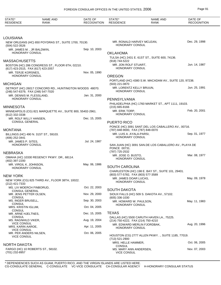| STATE*<br><b>RESIDENCE</b>                                          | <b>NAME AND</b><br><b>RANK</b>                             | DATE OF<br><b>RECOGNITION</b> | STATE*<br><b>RESIDENCE</b>                                  | <b>NAME AND</b><br><b>RANK</b>                         | DATE OF<br><b>RECOGNITION</b> |
|---------------------------------------------------------------------|------------------------------------------------------------|-------------------------------|-------------------------------------------------------------|--------------------------------------------------------|-------------------------------|
|                                                                     |                                                            |                               |                                                             |                                                        |                               |
| LOUISIANA                                                           |                                                            |                               |                                                             |                                                        |                               |
| (504) 522-3526                                                      | NEW ORLEANS (HC) 650 POYDRAS ST., SUITE 1700, 70130.       |                               | MR. RONALD HARVEY MCLEAN.<br>HONORARY CONSUL                |                                                        | Dec. 29, 1998                 |
| MR. JAMES M., JR BALDWIN,<br><b>HONORARY CONSUL</b>                 |                                                            | Sep. 10, 2003                 | <b>OKLAHOMA</b>                                             |                                                        |                               |
| MASSACHUSETTS                                                       |                                                            |                               | (918) 744-5222                                              | TULSA (HC) 2431 E. 61ST ST., SUITE 600, 74136.         |                               |
| (617) 423-2515, FAX (617) 423-2057                                  | BOSTON (HC) 286 CONGRESS ST., FLOOR 6TH, 02210.            |                               | MR. JON ROLF STUART,<br>HONORARY CONSUL                     |                                                        | Jun. 14, 1987                 |
| MR. TERJE KORSNES,                                                  |                                                            | Nov. 05, 1990                 |                                                             |                                                        |                               |
| <b>HONORARY CONSUL</b>                                              |                                                            |                               | <b>OREGON</b>                                               |                                                        |                               |
| MICHIGAN                                                            |                                                            |                               | (503) 221-0870                                              | PORTLAND (HC) 4380 S.W. MACADAM AV., SUITE 120, 97238. |                               |
| (248) 547-6379, FAX (248) 547-7020                                  | DETROIT (HC) 26017 CONCORD RD., HUNTINGTON WOODS 48070.    |                               | MR. LORENTZ KELLY BRUUN,<br><b>HONORARY CONSUL</b>          |                                                        | Jun. 25, 1991                 |
| MR. DENNIS M. FLESSLAND.<br><b>HONORARY CONSUL</b>                  |                                                            | Jan. 31, 2000                 | PENNSYLVANIA                                                |                                                        |                               |
|                                                                     |                                                            |                               |                                                             | PHILADELPHIA (HC) 1760 MARKET ST., APT 1111, 19103.    |                               |
| MINNESOTA                                                           |                                                            |                               | $(215)$ 665-8166                                            |                                                        |                               |
| (612) 332-3338                                                      | MINNEAPOLIS (CG) 821 MARQUETTE AV., SUITE 800, 55402-2961. |                               | MR. ERIK TORP,<br>HONORARY CONSUL                           |                                                        | Feb. 20, 2001                 |
| MR. ROLF WILLY HANSEN,<br><b>CONSUL GENERAL</b>                     |                                                            | Dec. 15, 2005                 |                                                             |                                                        |                               |
|                                                                     |                                                            |                               | <b>PUERTO RICO</b>                                          | PONCE (HC) 3091 SANT. DEL LOS CABALLERO AV., 00716.    |                               |
| MONTANA                                                             |                                                            |                               | (787) 848-9000, FAX (787) 848-0070                          |                                                        |                               |
| (406) 252-3441                                                      | BILLINGS (HC) 490 N. 31ST ST., 59103.                      |                               | MR. LUIS A. AYALA-PARSI,<br><b>HONORARY CONSUL</b>          |                                                        | Sep. 01, 1977                 |
| MR. JAMES P. SITES,<br><b>HONORARY CONSUL</b>                       |                                                            | Jul. 24, 1987                 |                                                             | SAN JUAN (HC) 3091 SAN.DE LOS CABALLERO AV., PLAYA DE  |                               |
|                                                                     |                                                            |                               | PONCE 00731.                                                |                                                        |                               |
| NEBRASKA                                                            |                                                            |                               | (787) 725-2532<br>MR. JOSE O. BUSTO,                        |                                                        | Mar. 08, 1977                 |
| (402) 397-2200                                                      | OMAHA (HC) 10330 REGENCY PKWY. DR., 68114.                 |                               | HONORARY CONSUL                                             |                                                        |                               |
| MR. VIRGIL K. JOHNSON,<br>HONORARY CONSUL                           |                                                            | May. 06, 1986                 | <b>SOUTH CAROLINA</b>                                       |                                                        |                               |
|                                                                     |                                                            |                               |                                                             | CHARLESTON (HC) 198 E. BAY ST., SUITE 101, 29401.      |                               |
| NEW YORK                                                            |                                                            |                               | (803) 577-5782, FAX (803) 577-3589<br>MR. JAMES DOAR LUCAS, |                                                        | May. 09, 1978                 |
| (212) 421-7333                                                      | NEW YORK (CG) 825 THIRD AV., FLOOR 38TH, 10022.            |                               | HONORARY CONSUL                                             |                                                        |                               |
| MS. LIV MOERCH FINBORUD,<br><b>CONSUL GENERAL</b>                   |                                                            | Oct. 22, 2003                 | <b>SOUTH DAKOTA</b>                                         |                                                        |                               |
| MR. JENS PETTER OLSEN,<br><b>CONSUL</b>                             |                                                            | Nov. 29, 2000                 | $(605)$ 336-1030                                            | SIOUX FALLS (HC) 509 S. DAKOTA AV., 57102.             |                               |
| MS. INGER BRUSELL,<br><b>CONSUL</b>                                 |                                                            | Sep. 30, 2003                 | MR. HOWARD W. PAULSON,                                      |                                                        | May. 11, 1983                 |
| MRS. KRISTIN IGLUM,                                                 |                                                            | Oct. 04, 2005                 | <b>HONORARY CONSUL</b>                                      |                                                        |                               |
| <b>CONSUL</b><br>MR. ARNE HJELTNES,                                 |                                                            | Dec. 15, 2005                 | <b>TEXAS</b>                                                |                                                        |                               |
| <b>CONSUL</b><br>MS. RAGNHILD VIKER,                                |                                                            | Aug. 19, 2004                 | (214) 750-4222, FAX (214) 750-4210                          | DALLAS (HC) 5500 CARUTH HAVEN LA., 75225.              |                               |
| <b>VICE CONSUL</b><br>MRS. KARIN AAROE,                             |                                                            | Apr. 11, 2005                 | <b>HONORARY CONSUL</b>                                      | MR. EDWARD MERLIN FJORDBAK,                            | Aug. 20, 1996                 |
| <b>VICE CONSUL</b><br>MR. PER ANDERS NILSEN,<br><b>VICE CONSUL</b>  |                                                            | Oct. 06, 2005                 |                                                             | HOUSTON (CG) 2777 ALLEN PKWY SUITE 1185, 77019.        |                               |
|                                                                     |                                                            |                               | (713) 521-2900<br>MRS. HELLE HAMMER,                        |                                                        | Oct. 06, 2005                 |
| NORTH DAKOTA<br>FARGO (HC) 10 ROBERTS ST., 58102.<br>(701) 232-8957 |                                                            |                               | CONSUL<br>MS. MARY ANN ANDERSEN,<br><b>VICE CONSUL</b>      |                                                        | Nov. 07, 2003                 |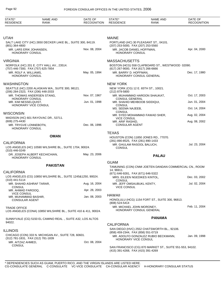| STATE*<br><b>RESIDENCE</b>                                          | <b>NAME AND</b><br><b>RANK</b>                                 | DATE OF<br><b>RECOGNITION</b> | STATE*<br><b>RESIDENCE</b>                                         | <b>NAME AND</b><br><b>RANK</b>                           | DATE OF<br><b>RECOGNITION</b> |
|---------------------------------------------------------------------|----------------------------------------------------------------|-------------------------------|--------------------------------------------------------------------|----------------------------------------------------------|-------------------------------|
|                                                                     |                                                                |                               |                                                                    |                                                          |                               |
| <b>UTAH</b>                                                         |                                                                |                               | <b>MAINE</b>                                                       |                                                          |                               |
| (801) 364-4800                                                      | SALT LAKE CITY (HC) 2650 DECKER LAKE BL., SUITE 300, 84119.    |                               | (207) 253-5000, FAX (207) 253-5560                                 | PORTLAND (HC) 30 PLEASANT ST., 04101.                    |                               |
| MR. LARS ERIK JOHANSEN,<br><b>HONORARY CONSUL</b>                   |                                                                | Nov. 08, 2004                 | MR. JACOB DANIEL HOFFMAN,<br>HONORARY CONSUL                       |                                                          | Apr. 04, 2000                 |
| <b>VIRGINIA</b>                                                     |                                                                |                               | <b>MASSACHUSETTS</b>                                               |                                                          |                               |
| (757) 446-7300, FAX (757) 625-7854                                  | NORFOLK (HC) 201 E. CITY HALL AV., 23514.                      |                               | (617) 267-9000, FAX (617) 266-6666                                 | BOSTON (HCG) 558 CLAPBOARD ST., WESTWOOD 02090.          |                               |
| MR. ROLF A. WILLIAMS,<br><b>HONORARY CONSUL</b>                     |                                                                | May. 05, 1994                 | MR. BARRY D. HOFFMAN,                                              | HONORARY CONSUL GENERAL                                  | Dec. 17, 1980                 |
| <b>WASHINGTON</b>                                                   |                                                                |                               | <b>NEW YORK</b>                                                    |                                                          |                               |
| (206) 284-2323, FAX (206) 448-2033                                  | SEATTLE (HC) 2200 ALASKAN WA., SUITE 300, 98121.               |                               | (212) 879-5800                                                     | NEW YORK (CG) 12 E. 65TH ST., 10021.                     |                               |
| HONORARY CONSUL                                                     | MR. THOMAS ANDERSEN STANG.                                     | Nov. 07, 1967                 | <b>CONSUL GENERAL</b>                                              | MR. MUHAMMAD HAROON SHAUKAT,                             | Oct. 17, 2003                 |
| MR. KIM NESSELQUIST,<br>HONORARY VICE CONSUL                        |                                                                | Jun. 01, 1998                 | MR. SHAHID MEHBOOB SIDDIQUI,<br><b>CONSUL</b>                      |                                                          | Jun. 01, 2004                 |
|                                                                     |                                                                |                               | MS. SEEMA NAJEEB,<br><b>CONSUL</b>                                 |                                                          | Oct. 14, 2004                 |
| <b>WISCONSIN</b>                                                    | MADISON (HC) 601 RAYOVAC DR., 53711.                           |                               | <b>VICE CONSUL</b>                                                 | MR. SYED MOHAMMAD FAWAD SHER,                            | Aug. 02, 2004                 |
| (608) 275-4430<br>MR. TRYGVE LONNEBOTN,<br>HONORARY CONSUL          |                                                                | Dec. 06, 1996                 | MR. ARIF RASHID,<br><b>CONSULAR AGENT</b>                          |                                                          | Aug. 08, 2002                 |
|                                                                     |                                                                |                               | <b>TEXAS</b>                                                       |                                                          |                               |
|                                                                     | <b>OMAN</b>                                                    |                               | (281) 890-8525, FAX (281) 890-1433                                 | HOUSTON (CON) 11850 JONES RD., 77070.                    |                               |
| <b>CALIFORNIA</b><br>$(310)$ 446-0249                               | LOS ANGELES (HC) 10590 WILSHIRE BL., SUITE 1704, 90024.        |                               | MR. GHULAM RASOOL BALUCH,<br><b>CONSUL</b>                         |                                                          | Jul. 23, 2004                 |
| <b>HONORARY CONSUL</b>                                              | DR. JOSEPH ALBERT KECHICHIAN.                                  | May. 23, 2006                 |                                                                    | <b>PALAU</b>                                             |                               |
|                                                                     | <b>PAKISTAN</b>                                                |                               | <b>GUAM</b>                                                        | TAMUNING (CON) CNMI JOETEN DANDAN COMMERCIAL CN., ROOM   |                               |
| <b>CALIFORNIA</b>                                                   |                                                                |                               | 14, 96911.                                                         |                                                          |                               |
| $(310)$ 441-5114                                                    | LOS ANGELES (CG) 10850 WILSHIRE BL., SUITE 1245&1250, 90024.   |                               | (671) 646-9281, FAX (671) 646-5322<br>MRS. EILEEN NGEDIKES KINTOL, |                                                          | Dec. 03, 2002                 |
| MR. SHAHID ASHRAF TARAR,                                            |                                                                | Aug. 16, 2004                 | <b>CONSUL</b><br>MR. JEFF OMSAUBUKL KENTY,                         |                                                          | Jul. 02, 2004                 |
| <b>CONSUL</b><br>MR. AHMAD FAROOQ,                                  |                                                                | Apr. 28, 2003                 | <b>VICE CONSUL</b>                                                 |                                                          |                               |
| <b>VICE CONSUL</b><br>MR. MUHAMMAD BASHIR,<br><b>CONSULAR AGENT</b> |                                                                | Jan. 08, 2003                 | <b>HAWAII</b><br>(808) 524-5414                                    | HONOLULU (HCG) 1154 FORT ST., SUITE 300, 96813.          |                               |
| <b>TRADE OFFICE</b>                                                 | LOS ANGELES (CONA) 10850 WILSHIRE BL., SUITE 410 & 411, 90024. |                               | MR. MICHAEL JOHN MORONEY,                                          | HONORARY CONSUL GENERAL                                  | Feb. 11, 2004                 |
|                                                                     | SUNNYVALE (CG) 5150 EL CAMINO REAL., SUITE A32, LOS ALTOS      |                               |                                                                    | <b>PANAMA</b>                                            |                               |
| 94022.                                                              |                                                                |                               | <b>CALIFORNIA</b>                                                  |                                                          |                               |
| <b>ILLINOIS</b>                                                     |                                                                |                               | (858) 459-2344, FAX (858) 551-0719                                 | SAN DIEGO (HVC) 2552 CHATSWORTH BL., 92106.              |                               |
| (312) 781-1831, FAX (312) 781-1839<br>MR. AITZAZ AHMED,             | CHICAGO (CON) 333 N. MICHIGAN AV., SUITE 728, 60601.           | Oct. 08, 2004                 | HONORARY VICE CONSUL                                               | MR. ADOLFO GONZALEZ RUBIO BECKMANN,                      | Jan. 09, 1998                 |
| <b>CONSUL</b>                                                       |                                                                |                               | (415) 391-4268, FAX (415) 391-4269                                 | SAN FRANCISCO (CG) 870 MARKET ST., SUITE 551-553, 94102. |                               |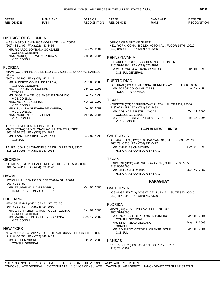| STATE*<br><b>RESIDENCE</b>                                        | <b>NAME AND</b><br><b>RANK</b>                              | DATE OF<br><b>RECOGNITION</b> | STATE*<br><b>RESIDENCE</b>                           | <b>NAME AND</b><br><b>RANK</b>                            | DATE OF<br><b>RECOGNITION</b> |
|-------------------------------------------------------------------|-------------------------------------------------------------|-------------------------------|------------------------------------------------------|-----------------------------------------------------------|-------------------------------|
|                                                                   |                                                             |                               |                                                      |                                                           |                               |
| DISTRICT OF COLUMBIA                                              |                                                             |                               |                                                      |                                                           |                               |
| (202) 483-1407, FAX (202) 483-8416                                | WASHINGTON (CHN) 2862 MCGILL TE., NW, 20008.                |                               | OFFICE OF MARITIME SAFETY                            | NEW YORK (CONA) 369 LEXINGTON AV., FLOOR 14TH, 10017.     |                               |
| <b>CONSUL GENERAL</b>                                             | MR. RICARDO LOMBANA GONZALEZ,                               | Sep. 29, 2004                 | (212) 869-6440, FAX (212) 575-2285                   |                                                           |                               |
| <b>VICE CONSUL</b>                                                | MRS. MARUQUEL PATRICIA ICAZA,                               | Dec. 03, 2004                 | PENNSYLVANIA                                         | PHILADELPHIA (CG) 124 CHESTNUT ST., 19106.                |                               |
|                                                                   |                                                             |                               | (215) 574-2994, FAX (215) 625-4876                   |                                                           |                               |
| <b>FLORIDA</b>                                                    |                                                             |                               |                                                      | MRS. GEORGIA ATHANASOPULOS,                               | Jun. 04, 1996                 |
| 33134.                                                            | MIAMI (CG) 2801 PONCE DE LEON BL., SUITE 1050, CORAL GABLES |                               | <b>CONSUL GENERAL</b>                                |                                                           |                               |
| (305) 447-3700, FAX (305) 447-4142                                |                                                             | Mar. 08, 2005                 | PUERTO RICO                                          |                                                           |                               |
| <b>CONSUL GENERAL</b>                                             | MR. ALBERTO GONZALEZ ABADIA,                                |                               |                                                      | SAN JUAN (HC) 411 MARGINAL KENNEDY AV., SUITE 4TO, 00920. |                               |
| MR. FRANKLIN KARDONSKI,<br><b>CONSUL</b>                          |                                                             | Jun. 10, 1998                 | MR. JORGE COLON NEVARES.<br>HONORARY CONSUL          |                                                           | Jul. 17, 2006                 |
|                                                                   | MS. GLORIELA DE LOS ANGELES SAMUDIO,                        | Jul. 17, 1996                 |                                                      |                                                           |                               |
| <b>VICE CONSUL</b><br>MRS. MONIQUE GILINSKI,                      |                                                             | Nov. 26, 1997                 | <b>TEXAS</b>                                         |                                                           |                               |
| <b>VICE CONSUL</b>                                                | MRS. ZUNILDA GUEVARA DE MARINA,                             | Jul. 08, 2002                 | (713) 622-4451, FAX (713) 622-4468                   | HOUSTON (CG) 24 GREENWAY PLAZA ., SUITE 1307, 77046.      |                               |
| <b>VICE CONSUL</b>                                                |                                                             | Apr. 07, 2006                 | MR. ADSINAR RIBSTELL CAJAR,<br><b>CONSUL GENERAL</b> |                                                           | Oct. 11, 2005                 |
| MRS. MARLENE ASHBY CHIAL,<br><b>VICE CONSUL</b>                   |                                                             |                               | <b>VICE CONSUL</b>                                   | MS. ANABEL CRISTINA FUENTES BARRIOS,                      | Feb. 15, 2005                 |
| TRADE DEVELOPMENT INSTITUTE<br>(305) 374-8823, FAX (305) 374-7822 | MIAMI (CONA) 1477 S. MIAMI AV., FLOOR 2ND, 33130.           |                               |                                                      | <b>PAPUA NEW GUINEA</b>                                   |                               |
|                                                                   | MS. ROSALINDA PINILLA VALDES,                               | Feb. 09, 1996                 | <b>CALIFORNIA</b>                                    |                                                           |                               |
| <b>CONSUL</b>                                                     |                                                             |                               | (760) 731-0436, FAX (760) 731-0472                   | LOS ANGELES (HCG) 1308 BANYAN DR., FALLBROOK 92028.       |                               |
| (813) 283-0063, FAX (813) 283-0064                                | TAMPA (CG) 1101 CHANNELSIDE DR., SUITE 279, 33602.          |                               | MR. CHARLES CHEATHEM,                                | HONORARY CONSUL GENERAL                                   | Sep. 23, 1996                 |
| GEORGIA                                                           |                                                             |                               | <b>TEXAS</b>                                         |                                                           |                               |
| (404) 522-4114, FAX (404) 522-4120                                | ATLANTA (CG) 225 PEACHTREE ST., NE, SUITE 503, 30303.       |                               | (713) 966-2500                                       | HOUSTON (HCG) 4900 WOODWAY DR., SUITE 1200, 77056.        |                               |
|                                                                   |                                                             |                               | MR. NATHAN M. AVERY,                                 | HONORARY CONSUL GENERAL                                   | Aug. 27, 2002                 |
| HAWAII                                                            |                                                             |                               |                                                      |                                                           |                               |
| (808) 531-5483                                                    | HONOLULU (HCG) 1352 S. BERETANIA ST., 96814.                |                               |                                                      | <b>PARAGUAY</b>                                           |                               |
| MR. TRUMAN WILLIAM BROPHY,                                        | HONORARY CONSUL GENERAL                                     | Mar. 06, 2000                 | <b>CALIFORNIA</b>                                    |                                                           |                               |
|                                                                   |                                                             |                               |                                                      | LOS ANGELES (CG) 6033 W. CENTURY BL., SUITE 985, 90045.   |                               |
| LOUISIANA                                                         |                                                             |                               | (310) 417-9500, FAX (310) 417-9520                   |                                                           |                               |
| (504) 525-3458, FAX (504) 424-8960                                | NEW ORLEANS (CG) 2 CANAL ST., 70130.                        |                               | <b>FLORIDA</b>                                       |                                                           |                               |
|                                                                   | MR. ERICH ALBERTO RODRIGUEZ TEJEIRA,                        | Jun. 07, 2006                 | $(305)$ 374-9090                                     | MIAMI (CG) 25 S.E. 2ND AV., SUITE 705, 33131.             |                               |
| <b>CONSUL GENERAL</b>                                             | MS. MARIA DEL PILAR PITTY CORDOBA,                          | Sep. 17, 2002                 | CONSUL GENERAL                                       | MR. CARLOS ALBERTO ORTIZ BAREIRO,                         | Mar. 09, 2004                 |
| <b>VICE CONSUL</b>                                                |                                                             |                               | MR. ESTANISLAO LEZCANO,<br>CONSUL                    |                                                           | May. 27, 2003                 |
| NEW YORK                                                          |                                                             |                               |                                                      | MR. EDUARDO VICTOR FLORENTIN BOLF,                        | Mar. 09, 2004                 |
| (212) 840-2450, FAX (212) 840-2469                                | NEW YORK (CG) 1212 AVE. OF THE AMERICAS., FLOOR 6TH, 10036. |                               | CONSUL                                               |                                                           |                               |
| MS. ARLEEN SUCRE,                                                 |                                                             | Jun. 20, 2006                 | <b>KANSAS</b>                                        |                                                           |                               |
| <b>CONSUL GENERAL</b>                                             |                                                             |                               | (913) 281-5252                                       | KANSAS CITY (CG) 630 MINNESOTA AV., 66101.                |                               |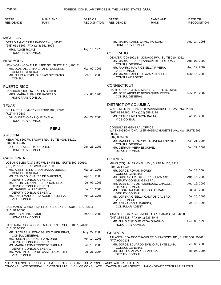| STATE*<br><b>RESIDENCE</b>             | <b>NAME AND</b><br><b>RANK</b>                                              | DATE OF<br><b>RECOGNITION</b> | STATE*<br><b>RESIDENCE</b>                       | <b>NAME AND</b><br><b>RANK</b>                                                            | DATE OF<br><b>RECOGNITION</b> |
|----------------------------------------|-----------------------------------------------------------------------------|-------------------------------|--------------------------------------------------|-------------------------------------------------------------------------------------------|-------------------------------|
|                                        |                                                                             |                               |                                                  |                                                                                           |                               |
| <b>MICHIGAN</b>                        |                                                                             |                               |                                                  |                                                                                           |                               |
|                                        | DETROIT (HC) 27387 PARKVIEW ., 48092.<br>(248) 661-5567, FAX (248) 661-3028 |                               | HONORARY CONSUL                                  | MS. MARIA ISABEL WONG VARGAS,                                                             | Aug. 24, 1998                 |
| MRS. ALICE ROJAS,                      |                                                                             | Aug. 18, 1978                 |                                                  |                                                                                           |                               |
| HONORARY CONSUL                        |                                                                             |                               | <b>COLORADO</b>                                  |                                                                                           |                               |
| <b>NEW YORK</b>                        | NEW YORK (CG) 211 E. 43RD ST., SUITE 2101, 10017.                           |                               | <b>CONSUL GENERAL</b>                            | DENVER (CG) 1001 S. MONACO PW., SUITE 210, 80224.<br>MS. MARIA SUSANA LANDAVERI PORTURAS, | Aug. 07, 2002                 |
|                                        | MR. JUAN ALBERTO BAIARDI QUESNEL,                                           | Mar. 09, 3006                 |                                                  | MR. RAMIRO MAURICE SILVA RIVERA,                                                          | Aug. 12, 2002                 |
| <b>CONSUL GENERAL</b><br><b>CONSUL</b> | MR. JULIO ALEXIS IGLESIAS SPERANZA,                                         | Feb. 18, 2005                 | <b>VICE CONSUL</b><br><b>CONSULAR AGENT</b>      | MS. MARIA ISABEL SALAZAR SANCHEZ,                                                         | May. 16, 2003                 |
| <b>PUERTO RICO</b>                     |                                                                             |                               | <b>CONNECTICUT</b>                               |                                                                                           |                               |
| <b>HONORARY CONSUL</b>                 | SAN JUAN (HC) 267 ., APT 5-C, 00903.<br>MRS. MARIA ELENA DE HASZARD.        | Nov. 05, 1966                 | <b>CONSUL GENERAL</b>                            | HARTFORD (CG) 250D MAIN ST., SUITE D, 06106.<br>MR. JOSE ARSENIO BENZAQUEN PEREA,         | Nov. 20, 2002                 |
| <b>TEXAS</b>                           |                                                                             |                               | <b>DISTRICT OF COLUMBIA</b>                      |                                                                                           |                               |
|                                        | BELLAIRE (HC) 4707 WELFORD DR., 77401.                                      |                               |                                                  | WASHINGTON (CHN) 1700 MASSACHUSETTS AV., NW, 20036.                                       |                               |
| (713) 444-9887                         |                                                                             |                               | (202) 833-9860, FAX (202) 659-8124               |                                                                                           |                               |
| <b>HONORARY CONSUL</b>                 | DR. GUSTAVO ENRIQUE AYALA,                                                  | Mar. 24, 2006                 | MS. CATHERINE LOVON BALTA,<br><b>VICE CONSUL</b> |                                                                                           | Jan. 23, 2003                 |
|                                        | <b>PERU</b>                                                                 |                               | CONSULATE GENERAL OFFICE                         | WASHINGTON (CHA) 1625 MASSACHUSETTS AV., NW, SUITE 605,                                   |                               |
| <b>ARIZONA</b>                         |                                                                             |                               | 20036.                                           |                                                                                           |                               |
|                                        | MESA (HC) 560 W. BROWN RD., SUITE 4001, 85201.                              |                               | (202) 833-9868                                   | MR. MANUEL GERARDO TALAVERA ESPINAR,                                                      | Apr. 21, 2004                 |
| (480) 834-3907                         |                                                                             |                               | <b>CONSUL GENERAL</b>                            |                                                                                           |                               |
| HONORARY CONSUL                        | DR. RAUL ALBERTO OSORIO,                                                    | Jun. 26, 2003                 | MR. GERMAN VERA ESQUIVEL,<br>DEPUTY CONSUL       |                                                                                           | Jun. 27, 2003                 |
| <b>CALIFORNIA</b>                      |                                                                             |                               | <b>FLORIDA</b>                                   |                                                                                           |                               |
|                                        | LOS ANGELES (CG) 3450 WILSHIRE BL., SUITE 800, 90010.                       |                               |                                                  | MIAMI (CG) 444 BRICKELL AV., SUITE M-135, 33131.                                          |                               |
|                                        | (213) 252-5910, FAX (213) 252-8130                                          |                               | $(305)$ 374-8935                                 |                                                                                           |                               |
| <b>CONSUL GENERAL</b>                  | MR. ALBERTO ESTEBAN MASSA MURAZZI,                                          | Mar. 24, 2005                 | MR. JORGE ROMAN MOREY,<br><b>CONSUL GENERAL</b>  |                                                                                           | Jul. 28, 2004                 |
|                                        | MS. CANDY G. CHAVEZ DE MARTENS,                                             | Apr. 18, 2005                 |                                                  | MR. GUSTAVO M. GUTIERREZ PIZARRO,                                                         | Aug. 16, 2002                 |
|                                        | DEPUTY CONSUL GENERAL<br>MS. AELIN SUZANNE PEREZ RAMIREZ,                   | Jul. 07, 2005                 |                                                  | DEPUTY CONSUL GENERAL<br>MR. JOSE MARCOS RODRIGUEZ CHACON,                                | Aug. 16, 2002                 |
|                                        | DEPUTY CONSUL GENERAL                                                       |                               | DEPUTY CONSUL                                    |                                                                                           |                               |
| MR. GABRIEL A. PACHECO,                | DEPUTY CONSUL GENERAL                                                       | Jul. 18, 2006                 | DEPUTY CONSUL                                    | MS. ROSALINA GALLARDO ALLEMANT,                                                           | Jul. 30, 2003                 |
| <b>VICE CONSUL</b>                     | MS. ANALI MARGARITA AGUILAR LOPEZ,                                          | Apr. 15, 2005                 | <b>VICE CONSUL</b>                               | MS. LORENA GISELLA CAMPOS CAVERO,                                                         | Jul. 26, 2006                 |
| (916) 919-7605                         | SACRAMENTO (HC) 8135 ELDER CREEK RD., SUITE 115, 95824.                     |                               | MR. FERNANDO ALBAREDA,<br><b>CONSULAR AGENT</b>  |                                                                                           | Feb. 15, 1996                 |
| MRS. FORTUNA CLARK,<br>HONORARY CONSUL |                                                                             | Mar. 16, 2006                 | (941) 284-6221, FAX (941) 926-8044               | TAMPA (HC) 6221 WEYMOUTH DR., SARASOTA 34238.                                             |                               |
|                                        |                                                                             |                               |                                                  | MR. JULIO ENRIQUE VEGA GUANILO,                                                           | Dec. 08, 1998                 |
| (415) 362-7136                         | SAN FRANCISCO (CG) 870 MARKET ST., SUITE 1067, 94102.                       |                               | HONORARY CONSUL                                  |                                                                                           |                               |
| <b>CONSUL GENERAL</b>                  | MR. NICOLAS A. RONCAGLIOLO HIGUERAS,                                        | May. 22, 2006                 | <b>GEORGIA</b>                                   |                                                                                           |                               |
|                                        | MR. RUBEN ESPINOZA RAYMONDI,<br>DEPUTY CONSUL GENERAL                       | Apr. 14, 2005                 | (770) 900-2131                                   | ATLANTA (CG) 4360 CHAMBLEE DUNWOODY RD., SUITE 580, 30341.                                |                               |
|                                        | MS. MARIA FATIMA TRIGOSO SAKUMA,                                            | Jun. 13, 2005                 | <b>CONSUL GENERAL</b>                            | MR. JORGE EDUARDO EMILIO PUENTE LUNA,                                                     | Feb. 06, 2006                 |
| VICE CONSUL                            | DEPUTY CONSUL GENERAL<br>MR. MARTIN LOPEZ DE CASTILLA KOSTER,               | Jul. 21, 2004                 | DEPUTY CONSUL                                    | MR. JULIO A. ALVAREZ SABOGAL,                                                             | Feb. 06, 2006                 |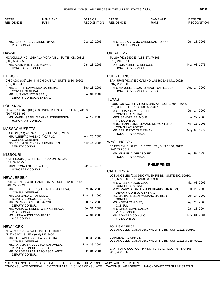| STATE*<br><b>RESIDENCE</b>                            | <b>NAME AND</b><br><b>RANK</b>                                            | DATE OF<br><b>RECOGNITION</b> | STATE*<br><b>RESIDENCE</b>                                  | NAME AND<br><b>RANK</b>                                       | DATE OF<br><b>RECOGNITION</b> |
|-------------------------------------------------------|---------------------------------------------------------------------------|-------------------------------|-------------------------------------------------------------|---------------------------------------------------------------|-------------------------------|
|                                                       |                                                                           |                               |                                                             |                                                               |                               |
| <b>VICE CONSUL</b>                                    | MS. ADRIANA L. VELARDE RIVAS,                                             | Dec. 20, 2005                 | DEPUTY CONSUL                                               | MR. ABEL ANTONIO CARDENAS TUPPIA,                             | Jun. 28, 2005                 |
| HAWAII                                                |                                                                           |                               | <b>OKLAHOMA</b>                                             |                                                               |                               |
| (808) 554-5858                                        | HONOLULU (HC) 1910 ALA MOANA BL., SUITE 40B, 96815.                       |                               | TULSA (HC) 2430 E. 41ST ST., 74105.<br>(918) 245-5911       |                                                               |                               |
| MR. ALVIN PHILIP, JR ADAMS,<br><b>HONORARY CONSUL</b> |                                                                           | Jan. 28, 2005                 | DR. LUIS ALBERTO REINOSO,<br><b>HONORARY CONSUL</b>         |                                                               | Nov. 03, 1971                 |
| <b>ILLINOIS</b>                                       |                                                                           |                               | PUERTO RICO                                                 |                                                               |                               |
| $(312) 853 - 6173$                                    | CHICAGO (CG) 180 N. MICHIGAN AV., SUITE 1830, 60601.                      |                               | (787) 283-6903                                              | SAN JUAN (HCG) E-2 CAMINO LAS ROSAS UN., 00926.               |                               |
| <b>CONSUL GENERAL</b>                                 | MR. EFRAIN SAAVEDRA BARRERA,                                              | Sep. 28, 2001                 |                                                             | MR. MANUEL AUGUSTO MAURTUA HELDEN,<br>HONORARY CONSUL GENERAL | Aug. 14, 2002                 |
| MR. LUIS VIVANCO BISBAL,                              |                                                                           | Jul. 01, 2004                 |                                                             |                                                               |                               |
|                                                       | DEPUTY CONSUL GENERAL                                                     |                               | <b>TEXAS</b>                                                |                                                               |                               |
| LOUISIANA                                             |                                                                           |                               | (713) 355-9571, FAX (713) 355-9377                          | HOUSTON (CG) 5177 RICHMOND AV., SUITE 695, 77056.             |                               |
| $(504)$ 523-6496                                      | NEW ORLEANS (HC) 2308 WORLD TRADE CENTER ., 70130.                        |                               | MR. EDUARDO V. RIVOLDI,<br><b>CONSUL GENERAL</b>            |                                                               | Jun. 24, 2002                 |
| HONORARY CONSUL                                       | MS. MARIA ISABEL O'BYRNE STEPHENSON,                                      | Jul. 19, 2000                 | MRS. SANDRA BELMONT,                                        |                                                               | Jul. 27, 2006                 |
|                                                       |                                                                           |                               | <b>VICE CONSUL</b>                                          | MRS. HANNIELISE ILLMANN DE MONTERO,                           | Apr. 25, 2005                 |
| <b>MASSACHUSETTS</b>                                  |                                                                           |                               | <b>CONSULAR AGENT</b><br>MR. BERNARDO TREISTMAN,            |                                                               | May. 03, 1979                 |
|                                                       | BOSTON (CG) 20 PARK PZ., SUITE 511, 02116.<br>MR. ALBERTO VALENCIA CARLO, | Apr. 25, 2005                 | <b>HONORARY CONSUL</b>                                      |                                                               |                               |
| <b>CONSUL GENERAL</b>                                 | MS. KARIM MILAGROS DURAND LAZO,                                           | Nov. 16, 2005                 | <b>WASHINGTON</b>                                           |                                                               |                               |
| <b>DEPUTY CONSUL</b>                                  |                                                                           |                               | (206) 714-9037                                              | SEATTLE (HC) 3717 N.E. 157TH ST., SUITE 100, 98155.           |                               |
| MISSOURI                                              |                                                                           |                               | MR. MIGUEL A. VELASQUEZ,                                    |                                                               | Apr. 09, 1998                 |
|                                                       | SAINT LOUIS (HC) 3 THE PRADO UN., 63124.                                  |                               | <b>HONORARY CONSUL</b>                                      |                                                               |                               |
| $(314)$ 991-1750<br>MRS. ROSA ANA SCHWARZ,            |                                                                           | Jan. 19, 1978                 |                                                             | <b>PHILIPPINES</b>                                            |                               |
| HONORARY CONSUL                                       |                                                                           |                               | <b>CALIFORNIA</b>                                           |                                                               |                               |
| NEW JERSEY                                            |                                                                           |                               |                                                             | LOS ANGELES (CG) 3600 WILSHIRE BL., SUITE 500, 90010.         |                               |
|                                                       | PATERSON (CG) 100 HAMILTON PZ., SUITE 1220, 07505.                        |                               | (213) 639-0980, FAX (213) 639-0990<br>MR. WILLY CALAUD GAA, |                                                               | Mar. 03, 2006                 |
| (201) 278-3324                                        | MR. FEDERICO ENRIQUE FREUNDT CUEVA,                                       | Dec. 07, 2005                 | <b>CONSUL GENERAL</b>                                       | MRS. MARY JO ANTONIA BERNARDO ARAGON,                         | Jul. 26, 2006                 |
| <b>CONSUL GENERAL</b><br>MR. GONZALO E. PAREDES,      |                                                                           | May. 13, 1999                 | DEPUTY CONSUL GENERAL                                       | MS. MARIA HELLEN MARIANO BARBER,                              | Jun. 24, 2003                 |
|                                                       | DEPUTY CONSUL GENERAL                                                     | Jul. 17, 2003                 | <b>CONSUL</b>                                               |                                                               | Apr. 20, 2006                 |
| MR. CARLOS ORTEGA GARCIA,<br>DEPUTY CONSUL            |                                                                           |                               | MS. NOEMI TAN DIAZ,<br><b>CONSUL</b>                        |                                                               |                               |
| <b>VICE CONSUL</b>                                    | MR. MARIANO ERNESTO LOPEZ BLACK,                                          | Jul. 31, 2003                 | MR. GINES JAIME GALLAGA,<br><b>VICE CONSUL</b>              |                                                               | Jan. 28, 2004                 |
| MS. KATIA ANGELES VARGAS,<br><b>VICE CONSUL</b>       |                                                                           | Jul. 31, 2003                 | MR. EDWARD CO YULO,<br><b>VICE CONSUL</b>                   |                                                               | Nov. 01, 2004                 |
| NEW YORK                                              |                                                                           |                               | <b>TOURISM OFFICE</b>                                       |                                                               |                               |
| (212) 481-7419, FAX (646) 735-3866                    | NEW YORK (CG) 241 E. 49TH ST., 10017.                                     |                               |                                                             | LOS ANGELES (CONA) 3660 WILSHIRE BL., SUITE 216, 90010.       |                               |
|                                                       | MR. HELI ADELFO PELAEZ CASTRO,                                            | Jul. 30, 2002                 | <b>COMMERCIAL OFFICE</b>                                    | LOS ANGELES (CONA) 3660 WILSHIRE BL., SUITE 216 & 218, 90010. |                               |
| CONSUL GENERAL                                        | MS. ANA MARIA DEUSTUA CARAVEDO,                                           | May. 25, 2001                 |                                                             |                                                               |                               |
| DEPUTY CONSUL                                         | DEPUTY CONSUL GENERAL<br>MR. JORGE EFRAIN LAZO ESCALANTE,                 | Jun. 04, 2004                 | (415) 433-6666                                              | SAN FRANCISCO (CG) 447 SUTTER ST., FLOOR 6TH, 94108.          |                               |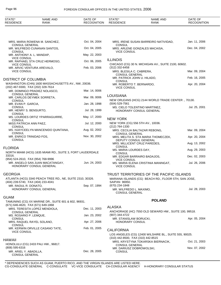| STATE*<br><b>RESIDENCE</b>                                                                                              | NAME AND<br><b>RANK</b>                              | DATE OF<br>RECOGNITION | STATE*<br><b>RESIDENCE</b>                                                              | NAME AND<br>RANK                                         | DATE OF<br><b>RECOGNITION</b> |  |
|-------------------------------------------------------------------------------------------------------------------------|------------------------------------------------------|------------------------|-----------------------------------------------------------------------------------------|----------------------------------------------------------|-------------------------------|--|
|                                                                                                                         |                                                      |                        |                                                                                         |                                                          |                               |  |
|                                                                                                                         | MRS. MARIA ROWENA M. SANCHEZ,                        | Oct. 04, 2004          |                                                                                         | MRS. IRENE SUSAN BARREIRO NATIVIDAD,                     | Jan. 11, 2006                 |  |
| <b>CONSUL GENERAL</b>                                                                                                   | MR. WILFREDO CUNANAN SANTOS,                         | Oct. 04, 2005          | <b>CONSUL</b>                                                                           | MRS. ARLENE GONZALES MACAISA,                            | Dec. 04, 2002                 |  |
| <b>CONSUL</b><br>MR. ANTHONY A. L. MANDAP,                                                                              |                                                      | May. 22, 2003          | <b>VICE CONSUL</b>                                                                      |                                                          |                               |  |
| <b>VICE CONSUL</b>                                                                                                      | MR. RAPHAEL STA CRUZ HERMOSO,                        | Oct. 06, 2005          | <b>ILLINOIS</b>                                                                         |                                                          |                               |  |
| <b>VICE CONSUL</b><br>MR. ARVIC VENTURA AREVALO,                                                                        |                                                      | Feb. 03, 2006          | $(312)$ 332-6458                                                                        | CHICAGO (CG) 30 N. MICHIGAN AV., SUITE 2100, 60602.      |                               |  |
| <b>VICE CONSUL</b>                                                                                                      |                                                      |                        | MRS. BLESILA C. CABRERA,<br><b>CONSUL GENERAL</b>                                       |                                                          | Mar. 09, 2004                 |  |
| DISTRICT OF COLUMBIA                                                                                                    |                                                      |                        | MR. PATRICK JOHN U. HILADO,<br><b>CONSUL</b>                                            |                                                          | Feb. 16, 2005                 |  |
| WASHINGTON (CHN) 1600 MASSACHUSETTS AV., NW, 20036.<br>(202) 467-9300, FAX (202) 328-7614                               |                                                      |                        | MR. ROBERTO T. BERNARDO,<br><b>VICE CONSUL</b>                                          |                                                          | Apr. 20, 2004                 |  |
| <b>CONSUL GENERAL</b>                                                                                                   | MR. DOMINGO PRADIEZ NOLASCO,                         | Mar. 14, 0006          |                                                                                         |                                                          |                               |  |
| <b>CONSUL</b>                                                                                                           | MR. CARLOS DEYMEK SORRETA,                           | Mar. 09, 0006          | <b>LOUISIANA</b>                                                                        | NEW ORLEANS (HCG) 2144 WORLD TRADE CENTER., 70130.       |                               |  |
| MR. EVAN P. GARCIA,                                                                                                     |                                                      | Jan. 28, 1998          | (504) 529-7561                                                                          |                                                          |                               |  |
| <b>CONSUL</b><br>MR. HENRY S. BENSURTO,                                                                                 |                                                      | Jul. 28, 1999          |                                                                                         | MS. CIELO TOLENTINO MARTINEZ,<br>HONORARY CONSUL GENERAL | Jul. 25, 2001                 |  |
| <b>CONSUL</b>                                                                                                           | MS. LOURDES ORTIZ YPARRAGUIRRE,                      | May. 17, 2000          | <b>NEW YORK</b>                                                                         |                                                          |                               |  |
| <b>CONSUL</b><br>MISS PATRICIA ANN PAEZ,                                                                                |                                                      | Jul. 12, 2000          | NEW YORK (CG) 556 5TH AV., 10036.                                                       |                                                          |                               |  |
| <b>CONSUL</b>                                                                                                           | MS. HJAYCEELYN MANCENIDO QUINTANA,                   | Aug. 02, 2002          | (212) 764-1330                                                                          | MRS. CECILIA BALTAZAR REBONG,                            | Mar. 09, 2004                 |  |
| <b>CONSUL</b><br>MR. ENRICO TRINIDAD FOS,                                                                               |                                                      | Nov. 30, 2002          | <b>CONSUL GENERAL</b>                                                                   | MRS. MELITA S. STA MARIA THOMECZEK,                      | Apr. 20, 2004                 |  |
| <b>CONSUL</b>                                                                                                           |                                                      |                        |                                                                                         | DEPUTY CONSUL GENERAL<br>MRS. MILLICENT CRUZ PAREDES,    | Aug. 13, 2002                 |  |
| FLORIDA                                                                                                                 |                                                      |                        | <b>CONSUL</b><br>MS. MARIA LOURDES DAY,                                                 |                                                          | Aug. 29, 2003                 |  |
| NORTH MIAMI (HCG) 1635 MIAMI RD., SUITE 3, FORT LAUDERDALE<br>33316.                                                    |                                                      |                        | <b>CONSUL</b>                                                                           | MR. EDGAR BARRAIRO BADAJOS,                              | Dec. 02, 2003                 |  |
| (954) 524-2610, FAX (954) 768-9996                                                                                      | MR. ANGELO SAN JUAN MACATANGAY,                      | Jun. 24, 2003          | <b>VICE CONSUL</b>                                                                      | MS. MARIA ELENA CRISTINIA MANINGAT,                      | Jul. 26, 2006                 |  |
|                                                                                                                         | HONORARY CONSUL GENERAL                              |                        | <b>VICE CONSUL</b>                                                                      |                                                          |                               |  |
| GEORGIA                                                                                                                 |                                                      |                        |                                                                                         | TRUST TERRITORIES OF THE PACIFIC ISLANDS                 |                               |  |
| ATLANTA (HCG) 3340 PEACH TREE RD., NE, SUITE 2310, 30326.<br>(404) 239-5740, FAX (404) 233-4041<br>MR. RAOUL R. DONATO, |                                                      |                        | MARIANA ISLANDS (CG) BEACH RD., FLOOR 5TH, SAN JOSE,<br>SAIPAN 96950.<br>(670) 234-1848 |                                                          |                               |  |
|                                                                                                                         | HONORARY CONSUL GENERAL                              | Sep. 07, 1994          | MR. WILFREDO L. MAXIMO,<br><b>CONSUL GENERAL</b>                                        |                                                          | Jul. 28, 2003                 |  |
| <b>GUAM</b>                                                                                                             |                                                      |                        |                                                                                         |                                                          |                               |  |
| (671) 646-4620, FAX (671) 649-1868                                                                                      | TAMUNING (CG) XX MARINE DR., SUITE 601 & 602, 96931. |                        |                                                                                         | <b>POLAND</b>                                            |                               |  |
|                                                                                                                         | MRS. TERESITA LOPEZ MENDIOLA,                        | Dec. 11, 2003          | <b>ALASKA</b>                                                                           |                                                          |                               |  |
| <b>CONSUL GENERAL</b><br>MS. ROSARIO P. LEMQUE,                                                                         |                                                      | Jan. 23, 2002          | (907) 344-4722                                                                          | ANCHORAGE (HC) 7550 OLD SEWARD HW., SUITE 100, 99518.    |                               |  |
| <b>CONSUL</b><br>MRS. RAQUEL RAYEL SOLANO,                                                                              |                                                      | Apr. 27, 2006          | MR. STANISLAW BORUCKI,<br><b>HONORARY CONSUL</b>                                        |                                                          | Apr. 05, 2004                 |  |
| CONSUL                                                                                                                  | MR. KERWIN ORVILLE CASANO TATE,                      | Feb. 01, 2005          |                                                                                         |                                                          |                               |  |
| <b>VICE CONSUL</b>                                                                                                      |                                                      |                        | <b>CALIFORNIA</b>                                                                       | LOS ANGELES (CG) 12400 WILSHIRE BL., SUITE 555, 90025.   |                               |  |
| HAWAII                                                                                                                  |                                                      |                        | (310) 442-8500, FAX (310) 442-8515                                                      | MRS. KRYSTYNA TOKARSKA BIERNACIK,                        | Oct. 21, 2003                 |  |
| (808) 595-6316                                                                                                          | HONOLULU (CG) 2433 PALI HW., 96817.                  |                        | <b>CONSUL GENERAL</b>                                                                   |                                                          | Nov. 07, 2002                 |  |
| MR. ARIEL Y. ABADILLA,<br><b>CONSUL GENERAL</b>                                                                         |                                                      | Dec. 28, 2005          | MR. DARIUSZ DOBROWOLSKI,<br><b>CONSUL</b>                                               |                                                          |                               |  |
|                                                                                                                         |                                                      |                        |                                                                                         |                                                          |                               |  |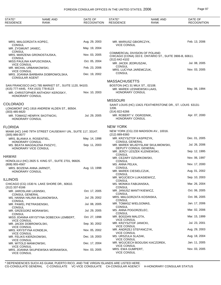| STATE*<br><b>RESIDENCE</b>                                                                | <b>NAME AND</b><br><b>RANK</b> | DATE OF<br><b>RECOGNITION</b> | STATE*<br><b>RESIDENCE</b>                                                                                 | NAME AND<br>RANK                 | DATE OF<br><b>RECOGNITION</b> |  |  |
|-------------------------------------------------------------------------------------------|--------------------------------|-------------------------------|------------------------------------------------------------------------------------------------------------|----------------------------------|-------------------------------|--|--|
|                                                                                           |                                |                               |                                                                                                            |                                  |                               |  |  |
| MRS. MALGORZATA KOPEC,<br><b>CONSUL</b>                                                   |                                | Aug. 29, 2003                 | MR. MARIUSZ GBIORCZYK,<br><b>VICE CONSUL</b>                                                               |                                  | Feb. 13, 2006                 |  |  |
| MR. ZYGMUNT JANIEC,                                                                       |                                | May. 19, 2004                 |                                                                                                            |                                  |                               |  |  |
| <b>CONSUL</b><br>MRS. MARZENA GRONOSTAJSKA,<br><b>CONSUL</b>                              |                                | Nov. 03, 2005                 | COMMERCIAL DIVISION OF POLAND<br>CHICAGO (CONA) 333 E. ONTARIO ST., SUITE 3906-B, 60611.<br>(312) 642-4102 |                                  |                               |  |  |
| MISS PAULINA KAPUSCINSKA,<br><b>VICE CONSUL</b>                                           |                                | Oct. 05, 2004                 | MR. JACEK JEDRUSZAK,                                                                                       |                                  | Jul. 08, 2005                 |  |  |
| MR. MICHAL URBANKOWSKI,                                                                   |                                | Feb. 23, 2006                 | <b>CONSUL</b><br>MRS. LUCYNA JAREMCZUK,                                                                    |                                  | Nov. 03, 2005                 |  |  |
| <b>VICE CONSUL</b><br>MRS. JOANNA BARBARA DOBROWOLSKA,                                    |                                | Dec. 19, 2002                 | <b>CONSUL</b>                                                                                              |                                  |                               |  |  |
| <b>CONSULAR AGENT</b>                                                                     |                                |                               | <b>MASSACHUSETTS</b>                                                                                       |                                  |                               |  |  |
| SAN FRANCISCO (HC) 785 MARKET ST., SUITE 1120, 94103.                                     |                                |                               | BOSTON (HC) 31 MILK ST., 02108.                                                                            |                                  |                               |  |  |
| (415) 777-4445, FAX (415) 778-8123<br>MR. CHRISTOPHER ANTHONY KEROSKY,<br>HONORARY CONSUL |                                | Nov. 10, 2003                 | MR. MAREK LESNIEWSKI-LAAS,<br>HONORARY CONSUL                                                              |                                  | May. 06, 1994                 |  |  |
|                                                                                           |                                |                               | <b>MISSOURI</b>                                                                                            |                                  |                               |  |  |
| <b>COLORADO</b><br>LONGMONT (HC) 1916 ANDREW ALDEN ST., 80504.                            |                                |                               | SAINT LOUIS (HC) 13421 FEATHERSTONE DR., ST. LOUIS 63131-<br>1206.                                         |                                  |                               |  |  |
| $(303)$ 485-6620                                                                          |                                |                               | (314) 822-6266                                                                                             |                                  |                               |  |  |
| MR. TOMASZ HENRYK SKOTNICKI,<br>HONORARY CONSUL                                           |                                | Jul. 29, 2005                 | MR. ROBERT V. OGRODNIK,<br><b>HONORARY CONSUL</b>                                                          |                                  | Apr. 07, 2000                 |  |  |
| <b>FLORIDA</b>                                                                            |                                |                               | <b>NEW YORK</b>                                                                                            |                                  |                               |  |  |
| MIAMI (HC) 1440 79TH STREET CAUSEWAY UN., SUITE 117, 33147.<br>$(305) 866 - 0077$         |                                |                               | NEW YORK (CG) 233 MADISON AV., 10016.<br>$(212) 889 - 8360$                                                |                                  |                               |  |  |
| MRS. BLANKA A. ROSENTIEL,                                                                 |                                | May. 14, 1998                 | MR. KRZYSZTOF KASPRZYK,<br><b>CONSUL GENERAL</b>                                                           |                                  | Dec. 01, 2005                 |  |  |
| HONORARY CONSUL<br>MS. BEATA MAGDALENA PASZYC,<br>HONORARY VICE CONSUL                    |                                | Sep. 11, 2003                 | DEPUTY CONSUL GENERAL                                                                                      | MR. MAREK WLADYSLAW SKULIMOWSKI, | Jul. 26, 2006                 |  |  |
|                                                                                           |                                |                               | MR. JERZY LESZEK KLENIEWSKI,<br><b>CONSUL</b>                                                              |                                  | Sep. 12, 1995                 |  |  |
| HAWAII                                                                                    |                                |                               | MR. CEZARY DZIURKOWSKI,                                                                                    |                                  | Nov. 06, 1997                 |  |  |
| HONOLULU (HC) 2825 S. KING ST., SUITE 2701, 96826.<br>(808) 955-4567                      |                                |                               | <b>CONSUL</b><br>MS. ANNA PELKA,                                                                           |                                  | Nov. 17, 2000                 |  |  |
| MRS. BOZENA ANNA JARNOT,<br>HONORARY CONSUL                                               |                                | Aug. 13, 1998                 | <b>CONSUL</b><br>MR. MAREK CIESIELCZUK,                                                                    |                                  | Aug. 01, 2002                 |  |  |
| <b>ILLINOIS</b>                                                                           |                                |                               | <b>CONSUL</b><br>MR. WOJCIECH LUKASIEWICZ,                                                                 |                                  | Sep. 10, 2003                 |  |  |
| CHICAGO (CG) 1530 N. LAKE SHORE DR., 60610.                                               |                                |                               | <b>CONSUL</b><br>MS. MONIKA FABIJANSKA,                                                                    |                                  | Mar. 26, 2004                 |  |  |
| (312) 337-8166<br>MR. JAROSLAW LASINSKI,                                                  |                                | Oct. 17, 2005                 | <b>CONSUL</b><br>MR. JANUSZ MANTYKIEWICZ,                                                                  |                                  | Oct. 06, 2005                 |  |  |
| <b>CONSUL GENERAL</b>                                                                     |                                |                               | <b>CONSUL</b>                                                                                              |                                  |                               |  |  |
| MS. HANNA HALINA BUJANOWSKA,<br>CONSUL                                                    |                                | Jul. 29, 2002                 | MRS. MALGORZATA KOSINSKA,<br>CONSUL                                                                        |                                  | Oct. 06, 2005                 |  |  |
| MR. PAWEL PIETRASIENSKI,<br><b>CONSUL</b>                                                 |                                | Jul. 08, 2005                 | MR. TOMASZ WIELGOMAS,<br>CONSUL                                                                            |                                  | Jan. 17, 2006                 |  |  |
| MR. GRZEGORZ MORAWSKI,<br><b>CONSUL</b>                                                   |                                | Jul. 29, 2005                 | MS. ANNA POGORZELEC,<br><b>CONSUL</b>                                                                      |                                  | Mar. 02, 2006                 |  |  |
| MISS JOANNA KRYSTYNA DOBECKA LEMBERT,                                                     |                                | Oct. 27, 1998                 | MR. BOGDAN MALOTA,<br><b>VICE CONSUL</b>                                                                   |                                  | Mar. 15, 1999                 |  |  |
| <b>VICE CONSUL</b><br>MR. JACEK DOBROWOLSKI,                                              |                                | Sep. 30, 2002                 | MR. KRZYSZTOF JANICKI,                                                                                     |                                  | Jul. 23, 2001                 |  |  |
| <b>VICE CONSUL</b><br>MRS. KRYSTYNA KONDEJA,                                              |                                | Nov. 05, 2002                 | <b>VICE CONSUL</b><br>MR. ANDRZEJ STEFANCZYK,                                                              |                                  | Aug. 29, 2003                 |  |  |
| <b>VICE CONSUL</b><br>MR. FELIKS KIERZKOWSKI,                                             |                                | Dec. 19, 2003                 | <b>VICE CONSUL</b><br>MS. URSZULA SLAZAK,                                                                  |                                  | Aug. 18, 2004                 |  |  |
| <b>VICE CONSUL</b><br>MR. WITOLD MANKOWSKI,                                               |                                | Dec. 17, 2004                 | <b>VICE CONSUL</b>                                                                                         | MR. WOJCIECH BOGUSKI KACZOREK,   | Jan. 11, 2005                 |  |  |
| <b>VICE CONSUL</b><br>MRS. JOANNA SKUPIEWSKA MORAWSKA,<br><b>VICE CONSUL</b>              |                                | Nov. 03, 2005                 | <b>VICE CONSUL</b><br>MRS. EWA GUMPERT,<br><b>VICE CONSUL</b>                                              |                                  | Nov. 03, 2005                 |  |  |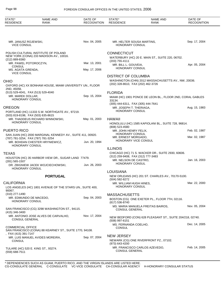| STATE*<br><b>RESIDENCE</b>                               | <b>NAME AND</b><br><b>RANK</b>                                                                                                     | DATE OF<br><b>RECOGNITION</b> | STATE*<br><b>RESIDENCE</b>                                     | <b>NAME AND</b><br>RANK                                    | DATE OF<br><b>RECOGNITION</b> |
|----------------------------------------------------------|------------------------------------------------------------------------------------------------------------------------------------|-------------------------------|----------------------------------------------------------------|------------------------------------------------------------|-------------------------------|
|                                                          |                                                                                                                                    |                               |                                                                |                                                            |                               |
| MR. JANUSZ ROJEWSKI,<br><b>VICE CONSUL</b>               |                                                                                                                                    | Nov. 04, 2005                 | MR. HELTER SOUSA MARTINS,<br>HONORARY CONSUL                   |                                                            | Sep. 17, 2004                 |
| (212) 889-8360                                           | POLISH CULTURAL INSTITUTE OF POLAND<br>NEW YORK (CONA) 233 MADISON AV., 10016.                                                     |                               | <b>CONNECTICUT</b>                                             | WATERBURY (HC) 20 E. MAIN ST., SUITE 220, 06702.           |                               |
|                                                          | MR. PAWEL POTOROCZYN,                                                                                                              | Mar. 13, 2001                 | (203) 755-4111<br>MR. BILL L. GOUVEIA,                         |                                                            | Apr. 05, 2004                 |
| <b>CONSUL</b><br>MS. AGATA GRENDA,<br><b>VICE CONSUL</b> |                                                                                                                                    | May. 17, 2006                 | HONORARY CONSUL                                                |                                                            |                               |
|                                                          |                                                                                                                                    |                               | <b>DISTRICT OF COLUMBIA</b>                                    |                                                            |                               |
| <b>OHIO</b><br>2ND, 45056.                               | OXFORD (HC) XX BONHAM HOUSE, MIAMI UNIVERSITY UN., FLOOR                                                                           |                               | (202) 328-8610, FAX (202) 462-3726                             | WASHINGTON (CHN) 2012 MASSACHUSETTS AV., NW, 20036.        |                               |
|                                                          | (513) 529-4041, FAX (513) 529-4040                                                                                                 |                               | <b>FLORIDA</b>                                                 |                                                            |                               |
| MR. MAREK DOLLAR,                                        | HONORARY CONSUL                                                                                                                    | Sep. 15, 2004                 | 33134.                                                         | MIAMI (HC) 1901 PONCE DE LEON BL., FLOOR 2ND, CORAL GABLES |                               |
| <b>OREGON</b>                                            |                                                                                                                                    |                               | (305) 444-6311, FAX (305) 444-7641<br>MR. JOSEPH T. THERIAGA.  |                                                            | Aug. 15, 1983                 |
|                                                          | PORTLAND (HC) 11333 S.W. NORTHGATE AV., 97219.<br>(503) 819-8198, FAX (503) 635-8615                                               |                               | HONORARY CONSUL                                                |                                                            |                               |
|                                                          | MR. THADDEUS RICHARD WINNOWSKI,                                                                                                    | May. 01, 2003                 | HAWAII                                                         |                                                            |                               |
|                                                          | HONORARY CONSUL                                                                                                                    |                               | (808) 523-4580                                                 | HONOLULU (HC) 1585 KAPIOLANI BL., SUITE 728, 96814.        |                               |
| <b>PUERTO RICO</b>                                       |                                                                                                                                    |                               | MR. JOHN HENRY FELIX,                                          |                                                            | Feb. 02, 1987                 |
|                                                          | SAN JUAN (HC) 2000 MARGINAL KENNEDY AV., SUITE 411, 00920.<br>(787) 781-3254, FAX (787) 781-3254<br>MR. BOHDAN CHESTER HRYNIEWICZ, | Jun. 20, 1994                 | HONORARY CONSUL<br>MR. ERNEST MORGADO,<br>HONORARY VICE CONSUL |                                                            | Mar. 02, 1987                 |
|                                                          | <b>HONORARY CONSUL</b>                                                                                                             |                               |                                                                |                                                            |                               |
|                                                          |                                                                                                                                    |                               | <b>ILLINOIS</b>                                                |                                                            |                               |
| <b>TEXAS</b>                                             | HOUSTON (HC) 35 HARBOR VIEW DR., SUGAR LAND 77479.                                                                                 |                               | (312) 259-9408, FAX (312) 777-3483                             | CHICAGO (HC) 71 S. WACKER DR., SUITE 2930, 60606.          |                               |
| $(281) 565 - 1507$                                       | DR. ZBIGNIEW JACEK WOJCIECHOWSKI,                                                                                                  | Jun. 26, 2003                 | MR. NELSON DE CASTRO.<br><b>HONORARY CONSUL</b>                |                                                            | Jan. 16, 2003                 |
|                                                          | <b>HONORARY CONSUL</b>                                                                                                             |                               | <b>LOUISIANA</b>                                               |                                                            |                               |
|                                                          | <b>PORTUGAL</b>                                                                                                                    |                               | (504) 582-8272                                                 | NEW ORLEANS (HC) 201 ST. CHARLES AV., 70170-5100.          |                               |
| <b>CALIFORNIA</b>                                        |                                                                                                                                    |                               | MR. WILLIAM HUGH HINES,                                        |                                                            | Mar. 22, 2000                 |
| 90067.                                                   | LOS ANGELES (HC) 1801 AVENUE OF THE STARS UN., SUITE 400,                                                                          |                               | HONORARY CONSUL                                                |                                                            |                               |
| (310) 277-1490                                           |                                                                                                                                    |                               | <b>MASSACHUSETTS</b>                                           |                                                            |                               |
|                                                          | MR. EDMUNDO DE MACEDO,<br><b>HONORARY CONSUL</b>                                                                                   | Sep. 04, 2003                 | (617) 536-8740                                                 | BOSTON (CG) ONE EXETER PL., FLOOR 7TH, 02116.              |                               |
| (415) 346-3400                                           | SAN FRANCISCO (CG) 3298 WASHINGTON ST., 94115.                                                                                     |                               | <b>CONSUL GENERAL</b>                                          | MS. MARIA MANUELA FREITAS BAIROS,                          | Nov. 05, 2004                 |
| <b>CONSUL GENERAL</b>                                    | MR. ANTONIO JOSE ALVES DE CARVALHO.                                                                                                | Nov. 17, 2004                 | $(508)$ 997-6151                                               | NEW BEDFORD (CON) 628 PLEASANT ST., SUITE 204/218, 02740.  |                               |
| <b>COMMERCIAL OFFICE</b>                                 | SAN FRANCISCO (CONA) 88 KEARNEY ST., SUITE 1770, 94108.                                                                            |                               | MS. FERNANDA COELHO,<br><b>CONSUL</b>                          |                                                            | Dec. 14, 2005                 |
| ,FAX (415) 391-7147<br><b>CONSUL</b>                     | MR. LUIS MANUEL AVIDES MOREIRA,                                                                                                    | Sep. 07, 2004                 | <b>NEW JERSEY</b>                                              | NEWARK (CG) ONE RIVERFRONT PZ., 07102.                     |                               |
|                                                          | TULARE (HC) 520 E. KING ST., 93274.                                                                                                |                               | (973) 643-4200<br><b>CONSUL GENERAL</b>                        | MR. FRANCISCO CARLOS AZEVEDO,                              | Feb. 14, 2005                 |
| (559) 688-7511                                           |                                                                                                                                    |                               |                                                                |                                                            |                               |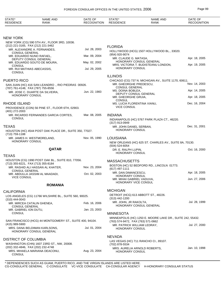| New York<br>NEW YORK (CG) 590 5TH AV., FLOOR 3RD, 10036.<br>(212) 221-3165, FAX (212) 221-3462<br><b>FLORIDA</b><br>Jul. 28, 2003<br>MR. ALEXANDRE A. FERNANDES,<br>HOLLYWOOD (HCG) 1507 HOLLYWOOD BL., 33020.<br><b>CONSUL GENERAL</b><br>(954) 920-9074<br>Mar. 09, 2004<br>MR. EDUARDO NUNO RAFAEL,<br>Apr. 18, 2005<br>MR. CLAUDE G. MATASA,<br>DEPUTY CONSUL GENERAL<br>HONORARY CONSUL GENERAL<br>May. 02, 2002<br>MR. EDUARDO SOUTO DE MOURA,<br>Apr. 19, 2005<br>MRS. VICTORIA T. BUDISTEANU LONDON,<br><b>CONSUL</b><br>HONORARY CONSUL<br>MR. RUI MATHIAS ABECASSIS,<br>Jul. 29, 2005<br><b>CONSUL</b><br><b>ILLINOIS</b><br>PUERTO RICO<br>CHICAGO (CG) 737 N. MICHIGAN AV., SUITE 1170, 60611.<br>MR. GHEORGHE PREDESCU,<br>Nov. 14, 2003<br>SAN JUAN (HC) 416 SAN LEANDRO., RIO PIEDRAS 00926.<br><b>CONSUL GENERAL</b><br>(787) 761-4148, FAX (787) 755-8556<br>Apr. 14, 2005<br>MS. DOINA BOBLEA,<br>Jun. 22, 1983<br>MR. JOSE C. DUARTE DA SILVEIRA,<br>DEPUTY CONSUL GENERAL<br>HONORARY CONSUL<br>Apr. 18, 2005<br>MR. GHEORGHE GRUIA,<br><b>CONSUL</b><br>RHODE ISLAND<br>Dec. 16, 2004<br>MS. LUCIA FLORENTINA VIANU,<br><b>VICE CONSUL</b><br>PROVIDENCE (CON) 56 PINE ST., FLOOR 6TH, 02903.<br>(401) 272-2003<br>Mar. 08, 2005<br><b>INDIANA</b><br>MR. RICARDO FERNANDES GARCIA CORTES.<br><b>CONSUL</b><br>INDIANAPOLIS (HC) 5767 PARK PLAZA CT., 46220.<br>(317) 913-0949<br>TEXAS<br>Dec. 31, 2001<br>MR. JOHN DANIEL SERBAN,<br><b>HONORARY CONSUL</b><br>HOUSTON (HC) 4544 POST OAK PLACE DR., SUITE 350, 77027.<br>(713) 759-1188<br><b>LOUISIANA</b><br>Nov. 05, 1990<br>MR. JAMES H. WESTMORELAND,<br><b>HONORARY CONSUL</b><br>NEW ORLEANS (HC) 625 ST. CHARLES AV., SUITE 8A, 70130.<br>$(504)$ 524-6054<br>QATAR<br>Oct. 16, 2000<br>DR. E. RALPH LUPIN,<br>HONORARY CONSUL<br>TEXAS<br>HOUSTON (CG) 1990 POST OAK BL., SUITE 810, 77056.<br><b>MASSACHUSETTS</b><br>(713) 355-8221, FAX (713) 355-8184<br>BOSTON (HC) 52 BEDFORD RD., LINCOLN 01773.<br>Nov. 23, 2004<br>MR. RASHID ALI HASSAN AL KHATER,<br>(617) 497-1111<br><b>CONSUL GENERAL</b><br>MR. DAN DIMANCESCU,<br>Apr. 18, 2005<br>Oct. 02, 2003<br>MR. ABDULLA JASSIM AL MAADADI,<br>HONORARY CONSUL<br><b>VICE CONSUL</b><br>MR. MIHAI GABRIEL VADUVA,<br>Jun. 27, 2006<br>HONORARY VICE CONSUL<br><b>ROMANIA</b><br><b>MICHIGAN</b><br>CALIFORNIA<br>DETROIT (HCG) 613 ABBOTT ST., 48226.<br>LOS ANGELES (CG) 11766 WILSHIRE BL., SUITE 560, 90025.<br>$(313)$ 442-1200<br>$(310)$ 444-0043<br>Jul. 28, 1999<br>MR. JOHN, JR RAKOLTA,<br>Feb. 16, 2006<br>MR. MIRCEA CATALIN GHENEA,<br>HONORARY CONSUL GENERAL<br><b>CONSUL GENERAL</b><br>Jan. 23, 2003<br>MR. GABRIEL ION DUTU,<br><b>CONSUL</b> | STATE*<br><b>RESIDENCE</b> | <b>NAME AND</b><br><b>RANK</b> | DATE OF<br><b>RECOGNITION</b> | STATE*<br><b>RESIDENCE</b> | <b>NAME AND</b><br><b>RANK</b> | DATE OF<br><b>RECOGNITION</b> |
|---------------------------------------------------------------------------------------------------------------------------------------------------------------------------------------------------------------------------------------------------------------------------------------------------------------------------------------------------------------------------------------------------------------------------------------------------------------------------------------------------------------------------------------------------------------------------------------------------------------------------------------------------------------------------------------------------------------------------------------------------------------------------------------------------------------------------------------------------------------------------------------------------------------------------------------------------------------------------------------------------------------------------------------------------------------------------------------------------------------------------------------------------------------------------------------------------------------------------------------------------------------------------------------------------------------------------------------------------------------------------------------------------------------------------------------------------------------------------------------------------------------------------------------------------------------------------------------------------------------------------------------------------------------------------------------------------------------------------------------------------------------------------------------------------------------------------------------------------------------------------------------------------------------------------------------------------------------------------------------------------------------------------------------------------------------------------------------------------------------------------------------------------------------------------------------------------------------------------------------------------------------------------------------------------------------------------------------------------------------------------------------------------------------------------------------------------------------------------------------------------------------------------------------------------------------------------------------------------------------------------------------------------------------------------------------------------------|----------------------------|--------------------------------|-------------------------------|----------------------------|--------------------------------|-------------------------------|
|                                                                                                                                                                                                                                                                                                                                                                                                                                                                                                                                                                                                                                                                                                                                                                                                                                                                                                                                                                                                                                                                                                                                                                                                                                                                                                                                                                                                                                                                                                                                                                                                                                                                                                                                                                                                                                                                                                                                                                                                                                                                                                                                                                                                                                                                                                                                                                                                                                                                                                                                                                                                                                                                                                         |                            |                                |                               |                            |                                |                               |
|                                                                                                                                                                                                                                                                                                                                                                                                                                                                                                                                                                                                                                                                                                                                                                                                                                                                                                                                                                                                                                                                                                                                                                                                                                                                                                                                                                                                                                                                                                                                                                                                                                                                                                                                                                                                                                                                                                                                                                                                                                                                                                                                                                                                                                                                                                                                                                                                                                                                                                                                                                                                                                                                                                         |                            |                                |                               |                            |                                |                               |
|                                                                                                                                                                                                                                                                                                                                                                                                                                                                                                                                                                                                                                                                                                                                                                                                                                                                                                                                                                                                                                                                                                                                                                                                                                                                                                                                                                                                                                                                                                                                                                                                                                                                                                                                                                                                                                                                                                                                                                                                                                                                                                                                                                                                                                                                                                                                                                                                                                                                                                                                                                                                                                                                                                         |                            |                                |                               |                            |                                |                               |
|                                                                                                                                                                                                                                                                                                                                                                                                                                                                                                                                                                                                                                                                                                                                                                                                                                                                                                                                                                                                                                                                                                                                                                                                                                                                                                                                                                                                                                                                                                                                                                                                                                                                                                                                                                                                                                                                                                                                                                                                                                                                                                                                                                                                                                                                                                                                                                                                                                                                                                                                                                                                                                                                                                         |                            |                                |                               |                            |                                |                               |
|                                                                                                                                                                                                                                                                                                                                                                                                                                                                                                                                                                                                                                                                                                                                                                                                                                                                                                                                                                                                                                                                                                                                                                                                                                                                                                                                                                                                                                                                                                                                                                                                                                                                                                                                                                                                                                                                                                                                                                                                                                                                                                                                                                                                                                                                                                                                                                                                                                                                                                                                                                                                                                                                                                         |                            |                                |                               |                            |                                |                               |
|                                                                                                                                                                                                                                                                                                                                                                                                                                                                                                                                                                                                                                                                                                                                                                                                                                                                                                                                                                                                                                                                                                                                                                                                                                                                                                                                                                                                                                                                                                                                                                                                                                                                                                                                                                                                                                                                                                                                                                                                                                                                                                                                                                                                                                                                                                                                                                                                                                                                                                                                                                                                                                                                                                         |                            |                                |                               |                            |                                |                               |
|                                                                                                                                                                                                                                                                                                                                                                                                                                                                                                                                                                                                                                                                                                                                                                                                                                                                                                                                                                                                                                                                                                                                                                                                                                                                                                                                                                                                                                                                                                                                                                                                                                                                                                                                                                                                                                                                                                                                                                                                                                                                                                                                                                                                                                                                                                                                                                                                                                                                                                                                                                                                                                                                                                         |                            |                                |                               |                            |                                |                               |
|                                                                                                                                                                                                                                                                                                                                                                                                                                                                                                                                                                                                                                                                                                                                                                                                                                                                                                                                                                                                                                                                                                                                                                                                                                                                                                                                                                                                                                                                                                                                                                                                                                                                                                                                                                                                                                                                                                                                                                                                                                                                                                                                                                                                                                                                                                                                                                                                                                                                                                                                                                                                                                                                                                         |                            |                                |                               |                            |                                |                               |
|                                                                                                                                                                                                                                                                                                                                                                                                                                                                                                                                                                                                                                                                                                                                                                                                                                                                                                                                                                                                                                                                                                                                                                                                                                                                                                                                                                                                                                                                                                                                                                                                                                                                                                                                                                                                                                                                                                                                                                                                                                                                                                                                                                                                                                                                                                                                                                                                                                                                                                                                                                                                                                                                                                         |                            |                                |                               |                            |                                |                               |
|                                                                                                                                                                                                                                                                                                                                                                                                                                                                                                                                                                                                                                                                                                                                                                                                                                                                                                                                                                                                                                                                                                                                                                                                                                                                                                                                                                                                                                                                                                                                                                                                                                                                                                                                                                                                                                                                                                                                                                                                                                                                                                                                                                                                                                                                                                                                                                                                                                                                                                                                                                                                                                                                                                         |                            |                                |                               |                            |                                |                               |
|                                                                                                                                                                                                                                                                                                                                                                                                                                                                                                                                                                                                                                                                                                                                                                                                                                                                                                                                                                                                                                                                                                                                                                                                                                                                                                                                                                                                                                                                                                                                                                                                                                                                                                                                                                                                                                                                                                                                                                                                                                                                                                                                                                                                                                                                                                                                                                                                                                                                                                                                                                                                                                                                                                         |                            |                                |                               |                            |                                |                               |
|                                                                                                                                                                                                                                                                                                                                                                                                                                                                                                                                                                                                                                                                                                                                                                                                                                                                                                                                                                                                                                                                                                                                                                                                                                                                                                                                                                                                                                                                                                                                                                                                                                                                                                                                                                                                                                                                                                                                                                                                                                                                                                                                                                                                                                                                                                                                                                                                                                                                                                                                                                                                                                                                                                         |                            |                                |                               |                            |                                |                               |
|                                                                                                                                                                                                                                                                                                                                                                                                                                                                                                                                                                                                                                                                                                                                                                                                                                                                                                                                                                                                                                                                                                                                                                                                                                                                                                                                                                                                                                                                                                                                                                                                                                                                                                                                                                                                                                                                                                                                                                                                                                                                                                                                                                                                                                                                                                                                                                                                                                                                                                                                                                                                                                                                                                         |                            |                                |                               |                            |                                |                               |
|                                                                                                                                                                                                                                                                                                                                                                                                                                                                                                                                                                                                                                                                                                                                                                                                                                                                                                                                                                                                                                                                                                                                                                                                                                                                                                                                                                                                                                                                                                                                                                                                                                                                                                                                                                                                                                                                                                                                                                                                                                                                                                                                                                                                                                                                                                                                                                                                                                                                                                                                                                                                                                                                                                         |                            |                                |                               |                            |                                |                               |
|                                                                                                                                                                                                                                                                                                                                                                                                                                                                                                                                                                                                                                                                                                                                                                                                                                                                                                                                                                                                                                                                                                                                                                                                                                                                                                                                                                                                                                                                                                                                                                                                                                                                                                                                                                                                                                                                                                                                                                                                                                                                                                                                                                                                                                                                                                                                                                                                                                                                                                                                                                                                                                                                                                         |                            |                                |                               |                            |                                |                               |
|                                                                                                                                                                                                                                                                                                                                                                                                                                                                                                                                                                                                                                                                                                                                                                                                                                                                                                                                                                                                                                                                                                                                                                                                                                                                                                                                                                                                                                                                                                                                                                                                                                                                                                                                                                                                                                                                                                                                                                                                                                                                                                                                                                                                                                                                                                                                                                                                                                                                                                                                                                                                                                                                                                         |                            |                                |                               |                            |                                |                               |
|                                                                                                                                                                                                                                                                                                                                                                                                                                                                                                                                                                                                                                                                                                                                                                                                                                                                                                                                                                                                                                                                                                                                                                                                                                                                                                                                                                                                                                                                                                                                                                                                                                                                                                                                                                                                                                                                                                                                                                                                                                                                                                                                                                                                                                                                                                                                                                                                                                                                                                                                                                                                                                                                                                         |                            |                                |                               |                            |                                |                               |
|                                                                                                                                                                                                                                                                                                                                                                                                                                                                                                                                                                                                                                                                                                                                                                                                                                                                                                                                                                                                                                                                                                                                                                                                                                                                                                                                                                                                                                                                                                                                                                                                                                                                                                                                                                                                                                                                                                                                                                                                                                                                                                                                                                                                                                                                                                                                                                                                                                                                                                                                                                                                                                                                                                         |                            |                                |                               |                            |                                |                               |
|                                                                                                                                                                                                                                                                                                                                                                                                                                                                                                                                                                                                                                                                                                                                                                                                                                                                                                                                                                                                                                                                                                                                                                                                                                                                                                                                                                                                                                                                                                                                                                                                                                                                                                                                                                                                                                                                                                                                                                                                                                                                                                                                                                                                                                                                                                                                                                                                                                                                                                                                                                                                                                                                                                         |                            |                                |                               |                            |                                |                               |
|                                                                                                                                                                                                                                                                                                                                                                                                                                                                                                                                                                                                                                                                                                                                                                                                                                                                                                                                                                                                                                                                                                                                                                                                                                                                                                                                                                                                                                                                                                                                                                                                                                                                                                                                                                                                                                                                                                                                                                                                                                                                                                                                                                                                                                                                                                                                                                                                                                                                                                                                                                                                                                                                                                         |                            |                                |                               |                            |                                |                               |
|                                                                                                                                                                                                                                                                                                                                                                                                                                                                                                                                                                                                                                                                                                                                                                                                                                                                                                                                                                                                                                                                                                                                                                                                                                                                                                                                                                                                                                                                                                                                                                                                                                                                                                                                                                                                                                                                                                                                                                                                                                                                                                                                                                                                                                                                                                                                                                                                                                                                                                                                                                                                                                                                                                         |                            |                                |                               |                            |                                |                               |
|                                                                                                                                                                                                                                                                                                                                                                                                                                                                                                                                                                                                                                                                                                                                                                                                                                                                                                                                                                                                                                                                                                                                                                                                                                                                                                                                                                                                                                                                                                                                                                                                                                                                                                                                                                                                                                                                                                                                                                                                                                                                                                                                                                                                                                                                                                                                                                                                                                                                                                                                                                                                                                                                                                         |                            |                                |                               |                            |                                |                               |
|                                                                                                                                                                                                                                                                                                                                                                                                                                                                                                                                                                                                                                                                                                                                                                                                                                                                                                                                                                                                                                                                                                                                                                                                                                                                                                                                                                                                                                                                                                                                                                                                                                                                                                                                                                                                                                                                                                                                                                                                                                                                                                                                                                                                                                                                                                                                                                                                                                                                                                                                                                                                                                                                                                         |                            |                                |                               |                            |                                |                               |
|                                                                                                                                                                                                                                                                                                                                                                                                                                                                                                                                                                                                                                                                                                                                                                                                                                                                                                                                                                                                                                                                                                                                                                                                                                                                                                                                                                                                                                                                                                                                                                                                                                                                                                                                                                                                                                                                                                                                                                                                                                                                                                                                                                                                                                                                                                                                                                                                                                                                                                                                                                                                                                                                                                         |                            |                                |                               |                            |                                |                               |
|                                                                                                                                                                                                                                                                                                                                                                                                                                                                                                                                                                                                                                                                                                                                                                                                                                                                                                                                                                                                                                                                                                                                                                                                                                                                                                                                                                                                                                                                                                                                                                                                                                                                                                                                                                                                                                                                                                                                                                                                                                                                                                                                                                                                                                                                                                                                                                                                                                                                                                                                                                                                                                                                                                         |                            |                                |                               |                            |                                |                               |
|                                                                                                                                                                                                                                                                                                                                                                                                                                                                                                                                                                                                                                                                                                                                                                                                                                                                                                                                                                                                                                                                                                                                                                                                                                                                                                                                                                                                                                                                                                                                                                                                                                                                                                                                                                                                                                                                                                                                                                                                                                                                                                                                                                                                                                                                                                                                                                                                                                                                                                                                                                                                                                                                                                         |                            |                                |                               |                            |                                |                               |
|                                                                                                                                                                                                                                                                                                                                                                                                                                                                                                                                                                                                                                                                                                                                                                                                                                                                                                                                                                                                                                                                                                                                                                                                                                                                                                                                                                                                                                                                                                                                                                                                                                                                                                                                                                                                                                                                                                                                                                                                                                                                                                                                                                                                                                                                                                                                                                                                                                                                                                                                                                                                                                                                                                         |                            |                                |                               |                            |                                |                               |
|                                                                                                                                                                                                                                                                                                                                                                                                                                                                                                                                                                                                                                                                                                                                                                                                                                                                                                                                                                                                                                                                                                                                                                                                                                                                                                                                                                                                                                                                                                                                                                                                                                                                                                                                                                                                                                                                                                                                                                                                                                                                                                                                                                                                                                                                                                                                                                                                                                                                                                                                                                                                                                                                                                         |                            |                                |                               |                            |                                |                               |
|                                                                                                                                                                                                                                                                                                                                                                                                                                                                                                                                                                                                                                                                                                                                                                                                                                                                                                                                                                                                                                                                                                                                                                                                                                                                                                                                                                                                                                                                                                                                                                                                                                                                                                                                                                                                                                                                                                                                                                                                                                                                                                                                                                                                                                                                                                                                                                                                                                                                                                                                                                                                                                                                                                         |                            |                                |                               |                            |                                |                               |
|                                                                                                                                                                                                                                                                                                                                                                                                                                                                                                                                                                                                                                                                                                                                                                                                                                                                                                                                                                                                                                                                                                                                                                                                                                                                                                                                                                                                                                                                                                                                                                                                                                                                                                                                                                                                                                                                                                                                                                                                                                                                                                                                                                                                                                                                                                                                                                                                                                                                                                                                                                                                                                                                                                         |                            |                                |                               |                            |                                |                               |
|                                                                                                                                                                                                                                                                                                                                                                                                                                                                                                                                                                                                                                                                                                                                                                                                                                                                                                                                                                                                                                                                                                                                                                                                                                                                                                                                                                                                                                                                                                                                                                                                                                                                                                                                                                                                                                                                                                                                                                                                                                                                                                                                                                                                                                                                                                                                                                                                                                                                                                                                                                                                                                                                                                         |                            |                                |                               |                            |                                |                               |
|                                                                                                                                                                                                                                                                                                                                                                                                                                                                                                                                                                                                                                                                                                                                                                                                                                                                                                                                                                                                                                                                                                                                                                                                                                                                                                                                                                                                                                                                                                                                                                                                                                                                                                                                                                                                                                                                                                                                                                                                                                                                                                                                                                                                                                                                                                                                                                                                                                                                                                                                                                                                                                                                                                         |                            |                                |                               | <b>MINNESOTA</b>           |                                |                               |
| MINNEAPOLIS (HC) 1250 E. MOORE LAKE DR., SUITE 242, 55432.<br>SAN FRANCISCO (HCG) 44 MONTGOMERY ST., SUITE 400, 94104.<br>(763) 574-9472, FAX (763) 571-0662                                                                                                                                                                                                                                                                                                                                                                                                                                                                                                                                                                                                                                                                                                                                                                                                                                                                                                                                                                                                                                                                                                                                                                                                                                                                                                                                                                                                                                                                                                                                                                                                                                                                                                                                                                                                                                                                                                                                                                                                                                                                                                                                                                                                                                                                                                                                                                                                                                                                                                                                            |                            |                                |                               |                            |                                |                               |
| (415) 989-5900<br>Jul. 27, 2000<br>MR. PATRICK WILLIAM LEDRAY,<br>Jul. 01, 2004<br>MRS. DANA BELDIMAN KARLSONS,                                                                                                                                                                                                                                                                                                                                                                                                                                                                                                                                                                                                                                                                                                                                                                                                                                                                                                                                                                                                                                                                                                                                                                                                                                                                                                                                                                                                                                                                                                                                                                                                                                                                                                                                                                                                                                                                                                                                                                                                                                                                                                                                                                                                                                                                                                                                                                                                                                                                                                                                                                                         |                            |                                |                               |                            |                                |                               |
| HONORARY CONSUL<br>HONORARY CONSUL GENERAL                                                                                                                                                                                                                                                                                                                                                                                                                                                                                                                                                                                                                                                                                                                                                                                                                                                                                                                                                                                                                                                                                                                                                                                                                                                                                                                                                                                                                                                                                                                                                                                                                                                                                                                                                                                                                                                                                                                                                                                                                                                                                                                                                                                                                                                                                                                                                                                                                                                                                                                                                                                                                                                              |                            |                                |                               |                            |                                |                               |
| <b>NEVADA</b><br><b>DISTRICT OF COLUMBIA</b>                                                                                                                                                                                                                                                                                                                                                                                                                                                                                                                                                                                                                                                                                                                                                                                                                                                                                                                                                                                                                                                                                                                                                                                                                                                                                                                                                                                                                                                                                                                                                                                                                                                                                                                                                                                                                                                                                                                                                                                                                                                                                                                                                                                                                                                                                                                                                                                                                                                                                                                                                                                                                                                            |                            |                                |                               |                            |                                |                               |
| LAS VEGAS (HC) 711 RANCHO CI., 89107.<br>WASHINGTON (CHN) 1607 23RD ST., NW, 20008.<br>(702) 878-5534                                                                                                                                                                                                                                                                                                                                                                                                                                                                                                                                                                                                                                                                                                                                                                                                                                                                                                                                                                                                                                                                                                                                                                                                                                                                                                                                                                                                                                                                                                                                                                                                                                                                                                                                                                                                                                                                                                                                                                                                                                                                                                                                                                                                                                                                                                                                                                                                                                                                                                                                                                                                   |                            |                                |                               |                            |                                |                               |
| (202) 332-4846, FAX (202) 232-4748<br>Jan. 10, 1998<br>MRS. AURELIA ARNOLD ROBERTS,                                                                                                                                                                                                                                                                                                                                                                                                                                                                                                                                                                                                                                                                                                                                                                                                                                                                                                                                                                                                                                                                                                                                                                                                                                                                                                                                                                                                                                                                                                                                                                                                                                                                                                                                                                                                                                                                                                                                                                                                                                                                                                                                                                                                                                                                                                                                                                                                                                                                                                                                                                                                                     |                            |                                |                               |                            |                                |                               |
| MRS. MIHAELA MARIANA DEACONU,<br>Aug. 23, 2004<br>HONORARY CONSUL<br><b>CONSUL</b>                                                                                                                                                                                                                                                                                                                                                                                                                                                                                                                                                                                                                                                                                                                                                                                                                                                                                                                                                                                                                                                                                                                                                                                                                                                                                                                                                                                                                                                                                                                                                                                                                                                                                                                                                                                                                                                                                                                                                                                                                                                                                                                                                                                                                                                                                                                                                                                                                                                                                                                                                                                                                      |                            |                                |                               |                            |                                |                               |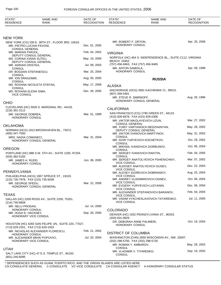| STATE*<br><b>RESIDENCE</b>                   | <b>NAME AND</b><br><b>RANK</b>                                                            | DATE OF<br><b>RECOGNITION</b> | STATE*<br><b>RESIDENCE</b>                                  | <b>NAME AND</b><br>RANK                                              | DATE OF<br><b>RECOGNITION</b> |
|----------------------------------------------|-------------------------------------------------------------------------------------------|-------------------------------|-------------------------------------------------------------|----------------------------------------------------------------------|-------------------------------|
| <b>NEW YORK</b>                              |                                                                                           |                               |                                                             |                                                                      |                               |
|                                              | NEW YORK (CG) 200 E. 38TH ST., FLOOR 3RD, 10016.<br>MR. PIETRO LUCIAN PAVONI,             | Dec. 01, 2005                 | MR. ROBERT F. ORTON,<br><b>HONORARY CONSUL</b>              |                                                                      | Apr. 25, 2006                 |
| <b>CONSUL GENERAL</b><br>MR. MARIAN PARJOL,  |                                                                                           | Feb. 04, 2002                 | <b>VIRGINIA</b>                                             |                                                                      |                               |
| MS. CORINA IOANA SUTEU,                      | DEPUTY CONSUL GENERAL                                                                     | May. 19, 2006                 |                                                             | NORFOLK (HC) 464 S. INDEPENDENCE BL., SUITE C112, VIRGINIA           |                               |
| MR. ADRIAN CRISTEA,                          | DEPUTY CONSUL GENERAL                                                                     | Jul. 09, 2003                 | <b>BEACH 23452.</b><br>(757) 456-9463, FAX (757) 456-9465   |                                                                      |                               |
| <b>CONSUL</b>                                | DR. BOGDAN STEFANESCU,                                                                    | Mar. 25, 2004                 | MR. ANTON SAMOILA,<br>HONORARY CONSUL                       |                                                                      | Apr. 09, 1999                 |
| <b>CONSUL</b><br>MR. ION DRAGOMIR,           |                                                                                           | Aug. 05, 2005                 |                                                             |                                                                      |                               |
| <b>CONSUL</b>                                |                                                                                           |                               |                                                             | <b>RUSSIA</b>                                                        |                               |
| <b>CONSUL</b>                                | MS. ROXANA NICOLETA STEFAN,                                                               | May. 17, 2006                 | <b>ALASKA</b>                                               |                                                                      |                               |
| MS. ROXANA ELENA SIMA,<br><b>VICE CONSUL</b> |                                                                                           | Dec. 28, 2005                 | (907) 349-5481<br>MR. STEVE R. SMIRNOFF,                    | ANCHORAGE (HCG) 3581 KACHEMAK CI., 99515.<br>HONORARY CONSUL GENERAL | Aug. 26, 1996                 |
| <b>OHIO</b>                                  |                                                                                           |                               |                                                             |                                                                      |                               |
| (216) 391-3112                               | CLEVELAND (HC) 5500 S. MARGINAL RD., 44103.                                               |                               | <b>CALIFORNIA</b>                                           |                                                                      |                               |
| MR. GEORGE DOBREA.<br><b>HONORARY CONSUL</b> |                                                                                           | Mar. 01, 1999                 | (415) 928-6878, FAX (415) 929-0306                          | SAN FRANCISCO (CG) 2790 GREEN ST., 94123.                            |                               |
|                                              |                                                                                           |                               | <b>CONSUL GENERAL</b>                                       | MR. VIKTOR NIKOLAYEVICH LIZUN,                                       | Mar. 27, 2002                 |
| <b>OKLAHOMA</b>                              | NORMAN (HCG) 1913 BROOKHAVEN BL., 73072.                                                  |                               |                                                             | MR. YURIY VARTANOICH BEDZHANYAN,                                     | May. 28, 2002                 |
| (405) 447-7500                               |                                                                                           |                               | DEPUTY CONSUL GENERAL                                       | MR. VIKTOR IVANOVICH MARTYNOV,                                       | May. 31, 2002                 |
| MRS. NADIA COMANECI,                         | HONORARY CONSUL GENERAL                                                                   | Mar. 31, 2004                 | CONSUL                                                      | MR. IGOR YURYEVICH KOCHETKOV,                                        | Oct. 29, 2002                 |
| OREGON                                       |                                                                                           |                               | CONSUL                                                      | MR. MIKHAIL IVANOVICH GORBUNOV,                                      | Oct. 06, 2004                 |
|                                              | PORTLAND (HC) 888 S.W. 5TH AV., SUITE 1200, 97204.                                        |                               | <b>CONSUL</b>                                               | MR. SERGEY IVANOVICH RAKITIN,                                        | Feb. 04, 2005                 |
| (503) 382-5165<br>MR. JAMES H. RUDD,         |                                                                                           | Jun. 08, 2005                 | CONSUL                                                      | MR. SERGEY ANATOLYEVICH PSHENICHNIY,                                 | Mar. 07, 2002                 |
| HONORARY CONSUL                              |                                                                                           |                               | <b>VICE CONSUL</b>                                          | MR. ALEKSEY ANATOLYEVICH GUSEV,                                      | Dec. 22, 2003                 |
| PENNSYLVANIA                                 |                                                                                           |                               | <b>VICE CONSUL</b>                                          | MR. ALEXEY IGOREVICH DOBRINSKIY,                                     | Aug. 25, 2004                 |
|                                              | PHILADELPHIA (HCG) 1907 SPRUCE ST., 19103.                                                |                               | <b>VICE CONSUL</b>                                          |                                                                      |                               |
| MR. GEORGE SFEDU,                            | (215) 735-7978, FAX (215) 735-9209                                                        | Mar. 22, 2006                 | <b>VICE CONSUL</b>                                          | MR. ANDREY VLADIMIROVICH OGNEV,                                      | Oct. 06, 2004                 |
|                                              | HONORARY CONSUL GENERAL                                                                   |                               | <b>VICE CONSUL</b>                                          | MR. EVGENY YURYEVICH LUZYANIN,                                       | Dec. 08, 2004                 |
| <b>TEXAS</b>                                 |                                                                                           |                               | <b>VICE CONSUL</b>                                          | MR. ALEXANDER STEPANOVICH BARANOV,                                   | Feb. 04, 2005                 |
|                                              | DALLAS (HC) 2200 ROSS AV., SUITE 2200, 75201.                                             |                               |                                                             | MR. VADIM VYACHESLAVOVICH TATARENKO,                                 | Jul. 11, 2005                 |
| (214) 740-8608<br>MR. NELU PRODAN,           |                                                                                           | Jul. 14, 2000                 | <b>VICE CONSUL</b>                                          |                                                                      |                               |
| HONORARY CONSUL                              |                                                                                           | Sep. 26, 2000                 | <b>COLORADO</b>                                             |                                                                      |                               |
| MR. HUGH E. HACKNEY,                         | HONORARY VICE CONSUL                                                                      |                               | (303) 831-0829                                              | DENVER (HC) 1552 PENNSYLVANIA ST., 80203.                            |                               |
|                                              | HOUSTON (HC) 4265 SAN FELIPE UN., SUITE 220, 77027.<br>(713) 629-1551, FAX (713) 629-1553 |                               | DR. DEBORAH ANNE PALMIERI,<br><b>HONORARY CONSUL</b>        |                                                                      | Oct. 19, 2004                 |
| HONORARY CONSUL                              | MR. NICHOLAS ALEXANDER FLORESCU,                                                          | Feb. 21, 2002                 | <b>DISTRICT OF COLUMBIA</b>                                 |                                                                      |                               |
|                                              | MR. ALEXANDER MIHAI POPOVICI,                                                             | Jul. 20, 2004                 |                                                             | WASHINGTON (CHN) 2650 WISCONSIN AV., NW, 20007.                      |                               |
|                                              | HONORARY VICE CONSUL                                                                      |                               | (202) 298-5700, FAX (202) 298-5735<br>MR. ROMAN Y. AMBAROV, |                                                                      | May. 28, 2002                 |
| <b>UTAH</b>                                  |                                                                                           |                               | CONSUL<br>MR. VLADIMIR V. TITARENKO,                        |                                                                      | Sep. 19, 2002                 |
| (801) 240-6095                               | SALT LAKE CITY (HC) 47 E.S. TEMPLE ST., 84150.                                            |                               | <b>CONSUL</b>                                               |                                                                      |                               |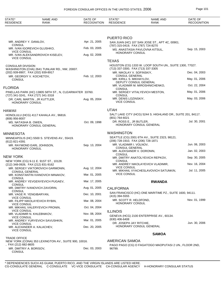| STATE*<br><b>RESIDENCE</b>                            | <b>NAME AND</b><br><b>RANK</b>                          | DATE OF<br><b>RECOGNITION</b> | STATE*<br><b>RESIDENCE</b>                                    | NAME AND<br><b>RANK</b>                                      | DATE OF<br><b>RECOGNITION</b> |
|-------------------------------------------------------|---------------------------------------------------------|-------------------------------|---------------------------------------------------------------|--------------------------------------------------------------|-------------------------------|
|                                                       |                                                         |                               |                                                               |                                                              |                               |
|                                                       |                                                         |                               | PUERTO RICO                                                   |                                                              |                               |
| MR. ANDREY Y. DANILOV.<br><b>CONSUL</b>               |                                                         | Apr. 21, 2005                 | (787) 315-0419, FAX (787) 724-8270                            | SAN JUAN (HC) 107 SAN JOSE ST., APT 4C, 00901.               |                               |
|                                                       | MR. IVAN IGOREVICH GLUSHKO,                             | Feb. 03, 2005                 |                                                               | MS. ANASTASIA PAVLOVNA KITSUL,                               | Sep. 15, 2003                 |
| <b>VICE CONSUL</b><br><b>VICE CONSUL</b>              | MR. IVAN ALEKSANDROVICH KISELEV,                        | Aug. 02, 2006                 | HONORARY CONSUL                                               |                                                              |                               |
|                                                       |                                                         |                               | <b>TEXAS</b>                                                  |                                                              |                               |
| <b>CONSULAR DIVISION</b>                              |                                                         |                               | (713) 337-3300, FAX (713) 337-3305                            | HOUSTON (CG) 1333 W. LOOP SOUTH UN., SUITE 1300, 77027.      |                               |
| (202) 939-8907, FAX (202) 939-8917                    | WASHINGTON (CHA) 2641 TUNLAW RD., NW, 20007.            |                               | MR. NIKOLAY V. SOFINSKIY,                                     |                                                              | Dec. 04, 2003                 |
| MR. GEORGIY V. KOCHETOV,<br><b>CONSUL</b>             |                                                         | Feb. 12, 2003                 | <b>CONSUL GENERAL</b><br>MR. KIRILL S. MIKHAYLOV,             |                                                              | May. 01, 2006                 |
| <b>FLORIDA</b>                                        |                                                         |                               |                                                               | DEPUTY CONSUL GENERAL<br>MR. VLADIMIR M. MIROSHNICHENKO,     | Oct. 22, 2004                 |
|                                                       | PINELLAS PARK (HC) 13805 58TH ST., N, CLEARWATER 33760. |                               | <b>CONSUL</b>                                                 | MR. SERGEY VITALYEVICH MESTON,                               | May. 01, 2006                 |
| (727) 341-3241, FAX (727) 341-3318<br>HONORARY CONSUL | DR. CARL MARTIN, JR KUTTLER,                            | Aug. 05, 2004                 | <b>CONSUL</b><br>MR. DENIS LOZINSKIY,<br><b>VICE CONSUL</b>   |                                                              | May. 03, 2006                 |
| HAWAII                                                |                                                         |                               | <b>UTAH</b>                                                   |                                                              |                               |
|                                                       | HONOLULU (HCG) 4117 KAHALA AV., 96816.                  |                               | (801) 764-6021                                                | SALT LAKE CITY (HCG) 5244 S. HIGHLAND DR., SUITE 201, 84117. |                               |
| $(808)$ 956-8007<br>MS. NATASHA B. OWEN,              |                                                         | Oct. 09, 1998                 | DR. ROSS E., JR BUTLER,                                       |                                                              | Jul. 30, 2001                 |
|                                                       | HONORARY CONSUL GENERAL                                 |                               |                                                               | HONORARY CONSUL GENERAL                                      |                               |
| <b>MINNESOTA</b>                                      |                                                         |                               | <b>WASHINGTON</b>                                             |                                                              |                               |
|                                                       | MINNEAPOLIS (HC) 5500 S. STEVENS AV., 55419.            |                               |                                                               | SEATTLE (CG) 2001 6TH AV., SUITE 2323, 98121.                |                               |
| (612) 821-4391                                        | MR. RAYMOND EARL JOHNSON,                               | Sep. 13, 2004                 | (206) 728-1910, FAX (206) 728-1871<br>MR. VLADIMIR I. VOLNOV, |                                                              | Jun. 06, 2003                 |
| HONORARY CONSUL                                       |                                                         |                               | <b>CONSUL GENERAL</b>                                         |                                                              |                               |
|                                                       |                                                         |                               | MR. ALEKSANDR V. DORONIN,<br><b>CONSUL</b>                    |                                                              | Jan. 02, 2003                 |
| NEW YORK                                              | NEW YORK (CG) 9-11 E. 91ST ST., 10128.                  |                               | <b>CONSUL</b>                                                 | MR. DMITRY ANATOLYEVICH REPKOV,                              | Sep. 30, 2005                 |
| (212) 348-0926, FAX (212) 831-9162                    |                                                         |                               |                                                               | MR. ANDREY NIKOLAYEVICH VLADIMIR,                            | Nov. 16, 2004                 |
|                                                       | MR. SERGEY VIKTOROVICH GARMONIN,                        | Aug. 12, 2004                 | <b>VICE CONSUL</b>                                            | MR. MIKHAIL VYACHESLAVOVICH SATUNKIN,                        | Jul. 11, 2005                 |
| <b>CONSUL GENERAL</b><br><b>CONSUL</b>                | MR. KONSTANTIN IVANOVICH MINAKOV,                       | Mar. 01, 2005                 | <b>VICE CONSUL</b>                                            |                                                              |                               |
| <b>CONSUL</b>                                         | MR. ANDREY YEVGENYEVICH PUGAEV,                         | Mar. 17, 2005                 |                                                               | <b>RWANDA</b>                                                |                               |
| <b>CONSUL</b>                                         | MR. DMITRY IVANOVICH ZAVORIN,                           | Aug. 01, 2005                 | <b>CALIFORNIA</b>                                             |                                                              |                               |
| MR. VAGE R. YENGIBARYAN,                              |                                                         | Dec. 10, 2001                 | (415) 394-5555                                                | SAN FRANCISCO (HC) ONE MARITIME PZ., SUITE 1600, 94111.      |                               |
| <b>VICE CONSUL</b><br><b>VICE CONSUL</b>              | MR. FILIPP NIKOLAYEVICH RYBIN,                          | Mar. 08, 2004                 | MR. SCOTT R. HELDFOND,<br>HONORARY CONSUL                     |                                                              | Nov. 01, 1999                 |
|                                                       | MR. MIKHAIL VALERYEVICH PRONIN,                         | Oct. 04, 2004                 |                                                               |                                                              |                               |
| <b>VICE CONSUL</b>                                    | MR. VLADIMIR N. KHLEBNIKOV,                             | Nov. 08, 2004                 | <b>ILLINOIS</b>                                               | GENEVA (HCG) 2100 ENTERPRISE AV., 60134.                     |                               |
| <b>VICE CONSUL</b>                                    | MR. ANDREY YURYEVICH SAVUSHKIN,                         | Mar. 01, 2005                 | (630) 406-6408<br>DR. JOSEPH JAY RITCHIE,                     |                                                              | Jun. 30, 2006                 |
| <b>VICE CONSUL</b>                                    | MR. ALEXANDER A. KALACHEV,                              | Dec. 20, 2005                 |                                                               | HONORARY CONSUL GENERAL                                      |                               |
| <b>VICE CONSUL</b>                                    |                                                         |                               |                                                               | <b>SAMOA</b>                                                 |                               |
| <b>TRADE OFFICE</b>                                   |                                                         |                               | <b>AMERICAN SAMOA</b>                                         |                                                              |                               |
| , FAX (212) 682-8605                                  | NEW YORK (CONA) 353 LEXINGTON AV., SUITE 900, 10016.    |                               |                                                               | PAGO PAGO (CG) O FAGATOGO MAOPUTASI 2 UN., FLOOR 2ND,        |                               |
| MR. DMITRIY A. BORISOV,<br><b>CONSUL</b>              |                                                         | Dec. 03, 2003                 | 96799.                                                        |                                                              |                               |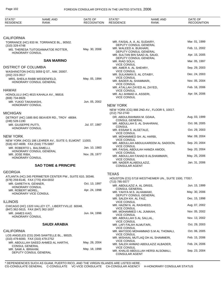| STATE*<br><b>RESIDENCE</b>                                  | <b>NAME AND</b><br><b>RANK</b>                           | DATE OF<br><b>RECOGNITION</b> | STATE*<br><b>RESIDENCE</b>                             | <b>NAME AND</b><br><b>RANK</b>                       | DATE OF<br><b>RECOGNITION</b> |
|-------------------------------------------------------------|----------------------------------------------------------|-------------------------------|--------------------------------------------------------|------------------------------------------------------|-------------------------------|
|                                                             |                                                          |                               |                                                        |                                                      |                               |
| <b>CALIFORNIA</b>                                           |                                                          |                               |                                                        |                                                      |                               |
| (310) 329-4748                                              | TORRANCE (HC) 833 W. TORRANCE BL., 90502.                |                               | MR. FAISAL A. A. AL SUDAIRY,<br>DEPUTY CONSUL GENERAL  |                                                      | Mar. 01, 1999                 |
| <b>HONORARY CONSUL</b>                                      | MS. THERESA TUITOGAMAATOE ROTTER,                        | May. 30, 2006                 | MR. WALEED A. BUKHARI,<br>DEPUTY CONSUL GENERAL        |                                                      | Feb. 11, 2002                 |
|                                                             | <b>SAN MARINO</b>                                        |                               | MR. SULTAN BIN SAAD AL SAUD,<br>DEPUTY CONSUL GENERAL  |                                                      | Apr. 15, 2005                 |
| <b>DISTRICT OF COLUMBIA</b>                                 |                                                          |                               | MR. RIAD SOLH,<br><b>VICE CONSUL</b>                   |                                                      | Mar. 05, 1997                 |
|                                                             | WASHINGTON (HCG) 3059 Q ST., NW, 20007.                  |                               | MR. AMER A. AL SHEHRY,<br><b>VICE CONSUL</b>           |                                                      | Sep. 29, 2003                 |
| (202) 223-3517                                              | MRS. SHEILA RABB WEIDENFELD,                             | May. 05, 1994                 | MR. SULAIMAN S. AL OTAIBY,<br><b>VICE CONSUL</b>       |                                                      | Dec. 24, 2003                 |
|                                                             | HONORARY CONSUL GENERAL                                  |                               | MR. BADER AL SHAMMARI,<br><b>VICE CONSUL</b>           |                                                      | Nov. 05, 2004                 |
| HAWAII                                                      |                                                          |                               | MR. ATALLAH ZAYED AL ZAYED,<br><b>VICE CONSUL</b>      |                                                      | Feb. 16, 2006                 |
| (808) 734-8926                                              | HONOLULU (HC) 4615 KAHALA AV., 96816.                    |                               | MR. ALI AHMAD A. ASSERI,<br><b>VICE CONSUL</b>         |                                                      | Apr. 04, 2006                 |
| MR. YUKIO TAKAHASHI,<br><b>HONORARY CONSUL</b>              |                                                          | Jun. 05, 2002                 | <b>NEW YORK</b>                                        |                                                      |                               |
|                                                             |                                                          |                               |                                                        | NEW YORK (CG) 866 2ND AV., FLOOR 5, 10017.           |                               |
| <b>MICHIGAN</b>                                             | DETROIT (HC) 1685 BIG BEAVER RD., TROY 48084.            |                               | (212) 752-2740<br>DR. ABDULRAHMAN M. GDAIA,            |                                                      | Aug. 03, 1999                 |
| (248) 528-1190<br>MR. GIUSEPPE PUTTI,                       |                                                          | Jul. 07, 1987                 | <b>CONSUL GENERAL</b><br>MR. ABDULLAH S. AL SHAHRANI,  |                                                      | Oct. 06, 2005                 |
| HONORARY CONSUL                                             |                                                          |                               | <b>CONSUL</b><br>MR. ESSAM S. ALGETALE,                |                                                      | Oct. 29, 2003                 |
| <b>NEW YORK</b>                                             |                                                          |                               | <b>VICE CONSUL</b><br>MR. MOHAMMED SH. AL HARBI,       |                                                      | Mar. 09, 2004                 |
| (516) 437-4699, FAX (516) 775-5897                          | NEW YORK (HCG) 186 LEHRER AV., SUITE 0, ELMONT 11003.    |                               | <b>VICE CONSUL</b>                                     | MR. ABDULLAH ABDULKAREEM AL SADOON,                  | Sep. 20, 2004                 |
| MR. ROBERTO L. BALSIMELLI,                                  | HONORARY CONSUL GENERAL                                  | Jan. 10, 1983                 | <b>VICE CONSUL</b>                                     | MR. FAISAL ABDULAH HAMZA AMODI,                      | Sep. 20, 2004                 |
| MR. JOSE RIBA,<br><b>HONORARY CONSUL</b>                    |                                                          | Nov. 28, 1977                 | <b>VICE CONSUL</b><br>MR. ABDULLAH FAHAD B ALSHAMMARI, |                                                      | May. 25, 2006                 |
|                                                             | <b>SAO TOME &amp; PRINCIPE</b>                           |                               | <b>VICE CONSUL</b><br>MR. NADER ALABDULAZIZ,           |                                                      | Jan. 31, 2006                 |
| <b>GEORGIA</b>                                              |                                                          |                               | <b>CONSULAR AGENT</b>                                  |                                                      |                               |
|                                                             | ATLANTA (HC) 245 PERIMETER CENTER PW., SUITE 610, 30346. |                               | <b>TEXAS</b>                                           | HOUSTON (CG) 5718 WESTHEIMER UN., SUITE 1500, 77057. |                               |
| (678) 259-8146, FAX (770) 454-0032<br>MR. GARETH N. GENNER, |                                                          | Oct. 13, 1997                 | (713) 785-5577                                         |                                                      |                               |
| HONORARY CONSUL<br>MR. ROBERT MOREL,                        |                                                          | Apr. 24, 1998                 | MR. ABDULAZIZ A. AL DRISS,<br><b>CONSUL GENERAL</b>    |                                                      | Jun. 15, 1999                 |
| HONORARY VICE CONSUL                                        |                                                          |                               | MR. YAHYA M.S. ALHAMAWI,<br>DEPUTY CONSUL GENERAL      |                                                      | May. 30, 2006                 |
| <b>ILLINOIS</b>                                             |                                                          |                               | MR. SALEH KH. AL FAIZ,<br><b>VICE CONSUL</b>           |                                                      | Dec. 15, 1998                 |
| (847) 362-5615, FAX (847) 362-1637                          | CHICAGO (HC) 1320 VALLEY CT., LIBERTYVILLE 60048.        |                               | MR. HAZIM N. AL RASHEED,<br><b>VICE CONSUL</b>         |                                                      | Aug. 07, 2002                 |
| MR. JAMES KAO.<br><b>HONORARY CONSUL</b>                    |                                                          | Jun. 04, 1996                 | MR. MOHAMMED I AL JUMAAH,<br><b>VICE CONSUL</b>        |                                                      | Nov. 05, 2002                 |
|                                                             |                                                          |                               | MR. ABDULLAH S AL SALLAL,<br><b>VICE CONSUL</b>        |                                                      | Nov. 13, 2002                 |
|                                                             | <b>SAUDI ARABIA</b>                                      |                               | MR. LAFI FALAH ALMUTARI,<br><b>VICE CONSUL</b>         |                                                      | Oct. 29, 2003                 |
| <b>CALIFORNIA</b>                                           | LOS ANGELES (CG) 2045 SAWTELLE BL., 90025.               |                               | <b>VICE CONSUL</b>                                     | MR. MATOOG MOHAMMAD S.M AL THOMALI,                  | Oct. 06, 2005                 |
| (310) 479-6000, FAX (310) 479-2752                          | MR. ABDULLAH SAEED AHMED AL HARTHI,                      | May. 28, 2004                 | <b>VICE CONSUL</b>                                     | MR. MISHAAL MUTLAQ DH AL SHAMMERI,                   | Feb. 15, 2006                 |
| <b>CONSUL GENERAL</b><br>MR. SAMI A. IBRAHIM,               |                                                          | May. 18, 1998                 | <b>VICE CONSUL</b>                                     | MR. SALEH AHMAD ABDULAZIZ ALBADER,                   | Feb. 24, 2006                 |
| DEPUTY CONSUL GENERAL                                       |                                                          |                               | <b>CONSULAR AGENT</b>                                  | MR. KHALID ABDULLAH HERSI ALSOMALI,                  | Sep. 23, 2004                 |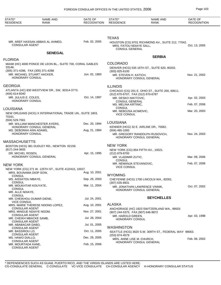| STATE*<br><b>RESIDENCE</b>                        | <b>NAME AND</b><br>RANK                                    | DATE OF<br><b>RECOGNITION</b> | STATE*<br><b>RESIDENCE</b>                              | <b>NAME AND</b><br><b>RANK</b>                           | DATE OF<br><b>RECOGNITION</b> |
|---------------------------------------------------|------------------------------------------------------------|-------------------------------|---------------------------------------------------------|----------------------------------------------------------|-------------------------------|
|                                                   |                                                            |                               |                                                         |                                                          |                               |
|                                                   |                                                            |                               | <b>TEXAS</b>                                            |                                                          |                               |
| <b>CONSULAR AGENT</b>                             | MR. AREF HASSAN ABBAS AL AHMED,                            | Feb. 02, 2005                 | MRS. FATOU NDIAYE SALL,<br><b>CONSUL GENERAL</b>        | HOUSTON (CG) 9701 RICHMOND AV., SUITE 212, 77042.        | Oct. 13, 2005                 |
|                                                   | <b>SENEGAL</b>                                             |                               |                                                         |                                                          |                               |
| <b>FLORIDA</b>                                    |                                                            |                               |                                                         | <b>SERBIA</b>                                            |                               |
| 33146.                                            | MIAMI (HC) 4000 PONCE DE LEON BL., SUITE 700, CORAL GABLES |                               | <b>COLORADO</b>                                         | DENVER (HCG) 535 16TH ST., SUITE 620, 80202.             |                               |
| (305) 371-4286, FAX (305) 371-4288                |                                                            |                               | $(303)$ 825-6100                                        |                                                          |                               |
| MR. MICHAEL STUART HACKER,<br>HONORARY CONSUL     |                                                            | Jun. 02, 1983                 | MR. STEVEN H. KATICH,                                   | HONORARY CONSUL GENERAL                                  | Nov. 21, 2002                 |
| GEORGIA                                           |                                                            |                               | <b>ILLINOIS</b>                                         |                                                          |                               |
|                                                   | ATLANTA (HC) 830 WESTVIEW DR., SW, 30314-3773.             |                               |                                                         | CHICAGO (CG) 201 E. OHIO ST., SUITE 200, 60611.          |                               |
| $(404)$ 614-6040<br>MR. JULIUS E. COLES,          |                                                            | Oct. 14, 1997                 | (312) 670-6707, FAX (312) 670-6787                      |                                                          |                               |
| HONORARY CONSUL                                   |                                                            |                               | MR. DESKO NIKITOVIC,<br><b>CONSUL GENERAL</b>           |                                                          | Apr. 02, 2003                 |
|                                                   |                                                            |                               | MS. MELINA KRTINIC,<br><b>CONSUL</b>                    |                                                          | Feb. 07, 2006                 |
| LOUISIANA                                         | NEW ORLEANS (HCG) X INTERNATIONAL TRADE UN., SUITE 1803,   |                               | MR. NEBOJSA ACIMOVIC,                                   |                                                          | Mar. 20, 2003                 |
| 70161.                                            |                                                            |                               | <b>VICE CONSUL</b>                                      |                                                          |                               |
| (504) 529-7561                                    |                                                            | Dec. 20, 1994                 | LOUISIANA                                               |                                                          |                               |
|                                                   | MR. WILLIAM MANCHESTER AYERS,<br>HONORARY CONSUL GENERAL   |                               |                                                         | KENNER (HCG) 32 E. AIRLINE DR., 70062.                   |                               |
| MS. DEBORAH ANN ADAMS,<br><b>HONORARY CONSUL</b>  |                                                            | Aug. 21, 1984                 | $(504)$ 465-1000                                        | MR. GREGORY RANDOLPH RUSOVICH,                           | Nov. 24, 2003                 |
|                                                   |                                                            |                               |                                                         | HONORARY CONSUL GENERAL                                  |                               |
| MASSACHUSETTS                                     |                                                            |                               |                                                         |                                                          |                               |
| $(617)$ 244-3605                                  | BOSTON (HCG) 381 DUDLEY RD., NEWTON 02159.                 |                               | <b>NEW YORK</b>                                         |                                                          |                               |
| DR. MICHEL ROSEN,                                 |                                                            | Apr. 15, 1995                 | (212) 879-8700                                          | NEW YORK (CG) 854 FIFTH AV., 10021.                      |                               |
|                                                   | HONORARY CONSUL GENERAL                                    |                               | MR. VLADIMIR ZUTIC,                                     |                                                          | Mar. 09, 2006                 |
| NEW YORK                                          |                                                            |                               | <b>CONSUL</b><br>MR. NEMANJA STEVANOVIC,                |                                                          | Feb. 07, 2006                 |
|                                                   | NEW YORK (CG) 271 W. 125TH ST., SUITE 412/415, 10027.      |                               | <b>VICE CONSUL</b>                                      |                                                          |                               |
| MRS. BOUNAMA DIOP SOW,                            |                                                            | Aug. 10, 2001                 | <b>WYOMING</b>                                          |                                                          |                               |
| <b>CONSUL</b><br>MS. AISSATOU MBAYE,              |                                                            | Sep. 29, 2003                 |                                                         | CHEYENNE (HCG) 1700 LINCOLN WA., 82001.                  |                               |
| <b>CONSUL</b><br>MR. MOUKHTAR KOUYATE,            |                                                            | Mar. 11, 2004                 | $(307)$ 635-8931                                        |                                                          |                               |
| <b>CONSUL</b>                                     |                                                            |                               |                                                         | MR. JONATHAN LAWRENCE VINNIK,<br>HONORARY CONSUL GENERAL | Oct. 07, 2002                 |
| MR. ALLE NDIAYE,<br><b>CONSUL</b>                 |                                                            |                               |                                                         |                                                          |                               |
| MR. CHEIKHOU OUMAR DIENE,                         |                                                            | Jul. 24, 2001                 |                                                         | <b>SEYCHELLES</b>                                        |                               |
| <b>VICE CONSUL</b>                                | MRS. MARIE THERESE NDONG LOPEZ,                            | Aug. 10, 2001                 | <b>ALASKA</b>                                           |                                                          |                               |
| <b>CONSULAR AGENT</b><br>MRS. MINGUE NDIAYE NGOM, |                                                            | Nov. 27, 2001                 |                                                         | ANCHORAGE (HC) 1923 SWITZERLAND WA., 99503.              |                               |
| <b>CONSULAR AGENT</b>                             |                                                            |                               | (907) 244-5375, FAX (907) 646-9872<br>MR. HAROLD GREEN, |                                                          | Apr. 03, 1998                 |
| MR. CHEIKH MBACKE SAMB,<br><b>CONSULAR AGENT</b>  |                                                            | Jul. 28, 2004                 | HONORARY CONSUL                                         |                                                          |                               |
| MR. ABABACAR DABO,                                |                                                            | Jul. 01, 2005                 |                                                         |                                                          |                               |
| <b>CONSULAR AGENT</b><br>MR. BASSIROU LO,         |                                                            | Oct. 11, 2005                 | <b>WASHINGTON</b>                                       | SEATTLE (HCG) 3620 S.W. 309TH ST., FEDERAL WAY 98063.    |                               |
| <b>CONSULAR AGENT</b>                             |                                                            |                               | (253) 874-4579                                          |                                                          |                               |
| MS. HAWO DIALLO,<br><b>CONSULAR AGENT</b>         |                                                            | Dec. 29, 2005                 | MRS. ANNE LISE M. CHURCH,                               | HONORARY CONSUL GENERAL                                  | Feb. 06, 2002                 |
| MR. MOURTADA KANE,<br><b>CONSULAR AGENT</b>       |                                                            | Feb. 15, 2006                 |                                                         |                                                          |                               |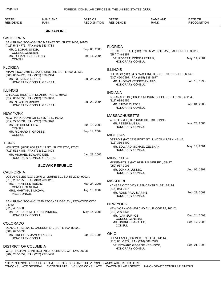| STATE*<br><b>RESIDENCE</b>               | <b>NAME AND</b><br><b>RANK</b>                          | DATE OF<br><b>RECOGNITION</b> | STATE*<br><b>RESIDENCE</b>                          | <b>NAME AND</b><br><b>RANK</b>                            | DATE OF<br><b>RECOGNITION</b> |
|------------------------------------------|---------------------------------------------------------|-------------------------------|-----------------------------------------------------|-----------------------------------------------------------|-------------------------------|
|                                          | <b>SINGAPORE</b>                                        |                               |                                                     |                                                           |                               |
| <b>CALIFORNIA</b>                        |                                                         |                               |                                                     |                                                           |                               |
|                                          | SAN FRANCISCO (CG) 595 MARKET ST., SUITE 2450, 94105.   |                               |                                                     |                                                           |                               |
| MR. J. SOHAN SINGH,                      | (415) 543-4775, FAX (415) 543-4788                      | Sep. 03, 2003                 | <b>FLORIDA</b>                                      |                                                           |                               |
| <b>CONSUL GENERAL</b>                    |                                                         |                               | (954) 749-8857                                      | FT. LAUDERDALE (HC) 5200 N.W. 67TH AV., LAUDERHILL 33319. |                               |
| MR. JULIAN HSU HIN ONG,<br><b>CONSUL</b> |                                                         | Feb. 11, 2004                 | DR. ROBERT JOSEPH PETRIK,<br><b>HONORARY CONSUL</b> |                                                           | May. 14, 2001                 |
| <b>FLORIDA</b>                           |                                                         |                               |                                                     |                                                           |                               |
|                                          | MIAMI (HCG) 2601 S. BAYSHORE DR., SUITE 800, 33133.     |                               | <b>ILLINOIS</b>                                     |                                                           |                               |
|                                          | (305) 858-4225, FAX (305) 858-2334                      |                               | (630) 420-7597, FAX (815) 838-9877                  | CHICAGO (HC) 34 S. WASHINGTON ST., NAPERVILLE 60540.      |                               |
| MR. STEVEN J. GREEN,                     | HONORARY CONSUL GENERAL                                 | Jul. 25, 2003                 | MR. THOMAS KENNETH WARD,<br><b>HONORARY CONSUL</b>  |                                                           | Jan. 18, 1995                 |
| <b>ILLINOIS</b>                          |                                                         |                               | <b>INDIANA</b>                                      |                                                           |                               |
|                                          | CHICAGO (HCG) 1 S. DEARBORN ST., 60603.                 |                               |                                                     | INDIANAPOLIS (HC) 111 MONUMENT CI., SUITE 3700, 46204.    |                               |
| MR. NEWTON MINOW,                        | (312) 853-7555, FAX (312) 853-7036                      | Jul. 20, 2004                 | $(317)$ 634-3456                                    |                                                           |                               |
|                                          | HONORARY CONSUL GENERAL                                 |                               | MR. STEVE ZLATOS,<br>HONORARY CONSUL                |                                                           | Apr. 04, 2003                 |
| <b>NEW YORK</b>                          |                                                         |                               | <b>MASSACHUSETTS</b>                                |                                                           |                               |
|                                          | NEW YORK (CON) 231 E. 51ST ST., 10022.                  |                               |                                                     | WESTON (HC) 3 ROUND HILL RD., 02493.                      |                               |
| MR. LIP CHENG HOW,                       | (212) 223-3331, FAX (212) 826-5028                      | Jun. 18, 2003                 | MR. PETER MUZILA,                                   |                                                           | Nov. 23, 2005                 |
| <b>CONSUL</b>                            |                                                         |                               | <b>HONORARY CONSUL</b>                              |                                                           |                               |
| MR. RICHARD T. GROSSE,<br><b>CONSUL</b>  |                                                         | Sep. 14, 2004                 | <b>MICHIGAN</b>                                     |                                                           |                               |
| <b>TEXAS</b>                             |                                                         |                               | $(313)$ 386-6400                                    | DETROIT (HC) 2933 FORT ST., LINCOLN PARK 48146.           |                               |
|                                          | HOUSTON (HCG) 600 TRAVIS ST., SUITE 3700, 77002.        |                               |                                                     | MR. EDWARD MICHAEL ZELENAK,                               | May. 14, 2001                 |
|                                          | (713) 512-4488, FAX (713) 512-4498                      |                               | <b>HONORARY CONSUL</b>                              |                                                           |                               |
| MR. MICHAEL EDWARD DEE,                  | HONORARY CONSUL GENERAL                                 | Jan. 27, 2006                 | <b>MINNESOTA</b>                                    |                                                           |                               |
|                                          |                                                         |                               |                                                     | MINNEAPOLIS (HC) 9739 PALMER RD., 55437.                  |                               |
|                                          | <b>SLOVAK REPUBLIC</b>                                  |                               | (952) 937-9006                                      |                                                           |                               |
| <b>CALIFORNIA</b>                        |                                                         |                               | MR. JOHN J. LUKNIC,<br>HONORARY CONSUL              |                                                           | Aug. 05, 1997                 |
|                                          | LOS ANGELES (CG) 10940 WILSHIRE BL., SUITE 2030, 90024. |                               |                                                     |                                                           |                               |
|                                          | (310) 209-1253, FAX (310) 209-1261                      |                               | <b>MISSOURI</b>                                     |                                                           |                               |
| MR. FRANTISEK HUDAK,<br>CONSUL GENERAL   |                                                         | Mar. 24, 2005                 |                                                     | KANSAS CITY (HC) 11729 CENTRAL ST., 64114.                |                               |
| MRS. MARTINA SIMKOVA,                    |                                                         | Aug. 18, 2004                 | (816) 943-0515<br>MR. ROSS PAUL MARINE,             |                                                           | Feb. 22, 2001                 |
| <b>VICE CONSUL</b>                       |                                                         |                               | <b>HONORARY CONSUL</b>                              |                                                           |                               |
|                                          | SAN FRANCISCO (HC) 2220 STOCKBRIDGE AV., REDWOOD CITY   |                               |                                                     |                                                           |                               |
| 94062.                                   |                                                         |                               | <b>NEW YORK</b>                                     |                                                           |                               |
| (925) 457-8380                           | MS. BARBARA MILLIKEN PIVNICKA,                          | May. 14, 2001                 | (212) 286-8434                                      | NEW YORK (CG) 801 2ND AV., FLOOR 12, 10017.               |                               |
| HONORARY CONSUL                          |                                                         |                               | MR. IVAN SURKOS,                                    |                                                           | Dec. 24, 2003                 |
|                                          |                                                         |                               | <b>CONSUL GENERAL</b>                               |                                                           | Sep. 17, 2003                 |
| <b>COLORADO</b>                          |                                                         |                               | MR. ONDREJ GAVALEC,<br><b>CONSUL</b>                |                                                           |                               |
| $(303)$ 692-8833                         | DENVER (HC) 300 S. JACKSON ST., SUITE 100, 80209.       |                               |                                                     |                                                           |                               |
|                                          | MR. GREGORY JAMES FASING,                               | Jan. 18, 1995                 | <b>OHIO</b>                                         |                                                           |                               |
| HONORARY CONSUL                          |                                                         |                               | (216) 861-6772, FAX (216) 687-5375                  | CLEVELAND (HC) 1900 E. 9TH ST., 44114.                    |                               |
| <b>DISTRICT OF COLUMBIA</b>              |                                                         |                               |                                                     | DR. EDWARD GEORGE KESHOCK,                                | Sep. 21, 1998                 |
|                                          | WASHINGTON (CHN) 3523 INTERNATIONAL CT., NW, 20008.     |                               | <b>HONORARY CONSUL</b>                              |                                                           |                               |
|                                          | (202) 237-1054, FAX (202) 237-6438                      |                               |                                                     |                                                           |                               |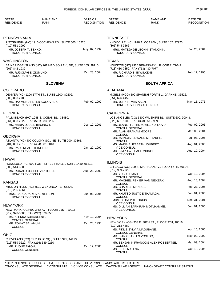| STATE*<br><b>RESIDENCE</b>                         | <b>NAME AND</b><br><b>RANK</b>                                | DATE OF<br><b>RECOGNITION</b> | STATE*<br><b>RESIDENCE</b>                                            | <b>NAME AND</b><br><b>RANK</b>                        | DATE OF<br><b>RECOGNITION</b> |
|----------------------------------------------------|---------------------------------------------------------------|-------------------------------|-----------------------------------------------------------------------|-------------------------------------------------------|-------------------------------|
|                                                    |                                                               |                               |                                                                       |                                                       |                               |
| PENNSYLVANIA                                       |                                                               |                               | <b>TENNESSEE</b>                                                      |                                                       |                               |
| (412) 531-2990                                     | PITTSBURGH (HC) 1910 COCHRAN RD., SUITE 500, 15220.           |                               | (865) 544-9566                                                        | KNOXVILLE (HC) 1928 ALCOA HW., SUITE 102, 37920.      |                               |
| MR. JOSEPH T. SENKO,<br>HONORARY CONSUL            |                                                               | May. 02, 1997                 | <b>HONORARY CONSUL</b>                                                | MRS. MATEJA DE LEONNI STANONIK,                       | Jul. 20, 2004                 |
| <b>WASHINGTON</b>                                  |                                                               |                               | <b>TEXAS</b>                                                          |                                                       |                               |
| (206) 842-1932                                     | BAINBRIDGE ISLAND (HC) 261 MADISON AV., NE, SUITE 105, 98110. |                               | (713) 430-7350, FAX (713) 430-7077                                    | HOUSTON (HC) 2925 BRIARPARK., FLOOR 7, 77042.         |                               |
| MR. RUDOLPH E. ZIGMUND,<br><b>HONORARY CONSUL</b>  |                                                               | Oct. 28, 2004                 | MR. RICHARD B. III WILKENS,<br><b>HONORARY CONSUL</b>                 |                                                       | Feb. 12, 1996                 |
|                                                    | <b>SLOVENIA</b>                                               |                               |                                                                       | <b>SOUTH AFRICA</b>                                   |                               |
| <b>COLORADO</b>                                    |                                                               |                               | ALABAMA                                                               |                                                       |                               |
| (303) 893-2780                                     | DENVER (HC) 1200 17TH ST., SUITE 1600, 80202.                 |                               | (251) 626-4452                                                        | MOBILE (HCG) 500 SPANISH FORT BL., DAPHNE 36526.      |                               |
| <b>HONORARY CONSUL</b>                             | MR. RAYMOND PETER KOGOVSEK,                                   | Feb. 09, 1999                 | MR. JOHN H. VAN AKEN,                                                 | HONORARY CONSUL GENERAL                               | May. 13, 1976                 |
| <b>FLORIDA</b>                                     |                                                               |                               | <b>CALIFORNIA</b>                                                     |                                                       |                               |
| (561) 833-2222, FAX (561) 833-2235                 | PALM BEACH (HC) 1048 S. OCEAN BL., 33480.                     |                               | (323) 651-5902, FAX (323) 651-5969                                    | LOS ANGELES (CG) 6300 WILSHIRE BL., SUITE 600, 90048. |                               |
| MS. MARIA LOUISE BACINICH,                         |                                                               | Dec. 19, 2001                 |                                                                       | MS. JEANETTE THOKOZILE NDHLOVU,                       | Feb. 02, 2005                 |
| <b>HONORARY CONSUL</b>                             |                                                               |                               | <b>CONSUL GENERAL</b><br>MR. ALAN GRAHAM MOORE,                       |                                                       | Mar. 08, 2004                 |
| <b>GEORGIA</b>                                     | ATLANTA (HC) 400 COLONY SQ., NE, SUITE 200, 30361.            |                               | <b>CONSUL</b>                                                         | MR. MZINGISI EDWARD MPIYAKHE,                         | Jul. 08, 2005                 |
| (404) 881-2812, FAX (404) 881-2813                 |                                                               |                               | <b>CONSUL</b><br>MS. MARIA ELIZABETH JOUBERT,                         |                                                       | Aug. 01, 2003                 |
| MR. PAUL NEAL STEINFELD.<br><b>HONORARY CONSUL</b> |                                                               | Jan. 20, 1999                 | <b>VICE CONSUL</b><br>MR. SIMPHIWE PAUL MDINGI,<br><b>VICE CONSUL</b> |                                                       | Aug. 10, 2004                 |
| HAWAII                                             |                                                               |                               | <b>ILLINOIS</b>                                                       |                                                       |                               |
| (808) 544-3203                                     | HONOLULU (HC) 900 FORT STREET MALL., SUITE 1450, 96813.       |                               |                                                                       | CHICAGO (CG) 200 S. MICHIGAN AV., FLOOR 6TH, 60604.   |                               |
| HONORARY CONSUL                                    | MR. RONALD JOSEPH ZLATOPER,                                   | Aug. 28, 2003                 | (312) 939-7929<br>MR. YUSUF OMAR.                                     |                                                       | Oct. 12, 2004                 |
|                                                    |                                                               |                               | <b>CONSUL GENERAL</b>                                                 | MR. MACHIEL RENIER VAN NIEKERK,                       | Aug. 18, 2004                 |
| <b>KANSAS</b>                                      | MISSION HILLS (HC) 6521 WENONGA TE., 66208.                   |                               | <b>CONSUL</b><br>MR. CHARLES MANUEL,                                  |                                                       | Feb. 27, 2006                 |
| $(913)$ 236-4661                                   | MRS. BARBARA KOVAL NELSON,                                    | Jun. 08, 2005                 | CONSUL<br>MR. KHUTSO JUSTICE THAMAGA,                                 |                                                       | Jun. 01, 2006                 |
| <b>HONORARY CONSUL</b>                             |                                                               |                               | CONSUL<br>MRS. CILDA PRETORIUS,                                       |                                                       | Dec. 31, 2001                 |
| <b>NEW YORK</b>                                    |                                                               |                               | <b>VICE CONSUL</b>                                                    | MS. GILLIAN SAPHIRAH MOTLHAMME,                       | Jun. 01, 2006                 |
| (212) 370-3006, FAX (212) 370-3581                 | NEW YORK (CG) 600 3RD AV., FLOOR 21ST, 10016.                 |                               | <b>VICE CONSUL</b>                                                    |                                                       |                               |
| MS. ALENKA SUHADOLNIK,<br><b>CONSUL GENERAL</b>    |                                                               | Nov. 19, 2004                 | <b>NEW YORK</b>                                                       |                                                       |                               |
| MR. TOMAZ SALAMUN,                                 |                                                               | Oct. 28, 1996                 | (212) 213-4880                                                        | NEW YORK (CG) 333 E. 38TH ST., FLOOR 9TH, 10016.      |                               |
| <b>CONSUL</b>                                      |                                                               |                               | MS. FIKILE SYLVIA MAGUBANE,<br><b>CONSUL GENERAL</b>                  |                                                       | Apr. 15, 2005                 |
| <b>OHIO</b>                                        | CLEVELAND (CG) 55 PUBLIC SQ., SUITE 945, 44113.               |                               | MR. IVAN CHARLES VOSLOO,<br><b>CONSUL</b>                             |                                                       | May. 09, 2002                 |
| (216) 589-9220, FAX (216) 589-9210                 |                                                               |                               |                                                                       | MR. BENJAMIN FRANCOIS ALEX ROBBERTSE,                 | Mar. 09, 2004                 |
| MR. ZVONE ZIGON,<br><b>CONSUL GENERAL</b>          |                                                               | Oct. 17, 2005                 | CONSUL<br>MS. HEIDI MALESA,<br><b>CONSUL</b>                          |                                                       | Oct. 13, 2005                 |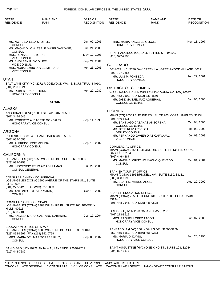| STATE*<br><b>RESIDENCE</b>                             | <b>NAME AND</b><br><b>RANK</b>                                                             | DATE OF<br><b>RECOGNITION</b> | STATE*<br><b>RESIDENCE</b>                                         | <b>NAME AND</b><br><b>RANK</b>                               | DATE OF<br><b>RECOGNITION</b> |
|--------------------------------------------------------|--------------------------------------------------------------------------------------------|-------------------------------|--------------------------------------------------------------------|--------------------------------------------------------------|-------------------------------|
|                                                        |                                                                                            |                               |                                                                    |                                                              |                               |
| MS. NWABISA ELLA STOFILE,<br><b>CONSUL</b>             |                                                                                            | Jun. 09, 2006                 | MRS. MARIA ANGELES OLSON,<br><b>HONORARY CONSUL</b>                |                                                              | Nov. 13, 1997                 |
|                                                        | MS. MMONADILO A. TSELE MASELOANYANE,                                                       | Jun. 21, 2006                 |                                                                    |                                                              |                               |
| CONSUL<br>MRS. RENSKE PRETORIUS,<br><b>VICE CONSUL</b> |                                                                                            | May. 12, 1993                 | (415) 922-2995                                                     | SAN FRANCISCO (CG) 1405 SUTTER ST., 94109.                   |                               |
| MS. SHOLEEN P. MOOLJEE,                                |                                                                                            | Sep. 21, 2001                 |                                                                    |                                                              |                               |
| <b>VICE CONSUL</b><br><b>VICE CONSUL</b>               | MRS. NOBATEMBU JOYCE MTIRARA,                                                              | Apr. 25, 2006                 | <b>COLORADO</b><br>$(303)$ 797-0656                                | DENVER (HC) 5740 OAK CREEK LA., GREENWOOD VILLAGE 80121.     |                               |
| UTAH                                                   |                                                                                            |                               | MR. LUIS P. FONSECA,                                               |                                                              | Feb. 22, 2001                 |
|                                                        | SALT LAKE CITY (HC) 2272 RIDGEWOOD WA., S, BOUNTIFUL 84010.                                |                               | HONORARY CONSUL                                                    |                                                              |                               |
| (801) 298-0824                                         |                                                                                            |                               | <b>DISTRICT OF COLUMBIA</b>                                        |                                                              |                               |
| MR. ROBERT PAUL THORN,<br>HONORARY CONSUL              |                                                                                            | Apr. 29, 1982                 | (202) 452-0100, FAX (202) 833-5670                                 | WASHINGTON (CHN) 2375 PENNSYLVANIA AV., NW, 20037.           |                               |
|                                                        | <b>SPAIN</b>                                                                               |                               | MR. JOSE MANUEL PAZ AGUERAS,<br><b>CONSUL GENERAL</b>              |                                                              | Jan. 05, 2006                 |
| ALASKA                                                 |                                                                                            |                               |                                                                    |                                                              |                               |
| $(907)$ 345-8645                                       | ANCHORAGE (HVC) 1200 I ST., APT 407, 99501.                                                |                               | <b>FLORIDA</b>                                                     | MIAMI (CG) 2655 LE JEUNE RD., SUITE 203, CORAL GABLES 33134. |                               |
|                                                        | MR. ROBERTO ALBACETE GONZALEZ,<br>HONORARY VICE CONSUL                                     | Sep. 14, 1998                 | $(305)$ 446-5511<br><b>CONSUL GENERAL</b>                          | MR. SANTIAGO CABANAS ANSORENA,                               | Oct. 04, 2005                 |
|                                                        |                                                                                            |                               | MR. JOSE RUIZ ARBELOA,                                             |                                                              | Feb. 03, 2003                 |
| ARIZONA<br>$(602)$ 955-2055                            | PHOENIX (HC) 3134 E. CAMELBACK UN., 85016.                                                 |                               | DEPUTY CONSUL<br><b>VICE CONSUL</b>                                | MR. FERNANDO JAVIER DIAZ CARVAJAL,                           | Jul. 09, 2003                 |
| MR. ALFREDO JOSE MOLINA,                               |                                                                                            | Sep. 13, 2002                 |                                                                    |                                                              |                               |
| <b>HONORARY CONSUL</b>                                 |                                                                                            |                               | <b>COMMERCIAL OFFICE</b><br>GABLES 33134.                          | MIAMI (CONA) 2655 LE JEUNE RD., SUITE 1111&1114, CORAL       |                               |
| CALIFORNIA                                             |                                                                                            |                               | $(305)$ 446-4387                                                   |                                                              |                               |
| (323) 938-0158                                         | LOS ANGELES (CG) 5055 WILSHIRE BL., SUITE 860, 90036.<br>MR. INOCENCIO FELIX ARIAS LLAMAS, | Jul. 29, 2005                 | <b>CONSUL</b>                                                      | MS. MARIA B. CRISTINO MACHO QUEVEDO,                         | Oct. 04, 2004                 |
| <b>CONSUL GENERAL</b>                                  |                                                                                            |                               | <b>SPANISH TOURIST OFFICE</b>                                      |                                                              |                               |
| CONSULAR ANNEX - COMMERCIAL                            |                                                                                            |                               | (305) 358-1992                                                     | MIAMI (CONA) 1395 BRICKELL AV., SUITE 1130, 33131.           |                               |
| 2430, 90067.<br>(301) 277-5125, FAX (213) 627-0883     | LOS ANGELES (CONA) 1900 AVENUE OF THE STARS UN., SUITE                                     |                               | MS. BEATRIZ MARCO ARCE,<br><b>CONSUL</b>                           |                                                              | Aug. 20, 2002                 |
| <b>CONSUL</b>                                          | MR. ANTONIO ESTEVEZ MARIN,                                                                 | Oct. 18, 2002                 | SPANISH EDUCATION OFFICE<br>33134.                                 | MIAMI (CONA) 2655 LEJEUNE RD., SUITE 1000, CORAL GABLES      |                               |
| CONSULAR ANNEX OF SPAIN                                | LOS ANGELES (CONA) 8383 WILSHIRE BL., SUITE 960, BEVERLY                                   |                               | (305) 448-2146, FAX (305) 445-0508                                 |                                                              |                               |
| <b>HILLS 90211.</b><br>$(213)$ 658-7188                |                                                                                            |                               |                                                                    | ORLANDO (HVC) 1193 CALANDA AV., 32807.                       |                               |
| <b>CONSUL</b>                                          | MS. ANGELA MARIA CASTANO CABANAS,                                                          | Dec. 17, 2004                 | (407) 273-8912<br>MRS. RAQUEL LOPEZ TACON,<br>HONORARY VICE CONSUL |                                                              | Jun. 07, 2006                 |
| EDUCATION OFFICE OF SPAIN                              | LOS ANGELES (CONA) 6300 WILSHIRE BL., SUITE 830, 90048.                                    |                               | (850) 455-5360, FAX (850) 455-9283                                 | PENSACOLA (HVC) 100 INGALLS DR., 32506-5259.                 |                               |
| (323) 852-6997, FAX (213) 852-0759<br><b>CONSUL</b>    | MRS. MARIA DEL MAR TORRES RUIZ,                                                            | Sep. 06, 2002                 | MS. MARIA D. DAVIS,<br>HONORARY VICE CONSUL                        |                                                              | Aug. 26, 1996                 |
| (619) 448-7282                                         | SAN DIEGO (HC) 10922 ANJA WA., LAKESIDE 92040-2717.                                        |                               | (904) 827-1177                                                     | SAINT AUGUSTINE (HVC) ONE KING ST., SUITE 103, 32084.        |                               |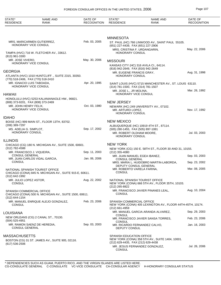| STATE*<br><b>RESIDENCE</b>                                                                     | <b>NAME AND</b><br><b>RANK</b>                                                             | DATE OF<br><b>RECOGNITION</b> | STATE*<br><b>RESIDENCE</b>                                                               | <b>NAME AND</b><br><b>RANK</b>                                                   | DATE OF<br><b>RECOGNITION</b> |
|------------------------------------------------------------------------------------------------|--------------------------------------------------------------------------------------------|-------------------------------|------------------------------------------------------------------------------------------|----------------------------------------------------------------------------------|-------------------------------|
|                                                                                                |                                                                                            |                               |                                                                                          |                                                                                  |                               |
|                                                                                                |                                                                                            |                               | <b>MINNESOTA</b>                                                                         |                                                                                  |                               |
| HONORARY VICE CONSUL                                                                           | MRS. MARICARMEN GUTIERREZ,                                                                 | Feb. 03, 2005                 | (651) 227-4439, FAX (651) 227-2906                                                       | ST. PAUL (HC) 766 LINWOOD AV., SAINT PAUL 55105.                                 |                               |
| (813) 961-3300                                                                                 | TAMPA (HVC) 716 W. FLETCHER AV., 33612.                                                    |                               | MRS. CRISTINA F. URDANGARIN,<br><b>HONORARY CONSUL</b>                                   |                                                                                  | May. 22, 2006                 |
| MR. JOSE VIVERO,<br>HONORARY VICE CONSUL                                                       |                                                                                            | May. 30, 2006                 | <b>MISSOURI</b>                                                                          |                                                                                  |                               |
| GEORGIA                                                                                        |                                                                                            |                               | (816) 942-2649, FAX (816) 942-2649                                                       | KANSAS CITY (HC) 316 AVILA CI., 64114.                                           |                               |
|                                                                                                | ATLANTA (HVC) 1010 HUNTCLIFF., SUITE 2315, 30350.                                          |                               | MR. EUGENE FRANCIS GRAY,<br><b>HONORARY CONSUL</b>                                       |                                                                                  | Aug. 31, 1998                 |
| (770) 518-2406, FAX (770) 518-2410<br>MR. IGNACIO LUIS TABOADA,<br><b>HONORARY VICE CONSUL</b> |                                                                                            | Apr. 20, 1995                 | (314) 781-1500, FAX (314) 781-1507                                                       | SAINT LOUIS (HVC) 5715 MANCHESTER AV., ST. LOUIS 63110.                          |                               |
| HAWAII                                                                                         |                                                                                            |                               | MR. JOSE L., JR MOLINA,<br>HONORARY VICE CONSUL                                          |                                                                                  | Mar. 26, 1992                 |
| (808) 373-9201, FAX (808) 373-2469                                                             | HONOLULU (HVC) 5253 KALANIANAOLE HW., 96821.                                               |                               | <b>NEW JERSEY</b>                                                                        |                                                                                  |                               |
| MR. JOHN HENRY FELIX,<br><b>HONORARY VICE CONSUL</b>                                           |                                                                                            | Oct. 03, 1980                 | MR. ARTURO LOPEZ.<br><b>HONORARY CONSUL</b>                                              | NEWARK (HC) 249 UNIVERSITY AV., 07102.                                           | Nov. 17, 1992                 |
| <b>IDAHO</b>                                                                                   |                                                                                            |                               |                                                                                          |                                                                                  |                               |
| (208) 389-7297                                                                                 | BOISE (HC) 999 MAIN ST., FLOOR 13TH, 83702.                                                |                               | <b>NEW MEXICO</b>                                                                        | ALBUQUERQUE (HC) 10919 4TH ST., 87114.                                           |                               |
| MS. ADELIA G. SIMPLOT,<br>HONORARY CONSUL                                                      |                                                                                            | Sep. 17, 2002                 | (505) 280-1455, FAX (505) 897-1081<br>MR. ROBERT OLDHAM MOORE,<br><b>HONORARY CONSUL</b> |                                                                                  | Jul. 03, 2003                 |
| ILLINOIS                                                                                       |                                                                                            |                               |                                                                                          |                                                                                  |                               |
| $(312)$ 782-4588                                                                               | CHICAGO (CG) 180 N. MICHIGAN AV., SUITE 1500, 60601.                                       |                               | <b>NEW YORK</b>                                                                          | NEW YORK (CG) 150 E. 58TH ST., FLOOR 30 AND 31, 10155.                           |                               |
| MR. FRANCISCO J. VIQUEIRA,<br><b>CONSUL GENERAL</b>                                            |                                                                                            | Sep. 11, 2003                 | (212) 355-4080<br>MR. JUAN MANUEL EGEA IBANEZ,                                           |                                                                                  | Sep. 03, 2003                 |
| <b>CONSUL</b>                                                                                  | MR. JUAN CARLOS VIDAL GARCIA,                                                              | Jan. 06, 2006                 | <b>CONSUL GENERAL</b>                                                                    | MRS. MARIA L. HUIDOBRO MARTIN-LABORDA,                                           | Sep. 23, 2002                 |
|                                                                                                |                                                                                            |                               | DEPUTY CONSUL GENERAL<br>MR. ROBERTO VARELA FARINA,                                      |                                                                                  | Mar. 08, 2005                 |
| (312) 642-1992                                                                                 | NATIONAL SPANISH TOURIST OFFICE<br>CHICAGO (CONA) 845 N. MICHIGAN AV., SUITE 915-E, 60611. |                               | <b>CONSUL</b>                                                                            |                                                                                  |                               |
| MR. JULIO LOPEZ ASTOR,<br><b>CONSUL</b>                                                        |                                                                                            | Aug. 22, 2002                 | NATIONAL SPANISH TOURIST OFFICE<br>(212) 265-8822                                        | NEW YORK (CONA) 666 5TH AV., FLOOR 35TH, 10103.                                  |                               |
| SPANISH COMMERCIAL OFFICE<br>(312) 644-1154                                                    | CHICAGO (CONA) 500 N. MICHIGAN AV., SUITE 1500, 60611.                                     |                               | <b>CONSUL</b>                                                                            | MR. FRANCISCO JAVIER PINANES LEAL,                                               | Aug. 10, 2004                 |
| <b>CONSUL</b>                                                                                  | MR. MANUEL ENRIQUE ALEJO GONZALEZ,                                                         | Feb. 23, 2006                 | SPANISH COMMERCIAL OFFICE<br>(212) 661-4959                                              | NEW YORK (CONA) 405 LEXINGTON AV., FLOOR 44TH-45TH, 10174.                       |                               |
| LOUISIANA                                                                                      |                                                                                            |                               |                                                                                          | MR. MANUEL GARCIA ARANDA ALVAREZ,                                                | Sep. 29, 2003                 |
| (504) 525-4951                                                                                 | NEW ORLEANS (CG) 2 CANAL ST., 70130.                                                       |                               | <b>CONSUL</b>                                                                            | MR. FRANCISCO JAVIER SANSA TORRES.                                               | Feb. 23, 2006                 |
| <b>CONSUL GENERAL</b>                                                                          | MR. RAMON SAENZ DE HEREDIA,                                                                | Sep. 03, 2003                 | CONSUL<br>DEPUTY CONSUL                                                                  | MR. RICARDO FERNANDEZ CALVO,                                                     | Jan. 16, 2003                 |
| MASSACHUSETTS                                                                                  |                                                                                            |                               | SPANISH EDUCATION OFFICE                                                                 |                                                                                  |                               |
| $(617)$ 536-2506                                                                               | BOSTON (CG) 31 ST. JAMES AV., SUITE 905, 02116.                                            |                               | (212) 629-4435, FAX (212) 629-4438<br><b>CONSUL</b>                                      | NEW YORK (CONA) 358 5TH AV., SUITE 1404, 10001.<br>MR. JESUS FERNANDEZ GONZALEZ, | Jul. 26, 2006                 |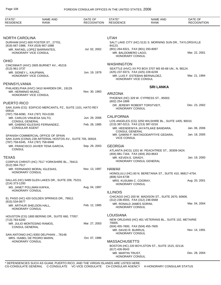| STATE*<br><b>RESIDENCE</b>                                 | NAME AND<br>RANK                                                                                 | DATE OF<br><b>RECOGNITION</b> | STATE*<br><b>RESIDENCE</b>                                                                    | <b>NAME AND</b><br>RANK                                   | DATE OF<br><b>RECOGNITION</b> |
|------------------------------------------------------------|--------------------------------------------------------------------------------------------------|-------------------------------|-----------------------------------------------------------------------------------------------|-----------------------------------------------------------|-------------------------------|
|                                                            |                                                                                                  |                               |                                                                                               |                                                           |                               |
| <b>NORTH CAROLINA</b>                                      | DURHAM (HVC) 600 FOSTER ST., 27701.                                                              |                               | <b>UTAH</b>                                                                                   | SALT LAKE CITY (HC) 5131 S. MORNING SUN DR., TAYLORSVILLE |                               |
| (919) 667-1988, FAX (919) 667-1888<br>HONORARY VICE CONSUL | MR. RAFAEL LOPEZ BARRANTES,                                                                      | Jul. 02, 2002                 | 84123.<br>(801) 264-8321, FAX (801) 293-8097<br>MR. BALDOMERO LAGO,<br><b>HONORARY CONSUL</b> |                                                           | Mar. 22, 2001                 |
| <b>OHIO</b>                                                |                                                                                                  |                               | <b>WASHINGTON</b>                                                                             |                                                           |                               |
| (513) 961-3737                                             | CINCINNATI (HVC) 2605 BURNET AV., 45219.                                                         |                               |                                                                                               | SEATTLE (HVC) XX PO BOX 3707 MS 65-68 UN., N, 98124.      |                               |
| MR. SIDNEY L. KAUFMAN,<br>HONORARY VICE CONSUL             |                                                                                                  | Jun. 19, 1979                 | (425) 237-9373, FAX (425) 228-6239<br>HONORARY VICE CONSUL                                    | MR. LUIS F. ESTEBAN BERNALDEZ,                            | Mar. 21, 1994                 |
| PENNSYLVANIA                                               |                                                                                                  |                               |                                                                                               |                                                           |                               |
| MR. HERMINIO MUNIZ,<br>HONORARY VICE CONSUL                | PHILADELPHIA (HVC) 3410 WARDEN DR., 19129.                                                       | Nov. 30, 1983                 | <b>ARIZONA</b>                                                                                | <b>SRI LANKA</b>                                          |                               |
|                                                            |                                                                                                  |                               | $(602)$ 254-1899                                                                              | PHOENIX (HC) 329 W. CYPRESS ST., 85003.                   |                               |
| <b>PUERTO RICO</b><br>00918.                               | SAN JUAN (CG) EDIFICIO MERCANTIL PZ., SUITE 1101, HATO REY                                       |                               | HONORARY CONSUL                                                                               | DR. JEREMY ROBERT TORSTVEIT,                              | Dec. 23, 2002                 |
| (787) 758-6090, FAX (787) 763-0190                         |                                                                                                  | Jun. 29, 2006                 | <b>CALIFORNIA</b>                                                                             |                                                           |                               |
| MR. CARLOS VINUESA SALTO.<br><b>CONSUL GENERAL</b>         |                                                                                                  | Feb. 28, 1985                 | (213) 387-0213, FAX (213) 387-0216                                                            | LOS ANGELES (CG) 3250 WILSHIRE BL., SUITE 1405, 90010.    |                               |
| <b>CONSULAR AGENT</b>                                      | MR. GABINO IGLESIAS FERNANDEZ,                                                                   |                               |                                                                                               | MR. HEENDENIYA JAYATILAKE BANDARA,                        | Jan. 06, 2006                 |
| (787) 758-6345, FAX (787) 758-6948                         | SPANISH COMMERCIAL OFFICE OF SPAIN<br>SAN JUAN (CONA) 239 ARTERIAL HOSTOS AV., SUITE 705, 00918. |                               | <b>CONSUL GENERAL</b><br><b>VICE CONSUL</b>                                                   | MR. GAMINI P. WATAGODAPITIYE GEDARA,                      | Jan. 18, 2005                 |
|                                                            | MR. FRANCISCO JAVIER TENA GARCIA,                                                                | Sep. 29, 2003                 | <b>GEORGIA</b>                                                                                |                                                           |                               |
| <b>CONSUL</b>                                              |                                                                                                  |                               | (404) 881-7164, FAX (404) 263-8643                                                            | ATLANTA (HCG) 1201 W. PEACHTREE ST., 30309-3424.          |                               |
| <b>TEXAS</b>                                               |                                                                                                  |                               | MR. KEVEN E. GRADY,                                                                           |                                                           | Jan. 19, 2000                 |
| (512) 994-7517                                             | CORPUS CHRISTI (HC) 7517 YORKSHIRE BL., 78413.                                                   |                               |                                                                                               | HONORARY CONSUL GENERAL                                   |                               |
| HONORARY CONSUL                                            | MR. FERNANDO MORAL IGLESIAS,                                                                     | Nov. 13, 1997                 | <b>HAWAII</b>                                                                                 | HONOLULU (HC) 60 N. BERETANIA ST., SUITE 410, 96817-4754. |                               |
|                                                            | DALLAS (HC) 5499 GLEN LAKES DR., SUITE 209, 75231.                                               |                               | (808) 524-6738<br>MRS. KUSUMA C. COORAY,                                                      |                                                           | Aug. 20, 2001                 |
| (214) 373-1200<br>MS. JANET POLLMAN KAFKA,                 |                                                                                                  | Aug. 04, 1997                 | <b>HONORARY CONSUL</b>                                                                        |                                                           |                               |
| HONORARY CONSUL                                            |                                                                                                  |                               | <b>ILLINOIS</b>                                                                               |                                                           |                               |
| $(915) 534 - 0677$                                         | EL PASO (HC) 420 GOLDEN SPRINGS DR., 79912.                                                      |                               | (312) 236-6555, FAX (312) 236-6568                                                            | CHICAGO (HC) 200 W. MADISON ST., SUITE 2670, 60606.       | Mar. 04, 2004                 |
| MR. ARTHUR SHELDON HALL,<br><b>HONORARY CONSUL</b>         |                                                                                                  | Feb. 12, 1985                 | MR. RONALD JAMES SORINI,<br>HONORARY CONSUL                                                   |                                                           |                               |
|                                                            | HOUSTON (CG) 1800 BERING DR., SUITE 660, 77057.                                                  |                               | <b>LOUISIANA</b>                                                                              |                                                           |                               |
| (713) 783-6200                                             |                                                                                                  | Mar. 27, 2003                 | 70005.                                                                                        | NEW ORLEANS (HC) 401 VETERANS BL., SUITE 102, METAIRIE    |                               |
| MR. JULIO MONTESINO RAMOS,<br><b>CONSUL GENERAL</b>        |                                                                                                  |                               | (504) 455-7600, FAX (504) 455-7605<br>MR. DAVID R. BURRUS,                                    |                                                           | Nov. 14, 1991                 |
|                                                            | SAN ANTONIO (HC) 8350 DELPHIAN ., 78148.<br>MRS. ISABEL DE PEDRO MARIN,                          | Oct. 07, 1986                 | HONORARY CONSUL                                                                               |                                                           |                               |
| HONORARY CONSUL                                            |                                                                                                  |                               | <b>MASSACHUSETTS</b>                                                                          |                                                           |                               |
|                                                            |                                                                                                  |                               | (617) 426-9543                                                                                | BOSTON (HC) 220 BOYLSTON ST., SUITE 1515, 02116.          |                               |
|                                                            |                                                                                                  |                               | MR. MARTIN TRUST,<br>HONORARY CONSUL                                                          |                                                           | Dec. 28, 2004                 |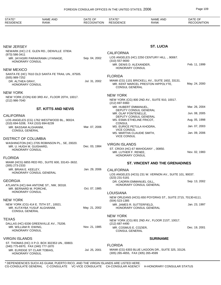| STATE*<br><b>RESIDENCE</b>                                                            | <b>NAME AND</b><br><b>RANK</b>                    | DATE OF<br><b>RECOGNITION</b> | STATE*<br><b>RESIDENCE</b>                         | <b>NAME AND</b><br>RANK                                                                | DATE OF<br><b>RECOGNITION</b> |
|---------------------------------------------------------------------------------------|---------------------------------------------------|-------------------------------|----------------------------------------------------|----------------------------------------------------------------------------------------|-------------------------------|
|                                                                                       |                                                   |                               |                                                    |                                                                                        |                               |
| <b>NEW JERSEY</b>                                                                     |                                                   |                               |                                                    | <b>ST. LUCIA</b>                                                                       |                               |
|                                                                                       | NEWARK (HC) 2 E. GLEN RD., DENVILLE 07834.        |                               | <b>CALIFORNIA</b>                                  |                                                                                        |                               |
| (973) 586-3411<br><b>HONORARY CONSUL</b>                                              | MR. JAYASIRI PARAKRAMA LIYANAGE,                  | Sep. 04, 2002                 | $(310)$ 557-9000                                   | LOS ANGELES (HC) 2250 CENTURY HILL., 90067.                                            |                               |
|                                                                                       |                                                   |                               | MR. DENIS D. ALEXANDER.                            |                                                                                        | Feb. 11, 1999                 |
| <b>NEW MEXICO</b>                                                                     |                                                   |                               | HONORARY CONSUL                                    |                                                                                        |                               |
| (505) 989-7252                                                                        | SANTA FE (HC) 7610 OLD SANTA FE TRAIL UN., 87505. |                               | <b>FLORIDA</b>                                     |                                                                                        |                               |
| DR. ALTHEA GRAY,<br>HONORARY CONSUL                                                   |                                                   | Jul. 31, 2002                 | <b>CONSUL GENERAL</b>                              | MIAMI (CG) 1101 BRICKELL AV., SUITE 1602, 33131.<br>MR. KENT MARCEL PRESTON HIPPOLYTE, | May. 24, 2000                 |
| <b>NEW YORK</b>                                                                       |                                                   |                               |                                                    |                                                                                        |                               |
| (212) 986-7040                                                                        | NEW YORK (CON) 630 3RD AV., FLOOR 20TH, 10017.    |                               | <b>NEW YORK</b>                                    | NEW YORK (CG) 800 2ND AV., SUITE 910, 10017.                                           |                               |
|                                                                                       |                                                   |                               | $(212)$ 697-9360<br>MR. HUBERT EMMANUEL,           |                                                                                        | Mar. 26, 2004                 |
|                                                                                       | <b>ST. KITTS AND NEVIS</b>                        |                               | DEPUTY CONSUL GENERAL<br>MR. OLAF FONTENELLE,      |                                                                                        | Jun. 08, 2005                 |
| <b>CALIFORNIA</b>                                                                     | LOS ANGELES (CG) 1762 WESTWOOD BL., 90024.        |                               | DEPUTY CONSUL GENERAL<br>MS. ESMA ETHELINE FRICOT, |                                                                                        | Aug. 05, 1998                 |
| (310) 694-5208, FAX (310) 694-8239                                                    |                                                   |                               | <b>CONSUL</b><br>MS. EURICE PETULA KHODRA,         |                                                                                        | Jan. 07, 2003                 |
| MR. BASSAM ALGHANIM,<br><b>CONSUL GENERAL</b>                                         |                                                   | Mar. 07, 2006                 | <b>VICE CONSUL</b><br>MS. MARTHA CLAUDIE SMITH,    |                                                                                        | Jan. 09, 2006                 |
| <b>DISTRICT OF COLUMBIA</b>                                                           |                                                   |                               | <b>VICE CONSUL</b>                                 |                                                                                        |                               |
|                                                                                       | WASHINGTON (HC) 2705 ROBINSON PL., SE, 20020.     |                               | <b>VIRGIN ISLANDS</b>                              |                                                                                        |                               |
| MR. U. HUGH M. GUISHARD,                                                              |                                                   | Dec. 03, 1984                 | ST. CROIX (HC) 67 MAHOGANY ., 00850.               |                                                                                        |                               |
| HONORARY CONSUL                                                                       |                                                   |                               | MR. LUTHER F. RENEE,<br>HONORARY CONSUL            |                                                                                        | Nov. 02, 1983                 |
| <b>FLORIDA</b>                                                                        |                                                   |                               |                                                    |                                                                                        |                               |
| $(305)$ 273-2333                                                                      | MIAMI (HCG) 6855 RED RD., SUITE 600, 33143--3632. |                               |                                                    | <b>ST. VINCENT AND THE GRENADINES</b>                                                  |                               |
| MR. BRIAN E. KEELEY,                                                                  | HONORARY CONSUL GENERAL                           | Jan. 29, 2006                 | <b>CALIFORNIA</b>                                  |                                                                                        |                               |
|                                                                                       |                                                   |                               | (323) 231-5181                                     | LOS ANGELES (HCG) 231 W. VERNON AV., SUITE 101, 90037.                                 |                               |
| <b>GEORGIA</b>                                                                        |                                                   |                               | DR. CADRIN EMMANUEL GILL,                          |                                                                                        | Sep. 13, 2002                 |
| MR. BERNARD M. PORCHE,                                                                | ATLANTA (HC) 644 ANTONE ST., NW, 30318.           | Oct. 07, 1985                 |                                                    | HONORARY CONSUL GENERAL                                                                |                               |
| <b>HONORARY CONSUL</b>                                                                |                                                   |                               | <b>LOUISIANA</b>                                   |                                                                                        |                               |
| <b>NEW YORK</b>                                                                       |                                                   |                               | (504) 523-1385                                     | NEW ORLEANS (HCG) 650 POYDRAS ST., SUITE 2715, 70130-6111.                             |                               |
|                                                                                       | NEW YORK (CG) 414 E. 75TH ST., 10021.             |                               | MR. JAMES R. SUTTERFIELD,                          |                                                                                        | Jan. 23, 1997                 |
| <b>CONSUL GENERAL</b>                                                                 | MR. KUTAYBA YUSUF ALGHANIM,                       | May. 21, 2002                 |                                                    | HONORARY CONSUL GENERAL                                                                |                               |
|                                                                                       |                                                   |                               | <b>NEW YORK</b>                                    |                                                                                        |                               |
| <b>TEXAS</b>                                                                          | DALLAS (HC) 6336 GREENVILLE AV., 75206.           |                               | (212) 687-4490                                     | NEW YORK (CG) 801 2ND AV., FLOOR 21ST, 10017.                                          |                               |
| MR. WILLIAM R. EWING,                                                                 |                                                   | Nov. 21, 1985                 | MR. COSMUS E. COZIER,                              |                                                                                        | Dec. 19, 2001                 |
| HONORARY CONSUL                                                                       |                                                   |                               | <b>CONSUL GENERAL</b>                              |                                                                                        |                               |
| <b>VIRGIN ISLANDS</b>                                                                 |                                                   |                               |                                                    | <b>SURINAME</b>                                                                        |                               |
|                                                                                       | ST. THOMAS (HC) X P.O. BOX 302353 UN., 00803.     |                               | <b>FLORIDA</b>                                     |                                                                                        |                               |
| (340) 775-6970, FAX (340) 777-1870<br>MR. ELRIDGE ST CLAIR TOBIAS,<br>HONORARY CONSUL |                                                   | Jul. 25, 2001                 | (305) 265-4655, FAX (305) 265-4599                 | MIAMI (CG) 6303 BLUE LAGOON DR., SUITE 325, 33126.                                     |                               |
|                                                                                       |                                                   |                               |                                                    |                                                                                        |                               |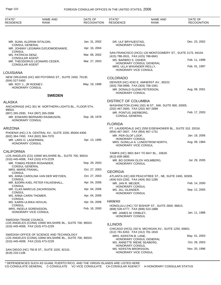| STATE*<br><b>RESIDENCE</b>                                   | NAME AND<br><b>RANK</b>                                  | DATE OF<br><b>RECOGNITION</b> | STATE*<br><b>RESIDENCE</b>                                                     | <b>NAME AND</b><br>RANK                                    | DATE OF<br><b>RECOGNITION</b> |
|--------------------------------------------------------------|----------------------------------------------------------|-------------------------------|--------------------------------------------------------------------------------|------------------------------------------------------------|-------------------------------|
|                                                              |                                                          |                               |                                                                                |                                                            |                               |
| MR. SUNIL ALGRAM SITALDIN,                                   |                                                          | Jan. 31, 2002                 | DR. ULF BRYNJESTAD.                                                            |                                                            | Dec. 23, 2002                 |
| <b>CONSUL GENERAL</b>                                        | MR. JOHNNY LEGIMAN DJOJOMOENAWIE,                        | Apr. 16, 2004                 | HONORARY CONSUL                                                                |                                                            |                               |
| <b>CONSUL</b><br>MS. PATRICIA DENZ,                          |                                                          | Mar. 08, 2002                 | (415) 788-2631, FAX (415) 788-6841                                             | SAN FRANCISCO (HCG) 120 MONTGOMERY ST., SUITE 2175, 94104. |                               |
| <b>CONSULAR AGENT</b>                                        | MR. THEODORUS LEONARD CEDER,                             | Mar. 27, 2003                 | MS. BARBRO S. OSHER,                                                           | HONORARY CONSUL GENERAL                                    | Feb. 11, 1999                 |
| <b>CONSULAR AGENT</b>                                        |                                                          |                               | MRS. ULLA WIKANDER REILLY,<br>HONORARY VICE CONSUL                             |                                                            | Feb. 01, 1997                 |
| <b>LOUISIANA</b>                                             |                                                          |                               |                                                                                |                                                            |                               |
| (504) 527-5450                                               | NEW ORLEANS (HC) 400 POYDRAS ST., SUITE 2450, 70130.     |                               | <b>COLORADO</b>                                                                |                                                            |                               |
| MR. ROY J., JR RODNEY,                                       |                                                          | May. 19, 1998                 | (303) 758-0999, FAX (303) 758-1091                                             | DENVER (HC) 4242 E. AMHERST AV., 80222.                    |                               |
| <b>HONORARY CONSUL</b>                                       |                                                          |                               | MR. DONALD GLENN PETERSON.<br>HONORARY CONSUL                                  |                                                            | Aug. 08, 2001                 |
|                                                              | <b>SWEDEN</b>                                            |                               |                                                                                |                                                            |                               |
| <b>ALASKA</b>                                                |                                                          |                               | <b>DISTRICT OF COLUMBIA</b>                                                    | WASHINGTON (CHN) 1501 M ST., NW, SUITE 900, 20005.         |                               |
| 99503.                                                       | ANCHORAGE (HC) 301 W. NORTHERN LIGHTS BL., FLOOR 5TH,    |                               | (202) 467-2600, FAX (202) 467-2699                                             |                                                            |                               |
| (907) 265-2930, FAX (907) 265-2068<br><b>HONORARY CONSUL</b> | MR. EDWARD BERNARD RASMUSON,                             | Sep. 28, 1978                 | MR. PONTUS JAERBORG,<br><b>CONSUL GENERAL</b>                                  |                                                            | Feb. 17, 2003                 |
|                                                              |                                                          |                               | <b>FLORIDA</b>                                                                 |                                                            |                               |
| <b>ARIZONA</b>                                               |                                                          |                               |                                                                                | FT. LAUDERDALE (HC) 2550 EISENHOWER BL., SUITE 310, 33316. |                               |
| (602) 364-7450, FAX (602) 364-7070                           | PHOENIX (HC) 2 N. CENTRAL AV., SUITE 2200, 85004-4406.   |                               | (954) 467-3507, FAX (954) 467-1731<br>MR. PER-OLOF LOOF,                       |                                                            | Jan. 18, 2006                 |
| MR. LARS O. LAGERMAN,<br><b>HONORARY CONSUL</b>              |                                                          | Apr. 13, 1995                 | HONORARY CONSUL<br>HONORARY VICE CONSUL                                        | MRS. GUNILLA A. LUNDSTROM NORTH,                           | Aug. 09, 1984                 |
| <b>CALIFORNIA</b>                                            |                                                          |                               |                                                                                |                                                            |                               |
|                                                              | LOS ANGELES (CG) 10940 WILSHIRE BL., SUITE 700, 90024.   |                               | (813) 839-3800                                                                 | TAMPA (HC) 3801 BAY TO BAY BL., 33629.                     |                               |
| (310) 445-4008, FAX (310) 473-2229                           |                                                          |                               |                                                                                | MR. BO GORAN OLOV HOLMBERG,                                | Jul. 29, 2005                 |
| MR. TOMAS PEDER ROSANDER,<br><b>CONSUL GENERAL</b>           |                                                          | Sep. 29, 2003                 | HONORARY CONSUL                                                                |                                                            |                               |
| MRS. MARIE FRANKL,<br><b>CONSUL</b>                          |                                                          | Oct. 27, 2003                 | <b>GEORGIA</b>                                                                 |                                                            |                               |
|                                                              | MS. ANNA CAROLINA VAN DER WEYDEN,                        | Oct. 27, 2003                 |                                                                                | ATLANTA (HC) 600 PEACHTREE ST., NE, SUITE 2400, 30309.     |                               |
| <b>CONSUL</b>                                                | MR. BJORN AXEL PETER FALKENHALL,                         | Apr. 04, 2006                 | (404) 815-2292, FAX (404) 352-1285<br>MR. JAN R. MEIJER,                       |                                                            | Feb. 14, 2000                 |
| <b>CONSUL</b>                                                | MR. CLAS MARCUS ZACKRISSON,                              | Apr. 04, 2006                 | HONORARY CONSUL<br>MS. JILL OLANDER,                                           |                                                            | Sep. 12, 2005                 |
| <b>CONSUL</b><br>MS. ANNA CARIN THOMER,                      |                                                          | Apr. 04, 2006                 | HONORARY CONSUL                                                                |                                                            |                               |
| <b>CONSUL</b><br>MS. KARIN ULRIKA HOVLIN,                    |                                                          | Apr. 04, 2006                 | <b>HAWAII</b>                                                                  |                                                            |                               |
| <b>CONSUL</b>                                                |                                                          |                               |                                                                                | HONOLULU (HC) 737 BISHOP ST., SUITE 2600, 96813.           |                               |
| MRS. INGELA SORENSSON,<br>HONORARY VICE CONSUL               |                                                          | Feb. 18, 2000                 | (808) 528-4777, FAX (808) 523-1888<br>MR. JAMES M. CRIBLEY,<br>HONORARY CONSUL |                                                            | Jan. 11, 1988                 |
| SWEDISH TRADE COUNCIL<br>(310) 445-4008, FAX (310) 473-2229  | LOS ANGELES (CONA) 10940 WILSHIRE BL., SUITE 700, 90024. |                               | <b>ILLINOIS</b>                                                                | CHICAGO (HCG) 150 N. MICHIGAN AV., SUITE 1250, 60601.      |                               |
|                                                              | SWEDISH OFFICE OF SCIENCE AND TECHNOLOGY                 |                               | (312) 781-6262, FAX (312) 781-1816<br>MRS. KERSTIN B. LANE,                    |                                                            | May. 01, 2003                 |
| (310) 445-4008, FAX (310) 473-2229                           | LOS ANGELES (CONA) 10940 WILSHIRE BL., SUITE 700, 90024. |                               | MS. ANNETTE IRENE SEABERG,                                                     | HONORARY CONSUL GENERAL                                    | Oct. 28, 2003                 |
| (619) 233-1106                                               | SAN DIEGO (HC) 750 B ST., SUITE 1020, 92101.             |                               | <b>HONORARY CONSUL</b><br>MS. KERSTIN BRORSSON,<br>HONORARY VICE CONSUL        |                                                            | Nov. 20, 1996                 |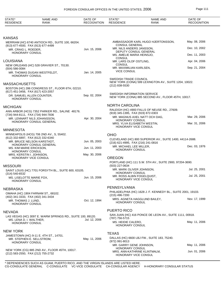| STATE*<br><b>RESIDENCE</b>                                               | <b>NAME AND</b><br><b>RANK</b>                             | DATE OF<br><b>RECOGNITION</b> | STATE*<br><b>RESIDENCE</b>                                | <b>NAME AND</b><br>RANK                                      | DATE OF<br><b>RECOGNITION</b> |
|--------------------------------------------------------------------------|------------------------------------------------------------|-------------------------------|-----------------------------------------------------------|--------------------------------------------------------------|-------------------------------|
|                                                                          |                                                            |                               |                                                           |                                                              |                               |
| KANSAS                                                                   |                                                            |                               |                                                           |                                                              |                               |
| (913) 677-4500, FAX (913) 677-4499                                       | MERRIAM (HC) 6740 ANTIOCH RD., SUITE 100, 66204.           |                               | <b>CONSUL GENERAL</b>                                     | AMBASSADOR KARL HUGO HJERTONSSON,                            | May. 08, 2006                 |
| MR. CRAIG L. ROEDER,                                                     |                                                            | Jun. 15, 2006                 | MR. NILS ANDERS JANSSON,                                  |                                                              | Dec. 10, 2002                 |
| <b>HONORARY CONSUL</b>                                                   |                                                            |                               | MS. AMELIE MARIA HEINSJO,<br><b>CONSUL</b>                | DEPUTY CONSUL GENERAL                                        | Dec. 11, 2003                 |
| LOUISIANA                                                                |                                                            |                               | MR. LARS OLOF OSTLING,                                    |                                                              | Apr. 04, 2006                 |
| (504) 586-0084                                                           | NEW ORLEANS (HC) 528 GRAVIER ST., 70130.                   |                               | <b>CONSUL</b><br>MR. MAXIMILIAN KARLSEN,                  |                                                              | Sep. 21, 2004                 |
|                                                                          | MR. THOMAS DUGAN WESTFELDT,                                | Jan. 14, 2005                 | <b>VICE CONSUL</b>                                        |                                                              |                               |
| <b>HONORARY CONSUL</b>                                                   |                                                            |                               | <b>SWEDISH TRADE COUNCIL</b>                              |                                                              |                               |
| MASSACHUSETTS                                                            |                                                            |                               | (212) 838-5530                                            | NEW YORK (CONA) 599 LEXINGTON AV., SUITE 1204, 10022.        |                               |
| (617) 451-3456, FAX (617) 423-2057                                       | BOSTON (HC) 286 CONGRESS ST., FLOOR 6TH, 02210.            |                               |                                                           |                                                              |                               |
| DR. SAMUEL ALLEN COUNTER,<br><b>HONORARY CONSUL</b>                      |                                                            | Sep. 02, 2004                 | <b>SWEDISH INFORMATION SERVICE</b>                        | NEW YORK (CONA) 885 SECOND AV., FLOOR 45TH, 10017.           |                               |
| MICHIGAN                                                                 |                                                            |                               | <b>NORTH CAROLINA</b>                                     |                                                              |                               |
|                                                                          | ANN ARBOR (HCG) 7352 PARKER RD., SALINE 48176.             |                               |                                                           | RALEIGH (HC) 4900 FALLS OF NEUSE RD., 27609.                 |                               |
| (734) 944-8111, FAX (734) 944-7836                                       |                                                            |                               | (919) 345-1395, FAX (919) 872-0303                        | MR. MAGNUS AXEL NATT OCH DAG.                                | Mar. 29, 2006                 |
|                                                                          | MR. LENNART NILS JOHANSSON,<br>HONORARY CONSUL GENERAL     | Apr. 30, 2004                 | <b>HONORARY CONSUL</b><br>MRS. YLVA ELISABETH WESTIN,     |                                                              | Mar. 31, 2006                 |
|                                                                          |                                                            |                               | HONORARY VICE CONSUL                                      |                                                              |                               |
| MINNESOTA                                                                | MINNEAPOLIS (HCG) 706 2ND AV., S, 55402.                   |                               | OHIO                                                      |                                                              |                               |
| (612) 332-6897, FAX (612) 332-6340                                       |                                                            |                               |                                                           | CLEVELAND (HC) 800 SUPERIOR AV., SUITE 1400, 44114-2688.     |                               |
|                                                                          | MR. BRUCE NELSON KARSTADT,<br>HONORARY CONSUL GENERAL      | Jun. 05, 2003                 | (216) 621-4995, FAX (216) 241-0816                        |                                                              |                               |
| MS. KIM MARIE ERICKSON,<br><b>HONORARY CONSUL</b>                        |                                                            | Jun. 11, 2003                 | MR. MICHAEL LEE MILLER,<br><b>HONORARY CONSUL</b>         |                                                              | Dec. 03, 1976                 |
| MRS. KERSTIN I. JOHNSON,                                                 |                                                            | May. 30, 2006                 |                                                           |                                                              |                               |
| HONORARY VICE CONSUL                                                     |                                                            |                               | <b>OREGON</b>                                             |                                                              |                               |
| MISSOURI                                                                 |                                                            |                               | (503) 227-0634                                            | PORTLAND (HC) 111 S.W. 5TH AV., SUITE 2900, 97204-3690.      |                               |
|                                                                          | SAINT LOUIS (HC) 7701 FORSYTH BL., SUITE 600, 63105.       |                               | MR. MARK OLIVER JOHNSON,<br>HONORARY CONSUL               |                                                              | Jul. 25, 2001                 |
| $(314) 540 - 6532$<br>MS. LISELOTTE MARIE FOX,<br><b>HONORARY CONSUL</b> |                                                            | Jun. 15, 2006                 | MR. ROSS ALBIN FOGELQUIST,<br><b>HONORARY VICE CONSUL</b> |                                                              | Jul. 25, 2001                 |
|                                                                          |                                                            |                               | PENNSYLVANIA                                              |                                                              |                               |
| NEBRASKA                                                                 | OMAHA (HC) 1904 FARNAM ST., 68102.                         |                               |                                                           | PHILADELPHIA (HC) 1628 J. F. KENNEDY BL., SUITE 2001, 19103. |                               |
| (402) 341-3333, FAX (402) 341-3434                                       |                                                            |                               | (215) 496-7200                                            | MRS. AGNETA HAGGLUND BAILEY,                                 | Nov. 17, 1999                 |
| MR. THOMAS J. LUND.<br>HONORARY CONSUL                                   |                                                            | Oct. 12, 1994                 | <b>HONORARY CONSUL</b>                                    |                                                              |                               |
| NEVADA                                                                   |                                                            |                               | PUERTO RICO                                               |                                                              |                               |
|                                                                          | LAS VEGAS (HC) 3097 E. WARM SPRINGS RD., SUITE 100, 89120. |                               |                                                           | SAN JUAN (HC) 416 PONCE DE LEON AV., SUITE 1111, 00918.      |                               |
| MS. LENA D. I. WALTHER,<br>HONORARY CONSUL                               |                                                            | Jul. 12, 2006                 | (787) 756-5715<br>MS. HEIDIE CALERO,                      |                                                              | May. 11, 2006                 |
|                                                                          |                                                            |                               | <b>HONORARY CONSUL</b>                                    |                                                              |                               |
| New York                                                                 |                                                            |                               | <b>TEXAS</b>                                              |                                                              |                               |
| MR. STEPHEN E. SELLSTROM,                                                | JAMESTOWN (HC) 9-11 E. 4TH ST., 14701.                     | May. 11, 2006                 |                                                           | DALLAS (HC) 6600 LBJ FW., SUITE 183, 75240.                  |                               |
| <b>HONORARY CONSUL</b>                                                   |                                                            |                               | (972) 991-8013<br>MR. GARRY GENE JOHNSON,                 |                                                              | May. 11, 2006                 |
| (212) 583-2550, FAX (212) 755-2732                                       | NEW YORK (CG) 885 2ND AV., FLOOR 45TH, 10017.              |                               | <b>HONORARY CONSUL</b><br>HONORARY VICE CONSUL            | MRS. ANN-KATHRINE KLINTMALM,                                 | Jun. 01, 2006                 |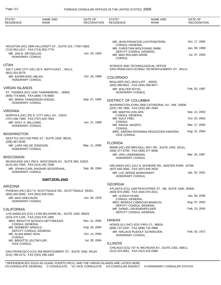## Page 112 FOREIGN CONSULAR OFFICES IN THE UNITED STATES, 2006

| STATE*<br><b>RESIDENCE</b>                    | <b>NAME AND</b><br>RANK                                   | DATE OF<br><b>RECOGNITION</b> | STATE*<br><b>RESIDENCE</b>                                     | NAME AND<br><b>RANK</b>                                                             | DATE OF<br><b>RECOGNITION</b> |
|-----------------------------------------------|-----------------------------------------------------------|-------------------------------|----------------------------------------------------------------|-------------------------------------------------------------------------------------|-------------------------------|
|                                               |                                                           |                               |                                                                |                                                                                     |                               |
|                                               |                                                           |                               | <b>CONSUL GENERAL</b>                                          | MR. JEAN-FRANCOIS LICHTENSTERN,                                                     | Oct. 17, 2005                 |
| (713) 953-1417, FAX (713) 953-7776            | HOUSTON (HC) 2909 HILLCROFT ST., SUITE 515, 77057-5852.   |                               |                                                                | MR. CHRISTIAN WOLFGANG SIMM,                                                        | Jan. 09, 1998                 |
| MR. JAN B. DRYSELIUS,<br>HONORARY CONSUL      |                                                           | Jun. 29, 1993                 | DEPUTY CONSUL GENERAL<br>MR. MAX ROLAND GROB,<br><b>CONSUL</b> |                                                                                     | Jul. 07, 2003                 |
| UTAH<br>(801) 531-9279                        | SALT LAKE CITY (HC) 28 S. 400TH EAST., 84111.             |                               |                                                                | SCIENCE AND TECHNOLOGICAL OFFICE<br>SAN FRANCISCO (CONA) 730 MONTGOMERY ST., 94111. |                               |
| MR. BJORN ERIC ABLAD,<br>HONORARY CONSUL      |                                                           | Oct. 18, 1999                 | <b>COLORADO</b><br>BOULDER (HC) 2810 ILIFF., 80303.            |                                                                                     |                               |
| <b>VIRGIN ISLANDS</b>                         |                                                           |                               | (303) 499-5641, FAX (303) 499-9977                             |                                                                                     |                               |
| (809) 774-6845, FAX (809) 776-8900            | ST. THOMAS (HC) 1340 TAARNEBERG., 00802.                  |                               | MR. WALTER WYSS,<br><b>HONORARY CONSUL</b>                     |                                                                                     | Feb. 02, 1987                 |
| <b>HONORARY CONSUL</b>                        | MS. MARIA TANKENSON HODGE,                                | Sep. 07, 1995                 | <b>DISTRICT OF COLUMBIA</b>                                    | WASHINGTON (CHN) 2900 CATHEDRAL AV., NW, 20008.                                     |                               |
| VIRGINIA                                      |                                                           |                               | (202) 745-7900, FAX (202) 387-2564<br>MR. MARTIN VON ARX,      |                                                                                     | Sep. 12, 2003                 |
| (757) 446-7300, FAX (757) 625-7854            | NORFOLK (HC) 201 E. CITY HALL AV., 23510.                 |                               | <b>CONSUL GENERAL</b><br>MR. ROLF FREI,                        |                                                                                     | Oct. 02, 2002                 |
| MR. ROLF A. WILLIAMS,<br>HONORARY CONSUL      |                                                           | Jun. 27, 1989                 | <b>CONSUL</b><br>MR. RAOUL INCERTI,                            |                                                                                     | Mar. 17, 2005                 |
|                                               |                                                           |                               | <b>CONSUL</b>                                                  | MRS. SIMONA ROSANNA REGAZZONI KWENDA,                                               | Aug. 31, 2004                 |
| WASHINGTON                                    | SEATTLE (HC) 520 PIKE ST., SUITE 2200, 98101.             |                               | <b>VICE CONSUL</b>                                             |                                                                                     |                               |
| (206) 467-8200<br>MR. LARS HELGE JONSSON,     |                                                           | May. 11, 2006                 | <b>FLORIDA</b>                                                 |                                                                                     |                               |
| HONORARY CONSUL                               |                                                           |                               | (305) 377-6700, FAX (305) 377-9936                             | MIAMI (HC) 825 BRICKELL BAY DR., SUITE 1450, 33131.                                 |                               |
| WISCONSIN                                     |                                                           |                               | MR. URS LINDENMANN,<br><b>HONORARY CONSUL</b>                  |                                                                                     | Mar. 24, 1987                 |
|                                               | MILWAUKEE (HC) 250 E. WISCONSIN AV., SUITE 800, 53202.    |                               |                                                                |                                                                                     |                               |
| (414) 291-7835, FAX (414) 291-7838            | MR. JOHAN CARL RAGNAR SEGERDAHL,                          | Sep. 06, 1994                 | (407) 645-3500, FAX (407) 645-3529                             | ORLANDO (HC) 1011 N. WYMORE RD., WINTER PARK 32789.                                 |                               |
| HONORARY CONSUL                               |                                                           |                               | MR. LUC SERGE BURKHARDT,<br><b>HONORARY CONSUL</b>             |                                                                                     | Apr. 02, 2001                 |
|                                               | <b>SWITZERLAND</b>                                        |                               |                                                                |                                                                                     |                               |
| ARIZONA                                       |                                                           |                               | <b>GEORGIA</b>                                                 | ATLANTA (CG) 1349 PEACHTREE ST., NE, SUITE 1000, 30309.                             |                               |
| (602) 945-0000, FAX (602) 945-0351            | PHOENIX (HC) 3017 N. SCOTTSDALE RD., SCOTTSDALE 85251.    |                               | (404) 870-2000, FAX (404) 870-2011                             |                                                                                     |                               |
| MR. MAX HAECHLER,<br>HONORARY CONSUL          |                                                           | Jun. 30, 1978                 | MR. ULRICH HUNN,<br><b>CONSUL GENERAL</b>                      |                                                                                     | Jan. 06, 2006                 |
|                                               |                                                           |                               | DEPUTY CONSUL GENERAL                                          | MRS. MONICA CAMACHO-BANDLIN,                                                        | Aug. 07, 2002                 |
| CALIFORNIA                                    | LOS ANGELES (CG) 11766 WILSHIRE BL., SUITE 1400, 90025.   |                               | MR. DANIEL GRUENENFELDER,<br>DEPUTY CONSUL GENERAL             |                                                                                     | Feb. 23, 2004                 |
| (310) 575-1145, FAX (310) 575-1982            |                                                           |                               |                                                                |                                                                                     |                               |
| <b>CONSUL GENERAL</b>                         | MRS. BRIGITTA SCHOCH DETTWEILER,                          | Nov. 21, 2005                 | HAWAII                                                         | HONOLULU (HC) 4231 PAPU CI., 96816.                                                 |                               |
| MR. NORBERT ARNOLD,                           | DEPUTY CONSUL GENERAL                                     | Aug. 18, 2004                 | (808) 737-5297, FAX (808) 734-3996                             | MR. NIKLAUS RUDOLF SCHWEIZER,                                                       | Feb. 03, 1972                 |
| MR. ALAIN MARC ROH,<br><b>CONSUL</b>          |                                                           | Oct. 14, 2004                 | HONORARY CONSUL                                                |                                                                                     |                               |
| MS. BRIGITTE LEUTWYLER,<br><b>VICE CONSUL</b> |                                                           | Jul. 28, 2004                 | <b>ILLINOIS</b>                                                |                                                                                     |                               |
|                                               |                                                           |                               |                                                                | CHICAGO (CG) 737 N. MICHIGAN AV., SUITE 2301, 60611.                                |                               |
| (415) 788-2272, FAX (415) 788-1402            | SAN FRANCISCO (CG) 456 MONTGOMERY ST., SUITE 1500, 94104. |                               | (312) 915-0061, FAX (312) 915-0388                             |                                                                                     |                               |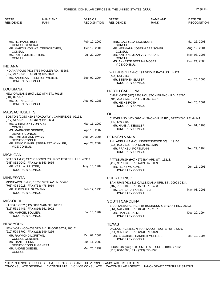## FOREIGN CONSULAR OFFICES IN THE UNITED STATES, 2006 Page 113

| STATE*<br><b>RESIDENCE</b>                                   | <b>NAME AND</b><br><b>RANK</b>                       | DATE OF<br><b>RECOGNITION</b> | STATE*<br><b>RESIDENCE</b>                                   | <b>NAME AND</b><br><b>RANK</b>                           | DATE OF<br><b>RECOGNITION</b> |
|--------------------------------------------------------------|------------------------------------------------------|-------------------------------|--------------------------------------------------------------|----------------------------------------------------------|-------------------------------|
|                                                              |                                                      |                               |                                                              |                                                          |                               |
| MR. HERMANN BUFF,                                            |                                                      | Feb. 12, 2002                 | MRS. GABRIELA EIGENSATZ,                                     |                                                          | Mar. 26, 2003                 |
| <b>CONSUL GENERAL</b>                                        | MR. MARTIN VON WALTERSKIRCHEN,                       | Oct. 19, 2001                 | <b>CONSUL</b>                                                | MR. HERMANN JOSEPH AEBISCHER,                            | Aug. 19, 2004                 |
| <b>CONSUL</b><br>MS. RUTH MUEHLESTEIN,<br><b>CONSUL</b>      |                                                      | Jul. 29, 2004                 | CONSUL<br><b>CONSUL</b>                                      | MR. ANTOINE JEAN VEYRASSAT,                              | May. 08, 2006                 |
|                                                              |                                                      |                               | <b>VICE CONSUL</b>                                           | MS. ANNETTE BETTINA MOSER,                               | Dec. 24, 2003                 |
| INDIANA                                                      |                                                      |                               |                                                              |                                                          |                               |
| (317) 217-1645, FAX (309) 405-7023                           | INDIANAPOLIS (HC) 7752 MOLLER RD., 46268.            |                               | (716) 553-2257                                               | WILLIAMSVILLE (HC) 199 BRIDLE PATH UN., 14221.           |                               |
| <b>HONORARY CONSUL</b>                                       | MR. ANDREAS FRIEDRICH WEBER,                         | Sep. 02, 2004                 | MR. STEPHEN SLATER,<br><b>HONORARY CONSUL</b>                |                                                          | Apr. 25, 2006                 |
| LOUISIANA                                                    |                                                      |                               | <b>NORTH CAROLINA</b>                                        |                                                          |                               |
| $(504)$ 897-6510                                             | NEW ORLEANS (HC) 1620 8TH ST., 70115.                |                               | (704) 292-1237, FAX (704) 292-1137                           | CHARLOTTE (HC) 2208 HOUSTON BRANCH RD., 28270.           |                               |
| MR. JOHN GEISER.<br><b>HONORARY CONSUL</b>                   |                                                      | Aug. 07, 1985                 | MR. HEINZ ROTH,<br><b>HONORARY CONSUL</b>                    |                                                          | Feb. 26, 2001                 |
| MASSACHUSETTS                                                |                                                      |                               |                                                              |                                                          |                               |
|                                                              | BOSTON (CON) 420 BROADWAY ., CAMBRIDGE 02138.        |                               | <b>OHIO</b>                                                  | CLEVELAND (HC) 6670 W. SNOWVILLE RD., BRECKSVILLE 44141. |                               |
| (617) 547-3915, FAX (617) 491-6684<br>MR. CHRISTOPH VON ARB, |                                                      | Mar. 11, 2002                 | (440) 546-1400<br>MR. HANS A. KESSLER,                       |                                                          | Jun. 01, 1998                 |
| <b>CONSUL</b><br>MS. MARIANNE GERBER,                        |                                                      | Apr. 10, 2002                 | <b>HONORARY CONSUL</b>                                       |                                                          |                               |
| DEPUTY CONSUL<br>MR. EMIL JOHANN WYSS,                       |                                                      | Aug. 24, 2005                 | PENNSYLVANIA                                                 |                                                          |                               |
| DEPUTY CONSUL<br><b>VICE CONSUL</b>                          | MR. REMO DANIEL STEINMETZ WINKLER,                   | Apr. 23, 2004                 | (215) 922-2215, FAX (302) 652-2316<br>MR. FRANZ J. PORTMANN, | PHILADELPHIA (HC) INDEPENDENCE SQ. ., 19106.             | Sep. 29, 1994                 |
| MICHIGAN                                                     |                                                      |                               | <b>HONORARY CONSUL</b>                                       |                                                          |                               |
| (248) 852-0040, FAX (248) 853-5665                           | DETROIT (HC) 2175 CROOKS RD., ROCHESTER HILLS 48309. |                               | (412) 967-6038, FAX (412) 967-6039                           | PITTSBURGH (HC) 4677 BAYARD ST., 15213.                  |                               |
| MR. KARL A. PFISTER,<br><b>HONORARY CONSUL</b>               |                                                      | May. 15, 1984                 | MR. HEINZ W. KUNZ,<br><b>HONORARY CONSUL</b>                 |                                                          | Jun. 15, 1991                 |
| <b>MINNESOTA</b>                                             |                                                      |                               | PUERTO RICO                                                  |                                                          |                               |
| (763) 478-3018, FAX (763) 478-3019                           | MINNEAPOLIS (HC) 18250 39TH AV., N, 55446.           |                               | (787) 751-3182, FAX (561) 679-6483                           | SAN JUAN (HC) 816 CALLE DIANA URB. ST., 00923-2334.      |                               |
| MR. RUDOLF F. GUTMANN,<br><b>HONORARY CONSUL</b>             |                                                      | Feb. 12, 1996                 | MS. BARBARA HOSTETTLER,<br><b>HONORARY CONSUL</b>            |                                                          | May. 08, 2001                 |
| MISSOURI                                                     |                                                      |                               | <b>SOUTH CAROLINA</b>                                        |                                                          |                               |
| (816) 561-3441, FAX (816) 561-2922                           | KANSAS CITY (HC) 5018 MAIN ST., 64112.               |                               | (864) 578-7101, FAX (864) 578-7107                           | SPARTANBURG (HC) I-85 BUSINESS & BRYANT RD., 29303.      |                               |
| MR. MARCEL BOLLIER,<br><b>HONORARY CONSUL</b>                |                                                      | Jul. 15, 1987                 | MR. HANS J. BALMER,<br><b>HONORARY CONSUL</b>                |                                                          | Dec. 29, 1994                 |
| NEW YORK                                                     |                                                      |                               | <b>TEXAS</b>                                                 |                                                          |                               |
|                                                              | NEW YORK (CG) 633 3RD AV., FLOOR 30TH, 10017.        |                               |                                                              | DALLAS (HC) 2651 N. HARWOOD., SUITE 455, 75201.          |                               |
| (212) 599-5700, FAX (212) 599-4266<br>MR. RAYMOND LORETAN,   |                                                      | Oct. 02, 2002                 | (214) 965-1025, FAX (214) 871-0879                           | MR. J. GABRIEL BARBIER MUELLER,                          | Mar. 10, 1995                 |
| <b>CONSUL GENERAL</b><br>MR. DANIEL HUNN,                    |                                                      | Jun. 11, 2002                 | <b>HONORARY CONSUL</b>                                       |                                                          |                               |
| MR. ANDRE GUEDEL,<br><b>CONSUL</b>                           | DEPUTY CONSUL GENERAL                                | Mar. 25, 1999                 | (713) 650-0000, FAX (713) 650-1321                           | HOUSTON (CG) 1200 SMITH ST., SUITE 1040, 77002.          |                               |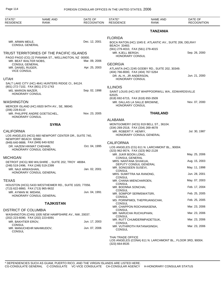| STATE*<br><b>RESIDENCE</b>                                      | <b>NAME AND</b><br><b>RANK</b>                        | DATE OF<br><b>RECOGNITION</b> | STATE*<br><b>RESIDENCE</b>                         | <b>NAME AND</b><br><b>RANK</b>                             | DATE OF<br><b>RECOGNITION</b> |
|-----------------------------------------------------------------|-------------------------------------------------------|-------------------------------|----------------------------------------------------|------------------------------------------------------------|-------------------------------|
|                                                                 |                                                       |                               |                                                    | <b>TANZANIA</b>                                            |                               |
|                                                                 |                                                       |                               | <b>FLORIDA</b>                                     |                                                            |                               |
| MR. ARMIN MEILE,                                                |                                                       | Dec. 12, 2001                 |                                                    | BOCA RATON (HC) 1045 E. ATLANTIC AV., SUITE 206, DELRAY    |                               |
| <b>CONSUL GENERAL</b>                                           |                                                       |                               | BEACH 33483.<br>(561) 279-4010, FAX (561) 279-4015 |                                                            |                               |
|                                                                 | TRUST TERRITORIES OF THE PACIFIC ISLANDS              |                               | MR. KJELL BERGH,                                   |                                                            | Sep. 26, 2000                 |
|                                                                 | PAGO PAGO (CG) 22 PANAMA ST., WELLINGTON, NZ 00000.   |                               | <b>HONORARY CONSUL</b>                             |                                                            |                               |
| MR. BEAT WALTER NOBS,<br><b>CONSUL GENERAL</b>                  |                                                       | Mar. 09, 2006                 | <b>GEORGIA</b>                                     |                                                            |                               |
| MR. DANIEL RUGER,                                               |                                                       | Apr. 25, 2003                 |                                                    | ATLANTA (HC) 2245 GODBY RD., SUITE 202, 30349.             |                               |
| <b>VICE CONSUL</b>                                              |                                                       |                               | (404) 766-8000, FAX (404) 767-5264                 |                                                            |                               |
| <b>UTAH</b>                                                     |                                                       |                               | DR. AL H., JR ANDERSON,<br><b>HONORARY CONSUL</b>  |                                                            | Jun. 21, 2000                 |
|                                                                 | SALT LAKE CITY (HC) 4641 HUNTERS RIDGE CI., 84124.    |                               |                                                    |                                                            |                               |
| (801) 272-7102, FAX (801) 272-1743                              |                                                       |                               | <b>ILLINOIS</b>                                    |                                                            |                               |
| MS. MARION MAZER,<br><b>HONORARY CONSUL</b>                     |                                                       | Sep. 02, 1998                 |                                                    | SAINT LOUIS (HC) 937 WHIPPOORWILL WA., EDWARDSVILLE        |                               |
|                                                                 |                                                       |                               | 62025.<br>(618) 692-6715, FAX (618) 650-3509       |                                                            |                               |
| WASHINGTON                                                      |                                                       |                               | MR. DALLAS LA SALLE BROWNE,                        |                                                            | Nov. 07, 2000                 |
| (206) 228-8110                                                  | MERCER ISLAND (HC) 6920 94TH AV., SE, 98040.          |                               | <b>HONORARY CONSUL</b>                             |                                                            |                               |
| <b>HONORARY CONSUL</b>                                          | MR. PHILIPPE ANDRE GOETSCHEL,                         | Nov. 23, 2005                 |                                                    | <b>THAILAND</b>                                            |                               |
|                                                                 |                                                       |                               | ALABAMA                                            |                                                            |                               |
|                                                                 | <b>SYRIA</b>                                          |                               | (334) 269-2518, FAX (334) 269-4678                 | MONTGOMERY (HCG) 919 BELL ST., 36104.                      |                               |
| <b>CALIFORNIA</b>                                               |                                                       |                               | MR. ROBERT F. HENRY,                               |                                                            | Jul. 30, 1987                 |
| NEWPORT BEACH 92660.                                            | LOS ANGELES (HCG) 660 NEWPORT CENTER DR., SUITE 740,  |                               |                                                    | HONORARY CONSUL GENERAL                                    |                               |
| (949) 640-9888, FAX (949) 640-9292<br>DR. HAZEM HIKMAT CHEHABI, |                                                       | Oct. 04, 1995                 | <b>CALIFORNIA</b>                                  |                                                            |                               |
|                                                                 | HONORARY CONSUL GENERAL                               |                               | (323) 962-9574, FAX (323) 962-2128                 | LOS ANGELES (CG) 611 N. LARCHMONT BL., 90004.              |                               |
|                                                                 |                                                       |                               | MR. JUKR BOON LONG,                                |                                                            | May. 25, 2006                 |
| <b>MICHIGAN</b>                                                 | DETROIT (HCG) 900 WILSHIRE ., SUITE 202, TROY 48084.  |                               | CONSUL GENERAL<br>MRS. NANTANA SIVAKUA,            |                                                            | Aug. 15, 2003                 |
| (248) 519-2496, FAX (248) 519-2399                              |                                                       |                               | DEPUTY CONSUL GENERAL                              |                                                            |                               |
| MR. NAJI ARWASHAN,                                              |                                                       | Jan. 02, 2001                 | MR. SONGSEEN SUSEVI,<br>CONSUL                     |                                                            | May. 11, 1998                 |
|                                                                 | HONORARY CONSUL GENERAL                               |                               | MRS. SUMITTRA NA RANONG.                           |                                                            | Jun. 28, 2001                 |
| TEXAS                                                           |                                                       |                               | <b>CONSUL</b><br>MR. CHANA MIENCHAROEN,            |                                                            | May. 07, 2003                 |
|                                                                 | HOUSTON (HCG) 5433 WESTHEIMER RD., SUITE 1020, 77056. |                               | CONSUL<br>MR. BOONNA SONCHAI,                      |                                                            | Feb. 17, 2004                 |
| (713) 622-8860, FAX (713) 965-9632<br>MR. AYMAN M. MIDANI,      |                                                       | Jun. 04, 1991                 | CONSUL                                             |                                                            |                               |
|                                                                 | HONORARY CONSUL GENERAL                               |                               | MR. SOMPOP SERMSWATSRI,<br>CONSUL                  |                                                            | Feb. 25, 2005                 |
|                                                                 | <b>TAJIKISTAN</b>                                     |                               | CONSUL                                             | MS. PORNPIMOL THEPRUANGCHAI,                               | Feb. 25, 2005                 |
|                                                                 |                                                       |                               | MR. CHAPPON ROCHANASENA,                           |                                                            | Mar. 23, 2006                 |
| <b>DISTRICT OF COLUMBIA</b>                                     | WASHINGTON (CHN) 1005 NEW HAMPSHIRE AV., NW, 20037.   |                               | CONSUL<br>MR. NARUCHA RUCHUPHAN,                   |                                                            | Mar. 23, 2006                 |
| (202) 223-6090, FAX (202) 223-6091                              |                                                       |                               | CONSUL<br>MR. RUTT CHUMDERMPADETSUK,               |                                                            | Mar. 23, 2006                 |
| MR. BAKHTIER EROV,<br>CONSUL                                    |                                                       | Jun. 17, 2003                 | CONSUL                                             |                                                            |                               |
| MR. MANUCHEHR MAHMUDOV,<br><b>CONSUL</b>                        |                                                       | Jun. 07, 2006                 | MR. VUTHIROTH RATANASINGH,<br>CONSUL               |                                                            | Mar. 23, 2006                 |
|                                                                 |                                                       |                               | THAI TRADE OFFICE<br>$(323) 664 - 8535$            | LOS ANGELES (CONA) 611 N. LARCHMONT BL., FLOOR 3RD, 90004. |                               |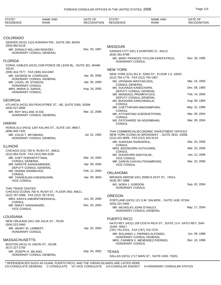| STATE*<br><b>RESIDENCE</b>                        | <b>NAME AND</b><br><b>RANK</b>                              | DATE OF<br><b>RECOGNITION</b> | STATE*<br><b>RESIDENCE</b>                                   | <b>NAME AND</b><br><b>RANK</b>                                                                   | DATE OF<br><b>RECOGNITION</b> |
|---------------------------------------------------|-------------------------------------------------------------|-------------------------------|--------------------------------------------------------------|--------------------------------------------------------------------------------------------------|-------------------------------|
|                                                   |                                                             |                               |                                                              |                                                                                                  |                               |
| COLORADO                                          |                                                             |                               |                                                              |                                                                                                  |                               |
|                                                   | DENVER (HCG) 1123 AURARIA PW., SUITE 200, 80204.            |                               |                                                              |                                                                                                  |                               |
| $(303) 892 - 0118$<br>MR. DONALD WILLIAM RINGSBY, |                                                             | Dec. 03, 1987                 | <b>MISSOURI</b>                                              |                                                                                                  |                               |
|                                                   | HONORARY CONSUL GENERAL                                     |                               | $(816)$ 361-8788                                             | KANSAS CITY (HC) 3 DUNFORD CI., 64112.                                                           |                               |
| <b>FLORIDA</b>                                    |                                                             |                               | <b>HONORARY CONSUL</b>                                       | MS. MARY FRANCES TAYLOR-KIRKPATRICK,                                                             | Nov. 29, 1995                 |
| 33134.                                            | CORAL GABLES (HCG) 2199 PONCE DE LEON BL., SUITE 301, MIAMI |                               | <b>NEW YORK</b>                                              |                                                                                                  |                               |
| (305) 444-7577, FAX (305) 444-0487                |                                                             |                               |                                                              | NEW YORK (CG) 351 E. 52ND ST., FLOOR 1-3, 10022.                                                 |                               |
| MR. GEORGE M. CORRIGAN,                           | HONORARY CONSUL GENERAL                                     | Apr. 05, 2000                 | (212) 754-1770, FAX (212) 754-1907                           |                                                                                                  |                               |
| MR. LOUIS, JR. STINSON,<br>HONORARY CONSUL        |                                                             | Apr. 05, 2000                 | MS. VIPAWAN NIPATAKUSOL,<br><b>CONSUL GENERAL</b>            |                                                                                                  | Mar. 24, 2005                 |
| MRS. MARIA D. SARIOL,<br>HONORARY CONSUL          |                                                             | Aug. 16, 2005                 | MS. SUCHADA KANECHORN,                                       | DEPUTY CONSUL GENERAL                                                                            | Dec. 08, 1993                 |
|                                                   |                                                             |                               | MR. MONGKOL PROMPAYUCK,                                      |                                                                                                  | Feb. 14, 2005                 |
| GEORGIA                                           |                                                             |                               | MS. BOOSARA KANCHANALAI,                                     | DEPUTY CONSUL GENERAL                                                                            | Aug. 09, 1994                 |
| (404) 527-4650                                    | ATLANTA (HCG) 303 PEACHTREE ST., NE, SUITE 5300, 30306.     |                               | <b>CONSUL</b>                                                | MR. CHETTAPHAN MAKSAMPHAN,                                                                       | May. 31, 1996                 |
| MR. ROY WILLIAM, III IDE,                         | HONORARY CONSUL GENERAL                                     | Mar. 22, 2006                 | <b>CONSUL</b><br><b>CONSUL</b>                               | MR. ATTHAPONG KOEDKIETPONG,                                                                      | Mar. 09, 2004                 |
| HAWAII                                            |                                                             |                               | <b>CONSUL</b>                                                | MS. PATCHAREE SA NGIEMBHAN,                                                                      | Mar. 09, 2004                 |
|                                                   | HONOLULU (HCG) 1287 KALANI ST., SUITE 103, 96817.           |                               |                                                              |                                                                                                  |                               |
| (808) 845-7332<br>MR. COLIN T. MIYABARA,          |                                                             | Jul. 01, 1992                 |                                                              | THAI COMMERCIAL\ECONOMIC \INVESTMENT OFFICES<br>NEW YORK (CONA) 61 BROADWAY., SUITE 2810, 10006. |                               |
|                                                   | HONORARY CONSUL GENERAL                                     |                               | (212) 422-9009, FAX (212) 422-9119<br>MR. SURASAK RIANGKRUL, |                                                                                                  | Mar. 23, 2006                 |
| ILLINOIS                                          |                                                             |                               | <b>CONSUL</b>                                                |                                                                                                  |                               |
|                                                   | CHICAGO (CG) 700 N. RUSH ST., 60611.                        |                               | MRS. BOOSKORN VUTIVIJARN,<br><b>CONSUL</b>                   |                                                                                                  | Mar. 23, 2006                 |
| (312) 664-3129, FAX (312) 664-3230                |                                                             |                               | MS. SUDAKORN SAKIYALAK,                                      |                                                                                                  | Jan. 12, 2006                 |
| MR. CHET DHERAPATTANA,<br><b>CONSUL GENERAL</b>   |                                                             | Mar. 19, 2003                 | <b>VICE CONSUL</b>                                           | MR. GARUN CHAVALITDHAMRONG,                                                                      | Mar. 23, 2006                 |
| MR. NAROTE SANGKAMANEE,                           |                                                             | Apr. 09, 2004                 | <b>VICE CONSUL</b>                                           |                                                                                                  |                               |
| DEPUTY CONSUL GENERAL<br>MR. DHAMA DHAMAVASI,     |                                                             | Feb. 12, 2004                 |                                                              |                                                                                                  |                               |
| <b>CONSUL</b>                                     |                                                             |                               | <b>OKLAHOMA</b>                                              |                                                                                                  |                               |
| MR. THANESUAN KAEWNGARM,<br><b>VICE CONSUL</b>    |                                                             | Apr. 09, 3004                 | $(918)$ 357-2886                                             | BROKEN ARROW (HC) 25900 E.81ST ST., 74014.                                                       |                               |
| <b>THAI TRADE CENTER</b>                          |                                                             |                               | MS. NORA J. GORDON,<br>HONORARY CONSUL                       |                                                                                                  | Sep. 02, 2004                 |
|                                                   | CHICAGO (CONA) 700 N. RUSH ST., FLOOR 2ND, 60611.           |                               |                                                              |                                                                                                  |                               |
| (312) 787-3388, FAX (312) 787-9733                | MRS. KANYA AMORNTHEERAKUL,                                  | Jun. 05, 2006                 | <b>OREGON</b>                                                |                                                                                                  |                               |
| <b>CONSUL</b>                                     |                                                             |                               | (503) 221-0440                                               | PORTLAND (HCG) 121 S.W. SALMON ., SUITE 1430, 97204.                                             |                               |
| MR. NIWAT HANSAWARD,<br><b>VICE CONSUL</b>        |                                                             | Dec. 03, 2004                 | MR. NICHOLAS JOHN STANLEY,                                   | HONORARY CONSUL GENERAL                                                                          | May. 17, 2004                 |
|                                                   |                                                             |                               |                                                              |                                                                                                  |                               |
| LOUISIANA                                         |                                                             |                               | <b>PUERTO RICO</b>                                           |                                                                                                  |                               |
| (504) 522-3400                                    | NEW ORLEANS (HC) 335 JULIA ST., 70130.                      |                               |                                                              | HATO REY (HCG) 159 COSTA RICA ST., SUITE 11-F, HATO REY, SAN                                     |                               |
| MR. HENRY M. LAMBERT,                             |                                                             | Apr. 02, 2003                 | JUAN 00917.<br>(787) 751-0151, FAX (787) 753-7276            |                                                                                                  |                               |
| <b>HONORARY CONSUL</b>                            |                                                             |                               |                                                              | MR. ROLANDO J. PIERNES ALFONSO,                                                                  | Jun. 09, 1988                 |
| MASSACHUSETTS                                     |                                                             |                               |                                                              | HONORARY CONSUL GENERAL<br>MRS. CARMEN V. MENENDEZ-PIERNES,                                      | Dec. 10, 1998                 |
| BOSTON (HCG) 41 UNION ST., 02108.                 |                                                             |                               | HONORARY CONSUL                                              |                                                                                                  |                               |
| (617) 227-2750                                    |                                                             |                               |                                                              |                                                                                                  |                               |
| MR. JOSEPH A. MILANO,                             | HONORARY CONSUL GENERAL                                     | Sep. 04, 2002                 | <b>TEXAS</b>                                                 |                                                                                                  |                               |
|                                                   |                                                             |                               |                                                              | DALLAS (HCG) 1717 MAIN ST., SUITE 4100, 75201.                                                   |                               |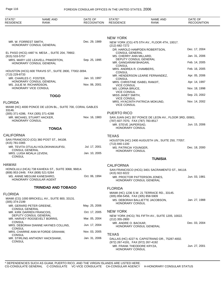| STATE*<br><b>RESIDENCE</b>                        | <b>NAME AND</b><br><b>RANK</b>                                     | DATE OF<br><b>RECOGNITION</b> | STATE*<br><b>RESIDENCE</b>                                     | <b>NAME AND</b><br><b>RANK</b>                          | DATE OF<br><b>RECOGNITION</b> |
|---------------------------------------------------|--------------------------------------------------------------------|-------------------------------|----------------------------------------------------------------|---------------------------------------------------------|-------------------------------|
|                                                   |                                                                    |                               |                                                                |                                                         |                               |
|                                                   |                                                                    |                               | <b>NEW YORK</b>                                                |                                                         |                               |
| MR. W. FORREST SMITH,                             | HONORARY CONSUL GENERAL                                            | Dec. 29, 1989                 | (212) 682-7272                                                 | NEW YORK (CG) 475 5TH AV., FLOOR 4TH, 10017.            |                               |
|                                                   | EL PASO (HCG) 4487 N. MESA., SUITE 204, 79902.                     |                               | <b>CONSUL GENERAL</b>                                          | DR. HAROLD HAMPDEN ROBERTSON,                           | Dec. 17, 2004                 |
| $(915) 533 - 5757$                                |                                                                    |                               | MS. CHERRY ANN MILLARD,                                        |                                                         | Jan. 31, 2006                 |
|                                                   | MRS. MARY LEE LEAVELL PINKERTON,<br><b>HONORARY CONSUL GENERAL</b> | Sep. 25, 1995                 | DEPUTY CONSUL GENERAL<br>MR. GANGARAM BHAGAN,<br><b>CONSUL</b> |                                                         | Feb. 14, 2005                 |
|                                                   | HOUSTON (HCG) 600 TRAVIS ST., SUITE 2800, 77002-3094.              |                               | MRS. ANDREA R. CHAMBERS,<br><b>CONSUL</b>                      |                                                         | Feb. 16, 2005                 |
| (713) 229-8733<br>MR. CHARLES C. FOSTER,          |                                                                    | Jan. 10, 1997                 |                                                                | MR. HENDERSON LEARIE FERNANDEZ,                         | Apr. 05, 2006                 |
|                                                   | HONORARY CONSUL GENERAL                                            |                               | <b>CONSUL</b><br>MRS. CHRISTINE ISABEL RAMJIT,                 |                                                         | Apr. 14, 1997                 |
| MS. JULIE M. RICHARDSON,<br>HONORARY VICE CONSUL  |                                                                    | Nov. 06, 2001                 | <b>VICE CONSUL</b><br>MS. LORNA BRUCE,<br><b>VICE CONSUL</b>   |                                                         | Nov. 18, 1998                 |
|                                                   | <b>TOGO</b>                                                        |                               | MISS JANET SMITH,                                              |                                                         | Sep. 23, 2002                 |
| <b>FLORIDA</b>                                    |                                                                    |                               | <b>VICE CONSUL</b><br><b>VICE CONSUL</b>                       | MRS. HYACINTH PATRICIA MOKUND,                          | Nov. 14, 2002                 |
| 33146.                                            | MIAMI (HC) 4000 PONCE DE LEON BL., SUITE 700, CORAL GABLES         |                               |                                                                |                                                         |                               |
| (305) 371-4286, FAX (305) 371-4288                |                                                                    |                               | PUERTO RICO                                                    |                                                         |                               |
| HONORARY CONSUL                                   | MR. MICHAEL STUART HACKER,                                         | Nov. 16, 1983                 | (787) 607-7070, FAX (787) 783-8517<br>MR. STEVE JAIPERSAD,     | SAN JUAN (HC) 357 PONCE DE LEON AV., FLOOR 3RD, 00901.  | Jun. 15, 2006                 |
|                                                   | <b>TONGA</b>                                                       |                               | HONORARY CONSUL                                                |                                                         |                               |
| <b>CALIFORNIA</b>                                 |                                                                    |                               | <b>TEXAS</b>                                                   |                                                         |                               |
| (415) 781-0365                                    | SAN FRANCISCO (CG) 360 POST ST., 94108.                            |                               |                                                                | HOUSTON (HC) 2400 AUGUSTA UN., SUITE 250, 77057.        |                               |
|                                                   | MR. TEVITA OTULAU KOLOKIHAKAUFISI,                                 | Jul. 17, 2001                 | (713) 840-1100<br>MS. PATRICIA YOUNGER,                        |                                                         | Dec. 18, 2000                 |
| <b>CONSUL GENERAL</b><br>MRS. LUISA MOALA LEVENI, |                                                                    | Jan. 10, 2005                 | HONORARY CONSUL                                                |                                                         |                               |
| <b>CONSUL</b>                                     |                                                                    |                               |                                                                | <b>TUNISIA</b>                                          |                               |
| HAWAII                                            |                                                                    |                               | <b>CALIFORNIA</b>                                              |                                                         |                               |
| (808) 953-2449, FAX (808) 521-5264                | HONOLULU (HCA) 738 KAHEKA ST., SUITE 3068, 96814.                  |                               | (415) 922-9222                                                 | SAN FRANCISCO (HCG) 3401 SACRAMENTO ST., 94118.         |                               |
|                                                   | MS. ANNIE MEGUMI KANESHIRO,<br>HONORARY CONSULAR AGENT             | Oct. 06, 1994                 |                                                                | MR. PROCTOR PATTERSON JONES,<br>HONORARY CONSUL GENERAL | Jun. 03, 1981                 |
|                                                   | <b>TRINIDAD AND TOBAGO</b>                                         |                               | <b>FLORIDA</b>                                                 |                                                         |                               |
| <b>FLORIDA</b>                                    |                                                                    |                               |                                                                | MIAMI (HC) 1236 S.W. 21 TERRACE RD., 33145.             |                               |
| $(305)$ 374-2199                                  | MIAMI (CG) 1000 BRICKELL AV., SUITE 800, 33131.                    |                               | (305) 858-5456, FAX (305) 858-5909<br><b>HONORARY CONSUL</b>   | MS. DEBORAH BALLIETTE JACOBSON,                         | Jan. 27, 1988                 |
| MR. GERARD PETER GREENE,<br><b>CONSUL GENERAL</b> |                                                                    | May. 25, 2006                 |                                                                |                                                         |                               |
| MR. KIRK DARREN FRANCOIS,                         |                                                                    | Oct. 17, 2005                 | <b>NEW YORK</b>                                                |                                                         |                               |
|                                                   | DEPUTY CONSUL GENERAL<br>MR. HARVEY ROOSEVELT BORRIS,              | Mar. 05, 2004                 | $(212)$ 355-2800                                               | NEW YORK (HCG) 781 FIFTH AV., SUITE 1205, 10022.        |                               |
| CONSUL<br>CONSUL                                  | MRS. DEBORAH DIANNE HAYNES COLLINS,                                | Jun. 17, 2004                 | MR. ANDRE O. BACKAR,                                           | HONORARY CONSUL GENERAL                                 | Dec. 03, 2004                 |
|                                                   | MRS. CHARRIE ANN M FORDE GRAHAM,                                   | Nov. 03, 2005                 | <b>TEXAS</b>                                                   |                                                         |                               |
| CONSUL<br><b>CONSUL</b>                           | MR. STIRLING ANTHONY HACKSHAW,                                     | Jan. 31, 2006                 | (972) 267-4191, FAX (972) 267-4192                             | DALLAS (HC) 4227 N. CAPISTRANO DR., 75287-4002.         |                               |
|                                                   |                                                                    |                               | MR. FRANK THEODORE KRYZA,<br>HONORARY CONSUL                   |                                                         | Jun. 27, 2001                 |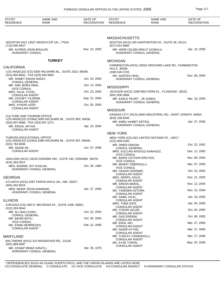| STATE*<br><b>RESIDENCE</b>                                   | <b>NAME AND</b><br>RANK                                  | DATE OF<br><b>RECOGNITION</b> | STATE*<br><b>RESIDENCE</b>                      | <b>NAME AND</b><br>RANK                                    | DATE OF<br><b>RECOGNITION</b> |
|--------------------------------------------------------------|----------------------------------------------------------|-------------------------------|-------------------------------------------------|------------------------------------------------------------|-------------------------------|
|                                                              |                                                          |                               |                                                 |                                                            |                               |
| (713) 935-9427                                               | HOUSTON (HC) 12527 MOSSYCUP UN., 77024.                  |                               | <b>MASSACHUSETTS</b><br>$(617)$ 821-9660        | BOSTON (HCG) 325 HUNTINGTON AV., SUITE 46, 02115.          |                               |
| MR. ALFRED JOHN BOULOS,<br>HONORARY CONSUL                   |                                                          | Nov. 10, 2003                 |                                                 | MR. HIDIR CELEBI ERKUT GOMULU,<br>HONORARY CONSUL GENERAL  | Apr. 19, 2005                 |
|                                                              | <b>TURKEY</b>                                            |                               | <b>MICHIGAN</b>                                 |                                                            |                               |
| <b>CALIFORNIA</b>                                            |                                                          |                               |                                                 | FARMINGTON (HCG) 25816 ORCHARD LAKE RD., FARMINGTON        |                               |
|                                                              | LOS ANGELES (CG) 6300 WILSHIRE BL., SUITE 2010, 90048.   |                               | <b>HILLS 48336.</b><br>(248) 626-3745           |                                                            |                               |
| (323) 655-8832, FAX (323) 655-8681<br>MR. AHMET ENGIN ANSAY, |                                                          | Jun. 23, 2003                 | MS. NURTEN URAL,                                | HONORARY CONSUL GENERAL                                    | Nov. 08, 2004                 |
| <b>CONSUL GENERAL</b><br>MR. ANIL BORA INAN,                 |                                                          | Oct. 14, 2004                 |                                                 |                                                            |                               |
| <b>VICE CONSUL</b>                                           |                                                          |                               | <b>MISSISSIPPI</b>                              |                                                            |                               |
| MRS. HILAL YUCEL,<br><b>CONSULAR AGENT</b>                   |                                                          | Oct. 23, 2002                 | (601) 936-3666                                  | JACKSON (HCG) 1000 RED FERN PL., FLOWOOD 39232.            |                               |
| MR. CEVDET YILDIRIM,<br><b>CONSULAR AGENT</b>                |                                                          | Sep. 21, 2004                 | MR. EARLE FEURT, JR JONES,                      | HONORARY CONSUL GENERAL                                    | Mar. 18, 2005                 |
| MRS. AYNUR UZER,                                             |                                                          | Oct. 05, 2004                 |                                                 |                                                            |                               |
| <b>CONSULAR AGENT</b>                                        |                                                          |                               | <b>MISSOURI</b>                                 |                                                            |                               |
| <b>CULTURE AND TOURISM OFFICE</b>                            | LOS ANGELES (CONA) 5055 WILSHIRE BL., SUITE 850, 90036.  |                               | $(816)$ 238-6646                                | KANSAS CITY (HCG) 6000 INDUSTRIAL RD., SAINT JOSEPH 64504. |                               |
| (323) 937-8066, FAX (323) 937-1271                           |                                                          |                               | MR. EMRU AHMET ERTEN,                           |                                                            | Apr. 27, 2005                 |
| MR. ERDAL AKTAN,<br><b>CONSULAR AGENT</b>                    |                                                          | Apr. 23, 2004                 |                                                 | HONORARY CONSUL GENERAL                                    |                               |
|                                                              |                                                          |                               | <b>NEW YORK</b>                                 |                                                            |                               |
| <b>TURKISH EDUCATIONAL OFFICE</b>                            | LOS ANGELES (CONA) 6380 WILSHIRE BL., SUITE 907, 90048.  |                               | (212) 949-0160                                  | NEW YORK (CG) 821 UNITED NATIONS PZ., 10017.               |                               |
| (323) 782-8636<br>MR. NAZMI AK,                              |                                                          | Jun. 07, 2006                 | MR. OMER ONHON,<br><b>CONSUL GENERAL</b>        |                                                            | Oct. 22, 2002                 |
| <b>CONSULAR AGENT</b>                                        |                                                          |                               | <b>VICE CONSUL</b>                              | MRS. GULCAN AKOGUZ KARAGOZ,                                | Dec. 12, 2000                 |
|                                                              | OAKLAND (HCG) 19229 SONOMA HW., SUITE 345, SONOMA 95476. |                               | MR. BARIS CEYHUN ERCIYES,<br><b>VICE CONSUL</b> |                                                            | Nov. 08, 2004                 |
| (415) 362-0912<br>MRS. BONNIE JOY KASLAN,                    |                                                          | Oct. 26, 1984                 | MR. MURAT OMEROGLU,<br><b>VICE CONSUL</b>       |                                                            | Mar. 07, 2005                 |
|                                                              | HONORARY CONSUL GENERAL                                  |                               | MR. HASAN OZDEMIR,                              |                                                            | Oct. 23, 2002                 |
| <b>GEORGIA</b>                                               |                                                          |                               | <b>CONSULAR AGENT</b><br>MRS. SERPIL OGUZ,      |                                                            | Nov. 21, 2003                 |
| (404) 262-9524                                               | ATLANTA (HCG) 4287 PARAN WALK UN., NW, 30327.            |                               | <b>CONSULAR AGENT</b><br>MR. ERKAN MARAL,       |                                                            | Nov. 12, 2004                 |
| MRS. MONA TEKIN DIAMOND,                                     | HONORARY CONSUL GENERAL                                  | Apr. 27, 2005                 | <b>CONSULAR AGENT</b><br>MS. YASEMIN OZTURK,    |                                                            | Nov. 12, 2004                 |
|                                                              |                                                          |                               | <b>CONSULAR AGENT</b><br>MR. SAMIL OCAL,        |                                                            | Jan. 18, 2005                 |
| <b>ILLINOIS</b>                                              | CHICAGO (CG) 360 N. MICHIGAN AV., SUITE 1405, 60601.     |                               | <b>CONSULAR AGENT</b><br>MRS. TUBA ICEN,        |                                                            | Apr. 04, 2005                 |
| $(312)$ 263-0644                                             |                                                          |                               | <b>CONSULAR AGENT</b><br>MR. COSAR OZLER,       |                                                            | Oct. 04, 2005                 |
| MR. ALI NACI KORU,<br><b>CONSUL GENERAL</b>                  |                                                          | Oct. 22, 2002                 | <b>CONSULAR AGENT</b><br>MR. GAZI ERDEM,        |                                                            | Oct. 06, 2005                 |
| MR. BAHRI BATU,<br><b>VICE CONSUL</b>                        |                                                          | Oct. 05, 2004                 | <b>CONSULAR AGENT</b><br>MR. EROL ARI,          |                                                            | Mar. 27, 2006                 |
| MS. ESMA DEMIREZEN,<br><b>CONSULAR AGENT</b>                 |                                                          | Feb. 22, 2006                 | <b>CONSULAR AGENT</b>                           |                                                            |                               |
|                                                              |                                                          |                               | MR. NADIR AYTAN,<br><b>CONSULAR AGENT</b>       |                                                            | Mar. 27, 2006                 |
| <b>MARYLAND</b>                                              |                                                          |                               | MR. TUNCAY CANANOGLU,<br><b>CONSULAR AGENT</b>  |                                                            | Mar. 27, 2006                 |
| $(301) 889 - 0697$                                           | BALTIMORE (HCG) 313 WENDOVER RD., 21218.                 |                               | MS. AYSE TURAN,<br><b>CONSULAR AGENT</b>        |                                                            | May. 25, 2006                 |
| MR. CENAP REMZI KIRATLI,                                     | HONORARY CONSUL GENERAL                                  | Apr. 26, 1976                 |                                                 |                                                            |                               |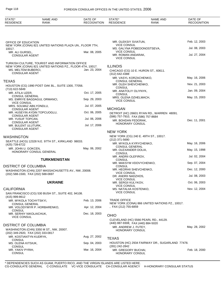| STATE*<br><b>RESIDENCE</b>                                            | <b>NAME AND</b><br><b>RANK</b>                                                                               | DATE OF<br><b>RECOGNITION</b> | STATE*<br><b>RESIDENCE</b>                                     | <b>NAME AND</b><br><b>RANK</b>                  | DATE OF<br><b>RECOGNITION</b> |
|-----------------------------------------------------------------------|--------------------------------------------------------------------------------------------------------------|-------------------------------|----------------------------------------------------------------|-------------------------------------------------|-------------------------------|
|                                                                       |                                                                                                              |                               |                                                                |                                                 |                               |
| OFFICE OF EDUCATION                                                   |                                                                                                              |                               | MR. OLEKSIY SVIATUN,                                           |                                                 | Feb. 12, 2003                 |
| 10017.                                                                | NEW YORK (CONA) 821 UNITED NATIONS PLAZA UN., FLOOR 7TH,                                                     |                               | <b>VICE CONSUL</b>                                             | MS. GALYNA POBEDONOSTSEVA,                      | Jul. 08, 2003                 |
| MR. ALI GURSEL,<br><b>CONSULAR AGENT</b>                              |                                                                                                              | Mar. 08, 2005                 | <b>VICE CONSUL</b><br>MR. ROMAN ANDARAK,<br><b>VICE CONSUL</b> |                                                 | Jul. 27, 2004                 |
|                                                                       | TURKISH CULTURE, TOURIST AND INFORMATION OFFICE<br>NEW YORK (CONA) 821 UNITED NATIONS PZ., FLOOR 4TH, 10017. |                               | <b>ILLINOIS</b>                                                |                                                 |                               |
| MS. MELTEM BUBERCI,<br><b>CONSULAR AGENT</b>                          |                                                                                                              | Jan. 23, 2004                 | (312) 642-4388                                                 | CHICAGO (CG) 10 E. HURON ST., 60611.            |                               |
|                                                                       |                                                                                                              |                               | MR. VASYL KORZACHENKO,                                         |                                                 | May. 16, 2006                 |
| <b>TEXAS</b>                                                          | HOUSTON (CG) 1990 POST OAK BL., SUITE 1300, 77056.                                                           |                               | <b>CONSUL GENERAL</b><br>MR. OLEH SHEVCHENKO,                  |                                                 | Nov. 21, 2003                 |
| (713) 622-5849                                                        |                                                                                                              |                               | <b>CONSUL</b><br>MR. ANATOLIY OLIYNYK,                         |                                                 | Jan. 09, 2004                 |
| MR. ATILA UZER.<br><b>CONSUL GENERAL</b>                              |                                                                                                              | Oct. 17, 2005                 | <b>CONSUL</b><br>MRS. OLENA DZHELMACH,                         |                                                 | May. 15, 2003                 |
| <b>VICE CONSUL</b>                                                    | MS. EMRIYE BAGDAGUL ORMANCI,                                                                                 | Sep. 29, 2003                 | <b>VICE CONSUL</b>                                             |                                                 |                               |
| MRS. SOLMAZ ABILYONDLU,<br><b>CONSULAR AGENT</b>                      |                                                                                                              | Jul. 07, 2005                 | <b>MICHIGAN</b>                                                |                                                 |                               |
|                                                                       | MR. HUSEYIN AYDIN TOPCUOGLU,                                                                                 | Oct. 06, 2005                 |                                                                | DETROIT (HC) 26601 RYAN RD., WARREN 48091.      |                               |
| <b>CONSULAR AGENT</b><br>MR. YUSUF TOPCAN,                            |                                                                                                              | Jul. 06, 2006                 | (586) 757-7910, FAX (586) 757-8684<br>MR. BOHDAN FEDORAK,      |                                                 | Dec. 11, 2001                 |
| <b>CONSULAR AGENT</b><br>MR. BULENT ULUTURK,<br><b>CONSULAR AGENT</b> |                                                                                                              | Jul. 17, 2006                 | HONORARY CONSUL                                                |                                                 |                               |
|                                                                       |                                                                                                              |                               | <b>NEW YORK</b>                                                |                                                 |                               |
| <b>WASHINGTON</b>                                                     |                                                                                                              |                               | (212) 371-5690                                                 | NEW YORK (CG) 240 E. 49TH ST., 10017.           |                               |
| (425) 739-6722                                                        | SEATTLE (HCG) 12328 N.E. 97TH ST., KIRKLAND 98033.                                                           |                               | MR. MYKOLA KYRYCHENKO,                                         |                                                 | May. 16, 2006                 |
| MR. JOHN U. GOKCEN,                                                   | HONORARY CONSUL GENERAL                                                                                      | May. 06, 2002                 | <b>CONSUL GENERAL</b><br>MR. OLEXANDER DOLIA,                  |                                                 | May. 15, 1998                 |
|                                                                       |                                                                                                              |                               | <b>CONSUL</b><br>MR. ANDRII OLEFIROV,                          |                                                 | Jul. 02, 2004                 |
|                                                                       | <b>TURKMENISTAN</b>                                                                                          |                               | <b>CONSUL</b><br>MR. MAKSYM VDOVYCHENKO,                       |                                                 | Sep. 07, 2004                 |
| <b>DISTRICT OF COLUMBIA</b>                                           |                                                                                                              |                               | <b>CONSUL</b>                                                  |                                                 | Dec. 12, 2000                 |
| (202) 588-1500, FAX (202) 588-0697                                    | WASHINGTON (CHN) 2207 MASSACHUSETTS AV., NW, 20008.                                                          |                               | MR. HEORHII SHEVCHENKO,<br><b>VICE CONSUL</b>                  |                                                 |                               |
|                                                                       |                                                                                                              |                               | DR. ANDRII NADZHOS,<br><b>VICE CONSUL</b>                      |                                                 | Jul. 08, 2003                 |
|                                                                       | <b>UKRAINE</b>                                                                                               |                               | MR. SERGII KULYKOV,<br><b>VICE CONSUL</b>                      |                                                 | Oct. 06, 2003                 |
| <b>CALIFORNIA</b>                                                     |                                                                                                              |                               | MS. NATALIIA KOSTENKO,<br><b>VICE CONSUL</b>                   |                                                 | Nov. 12, 2004                 |
| (415) 999-8612                                                        | SAN FRANCISCO (CG) 530 BUSH ST., SUITE 402, 94108.                                                           |                               |                                                                |                                                 |                               |
| MR. MYKOLA TOCHYTSKYI,<br><b>CONSUL GENERAL</b>                       |                                                                                                              | Feb. 13, 2006                 | <b>TRADE OFFICE</b>                                            | NEW YORK (CONA) 866 UNITED NATIONS PZ., 10017.  |                               |
| <b>CONSUL</b>                                                         | MR. VOLODYMYR P. HORBARENKO,                                                                                 | Apr. 12, 2004                 | ,FAX (212) 755-6859                                            |                                                 |                               |
| MR. SERHIY NIKOLAICHUK,                                               |                                                                                                              | Dec. 18, 2003                 | <b>OHIO</b>                                                    |                                                 |                               |
| <b>VICE CONSUL</b>                                                    |                                                                                                              |                               |                                                                | CLEVELAND (HC) 5566 PEARL RD., 44129.           |                               |
| <b>DISTRICT OF COLUMBIA</b>                                           |                                                                                                              |                               | (440) 887-9308, FAX (440) 884-5020<br>MR. ANDREW J. FUTEY,     |                                                 | May. 28, 2002                 |
| (202) 349-2920, FAX (202) 333-0817                                    | WASHINGTON (CHN) 3350 M ST., NW, 20007.                                                                      |                               | <b>HONORARY CONSUL</b>                                         |                                                 |                               |
| MR. KOSTIANTYN KUDRYK,                                                |                                                                                                              | Aug. 27, 2002                 | <b>TEXAS</b>                                                   |                                                 |                               |
| <b>CONSUL</b><br>MS. OLENA KITSIUK,                                   |                                                                                                              | Sep. 04, 2003                 |                                                                | HOUSTON (HC) 2934 FAIRWAY DR., SUGARLAND 77478. |                               |
| <b>CONSUL</b><br>MR. YAKIV PYRIH,                                     |                                                                                                              | Mar. 16, 2004                 | (281) 242-2842<br>MR. GREGORY BUCHAI,                          |                                                 | Feb. 18, 2000                 |
| <b>CONSUL</b>                                                         |                                                                                                              |                               | <b>HONORARY CONSUL</b>                                         |                                                 |                               |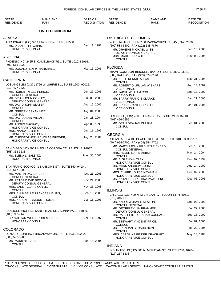| STATE*<br><b>RESIDENCE</b>                      | <b>NAME AND</b><br>RANK                                  | DATE OF<br><b>RECOGNITION</b> | STATE*<br><b>RESIDENCE</b>                                     | NAME AND<br><b>RANK</b>                                     | DATE OF<br><b>RECOGNITION</b> |
|-------------------------------------------------|----------------------------------------------------------|-------------------------------|----------------------------------------------------------------|-------------------------------------------------------------|-------------------------------|
|                                                 | <b>UNITED KINGDOM</b>                                    |                               |                                                                |                                                             |                               |
| ALASKA                                          |                                                          |                               | <b>DISTRICT OF COLUMBIA</b>                                    |                                                             |                               |
|                                                 | ANCHORAGE (HC) 3211 PROVIDENCE DR., 99508.               |                               |                                                                | WASHINGTON (CHN) 3100 MASSACHUSETTS AV., NW, 20008.         |                               |
| MS. DIDDY R. HITCHINS,<br>HONORARY CONSUL       |                                                          | Dec. 11, 1987                 | (202) 588-6500, FAX (202) 588-7870<br>MR. GRAEME MICHAEL WISE, |                                                             | Feb. 10, 2005                 |
| ARIZONA                                         |                                                          |                               | DEPUTY CONSUL GENERAL<br>MRS. MARIE FORSYTH,                   |                                                             | Nov. 09, 2005                 |
|                                                 | PHOENIX (HC) 2425 E. CAMELBACK RD., SUITE 1020, 85016.   |                               | <b>CONSUL</b>                                                  |                                                             |                               |
| $(602)$ 515-1029                                |                                                          |                               |                                                                |                                                             |                               |
| HONORARY CONSUL                                 | MR. DONALD HENRY MARSHALL,                               | Mar. 16, 2006                 | <b>FLORIDA</b>                                                 | MIAMI (CON) 1001 BRICKELL BAY DR., SUITE 2800, 33131.       |                               |
| CALIFORNIA                                      |                                                          |                               | (305) 374-1522, FAX (305) 374-8196<br>MR. KEITH RENNIE ALLAN,  |                                                             | May. 31, 2006                 |
|                                                 | LOS ANGELES (CG) 11766 WILSHIRE BL., SUITE 1200, 90025.  |                               | <b>CONSUL</b>                                                  | MR. ROBERT GILFILLAN WISHART,                               | Aug. 13, 2002                 |
| (310) 477-3322<br>MR. ROBERT NIGEL PEIRCE,      |                                                          | Jun. 27, 2005                 | <b>VICE CONSUL</b><br>MR. JAIMIE WILLIAM COX,                  |                                                             | Sep. 17, 2002                 |
| <b>CONSUL GENERAL</b><br>MR. BRIAN JOHN CONLEY, |                                                          | Jul. 06, 2005                 | <b>VICE CONSUL</b><br>MR. BARRY FRANCIS CLARKE,                |                                                             | Jan. 21, 2005                 |
| MR. DAVID JOHN SLATER,                          | DEPUTY CONSUL GENERAL                                    | Aug. 16, 2002                 | <b>VICE CONSUL</b><br>MR. BRIAN GRANT CORBETT,                 |                                                             | Mar. 01, 2006                 |
| <b>CONSUL</b><br>MR. JEFFERY BRYAN MEE,         |                                                          | Aug. 01, 2003                 | <b>VICE CONSUL</b>                                             |                                                             |                               |
| <b>CONSUL</b><br>MR. DAVID ALAN MILLAR,         |                                                          | Jan. 23, 2004                 |                                                                | ORLANDO (CON) 200 S. ORANGE AV., SUITE 2110, 32801.         |                               |
| <b>CONSUL</b><br>MR. ANGUS MACKAY,              |                                                          | Apr. 03, 1996                 | (407) 426-7855<br>MR. DEAN GRAHAM CHURM,                       |                                                             | Feb. 01, 2006                 |
| MRS. NANCY L. BRIDI,                            | HONORARY VICE CONSUL                                     | Jun. 11, 1996                 | <b>CONSUL</b>                                                  |                                                             |                               |
|                                                 | HONORARY VICE CONSUL                                     |                               | <b>GEORGIA</b>                                                 |                                                             |                               |
|                                                 | MR. CHRISTOPHER NICHOLAS BREWER,<br>HONORARY VICE CONSUL | Aug. 20, 2001                 | (404) 954-7700, FAX (404) 954-7702                             | ATLANTA (CG) 133 PEACHTREE ST., NE, SUITE 3400, 30303-1818. |                               |
|                                                 | SAN DIEGO (HC) 895 LA JOLLA CORONA CT., LA JOLLA 92037.  |                               | <b>CONSUL GENERAL</b>                                          | MR. MARTIN JOHN KILBURN RICKERD,                            | Feb. 13, 2006                 |
| $(858)$ 353-3633<br>MS. ELENA L. SALSITZ,       |                                                          | May. 30, 2006                 | MRS. HELEN MARIE ARBON,                                        |                                                             | May. 24, 2004                 |
| HONORARY CONSUL                                 |                                                          |                               | <b>CONSUL</b><br>MR. J. GLEN WHITLEY,                          |                                                             | Dec. 07, 1999                 |
|                                                 | SAN FRANCISCO (CG) 1 SANSOME ST., SUITE 850, 94104.      |                               | HONORARY VICE CONSUL<br>MR. MARK ANDREW BORST,                 |                                                             | Aug. 14, 2002                 |
| (415) 617-1300                                  |                                                          |                               | HONORARY VICE CONSUL<br>MRS. CLAIRE LOUISE NEWMAN,             |                                                             | Dec. 02, 2005                 |
| MR. MARTIN DAVID UDEN,<br><b>CONSUL GENERAL</b> |                                                          | Oct. 21, 2003                 | HONORARY VICE CONSUL                                           |                                                             |                               |
| MR. PETER DAVID BROOM,                          | DEPUTY CONSUL GENERAL                                    | Nov. 21, 2003                 | HONORARY VICE CONSUL                                           | MS. NATALIE CHRISTINA PAWELSKI,                             | Dec. 05, 2005                 |
| MRS. JANET CLARE COYLE,                         |                                                          | Nov. 21, 2003                 |                                                                |                                                             |                               |
| <b>CONSUL</b>                                   | MRS. ANNABELLE FRANCES MALINS,                           | Feb. 15, 2006                 | <b>ILLINOIS</b>                                                | CHICAGO (CG) 400 N. MICHIGAN AV., FLOOR 13TH, 60611.        |                               |
| <b>CONSUL</b>                                   |                                                          |                               | $(312)$ 346-1810                                               |                                                             |                               |
|                                                 | MRS. KAREN SEYMOUR THOMAS,<br>HONORARY VICE CONSUL       | Dec. 15, 1993                 | MR. ANDREW JAMES SEATON,<br>CONSUL GENERAL                     |                                                             | Sep. 03, 2003                 |
|                                                 | SAN JOSE (HC) 1139 KARLSTEAD DR., SUNNYVALE 94089.       |                               | MR. GEOFFREY IAN BRAMMER,<br>DEPUTY CONSUL GENERAL             |                                                             | Jul. 27, 2006                 |
| (408) 747-7140                                  | DR. WILLIAM WHITE RODEN ELDER,                           | Dec. 11, 1997                 | <b>CONSUL</b>                                                  | MR. RAFE PHILIP GRAHAM COURAGE,                             | Sep. 18, 2002                 |
| HONORARY CONSUL                                 |                                                          |                               | MR. STEWART VINCENT PRICE,<br>CONSUL                           |                                                             | Jul. 07, 2005                 |
| COLORADO                                        |                                                          |                               | MR. BRENDAN GERARD DOYLE,<br>CONSUL                            |                                                             | Feb. 22, 2006                 |
|                                                 | DENVER (CON) 1675 BROADWAY UN., SUITE 1030, 80202.       |                               |                                                                | MRS. CAROLINE PINDER CRACRAFT,                              | May. 13, 1983                 |
| $(303)$ 592-5200<br>MR. MARK STEVENS,           |                                                          | Jun. 16, 2004                 | HONORARY VICE CONSUL                                           |                                                             |                               |
| <b>CONSUL</b>                                   |                                                          |                               | <b>INDIANA</b>                                                 |                                                             |                               |
|                                                 |                                                          |                               |                                                                | INDIANAPOLIS (HC) 300 N. MERIDIAN ST., SUITE 2700, 46204.   |                               |
|                                                 |                                                          |                               | (317) 237-8338                                                 |                                                             |                               |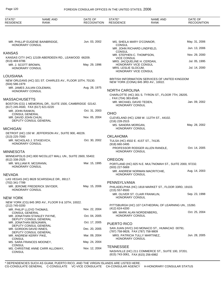| STATE*<br><b>RESIDENCE</b>                    | <b>NAME AND</b><br><b>RANK</b>                             | DATE OF<br><b>RECOGNITION</b> | STATE*<br><b>RESIDENCE</b>                                          | <b>NAME AND</b><br><b>RANK</b>                                                        | DATE OF<br><b>RECOGNITION</b> |
|-----------------------------------------------|------------------------------------------------------------|-------------------------------|---------------------------------------------------------------------|---------------------------------------------------------------------------------------|-------------------------------|
|                                               |                                                            |                               |                                                                     |                                                                                       |                               |
| HONORARY CONSUL                               | MR. PHILLIP EUGENE BAINBRIDGE,                             | Jun. 03, 2002                 | MS. SHEILA MARY O'CONNOR,<br><b>CONSUL</b>                          |                                                                                       | May. 31, 2006                 |
|                                               |                                                            |                               | MR. JOHN RICHARD LINDFIELD,<br><b>CONSUL</b>                        |                                                                                       | Jun. 13, 2006                 |
| <b>KANSAS</b>                                 | KANSAS CITY (HC) 12109 ABERDEEN RD., LEAWOOD 66209.        |                               | MR. STEPHEN C. THOMPSON,<br><b>VICE CONSUL</b>                      |                                                                                       | Nov. 29, 2000                 |
| (913) 469-9786                                |                                                            |                               | MRS. JACQUELINE H. CERDAN,                                          |                                                                                       | Jul. 05, 1995                 |
| MR. J. SCOTT BROWN,<br>HONORARY CONSUL        |                                                            | May. 29, 1996                 | HONORARY VICE CONSUL<br>MRS. LESLIE SLOCUM,<br>HONORARY VICE CONSUL |                                                                                       | Jul. 14, 2000                 |
| LOUISIANA                                     |                                                            |                               |                                                                     |                                                                                       |                               |
| $(504)$ 586-1979                              | NEW ORLEANS (HC) 321 ST. CHARLES AV., FLOOR 10TH, 70130.   |                               |                                                                     | BRITISH INFORMATION SERVICES OF UNITED KINGDOM<br>NEW YORK (CONA) 845 3RD AV., 10022. |                               |
| HONORARY CONSUL                               | MR. JAMES JULIAN COLEMAN,                                  | Aug. 28, 1975                 | <b>NORTH CAROLINA</b>                                               |                                                                                       |                               |
|                                               |                                                            |                               |                                                                     | CHARLOTTE (HC) 301 S. TYRON ST., FLOOR 7TH, 28205.                                    |                               |
| <b>MASSACHUSETTS</b>                          |                                                            |                               | , FAX (704) 383-6545                                                |                                                                                       |                               |
| (617) 245-4500, FAX (617) 621-0220            | BOSTON (CG) 1 MEMORIAL DR., SUITE 1500, CAMBRIDGE 02142.   |                               | MR. MICHAEL DAVID TEDEN,<br>HONORARY CONSUL                         |                                                                                       | Jan. 09, 2002                 |
| MR. JOHN RANKIN,<br><b>CONSUL GENERAL</b>     |                                                            | Oct. 31, 2003                 | <b>OHIO</b>                                                         |                                                                                       |                               |
| MR. DAVID JOHN CHUN,                          | DEPUTY CONSUL GENERAL                                      | Nov. 05, 2004                 | (216) 228-2515                                                      | CLEVELAND (HC) 1268 W. 112TH ST., 44102.                                              |                               |
| <b>MICHIGAN</b>                               |                                                            |                               | MS. SANDRA MORGAN,<br>HONORARY CONSUL                               |                                                                                       | May. 28, 2002                 |
|                                               | DETROIT (HC) 150 W. JEFFERSON AV., SUITE 900, 48226.       |                               |                                                                     |                                                                                       |                               |
| $(313)$ 225-7000                              |                                                            |                               | <b>OKLAHOMA</b>                                                     |                                                                                       |                               |
| MR. NICHOLAS J. STASEVICH,<br>HONORARY CONSUL |                                                            | Oct. 30, 2002                 | TULSA (HC) 4502 E. 41ST ST., 74135.<br>$(918)$ 660-3495             |                                                                                       |                               |
| <b>MINNESOTA</b>                              |                                                            |                               | <b>HONORARY CONSUL</b>                                              | PROFESSOR RODGER ALLEN RANDLE,                                                        | Oct. 14, 2005                 |
|                                               | MINNEAPOLIS (HC) 800 NICOLLET MALL UN., SUITE 2600, 55402. |                               |                                                                     |                                                                                       |                               |
| (612) 338-2525<br>MR. WILLIAM R. MCGRANN,     |                                                            | Mar. 15, 1995                 | <b>OREGON</b>                                                       | PORTLAND (HC) 825 N.E. MULTNOMAH ST., SUITE 2000, 97232.                              |                               |
| HONORARY CONSUL                               |                                                            |                               | (503) 227-5669                                                      |                                                                                       |                               |
| <b>NEVADA</b>                                 |                                                            |                               | HONORARY CONSUL                                                     | MR. ANDREW NORMAN MACRITCHIE,                                                         | Aug. 14, 2003                 |
|                                               | LAS VEGAS (HC) 8628 SCARSDALE DR., 89117.                  |                               |                                                                     |                                                                                       |                               |
| (702) 341-7789                                |                                                            |                               | PENNSYLVANIA                                                        |                                                                                       |                               |
| HONORARY CONSUL                               | MR. JEROME FREDERICK SNYDER,                               | May. 15, 2006                 | (215) 557-8500                                                      | PHILADELPHIA (HC) 1818 MARKET ST., FLOOR 33RD, 19103.                                 |                               |
| <b>NEW YORK</b>                               |                                                            |                               | <b>HONORARY CONSUL</b>                                              | MR. OLIVER ST. CLAIR FRANKLIN,                                                        | Sep. 23, 1998                 |
| (212) 745-0200                                | NEW YORK (CG) 845 3RD AV., FLOOR 9 & 10TH, 10022.          |                               |                                                                     | PITTSBURGH (HC) 107 CATHEDRAL OF LEARNING UN., 15260.                                 |                               |
| MR. PHILIP LLOYD THOMAS,                      |                                                            | Nov. 22, 2004                 | (412) 624-4200<br>MR. MARK ALAN NORDENBERG,                         |                                                                                       | Oct. 25, 2004                 |
| <b>CONSUL GENERAL</b>                         | MR. JONATHAN STANLEY PAYNE,<br>DEPUTY CONSUL GENERAL       | Oct. 04, 2005                 | <b>HONORARY CONSUL</b>                                              |                                                                                       |                               |
| MR. JONATHAN BENJAMIN,                        |                                                            | Oct. 17, 2005                 | PUERTO RICO                                                         |                                                                                       |                               |
| MR. GORDON DAVID INNES,                       | DEPUTY CONSUL GENERAL                                      | Dec. 20, 2005                 | (787) 758-9828, FAX (787) 758-9809                                  | SAN JUAN (HVC) 243 MONACO ST., HUMACAO 00791.                                         |                               |
| MR. ANDREW KERRY PIKE,                        | DEPUTY CONSUL GENERAL                                      | Mar. 09, 2004                 |                                                                     | MRS. PATRICIA TULLY MARTINEZ,                                                         | Jun. 28, 2005                 |
| <b>CONSUL</b>                                 | MS. SARA FRANCES MOONEY,                                   | May. 24, 2004                 | <b>HONORARY CONSUL</b>                                              |                                                                                       |                               |
| <b>CONSUL</b>                                 | MS. CHRISTINE ANNE CARR ALLOWAY,                           | Nov. 12, 2004                 | <b>TENNESSEE</b>                                                    |                                                                                       |                               |
| <b>CONSUL</b>                                 |                                                            |                               | (615) 743-3061, FAX (615) 256-6982                                  | NASHVILLE (HC) 211 COMMERCE ST., SUITE 100, 37201.                                    |                               |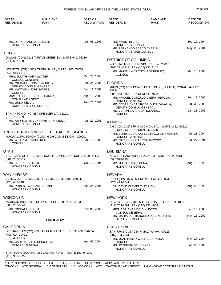STATE\* RESIDENCE NAME AND RANK DATE OF **RECOGNITION** STATE\* RESIDENCE NAME AND RANK DATE OF **RECOGNITION URUGUAY** TEXAS TRUST TERRITORIES OF THE PACIFIC ISLANDS UTAH WASHINGTON **WISCONSIN** CALIFORNIA DISTRICT OF COLUMBIA FLORIDA ILLINOIS LOUISIANA NEVADA NEW YORK PUERTO RICO DALLAS (CON) 2911 TURTLE CREEK BL., SUITE 940, 75219. HOUSTON (CG) 1000 LOUISIANA ST., SUITE 1900, 77002. SAN ANTONIO (HC) 254 SPENCER LA., 78201. NUKU'ALOFA, TONGA (CON) HIGH COMMISSION ., 00000. SALT LAKE CITY (HC) 60 E. SOUTH TEMPLE UN., SUITE 2100, 84111. BELLEVUE (HC) 500 108TH AV., NE, SUITE 1500, 98004. MADISON (HC) 123 E. DOTY ST., SUITE 205-207, 53703. LOS ANGELES (CG) 429 SANTA MONICA BL., SUITE 400, SANTA MONICA 90401. SAN FRANCISCO (HC) 351 CALIFORNIA ST., SUITE 150, 94104. WASHINGTON (CHN) 1913 I ST., NW, 20006. MIAMI (CG) 1077 PONCE DE LEON BL., SUITE B, CORAL GABLES 33134. CHICAGO (CG) 875 N. MICHIGAN AV., SUITE 1422, 60611. NEW ORLEANS (HC) 2 CANAL ST., SUITE 2002, 70130. RENO (HC) 562 N. MAINE ST., FALLON 89406. NEW YORK (CG) 420 MADISON AV., FLOOR 6TH, 10017. SAN JUAN (CON) 254 HIMALAYA AV., 00926. (214) 637-3600 (713) 659-6270 (210) 735-9393 (801) 237-1717 (425) 453-9400 (608) 257-6544 (310) 394-5777 (415) 986-5222 (202) 331-1313 , FAX (202) 331-8142 (305) 443-9764 , FAX (305) 443-7802 (312) 642-3430 , FAX (312) 642-3470 (504) 525-8354 (775) 423-6041 (212) 753-8581 , FAX (212) 753-1603 (787) 764-7941 MR. JOHN STANLEY BUTLER, MRS. JUDITH MARY SLATER, MR. MICHAEL DONALD MORLEY, MR. MATTHEW JOHN HOBBS, MRS. PAULETTE DENISE HARRIS, MS. LINDA KELLY, MR. ANDREW M. VISCOUNT DUNROSSIL, MR. WILLIAM L. CORDINER, MR. G. FRANZ JOKLIK, MR. ROBERT WILLIAM CREMIN, MR. MICHAEL BRIGHT, MR. CARLOS GITTO SPINGOLA, MR. MARK RITCHIE, MR. FERNANDO SASCO CASELLI, MS. MARIELLA CROSTA RODRIGUEZ, MR. MANUEL GONZALO VIEIRA MEROLA, MR. CESAR ENEAS RODRIGUEZ ZAVALLA, MS. VERONICA PAULA ROLANDO, MR. BORIS EDUARDO SVETOGORSKY MARINO, MR. CARLOS GUILLERMO RIZOWY, MR. JULIO E. RIOS PENA, DR. DAVID CLEMENT HENLEY, MRS. ADRIANA LISSIDINI DOTTI, MS. MARIA DEL BARCELO DEBENEDETTI, MR. JUAN PABLO WALLACE COLINA, MS. JOSEFINA DE HILLYER, Jul. 05, 1996 Oct. 20, 2004 Feb. 24, 2006 Jan. 11, 2002 Aug. 19, 2005 Feb. 26, 2001 Jul. 29, 2005 Feb. 19, 1992 Oct. 19, 1994 Apr. 25, 2006 Nov. 08, 2002 Apr. 06, 2004 Sep. 29, 1994 May. 25, 2004 Mar. 18, 2005 Feb. 13, 2006 Jul. 30, 2003 Jan. 21, 2005 Jul. 21, 2004 Jul. 27, 1994 Aug. 18, 1995 Aug. 20, 1999 Feb. 15, 2006 May. 16, 2002 May. 27, 2004 Jan. 22, 1988 HONORARY CONSUL CONSUL GENERAL DEPUTY CONSUL GENERAL **CONSUL** CONSULAR AGENT HONORARY VICE CONSUL HONORARY CONSUL **CONSUL** HONORARY CONSUL HONORARY CONSUL HONORARY CONSUL CONSUL GENERAL HONORARY CONSUL HONORARY VICE CONSUL **CONSUL** CONSUL GENERAL DEPUTY CONSUL GENERAL **CONSUL** CONSUL GENERAL HONORARY CONSUL HONORARY CONSUL HONORARY CONSUL CONSUL GENERAL DEPUTY CONSUL GENERAL **CONSUL** HONORARY CONSUL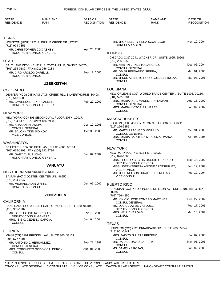| STATE*<br><b>RESIDENCE</b>                                              | <b>NAME AND</b><br><b>RANK</b>                           | DATE OF<br><b>RECOGNITION</b> | STATE*<br><b>RESIDENCE</b>                            | <b>NAME AND</b><br><b>RANK</b>                              | DATE OF<br><b>RECOGNITION</b>  |
|-------------------------------------------------------------------------|----------------------------------------------------------|-------------------------------|-------------------------------------------------------|-------------------------------------------------------------|--------------------------------|
|                                                                         |                                                          |                               |                                                       |                                                             |                                |
| <b>TEXAS</b>                                                            |                                                          |                               |                                                       |                                                             |                                |
| (713) 974-7855                                                          | HOUSTON (HCG) 1220 S. RIPPLE CREEK DR., 77057.           |                               | <b>CONSULAR AGENT</b>                                 | MR. JHON ELLERY PENA UZCATEGUI,                             | Nov. 19, 2004                  |
|                                                                         | MR. CHRISTOPHER COX ASHBY,<br>HONORARY CONSUL GENERAL    | Apr. 25, 2006                 | <b>ILLINOIS</b>                                       |                                                             |                                |
| <b>UTAH</b>                                                             |                                                          |                               | (312) 236-9658                                        | CHICAGO (CG) 20 N. WACKER DR., SUITE 1925, 60606.           |                                |
| (801) 256-0182, FAX (801) 256-0183                                      | SALT LAKE CITY (HC) 8191 S. 700TH UN., E, SANDY 84070.   |                               | <b>CONSUL GENERAL</b>                                 | MR. MARTIN ERNESTO SANCHEZ,                                 | Dec. 06, 2004                  |
| MR. CIRO AROLDO DARELLI,<br>HONORARY CONSUL                             |                                                          | Sep. 12, 2000                 | MR. OMAR FERNANDO SIERRA,<br>CONSUL                   |                                                             | Mar. 01, 2006                  |
|                                                                         |                                                          |                               | <b>CONSUL</b>                                         | MR. JESUS ALBERTO RODRIGUEZ ESPINOZA,                       | Mar. 07, 2006                  |
|                                                                         | <b>UZBEKISTAN</b>                                        |                               |                                                       |                                                             |                                |
| <b>COLORADO</b>                                                         |                                                          |                               | <b>LOUISIANA</b>                                      |                                                             |                                |
| $(970) 513 - 8000$                                                      | DENVER (HCG) 948 HAMILTON CREEK RD., SILVERTHORNE 80498. |                               | (504) 522-3284                                        | NEW ORLEANS (CG) WORLD TRADE CENTER., SUITE 1908, 70130.    |                                |
|                                                                         | MR. LAWRENCE T. KURLANDER,<br>HONORARY CONSUL GENERAL    | Feb. 22, 2002                 | <b>CONSUL GENERAL</b><br>MRS. MARIA VICTORIA LINARES, | MRS. MARIA DE L. MADRIZ BUSTAMANTE,                         | Aug. 16, 2002<br>Jan. 02, 2002 |
|                                                                         |                                                          |                               | <b>CONSUL</b>                                         |                                                             |                                |
| <b>NEW YORK</b>                                                         |                                                          |                               |                                                       |                                                             |                                |
| (212) 754-6178, FAX (212) 486-7998                                      | NEW YORK (CG) 801 SECOND AV., FLOOR 20TH, 10017.         |                               | <b>MASSACHUSETTS</b>                                  |                                                             |                                |
| MR. KHASAN IKRAMOV,                                                     |                                                          | Dec. 12, 2003                 | $(617)$ 266-9355                                      | BOSTON (CG) 545 BOYLSTON ST., FLOOR 3RD, 02116.             |                                |
| <b>CONSUL GENERAL</b><br>MR. SALOKHITDIN SIDIKOV,<br><b>VICE CONSUL</b> |                                                          | Oct. 30, 2003                 | MR. MARTIN PACHECO MORILLO,<br><b>CONSUL GENERAL</b>  |                                                             | Oct. 31, 2003                  |
|                                                                         |                                                          |                               | <b>CONSUL</b>                                         | MRS. MARIA CAROLINA MENDOZA OMANA,                          | Apr. 06, 2006                  |
| <b>WASHINGTON</b>                                                       |                                                          |                               |                                                       |                                                             |                                |
|                                                                         | SEATTLE (HCG) 800 FIFTH AV., SUITE 4000, 98104.          |                               | <b>NEW YORK</b>                                       |                                                             |                                |
| (206) 625-1199, FAX (206) 292-9736<br>MR. GARY C. FURLONG,              |                                                          | Jun. 07, 2002                 | NEW YORK (CG) 7 E. 51ST ST., 10022.                   |                                                             |                                |
|                                                                         | HONORARY CONSUL GENERAL                                  |                               | $(212)$ 826-1660                                      |                                                             |                                |
|                                                                         |                                                          |                               | DEPUTY CONSUL GENERAL                                 | MRS. LEONOR CECILIA OSORIO GRANADO,                         | May. 14, 2002                  |
|                                                                         | <b>VANUATU</b>                                           |                               | <b>VICE CONSUL</b>                                    | MISS LISETH TERESA ANCIDEY RODRIGUEZ,                       | Feb. 12, 2004                  |
| NORTHERN MARIANA ISLANDS                                                | SAIPAN (HC) X JOETEN CENTER UN., 96950.                  |                               | <b>VICE CONSUL</b>                                    | MR. JOSE NELSON DUARTE DE FREITAS,                          | Feb. 12, 2004                  |
| (670) 234-6547<br>MR. MICHAEL ALAN WHITE,                               |                                                          | Jun. 07, 2002                 | PUERTO RICO                                           |                                                             |                                |
| <b>HONORARY CONSUL</b>                                                  |                                                          |                               | 00936.                                                | SAN JUAN (CG) PISO 6 PONCE DE LEON AV., SUITE 601, HATO REY |                                |
|                                                                         | <b>VENEZUELA</b>                                         |                               | (787) 766-4250                                        |                                                             |                                |
| <b>CALIFORNIA</b>                                                       |                                                          |                               | <b>CONSUL GENERAL</b>                                 | MR. VINICIO JOSE ROMERO MARTINEZ,                           | Dec. 27, 2002                  |
| (415) 955-1982                                                          | SAN FRANCISCO (CG) 311 CALIFORNIA ST., SUITE 620, 94104. |                               | MS. OLGA DIAZ DE VASQUEZ,<br>DEPUTY CONSUL GENERAL    |                                                             | Feb. 17, 2005                  |
|                                                                         | MR. JOSE EGIDIO RODRIGUEZ,<br>DEPUTY CONSUL GENERAL      | Nov. 10, 2003                 | MRS. NELLY VARGAS,<br><b>CONSUL</b>                   |                                                             | Mar. 10, 2004                  |
| MRS. ISIS C. CEDENO GARCIA,<br><b>CONSUL</b>                            |                                                          | Jun. 04, 2004                 | <b>TEXAS</b>                                          |                                                             |                                |
|                                                                         |                                                          |                               |                                                       | HOUSTON (CG) 2925 BRIARPARK DR., SUITE 900, 77042.          |                                |
| <b>FLORIDA</b>                                                          |                                                          |                               | (713) 961-5141<br>MRS. JAIDYS JULIETA BRICENO,        |                                                             | Jul. 07, 2005                  |
| $(305)$ 577-4301                                                        | MIAMI (CG) 1101 BRICKELL AV., SUITE 300, 33131.          |                               | CONSUL                                                |                                                             |                                |
| MR. ANTONIO J. HERNANDEZ,                                               |                                                          | Sep. 28, 1999                 | MR. RAFAEL DAVID BARRETO,<br>CONSUL                   |                                                             | May. 08, 2006                  |
| <b>CONSUL GENERAL</b><br><b>CONSUL</b>                                  | MRS. COROMOTO GODOY CALDERON,                            | Aug. 01, 2003                 | MS. DAMELYS ROJAS,<br>CONSUL                          |                                                             | Jun. 09, 2006                  |